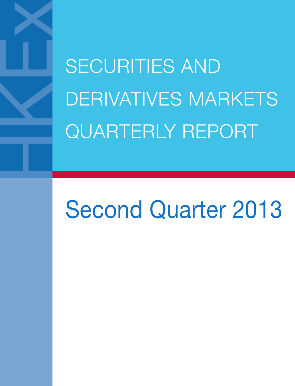SECURITIES AND DERIVATIVES MARKETS QUARTERLY REPORT

# Second Quarter 2013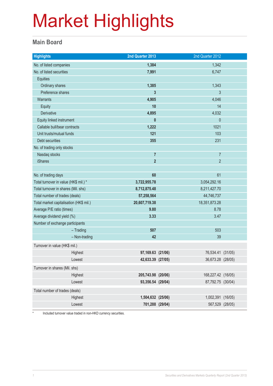#### **Main Board**

| <b>Highlights</b>                       | 2nd Quarter 2013   | 2nd Quarter 2012   |  |
|-----------------------------------------|--------------------|--------------------|--|
| No. of listed companies                 | 1,384              | 1,342              |  |
| No. of listed securities                | 7,991              | 6,747              |  |
| <b>Equities</b>                         |                    |                    |  |
| Ordinary shares                         | 1,385              | 1,343              |  |
| Preference shares                       | 3                  | $\mathfrak{Z}$     |  |
| <b>Warrants</b>                         | 4,905              | 4,046              |  |
| Equity                                  | 10                 | 14                 |  |
| Derivative                              | 4,895              | 4,032              |  |
| Equity linked instrument                | $\mathbf{0}$       | $\theta$           |  |
| Callable bull/bear contracts            | 1,222              | 1021               |  |
| Unit trusts/mutual funds                | 121                | 103                |  |
| Debt securities                         | 355                | 231                |  |
| No. of trading only stocks              |                    |                    |  |
| Nasdaq stocks                           | $\overline{7}$     | $\overline{7}$     |  |
| <b>iShares</b>                          | $\overline{2}$     | $\overline{2}$     |  |
|                                         |                    |                    |  |
| No. of trading days                     | 60                 | 61                 |  |
| Total turnover in value (HK\$ mil.) *   | 3,722,955.78       | 3,054,292.16       |  |
| Total turnover in shares (Mil. shs)     | 8,712,875.48       | 8,211,427.70       |  |
| Total number of trades (deals)          | 57,258,564         | 44,746,737         |  |
| Total market capitalisation (HK\$ mil.) | 20,607,719.38      | 18,351,873.28      |  |
| Average P/E ratio (times)               | 9.80               | 8.78               |  |
| Average dividend yield (%)              | 3.33               | 3.47               |  |
| Number of exchange participants         |                    |                    |  |
| $-$ Trading                             | 507                | 503                |  |
| $-$ Non-trading                         | 42                 | 39                 |  |
| Turnover in value (HK\$ mil.)           |                    |                    |  |
| Highest                                 | 97,169.63 (21/06)  | 76,534.41 (31/05)  |  |
| Lowest                                  | 42,633.39 (27/05)  | 36,673.28 (28/05)  |  |
| Turnover in shares (Mil. shs)           |                    |                    |  |
| Highest                                 | 205,743.98 (20/06) | 168,227.42 (16/05) |  |
| Lowest                                  | 93,356.54 (29/04)  | 87,792.75 (30/04)  |  |
| Total number of trades (deals)          |                    |                    |  |
| Highest                                 | 1,504,632 (25/06)  | 1,002,391 (16/05)  |  |
| Lowest                                  | 701,288 (29/04)    | 567,529 (28/05)    |  |

\* Included turnover value traded in non-HKD currency securities.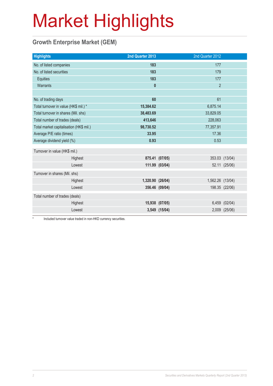### **Growth Enterprise Market (GEM)**

| <b>Highlights</b>                       | 2nd Quarter 2013 |                | 2nd Quarter 2012 |                |
|-----------------------------------------|------------------|----------------|------------------|----------------|
| No. of listed companies                 | 183              |                | 177              |                |
| No. of listed securities                | 183              |                | 179              |                |
| Equities                                | 183              |                | 177              |                |
| Warrants                                | $\mathbf{0}$     |                | $\overline{2}$   |                |
|                                         |                  |                |                  |                |
| No. of trading days                     | 60               |                | 61               |                |
| Total turnover in value (HK\$ mil.) *   | 15,384.62        |                | 6,875.14         |                |
| Total turnover in shares (Mil. shs)     | 38,483.69        |                | 33,829.05        |                |
| Total number of trades (deals)          | 413,646          |                | 228,063          |                |
| Total market capitalisation (HK\$ mil.) | 98,730.52        | 77,357.91      |                  |                |
| Average P/E ratio (times)               | 33.95            | 17.36          |                  |                |
| Average dividend yield (%)              | 0.93             | 0.53           |                  |                |
| Turnover in value (HK\$ mil.)           |                  |                |                  |                |
| Highest                                 |                  | 875.41 (07/05) |                  | 353.03 (13/04) |
| Lowest                                  |                  | 111.99 (03/04) |                  | 52.11 (25/06)  |
| Turnover in shares (Mil. shs)           |                  |                |                  |                |
| Highest                                 | 1,320.90 (26/04) |                | 1,562.26 (13/04) |                |
| Lowest                                  |                  | 356.46 (09/04) |                  | 198.35 (22/06) |
| Total number of trades (deals)          |                  |                |                  |                |
| Highest                                 |                  | 15,938 (07/05) |                  | 6,459 (02/04)  |
| Lowest                                  |                  | 3,549 (15/04)  |                  | 2,009 (25/06)  |

Included turnover value traded in non-HKD currency securities.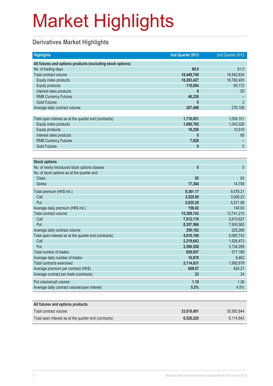### **Derivatives Market Highlights**

| <b>Highlights</b>                                          | 2nd Quarter 2013 | 2nd Quarter 2012 |
|------------------------------------------------------------|------------------|------------------|
| All futures and options products (excluding stock options) |                  |                  |
| No. of trading days                                        | 60.0             | 61.0             |
| Total contract volume                                      | 18,449,749       | 16,842,634       |
| Equity index products                                      | 18,293,427       | 16,782,405       |
| <b>Equity products</b>                                     | 110,084          | 60,172           |
| Interest rates products                                    | 0                | 55               |
| <b>RMB Currency Futures</b>                                | 46,238           |                  |
| <b>Gold Futures</b>                                        | $\mathbf{0}$     | $\overline{2}$   |
| Average daily contract volume                              | 307,496          | 276,109          |
|                                                            |                  |                  |
| Total open interest as at the quarter end (contracts)      | 1,716,051        | 1,054,101        |
| Equity index products                                      | 1,690,765        | 1,043,526        |
| <b>Equity products</b>                                     | 18,258           | 10,510           |
| Interest rates products                                    | 0                | 65               |
| <b>RMB Currency Futures</b>                                | 7,028            |                  |
| <b>Gold Futures</b>                                        | 0                | $\mathbf{0}$     |
|                                                            |                  |                  |
| <b>Stock options</b>                                       |                  |                  |
| No. of newly introduced stock options classes              | $\bf{0}$         | $\mathbf{0}$     |
| No. of stock options as at the quarter end                 |                  |                  |
| <b>Class</b>                                               | 65               | 63               |
| <b>Series</b>                                              | 17,304           | 14,708           |
| Total premium (HK\$ mil.)                                  | 9,361.17         | 8,578.21         |
| Call                                                       | 3,525.89         | 3,006.23         |
| Put                                                        | 5,835.29         | 5,571.98         |
| Average daily premium (HK\$ mil.)                          | 156.02           | 140.63           |
| Total contract volume                                      | 15,369,742       | 13,741,210       |
| Call                                                       | 7,012,176        | 5,810,627        |
| Put                                                        | 8,357,566        | 7,930,583        |
| Average daily contract volume                              | 256,162          | 225,266          |
| Total open interest as at the quarter end (contracts)      | 4,810,169        | 5,060,742        |
| Call                                                       | 2,219,643        | 1,926,473        |
| Put                                                        | 2,590,526        | 3,134,269        |
| Total number of trades                                     | 658,657          | 577,189          |
| Average daily number of trades                             | 10,978           | 9,462            |
| <b>Total contracts exercised</b>                           | 2,114,831        | 1,992,879        |
| Average premium per contract (HK\$)                        | 609.07           | 624.27           |
| Average contract per trade (contracts)                     | 23               | 24               |
| Put volume/call volume                                     | 1.19             | 1.36             |
| Average daily contract volume/open interest                | 5.3%             | 4.5%             |
|                                                            |                  |                  |
| All futures and options products                           |                  |                  |
| Total contract volume                                      | 33,819,491       | 30,583,844       |
| Total open interest as at the quarter end (contracts)      | 6,526,220        | 6,114,843        |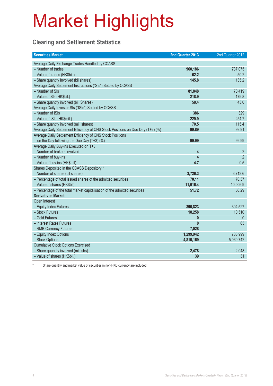### **Clearing and Settlement Statistics**

| <b>Securities Market</b>                                                        | 2nd Quarter 2013 | 2nd Quarter 2012 |
|---------------------------------------------------------------------------------|------------------|------------------|
| Average Daily Exchange Trades Handled by CCASS                                  |                  |                  |
| - Number of trades                                                              | 960,186          | 737,075          |
| - Value of trades (HK\$bil.)                                                    | 62.2             | 50.2             |
| - Share quantity Involved (bil shares)                                          | 145.8            | 135.2            |
| Average Daily Settlement Instructions ("SIs") Settled by CCASS                  |                  |                  |
| - Number of SIs                                                                 | 81,848           | 70,419           |
| - Value of SIs (HK\$bil.)                                                       | 218.9            | 179.8            |
| - Share quantity involved (bil. Shares)                                         | 58.4             | 43.0             |
| Average Daily Investor SIs ("ISIs") Settled by CCASS                            |                  |                  |
| - Number of ISIs                                                                | 386              | 329              |
| - Value of ISIs (HK\$mil.)                                                      | 229.9            | 254.7            |
| - Share quantity involved (mil. shares)                                         | 70.5             | 115.4            |
| Average Daily Settlement Efficiency of CNS Stock Positions on Due Day (T+2) (%) | 99.89            | 99.91            |
| Average Daily Settlement Efficiency of CNS Stock Positions                      |                  |                  |
| on the Day following the Due Day $(T+3)$ (%)                                    | 99.99            | 99.99            |
| Average Daily Buy-ins Executed on T+3                                           |                  |                  |
| - Number of brokers involved                                                    | 4                | $\overline{2}$   |
| - Number of buy-ins                                                             | 4                | $\overline{2}$   |
| - Value of buy-ins (HK\$mil)                                                    | 4.7              | 0.5              |
| Shares Deposited in the CCASS Depository *                                      |                  |                  |
| - Number of shares (bil shares)                                                 | 3,726.3          | 3,713.6          |
| - Percentage of total issued shares of the admitted securities                  | 70.11            | 70.37            |
| - Value of shares (HK\$bil)                                                     | 11,616.4         | 10,006.9         |
| - Percentage of the total market capitalisation of the admitted securities      | 51.72            | 50.29            |
| <b>Derivatives Market</b>                                                       |                  |                  |
| Open Interest                                                                   |                  |                  |
| - Equity Index Futures                                                          | 390,823          | 304,527          |
| - Stock Futures                                                                 | 18,258           | 10,510           |
| - Gold Futures                                                                  | $\mathbf{0}$     | $\theta$         |
| - Interest Rates Futures                                                        | $\mathbf{0}$     | 65               |
| - RMB Currency Futures                                                          | 7,028            |                  |
| - Equity Index Options                                                          | 1,299,942        | 738,999          |
| - Stock Options                                                                 | 4,810,169        | 5,060,742        |
| <b>Cumulative Stock Options Exercised</b>                                       |                  |                  |
| - Share quantity involved (mil. shs)                                            | 2,478            | 2,048            |
| - Value of shares (HK\$bil.)                                                    | 39               | 31               |

Share quantity and market value of securities in non-HKD currency are included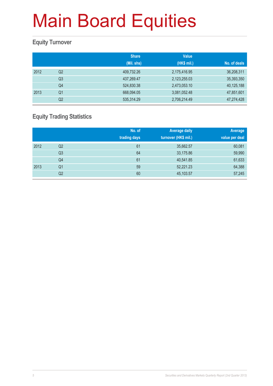#### **Equity Turnover**

|      |                | <b>Share</b><br>(Mil. shs) | <b>Value</b><br>(HK\$ mil.) | No. of deals |
|------|----------------|----------------------------|-----------------------------|--------------|
| 2012 | Q2             | 409,732.26                 | 2,175,416.95                | 36,208,311   |
|      | Q <sub>3</sub> | 437,269.47                 | 2,123,255.03                | 35,393,350   |
|      | Q4             | 524,830.38                 | 2,473,053.10                | 40,125,188   |
| 2013 | Q1             | 668,094.05                 | 3,081,052.48                | 47,851,601   |
|      | Q <sub>2</sub> | 535,314.29                 | 2,706,214.49                | 47,274,428   |

### **Equity Trading Statistics**

|      |                | No. of<br>trading days | <b>Average daily</b><br>turnover (HK\$ mil.) | Average<br>value per deal |
|------|----------------|------------------------|----------------------------------------------|---------------------------|
| 2012 | Q <sub>2</sub> | 61                     | 35,662.57                                    | 60,081                    |
|      | Q <sub>3</sub> | 64                     | 33,175.86                                    | 59,990                    |
|      | Q4             | 61                     | 40,541.85                                    | 61,633                    |
| 2013 | Q <sub>1</sub> | 59                     | 52,221.23                                    | 64,388                    |
|      | Q <sub>2</sub> | 60                     | 45,103.57                                    | 57,245                    |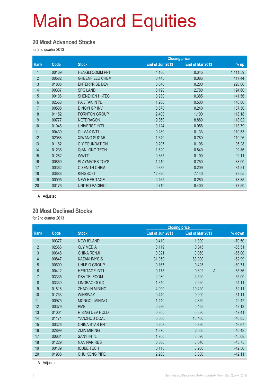#### **20 Most Advanced Stocks**

for 2nd quarter 2013

|                |       |                        |                 | <b>Closing price</b> |          |
|----------------|-------|------------------------|-----------------|----------------------|----------|
| Rank           | Code  | <b>Stock</b>           | End of Jun 2013 | End of Mar 2013      | $%$ up   |
| 1              | 00169 | <b>HENGLI COMM PPT</b> | 4.180           | 0.345                | 1,111.59 |
| $\overline{2}$ | 00582 | <b>GREENFIELD CHEM</b> | 0.445           | 0.086                | 417.44   |
| 3              | 01808 | <b>ENTERPRISE DEV</b>  | 0.640           | 0.200                | 220.00   |
| $\overline{4}$ | 00337 | <b>SPG LAND</b>        | 8.190           | 2.780                | 194.60   |
| 5              | 00106 | <b>SHENZHEN HI-TEC</b> | 0.930           | 0.385                | 141.56   |
| 6              | 02668 | PAK TAK INT'L          | 1.200           | 0.500                | 140.00   |
| $\overline{7}$ | 00508 | <b>DINGYI GP INV</b>   | 0.570           | 0.240                | 137.50   |
| $\bf 8$        | 01152 | <b>FORNTON GROUP</b>   | 2.400           | 1.100                | 118.18   |
| 9              | 00777 | <b>NETDRAGON</b>       | 19.360          | 8.880                | 118.02   |
| 10             | 01046 | UNIVERSE INT'L         | 0.124           | 0.058                | 113.79   |
| 11             | 00439 | <b>CLIMAX INT'L</b>    | 0.280           | 0.133                | 110.53   |
| 12             | 02088 | <b>XIWANG SUGAR</b>    | 1.640           | 0.780                | 110.26   |
| 13             | 01182 | C Y FOUNDATION         | 0.207           | 0.106                | 95.28    |
| 14             | 01236 | <b>QIANLONG TECH</b>   | 1.620           | 0.840                | 92.86    |
| 15             | 01282 | <b>WWTT</b>            | 0.365           | 0.190                | 92.11    |
| 16             | 00869 | PLAYMATES TOYS         | 1.410           | 0.750                | 88.00    |
| 17             | 00362 | C ZENITH CHEM          | 0.385           | 0.209                | 84.21    |
| 18             | 03888 | <b>KINGSOFT</b>        | 12.820          | 7.140                | 79.55    |
| 19             | 00095 | <b>NEW HERITAGE</b>    | 0.465           | 0.260                | 78.85    |
| 20             | 00176 | <b>UNITED PACIFIC</b>  | 0.710           | 0.400                | 77.50    |

A Adjusted

#### **20 Most Declined Stocks**

for 2nd quarter 2013

|                |       |                        | <b>Closing price</b> |                 |                            |
|----------------|-------|------------------------|----------------------|-----------------|----------------------------|
| Rank           | Code  | <b>Stock</b>           | End of Jun 2013      | End of Mar 2013 | % down                     |
| 1              | 00377 | <b>NEW ISLAND</b>      | 0.410                | 1.390           | $-70.50$                   |
| $\overline{2}$ | 02366 | <b>QJY MEDIA</b>       | 0.119                | 0.345           | $-65.51$                   |
| 3              | 00648 | <b>CHINA RENJI</b>     | 0.021                | 0.060           | $-65.00$                   |
| 4              | 00847 | <b>KAZAKHMYS-S</b>     | 31.050               | 83.900          | $-62.99$                   |
| 5              | 00690 | <b>UNI-BIO GROUP</b>   | 0.167                | 0.425           | $-60.71$                   |
| $6\phantom{.}$ | 00412 | <b>HERITAGE INT'L</b>  | 0.175                | 0.392           | $\overline{A}$<br>$-55.36$ |
| $\overline{7}$ | 03335 | <b>DBA TELECOM</b>     | 2.030                | 4.520           | $-55.09$                   |
| $\bf 8$        | 03330 | <b>LINGBAO GOLD</b>    | 1.340                | 2.920           | $-54.11$                   |
| 9              | 01818 | <b>ZHAOJIN MINING</b>  | 4.990                | 10.420          | $-52.11$                   |
| 10             | 01733 | <b>WINSWAY</b>         | 0.440                | 0.900           | $-51.11$                   |
| 11             | 00975 | <b>MONGOL MINING</b>   | 1.440                | 2.850           | $-49.47$                   |
| 12             | 00379 | <b>PME</b>             | 0.236                | 0.455           | $-48.13$                   |
| 13             | 01004 | <b>RISING DEV HOLD</b> | 0.305                | 0.580           | $-47.41$                   |
| 14             | 01171 | YANZHOU COAL           | 5.560                | 10.460          | $-46.85$                   |
| 15             | 00326 | <b>CHINA STAR ENT</b>  | 0.208                | 0.390           | $-46.67$                   |
| 16             | 02899 | <b>ZIJIN MINING</b>    | 1.370                | 2.560           | $-46.48$                   |
| 17             | 00631 | <b>SANY INT'L</b>      | 1.950                | 3.590           | $-45.68$                   |
| 18             | 01229 | <b>NAN NAN RES</b>     | 0.360                | 0.640           | $-43.75$                   |
| 19             | 00139 | <b>ICUBE TECH</b>      | 0.115                | 0.200           | $-42.50$                   |
| 20             | 01938 | <b>CHU KONG PIPE</b>   | 2.200                | 3.800           | $-42.11$                   |

A Adjusted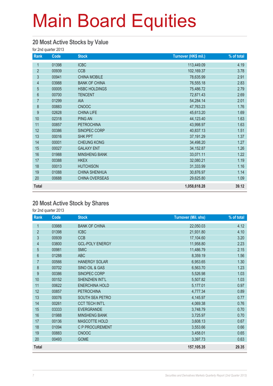#### **20 Most Active Stocks by Value**

for 2nd quarter 2013

| Rank             | Code  | <b>Stock</b>         | Turnover (HK\$ mil.) | % of total |
|------------------|-------|----------------------|----------------------|------------|
| 1                | 01398 | <b>ICBC</b>          | 113,449.09           | 4.19       |
| $\overline{2}$   | 00939 | <b>CCB</b>           | 102,169.37           | 3.78       |
| $\mathfrak{S}$   | 00941 | <b>CHINA MOBILE</b>  | 78,635.99            | 2.91       |
| $\overline{4}$   | 03988 | <b>BANK OF CHINA</b> | 76,555.18            | 2.83       |
| $\overline{5}$   | 00005 | <b>HSBC HOLDINGS</b> | 75,486.72            | 2.79       |
| $6\phantom{a}$   | 00700 | <b>TENCENT</b>       | 72,871.43            | 2.69       |
| $\overline{7}$   | 01299 | <b>AIA</b>           | 54,284.14            | 2.01       |
| 8                | 00883 | <b>CNOOC</b>         | 47,763.23            | 1.76       |
| $\boldsymbol{9}$ | 02628 | <b>CHINA LIFE</b>    | 45,613.20            | 1.69       |
| 10               | 02318 | <b>PING AN</b>       | 44,123.40            | 1.63       |
| 11               | 00857 | <b>PETROCHINA</b>    | 43,998.97            | 1.63       |
| 12               | 00386 | SINOPEC CORP         | 40,837.13            | 1.51       |
| 13               | 00016 | <b>SHK PPT</b>       | 37,191.29            | 1.37       |
| 14               | 00001 | <b>CHEUNG KONG</b>   | 34,498.20            | 1.27       |
| 15               | 00027 | <b>GALAXY ENT</b>    | 34, 152.87           | 1.26       |
| 16               | 01988 | <b>MINSHENG BANK</b> | 33,071.11            | 1.22       |
| 17               | 00388 | <b>HKEX</b>          | 32,080.21            | 1.19       |
| 18               | 00013 | <b>HUTCHISON</b>     | 31,333.99            | 1.16       |
| 19               | 01088 | <b>CHINA SHENHUA</b> | 30,876.97            | 1.14       |
| 20               | 00688 | CHINA OVERSEAS       | 29,625.80            | 1.09       |
| <b>Total</b>     |       |                      | 1,058,618.28         | 39.12      |

#### **20 Most Active Stock by Shares**

for 2nd quarter 2013

| Rank             | Code  | <b>Stock</b>           | <b>Turnover (Mil. shs)</b> | % of total |
|------------------|-------|------------------------|----------------------------|------------|
| $\mathbf{1}$     | 03988 | <b>BANK OF CHINA</b>   | 22,050.03                  | 4.12       |
| $\overline{2}$   | 01398 | <b>ICBC</b>            | 21,931.80                  | 4.10       |
| 3                | 00939 | <b>CCB</b>             | 17,104.60                  | 3.20       |
| $\overline{4}$   | 03800 | <b>GCL-POLY ENERGY</b> | 11,958.80                  | 2.23       |
| 5                | 00981 | <b>SMIC</b>            | 11,486.79                  | 2.15       |
| 6                | 01288 | <b>ABC</b>             | 8,359.19                   | 1.56       |
| $\overline{7}$   | 00566 | <b>HANERGY SOLAR</b>   | 6,953.65                   | 1.30       |
| $\,8\,$          | 00702 | SINO OIL & GAS         | 6,563.70                   | 1.23       |
| $\boldsymbol{9}$ | 00386 | SINOPEC CORP           | 5,526.98                   | 1.03       |
| 10               | 00152 | SHENZHEN INT'L         | 5,507.82                   | 1.03       |
| 11               | 00622 | <b>ENERCHINA HOLD</b>  | 5,177.01                   | 0.97       |
| 12               | 00857 | <b>PETROCHINA</b>      | 4,777.34                   | 0.89       |
| 13               | 00076 | SOUTH SEA PETRO        | 4,145.97                   | 0.77       |
| 14               | 00261 | <b>CCT TECH INT'L</b>  | 4,069.38                   | 0.76       |
| 15               | 03333 | <b>EVERGRANDE</b>      | 3,748.79                   | 0.70       |
| 16               | 01988 | <b>MINSHENG BANK</b>   | 3,725.97                   | 0.70       |
| 17               | 00136 | MASCOTTE HOLD          | 3,608.13                   | 0.67       |
| 18               | 01094 | C P PROCUREMENT        | 3,553.66                   | 0.66       |
| 19               | 00883 | <b>CNOOC</b>           | 3,458.01                   | 0.65       |
| 20               | 00493 | GOME                   | 3,397.73                   | 0.63       |
| <b>Total</b>     |       |                        | 157,105.35                 | 29.35      |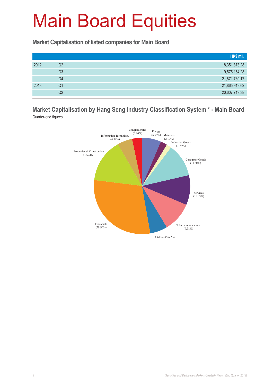**Market Capitalisation of listed companies for Main Board**

|      |    | HK\$ mil.     |
|------|----|---------------|
| 2012 | Q2 | 18,351,873.28 |
|      | Q3 | 19,575,154.28 |
|      | Q4 | 21,871,730.17 |
| 2013 | Q1 | 21,865,919.62 |
|      | Q2 | 20,607,719.38 |

**Market Capitalisation by Hang Seng Industry Classification System \* - Main Board** Quarter-end figures

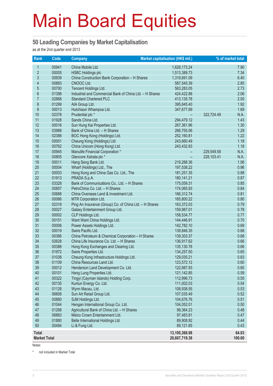#### **50 Leading Companies by Market Capitalisation**

as at the 2nd quarter end 2013

| Rank                | Code           | <b>Company</b>                                                                 | Market capitalisation (HK\$ mil.) | % of market total  |
|---------------------|----------------|--------------------------------------------------------------------------------|-----------------------------------|--------------------|
| $\mathbf{1}$        | 00941          | China Mobile Ltd.                                                              | 1,628,173.24                      | 7.90               |
| $\overline{2}$      | 00005          | <b>HSBC Holdings plc</b>                                                       | 1,513,389.73                      | 7.34               |
| 3                   | 00939          | China Construction Bank Corporation - H Shares                                 | 1,319,891.09                      | 6.40               |
| 4                   | 00883          | CNOOC Ltd.                                                                     | 587,545.39                        | 2.85               |
| 5                   | 00700          | Tencent Holdings Ltd.                                                          | 563,283.05                        | 2.73               |
| $6\phantom{a}$      | 01398          | Industrial and Commercial Bank of China Ltd. - H Shares                        | 424,422.88                        | 2.06               |
| $\overline{7}$      | 02888          | <b>Standard Chartered PLC</b>                                                  | 413,135.78                        | 2.00               |
| 8                   | 01299          | AIA Group Ltd.                                                                 | 395,645.40                        | 1.92               |
| 9                   | 00013          | Hutchison Whampoa Ltd.                                                         | 347,677.89                        | 1.69               |
| 10                  | 02378          | Prudential plc *                                                               |                                   | 322,724.49<br>N.A. |
| 11                  | 01928          | Sands China Ltd.                                                               | 294,479.12                        | 1.43               |
| 12                  | 00016          | Sun Hung Kai Properties Ltd.                                                   | 267,361.96                        | 1.30               |
| 13                  | 03988          | Bank of China Ltd. - H Shares                                                  | 266,755.06                        | 1.29               |
| 14                  | 02388          | BOC Hong Kong (Holdings) Ltd.                                                  | 252,160.81                        | 1.22               |
| 15                  | 00001          | Cheung Kong (Holdings) Ltd.                                                    | 243,660.49                        | 1.18               |
| 16                  | 00762          | China Unicom (Hong Kong) Ltd.                                                  | 243,432.83                        | 1.18               |
| 17                  | 00945          | Manulife Financial Corporation *                                               |                                   | N.A.<br>229,549.58 |
| 18                  | 00805          | Glencore Xstrata plc *                                                         |                                   | 228,103.41<br>N.A. |
| 19                  | 00011          | Hang Seng Bank Ltd.                                                            | 219,288.36                        | 1.06               |
| 20                  | 00004          | Wharf (Holdings) Ltd., The                                                     | 197,538.22                        | 0.96               |
| 21                  | 00003          | Hong Kong and China Gas Co. Ltd., The                                          | 181,251.35                        | 0.88               |
| 22                  | 01913          | PRADA S.p.A.                                                                   | 180,141.21                        | 0.87               |
| 23                  | 03328          | Bank of Communications Co., Ltd. - H Shares                                    | 175,059.31                        | 0.85               |
| 24                  | 00857          | PetroChina Co. Ltd. - H Shares                                                 | 174,065.93                        | 0.84               |
| 25<br>26            | 00688          | China Overseas Land & Investment Ltd.                                          | 166,312.74                        | 0.81               |
| 27                  | 00066<br>02318 | MTR Corporation Ltd.<br>Ping An Insurance (Group) Co. of China Ltd. - H Shares | 165,800.22<br>163,372.03          | 0.80<br>0.79       |
| 28                  | 00027          | Galaxy Entertainment Group Ltd.                                                | 159,987.01                        | 0.78               |
| 29                  | 00002          | CLP Holdings Ltd.                                                              | 158,534.77                        | 0.77               |
| 30                  | 00151          | Want Want China Holdings Ltd.                                                  | 144,446.91                        | 0.70               |
| 31                  | 00006          | Power Assets Holdings Ltd.                                                     | 142,782.10                        | 0.69               |
| 32                  | 00019          | Swire Pacific Ltd.                                                             | 139,846.35                        | 0.68               |
| 33                  | 00386          | China Petroleum & Chemical Corporation - H Shares                              | 139,303.37                        | 0.68               |
| 34                  | 02628          | China Life Insurance Co. Ltd. - H Shares                                       | 136,917.62                        | 0.66               |
| 35                  | 00388          | Hong Kong Exchanges and Clearing Ltd.                                          | 135, 130.76                       | 0.66               |
| 36                  | 01972          | Swire Properties Ltd.                                                          | 134,257.50                        | 0.65               |
| 37                  | 01038          | Cheung Kong Infrastructure Holdings Ltd.                                       | 129,035.21                        | 0.63               |
| 38                  | 01109          | China Resources Land Ltd.                                                      | 123,572.12                        | 0.60               |
| 39                  | 00012          | Henderson Land Development Co. Ltd.                                            | 122,987.93                        | 0.60               |
| 40                  | 00101          | Hang Lung Properties Ltd.                                                      | 121,142.85                        | 0.59               |
| 41                  | 00322          | Tingyi (Cayman Islands) Holding Corp.                                          | 112,996.73                        | 0.55               |
| 42                  | 00135          | Kunlun Energy Co. Ltd.                                                         | 111,002.03                        | 0.54               |
| 43                  | 01128          | Wynn Macau, Ltd.                                                               | 108,938.55                        | 0.53               |
| 44                  | 06808          | Sun Art Retail Group Ltd.                                                      | 107,035.49                        | 0.52               |
| 45                  | 00880          | SJM Holdings Ltd.                                                              | 104,676.76                        | 0.51               |
| 46                  | 01044          | Hengan International Group Co. Ltd.                                            | 104,052.01                        | 0.50               |
| 47                  | 01288          | Agricultural Bank of China Ltd. - H Shares                                     | 98,364.23                         | 0.48               |
| 48                  | 06883          | Melco Crown Entertainment Ltd.                                                 | 97,483.81                         | 0.47               |
| 49                  | 01880          | Belle International Holdings Ltd.                                              | 89,908.92                         | 0.44               |
| 50                  | 00494          | Li & Fung Ltd.                                                                 | 89,121.85                         | 0.43               |
| <b>Total</b>        |                |                                                                                | 13,195,368.98                     | 64.03              |
| <b>Market Total</b> |                |                                                                                | 20,607,719.38                     | 100.00             |

Notes:

\* not included in Market Total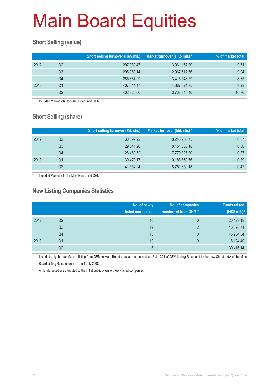### **Short Selling (value)**

|      |    | Short selling turnover (HK\$ mil.) | Market turnover (HK\$ mil.) * | % of market total |
|------|----|------------------------------------|-------------------------------|-------------------|
| 2012 | Q2 | 297,380.47                         | 3,061,167.30                  | 9.71              |
|      | Q3 | 295,053.14                         | 2,967,517.56                  | 9.94              |
|      | Q4 | 285,387.99                         | 3,416,543.59                  | 8.35              |
| 2013 | O1 | 407,011.47                         | 4,387,021.75                  | 9.28              |
|      | Q2 | 402,326.06                         | 3,738,340.40                  | 10.76             |

Included Market total for Main Board and GEM

### **Short Selling (share)**

|      |    | <b>Short selling turnover (Mil. shs)</b> | Market turnover (Mil. shs) * | % of market total |
|------|----|------------------------------------------|------------------------------|-------------------|
| 2012 | Q2 | 30,899.22                                | 8,245,256.75                 | 0.37              |
|      | Q3 | 29.541.26                                | 8,151,536.18                 | 0.36              |
|      | Q4 | 28,450.72                                | 7,779,826.30                 | 0.37              |
| 2013 | Q1 | 39,479.17                                | 10,186,659.76                | 0.39              |
|      | Q2 | 41,554.24                                | 8,751,359.18                 | 0.47              |

Included Market total for Main Board and GEM

#### **New Listing Companies Statistics**

|      |                | No. of newly<br>listed companies | No. of companies<br>transferred from GEM* | <b>Funds raised</b><br>(HK\$ mil.) # |
|------|----------------|----------------------------------|-------------------------------------------|--------------------------------------|
| 2012 | Q <sub>2</sub> | 10                               | 0                                         | 20,429.18                            |
|      | Q3             | 12                               | ာ                                         | 13,628.71                            |
|      | Q4             | 13                               | $\mathbf{0}$                              | 45,234.54                            |
| 2013 | Q1             | 10                               | 0                                         | 8,124.40                             |
|      | Q2             | 6                                |                                           | 30,416.14                            |

Included only the transfers of listing from GEM to Main Board pursuant to the revised Rule 9.24 of GEM Listing Rules and to the new Chapter 9A of the Main Board Listing Rules effective from 1 July 2008

# All funds raised are attributed to the initial public offers of newly listed companies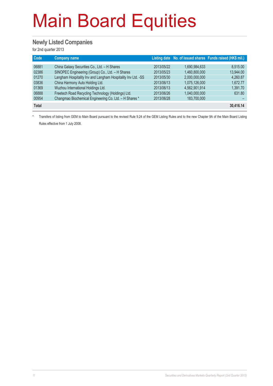#### **Newly Listed Companies**

for 2nd quarter 2013

| <b>Code</b>  | <b>Company name</b>                                          |            |               | Listing date No. of issued shares Funds raised (HK\$ mil.) |
|--------------|--------------------------------------------------------------|------------|---------------|------------------------------------------------------------|
| 06881        | China Galaxy Securities Co., Ltd. - H Shares                 | 2013/05/22 | 1.690.984.633 | 8.515.00                                                   |
| 02386        | SINOPEC Engineering (Group) Co., Ltd. - H Shares             | 2013/05/23 | 1.460.800.000 | 13.944.00                                                  |
| 01270        | Langham Hospitality Inv and Langham Hospitality Inv Ltd. -SS | 2013/05/30 | 2,000,000,000 | 4,260.87                                                   |
| 03836        | China Harmony Auto Holding Ltd.                              | 2013/06/13 | 1,075,126,000 | 1,672.77                                                   |
| 01369        | Wuzhou International Holdings Ltd.                           | 2013/06/13 | 4.562.901.914 | 1.391.70                                                   |
| 06888        | Freetech Road Recycling Technology (Holdings) Ltd.           | 2013/06/26 | 1,040,000,000 | 631.80                                                     |
| 00954        | Changmao Biochemical Engineering Co. Ltd. - H Shares *       | 2013/06/28 | 183,700,000   |                                                            |
| <b>Total</b> |                                                              |            |               | 30,416.14                                                  |

\* Transfers of listing from GEM to Main Board pursuant to the revised Rule 9.24 of the GEM Listing Rules and to the new Chapter 9A of the Main Board Listing Rules effective from 1 July 2008.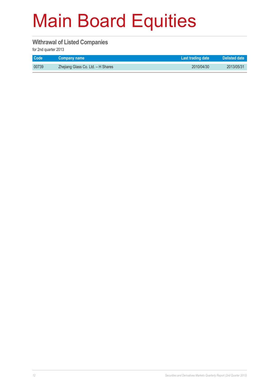#### **Withrawal of Listed Companies**

for 2nd quarter 2013

| <b>Code</b> | <b>Company name</b>                | Last trading date | Delisted date |
|-------------|------------------------------------|-------------------|---------------|
| 00739       | Zhejiang Glass Co. Ltd. - H Shares | 2010/04/30        | 2013/05/31    |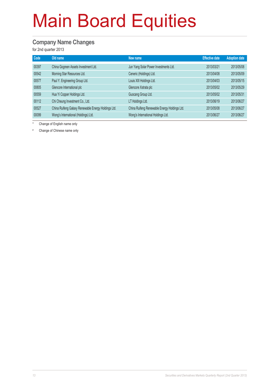#### **Company Name Changes**

for 2nd quarter 2013

| Code  | Old name                                            | New name                                     | <b>Effective date</b> | <b>Adoption date</b> |
|-------|-----------------------------------------------------|----------------------------------------------|-----------------------|----------------------|
| 00397 | China Gogreen Assets Investment Ltd.                | Jun Yang Solar Power Investments Ltd.        | 2013/03/21            | 2013/05/08           |
| 00542 | Morning Star Resources Ltd.                         | Ceneric (Holdings) Ltd.                      | 2013/04/08            | 2013/05/09           |
| 00577 | Paul Y. Engineering Group Ltd.                      | Louis XIII Holdings Ltd.                     | 2013/04/03            | 2013/05/15           |
| 00805 | Glencore International plc                          | Glencore Xstrata plc                         | 2013/05/02            | 2013/05/29           |
| 00559 | Hua Yi Copper Holdings Ltd.                         | Guocang Group Ltd.                           | 2013/05/02            | 2013/05/31           |
| 00112 | Chi Cheung Investment Co., Ltd.                     | LT Holdings Ltd.                             | 2013/06/19            | 2013/06/27           |
| 00527 | China Ruifeng Galaxy Renewable Energy Holdings Ltd. | China Ruifeng Renewable Energy Holdings Ltd. | 2013/05/08            | 2013/06/27           |
| 00099 | Wong's International (Holdings) Ltd.                | Wong's International Holdings Ltd.           | 2013/06/27            | 2013/06/27           |

\* Change of English name only

# Change of Chinese name only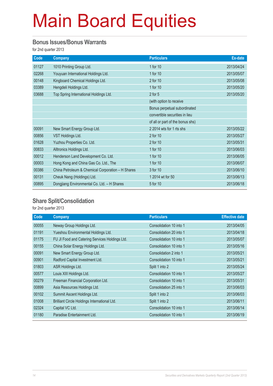#### **Bonus Issues/Bonus Warrants**

for 2nd quarter 2013

| Code  | <b>Company</b>                                    | <b>Particulars</b>               | Ex-date    |
|-------|---------------------------------------------------|----------------------------------|------------|
| 01127 | 1010 Printing Group Ltd.                          | 1 for 10                         | 2013/04/24 |
| 02268 | Youyuan International Holdings Ltd.               | 1 for 10                         | 2013/05/07 |
| 00148 | Kingboard Chemical Holdings Ltd.                  | 2 for 10                         | 2013/05/08 |
| 03389 | Hengdeli Holdings Ltd.                            | 1 for 10                         | 2013/05/20 |
| 03688 | Top Spring International Holdings Ltd.            | $2$ for $5$                      | 2013/05/20 |
|       |                                                   | (with option to receive          |            |
|       |                                                   | Bonus perpetual subordinated     |            |
|       |                                                   | convertible securities in lieu   |            |
|       |                                                   | of all or part of the bonus shs) |            |
| 00091 | New Smart Energy Group Ltd.                       | 2 2014 wts for 1 rts shs         | 2013/05/22 |
| 00856 | VST Holdings Ltd.                                 | 2 for 10                         | 2013/05/27 |
| 01628 | Yuzhou Properties Co. Ltd.                        | 2 for 10                         | 2013/05/31 |
| 00833 | Alltronics Holdings Ltd.                          | 1 for 10                         | 2013/06/03 |
| 00012 | Henderson Land Development Co. Ltd.               | 1 for 10                         | 2013/06/05 |
| 00003 | Hong Kong and China Gas Co. Ltd., The             | 1 for 10                         | 2013/06/07 |
| 00386 | China Petroleum & Chemical Corporation - H Shares | 3 for 10                         | 2013/06/10 |
| 00131 | Cheuk Nang (Holdings) Ltd.                        | 1 2014 wt for 50                 | 2013/06/13 |
| 00895 | Dongjiang Environmental Co. Ltd. - H Shares       | 5 for 10                         | 2013/06/18 |

### **Share Split/Consolidation**

for 2nd quarter 2013

| Code  | <b>Company</b>                                 | <b>Particulars</b>      | <b>Effective date</b> |
|-------|------------------------------------------------|-------------------------|-----------------------|
| 00055 | Neway Group Holdings Ltd.                      | Consolidation 10 into 1 | 2013/04/05            |
| 01191 | Yueshou Environmental Holdings Ltd.            | Consolidation 20 into 1 | 2013/04/18            |
| 01175 | FU JI Food and Catering Services Holdings Ltd. | Consolidation 10 into 1 | 2013/05/07            |
| 00155 | China Solar Energy Holdings Ltd.               | Consolidation 10 into 1 | 2013/05/16            |
| 00091 | New Smart Energy Group Ltd.                    | Consolidation 2 into 1  | 2013/05/21            |
| 00901 | Radford Capital Investment Ltd.                | Consolidation 10 into 1 | 2013/05/21            |
| 01803 | ASR Holdings Ltd.                              | Split 1 into 2          | 2013/05/24            |
| 00577 | Louis XIII Holdings Ltd.                       | Consolidation 10 into 1 | 2013/05/27            |
| 00279 | Freeman Financial Corporation Ltd.             | Consolidation 10 into 1 | 2013/05/31            |
| 00899 | Asia Resources Holdings Ltd.                   | Consolidation 25 into 1 | 2013/06/03            |
| 00102 | Summit Ascent Holdings Ltd.                    | Split 1 into 2          | 2013/06/03            |
| 01008 | Brilliant Circle Holdings International Ltd.   | Split 1 into 2          | 2013/06/11            |
| 02324 | Capital VC Ltd.                                | Consolidation 10 into 1 | 2013/06/14            |
| 01180 | Paradise Entertainment Ltd.                    | Consolidation 10 into 1 | 2013/06/19            |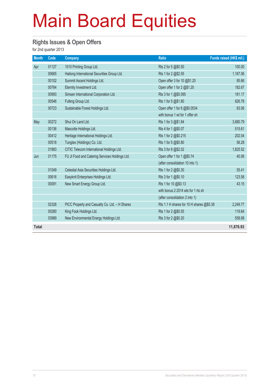#### **Rights Issues & Open Offers**

for 2nd quarter 2013

| <b>Month</b> | Code  | <b>Company</b>                                 | <b>Ratio</b>                             | Funds raised (HK\$ mil.) |
|--------------|-------|------------------------------------------------|------------------------------------------|--------------------------|
| Apr          | 01127 | 1010 Printing Group Ltd.                       | Rts 2 for 5 @\$0.50                      | 100.00                   |
|              | 00665 | Haitong International Securities Group Ltd.    | Rts 1 for 2 @\$2.55                      | 1,167.06                 |
|              | 00102 | Summit Ascent Holdings Ltd.                    | Open offer 3 for 10 @\$1.20              | 85.66                    |
|              | 00764 | Eternity Investment Ltd.                       | Open offer 1 for 2 @\$1.20               | 182.67                   |
|              | 00993 | Simsen International Corporation Ltd.          | Rts 3 for 1 @\$0.095                     | 181.17                   |
|              | 00546 | Fufeng Group Ltd.                              | Rts 1 for 5 @\$1.80                      | 626.78                   |
|              | 00723 | Sustainable Forest Holdings Ltd.               | Open offer 1 for 6 @\$0.0534             | 63.06                    |
|              |       |                                                | with bonus 1 wt for 1 offer sh           |                          |
| May          | 00272 | Shui On Land Ltd.                              | Rts 1 for 3 @\$1.84                      | 3,680.79                 |
|              | 00136 | Mascotte Holdings Ltd.                         | Rts 4 for 1 @\$0.07                      | 515.61                   |
|              | 00412 | Heritage International Holdings Ltd.           | Rts 1 for 2 @\$0.215                     | 202.04                   |
|              | 00518 | Tungtex (Holdings) Co. Ltd.                    | Rts 1 for 5 @\$0.80                      | 56.28                    |
|              | 01883 | CITIC Telecom International Holdings Ltd.      | Rts 3 for 8 @\$2.02                      | 1,825.52                 |
| Jun          | 01175 | FU JI Food and Catering Services Holdings Ltd. | Open offer 1 for 1 @\$0.74               | 40.06                    |
|              |       |                                                | (after consolidation 10 into 1)          |                          |
|              | 01049 | Celestial Asia Securities Holdings Ltd.        | Rts 1 for 2 @\$0.30                      | 55.41                    |
|              | 00616 | Easyknit Enterprises Holdings Ltd.             | Rts 3 for 1 @\$0.10                      | 123.58                   |
|              | 00091 | New Smart Energy Group Ltd.                    | Rts 1 for 10 @\$0.13                     | 43.15                    |
|              |       |                                                | with bonus 2 2014 wts for 1 rts sh       |                          |
|              |       |                                                | (after consolidation 2 into 1)           |                          |
|              | 02328 | PICC Property and Casualty Co. Ltd. - H Shares | Rts 1.1 H shares for 10 H shares @\$5.38 | 2,249.77                 |
|              | 00280 | King Fook Holdings Ltd.                        | Rts 1 for 2 @\$0.55                      | 119.64                   |
|              | 03989 | New Environmental Energy Holdings Ltd.         | Rts 3 for 2 @\$0.20                      | 558.68                   |
| <b>Total</b> |       |                                                |                                          | 11,876.93                |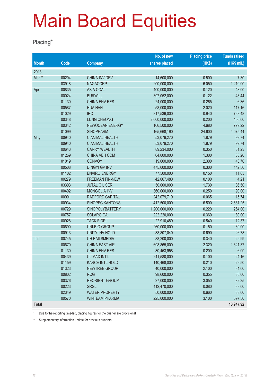#### **Placing\***

|              |                          |                        | No. of new    | <b>Placing price</b> | <b>Funds raised</b> |
|--------------|--------------------------|------------------------|---------------|----------------------|---------------------|
| <b>Month</b> | $\overline{\text{Code}}$ | <b>Company</b>         | shares placed | (HKS)                | (HK\$ mil.)         |
| 2013         |                          |                        |               |                      |                     |
| Mar **       | 00204                    | <b>CHINA INV DEV</b>   | 14,600,000    | 0.500                | 7.30                |
|              | 03918                    | <b>NAGACORP</b>        | 200,000,000   | 6.050                | 1,210.00            |
| Apr          | 00835                    | <b>ASIA COAL</b>       | 400,000,000   | 0.120                | 48.00               |
|              | 00024                    | <b>BURWILL</b>         | 397,052,000   | 0.122                | 48.44               |
|              | 01130                    | <b>CHINA ENV RES</b>   | 24,000,000    | 0.265                | 6.36                |
|              | 00587                    | <b>HUA HAN</b>         | 58,000,000    | 2.020                | 117.16              |
|              | 01029                    | <b>IRC</b>             | 817,536,000   | 0.940                | 768.48              |
|              | 00348                    | <b>LUNG CHEONG</b>     | 2,000,000,000 | 0.200                | 400.00              |
|              | 00342                    | <b>NEWOCEAN ENERGY</b> | 166,500,000   | 4.680                | 779.22              |
|              | 01099                    | <b>SINOPHARM</b>       | 165,668,190   | 24.600               | 4,075.44            |
| May          | 00940                    | C ANIMAL HEALTH        | 53,079,270    | 1.879                | 99.74               |
|              | 00940                    | C ANIMAL HEALTH        | 53,079,270    | 1.879                | 99.74               |
|              | 00643                    | <b>CARRY WEALTH</b>    | 89,234,000    | 0.350                | 31.23               |
|              | 01269                    | CHINA VEH COM          | 64,000,000    | 1.300                | 83.20               |
|              | 01019                    | <b>CONVOY</b>          | 19,000,000    | 2.300                | 43.70               |
|              | 00508                    | <b>DINGYI GP INV</b>   | 475,000,000   | 0.300                | 142.50              |
|              | 01102                    | <b>ENVIRO ENERGY</b>   | 77,500,000    | 0.150                | 11.63               |
|              | 00279                    | <b>FREEMAN FIN-NEW</b> | 42,067,480    | 0.100                | 4.21                |
|              | 03303                    | <b>JUTAL OIL SER</b>   | 50,000,000    | 1.730                | 86.50               |
|              | 00402                    | <b>MONGOLIA INV</b>    | 360,000,000   | 0.250                | 90.00               |
|              | 00901                    | RADFORD CAPITAL        | 242,079,719   | 0.065                | 15.74               |
|              | 00934                    | <b>SINOPEC KANTONS</b> | 412,500,000   | 6.500                | 2,681.25            |
|              | 00729                    | SINOPOLYBATTERY        | 1,200,000,000 | 0.220                | 264.00              |
|              | 00757                    | <b>SOLARGIGA</b>       | 222,220,000   | 0.360                | 80.00               |
|              | 00928                    | <b>TACK FIORI</b>      | 22,910,489    | 0.540                | 12.37               |
|              | 00690                    | <b>UNI-BIO GROUP</b>   | 260,000,000   | 0.150                | 39.00               |
|              | 00913                    | <b>UNITY INV HOLD</b>  | 38,807,040    | 0.690                | 26.78               |
| Jun          | 00745                    | CH RAILSMEDIA          | 88,200,000    | 0.340                | 29.99               |
|              | 00670                    | CHINA EAST AIR         | 698,865,000   | 2.320                | 1,621.37            |
|              | 01130                    | <b>CHINA ENV RES</b>   | 30,453,958    | 0.200                | 6.09                |
|              | 00439                    | <b>CLIMAX INT'L</b>    | 241,580,000   | 0.100                | 24.16               |
|              | 01159                    | <b>KARCE INTL HOLD</b> | 140,468,000   | 0.210                | 29.50               |
|              | 01323                    | <b>NEWTREE GROUP</b>   | 40,000,000    | 2.100                | 84.00               |
|              | 00802                    | <b>RCG</b>             | 98,600,000    | 0.355                | 35.00               |
|              | 00376                    | <b>REORIENT GROUP</b>  | 27,000,000    | 3.050                | 82.35               |
|              | 00223                    | <b>SRGL</b>            | 412,470,000   | 0.080                | 33.00               |
|              | 02349                    | <b>WATER PROPERTY</b>  | 50,000,000    | 0.660                | 33.00               |
|              | 00570                    | <b>WINTEAM PHARMA</b>  | 225,000,000   | 3.100                | 697.50              |
| <b>Total</b> |                          |                        |               |                      | 13,947.92           |

\* Due to the reporting time-lag, placing figures for the quarter are provisional.

\*\* Supplementary information update for previous quarters.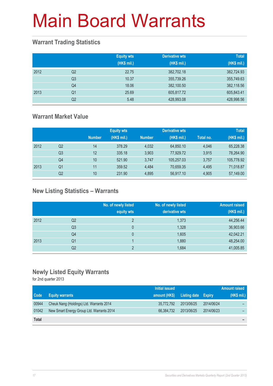### **Warrant Trading Statistics**

|      |                | <b>Equity wts</b><br>(HK\$ mil.) | <b>Derivative wts</b><br>(HK\$ mil.) | <b>Total</b><br>(HK\$ mil.) |
|------|----------------|----------------------------------|--------------------------------------|-----------------------------|
| 2012 | Q <sub>2</sub> | 22.75                            | 382,702.18                           | 382,724.93                  |
|      | Q <sub>3</sub> | 10.37                            | 355,739.26                           | 355,749.63                  |
|      | Q4             | 18.06                            | 382,100.50                           | 382,118.56                  |
| 2013 | Q <sub>1</sub> | 25.69                            | 605,817.72                           | 605,843.41                  |
|      | Q <sub>2</sub> | 5.48                             | 428,993.08                           | 428,998.56                  |

### **Warrant Market Value**

|      |                |               | <b>Equity wts</b> |               | <b>Derivative wts</b> |           | <b>Total</b> |
|------|----------------|---------------|-------------------|---------------|-----------------------|-----------|--------------|
|      |                | <b>Number</b> | (HK\$ mil.)       | <b>Number</b> | (HK\$ mil.)           | Total no. | (HK\$ mil.)  |
| 2012 | Q2             | 14            | 378.29            | 4,032         | 64,850.10             | 4,046     | 65,228.38    |
|      | Q <sub>3</sub> | 12            | 335.18            | 3.903         | 77.929.72             | 3,915     | 78,264.90    |
|      | Q4             | 10            | 521.90            | 3.747         | 105.257.03            | 3.757     | 105,778.92   |
| 2013 | Q1             | 11            | 359.52            | 4.484         | 70,659.35             | 4,495     | 71,018.87    |
|      | Q2             | 10            | 231.90            | 4.895         | 56,917.10             | 4,905     | 57,149.00    |

### **New Listing Statistics – Warrants**

|      |    | No. of newly listed<br>equity wts | No. of newly listed<br>derivative wts | <b>Amount raised</b><br>(HK\$ mil.) |
|------|----|-----------------------------------|---------------------------------------|-------------------------------------|
| 2012 | Q2 | 2                                 | 1,373                                 | 44,256.44                           |
|      | Q3 | 0                                 | 1,328                                 | 36,903.66                           |
|      | Q4 | 0                                 | 1,605                                 | 42,042.21                           |
| 2013 | Q1 |                                   | 1,880                                 | 48,254.00                           |
|      | Q2 | C                                 | 1,684                                 | 41,005.85                           |

### **Newly Listed Equity Warrants**

for 2nd quarter 2013

|              |                                           | Initial issued |                            |            | <b>Amount raised</b>     |
|--------------|-------------------------------------------|----------------|----------------------------|------------|--------------------------|
| <b>Code</b>  | <b>Equity warrants</b>                    | amount (HK\$)  | <b>Listing date Expiry</b> |            | (HK\$ mil.)              |
| 00944        | Cheuk Nang (Holdings) Ltd. Warrants 2014  | 35,772,792     | 2013/06/25                 | 2014/06/24 | $\overline{\phantom{0}}$ |
| 01042        | New Smart Energy Group Ltd. Warrants 2014 | 66,384,732     | 2013/06/25                 | 2014/06/23 | -                        |
| <b>Total</b> |                                           |                |                            |            | -                        |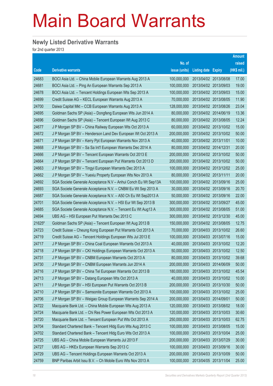### **Newly Listed Derivative Warrants**

for 2nd quarter 2013

|        |                                                                |               |                            |                       | <b>Amount</b> |
|--------|----------------------------------------------------------------|---------------|----------------------------|-----------------------|---------------|
|        |                                                                | No. of        |                            |                       | raised        |
| Code   | <b>Derivative warrants</b>                                     | issue (units) | <b>Listing date Expiry</b> |                       | (HK\$ mil.)   |
| 24683  | BOCI Asia Ltd. - China Mobile European Warrants Aug 2013 A     | 100,000,000   | 2013/04/02 2013/08/08      |                       | 17.00         |
| 24681  | BOCI Asia Ltd. - Ping An European Warrants Sep 2013 A          | 100,000,000   | 2013/04/02 2013/09/03      |                       | 19.00         |
| 24678  | BOCI Asia Ltd. - Tencent Holdings European Wts Sep 2013 A      | 100,000,000   | 2013/04/02 2013/09/03      |                       | 15.00         |
| 24699  | Credit Suisse AG - KECL European Warrants Aug 2013 A           | 70,000,000    | 2013/04/02 2013/08/05      |                       | 11.90         |
| 24700  | Daiwa Capital Mkt - CCB European Warrants Aug 2013 A           | 128,000,000   | 2013/04/02 2013/08/26      |                       | 23.04         |
| 24695  | Goldman Sachs SP (Asia) – Dongfeng European Wts Jun 2014 A     | 80,000,000    | 2013/04/02 2014/06/19      |                       | 13.36         |
| 24696  | Goldman Sachs SP (Asia) – Tencent European Wt Aug 2013 C       | 80,000,000    | 2013/04/02 2013/08/05      |                       | 12.24         |
| 24677  | J P Morgan SP BV - China Railway European Wts Oct 2013 A       | 60,000,000    |                            | 2013/04/02 2013/10/02 | 15.00         |
| 24672  | J P Morgan SP BV - Henderson Land Dev European Wt Oct 2013 A   | 200,000,000   | 2013/04/02 2013/10/02      |                       | 50.00         |
| 24671  | J P Morgan SP BV – Kerry Ppt European Warrants Nov 2013 A      | 40,000,000    | 2013/04/02 2013/11/01      |                       | 10.00         |
| 24668  | J P Morgan SP BV - Sa Sa Int'l European Warrants Dec 2014 A    | 80,000,000    | 2013/04/02 2014/12/31      |                       | 20.00         |
| 24666  | J P Morgan SP BV - Tencent European Warrants Oct 2013 E        | 200,000,000   | 2013/04/02 2013/10/02      |                       | 50.00         |
| 24664  | J P Morgan SP BV - Tencent European Put Warrants Oct 2013 D    | 200,000,000   | 2013/04/02 2013/10/02      |                       | 50.00         |
| 24663  | J P Morgan SP BV - Tingyi European Warrants Dec 2013 A         | 100,000,000   | 2013/04/02 2013/12/02      |                       | 25.00         |
| 24662  | J P Morgan SP BV - Yuexiu Property European Wts Nov 2013 A     | 80,000,000    | 2013/04/02 2013/11/11      |                       | 20.00         |
| 24692  | SGA Societe Generale Acceptance N.V - Anhui Conch Eu Wt Sep13A | 100,000,000   | 2013/04/02 2013/09/16      |                       | 25.00         |
| 24693  | SGA Societe Generale Acceptance N.V. - CNBM Eu Wt Sep 2013 A   | 30,000,000    | 2013/04/02 2013/09/16      |                       | 20.70         |
| 24687  | SGA Societe Generale Acceptance N.V. - A50 Ch Eu Wt Sep2013 A  | 50,000,000    | 2013/04/02 2013/09/16      |                       | 22.00         |
| 24701  | SGA Societe Generale Acceptance N.V. - HSI Eur Wt Sep 2013 B   | 300,000,000   |                            | 2013/04/02 2013/09/27 | 45.00         |
| 24685  | SGA Societe Generale Acceptance N.V. - Tencent Eu Wt Aug13 A   | 300,000,000   | 2013/04/02 2013/08/05      |                       | 51.00         |
| 24694  | UBS AG - HSI European Put Warrants Dec 2013 C                  | 300,000,000   | 2013/04/02 2013/12/30      |                       | 45.00         |
| 21625# | Goldman Sachs SP (Asia) – Tencent European Wt Aug 2013 B       | 150,000,000   | 2013/04/02 2013/08/05      |                       | 12.75         |
| 24723  | Credit Suisse – Cheung Kong European Put Warrants Oct 2013 A   | 70,000,000    |                            | 2013/04/03 2013/10/02 | 26.60         |
| 24719  | Credit Suisse AG - Tencent Holdings European Wts Jul 2013 E    | 100,000,000   | 2013/04/03 2013/07/16      |                       | 15.00         |
| 24717  | J P Morgan SP BV - China Coal European Warrants Oct 2013 A     | 40,000,000    | 2013/04/03 2013/10/02      |                       | 12.20         |
| 24718  | J P Morgan SP BV - CKI Holdings European Warrants Oct 2013 A   | 50,000,000    | 2013/04/03 2013/10/02      |                       | 12.50         |
| 24731  | J P Morgan SP BV - CNBM European Warrants Oct 2013 A           | 80,000,000    | 2013/04/03 2013/10/02      |                       | 39.68         |
| 24730  | J P Morgan SP BV - CNBM European Warrants Jun 2014 A           | 200,000,000   | 2013/04/03 2014/06/09      |                       | 50.00         |
| 24716  | J P Morgan SP BV - China Tel European Warrants Oct 2013 B      | 180,000,000   | 2013/04/03 2013/10/02      |                       | 45.54         |
| 24713  | J P Morgan SP BV - Datang European Wts Oct 2013 A              | 40,000,000    | 2013/04/03 2013/10/02      |                       | 10.00         |
| 24711  | J P Morgan SP BV - HSI European Put Warrants Oct 2013 B        | 200,000,000   | 2013/04/03 2013/10/30      |                       | 50.00         |
| 24710  | J P Morgan SP BV - Samsonite European Warrants Oct 2013 A      | 100,000,000   | 2013/04/03 2013/10/02      |                       | 25.00         |
| 24706  | J P Morgan SP BV - Weigao Group European Warrants Sep 2014 A   | 200,000,000   | 2013/04/03 2014/09/01      |                       | 50.00         |
| 24722  | Macquarie Bank Ltd. - China Mobile European Wts Aug 2013 A     | 120,000,000   | 2013/04/03 2013/08/02      |                       | 18.00         |
| 24724  | Macquarie Bank Ltd. - Chi Res Power European Wts Oct 2013 A    | 120,000,000   | 2013/04/03 2013/10/03      |                       | 30.60         |
| 24720  | Macquarie Bank Ltd. - Tencent European Put Wts Oct 2013 A      | 250,000,000   | 2013/04/03 2013/10/03      |                       | 62.75         |
| 24704  | Standard Chartered Bank - Tencent Hidg Euro Wts Aug 2013 C     | 100,000,000   | 2013/04/03 2013/08/05      |                       | 15.00         |
| 24702  | Standard Chartered Bank - Tencent Hidg Euro Wts Oct 2013 A     | 100,000,000   | 2013/04/03 2013/10/04      |                       | 25.00         |
| 24725  | UBS AG - China Mobile European Warrants Jul 2013 F             | 200,000,000   | 2013/04/03 2013/07/29      |                       | 30.00         |
| 24727  | UBS AG - HKEx European Warrants Sep 2013 C                     | 100,000,000   | 2013/04/03 2013/09/16      |                       | 30.00         |
| 24729  | UBS AG - Tencent Holdings European Warrants Oct 2013 A         | 200,000,000   | 2013/04/03 2013/10/09      |                       | 50.00         |
| 24759  | BNP Paribas Arbit Issu B.V. - Ch Mobile Euro Wts Nov 2013 A    | 100,000,000   | 2013/04/05 2013/11/04      |                       | 25.00         |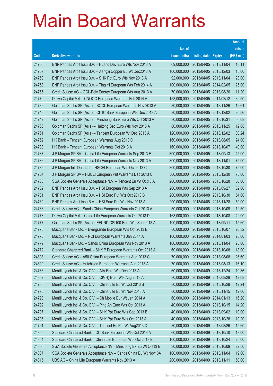|       |                                                                |               |                            |            | <b>Amount</b> |
|-------|----------------------------------------------------------------|---------------|----------------------------|------------|---------------|
|       |                                                                | No. of        |                            |            | raised        |
| Code  | <b>Derivative warrants</b>                                     | issue (units) | <b>Listing date Expiry</b> |            | (HK\$ mil.)   |
| 24756 | BNP Paribas Arbit Issu B.V. - HLand Dev Euro Wts Nov 2013 A    | 69,000,000    | 2013/04/05 2013/11/04      |            | 13.11         |
| 24757 | BNP Paribas Arbit Issu B.V. - Jiangxi Copper Eu Wt Dec2013 A   | 100,000,000   | 2013/04/05 2013/12/03      |            | 15.00         |
| 24753 | BNP Paribas Arbit Issu B.V. - SHK Ppt Euro Wts Nov 2013 A      | 92,000,000    | 2013/04/05 2013/11/04      |            | 23.00         |
| 24758 | BNP Paribas Arbit Issu B.V. - Ting Yi European Wts Feb 2014 A  | 100,000,000   | 2013/04/05 2014/02/05      |            | 25.00         |
| 24765 | Credit Suisse AG - GCL-Poly Energy European Wts Aug 2013 A     | 70,000,000    | 2013/04/05 2013/08/26      |            | 11.20         |
| 24770 | Daiwa Capital Mkt - CNOOC European Warrants Feb 2014 A         | 158,000,000   | 2013/04/05 2014/02/12      |            | 39.50         |
| 24739 | Goldman Sachs SP (Asia) - BOCL European Warrants Nov 2013 A    | 80,000,000    | 2013/04/05 2013/11/26      |            | 12.64         |
| 24746 | Goldman Sachs SP (Asia) - CITIC Bank European Wts Dec 2013 A   | 80,000,000    | 2013/04/05 2013/12/02      |            | 20.56         |
| 24742 | Goldman Sachs SP (Asia) - Minsheng Bank Euro Wts Oct 2013 A    | 80,000,000    | 2013/04/05 2013/10/31      |            | 56.08         |
| 24766 | Goldman Sachs SP (Asia) - Haitong Sec Euro Wts Nov 2013 A      | 80,000,000    | 2013/04/05 2013/11/25      |            | 12.08         |
| 24751 | Goldman Sachs SP (Asia) - Tencent European Wt Dec 2013 A       | 120,000,000   | 2013/04/05 2013/12/02      |            | 30.24         |
| 24752 | HK Bank - Tencent European Warrants Aug 2013 C                 | 160,000,000   | 2013/04/05 2013/08/05      |            | 24.00         |
| 24738 | HK Bank - Tencent European Warrants Oct 2013 A                 | 160,000,000   | 2013/04/05 2013/10/07      |            | 40.00         |
| 24737 | J P Morgan SP BV - China Life European Warrants Sep 2013 E     | 300,000,000   | 2013/04/05 2013/09/13      |            | 45.00         |
| 24736 | J P Morgan SP BV - China Life European Warrants Nov 2013 A     | 300,000,000   | 2013/04/05 2013/11/01      |            | 75.00         |
| 24735 | J P Morgan Int'l Der. Ltd. - HSCEI European Wts Oct 2013 C     | 300,000,000   | 2013/04/05 2013/10/30      |            | 75.00         |
| 24734 | J P Morgan SP BV - HSCEI European Put Warrants Dec 2013 C      | 300,000,000   | 2013/04/05 2013/12/30      |            | 75.00         |
| 24733 | SGA Societe Generale Acceptance N.V. - Tencent Eu Wt Oct13 A   | 200,000,000   | 2013/04/05 2013/10/28      |            | 50.00         |
| 24782 | BNP Paribas Arbit Issu B.V. - HSI European Wts Sep 2013 A      | 200,000,000   | 2013/04/08 2013/09/27      |            | 32.00         |
| 24781 | BNP Paribas Arbit Issu B.V. - HSI Euro Put Wts Oct 2013 B      | 200,000,000   | 2013/04/08 2013/10/30      |            | 54.00         |
| 24780 | BNP Paribas Arbit Issu B.V. - HSI Euro Put Wts Nov 2013 A      | 200,000,000   | 2013/04/08 2013/11/28      |            | 50.00         |
| 24783 | Credit Suisse AG - Sands China European Warrants Oct 2013 A    | 50,000,000    | 2013/04/08 2013/10/09      |            | 12.50         |
| 24778 | Daiwa Capital Mkt - China Life European Warrants Oct 2013 D    | 168,000,000   | 2013/04/08 2013/10/08      |            | 42.00         |
| 24777 | Goldman Sachs SP (Asia) - EFUND CSI100 Euro Wts Sep 2013 A     | 100,000,000   | 2013/04/08 2013/09/11      |            | 15.60         |
| 24775 | Macquarie Bank Ltd. - Evergrande European Wts Oct 2013 B       | 80,000,000    | 2013/04/08 2013/10/07      |            | 20.32         |
| 24776 | Macquarie Bank Ltd. - NCI European Warrants Jan 2014 A         | 100,000,000   | 2013/04/08 2014/01/03      |            | 25.00         |
| 24779 | Macquarie Bank Ltd. - Sands China European Wts Nov 2013 A      | 100,000,000   | 2013/04/08 2013/11/04      |            | 25.00         |
| 24772 | Standard Chartered Bank - SHK P European Warrants Oct 2013 A   | 60,000,000    | 2013/04/08 2013/10/08      |            | 18.00         |
| 24808 | Credit Suisse AG - A50 China European Warrants Aug 2013 C      | 70,000,000    | 2013/04/09 2013/08/08      |            | 26.60         |
| 24809 | Credit Suisse AG - Hutchison European Warrants Aug 2013 A      | 70,000,000    | 2013/04/09 2013/08/13      |            | 16.10         |
| 24786 | Merrill Lynch Int'l & Co. C.V. - AIA Euro Wts Dec 2013 A       | 60,000,000    | 2013/04/09 2013/12/24      |            | 10.86         |
| 24802 | Merrill Lynch Int'l & Co. C.V. - CK(H) Euro Wts Aug 2013 A     | 80,000,000    | 2013/04/09 2013/08/28      |            | 12.08         |
| 24788 | Merrill Lynch Int'l & Co. C.V. - China Life Eu Wt Oct 2013 B   | 80,000,000    | 2013/04/09                 | 2013/10/28 | 12.24         |
| 24795 | Merrill Lynch Int'l & Co. C.V. - China Life Eu Wt Nov 2013 A   | 80,000,000    | 2013/04/09 2013/11/15      |            | 12.00         |
| 24793 | Merrill Lynch Int'l & Co. C.V. - Ch Mobile Eur Wt Jan 2014 A   | 60,000,000    | 2013/04/09 2014/01/13      |            | 16.20         |
| 24792 | Merrill Lynch Int'l & Co. C.V. - Ping An Euro Wts Oct 2013 A   | 40,000,000    | 2013/04/09 2013/10/15      |            | 14.20         |
| 24797 | Merrill Lynch Int'l & Co. C.V. - SHK Ppt Euro Wts Sep 2013 B   | 40,000,000    | 2013/04/09                 | 2013/09/02 | 10.00         |
| 24796 | Merrill Lynch Int'l & Co. C.V. - SHK Ppt Euro Wts Oct 2013 A   | 40,000,000    | 2013/04/09 2013/10/28      |            | 10.20         |
| 24791 | Merrill Lynch Int'l & Co. C.V. - Tencent Eu Put Wt Aug2013 C   | 80,000,000    | 2013/04/09 2013/08/26      |            | 15.60         |
| 24805 | Standard Chartered Bank - CC Bank European Wts Oct 2013 A      | 60,000,000    | 2013/04/09 2013/10/10      |            | 18.00         |
| 24804 | Standard Chartered Bank - China Life European Wts Oct 2013 B   | 100,000,000   | 2013/04/09                 | 2013/10/24 | 25.00         |
| 24806 | SGA Societe Generale Acceptance NV - Minsheng Bk Eu Wt Oct13 B | 30,000,000    | 2013/04/09 2013/10/09      |            | 22.50         |
| 24807 | SGA Societe Generale Acceptance N.V - Sands China Eu Wt Nov13A | 100,000,000   | 2013/04/09 2013/11/04      |            | 19.00         |
| 24815 | UBS AG - China Life European Warrants Nov 2013 A               | 200,000,000   | 2013/04/09 2013/11/11      |            | 50.00         |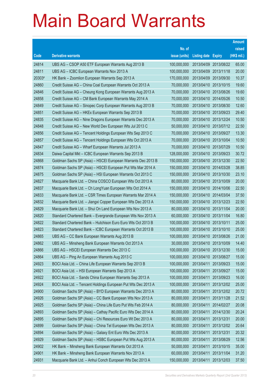|        |                                                               |               |                            |            | <b>Amount</b> |
|--------|---------------------------------------------------------------|---------------|----------------------------|------------|---------------|
|        |                                                               | No. of        |                            |            | raised        |
| Code   | <b>Derivative warrants</b>                                    | issue (units) | <b>Listing date Expiry</b> |            | (HK\$ mil.)   |
| 24814  | UBS AG - CSOP A50 ETF European Warrants Aug 2013 B            | 100,000,000   | 2013/04/09 2013/08/22      |            | 65.00         |
| 24811  | UBS AG - ICBC European Warrants Nov 2013 A                    | 100,000,000   | 2013/04/09 2013/11/18      |            | 20.00         |
| 20303# | HK Bank – Zoomlion European Warrants Sep 2013 A               | 170,000,000   | 2013/04/09                 | 2013/09/30 | 10.37         |
| 24860  | Credit Suisse AG - China Coal European Warrants Oct 2013 A    | 70,000,000    | 2013/04/10 2013/10/15      |            | 19.60         |
| 24846  | Credit Suisse AG – Cheung Kong European Warrants Aug 2013 A   | 70,000,000    | 2013/04/10 2013/08/26      |            | 19.60         |
| 24858  | Credit Suisse AG - CM Bank European Warrants May 2014 A       | 70,000,000    | 2013/04/10 2014/05/26      |            | 10.50         |
| 24849  | Credit Suisse AG - Sinopec Corp European Warrants Aug 2013 B  | 70,000,000    | 2013/04/10 2013/08/30      |            | 12.60         |
| 24851  | Credit Suisse AG - HKEx European Warrants Sep 2013 B          | 70,000,000    | 2013/04/10 2013/09/23      |            | 29.40         |
| 24835  | Credit Suisse AG - Nine Dragons European Warrants Dec 2013 A  | 70,000,000    | 2013/04/10 2013/12/24      |            | 10.50         |
| 24848  | Credit Suisse AG – New World Dev European Wts Jul 2013 C      | 50,000,000    | 2013/04/10 2013/07/12      |            | 22.50         |
| 24856  | Credit Suisse AG - Tencent Holdings European Wts Sep 2013 C   | 70,000,000    | 2013/04/10 2013/09/27      |            | 13.30         |
| 24857  | Credit Suisse AG – Tencent Holdings European Wts Oct 2013 A   | 70,000,000    | 2013/04/10 2013/10/04      |            | 10.50         |
| 24847  | Credit Suisse AG - Wharf European Warrants Jul 2013 A         | 70,000,000    | 2013/04/10 2013/07/29      |            | 10.50         |
| 24834  | Daiwa Capital Mkt - ICBC European Warrants Sep 2013 B         | 128,000,000   | 2013/04/10 2013/09/23      |            | 30.72         |
| 24868  | Goldman Sachs SP (Asia) - HSCEI European Warrants Dec 2013 B  | 150,000,000   | 2013/04/10 2013/12/30      |            | 22.50         |
| 24874  | Goldman Sachs SP (Asia) – HSCEI European Put Wts Mar 2014 A   | 150,000,000   | 2013/04/10 2014/03/28      |            | 38.85         |
| 24875  | Goldman Sachs SP (Asia) – HSI European Warrants Oct 2013 C    | 150,000,000   | 2013/04/10 2013/10/30      |            | 23.10         |
| 24827  | Macquarie Bank Ltd. - China COSCO European Wts Oct 2013 A     | 80,000,000    | 2013/04/10 2013/10/09      |            | 20.00         |
| 24837  | Macquarie Bank Ltd. - Ch LongYuan European Wts Oct 2014 A     | 150,000,000   | 2013/04/10 2014/10/06      |            | 22.50         |
| 24833  | Macquarie Bank Ltd. - CSR Times European Warrants Mar 2014 A  | 150,000,000   | 2013/04/10 2014/03/04      |            | 37.50         |
| 24832  | Macquarie Bank Ltd. - Jiangxi Copper European Wts Dec 2013 A  | 150,000,000   | 2013/04/10 2013/12/23      |            | 22.50         |
| 24829  | Macquarie Bank Ltd. - Shui On Land European Wts Nov 2013 A    | 80,000,000    | 2013/04/10 2013/11/04      |            | 20.00         |
| 24820  | Standard Chartered Bank - Evergrande European Wts Nov 2013 A  | 60,000,000    | 2013/04/10 2013/11/04      |            | 16.80         |
| 24822  | Standard Chartered Bank - Hutchison Euro Euro Wts Oct 2013 B  | 100,000,000   | 2013/04/10 2013/10/11      |            | 25.00         |
| 24823  | Standard Chartered Bank - ICBC European Warrants Oct 2013 B   | 100,000,000   | 2013/04/10 2013/10/10      |            | 25.00         |
| 24865  | UBS AG - CC Bank European Warrants Aug 2013 B                 | 100,000,000   | 2013/04/10 2013/08/26      |            | 21.00         |
| 24862  | UBS AG - Minsheng Bank European Warrants Oct 2013 A           | 30,000,000    | 2013/04/10 2013/10/09      |            | 14.40         |
| 24866  | UBS AG - HSCEI European Warrants Dec 2013 C                   | 100,000,000   | 2013/04/10 2013/12/30      |            | 15.00         |
| 24864  | UBS AG - Ping An European Warrants Aug 2013 C                 | 100,000,000   | 2013/04/10 2013/08/27      |            | 15.00         |
| 24923  | BOCI Asia Ltd. - China Life European Warrants Sep 2013 B      | 100,000,000   | 2013/04/11                 | 2013/09/23 | 15.00         |
| 24921  | BOCI Asia Ltd. - HSI European Warrants Sep 2013 A             | 100,000,000   | 2013/04/11                 | 2013/09/27 | 15.00         |
| 24922  | BOCI Asia Ltd. - Sands China European Warrants Sep 2013 A     | 100,000,000   | 2013/04/11                 | 2013/09/23 | 16.00         |
| 24924  | BOCI Asia Ltd. - Tencent Holdings European Put Wts Dec 2013 A | 100,000,000   | 2013/04/11                 | 2013/12/02 | 25.00         |
| 24900  | Goldman Sachs SP (Asia) - BYD European Warrants Dec 2013 A    | 80,000,000    | 2013/04/11                 | 2013/12/02 | 20.72         |
| 24926  | Goldman Sachs SP (Asia) - CC Bank European Wts Nov 2013 A     | 80,000,000    | 2013/04/11                 | 2013/11/28 | 21.52         |
| 24925  | Goldman Sachs SP (Asia) - China Life Euro Put Wts Feb 2014 A  | 80,000,000    | 2013/04/11                 | 2014/02/27 | 20.08         |
| 24893  | Goldman Sachs SP (Asia) - Cathay Pacific Euro Wts Dec 2014 A  | 80,000,000    | 2013/04/11                 | 2014/12/30 | 20.24         |
| 24895  | Goldman Sachs SP (Asia) - Chi Resources Euro Wt Dec 2013 A    | 80,000,000    | 2013/04/11                 | 2013/12/31 | 20.00         |
| 24899  | Goldman Sachs SP (Asia) - China Tel European Wts Dec 2013 A   | 80,000,000    | 2013/04/11                 | 2013/12/02 | 20.64         |
| 24894  | Goldman Sachs SP (Asia) - Galaxy Ent Euro Wts Dec 2013 A      | 80,000,000    | 2013/04/11                 | 2013/12/31 | 20.32         |
| 24929  | Goldman Sachs SP (Asia) - HSBC European Put Wts Aug 2013 A    | 80,000,000    | 2013/04/11                 | 2013/08/29 | 12.56         |
| 24902  | HK Bank - Minsheng Bank European Warrants Oct 2013 A          | 50,000,000    | 2013/04/11                 | 2013/10/15 | 35.00         |
| 24901  | HK Bank - Minsheng Bank European Warrants Nov 2013 A          | 60,000,000    | 2013/04/11                 | 2013/11/04 | 31.20         |
| 24931  | Macquarie Bank Ltd. - Anhui Conch European Wts Dec 2013 A     | 150,000,000   | 2013/04/11                 | 2013/12/03 | 37.50         |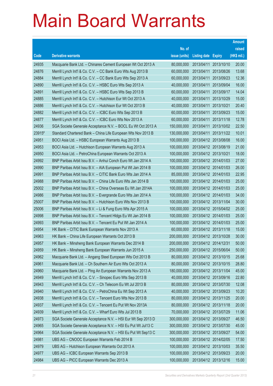|        |                                                              |               |                            |            | <b>Amount</b> |
|--------|--------------------------------------------------------------|---------------|----------------------------|------------|---------------|
|        |                                                              | No. of        |                            |            | raised        |
| Code   | <b>Derivative warrants</b>                                   | issue (units) | <b>Listing date Expiry</b> |            | (HK\$ mil.)   |
| 24935  | Macquarie Bank Ltd. - Chinares Cement European Wt Oct 2013 A | 80,000,000    | 2013/04/11                 | 2013/10/10 | 20.00         |
| 24876  | Merrill Lynch Int'l & Co. C.V. - CC Bank Euro Wts Aug 2013 B | 60,000,000    | 2013/04/11                 | 2013/08/26 | 13.68         |
| 24884  | Merrill Lynch Int'l & Co. C.V. – CC Bank Euro Wts Sep 2013 A | 60,000,000    | 2013/04/11                 | 2013/09/23 | 12.36         |
| 24890  | Merrill Lynch Int'l & Co. C.V. - HSBC Euro Wts Sep 2013 A    | 40,000,000    | 2013/04/11                 | 2013/09/04 | 16.00         |
| 24891  | Merrill Lynch Int'l & Co. C.V. - HSBC Euro Wts Sep 2013 B    | 60,000,000    | 2013/04/11                 | 2013/09/17 | 14.04         |
| 24885  | Merrill Lynch Int'l & Co. C.V. - Hutchison Eur Wt Oct 2013 A | 40,000,000    | 2013/04/11                 | 2013/10/29 | 15.00         |
| 24886  | Merrill Lynch Int'l & Co. C.V. - Hutchison Eur Wt Oct 2013 B | 40,000,000    | 2013/04/11                 | 2013/10/21 | 20.40         |
| 24882  | Merrill Lynch Int'l & Co. C.V. - ICBC Euro Wts Sep 2013 B    | 60,000,000    | 2013/04/11                 | 2013/09/23 | 15.00         |
| 24877  | Merrill Lynch Int'l & Co. C.V. - ICBC Euro Wts Nov 2013 A    | 60,000,000    | 2013/04/11                 | 2013/11/18 | 12.78         |
| 24936  | SGA Societe Generale Acceptance N.V. - BOCL Eu Wt Oct 2013 A | 150,000,000   | 2013/04/11                 | 2013/10/02 | 22.50         |
| 23915# | Standard Chartered Bank – China Life European Wts Nov 2013 B | 130,000,000   | 2013/04/11                 | 2013/11/22 | 10.01         |
| 24951  | BOCI Asia Ltd. - HSBC European Warrants Aug 2013 B           | 100,000,000   | 2013/04/12 2013/08/08      |            | 16.00         |
| 24953  | BOCI Asia Ltd. - Hutchison European Warrants Aug 2013 A      | 100,000,000   | 2013/04/12 2013/08/19      |            | 21.00         |
| 24950  | BOCI Asia Ltd. - PetroChina European Warrants Oct 2013 A     | 100,000,000   | 2013/04/12 2013/10/21      |            | 18.00         |
| 24992  | BNP Paribas Arbit Issu B.V. - Anhui Conch Euro Wt Jan 2014 A | 100,000,000   | 2013/04/12 2014/01/03      |            | 27.00         |
| 24990  | BNP Paribas Arbit Issu B.V. - AIA European Put Wt Jan 2014 B | 100,000,000   | 2013/04/12 2014/01/03      |            | 26.00         |
| 24991  | BNP Paribas Arbit Issu B.V. - CITIC Bank Euro Wts Jan 2014 A | 85,000,000    | 2013/04/12 2014/01/03      |            | 22.95         |
| 24988  | BNP Paribas Arbit Issu B.V. - China Life Euro Wts Jan 2014 B | 100,000,000   | 2013/04/12 2014/01/03      |            | 25.00         |
| 25002  | BNP Paribas Arbit Issu B.V. - China Overseas Eu Wt Jan 2014A | 100,000,000   | 2013/04/12 2014/01/03      |            | 25.00         |
| 24986  | BNP Paribas Arbit Issu B.V. - Evergrande Euro Wts Jan 2014 A | 100,000,000   | 2013/04/12 2014/01/03      |            | 34.00         |
| 25007  | BNP Paribas Arbit Issu B.V. - Hutchison Euro Wts Nov 2013 B  | 100,000,000   | 2013/04/12 2013/11/04      |            | 30.00         |
| 25006  | BNP Paribas Arbit Issu B.V. - Li & Fung Euro Wts Apr 2015 A  | 100,000,000   | 2013/04/12 2015/04/02      |            | 25.00         |
| 24998  | BNP Paribas Arbit Issu B.V. - Tencent HIdgs Eu Wt Jan 2014 B | 100,000,000   | 2013/04/12 2014/01/03      |            | 25.00         |
| 24993  | BNP Paribas Arbit Issu B.V. - Tencent Eu Put Wt Jan 2014 A   | 100,000,000   | 2013/04/12 2014/01/03      |            | 25.00         |
| 24954  | HK Bank - CITIC Bank European Warrants Nov 2013 A            | 60,000,000    | 2013/04/12 2013/11/18      |            | 15.00         |
| 24963  | HK Bank - China Life European Warrants Oct 2013 B            | 200,000,000   | 2013/04/12 2013/10/28      |            | 30.00         |
| 24957  | HK Bank – Minsheng Bank European Warrants Dec 2014 B         | 200,000,000   | 2013/04/12 2014/12/31      |            | 50.00         |
| 24959  | HK Bank - Minsheng Bank European Warrants Jun 2015 A         | 250,000,000   | 2013/04/12 2015/06/04      |            | 50.00         |
| 24962  | Macquarie Bank Ltd. - Angang Steel European Wts Oct 2013 B   | 80,000,000    | 2013/04/12 2013/10/15      |            | 25.68         |
| 24961  | Macquarie Bank Ltd. - Ch Southern Air Euro Wts Oct 2013 A    | 80,000,000    | 2013/04/12 2013/10/15      |            | 28.80         |
| 24960  | Macquarie Bank Ltd. - Ping An European Warrants Nov 2013 A   | 180,000,000   | 2013/04/12 2013/11/04      |            | 45.00         |
| 24949  | Merrill Lynch Int'l & Co. C.V. - Sinopec Euro Wts Sep 2013 B | 40,000,000    | 2013/04/12 2013/09/16      |            | 22.80         |
| 24943  | Merrill Lynch Int'l & Co. C.V. - Ch Telecom Eu Wt Jul 2013 B | 80,000,000    | 2013/04/12 2013/07/30      |            | 12.08         |
| 24940  | Merrill Lynch Int'l & Co. C.V. - PetroChina Eu Wt Sep 2013 A | 40,000,000    | 2013/04/12 2013/09/23      |            | 10.20         |
| 24938  | Merrill Lynch Int'l & Co. C.V. - Tencent Euro Wts Nov 2013 B | 80,000,000    | 2013/04/12 2013/11/25      |            | 20.00         |
| 24937  | Merrill Lynch Int'l & Co. C.V. - Tencent Eu Put Wt Nov 2013A | 80,000,000    | 2013/04/12 2013/11/18      |            | 20.00         |
| 24939  | Merrill Lynch Int'l & Co. C.V. - Wharf Euro Wts Jul 2013 B   | 70,000,000    | 2013/04/12 2013/07/29      |            | 11.06         |
| 24973  | SGA Societe Generale Acceptance N.V. - HSI Eur Wt Sep 2013 D | 300,000,000   | 2013/04/12 2013/09/27      |            | 46.50         |
| 24965  | SGA Societe Generale Acceptance N.V. - HSI Eu Put Wt Jul13 C | 300,000,000   | 2013/04/12 2013/07/30      |            | 45.00         |
| 24964  | SGA Societe Generale Acceptance N.V. - HSI Eu Put Wt Sep13 C | 300,000,000   | 2013/04/12 2013/09/27      |            | 54.00         |
| 24981  | UBS AG - CNOOC European Warrants Feb 2014 B                  | 100,000,000   | 2013/04/12 2014/02/05      |            | 17.50         |
| 24979  | UBS AG - Hutchison European Warrants Oct 2013 A              | 100,000,000   | 2013/04/12 2013/10/03      |            | 35.50         |
| 24977  | UBS AG - ICBC European Warrants Sep 2013 B                   | 100,000,000   | 2013/04/12 2013/09/23      |            | 20.00         |
| 24984  | UBS AG - PICC European Warrants Dec 2013 A                   | 100,000,000   | 2013/04/12 2013/12/16      |            | 15.00         |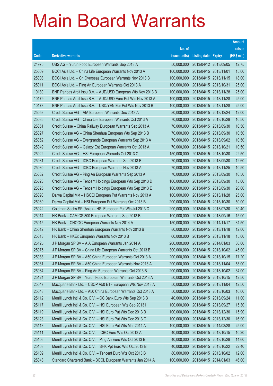|       |                                                               |               |                            |                       | <b>Amount</b> |
|-------|---------------------------------------------------------------|---------------|----------------------------|-----------------------|---------------|
|       |                                                               | No. of        |                            |                       | raised        |
| Code  | <b>Derivative warrants</b>                                    | issue (units) | <b>Listing date Expiry</b> |                       | (HK\$ mil.)   |
| 24975 | UBS AG - Yurun Food European Warrants Sep 2013 A              | 50,000,000    |                            | 2013/04/12 2013/09/05 | 12.75         |
| 25009 | BOCI Asia Ltd. - China Life European Warrants Nov 2013 A      | 100,000,000   | 2013/04/15 2013/11/01      |                       | 15.00         |
| 25008 | BOCI Asia Ltd. - Ch Overseas European Warrants Nov 2013 B     | 100,000,000   |                            | 2013/04/15 2013/11/15 | 18.00         |
| 25011 | BOCI Asia Ltd. - Ping An European Warrants Oct 2013 A         | 100,000,000   | 2013/04/15 2013/10/31      |                       | 25.00         |
| 10180 | BNP Paribas Arbit Issu B.V. - AUD/USD European Wts Nov 2013 B | 100,000,000   |                            | 2013/04/15 2013/11/28 | 25.00         |
| 10179 | BNP Paribas Arbit Issu B.V. - AUD/USD Euro Put Wts Nov 2013 A | 100,000,000   |                            | 2013/04/15 2013/11/28 | 25.00         |
| 10178 | BNP Paribas Arbit Issu B.V. - USD/YEN Eur Put Wts Nov 2013 B  | 100,000,000   |                            | 2013/04/15 2013/11/28 | 25.00         |
| 25053 | Credit Suisse AG - AIA European Warrants Dec 2013 A           | 80,000,000    |                            | 2013/04/15 2013/12/24 | 12.00         |
| 25035 | Credit Suisse AG - China Life European Warrants Oct 2013 A    | 70,000,000    |                            | 2013/04/15 2013/10/28 | 10.50         |
| 25051 | Credit Suisse - China Railway European Warrants Sep 2013 A    | 70,000,000    |                            | 2013/04/15 2013/09/30 | 10.50         |
| 25027 | Credit Suisse AG - China Shenhua European Wts Sep 2013 B      | 70,000,000    |                            | 2013/04/15 2013/09/30 | 10.50         |
| 25052 | Credit Suisse AG - Evergrande European Warrants Sep 2013 A    | 70,000,000    |                            | 2013/04/15 2013/09/02 | 10.50         |
| 25049 | Credit Suisse AG - Galaxy Ent European Warrants Oct 2013 A    | 70,000,000    | 2013/04/15 2013/10/21      |                       | 10.50         |
| 25022 | Credit Suisse AG - HSI European Warrants Oct 2013 C           | 150,000,000   |                            | 2013/04/15 2013/10/30 | 22.50         |
| 25031 | Credit Suisse AG - ICBC European Warrants Sep 2013 B          | 70,000,000    |                            | 2013/04/15 2013/09/30 | 12.60         |
| 25030 | Credit Suisse AG - ICBC European Warrants Nov 2013 A          | 70,000,000    |                            | 2013/04/15 2013/11/25 | 10.50         |
| 25032 | Credit Suisse AG - Ping An European Warrants Sep 2013 A       | 70,000,000    |                            | 2013/04/15 2013/09/30 | 10.50         |
| 25023 | Credit Suisse AG - Tencent Holdings European Wts Sep 2013 D   | 100,000,000   |                            | 2013/04/15 2013/09/30 | 15.00         |
| 25025 | Credit Suisse AG - Tencent Holdings European Wts Sep 2013 E   | 100,000,000   |                            | 2013/04/15 2013/09/30 | 20.00         |
| 25090 | Daiwa Capital Mkt - HSCEI European Put Warrants Nov 2013 A    | 100,000,000   |                            | 2013/04/15 2013/11/28 | 25.00         |
| 25089 | Daiwa Capital Mkt - HSI European Put Warrants Oct 2013 B      | 200,000,000   |                            | 2013/04/15 2013/10/30 | 50.00         |
| 25042 | Goldman Sachs SP (Asia) - HSI European Put Wts Jul 2013 C     | 200,000,000   |                            | 2013/04/15 2013/07/30 | 30.40         |
| 25014 | HK Bank - CAM CSI300 European Warrants Sep 2013 B             | 100,000,000   |                            | 2013/04/15 2013/09/16 | 15.00         |
| 25015 | HK Bank - CNOOC European Warrants Nov 2014 A                  | 150,000,000   |                            | 2013/04/15 2014/11/17 | 34.50         |
| 25012 | HK Bank - China Shenhua European Warrants Nov 2013 B          | 80,000,000    | 2013/04/15 2013/11/18      |                       | 12.00         |
| 25013 | HK Bank - HKEx European Warrants Nov 2013 B                   | 60,000,000    | 2013/04/15 2013/11/18      |                       | 15.00         |
| 25125 | J P Morgan SP BV - AIA European Warrants Jan 2014 A           | 200,000,000   |                            | 2013/04/15 2014/01/03 | 30.00         |
| 25075 | J P Morgan SP BV - China Life European Warrants Oct 2013 B    | 300,000,000   |                            | 2013/04/15 2013/10/02 | 45.00         |
| 25083 | J P Morgan SP BV - A50 China European Warrants Oct 2013 A     | 200,000,000   |                            | 2013/04/15 2013/10/15 | 71.20         |
| 25081 | J P Morgan SP BV - A50 China European Warrants Nov 2013 A     | 200,000,000   | 2013/04/15 2013/11/04      |                       | 53.00         |
| 25084 | J P Morgan SP BV - Ping An European Warrants Oct 2013 B       | 200,000,000   |                            | 2013/04/15 2013/10/02 | 34.00         |
| 25124 | J P Morgan SP BV - Yurun Food European Warrants Oct 2013 A    | 50,000,000    |                            | 2013/04/15 2013/10/15 | 12.50         |
| 25047 | Macquarie Bank Ltd. - CSOP A50 ETF European Wts Nov 2013 A    | 50,000,000    |                            | 2013/04/15 2013/11/04 | 12.50         |
| 25048 | Macquarie Bank Ltd. - A50 China European Warrants Oct 2013 A  | 50,000,000    | 2013/04/15 2013/10/03      |                       | 10.00         |
| 25112 | Merrill Lynch Int'l & Co. C.V. - CC Bank Euro Wts Sep 2013 B  | 40,000,000    |                            | 2013/04/15 2013/09/24 | 11.00         |
| 25117 | Merrill Lynch Int'l & Co. C.V. - HSI European Wts Sep 2013 I  | 100,000,000   |                            | 2013/04/15 2013/09/27 | 15.30         |
| 25119 | Merrill Lynch Int'l & Co. C.V. - HSI Euro Put Wts Dec 2013 B  | 100,000,000   |                            | 2013/04/15 2013/12/30 | 15.90         |
| 25123 | Merrill Lynch Int'l & Co. C.V. - HSI Euro Put Wts Dec 2013 C  | 100,000,000   |                            | 2013/04/15 2013/12/30 | 16.90         |
| 25118 | Merrill Lynch Int'l & Co. C.V. - HSI Euro Put Wts Mar 2014 A  | 100,000,000   |                            | 2013/04/15 2014/03/28 | 25.00         |
| 25111 | Merrill Lynch Int'l & Co. C.V. - ICBC Euro Wts Oct 2013 A     | 40,000,000    |                            | 2013/04/15 2013/10/15 | 10.20         |
| 25106 | Merrill Lynch Int'l & Co. C.V. - Ping An Euro Wts Oct 2013 B  | 40,000,000    |                            | 2013/04/15 2013/10/28 | 14.60         |
| 25108 | Merrill Lynch Int'l & Co. C.V. - SHK Ppt Euro Wts Oct 2013 B  | 40,000,000    |                            | 2013/04/15 2013/10/22 | 22.40         |
| 25109 | Merrill Lynch Int'l & Co. C.V. - Tencent Euro Wts Oct 2013 B  | 80,000,000    |                            | 2013/04/15 2013/10/02 | 12.00         |
| 25043 | Standard Chartered Bank - BOCL European Warrants Jan 2014 A   | 100,000,000   | 2013/04/15 2014/01/03      |                       | 46.00         |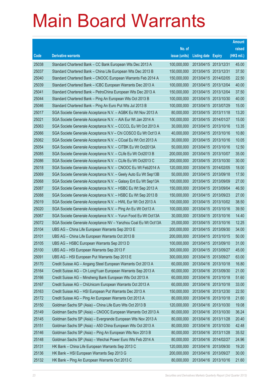|       |                                                                |               |                       |                       | <b>Amount</b> |
|-------|----------------------------------------------------------------|---------------|-----------------------|-----------------------|---------------|
|       |                                                                | No. of        |                       |                       | raised        |
| Code  | <b>Derivative warrants</b>                                     | issue (units) | Listing date Expiry   |                       | (HK\$ mil.)   |
| 25038 | Standard Chartered Bank - CC Bank European Wts Dec 2013 A      | 100,000,000   | 2013/04/15 2013/12/31 |                       | 45.00         |
| 25037 | Standard Chartered Bank - China Life European Wts Dec 2013 B   | 150,000,000   | 2013/04/15 2013/12/31 |                       | 37.50         |
| 25040 | Standard Chartered Bank - CNOOC European Warrants Feb 2014 A   | 150,000,000   | 2013/04/15 2014/02/05 |                       | 22.50         |
| 25039 | Standard Chartered Bank - ICBC European Warrants Dec 2013 A    | 100,000,000   | 2013/04/15 2013/12/04 |                       | 40.00         |
| 25041 | Standard Chartered Bank - PetroChina European Wts Dec 2013 A   | 150,000,000   |                       | 2013/04/15 2013/12/04 | 37.50         |
| 25044 | Standard Chartered Bank - Ping An European Wts Oct 2013 B      | 100,000,000   |                       | 2013/04/15 2013/10/30 | 40.00         |
| 25046 | Standard Chartered Bank - Ping An Euro Put Wts Jul 2013 B      | 100,000,000   | 2013/04/15 2013/07/29 |                       | 15.00         |
| 25017 | SGA Societe Generale Acceptance N.V. - AGBK Eu Wt Nov 2013 A   | 80,000,000    |                       | 2013/04/15 2013/11/18 | 13.20         |
| 25021 | SGA Societe Generale Acceptance N.V. - AIA Eur Wt Jan 2014 A   | 100,000,000   |                       | 2013/04/15 2014/01/27 | 15.00         |
| 25063 | SGA Societe Generale Acceptance N.V. - CCCCL Eu Wt Oct 2013 A  | 30,000,000    |                       | 2013/04/15 2013/10/16 | 13.35         |
| 25066 | SGA Societe Generale Acceptance N.V - Chi COSCO Eu Wt Oct13 A  | 40,000,000    | 2013/04/15 2013/10/16 |                       | 10.80         |
| 25062 | SGA Societe Generale Acceptance N.V. - CCoal Eu Wt Oct 2013 A  | 30,000,000    |                       | 2013/04/15 2013/10/16 | 10.05         |
| 25054 | SGA Societe Generale Acceptance N.V. - CITBK Eu Wt Oct2013A    | 50,000,000    |                       | 2013/04/15 2013/10/16 | 12.50         |
| 25085 | SGA Societe Generale Acceptance N.V. - CLife Eu Wt Oct2013 B   | 200,000,000   |                       | 2013/04/15 2013/10/07 | 35.00         |
| 25086 | SGA Societe Generale Acceptance N.V. - CLife Eu Wt Oct2013 C   | 200,000,000   |                       | 2013/04/15 2013/10/30 | 30.00         |
| 25018 | SGA Societe Generale Acceptance N.V. - CNOOC Eu Wt Feb2014 A   | 120,000,000   |                       | 2013/04/15 2014/02/05 | 18.00         |
| 25069 | SGA Societe Generale Acceptance N.V. - Geely Auto Eu Wt Sep13B | 50,000,000    | 2013/04/15 2013/09/18 |                       | 17.50         |
| 25068 | SGA Societe Generale Acceptance N.V. - Galaxy Ent Eu Wt Sep13A | 100,000,000   | 2013/04/15 2013/09/09 |                       | 27.00         |
| 25087 | SGA Societe Generale Acceptance N.V. - HSBC Eu Wt Sep 2013 A   | 150,000,000   | 2013/04/15 2013/09/04 |                       | 46.50         |
| 25088 | SGA Societe Generale Acceptance N.V. - HSBC Eu Wt Sep 2013 B   | 150,000,000   |                       | 2013/04/15 2013/09/23 | 27.00         |
| 25019 | SGA Societe Generale Acceptance N.V. - HWL Eur Wt Oct 2013 A   | 100,000,000   |                       | 2013/04/15 2013/10/02 | 38.50         |
| 25020 | SGA Societe Generale Acceptance N.V. - Ping An Eu Wt Oct13 A   | 100,000,000   |                       | 2013/04/15 2013/10/16 | 39.50         |
| 25067 | SGA Societe Generale Acceptance N.V. - Yurun Food Eu Wt Oct13A | 30,000,000    | 2013/04/15 2013/10/16 |                       | 14.40         |
| 25072 | SGA Societe Generale Acceptance NV - Yanzhou Coal Eu Wt Oct13A | 25,000,000    |                       | 2013/04/15 2013/10/16 | 12.25         |
| 25104 | UBS AG - China Life European Warrants Sep 2013 E               | 200,000,000   |                       | 2013/04/15 2013/09/30 | 34.00         |
| 25101 | UBS AG - China Life European Warrants Oct 2013 B               | 200,000,000   | 2013/04/15 2013/10/15 |                       | 50.00         |
| 25105 | UBS AG - HSBC European Warrants Sep 2013 D                     | 100,000,000   |                       | 2013/04/15 2013/09/10 | 31.00         |
| 25100 | UBS AG - HSI European Warrants Sep 2013 F                      | 300,000,000   | 2013/04/15 2013/09/27 |                       | 45.00         |
| 25091 | UBS AG - HSI European Put Warrants Sep 2013 E                  | 300,000,000   | 2013/04/15 2013/09/27 |                       | 63.00         |
| 25170 | Credit Suisse AG - Angang Steel European Warrants Oct 2013 A   | 60,000,000    |                       | 2013/04/16 2013/10/18 | 16.80         |
| 25164 | Credit Suisse AG - Ch Long Yuan European Warrants Sep 2013 A   | 60,000,000    |                       | 2013/04/16 2013/09/30 | 21.00         |
| 25166 | Credit Suisse AG - Minsheng Bank European Wts Oct 2013 A       | 60,000,000    | 2013/04/16 2013/10/18 |                       | 51.60         |
| 25167 | Credit Suisse AG - ChiUnicom European Warrants Oct 2013 A      | 60,000,000    | 2013/04/16 2013/10/18 |                       | 33.00         |
| 25163 | Credit Suisse AG - HSI European Put Warrants Dec 2013 A        | 150,000,000   |                       | 2013/04/16 2013/12/30 | 22.50         |
| 25172 | Credit Suisse AG - Ping An European Warrants Oct 2013 A        | 80,000,000    | 2013/04/16 2013/10/18 |                       | 21.60         |
| 25150 | Goldman Sachs SP (Asia) - China Life Euro Wts Oct 2013 B       | 120,000,000   |                       | 2013/04/16 2013/10/30 | 19.08         |
| 25149 | Goldman Sachs SP (Asia) - CNOOC European Warrants Oct 2013 A   | 80,000,000    |                       | 2013/04/16 2013/10/30 | 36.24         |
| 25145 | Goldman Sachs SP (Asia) - Evergrande European Wts Nov 2013 A   | 80,000,000    | 2013/04/16 2013/11/28 |                       | 20.40         |
| 25151 | Goldman Sachs SP (Asia) - A50 China European Wts Oct 2013 A    | 80,000,000    | 2013/04/16 2013/10/30 |                       | 42.48         |
| 25146 | Goldman Sachs SP (Asia) - Ping An European Wts Nov 2013 B      | 80,000,000    | 2013/04/16 2013/11/28 |                       | 35.52         |
| 25148 | Goldman Sachs SP (Asia) - Weichai Power Euro Wts Feb 2014 A    | 80,000,000    | 2013/04/16 2014/02/27 |                       | 24.96         |
| 25131 | HK Bank - China Life European Warrants Sep 2013 C              | 120,000,000   | 2013/04/16 2013/09/30 |                       | 19.20         |
| 25136 | HK Bank - HSI European Warrants Sep 2013 G                     | 200,000,000   | 2013/04/16 2013/09/27 |                       | 30.00         |
| 25132 | HK Bank - Ping An European Warrants Oct 2013 C                 | 80,000,000    | 2013/04/16 2013/10/16 |                       | 21.60         |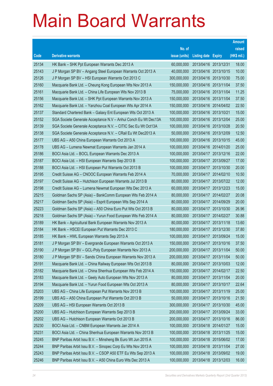|       |                                                                |               |                            |                       | <b>Amount</b> |
|-------|----------------------------------------------------------------|---------------|----------------------------|-----------------------|---------------|
|       |                                                                | No. of        |                            |                       | raised        |
| Code  | <b>Derivative warrants</b>                                     | issue (units) | <b>Listing date Expiry</b> |                       | (HK\$ mil.)   |
| 25134 | HK Bank - SHK Ppt European Warrants Dec 2013 A                 | 60,000,000    | 2013/04/16 2013/12/31      |                       | 18.00         |
| 25143 | J P Morgan SP BV - Angang Steel European Warrants Oct 2013 A   | 40,000,000    |                            | 2013/04/16 2013/10/15 | 10.00         |
| 25126 | J P Morgan SP BV - HSI European Warrants Oct 2013 C            | 300,000,000   |                            | 2013/04/16 2013/10/30 | 75.00         |
| 25160 | Macquarie Bank Ltd. - Cheung Kong European Wts Nov 2013 A      | 150,000,000   |                            | 2013/04/16 2013/11/04 | 37.50         |
| 25161 | Macquarie Bank Ltd. - China Life European Wts Nov 2013 B       | 75,000,000    |                            | 2013/04/16 2013/11/04 | 11.25         |
| 25156 | Macquarie Bank Ltd. - SHK Ppt European Warrants Nov 2013 A     | 150,000,000   |                            | 2013/04/16 2013/11/04 | 37.50         |
| 25162 | Macquarie Bank Ltd. - Yanzhou Coal European Wts Apr 2014 A     | 150,000,000   |                            | 2013/04/16 2014/04/02 | 22.50         |
| 25137 | Standard Chartered Bank - Galaxy Ent European Wts Oct 2013 A   | 100,000,000   | 2013/04/16 2013/10/21      |                       | 15.00         |
| 25152 | SGA Societe Generale Acceptance N.V - Anhui Conch Eu Wt Dec13A | 100,000,000   |                            | 2013/04/16 2013/12/04 | 25.00         |
| 25139 | SGA Societe Generale Acceptance N.V. - CITIC Sec Eu Wt Oct13A  | 100,000,000   |                            | 2013/04/16 2013/10/28 | 20.50         |
| 25138 | SGA Societe Generale Acceptance N.V. - CRail Eu Wt Dec2013 A   | 50,000,000    |                            | 2013/04/16 2013/12/09 | 12.50         |
| 25177 | UBS AG - A50 China European Warrants Oct 2013 A                | 100,000,000   |                            | 2013/04/16 2013/10/15 | 45.00         |
| 25178 | UBS AG - Lumena Newmat European Warrants Jan 2014 A            | 100,000,000   |                            | 2013/04/16 2014/01/20 | 25.00         |
| 25186 | BOCI Asia Ltd. - BOCL European Warrants Dec 2013 A             | 100,000,000   |                            | 2013/04/17 2013/12/16 | 22.00         |
| 25187 | BOCI Asia Ltd. - HSI European Warrants Sep 2013 B              | 100,000,000   | 2013/04/17 2013/09/27      |                       | 17.00         |
| 25188 | BOCI Asia Ltd. - HSI European Put Warrants Oct 2013 B          | 100,000,000   |                            | 2013/04/17 2013/10/30 | 20.00         |
| 25195 | Credit Suisse AG - CNOOC European Warrants Feb 2014 A          | 70,000,000    |                            | 2013/04/17 2014/02/10 | 10.50         |
| 25197 | Credit Suisse AG - Hutchison European Warrants Jul 2013 B      | 80,000,000    |                            | 2013/04/17 2013/07/22 | 12.00         |
| 25198 | Credit Suisse AG - Lumena Newmat European Wts Dec 2013 A       | 60,000,000    |                            | 2013/04/17 2013/12/23 | 15.00         |
| 25215 | Goldman Sachs SP (Asia) - BankComm European Wts Feb 2014 A     | 80,000,000    |                            | 2013/04/17 2014/02/27 | 20.08         |
| 25217 | Goldman Sachs SP (Asia) - Esprit European Wts Sep 2014 A       | 80,000,000    |                            | 2013/04/17 2014/09/29 | 20.00         |
| 25223 | Goldman Sachs SP (Asia) - A50 China Euro Put Wts Oct 2013 B    | 80,000,000    |                            | 2013/04/17 2013/10/30 | 26.96         |
| 25218 | Goldman Sachs SP (Asia) - Yurun Food European Wts Feb 2014 A   | 80,000,000    | 2013/04/17 2014/02/27      |                       | 30.88         |
| 25189 | HK Bank - Agricultural Bank European Warrants Nov 2013 A       | 80,000,000    | 2013/04/17 2013/11/18      |                       | 13.60         |
| 25184 | HK Bank - HSCEI European Put Warrants Dec 2013 C               | 180,000,000   |                            | 2013/04/17 2013/12/30 | 37.80         |
| 25185 | HK Bank - HWL European Warrants Sep 2013 A                     | 100,000,000   | 2013/04/17 2013/09/24      |                       | 15.00         |
| 25181 | J P Morgan SP BV - Evergrande European Warrants Oct 2013 A     | 150,000,000   |                            | 2013/04/17 2013/10/16 | 37.50         |
| 25190 | J P Morgan SP BV - GCL-Poly European Warrants Nov 2013 A       | 200,000,000   | 2013/04/17 2013/11/04      |                       | 50.00         |
| 25180 | J P Morgan SP BV - Sands China European Warrants Nov 2013 A    | 200,000,000   | 2013/04/17 2013/11/04      |                       | 50.00         |
| 25191 | Macquarie Bank Ltd. - China Railway European Wts Oct 2013 B    | 80,000,000    | 2013/04/17 2013/10/03      |                       | 12.00         |
| 25182 | Macquarie Bank Ltd. - China Shenhua European Wts Feb 2014 A    | 150,000,000   | 2013/04/17 2014/02/17      |                       | 22.50         |
| 25183 | Macquarie Bank Ltd. - Geely Auto European Wts Nov 2013 A       | 80,000,000    | 2013/04/17 2013/11/04      |                       | 20.00         |
| 25194 | Macquarie Bank Ltd. - Yurun Food European Wts Oct 2013 A       | 80,000,000    | 2013/04/17                 | 2013/10/17            | 22.64         |
| 25203 | UBS AG - China Life European Put Warrants Nov 2013 B           | 100,000,000   | 2013/04/17 2013/11/19      |                       | 25.00         |
| 25199 | UBS AG - A50 China European Put Warrants Oct 2013 B            | 50,000,000    | 2013/04/17 2013/10/16      |                       | 21.50         |
| 25209 | UBS AG - HSI European Warrants Oct 2013 B                      | 300,000,000   | 2013/04/17 2013/10/30      |                       | 45.00         |
| 25200 | UBS AG - Hutchison European Warrants Sep 2013 B                | 200,000,000   | 2013/04/17                 | 2013/09/24            | 33.00         |
| 25202 | UBS AG - Hutchison European Warrants Oct 2013 B                | 200,000,000   | 2013/04/17 2013/10/16      |                       | 86.00         |
| 25230 | BOCI Asia Ltd. - CNBM European Warrants Jan 2014 A             | 100,000,000   | 2013/04/18 2014/01/27      |                       | 15.00         |
| 25231 | BOCI Asia Ltd. - China Shenhua European Warrants Nov 2013 B    | 100,000,000   | 2013/04/18 2013/11/25      |                       | 15.00         |
| 25245 | BNP Paribas Arbit Issu B.V. - Minsheng Bk Euro Wt Jun 2015 A   | 100,000,000   | 2013/04/18 2015/06/02      |                       | 17.00         |
| 25244 | BNP Paribas Arbit Issu B.V. - Sinopec Corp Eu Wts Nov 2013 A   | 100,000,000   | 2013/04/18 2013/11/04      |                       | 27.00         |
| 25243 | BNP Paribas Arbit Issu B.V. - CSOP A50 ETF Eu Wts Sep 2013 A   | 100,000,000   | 2013/04/18 2013/09/02      |                       | 19.00         |
| 25246 | BNP Paribas Arbit Issu B.V. - A50 China Euro Wts Dec 2013 A    | 100,000,000   | 2013/04/18 2013/12/03      |                       | 16.00         |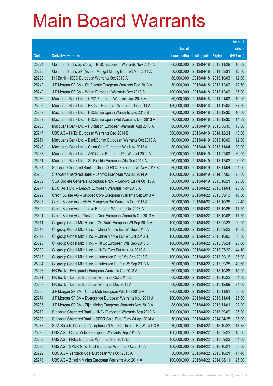|       |                                                                |               |                            |                       | <b>Amount</b> |
|-------|----------------------------------------------------------------|---------------|----------------------------|-----------------------|---------------|
|       |                                                                | No. of        |                            |                       | raised        |
| Code  | <b>Derivative warrants</b>                                     | issue (units) | <b>Listing date Expiry</b> |                       | (HK\$ mil.)   |
| 25224 | Goldman Sachs Sp (Asia) - ICBC European Warrants Nov 2013 A    | 60,000,000    | 2013/04/18 2013/11/28      |                       | 10.08         |
| 25225 | Goldman Sachs SP (Asia) - Mongol Mining Euro Wt Mar 2014 A     | 50,000,000    | 2013/04/18 2014/03/31      |                       | 12.80         |
| 25228 | HK Bank - ICBC European Warrants Oct 2013 A                    | 80,000,000    | 2013/04/18 2013/10/03      |                       | 12.80         |
| 25242 | J P Morgan SP BV - Sh Electric European Warrants Dec 2013 A    | 50,000,000    | 2013/04/18 2013/12/02      |                       | 12.50         |
| 25240 | J P Morgan SP BV - Wharf European Warrants Dec 2013 A          | 100,000,000   |                            | 2013/04/18 2013/12/02 | 25.00         |
| 25236 | Macquarie Bank Ltd. - CPIC European Warrants Jan 2014 A        | 60,000,000    | 2013/04/18 2014/01/03      |                       | 10.20         |
| 25226 | Macquarie Bank Ltd. - HK Gas European Warrants Dec 2014 A      | 150,000,000   | 2013/04/18 2014/12/02      |                       | 37.50         |
| 25239 | Macquarie Bank Ltd. - HSCEI European Warrants Dec 2013 B       | 70,000,000    | 2013/04/18 2013/12/30      |                       | 10.50         |
| 25232 | Macquarie Bank Ltd. - HSCEI European Put Warrants Dec 2013 A   | 70,000,000    |                            | 2013/04/18 2013/12/30 | 11.83         |
| 25233 | Macquarie Bank Ltd. - Hutchison European Warrants Aug 2013 A   | 60,000,000    | 2013/04/18 2013/08/30      |                       | 15.00         |
| 25247 | UBS AG - HKEx European Warrants Dec 2014 B                     | 300,000,000   | 2013/04/18 2014/12/24      |                       | 45.00         |
| 25254 | Macquarie Bank Ltd. - BankComm European Warrants Oct 2013 A    | 80,000,000    | 2013/04/19 2013/10/09      |                       | 12.00         |
| 25248 | Macquarie Bank Ltd. - China Coal European Wts Nov 2013 A       | 80,000,000    | 2013/04/19 2013/11/04      |                       | 20.00         |
| 25263 | Macquarie Bank Ltd. - A50 China European Put Wts Jul 2014 A    | 200,000,000   | 2013/04/19 2014/07/03      |                       | 30.00         |
| 25251 | Macquarie Bank Ltd. - Sh Electric European Wts Dec 2013 A      | 80,000,000    | 2013/04/19 2013/12/03      |                       | 20.00         |
| 25264 | Standard Chartered Bank - China COSCO European Wt Nov 2013 B   | 60,000,000    | 2013/04/19 2013/11/04      |                       | 21.00         |
| 25265 | Standard Chartered Bank - Lenovo European Wts Jul 2014 A       | 100,000,000   | 2013/04/19 2014/07/02      |                       | 25.00         |
| 25259 | SGA Societe Generale Acceptance N.V. - Lenovo Eu Wt Oct 13 A   | 50,000,000    | 2013/04/19 2013/10/21      |                       | 25.00         |
| 25277 | BOCI Asia Ltd. - Lenovo European Warrants Nov 2013 A           | 100,000,000   | 2013/04/22 2013/11/04      |                       | 25.00         |
| 25299 | Credit Suisse AG - Sinopec Corp European Warrants Sep 2013 A   | 50,000,000    | 2013/04/22 2013/09/13      |                       | 16.50         |
| 25303 | Credit Suisse AG - HKEx European Put Warrants Oct 2013 A       | 70,000,000    | 2013/04/22 2013/10/25      |                       | 22.40         |
| 25302 | Credit Suisse AG - Lenovo European Warrants Oct 2013 A         | 50,000,000    | 2013/04/22 2013/10/25      |                       | 17.50         |
| 25301 | Credit Suisse AG - Yanzhou Coal European Warrants Oct 2013 A   | 50,000,000    | 2013/04/22 2013/10/08      |                       | 17.50         |
| 25311 | Citigroup Global Mkt H Inc. - CC Bank European Wt Sep 2013 A   | 100,000,000   | 2013/04/22 2013/09/23      |                       | 20.00         |
| 25317 | Citigroup Global Mkt H Inc. - China Mobile Eur Wt Sep 2013 A   | 100,000,000   | 2013/04/22 2013/09/23      |                       | 16.00         |
| 25319 | Citigroup Global Mkt H Inc. - China Mobile Eur Wt Oct 2013 B   | 100,000,000   | 2013/04/22 2013/10/02      |                       | 30.00         |
| 25325 | Citigroup Global Mkt H Inc. – HKEx European Wts Sep 2013 B     | 100,000,000   | 2013/04/22 2013/09/24      |                       | 25.00         |
| 25332 | Citigroup Global Mkt H Inc. - HKEx Euro Put Wts Jul 2013 A     | 70,000,000    | 2013/04/22 2013/07/22      |                       | 44.10         |
| 25313 | Citigroup Global Mkt H Inc. - Hutchison Euro Wts Sep 2013 B    | 100,000,000   | 2013/04/22 2013/09/16      |                       | 35.00         |
| 25304 | Citigroup Global Mkt H Inc. - Hutchison Eu Put Wt Sep 2013 A   | 70,000,000    | 2013/04/22 2013/09/25      |                       | 40.60         |
| 25268 | HK Bank - Evergrande European Warrants Oct 2013 A              | 60,000,000    | 2013/04/22 2013/10/28      |                       | 15.00         |
| 25271 | HK Bank - Lenovo European Warrants Oct 2013 A                  | 60,000,000    | 2013/04/22 2013/10/22      |                       | 31.80         |
| 25267 | HK Bank - Lenovo European Warrants Dec 2013 A                  | 60,000,000    | 2013/04/22 2013/12/09      |                       | 21.60         |
| 25286 | J P Morgan SP BV - China Mob European Wts Nov 2013 A           | 200,000,000   | 2013/04/22 2013/11/01      |                       | 50.00         |
| 25274 | J P Morgan SP BV - Evergrande European Warrants Nov 2013 A     | 100,000,000   | 2013/04/22 2013/11/04      |                       | 25.00         |
| 25285 | J P Morgan SP BV - Zijin Mining European Warrants Nov 2013 A   | 88,000,000    | 2013/04/22 2013/11/01      |                       | 22.00         |
| 25279 | Standard Chartered Bank - HKEx European Warrants Sep 2013 B    | 100,000,000   | 2013/04/22 2013/09/09      |                       | 25.00         |
| 25288 | Standard Chartered Bank - SPDR Gold Trust Euro Wt Apr 2014 A   | 50,000,000    | 2013/04/22 2014/04/25      |                       | 25.00         |
| 25273 | SGA Societe Generale Acceptance N.V. - ChiUnicom Eu Wt Oct13 B | 30,000,000    | 2013/04/22 2013/10/23      |                       | 13.35         |
| 25290 | UBS AG - China Mobile European Warrants Sep 2013 A             | 100,000,000   | 2013/04/22 2013/09/23      |                       | 15.00         |
| 25289 | UBS AG - HKEx European Warrants Sep 2013 D                     | 100,000,000   | 2013/04/22 2013/09/23      |                       | 31.00         |
| 25293 | UBS AG - SPDR Gold Trust European Warrants Oct 2013 A          | 100,000,000   | 2013/04/22 2013/10/21      |                       | 38.00         |
| 25292 | UBS AG - Yanzhou Coal European Wts Oct 2013 A                  | 30,000,000    | 2013/04/22 2013/10/21      |                       | 11.40         |
| 25278 | UBS AG - Zhaojin Mining European Warrants Aug 2014 A           | 100,000,000   | 2013/04/22 2014/08/11      |                       | 25.00         |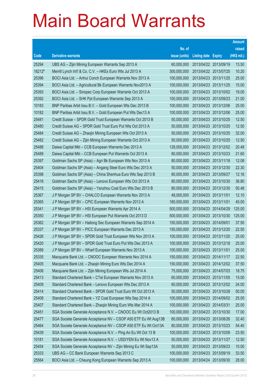|                |                                                                                                                           |                           |                                                | <b>Amount</b>  |
|----------------|---------------------------------------------------------------------------------------------------------------------------|---------------------------|------------------------------------------------|----------------|
|                |                                                                                                                           | No. of                    |                                                | raised         |
| Code           | <b>Derivative warrants</b>                                                                                                | issue (units)             | <b>Listing date Expiry</b>                     | (HK\$ mil.)    |
| 25294          | UBS AG - Zijin Mining European Warrants Sep 2013 A                                                                        | 60,000,000                | 2013/04/22 2013/09/19                          | 13.50          |
| 18212#         | Merrill Lynch Int'l & Co. C.V. - HKEx Euro Wts Jul 2013 A                                                                 | 300,000,000               | 2013/04/22 2013/07/25                          | 10.20          |
| 25396          | BOCI Asia Ltd. - Anhui Conch European Warrants Nov 2013 A                                                                 | 100,000,000               | 2013/04/23 2013/11/25                          | 25.00          |
| 25394          | BOCI Asia Ltd. - Agricultural Bk European Warrants Nov2013 A                                                              | 100,000,000               | 2013/04/23 2013/11/25                          | 15.00          |
| 25393          | BOCI Asia Ltd. - Sinopec Corp European Warrants Oct 2013 A                                                                | 100,000,000               | 2013/04/23 2013/10/02                          | 19.00          |
| 25392          | BOCI Asia Ltd. - SHK Ppt European Warrants Sep 2013 A                                                                     | 100,000,000               | 2013/04/23 2013/09/23                          | 21.00          |
| 10183          | BNP Paribas Arbit Issu B.V. - Gold European Wts Dec 2013 B                                                                | 100,000,000               | 2013/04/23 2013/12/06                          | 25.00          |
| 10182          | BNP Paribas Arbit Issu B.V. - Gold European Put Wts Dec13 A                                                               | 100,000,000               | 2013/04/23 2013/12/06                          | 25.00          |
| 25481          | Credit Suisse - SPDR Gold Trust European Warrants Oct 2013 B                                                              | 50,000,000                | 2013/04/23 2013/10/25                          | 12.50          |
| 25480          | Credit Suisse AG - SPDR Gold Trust Euro Put Wts Oct 2013 A                                                                | 50,000,000                | 2013/04/23 2013/10/25                          | 12.50          |
| 25484          | Credit Suisse AG - Zhaojin Mining European Wts Oct 2013 A                                                                 | 50,000,000                | 2013/04/23 2013/10/25                          | 32.00          |
| 25482          | Credit Suisse AG - Zijin Mining European Warrants Oct 2013 A                                                              | 50,000,000                | 2013/04/23 2013/10/25                          | 12.50          |
| 25488          | Daiwa Capital Mkt - CCB European Warrants Dec 2013 A                                                                      | 128,000,000               | 2013/04/23 2013/12/02                          | 20.48          |
| 25489          | Daiwa Capital Mkt - CCB European Put Warrants Oct 2013 A                                                                  | 80,000,000                | 2013/04/23 2013/10/23                          | 21.60          |
| 25397          | Goldman Sachs SP (Asia) - Agri Bk European Wts Nov 2013 A                                                                 | 80,000,000                | 2013/04/23 2013/11/18                          | 12.08          |
| 25404          | Goldman Sachs SP (Asia) - Angang Steel Euro Wts Dec 2013 A                                                                | 50,000,000                | 2013/04/23 2013/12/30                          | 22.30          |
| 25398          | Goldman Sachs SP (Asia) - China Shenhua Euro Wts Sep 2013 B                                                               | 80,000,000                | 2013/04/23 2013/09/27                          | 12.16          |
| 25416          | Goldman Sachs SP (Asia) - Lenovo European Wts Oct 2013 A                                                                  | 80,000,000                | 2013/04/23 2013/10/30                          | 36.80          |
| 25415          | Goldman Sachs SP (Asia) - Yanzhou Coal Euro Wts Dec 2013 B                                                                | 80,000,000                | 2013/04/23 2013/12/30                          | 50.48          |
| 25367          | J P Morgan SP BV - CHALCO European Warrants Nov 2013 A                                                                    | 48,000,000                | 2013/04/23 2013/11/01                          | 12.10          |
| 25365          | J P Morgan SP BV - CPIC European Warrants Nov 2013 A                                                                      | 180,000,000               | 2013/04/23 2013/11/01                          | 45.00          |
| 25341          | J P Morgan SP BV - HSI European Warrants Apr 2014 A                                                                       | 500,000,000               | 2013/04/23 2014/04/29                          | 125.00         |
| 25350          | J P Morgan SP BV - HSI European Put Warrants Oct 2013 D                                                                   | 500,000,000               | 2013/04/23 2013/10/30                          | 125.00         |
| 25362          | J P Morgan SP BV - Haitong Sec European Warrants Sep 2014 A                                                               | 150,000,000               | 2013/04/23 2014/09/01                          | 37.50          |
| 25337          | J P Morgan SP BV - PICC European Warrants Dec 2013 A                                                                      | 150,000,000               | 2013/04/23 2013/12/20                          | 22.50          |
| 25426          | J P Morgan SP BV - SPDR Gold Trust European Wts Nov 2013 A                                                                | 100,000,000               | 2013/04/23 2013/11/20                          | 25.00          |
| 25420          | J P Morgan SP BV - SPDR Gold Trust Euro Put Wts Dec 2013 A                                                                | 100,000,000               | 2013/04/23 2013/12/18                          | 25.00          |
| 25389          | J P Morgan SP BV - Wharf European Warrants Nov 2013 A                                                                     | 100,000,000               | 2013/04/23 2013/11/01                          | 25.00          |
| 25335          | Macquarie Bank Ltd. - CNOOC European Warrants Nov 2014 A                                                                  | 150,000,000               | 2013/04/23 2014/11/17                          | 22.50          |
| 25405          | Macquarie Bank Ltd. - Zhaojin Mining Euro Wts Dec 2014 A                                                                  | 150,000,000               | 2013/04/23 2014/12/02                          | 37.50          |
| 25406          | Macquarie Bank Ltd. - Zijin Mining European Wts Jul 2014 A                                                                | 75,000,000                | 2013/04/23 2014/07/03                          | 18.75          |
| 25413          | Standard Chartered Bank - CTel European Warrants Nov 2013 A                                                               | 60,000,000                | 2013/04/23 2013/11/05                          | 15.00          |
| 25409<br>25414 | Standard Chartered Bank - Lenovo European Wts Dec 2013 A<br>Standard Chartered Bank - SPDR Gold Trust Euro Wt Oct 2013 A  | 60,000,000<br>50,000,000  | 2013/04/23 2013/12/02<br>2013/04/23 2013/10/28 | 24.00<br>50.00 |
| 25408          |                                                                                                                           | 100,000,000               | 2013/04/23 2014/09/02                          | 25.00          |
| 25407          | Standard Chartered Bank - YZ Coal European Wts Sep 2014 A<br>Standard Chartered Bank - Zhaojin Mining Euro Wts Mar 2014 A | 100,000,000               | 2013/04/23 2014/03/31                          | 25.00          |
| 25451          |                                                                                                                           | 100,000,000               | 2013/04/23 2013/10/30                          | 17.00          |
| 25477          | SGA Societe Generale Acceptance N.V. - CNOOC Eu Wt Oct2013 B                                                              | 80,000,000                | 2013/04/23 2013/08/26                          | 32.40          |
|                | SGA Societe Generale Acceptance NV - CSOP A50 ETF Eu Wt Aug13B                                                            | 80,000,000                |                                                |                |
| 25464          | SGA Societe Generale Acceptance NV - CSOP A50 ETF Eu Wt Oct13A                                                            |                           | 2013/04/23 2013/10/23                          | 54.40          |
| 25439<br>10181 | SGA Societe Generale Acceptance N.V. - Ping An Eu Wt Oct 13 B                                                             | 100,000,000<br>50,000,000 | 2013/04/23 2013/10/09<br>2013/04/23 2013/11/27 | 23.50<br>12.50 |
| 25454          | SGA Societe Generale Acceptance N.V. - USD/YEN Eu Wt Nov13 A                                                              | 50,000,000                | 2013/04/23 2013/09/23                          |                |
|                | SGA Societe Generale Acceptance NV - Zijin Mining Eu Wt Sep13A                                                            |                           |                                                | 10.00          |
| 25333          | UBS AG - CC Bank European Warrants Sep 2013 C                                                                             | 100,000,000               | 2013/04/23 2013/09/19                          | 33.50          |
| 25564          | BOCI Asia Ltd. - Cheung Kong European Warrants Sep 2013 A                                                                 | 100,000,000               | 2013/04/24 2013/09/30                          | 28.00          |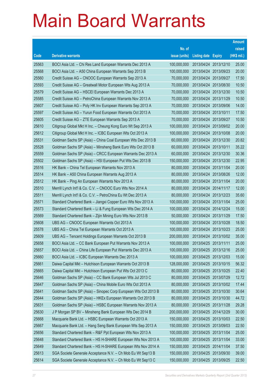|       |                                                                |               |                            |            | <b>Amount</b> |
|-------|----------------------------------------------------------------|---------------|----------------------------|------------|---------------|
|       |                                                                | No. of        |                            |            | raised        |
| Code  | <b>Derivative warrants</b>                                     | issue (units) | <b>Listing date Expiry</b> |            | (HK\$ mil.)   |
| 25563 | BOCI Asia Ltd. - Chi Res Land European Warrants Dec 2013 A     | 100,000,000   | 2013/04/24                 | 2013/12/10 | 25.00         |
| 25568 | BOCI Asia Ltd. - A50 China European Warrants Sep 2013 B        | 100,000,000   | 2013/04/24 2013/09/23      |            | 20.00         |
| 25560 | Credit Suisse AG - CNOOC European Warrants Sep 2013 A          | 70,000,000    | 2013/04/24                 | 2013/09/27 | 17.50         |
| 25593 | Credit Suisse AG - Greatwall Motor European Wts Aug 2013 A     | 70,000,000    | 2013/04/24 2013/08/30      |            | 10.50         |
| 25579 | Credit Suisse AG - HSCEI European Warrants Dec 2013 A          | 70,000,000    | 2013/04/24 2013/12/30      |            | 10.50         |
| 25585 | Credit Suisse AG - PetroChina European Warrants Nov 2013 A     | 70,000,000    | 2013/04/24 2013/11/29      |            | 10.50         |
| 25607 | Credit Suisse AG - Poly HK Inv European Warrants Sep 2013 A    | 70,000,000    | 2013/04/24                 | 2013/09/06 | 14.00         |
| 25597 | Credit Suisse AG - Yurun Food European Warrants Oct 2013 A     | 70,000,000    | 2013/04/24 2013/10/11      |            | 17.50         |
| 25605 | Credit Suisse AG - ZTE European Warrants Sep 2013 A            | 70,000,000    | 2013/04/24 2013/09/27      |            | 10.50         |
| 25610 | Citigroup Global Mkt H Inc. - Cheung Kong Euro Wt Sep 2013 A   | 100,000,000   | 2013/04/24 2013/09/02      |            | 20.00         |
| 25612 | Citigroup Global Mkt H Inc. - ICBC European Wts Oct 2013 A     | 100,000,000   | 2013/04/24                 | 2013/10/08 | 20.00         |
| 25531 | Goldman Sachs SP (Asia) – China Coal European Wts Dec 2013 B   | 60,000,000    | 2013/04/24 2013/12/30      |            | 20.82         |
| 25528 | Goldman Sachs SP (Asia) - Minsheng Bank Euro Wts Oct 2013 B    | 60,000,000    | 2013/04/24 2013/10/11      |            | 35.22         |
| 25559 | Goldman Sachs SP (Asia) – CRCC European Warrants Dec 2013 A    | 60,000,000    | 2013/04/24 2013/12/30      |            | 30.36         |
| 25502 | Goldman Sachs SP (Asia) - HSI European Put Wts Dec 2013 B      | 150,000,000   | 2013/04/24                 | 2013/12/30 | 22.95         |
| 25516 | HK Bank - China Tel European Warrants Nov 2013 A               | 80,000,000    | 2013/04/24 2013/11/04      |            | 20.00         |
| 25514 | HK Bank – A50 China European Warrants Aug 2013 A               | 80,000,000    | 2013/04/24 2013/08/26      |            | 12.00         |
| 25512 | HK Bank - Ping An European Warrants Nov 2013 A                 | 80,000,000    | 2013/04/24 2013/11/04      |            | 20.00         |
| 25510 | Merrill Lynch Int'l & Co. C.V. - CNOOC Euro Wts Nov 2014 A     | 80,000,000    | 2013/04/24 2014/11/17      |            | 12.00         |
| 25511 | Merrill Lynch Int'l & Co. C.V. – PetroChina Eu Wt Dec 2013 A   | 80,000,000    | 2013/04/24 2013/12/23      |            | 35.60         |
| 25571 | Standard Chartered Bank – Jiangxi Copper Euro Wts Nov 2013 A   | 100,000,000   | 2013/04/24 2013/11/04      |            | 25.00         |
| 25573 | Standard Chartered Bank - Li & Fung European Wts Dec 2014 A    | 100,000,000   | 2013/04/24 2014/12/24      |            | 15.00         |
| 25569 | Standard Chartered Bank - Zijin Mining Euro Wts Nov 2013 B     | 50,000,000    | 2013/04/24 2013/11/29      |            | 17.50         |
| 25608 | UBS AG - CNOOC European Warrants Oct 2013 A                    | 100,000,000   | 2013/04/24 2013/10/28      |            | 18.50         |
| 25578 | UBS AG - China Tel European Warrants Oct 2013 A                | 100,000,000   | 2013/04/24 2013/10/23      |            | 25.00         |
| 25609 | UBS AG - Tencent Holdings European Warrants Oct 2013 B         | 200,000,000   | 2013/04/24 2013/10/02      |            | 35.00         |
| 25658 | BOCI Asia Ltd. - CC Bank European Put Warrants Nov 2013 A      | 100,000,000   | 2013/04/25 2013/11/11      |            | 25.00         |
| 25657 | BOCI Asia Ltd. – China Life European Put Warrants Dec 2013 A   | 100,000,000   | 2013/04/25 2013/12/16      |            | 25.00         |
| 25660 | BOCI Asia Ltd. - ICBC European Warrants Dec 2013 A             | 100,000,000   | 2013/04/25 2013/12/03      |            | 15.00         |
| 25661 | Daiwa Capital Mkt - Hutchison European Warrants Oct 2013 B     | 128,000,000   | 2013/04/25 2013/10/15      |            | 56.32         |
| 25665 | Daiwa Capital Mkt - Hutchison European Put Wts Oct 2013 C      | 80,000,000    | 2013/04/25 2013/10/25      |            | 22.40         |
| 25646 | Goldman Sachs SP (Asia) - CC Bank European Wts Jul 2013 C      | 80,000,000    | 2013/04/25 2013/07/29      |            | 12.72         |
| 25647 | Goldman Sachs SP (Asia) - China Mobile Euro Wts Oct 2013 A     | 80,000,000    | 2013/04/25 2013/10/02      |            | 17.44         |
| 25641 | Goldman Sachs SP (Asia) - Sinopec Corp European Wts Oct 2013 B | 80,000,000    | 2013/04/25 2013/10/30      |            | 30.64         |
| 25644 | Goldman Sachs SP (Asia) - HKEx European Warrants Oct 2013 B    | 80,000,000    | 2013/04/25 2013/10/30      |            | 44.72         |
| 25631 | Goldman Sachs SP (Asia) - HSBC European Warrants Nov 2013 A    | 80,000,000    | 2013/04/25 2013/11/28      |            | 29.28         |
| 25630 | J P Morgan SP BV - Minsheng Bank European Wts Dec 2014 B       | 200,000,000   | 2013/04/25 2014/12/29      |            | 30.00         |
| 25668 | Macquarie Bank Ltd. - HSBC European Warrants Oct 2013 A        | 150,000,000   | 2013/04/25 2013/10/03      |            | 22.50         |
| 25667 | Macquarie Bank Ltd. - Hang Seng Bank European Wts Sep 2013 A   | 150,000,000   | 2013/04/25 2013/09/03      |            | 22.50         |
| 25656 | Standard Chartered Bank - R&F Ppt European Wts Nov 2013 A      | 100,000,000   | 2013/04/25 2013/11/04      |            | 25.00         |
| 25648 | Standard Chartered Bank - HS H-SHARE European Wts Nov 2013 A   | 100,000,000   | 2013/04/25 2013/11/04      |            | 33.00         |
| 25649 | Standard Chartered Bank - HS H-SHARE European Wts Nov 2014 A   | 150,000,000   | 2013/04/25 2014/11/04      |            | 37.50         |
| 25613 | SGA Societe Generale Acceptance N.V. - Ch Mob Eu Wt Sep13 B    | 150,000,000   | 2013/04/25 2013/09/30      |            | 39.00         |
| 25614 | SGA Societe Generale Acceptance N.V. - Ch Mob Eu Wt Sep13 C    | 150,000,000   | 2013/04/25 2013/09/25      |            | 22.50         |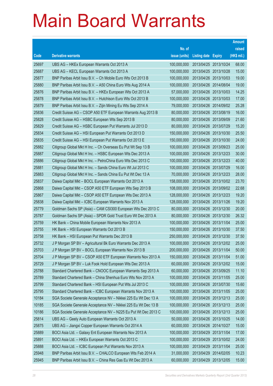|       |                                                                |               |                            | <b>Amount</b> |
|-------|----------------------------------------------------------------|---------------|----------------------------|---------------|
|       |                                                                | No. of        |                            | raised        |
| Code  | <b>Derivative warrants</b>                                     | issue (units) | <b>Listing date Expiry</b> | (HK\$ mil.)   |
| 25697 | UBS AG - HKEx European Warrants Oct 2013 A                     | 100,000,000   | 2013/04/25 2013/10/24      | 68.00         |
| 25687 | UBS AG - KECL European Warrants Oct 2013 A                     | 100,000,000   | 2013/04/25 2013/10/28      | 15.00         |
| 25877 | BNP Paribas Arbit Issu B.V. - Ch Mobile Euro Wts Oct 2013 B    | 100,000,000   | 2013/04/26 2013/10/03      | 19.00         |
| 25880 | BNP Paribas Arbit Issu B.V. - A50 China Euro Wts Aug 2014 A    | 100,000,000   | 2013/04/26 2014/08/04      | 19.00         |
| 25876 | BNP Paribas Arbit Issu B.V. - HKEx European Wts Oct 2013 A     | 57,000,000    | 2013/04/26 2013/10/03      | 14.25         |
| 25878 | BNP Paribas Arbit Issu B.V. - Hutchison Euro Wts Oct 2013 B    | 100,000,000   | 2013/04/26 2013/10/03      | 17.00         |
| 25879 | BNP Paribas Arbit Issu B.V. - Zijin Mining Eu Wts Sep 2014 A   | 79,000,000    | 2013/04/26 2014/09/02      | 25.28         |
| 25836 | Credit Suisse AG - CSOP A50 ETF European Warrants Aug 2013 B   | 80,000,000    | 2013/04/26 2013/08/19      | 16.00         |
| 25828 | Credit Suisse AG - HSBC European Wts Sep 2013 B                | 80,000,000    | 2013/04/26 2013/09/09      | 21.60         |
| 25829 | Credit Suisse AG - HSBC European Put Warrants Jul 2013 D       | 80,000,000    | 2013/04/26 2013/07/29      | 15.20         |
| 25834 | Credit Suisse AG - HSI European Put Warrants Oct 2013 D        | 150,000,000   | 2013/04/26 2013/10/30      | 25.50         |
| 25835 | Credit Suisse AG - HSI European Put Warrants Oct 2013 E        | 150,000,000   | 2013/04/26 2013/10/30      | 24.00         |
| 25882 | Citigroup Global Mkt H Inc. - Ch Overseas Eu Put Wt Sep 13 B   | 100,000,000   | 2013/04/26 2013/09/23      | 25.00         |
| 25887 | Citigroup Global Mkt H Inc. - HSBC European Wts Dec 2013 A     | 100,000,000   | 2013/04/26 2013/12/23      | 30.00         |
| 25886 | Citigroup Global Mkt H Inc. - PetroChina Euro Wts Dec 2013 C   | 100,000,000   | 2013/04/26 2013/12/23      | 40.00         |
| 25881 | Citigroup Global Mkt H Inc. - Sands China Euro Wt Jul 2013 C   | 100,000,000   | 2013/04/26 2013/07/29      | 16.00         |
| 25883 | Citigroup Global Mkt H Inc. - Sands China Eu Put Wt Dec 13 A   | 70,000,000    | 2013/04/26 2013/12/23      | 28.00         |
| 25837 | Daiwa Capital Mkt - BOCL European Warrants Oct 2013 A          | 158,000,000   | 2013/04/26 2013/10/02      | 23.70         |
| 25868 | Daiwa Capital Mkt - CSOP A50 ETF European Wts Sep 2013 B       | 108,000,000   | 2013/04/26 2013/09/02      | 22.68         |
| 25867 | Daiwa Capital Mkt - CSOP A50 ETF European Wts Dec 2013 A       | 128,000,000   | 2013/04/26 2013/12/23      | 19.20         |
| 25838 | Daiwa Capital Mkt - ICBC European Warrants Nov 2013 A          | 128,000,000   | 2013/04/26 2013/11/26      | 19.20         |
| 25779 | Goldman Sachs SP (Asia) - CAM CSI300 European Wts Dec 2013 C   | 80,000,000    | 2013/04/26 2013/12/30      | 20.00         |
| 25787 | Goldman Sachs SP (Asia) - SPDR Gold Trust Euro Wt Dec 2013 A   | 80,000,000    | 2013/04/26 2013/12/30      | 26.32         |
| 25759 | HK Bank - China Mobile European Warrants Nov 2013 A            | 100,000,000   | 2013/04/26 2013/11/04      | 25.00         |
| 25755 | HK Bank - HSI European Warrants Oct 2013 B                     | 150,000,000   | 2013/04/26 2013/10/30      | 37.50         |
| 25758 | HK Bank - HSI European Put Warrants Dec 2013 B                 | 250,000,000   | 2013/04/26 2013/12/30      | 37.50         |
| 25732 | J P Morgan SP BV - Agricultural Bk Euro Warrants Dec 2013 A    | 100,000,000   | 2013/04/26 2013/12/02      | 25.00         |
| 25703 | J P Morgan SP BV - BOCL European Warrants Nov 2013 B           | 200,000,000   | 2013/04/26 2013/11/04      | 50.00         |
| 25704 | J P Morgan SP BV - CSOP A50 ETF European Warrants Nov 2013 A   | 150,000,000   | 2013/04/26 2013/11/04      | 51.00         |
| 25729 | J P Morgan SP BV - Luk Fook Hold European Wts Dec 2013 A       | 60,000,000    | 2013/04/26 2013/12/02      | 15.00         |
| 25788 | Standard Chartered Bank - CNOOC European Warrants Sep 2013 A   | 60,000,000    | 2013/04/26 2013/09/25      | 11.10         |
| 25789 | Standard Chartered Bank - China Shenhua Euro Wts Nov 2013 A    | 100,000,000   | 2013/04/26 2013/11/05      | 25.00         |
| 25799 | Standard Chartered Bank - HSI European Put Wts Jul 2013 C      | 100,000,000   | 2013/04/26 2013/07/30      | 15.60         |
| 25795 | Standard Chartered Bank - ICBC European Warrants Nov 2013 A    | 100,000,000   | 2013/04/26 2013/11/05      | 25.00         |
| 10184 | SGA Societe Generale Acceptance NV - Nikkei 225 Eu Wt Dec 13 A | 100,000,000   | 2013/04/26 2013/12/13      | 25.00         |
| 10185 | SGA Societe Generale Acceptance NV - Nikkei 225 Eu Wt Dec 13 B | 100,000,000   | 2013/04/26 2013/12/13      | 25.00         |
| 10186 | SGA Societe Generale Acceptance NV - N225 Eu Put Wt Dec 2013 C | 100,000,000   | 2013/04/26 2013/12/13      | 25.00         |
| 25814 | UBS AG - Geely Auto European Warrants Oct 2013 A               | 50,000,000    | 2013/04/26 2013/10/25      | 14.00         |
| 25875 | UBS AG - Jiangxi Copper European Warrants Oct 2014 A           | 60,000,000    | 2013/04/26 2014/10/27      | 15.00         |
| 25889 | BOCI Asia Ltd. - Galaxy Ent European Warrants Nov 2013 A       | 100,000,000   | 2013/04/29 2013/11/04      | 17.00         |
| 25891 | BOCI Asia Ltd. - HKEx European Warrants Oct 2013 C             | 100,000,000   | 2013/04/29 2013/10/02      | 24.00         |
| 25888 | BOCI Asia Ltd. - ICBC European Put Warrants Nov 2013 A         | 100,000,000   | 2013/04/29 2013/11/04      | 25.00         |
| 25948 | BNP Paribas Arbit Issu B.V. - CHALCO European Wts Feb 2014 A   | 31,000,000    | 2013/04/29 2014/02/05      | 10.23         |
| 25945 | BNP Paribas Arbit Issu B.V. - China Res Gas Eu Wt Dec 2013 A   | 60,000,000    | 2013/04/29 2013/12/05      | 15.00         |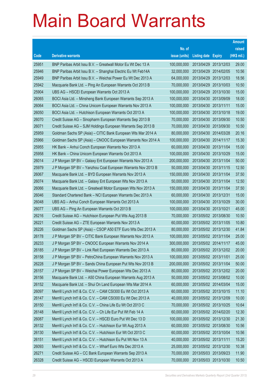|       |                                                               |               |                       |            | <b>Amount</b> |
|-------|---------------------------------------------------------------|---------------|-----------------------|------------|---------------|
|       |                                                               | No. of        |                       |            | raised        |
| Code  | <b>Derivative warrants</b>                                    | issue (units) | Listing date Expiry   |            | (HK\$ mil.)   |
| 25951 | BNP Paribas Arbit Issu B.V. - Greatwall Motor Eu Wt Dec 13 A  | 100,000,000   | 2013/04/29            | 2013/12/03 | 29.00         |
| 25946 | BNP Paribas Arbit Issu B.V. - Shanghai Electric Eu Wt Feb14A  | 32,000,000    | 2013/04/29 2014/02/05 |            | 10.56         |
| 25949 | BNP Paribas Arbit Issu B.V. - Weichai Power Eu Wt Dec 2013 A  | 64,000,000    | 2013/04/29            | 2013/12/03 | 18.56         |
| 25942 | Macquarie Bank Ltd. - Ping An European Warrants Oct 2013 B    | 70,000,000    | 2013/04/29 2013/10/03 |            | 10.50         |
| 25904 | UBS AG - HSCEI European Warrants Oct 2013 A                   | 100,000,000   | 2013/04/29            | 2013/10/30 | 15.00         |
| 26065 | BOCI Asia Ltd. - Minsheng Bank European Warrants Sep 2013 A   | 100,000,000   | 2013/04/30 2013/09/09 |            | 18.00         |
| 26064 | BOCI Asia Ltd. - China Unicom European Warrants Nov 2013 A    | 100,000,000   | 2013/04/30 2013/11/11 |            | 15.00         |
| 26050 | BOCI Asia Ltd. - Hutchison European Warrants Oct 2013 A       | 100,000,000   | 2013/04/30 2013/10/18 |            | 19.00         |
| 26070 | Credit Suisse AG - Sinopharm European Warrants Sep 2013 B     | 70,000,000    | 2013/04/30 2013/09/30 |            | 10.50         |
| 26071 | Credit Suisse AG - SJM Holdings European Warrants Sep 2013 B  | 70,000,000    | 2013/04/30 2013/09/30 |            | 10.50         |
| 25959 | Goldman Sachs SP (Asia) - CITIC Bank European Wts Mar 2014 A  | 80,000,000    | 2013/04/30 2014/03/28 |            | 20.16         |
| 25966 | Goldman Sachs SP (Asia) – CNOOC European Warrants Nov 2014 A  | 100,000,000   | 2013/04/30 2014/11/17 |            | 15.30         |
| 25955 | HK Bank - Anhui Conch European Warrants Nov 2013 A            | 60,000,000    | 2013/04/30 2013/11/04 |            | 15.00         |
| 25958 | HK Bank - China Unicom European Warrants Oct 2013 A           | 100,000,000   | 2013/04/30 2013/10/29 |            | 15.00         |
| 26014 | J P Morgan SP BV - Galaxy Ent European Warrants Nov 2013 A    | 200,000,000   | 2013/04/30 2013/11/04 |            | 50.00         |
| 25979 | J P Morgan SP BV - Yanzhou Coal European Warrants Nov 2013 B  | 50,000,000    | 2013/04/30 2013/11/15 |            | 12.50         |
| 26067 | Macquarie Bank Ltd. - BYD European Warrants Nov 2013 A        | 150,000,000   | 2013/04/30 2013/11/04 |            | 37.50         |
| 26074 | Macquarie Bank Ltd. - Galaxy Ent European Wts Nov 2013 A      | 50,000,000    | 2013/04/30 2013/11/04 |            | 12.50         |
| 26066 | Macquarie Bank Ltd. - Greatwall Motor European Wts Nov 2013 A | 150,000,000   | 2013/04/30 2013/11/04 |            | 37.50         |
| 26046 | Standard Chartered Bank – NCI European Warrants Dec 2013 A    | 60,000,000    | 2013/04/30 2013/12/31 |            | 15.00         |
| 26048 | UBS AG - Anhui Conch European Warrants Oct 2013 A             | 100,000,000   | 2013/04/30 2013/10/29 |            | 30.00         |
| 26077 | UBS AG - Ping An European Warrants Oct 2013 B                 | 100,000,000   | 2013/04/30 2013/10/21 |            | 45.00         |
| 26216 | Credit Suisse AG - Hutchison European Put Wts Aug 2013 B      | 70,000,000    | 2013/05/02 2013/08/30 |            | 10.50         |
| 26221 | Credit Suisse AG – ZTE European Warrants Nov 2013 A           | 60,000,000    | 2013/05/02 2013/11/05 |            | 10.80         |
| 26226 | Goldman Sachs SP (Asia) - CSOP A50 ETF Euro Wts Dec 2013 A    | 80,000,000    | 2013/05/02 2013/12/30 |            | 41.84         |
| 26178 | J P Morgan SP BV - CITIC Bank European Warrants Nov 2013 A    | 100.000.000   | 2013/05/02 2013/11/04 |            | 25.00         |
| 26233 | J P Morgan SP BV - CNOOC European Warrants Nov 2014 A         | 300,000,000   | 2013/05/02 2014/11/17 |            | 45.00         |
| 26185 | J P Morgan SP BV - Link Reit European Warrants Dec 2013 A     | 80,000,000    | 2013/05/02 2013/12/02 |            | 20.00         |
| 26158 | J P Morgan SP BV - PetroChina European Warrants Nov 2013 A    | 100,000,000   | 2013/05/02 2013/11/01 |            | 25.00         |
| 26228 | J P Morgan SP BV - Sands China European Put Wts Nov 2013 B    | 200,000,000   | 2013/05/02 2013/11/04 |            | 50.00         |
| 26157 | J P Morgan SP BV - Weichai Power European Wts Dec 2013 A      | 80,000,000    | 2013/05/02 2013/12/02 |            | 20.00         |
| 26156 | Macquarie Bank Ltd. - A50 China European Warrants Aug 2013 A  | 50,000,000    | 2013/05/02 2013/08/02 |            | 10.00         |
| 26152 | Macquarie Bank Ltd. - Shui On Land European Wts Mar 2014 A    | 60,000,000    | 2013/05/02 2014/03/04 |            | 15.00         |
| 26097 | Merrill Lynch Int'l & Co. C.V. - CAM CSI300 Eu Wt Oct 2013 A  | 60,000,000    | 2013/05/02 2013/10/15 |            | 11.10         |
| 26147 | Merrill Lynch Int'l & Co. C.V. - CAM CSI300 Eu Wt Dec 2013 A  | 40,000,000    | 2013/05/02 2013/12/09 |            | 10.00         |
| 26150 | Merrill Lynch Int'l & Co. C.V. - China Life Eu Wt Oct 2013 C  | 70,000,000    | 2013/05/02 2013/10/25 |            | 10.64         |
| 26148 | Merrill Lynch Int'l & Co. C.V. - Ch Life Eur Put Wt Feb 14 A  | 60,000,000    | 2013/05/02 2014/02/20 |            | 12.30         |
| 26087 | Merrill Lynch Int'l & Co. C.V. - HSCEI Euro Put Wt Dec 13 D   | 100,000,000   | 2013/05/02 2013/12/30 |            | 21.30         |
| 26132 | Merrill Lynch Int'l & Co. C.V. - Hutchison Eur Wt Aug 2013 A  | 60,000,000    | 2013/05/02 2013/08/30 |            | 10.56         |
| 26130 | Merrill Lynch Int'l & Co. C.V. - Hutchison Eur Wt Oct 2013 C  | 60,000,000    | 2013/05/02 2013/10/04 |            | 10.56         |
| 26151 | Merrill Lynch Int'l & Co. C.V. - Hutchison Eu Put Wt Nov 13 A | 40,000,000    | 2013/05/02 2013/11/11 |            | 15.20         |
| 26093 | Merrill Lynch Int'l & Co. C.V. - Wharf Euro Wts Dec 2013 A    | 25,000,000    | 2013/05/02 2013/12/30 |            | 10.38         |
| 26271 | Credit Suisse AG - CC Bank European Warrants Sep 2013 A       | 70,000,000    | 2013/05/03 2013/09/23 |            | 11.90         |
| 26328 | Credit Suisse AG - HSCEI European Warrants Oct 2013 A         | 70,000,000    | 2013/05/03 2013/10/30 |            | 10.50         |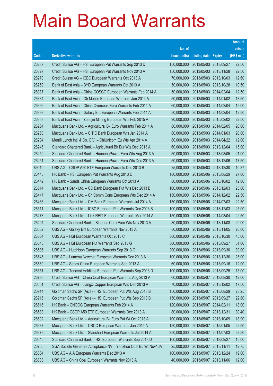|       |                                                                |               |                            | <b>Amount</b> |
|-------|----------------------------------------------------------------|---------------|----------------------------|---------------|
|       |                                                                | No. of        |                            | raised        |
| Code  | <b>Derivative warrants</b>                                     | issue (units) | <b>Listing date Expiry</b> | (HK\$ mil.)   |
| 26287 | Credit Suisse AG - HSI European Put Warrants Sep 2013 D        | 150,000,000   | 2013/05/03 2013/09/27      | 22.50         |
| 26327 | Credit Suisse AG - HSI European Put Warrants Nov 2013 A        | 150,000,000   | 2013/05/03 2013/11/28      | 22.50         |
| 26270 | Credit Suisse AG - ICBC European Warrants Oct 2013 A           | 70,000,000    | 2013/05/03 2013/10/03      | 12.60         |
| 26259 | Bank of East Asia - BYD European Warrants Oct 2013 A           | 50,000,000    | 2013/05/03 2013/10/28      | 10.50         |
| 26387 | Bank of East Asia - China COSCO European Warrants Feb 2014 A   | 50,000,000    | 2013/05/03 2014/02/04      | 12.50         |
| 26334 | Bank of East Asia - Ch Mobile European Warrants Jan 2014 A     | 50,000,000    | 2013/05/03 2014/01/02      | 13.50         |
| 26366 | Bank of East Asia - China Overseas Euro Warrants Feb 2014 A    | 60,000,000    | 2013/05/03 2014/02/04      | 15.00         |
| 26393 | Bank of East Asia – Galaxy Ent European Warrants Feb 2014 A    | 50,000,000    | 2013/05/03 2014/02/04      | 12.50         |
| 26368 | Bank of East Asia – Zhaojin Mining European Wts Feb 2015 A     | 90,000,000    | 2013/05/03 2015/02/02      | 22.50         |
| 26264 | Macquarie Bank Ltd. - Agricultural Bk Euro Warrants Feb 2014 A | 80,000,000    | 2013/05/03 2014/02/05      | 20.00         |
| 26260 | Macquarie Bank Ltd. - CITIC Bank European Wts Jan 2014 A       | 80,000,000    | 2013/05/03 2014/01/03      | 20.00         |
| 26234 | Merrill Lynch Int'l & Co. C.V. - ChiUnicom Eu Wts Apr 2014 A   | 80,000,000    | 2013/05/03 2014/04/22      | 12.00         |
| 26246 | Standard Chartered Bank - Agricultural Bk Eur Wts Dec 2013 A   | 60,000,000    | 2013/05/03 2013/12/04      | 15.00         |
| 26252 | Standard Chartered Bank - HuanengPower Euro Wts Aug 2013 A     | 50,000,000    | 2013/05/03 2013/08/05      | 21.00         |
| 26251 | Standard Chartered Bank - HuanengPower Euro Wts Dec 2013 A     | 50,000,000    | 2013/05/03 2013/12/06      | 17.50         |
| 89010 | UBS AG - CSOP A50 ETF European Warrants Dec 2013 B             | 25,000,000    | 2013/05/03 2013/12/30      | 10.37         |
| 26445 | HK Bank – HSI European Put Warrants Aug 2013 D                 | 180,000,000   | 2013/05/06 2013/08/29      | 27.00         |
| 26442 | HK Bank - Sands China European Warrants Oct 2013 A             | 80,000,000    | 2013/05/06 2013/10/02      | 12.00         |
| 26514 | Macquarie Bank Ltd. - CC Bank European Put Wts Dec 2013 B      | 100,000,000   | 2013/05/06 2013/12/03      | 25.00         |
| 26447 | Macquarie Bank Ltd. - Ch Comm Cons European Wts Dec 2014 A     | 150,000,000   | 2013/05/06 2014/12/02      | 22.50         |
| 26486 | Macquarie Bank Ltd. - CM Bank European Warrants Jul 2014 A     | 150,000,000   | 2013/05/06 2014/07/03      | 22.50         |
| 26511 | Macquarie Bank Ltd. - ICBC European Put Warrants Dec 2013 B    | 100,000,000   | 2013/05/06 2013/12/03      | 25.00         |
| 26473 | Macquarie Bank Ltd. - Link REIT European Warrants Mar 2014 A   | 150,000,000   | 2013/05/06 2014/03/04      | 22.50         |
| 26494 | Standard Chartered Bank - Sinopec Corp Euro Wts Nov 2013 A     | 80,000,000    | 2013/05/06 2013/11/08      | 20.00         |
| 26552 | UBS AG - Galaxy Ent European Warrants Nov 2013 A               | 80,000,000    | 2013/05/06 2013/11/05      | 20.00         |
| 26534 | UBS AG - HSI European Warrants Oct 2013 C                      | 300,000,000   | 2013/05/06 2013/10/30      | 45.00         |
| 26543 | UBS AG - HSI European Put Warrants Sep 2013 G                  | 300,000,000   | 2013/05/06 2013/09/27      | 51.00         |
| 26536 | UBS AG - Hutchison European Warrants Sep 2013 C                | 200,000,000   | 2013/05/06 2013/09/30      | 39.00         |
| 26545 | UBS AG - Lumena Newmat European Warrants Dec 2013 A            | 100,000,000   | 2013/05/06 2013/12/30      | 25.00         |
| 26560 | UBS AG - Sands China European Warrants Sep 2013 A              | 60,000,000    | 2013/05/06 2013/09/16      | 12.00         |
| 26551 | UBS AG - Tencent Holdings European Put Warrants Sep 2013 D     | 100,000,000   | 2013/05/06 2013/09/25      | 15.00         |
| 26786 | Credit Suisse AG - China Coal European Warrants Aug 2013 A     | 60,000,000    | 2013/05/07 2013/08/30      | 12.00         |
| 26651 | Credit Suisse AG - Jiangxi Copper European Wts Dec 2013 A      | 70,000,000    | 2013/05/07 2013/12/02      | 17.50         |
| 26914 | Goldman Sachs SP (Asia) - HSI European Put Wts Aug 2013 B      | 150,000,000   | 2013/05/07 2013/08/29      | 23.25         |
| 26916 | Goldman Sachs SP (Asia) - HSI European Put Wts Sep 2013 B      | 150,000,000   | 2013/05/07 2013/09/27      | 22.80         |
| 26616 | HK Bank - CNOOC European Warrants Feb 2014 A                   | 120,000,000   | 2013/05/07 2014/02/11      | 18.00         |
| 26583 | HK Bank - CSOP A50 ETF European Warrants Dec 2013 A            | 80,000,000    | 2013/05/07 2013/12/31      | 30.40         |
| 26692 | Macquarie Bank Ltd. - Agricultural Bk Euro Put Wt Oct 2013 A   | 100,000,000   | 2013/05/07 2013/10/09      | 18.90         |
| 26637 | Macquarie Bank Ltd. - CRCC European Warrants Jan 2015 A        | 150,000,000   | 2013/05/07 2015/01/05      | 22.50         |
| 26679 | Macquarie Bank Ltd. - Stanchart European Warrants Jul 2014 A   | 250,000,000   | 2013/05/07 2014/07/03      | 62.50         |
| 26645 | Standard Chartered Bank - HSI European Warrants Sep 2013 D     | 100,000,000   | 2013/05/07 2013/09/27      | 15.00         |
| 26755 | SGA Societe Generale Acceptance NV - Yanzhou Coal Eu Wt Nov13A | 25,000,000    | 2013/05/07 2013/11/11      | 12.75         |
| 26884 | UBS AG - AIA European Warrants Dec 2013 A                      | 100,000,000   | 2013/05/07 2013/12/24      | 19.00         |
| 26883 | UBS AG - China Coal European Warrants Nov 2013 A               | 40,000,000    | 2013/05/07 2013/11/06      | 12.00         |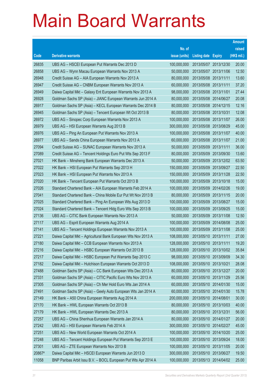|        |                                                                |               |                            | <b>Amount</b> |
|--------|----------------------------------------------------------------|---------------|----------------------------|---------------|
|        |                                                                | No. of        |                            | raised        |
| Code   | <b>Derivative warrants</b>                                     | issue (units) | <b>Listing date Expiry</b> | (HK\$ mil.)   |
| 26835  | UBS AG - HSCEI European Put Warrants Dec 2013 D                | 100,000,000   | 2013/05/07 2013/12/30      | 20.00         |
| 26858  | UBS AG - Wynn Macau European Warrants Nov 2013 A               | 50,000,000    | 2013/05/07 2013/11/06      | 12.50         |
| 26948  | Credit Suisse AG - AIA European Warrants Nov 2013 A            | 80,000,000    | 2013/05/08 2013/11/11      | 13.60         |
| 26947  | Credit Suisse AG - CNBM European Warrants Nov 2013 A           | 60,000,000    | 2013/05/08 2013/11/11      | 37.20         |
| 26949  | Daiwa Capital Mkt - Galaxy Ent European Warrants Nov 2013 A    | 98,000,000    | 2013/05/08 2013/11/01      | 27.44         |
| 26928  | Goldman Sachs SP (Asia) - JIANC European Warrants Jun 2014 A   | 80,000,000    | 2013/05/08 2014/06/27      | 20.08         |
| 26917  | Goldman Sachs SP (Asia) - KECL European Warrants Dec 2014 B    | 80,000,000    | 2013/05/08 2014/12/15      | 12.16         |
| 26945  | Goldman Sachs SP (Asia) – Tencent European Wt Oct 2013 B       | 80,000,000    | 2013/05/08 2013/10/31      | 12.08         |
| 26972  | UBS AG – Sinopec Corp European Warrants Nov 2013 A             | 100,000,000   | 2013/05/08 2013/11/07      | 26.00         |
| 26979  | UBS AG - HSI European Warrants Aug 2013 B                      | 300,000,000   | 2013/05/08 2013/08/29      | 45.00         |
| 26976  | UBS AG - Ping An European Put Warrants Nov 2013 A              | 100,000,000   | 2013/05/08 2013/11/07      | 40.00         |
| 26977  | UBS AG - Sands China European Warrants Nov 2013 A              | 60,000,000    | 2013/05/08 2013/11/07      | 21.00         |
| 27094  | Credit Suisse AG - SUNAC European Warrants Nov 2013 A          | 50,000,000    | 2013/05/09 2013/11/11      | 36.00         |
| 27089  | Credit Suisse AG - Tencent Holdings Euro Put Wts Sep 2013 F    | 80,000,000    | 2013/05/09 2013/09/30      | 13.60         |
| 27021  | HK Bank - Minsheng Bank European Warrants Dec 2013 A           | 50,000,000    | 2013/05/09 2013/12/02      | 63.50         |
| 27022  | HK Bank - HSI European Put Warrants Sep 2013 H                 | 150,000,000   | 2013/05/09 2013/09/27      | 22.50         |
| 27023  | HK Bank – HSI European Put Warrants Nov 2013 A                 | 150,000,000   | 2013/05/09 2013/11/28      | 22.50         |
| 27020  | HK Bank - Tencent European Put Warrants Oct 2013 B             | 100,000,000   | 2013/05/09 2013/10/18      | 15.00         |
| 27026  | Standard Chartered Bank - AIA European Warrants Feb 2014 A     | 100,000,000   | 2013/05/09 2014/02/26      | 19.00         |
| 27041  | Standard Chartered Bank - China Mobile Eur Put Wt Nov 2013 B   | 80,000,000    | 2013/05/09 2013/11/15      | 20.00         |
| 27025  | Standard Chartered Bank - Ping An European Wts Aug 2013 D      | 100,000,000   | 2013/05/09 2013/08/27      | 15.00         |
| 27024  | Standard Chartered Bank - Tencent Hidg Euro Wts Sep 2013 B     | 100,000,000   | 2013/05/09 2013/09/25      | 15.00         |
| 27136  | UBS AG - CITIC Bank European Warrants Nov 2013 A               | 50,000,000    | 2013/05/09 2013/11/08      | 12.50         |
| 27117  | UBS AG - Esprit European Warrants Aug 2014 A                   | 100,000,000   | 2013/05/09 2014/08/08      | 25.00         |
| 27141  | UBS AG - Tencent Holdings European Warrants Nov 2013 A         | 100,000,000   | 2013/05/09 2013/11/08      | 25.00         |
| 27221  | Daiwa Capital Mkt - Agricultural Bank European Wts Nov 2013 A  | 108,000,000   | 2013/05/10 2013/11/11      | 27.00         |
| 27180  | Daiwa Capital Mkt - CCB European Warrants Nov 2013 A           | 128,000,000   | 2013/05/10 2013/11/11      | 19.20         |
| 27216  | Daiwa Capital Mkt - HSBC European Warrants Oct 2013 B          | 128,000,000   | 2013/05/10 2013/10/02      | 35.84         |
| 27217  | Daiwa Capital Mkt - HSBC European Put Warrants Sep 2013 C      | 98,000,000    | 2013/05/10 2013/09/09      | 34.30         |
| 27182  | Daiwa Capital Mkt - Hutchison European Warrants Oct 2013 D     | 108,000,000   | 2013/05/10 2013/10/21      | 28.08         |
| 27488  | Goldman Sachs SP (Asia) - CC Bank European Wts Dec 2013 A      | 80,000,000    | 2013/05/10 2013/12/27      | 20.00         |
| 27331  | Goldman Sachs SP (Asia) - CITIC Pacific Euro Wts Nov 2013 A    | 60,000,000    | 2013/05/10 2013/11/29      | 25.56         |
| 27305  | Goldman Sachs SP (Asia) - Ch Mer Hold Euro Wts Jan 2014 A      | 60,000,000    | 2013/05/10 2014/01/30      | 15.00         |
| 27491  | Goldman Sachs SP (Asia) - Geely Auto European Wts Jan 2014 A   | 60,000,000    | 2013/05/10 2014/01/30      | 15.78         |
| 27149  | HK Bank - A50 China European Warrants Aug 2014 A               | 200,000,000   | 2013/05/10 2014/08/01      | 30.00         |
| 27170  | HK Bank - HWL European Warrants Oct 2013 B                     | 80,000,000    | 2013/05/10 2013/10/03      | 40.00         |
| 27179  | HK Bank - HWL European Warrants Dec 2013 A                     | 80,000,000    | 2013/05/10 2013/12/31      | 56.00         |
| 27257  | UBS AG - China Shenhua European Warrants Jan 2014 A            | 80,000,000    | 2013/05/10 2014/01/27      | 20.00         |
| 27242  | UBS AG - HSI European Warrants Feb 2014 A                      | 300,000,000   | 2013/05/10 2014/02/27      | 45.00         |
| 27251  | UBS AG - New World European Warrants Oct 2014 A                | 100,000,000   | 2013/05/10 2014/10/20      | 25.00         |
| 27248  | UBS AG - Tencent Holdings European Put Warrants Sep 2013 E     | 100,000,000   | 2013/05/10 2013/09/24      | 18.00         |
| 27301  | UBS AG - ZTE European Warrants Nov 2013 B                      | 100,000,000   | 2013/05/10 2013/11/05      | 20.00         |
| 20867# | Daiwa Capital Mkt - HSCEI European Warrants Jun 2013 D         | 300,000,000   | 2013/05/10 2013/06/27      | 19.50         |
| 11058  | BNP Paribas Arbit Issu B.V. - BOCL European Put Wts Apr 2014 A | 100,000,000   | 2013/05/13 2014/04/02      | 25.00         |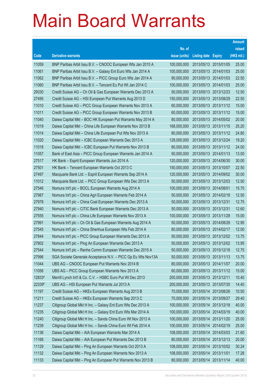|        |                                                              |               |                            |                       | <b>Amount</b> |
|--------|--------------------------------------------------------------|---------------|----------------------------|-----------------------|---------------|
|        |                                                              | No. of        |                            |                       | raised        |
| Code   | <b>Derivative warrants</b>                                   | issue (units) | <b>Listing date Expiry</b> |                       | (HK\$ mil.)   |
| 11059  | BNP Paribas Arbit Issu B.V. - CNOOC European Wts Jan 2015 A  | 100,000,000   |                            | 2013/05/13 2015/01/05 | 25.00         |
| 11061  | BNP Paribas Arbit Issu B.V. - Galaxy Ent Euro Wts Jan 2014 A | 100,000,000   |                            | 2013/05/13 2014/01/03 | 25.00         |
| 11062  | BNP Paribas Arbit Issu B.V. - PICC Group Euro Wts Jan 2014 A | 90,000,000    | 2013/05/13 2014/01/03      |                       | 22.50         |
| 11060  | BNP Paribas Arbit Issu B.V. - Tencent Eu Put Wt Jan 2014 C   | 100,000,000   |                            | 2013/05/13 2014/01/03 | 25.00         |
| 29330  | Credit Suisse AG - Ch Oil & Gas European Warrants Dec 2013 A | 50,000,000    |                            | 2013/05/13 2013/12/23 | 12.50         |
| 27495  | Credit Suisse AG - HSI European Put Warrants Aug 2013 D      | 150,000,000   |                            | 2013/05/13 2013/08/29 | 22.50         |
| 11010  | Credit Suisse AG - PICC Group European Warrants Nov 2013 A   | 60,000,000    |                            | 2013/05/13 2013/11/12 | 15.00         |
| 11011  | Credit Suisse AG - PICC Group European Warrants Nov 2013 B   | 60,000,000    |                            | 2013/05/13 2013/11/12 | 15.00         |
| 11040  | Daiwa Capital Mkt - BOC HK European Put Warrants May 2014 A  | 80,000,000    |                            | 2013/05/13 2014/05/02 | 20.00         |
| 11019  | Daiwa Capital Mkt - China Life European Warrants Nov 2013 B  | 168,000,000   |                            | 2013/05/13 2013/11/15 | 25.20         |
| 11014  | Daiwa Capital Mkt - China Life European Put Wts Nov 2013 A   | 80,000,000    |                            | 2013/05/13 2013/11/12 | 24.80         |
| 11020  | Daiwa Capital Mkt - ICBC European Warrants Dec 2013 A        | 128,000,000   | 2013/05/13 2013/12/24      |                       | 19.20         |
| 11018  | Daiwa Capital Mkt - ICBC European Put Warrants Nov 2013 B    | 80,000,000    |                            | 2013/05/13 2013/11/12 | 24.00         |
| 11057  | Bank of East Asia - PICC Group European Warrants Jan 2014 A  | 50,000,000    |                            | 2013/05/13 2014/01/13 | 13.00         |
| 27517  | HK Bank - Esprit European Warrants Jun 2014 A                | 120,000,000   |                            | 2013/05/13 2014/06/30 | 30.00         |
| 27501  | HK Bank - Tencent European Warrants Oct 2013 C               | 150,000,000   | 2013/05/13 2013/10/07      |                       | 22.50         |
| 27497  | Macquarie Bank Ltd. - Esprit European Warrants Sep 2014 A    | 120,000,000   |                            | 2013/05/13 2014/09/02 | 30.00         |
| 11012  | Macquarie Bank Ltd. - PICC Group European Wts Dec 2013 A     | 50,000,000    |                            | 2013/05/13 2013/12/03 | 12.50         |
| 27546  | Nomura Int'l plc - BOCL European Warrants Aug 2014 A         | 100,000,000   | 2013/05/13 2014/08/01      |                       | 15.70         |
| 27987  | Nomura Int'l plc - China Agri European Warrants Feb 2014 A   | 50,000,000    | 2013/05/13 2014/02/18      |                       | 12.50         |
| 27978  | Nomura Int'l plc - China Coal European Warrants Dec 2013 A   | 50,000,000    | 2013/05/13 2013/12/31      |                       | 12.75         |
| 27940  | Nomura Int'l plc - CITIC Bank European Warrants Dec 2013 A   | 50,000,000    | 2013/05/13 2013/12/31      |                       | 12.60         |
| 27555  | Nomura Int'l plc - China Life European Warrants Nov 2013 A   | 100,000,000   | 2013/05/13 2013/11/28      |                       | 15.00         |
| 27991  | Nomura Int'l plc - Ch Oil & Gas European Warrants Aug 2014 A | 50,000,000    |                            | 2013/05/13 2014/08/28 | 12.95         |
| 27545  | Nomura Int'l plc - China Shenhua European Wts Feb 2014 A     | 80,000,000    | 2013/05/13 2014/02/17      |                       | 12.00         |
| 27844  | Nomura Int'l plc - PICC Group European Warrants Dec 2013 A   | 50,000,000    |                            | 2013/05/13 2013/12/02 | 13.75         |
| 27802  | Nomura Int'l plc – Ping An European Warrants Dec 2013 A      | 50,000,000    |                            | 2013/05/13 2013/12/02 | 13.95         |
| 27544  | Nomura Int'l plc - Renhe Comm European Warrants Dec 2015 A   | 50,000,000    | 2013/05/13 2015/12/18      |                       | 12.75         |
| 27996  | SGA Societe Generale Acceptance N.V. - PICC Gp Eu Wts Nov13A | 50,000,000    | 2013/05/13 2013/11/13      |                       | 13.75         |
| 11044  | UBS AG - CNOOC European Put Warrants Nov 2014 B              | 80,000,000    | 2013/05/13 2014/11/07      |                       | 20.00         |
| 11056  | UBS AG - PICC Group European Warrants Nov 2013 A             | 60,000,000    |                            | 2013/05/13 2013/11/12 | 15.00         |
| 12833# | Merrill Lynch Int'l & Co. C.V. - HSBC Euro Put Wt Dec 2013   | 200,000,000   | 2013/05/13 2013/12/11      |                       | 10.40         |
| 22339# | UBS AG - HSI European Put Warrants Jul 2013 A                | 200,000,000   | 2013/05/13 2013/07/30      |                       | 14.40         |
| 11197  | Credit Suisse AG - HKEx European Warrants Aug 2013 B         | 70,000,000    |                            | 2013/05/14 2013/08/26 | 10.50         |
| 11211  | Credit Suisse AG - HKEx European Warrants Sep 2013 C         | 70,000,000    | 2013/05/14 2013/09/27      |                       | 29.40         |
| 11237  | Citigroup Global Mkt H Inc. - Galaxy Ent Euro Wts Dec 2013 A | 100,000,000   | 2013/05/14 2013/12/18      |                       | 40.00         |
| 11235  | Citigroup Global Mkt H Inc. - Galaxy Ent Euro Wts Mar 2014 A | 100,000,000   | 2013/05/14                 | 2014/03/19            | 40.00         |
| 11240  | Citigroup Global Mkt H Inc. - Sands China Euro Wt Nov 2013 A | 100,000,000   | 2013/05/14 2013/11/20      |                       | 25.00         |
| 11239  | Citigroup Global Mkt H Inc. - Sands China Euro Wt Feb 2014 A | 100,000,000   | 2013/05/14 2014/02/19      |                       | 25.00         |
| 11136  | Daiwa Capital Mkt - AIA European Warrants Mar 2014 A         | 108,000,000   | 2013/05/14 2014/03/03      |                       | 21.60         |
| 11168  | Daiwa Capital Mkt - AIA European Put Warrants Dec 2013 B     | 80,000,000    | 2013/05/14                 | 2013/12/13            | 20.00         |
| 11129  | Daiwa Capital Mkt - Ping An European Warrants Oct 2013 A     | 108,000,000   | 2013/05/14 2013/10/02      |                       | 30.24         |
| 11132  | Daiwa Capital Mkt - Ping An European Warrants Nov 2013 A     | 108,000,000   | 2013/05/14 2013/11/01      |                       | 17.28         |
| 11133  | Daiwa Capital Mkt - Ping An European Put Warrants Nov 2013 B | 80,000,000    | 2013/05/14 2013/11/14      |                       | 40.00         |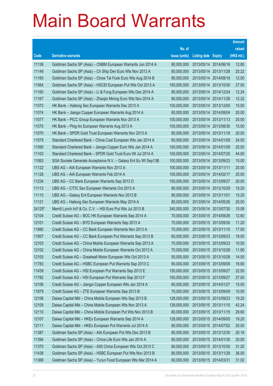|        |                                                                |               |                            |            | <b>Amount</b> |
|--------|----------------------------------------------------------------|---------------|----------------------------|------------|---------------|
|        |                                                                | No. of        |                            |            | raised        |
| Code   | <b>Derivative warrants</b>                                     | issue (units) | <b>Listing date Expiry</b> |            | $(HK$$ mil.)  |
| 11138  | Goldman Sachs SP (Asia) - CNBM European Warrants Jun 2014 A    | 80,000,000    | 2013/05/14 2014/06/16      |            | 12.80         |
| 11149  | Goldman Sachs SP (Asia) – Ch Ship Dev Euro Wts Nov 2013 A      | 60,000,000    | 2013/05/14 2013/11/28      |            | 20.22         |
| 11165  | Goldman Sachs SP (Asia) - Chow Tai Fook Euro Wts Aug 2014 B    | 80,000,000    | 2013/05/14                 | 2014/08/18 | 12.00         |
| 11064  | Goldman Sachs SP (Asia) - HSCEI European Put Wts Oct 2013 A    | 150,000,000   | 2013/05/14 2013/10/30      |            | 27.00         |
| 11160  | Goldman Sachs SP (Asia) - Li & Fung European Wts Dec 2014 A    | 80,000,000    | 2013/05/14 2014/12/24      |            | 12.24         |
| 11167  | Goldman Sachs SP (Asia) - Zhaojin Mining Euro Wts Nov 2014 A   | 80,000,000    | 2013/05/14 2014/11/26      |            | 12.32         |
| 11073  | HK Bank – Haitong Sec European Warrants Dec 2013 A             | 100,000,000   | 2013/05/14                 | 2013/12/05 | 15.00         |
| 11074  | HK Bank – Jiangxi Copper European Warrants Aug 2014 A          | 80,000,000    | 2013/05/14 2014/08/04      |            | 20.00         |
| 11077  | HK Bank - PICC Group European Warrants Nov 2013 A              | 100,000,000   | 2013/05/14 2013/11/13      |            | 25.00         |
| 11075  | HK Bank - Ping An European Warrants Aug 2013 A                 | 100,000,000   | 2013/05/14 2013/08/30      |            | 15.00         |
| 11070  | HK Bank - SPDR Gold Trust European Warrants Nov 2013 A         | 80,000,000    | 2013/05/14 2013/11/18      |            | 20.00         |
| 11079  | Standard Chartered Bank – China Coal European Wts Jan 2014 A   | 60,000,000    | 2013/05/14 2014/01/09      |            | 24.00         |
| 11090  | Standard Chartered Bank – Jiangxi Copper Euro Wts Jan 2014 A   | 100,000,000   | 2013/05/14 2014/01/09      |            | 25.00         |
| 11103  | Standard Chartered Bank - SPDR Gold Trust Euro Wt Jul 2014 A   | 100,000,000   | 2013/05/14 2014/07/25      |            | 44.00         |
| 11063  | SGA Societe Generale Acceptance N.V. - Galaxy Ent Eu Wt Sep13B | 100,000,000   | 2013/05/14                 | 2013/09/23 | 15.00         |
| 11122  | UBS AG - AIA European Warrants Nov 2013 A                      | 100,000,000   | 2013/05/14 2013/11/11      |            | 20.00         |
| 11128  | UBS AG - AIA European Warrants Feb 2014 A                      | 100,000,000   | 2013/05/14 2014/02/17      |            | 25.00         |
| 11234  | UBS AG – CC Bank European Warrants Sep 2013 D                  | 100,000,000   | 2013/05/14 2013/09/27      |            | 20.00         |
| 11112  | UBS AG - CITIC Sec European Warrants Oct 2013 A                | 80,000,000    | 2013/05/14 2013/10/29      |            | 15.20         |
| 11115  | UBS AG – Galaxy Ent European Warrants Nov 2013 B               | 80,000,000    | 2013/05/14 2013/11/01      |            | 15.20         |
| 11121  | UBS AG - Haitong Sec European Warrants May 2014 A              | 80,000,000    | 2013/05/14 2014/05/26      |            | 20.00         |
| 24125# | Merrill Lynch Int'l & Co. C.V. - HSI Euro Put Wts Jul 2013 B   | 240,000,000   | 2013/05/14 2013/07/30      |            | 10.08         |
| 12104  | Credit Suisse AG - BOC HK European Warrants Sep 2014 A         | 70,000,000    | 2013/05/15 2014/09/26      |            | 12.60         |
| 12101  | Credit Suisse AG - BYD European Warrants Sep 2013 A            | 70,000,000    | 2013/05/15 2013/09/30      |            | 11.20         |
| 11880  | Credit Suisse AG - CC Bank European Warrants Nov 2013 A        | 70,000,000    | 2013/05/15 2013/11/15      |            | 17.50         |
| 11957  | Credit Suisse AG - CC Bank European Put Warrants Sep 2013 B    | 60,000,000    | 2013/05/15 2013/09/23      |            | 18.00         |
| 12103  | Credit Suisse AG – China Mobile European Warrants Sep 2013 A   | 70,000,000    | 2013/05/15 2013/09/23      |            | 10.50         |
| 12102  | Credit Suisse AG - China Mobile European Warrants Oct 2013 A   | 70,000,000    | 2013/05/15 2013/10/28      |            | 11.90         |
| 12105  | Credit Suisse AG - Greatwall Motor European Wts Oct 2013 A     | 50,000,000    | 2013/05/15 2013/10/28      |            | 14.00         |
| 11783  | Credit Suisse AG - HSBC European Put Warrants Sep 2013 C       | 60,000,000    | 2013/05/15 2013/09/09      |            | 16.80         |
| 11439  | Credit Suisse AG - HSI European Put Warrants Sep 2013 E        | 150,000,000   | 2013/05/15 2013/09/27      |            | 22.50         |
| 11782  | Credit Suisse AG - HSI European Put Warrants Sep 2013 F        | 150,000,000   | 2013/05/15 2013/09/27      |            | 27.00         |
| 12106  | Credit Suisse AG - Jiangxi Copper European Wts Jan 2014 A      | 60,000,000    | 2013/05/15 2014/01/27      |            | 15.00         |
| 11879  | Credit Suisse AG - ZTE European Warrants Sep 2013 B            | 70,000,000    | 2013/05/15 2013/09/09      |            | 10.50         |
| 12108  | Daiwa Capital Mkt - China Mobile European Wts Sep 2013 B       | 128,000,000   | 2013/05/15 2013/09/23      |            | 19.20         |
| 12109  | Daiwa Capital Mkt - China Mobile European Wts Nov 2013 A       | 128,000,000   | 2013/05/15 2013/11/15      |            | 42.24         |
| 12110  | Daiwa Capital Mkt - China Mobile European Put Wts Nov 2013 B   | 80,000,000    | 2013/05/15 2013/11/15      |            | 29.60         |
| 12107  | Daiwa Capital Mkt - HKEx European Warrants Sep 2014 A          | 128,000,000   | 2013/05/15 2014/09/05      |            | 19.20         |
| 12111  | Daiwa Capital Mkt - HKEx European Put Warrants Jul 2014 A      | 80,000,000    | 2013/05/15 2014/07/02      |            | 20.00         |
| 11387  | Goldman Sachs SP (Asia) - AIA European Put Wts Dec 2013 B      | 80,000,000    | 2013/05/15 2013/12/30      |            | 20.16         |
| 11394  | Goldman Sachs SP (Asia) - China Life Euro Wts Jan 2014 A       | 80,000,000    | 2013/05/15 2014/01/30      |            | 20.00         |
| 11370  | Goldman Sachs SP (Asia) - A50 China European Wts Oct 2013 C    | 80,000,000    | 2013/05/15 2013/10/30      |            | 31.20         |
| 11438  | Goldman Sachs SP (Asia) - HSBC European Put Wts Nov 2013 B     | 80,000,000    | 2013/05/15 2013/11/29      |            | 36.00         |
| 11368  | Goldman Sachs SP (Asia) - Yurun Food European Wts Mar 2014 A   | 60,000,000    | 2013/05/15 2014/03/31      |            | 31.02         |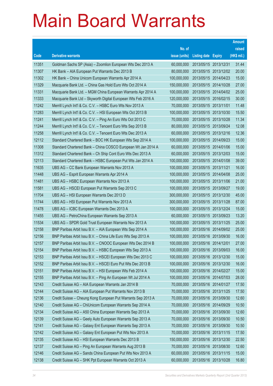|       |                                                               |               |                            | <b>Amount</b> |
|-------|---------------------------------------------------------------|---------------|----------------------------|---------------|
|       |                                                               | No. of        |                            | raised        |
| Code  | <b>Derivative warrants</b>                                    | issue (units) | <b>Listing date Expiry</b> | (HK\$ mil.)   |
| 11351 | Goldman Sachs SP (Asia) – Zoomlion European Wts Dec 2013 A    | 60,000,000    | 2013/05/15 2013/12/31      | 31.44         |
| 11307 | HK Bank - AIA European Put Warrants Dec 2013 B                | 80,000,000    | 2013/05/15 2013/12/02      | 20.00         |
| 11302 | HK Bank - China Unicom European Warrants Apr 2014 A           | 100,000,000   | 2013/05/15 2014/04/23      | 15.00         |
| 11329 | Macquarie Bank Ltd. - China Gas Hold Euro Wts Oct 2014 A      | 150,000,000   | 2013/05/15 2014/10/28      | 27.00         |
| 11331 | Macquarie Bank Ltd. - MGM China European Warrants Apr 2014 A  | 100,000,000   | 2013/05/15 2014/04/02      | 25.00         |
| 11333 | Macquarie Bank Ltd - Skyworth Digital European Wts Feb 2016 A | 120,000,000   | 2013/05/15 2016/02/15      | 30.00         |
| 11242 | Merrill Lynch Int'l & Co. C.V. - HSBC Euro Wts Nov 2013 A     | 70,000,000    | 2013/05/15 2013/11/01      | 11.48         |
| 11283 | Merrill Lynch Int'l & Co. C.V. - HSI European Wts Oct 2013 B  | 100,000,000   | 2013/05/15 2013/10/30      | 15.50         |
| 11241 | Merrill Lynch Int'l & Co. C.V. - Ping An Euro Wts Oct 2013 C  | 70,000,000    | 2013/05/15 2013/10/28      | 11.34         |
| 11244 | Merrill Lynch Int'l & Co. C.V. - Tencent Euro Wts Sep 2013 B  | 80,000,000    | 2013/05/15 2013/09/24      | 12.08         |
| 11258 | Merrill Lynch Int'l & Co. C.V. - Tencent Euro Wts Dec 2013 A  | 60,000,000    | 2013/05/15 2013/12/16      | 12.36         |
| 12112 | Standard Chartered Bank - BOC HK European Wts Sep 2014 A      | 100,000,000   | 2013/05/15 2014/09/23      | 15.00         |
| 11308 | Standard Chartered Bank - China COSCO European Wt Jan 2014 A  | 60,000,000    | 2013/05/15 2014/01/06      | 15.00         |
| 11312 | Standard Chartered Bank - Ch Ship Cont Euro Wts Dec 2013 A    | 60,000,000    | 2013/05/15 2013/12/03      | 15.00         |
| 12113 | Standard Chartered Bank - HSBC European Put Wts Jan 2014 A    | 100,000,000   | 2013/05/15 2014/01/08      | 39.00         |
| 11635 | UBS AG - CC Bank European Warrants Nov 2013 A                 | 100,000,000   | 2013/05/15 2013/11/21      | 16.00         |
| 11448 | UBS AG - Esprit European Warrants Apr 2014 A                  | 100,000,000   | 2013/05/15 2014/04/08      | 25.00         |
| 11481 | UBS AG - HSBC European Warrants Nov 2013 A                    | 100,000,000   | 2013/05/15 2013/11/06      | 21.00         |
| 11581 | UBS AG - HSCEI European Put Warrants Sep 2013 C               | 100,000,000   | 2013/05/15 2013/09/27      | 19.00         |
| 11704 | UBS AG - HSI European Warrants Dec 2013 D                     | 300,000,000   | 2013/05/15 2013/12/30      | 45.00         |
| 11744 | UBS AG - HSI European Put Warrants Nov 2013 A                 | 300,000,000   | 2013/05/15 2013/11/28      | 87.00         |
| 11478 | UBS AG - ICBC European Warrants Dec 2013 A                    | 100,000,000   | 2013/05/15 2013/12/24      | 15.00         |
| 11455 | UBS AG - PetroChina European Warrants Sep 2013 A              | 60,000,000    | 2013/05/15 2013/09/23      | 13.20         |
| 11534 | UBS AG - SPDR Gold Trust European Warrants Nov 2013 A         | 100,000,000   | 2013/05/15 2013/11/25      | 25.00         |
| 12158 | BNP Paribas Arbit Issu B.V. - AIA European Wts Sep 2014 A     | 100,000,000   | 2013/05/16 2014/09/02      | 25.00         |
| 12156 | BNP Paribas Arbit Issu B.V. - China Life Euro Wts Sep 2013 A  | 100,000,000   | 2013/05/16 2013/09/30      | 16.00         |
| 12157 | BNP Paribas Arbit Issu B.V. - CNOOC European Wts Dec 2014 B   | 100,000,000   | 2013/05/16 2014/12/01      | 27.00         |
| 12154 | BNP Paribas Arbit Issu B.V. - HSBC European Wts Sep 2013 A    | 100,000,000   | 2013/05/16 2013/09/03      | 16.00         |
| 12153 | BNP Paribas Arbit Issu B.V. - HSCEI European Wts Dec 2013 C   | 100,000,000   | 2013/05/16 2013/12/30      | 15.00         |
| 12152 | BNP Paribas Arbit Issu B.V. - HSCEI Euro Put Wts Dec 2013 B   | 100,000,000   | 2013/05/16 2013/12/30      | 16.00         |
| 12151 | BNP Paribas Arbit Issu B.V. - HSI European Wts Feb 2014 A     | 100,000,000   | 2013/05/16 2014/02/27      | 15.00         |
| 12155 | BNP Paribas Arbit Issu B.V. - Ping An European Wt Jul 2014 A  | 100,000,000   | 2013/05/16 2014/07/03      | 28.00         |
| 12143 | Credit Suisse AG - AIA European Warrants Jan 2014 B           | 70,000,000    | 2013/05/16 2014/01/27      | 17.50         |
| 12144 | Credit Suisse AG - AIA European Put Warrants Nov 2013 B       | 70,000,000    | 2013/05/16 2013/11/25      | 17.50         |
| 12136 | Credit Suisse - Cheung Kong European Put Warrants Sep 2013 A  | 70,000,000    | 2013/05/16 2013/09/30      | 12.60         |
| 12140 | Credit Suisse AG - ChiUnicom European Warrants Sep 2014 A     | 70,000,000    | 2013/05/16 2014/09/29      | 10.50         |
| 12134 | Credit Suisse AG - A50 China European Warrants Sep 2013 A     | 70,000,000    | 2013/05/16 2013/09/30      | 12.60         |
| 12139 | Credit Suisse AG - Geely Auto European Warrants Sep 2013 A    | 70,000,000    | 2013/05/16 2013/09/30      | 10.50         |
| 12141 | Credit Suisse AG - Galaxy Ent European Warrants Sep 2013 A    | 70,000,000    | 2013/05/16 2013/09/30      | 10.50         |
| 12142 | Credit Suisse AG - Galaxy Ent European Put Wts Nov 2013 A     | 70,000,000    | 2013/05/16 2013/11/15      | 17.50         |
| 12135 | Credit Suisse AG - HSI European Warrants Dec 2013 B           | 150,000,000   | 2013/05/16 2013/12/30      | 22.50         |
| 12137 | Credit Suisse AG - Ping An European Warrants Aug 2013 B       | 70,000,000    | 2013/05/16 2013/08/30      | 12.60         |
| 12146 | Credit Suisse AG - Sands China European Put Wts Nov 2013 A    | 60,000,000    | 2013/05/16 2013/11/15      | 15.00         |
| 12138 | Credit Suisse AG - SHK Ppt European Warrants Oct 2013 A       | 60,000,000    | 2013/05/16 2013/10/28      | 16.80         |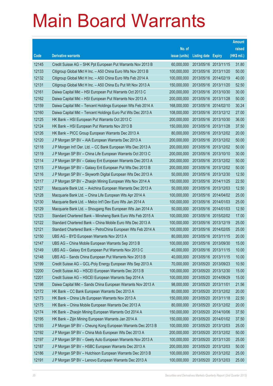|       |                                                              |               |                            |                       | <b>Amount</b> |
|-------|--------------------------------------------------------------|---------------|----------------------------|-----------------------|---------------|
|       |                                                              | No. of        |                            |                       | raised        |
| Code  | <b>Derivative warrants</b>                                   | issue (units) | <b>Listing date Expiry</b> |                       | (HK\$ mil.)   |
| 12145 | Credit Suisse AG – SHK Ppt European Put Warrants Nov 2013 B  | 60,000,000    |                            | 2013/05/16 2013/11/15 | 31.80         |
| 12133 | Citigroup Global Mkt H Inc. - A50 China Euro Wts Nov 2013 B  | 100,000,000   |                            | 2013/05/16 2013/11/20 | 50.00         |
| 12132 | Citigroup Global Mkt H Inc. - A50 China Euro Wts Feb 2014 A  | 100,000,000   |                            | 2013/05/16 2014/02/19 | 40.00         |
| 12131 | Citigroup Global Mkt H Inc. - A50 China Eu Put Wt Nov 2013 A | 150,000,000   |                            | 2013/05/16 2013/11/20 | 52.50         |
| 12161 | Daiwa Capital Mkt - HSI European Put Warrants Oct 2013 C     | 200,000,000   |                            | 2013/05/16 2013/10/30 | 30.00         |
| 12162 | Daiwa Capital Mkt - HSI European Put Warrants Nov 2013 A     | 200,000,000   | 2013/05/16 2013/11/28      |                       | 50.00         |
| 12159 | Daiwa Capital Mkt - Tencent Holdings European Wts Feb 2014 A | 168,000,000   |                            | 2013/05/16 2014/02/10 | 30.24         |
| 12160 | Daiwa Capital Mkt - Tencent Holdings Euro Put Wts Dec 2013 A | 108,000,000   |                            | 2013/05/16 2013/12/12 | 27.00         |
| 12125 | HK Bank – HSI European Put Warrants Oct 2013 C               | 200,000,000   |                            | 2013/05/16 2013/10/30 | 36.00         |
| 12124 | HK Bank - HSI European Put Warrants Nov 2013 B               | 150,000,000   | 2013/05/16 2013/11/28      |                       | 37.50         |
| 12126 | HK Bank - PICC Group European Warrants Dec 2013 A            | 80,000,000    |                            | 2013/05/16 2013/12/02 | 20.00         |
| 12120 | J P Morgan SP BV - AIA European Warrants Dec 2013 A          | 200,000,000   |                            | 2013/05/16 2013/12/02 | 50.00         |
| 12118 | J P Morgan Int'l Der. Ltd. - CC Bank European Wts Dec 2013 A | 200,000,000   |                            | 2013/05/16 2013/12/02 | 50.00         |
| 12119 | J P Morgan SP BV - China Life European Warrants Oct 2013 C   | 200,000,000   |                            | 2013/05/16 2013/10/10 | 30.00         |
| 12114 | J P Morgan SP BV - Galaxy Ent European Warrants Dec 2013 A   | 200,000,000   |                            | 2013/05/16 2013/12/02 | 50.00         |
| 12115 | J P Morgan SP BV - Galaxy Ent European Put Wts Dec 2013 B    | 200,000,000   |                            | 2013/05/16 2013/12/02 | 50.00         |
| 12116 | J P Morgan SP BV - Skyworth Digital European Wts Dec 2013 A  | 50,000,000    |                            | 2013/05/16 2013/12/30 | 12.50         |
| 12117 | J P Morgan SP BV - Zhaojin Mining European Wts Nov 2014 A    | 150,000,000   | 2013/05/16 2014/11/25      |                       | 22.50         |
| 12127 | Macquarie Bank Ltd. - Avichina European Warrants Dec 2013 A  | 50,000,000    | 2013/05/16 2013/12/03      |                       | 12.50         |
| 12128 | Macquarie Bank Ltd. - China Life European Wts Apr 2014 A     | 100,000,000   |                            | 2013/05/16 2014/04/02 | 25.00         |
| 12130 | Macquarie Bank Ltd. - Melco Int'l Dev Euro Wts Jan 2014 A    | 100,000,000   |                            | 2013/05/16 2014/01/03 | 25.00         |
| 12129 | Macquarie Bank Ltd. – Shougang Res European Wts Jan 2014 A   | 50,000,000    | 2013/05/16 2014/01/03      |                       | 12.50         |
| 12123 | Standard Chartered Bank - Minsheng Bank Euro Wts Feb 2015 A  | 100,000,000   |                            | 2013/05/16 2015/02/02 | 17.00         |
| 12122 | Standard Chartered Bank – China Mobile Euro Wts Dec 2013 A   | 100,000,000   | 2013/05/16 2013/12/19      |                       | 25.00         |
| 12121 | Standard Chartered Bank - PetroChina European Wts Feb 2014 A | 100,000,000   | 2013/05/16 2014/02/05      |                       | 25.00         |
| 12150 | UBS AG - BYD European Warrants Nov 2013 A                    | 80,000,000    | 2013/05/16 2013/11/15      |                       | 20.00         |
| 12147 | UBS AG – China Mobile European Warrants Sep 2013 B           | 100,000,000   | 2013/05/16 2013/09/30      |                       | 15.00         |
| 12149 | UBS AG - Galaxy Ent European Put Warrants Nov 2013 C         | 40,000,000    | 2013/05/16 2013/11/15      |                       | 10.00         |
| 12148 | UBS AG - Sands China European Put Warrants Nov 2013 B        | 40,000,000    |                            | 2013/05/16 2013/11/15 | 10.00         |
| 12199 | Credit Suisse AG - GCL-Poly Energy European Wts Sep 2013 A   | 70,000,000    | 2013/05/20 2013/09/23      |                       | 10.50         |
| 12200 | Credit Suisse AG - HSCEI European Warrants Dec 2013 B        | 100,000,000   |                            | 2013/05/20 2013/12/30 | 15.00         |
| 12201 | Credit Suisse AG - HSCEI European Warrants Sep 2014 A        | 100,000,000   | 2013/05/20 2014/09/29      |                       | 15.00         |
| 12198 | Daiwa Capital Mkt - Sands China European Warrants Nov 2013 A | 98,000,000    | 2013/05/20 2013/11/01      |                       | 21.56         |
| 12172 | HK Bank - CC Bank European Warrants Dec 2013 A               | 80,000,000    |                            | 2013/05/20 2013/12/02 | 20.00         |
| 12173 | HK Bank - China Life European Warrants Nov 2013 A            | 150,000,000   |                            | 2013/05/20 2013/11/18 | 22.50         |
| 12175 | HK Bank - China Mobile European Warrants Dec 2013 A          | 80,000,000    |                            | 2013/05/20 2013/12/02 | 20.00         |
| 12174 | HK Bank - Zhaojin Mining European Warrants Oct 2014 A        | 150,000,000   |                            | 2013/05/20 2014/10/06 | 37.50         |
| 12195 | HK Bank - Zijin Mining European Warrants Jan 2014 A          | 150,000,000   |                            | 2013/05/20 2014/01/02 | 37.50         |
| 12193 | J P Morgan SP BV - Cheung Kong European Warrants Dec 2013 B  | 100,000,000   |                            | 2013/05/20 2013/12/03 | 25.00         |
| 12192 | J P Morgan SP BV - China Mob European Wts Dec 2013 A         | 200,000,000   |                            | 2013/05/20 2013/12/02 | 50.00         |
| 12197 | J P Morgan SP BV - Geely Auto European Warrants Nov 2013 A   | 100,000,000   |                            | 2013/05/20 2013/11/20 | 25.00         |
| 12187 | J P Morgan SP BV - HSBC European Warrants Dec 2013 A         | 200,000,000   | 2013/05/20 2013/12/03      |                       | 50.00         |
| 12186 | J P Morgan SP BV - Hutchison European Warrants Dec 2013 B    | 100,000,000   |                            | 2013/05/20 2013/12/02 | 25.00         |
| 12191 | J P Morgan SP BV - Lenovo European Warrants Dec 2013 A       | 100,000,000   | 2013/05/20 2013/12/03      |                       | 25.00         |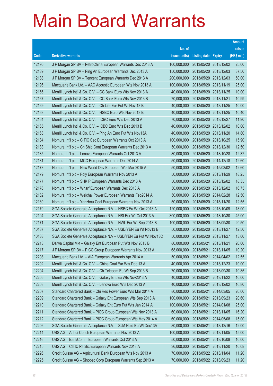|                |                                                                                                                            |                           |                            |                          | <b>Amount</b>  |
|----------------|----------------------------------------------------------------------------------------------------------------------------|---------------------------|----------------------------|--------------------------|----------------|
|                |                                                                                                                            | No. of                    |                            |                          | raised         |
| Code           | <b>Derivative warrants</b>                                                                                                 | issue (units)             | <b>Listing date Expiry</b> |                          | (HK\$ mil.)    |
| 12190          | J P Morgan SP BV - PetroChina European Warrants Dec 2013 A                                                                 | 100,000,000               |                            | 2013/05/20 2013/12/02    | 25.00          |
| 12189          | J P Morgan SP BV - Ping An European Warrants Dec 2013 A                                                                    | 150,000,000               |                            | 2013/05/20 2013/12/03    | 37.50          |
| 12188          | J P Morgan SP BV - Tencent European Warrants Dec 2013 A                                                                    | 200,000,000               |                            | 2013/05/20 2013/12/03    | 50.00          |
| 12196          | Macquarie Bank Ltd. - AAC Acoustic European Wts Nov 2013 A                                                                 | 100,000,000               |                            | 2013/05/20 2013/11/19    | 25.00          |
| 12166          | Merrill Lynch Int'l & Co. C.V. - CC Bank Euro Wts Nov 2013 A                                                               | 40,000,000                |                            | 2013/05/20 2013/11/25    | 10.00          |
| 12167          | Merrill Lynch Int'l & Co. C.V. - CC Bank Euro Wts Nov 2013 B                                                               | 70,000,000                | 2013/05/20 2013/11/21      |                          | 10.99          |
| 12169          | Merrill Lynch Int'l & Co. C.V. - Ch Life Eur Put Wt Nov 13 B                                                               | 40,000,000                |                            | 2013/05/20 2013/11/25    | 10.00          |
| 12168          | Merrill Lynch Int'l & Co. C.V. - HSBC Euro Wts Nov 2013 B                                                                  | 40,000,000                |                            | 2013/05/20 2013/11/25    | 10.40          |
| 12164          | Merrill Lynch Int'l & Co. C.V. - ICBC Euro Wts Dec 2013 A                                                                  | 70,000,000                |                            | 2013/05/20 2013/12/27    | 11.90          |
| 12165          | Merrill Lynch Int'l & Co. C.V. - ICBC Euro Wts Dec 2013 B                                                                  | 40,000,000                |                            | 2013/05/20 2013/12/02    | 10.00          |
| 12163          | Merrill Lynch Int'l & Co. C.V. - Ping An Euro Put Wts Nov13A                                                               | 40,000,000                |                            | 2013/05/20 2013/11/20    | 14.80          |
| 12184          | Nomura Int'l plc - CITIC Sec European Warrants Oct 2013 A                                                                  | 100,000,000               |                            | 2013/05/20 2013/10/25    | 15.90          |
| 12183          | Nomura Int'l plc - Ch Ship Cont European Warrants Dec 2013 A                                                               | 50,000,000                |                            | 2013/05/20 2013/12/30    | 12.50          |
| 12185          | Nomura Int'l plc - Lenovo European Warrants Oct 2013 A                                                                     | 80,000,000                |                            | 2013/05/20 2013/10/28    | 12.32          |
| 12181          | Nomura Int'l plc - MCC European Warrants Dec 2014 A                                                                        | 50,000,000                | 2013/05/20 2014/12/18      |                          | 12.60          |
| 12178          | Nomura Int'l plc - New World Dev European Wts Mar 2015 A                                                                   | 50,000,000                |                            | 2013/05/20 2015/03/02    | 12.60          |
| 12179          | Nomura Int'l plc - Poly European Warrants Nov 2013 A                                                                       | 50,000,000                |                            | 2013/05/20 2013/11/29    | 18.25          |
| 12177          | Nomura Int'l plc - SHK P European Warrants Dec 2013 A                                                                      | 50,000,000                |                            | 2013/05/20 2013/12/02    | 18.35          |
| 12176          | Nomura Int'l plc - Wharf European Warrants Dec 2013 A                                                                      | 50,000,000                |                            | 2013/05/20 2013/12/02    | 16.75          |
| 12182          | Nomura Int'l plc - Weichai Power European Warrants Feb2014 A                                                               | 50,000,000                | 2013/05/20 2014/02/28      |                          | 12.50          |
| 12180          | Nomura Int'l plc - Yanzhou Coal European Warrants Nov 2013 A                                                               | 50,000,000                |                            | 2013/05/20 2013/11/20    | 12.55          |
| 12170          | SGA Societe Generale Acceptance N.V. - HSBC Eu Wt Oct 2013 A                                                               | 120,000,000               |                            | 2013/05/20 2013/10/09    | 18.00          |
| 12194          | SGA Societe Generale Acceptance N.V. - HSI Eur Wt Oct 2013 A                                                               | 300,000,000               |                            | 2013/05/20 2013/10/30    | 45.00          |
| 12171          | SGA Societe Generale Acceptance N.V. - HWL Eur Wt Sep 2013 B                                                               | 100,000,000               |                            | 2013/05/20 2013/09/30    | 20.50          |
| 10187          | SGA Societe Generale Acceptance N.V. - USD/YEN Eu Wt Nov13 B                                                               | 50,000,000                |                            | 2013/05/20 2013/11/27    | 12.50          |
| 10188          | SGA Societe Generale Acceptance N.V - USD/YEN Eu Put Wt Nov13C                                                             | 50,000,000                | 2013/05/20 2013/11/27      |                          | 13.00          |
| 12213          | Daiwa Capital Mkt – Galaxy Ent European Put Wts Nov 2013 B                                                                 | 80,000,000                | 2013/05/21 2013/11/21      |                          | 20.00          |
| 12217          | J P Morgan SP BV - PICC Group European Warrants Nov 2013 A                                                                 | 68,000,000                |                            | 2013/05/21 2013/11/05    | 10.20          |
| 12208          | Macquarie Bank Ltd. - AIA European Warrants Apr 2014 A                                                                     | 50,000,000                | 2013/05/21                 | 2014/04/02               | 12.55          |
| 12202          | Merrill Lynch Int'l & Co. C.V. - China Coal Eur Wts Dec 13 A                                                               | 40,000,000                | 2013/05/21                 | 2013/12/23               | 10.00          |
| 12204          | Merrill Lynch Int'l & Co. C.V. - Ch Telecom Eu Wt Sep 2013 B                                                               | 70,000,000                | 2013/05/21                 | 2013/09/30<br>2013/11/22 | 10.85          |
| 12205          | Merrill Lynch Int'l & Co. C.V. - Galaxy Ent Eu Wts Nov2013 A                                                               | 40,000,000                | 2013/05/21                 |                          | 10.00<br>16.80 |
| 12203<br>12207 | Merrill Lynch Int'l & Co. C.V. - Lenovo Euro Wts Dec 2013 A<br>Standard Chartered Bank - Chi Res Power Euro Wts Mar 2014 A | 40,000,000<br>80,000,000  | 2013/05/21<br>2013/05/21   | 2013/12/02<br>2014/03/05 | 20.00          |
|                | Standard Chartered Bank - Galaxy Ent European Wts Sep 2013 A                                                               | 100,000,000               |                            |                          |                |
| 12209<br>12210 |                                                                                                                            | 100,000,000               | 2013/05/21                 | 2013/09/23               | 20.60          |
| 12211          | Standard Chartered Bank - Galaxy Ent Euro Put Wts Jan 2014 A                                                               | 60,000,000                | 2013/05/21<br>2013/05/21   | 2014/01/08               | 25.00          |
| 12212          | Standard Chartered Bank - PICC Group European Wts Nov 2013 A                                                               | 60,000,000                | 2013/05/21                 | 2013/11/05<br>2014/05/08 | 16.20<br>15.00 |
|                | Standard Chartered Bank - PICC Group European Wts May 2014 A                                                               |                           |                            |                          |                |
| 12206<br>12214 | SGA Societe Generale Acceptance N.V. - SJM Hold Eu Wt Dec13A                                                               | 80,000,000<br>100,000,000 | 2013/05/21                 | 2013/12/16               | 12.00<br>15.00 |
| 12216          | UBS AG - Anhui Conch European Warrants Nov 2013 A                                                                          | 50,000,000                | 2013/05/21<br>2013/05/21   | 2013/11/05               |                |
| 12215          | UBS AG - BankComm European Warrants Oct 2013 A                                                                             |                           |                            | 2013/10/08               | 10.00          |
|                | UBS AG - CITIC Pacific European Warrants Nov 2013 A                                                                        | 36,000,000                | 2013/05/21                 | 2013/11/20               | 10.08          |
| 12226          | Credit Suisse AG - Agricultural Bank European Wts Nov 2013 A                                                               | 70,000,000                | 2013/05/22 2013/11/04      |                          | 11.20          |
| 12225          | Credit Suisse AG - Sinopec Corp European Warrants Sep 2013 A                                                               | 70,000,000                | 2013/05/22 2013/09/23      |                          | 11.20          |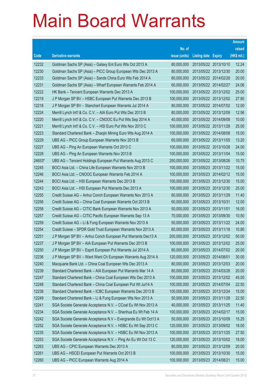|        |                                                                |               |                            |                       | <b>Amount</b> |
|--------|----------------------------------------------------------------|---------------|----------------------------|-----------------------|---------------|
|        |                                                                | No. of        |                            |                       | raised        |
| Code   | <b>Derivative warrants</b>                                     | issue (units) | <b>Listing date Expiry</b> |                       | (HK\$ mil.)   |
| 12232  | Goldman Sachs SP (Asia) - Galaxy Ent Euro Wts Oct 2013 A       | 80,000,000    |                            | 2013/05/22 2013/10/10 | 12.24         |
| 12230  | Goldman Sachs SP (Asia) - PICC Group European Wts Dec 2013 A   | 80,000,000    |                            | 2013/05/22 2013/12/30 | 20.00         |
| 12233  | Goldman Sachs SP (Asia) – Sands China Euro Wts Feb 2014 A      | 80,000,000    | 2013/05/22 2014/02/28      |                       | 20.00         |
| 12231  | Goldman Sachs SP (Asia) - Wharf European Warrants Feb 2014 A   | 60,000,000    |                            | 2013/05/22 2014/02/27 | 24.06         |
| 12222  | HK Bank - Tencent European Warrants Dec 2013 A                 | 100,000,000   |                            | 2013/05/22 2013/12/02 | 25.00         |
| 12219  | J P Morgan SP BV - HSBC European Put Warrants Dec 2013 B       | 100,000,000   |                            | 2013/05/22 2013/12/02 | 27.80         |
| 12218  | J P Morgan SP BV - Stanchart European Warrants Jul 2014 A      | 80,000,000    |                            | 2013/05/22 2014/07/02 | 12.00         |
| 12224  | Merrill Lynch Int'l & Co. C.V. - AIA Euro Put Wts Dec 2013 B   | 80,000,000    |                            | 2013/05/22 2013/12/09 | 12.56         |
| 12220  | Merrill Lynch Int'l & Co. C.V. - CNOOC Eu Put Wts Sep 2014 A   | 40,000,000    |                            | 2013/05/22 2014/09/08 | 10.00         |
| 12221  | Merrill Lynch Int'l & Co. C.V. - HSI Euro Put Wts Nov 2013 C   | 100,000,000   |                            | 2013/05/22 2013/11/28 | 25.00         |
| 12223  | Standard Chartered Bank - Zhaojin Mining Euro Wts Aug 2014 A   | 100,000,000   |                            | 2013/05/22 2014/08/08 | 15.00         |
| 12229  | UBS AG - PICC Group European Warrants Nov 2013 B               | 60,000,000    | 2013/05/22 2013/11/05      |                       | 13.20         |
| 12227  | UBS AG - Ping An European Warrants Oct 2013 C                  | 100,000,000   |                            | 2013/05/22 2013/10/28 | 24.00         |
| 12228  | UBS AG - Ping An European Warrants Nov 2013 B                  | 100,000,000   |                            | 2013/05/22 2013/11/04 | 15.00         |
| 24653# | UBS AG - Tencent Holdings European Put Warrants Aug 2013 C     | 250,000,000   |                            | 2013/05/22 2013/08/26 | 10.75         |
| 12245  | BOCI Asia Ltd. - China Life European Warrants Nov 2013 B       | 100,000,000   | 2013/05/23 2013/11/22      |                       | 15.00         |
| 12246  | BOCI Asia Ltd. - CNOOC European Warrants Feb 2014 A            | 100,000,000   |                            | 2013/05/23 2014/02/12 | 15.00         |
| 12244  | BOCI Asia Ltd. - HSI European Warrants Dec 2013 B              | 100,000,000   |                            | 2013/05/23 2013/12/30 | 15.00         |
| 12243  | BOCI Asia Ltd. - HSI European Put Warrants Dec 2013 A          | 100,000,000   |                            | 2013/05/23 2013/12/30 | 25.00         |
| 12255  | Credit Suisse AG - Anhui Conch European Warrants Nov 2013 A    | 60,000,000    | 2013/05/23 2013/11/29      |                       | 11.40         |
| 12256  | Credit Suisse AG - China Coal European Warrants Oct 2013 B     | 60,000,000    | 2013/05/23 2013/10/31      |                       | 12.00         |
| 12258  | Credit Suisse AG - CITIC Bank European Warrants Nov 2013 A     | 50,000,000    | 2013/05/23 2013/11/01      |                       | 16.00         |
| 12257  | Credit Suisse AG - CITIC Pacific European Warrants Sep 13 A    | 70,000,000    |                            | 2013/05/23 2013/09/30 | 10.50         |
| 12259  | Credit Suisse AG - Li & Fung European Warrants Nov 2013 A      | 50,000,000    |                            | 2013/05/23 2013/11/22 | 24.00         |
| 12254  | Credit Suisse - SPDR Gold Trust European Warrants Nov 2013 A   | 60,000,000    |                            | 2013/05/23 2013/11/18 | 10.80         |
| 12251  | J P Morgan SP BV - Anhui Conch European Put Warrants Dec13 A   | 200,000,000   |                            | 2013/05/23 2013/12/02 | 50.00         |
| 12237  | J P Morgan SP BV - AIA European Put Warrants Dec 2013 B        | 100,000,000   | 2013/05/23 2013/12/02      |                       | 25.00         |
| 12250  | J P Morgan SP BV - Esprit European Put Warrants Jul 2014 A     | 80,000,000    | 2013/05/23 2014/07/02      |                       | 20.00         |
| 12236  | J P Morgan SP BV - Want Want Ch European Warrants Aug 2014 A   | 120,000,000   | 2013/05/23 2014/08/01      |                       | 30.00         |
| 12240  | Macquarie Bank Ltd. - China Coal European Wts Dec 2013 A       | 80,000,000    | 2013/05/23 2013/12/03      |                       | 20.00         |
| 12239  | Standard Chartered Bank - AIA European Put Warrants Mar 14 A   | 80,000,000    | 2013/05/23 2014/03/28      |                       | 20.00         |
| 12247  | Standard Chartered Bank - China Coal European Wts Dec 2013 A   | 100,000,000   |                            | 2013/05/23 2013/12/02 | 45.00         |
| 12248  | Standard Chartered Bank - China Coal European Put Wt Jul14 A   | 100,000,000   | 2013/05/23 2014/07/04      |                       | 22.50         |
| 12238  | Standard Chartered Bank - ICBC European Warrants Dec 2013 B    | 100,000,000   | 2013/05/23 2013/12/24      |                       | 15.00         |
| 12249  | Standard Chartered Bank - Li & Fung European Wts Nov 2013 A    | 50,000,000    | 2013/05/23 2013/11/28      |                       | 22.50         |
| 12241  | SGA Societe Generale Acceptance N.V. - CCoal Eu Wt Nov 2013 A  | 40,000,000    |                            | 2013/05/23 2013/11/25 | 11.40         |
| 12234  | SGA Societe Generale Acceptance N.V. - Shenhua Eu Wt Feb 14 A  | 100,000,000   | 2013/05/23 2014/02/17      |                       | 15.00         |
| 12242  | SGA Societe Generale Acceptance N.V - Evergrande Eu Wt Oct13 A | 50,000,000    | 2013/05/23 2013/10/09      |                       | 15.25         |
| 12252  | SGA Societe Generale Acceptance N.V. - HSBC Eu Wt Sep 2013 C   | 120,000,000   |                            | 2013/05/23 2013/09/02 | 18.00         |
| 12235  | SGA Societe Generale Acceptance N.V. - HSBC Eu Wt Nov 2013 A   | 100,000,000   |                            | 2013/05/23 2013/11/25 | 27.50         |
| 12253  | SGA Societe Generale Acceptance N.V. - Ping An Eu Wt Oct 13 C  | 120,000,000   | 2013/05/23 2013/10/02      |                       | 18.00         |
| 12263  | UBS AG - CPIC European Warrants Dec 2013 A                     | 80,000,000    | 2013/05/23 2013/12/09      |                       | 20.00         |
| 12261  | UBS AG - HSCEI European Put Warrants Oct 2013 B                | 100,000,000   | 2013/05/23 2013/10/30      |                       | 15.00         |
| 12260  | UBS AG - PICC European Warrants Aug 2014 A                     | 100,000,000   | 2013/05/23 2014/08/21      |                       | 15.00         |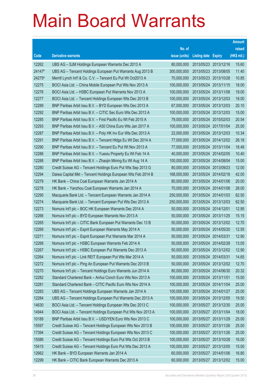|        |                                                               |               |                            | <b>Amount</b> |
|--------|---------------------------------------------------------------|---------------|----------------------------|---------------|
|        |                                                               | No. of        |                            | raised        |
| Code   | <b>Derivative warrants</b>                                    | issue (units) | <b>Listing date Expiry</b> | (HK\$ mil.)   |
| 12262  | UBS AG - SJM Holdings European Warrants Dec 2013 A            | 80,000,000    | 2013/05/23 2013/12/16      | 15.60         |
| 24147# | UBS AG - Tencent Holdings European Put Warrants Aug 2013 B    | 300,000,000   | 2013/05/23 2013/08/05      | 11.40         |
| 24275# | Merrill Lynch Int'l & Co. C.V. - Tencent Eu Put Wt Oct2013 A  | 70,000,000    | 2013/05/23 2013/10/28      | 10.85         |
| 12275  | BOCI Asia Ltd. - China Mobile European Put Wts Nov 2013 A     | 100,000,000   | 2013/05/24 2013/11/15      | 18.00         |
| 12276  | BOCI Asia Ltd. - HSBC European Put Warrants Nov 2013 A        | 100,000,000   | 2013/05/24 2013/11/08      | 19.00         |
| 12277  | BOCI Asia Ltd. - Tencent Holdings European Wts Dec 2013 B     | 100,000,000   | 2013/05/24 2013/12/03      | 18.00         |
| 12289  | BNP Paribas Arbit Issu B.V. - BYD European Wts Dec 2013 A     | 67,000,000    | 2013/05/24 2013/12/03      | 20.10         |
| 12292  | BNP Paribas Arbit Issu B.V. - CITIC Sec Euro Wts Dec 2013 A   | 100,000,000   | 2013/05/24 2013/12/03      | 15.00         |
| 12285  | BNP Paribas Arbit Issu B.V. - First Pacific Eu Wt Feb 2015 A  | 79,000,000    | 2013/05/24 2015/02/03      | 20.54         |
| 12293  | BNP Paribas Arbit Issu B.V. - A50 China Euro Wts Jan 2017 A   | 100,000,000   | 2013/05/24 2017/01/04      | 25.00         |
| 12287  | BNP Paribas Arbit Issu B.V. - Poly HK Inv Eur Wts Dec 2013 A  | 22,000,000    | 2013/05/24 2013/12/03      | 10.34         |
| 12291  | BNP Paribas Arbit Issu B.V. - Tencent HIdgs Eu Wt Dec 2014 A  | 77,000,000    | 2013/05/24 2014/12/02      | 26.18         |
| 12290  | BNP Paribas Arbit Issu B.V. - Tencent Eu Put Wt Nov 2013 A    | 77,000,000    | 2013/05/24 2013/11/04      | 18.48         |
| 12286  | BNP Paribas Arbit Issu B.V. - Yuexiu Property Eu Wt Feb 14 A  | 40,000,000    | 2013/05/24 2014/02/05      | 10.40         |
| 12288  | BNP Paribas Arbit Issu B.V. - Zhaojin Mining Eu Wt Aug 14 A   | 100,000,000   | 2013/05/24 2014/08/04      | 15.00         |
| 12280  | Credit Suisse AG - Tencent Holdings Euro Put Wts Sep 2013 G   | 80,000,000    | 2013/05/24 2013/09/23      | 12.00         |
| 12294  | Daiwa Capital Mkt - Tencent Holdings European Wts Feb 2014 B  | 168,000,000   | 2013/05/24 2014/02/18      | 42.00         |
| 12279  | HK Bank - China Coal European Warrants Jan 2014 A             | 80,000,000    | 2013/05/24 2014/01/06      | 20.00         |
| 12278  | HK Bank - Yanzhou Coal European Warrants Jan 2014 A           | 70,000,000    | 2013/05/24 2014/01/06      | 28.00         |
| 12295  | Macquarie Bank Ltd. - Tencent European Warrants Jan 2014 A    | 250,000,000   | 2013/05/24 2014/01/03      | 62.50         |
| 12274  | Macquarie Bank Ltd. - Tencent European Put Wts Dec 2013 A     | 250,000,000   | 2013/05/24 2013/12/03      | 62.50         |
| 12273  | Nomura Int'l plc - BOC HK European Warrants Dec 2014 A        | 50,000,000    | 2013/05/24 2014/12/01      | 12.95         |
| 12266  | Nomura Int'l plc - BYD European Warrants Nov 2013 A           | 50,000,000    | 2013/05/24 2013/11/25      | 15.15         |
| 12265  | Nomura Int'l plc - CITIC Bank European Put Warrants Dec 13 B  | 50,000,000    | 2013/05/24 2013/12/02      | 12.70         |
| 12269  | Nomura Int'l plc - Esprit European Warrants May 2014 A        | 50,000,000    | 2013/05/24 2014/05/20      | 12.55         |
| 12271  | Nomura Int'l plc - Esprit European Put Warrants Mar 2014 A    | 50,000,000    | 2013/05/24 2014/03/31      | 12.90         |
| 12268  | Nomura Int'l plc - HSBC European Warrants Feb 2014 A          | 50,000,000    | 2013/05/24 2014/02/28      | 13.05         |
| 12267  | Nomura Int'l plc - HSBC European Put Warrants Dec 2013 A      | 50,000,000    | 2013/05/24 2013/12/02      | 12.90         |
| 12264  | Nomura Int'l plc - Link REIT European Put Wts Mar 2014 A      | 50,000,000    | 2013/05/24 2014/03/31      | 14.65         |
| 12272  | Nomura Int'l plc - Ping An European Put Warrants Dec 2013 B   | 50,000,000    | 2013/05/24 2013/12/02      | 12.70         |
| 12270  | Nomura Int'l plc - Tencent Holdings Euro Warrants Jun 2014 A  | 80,000,000    | 2013/05/24 2014/06/30      | 20.32         |
| 12282  | Standard Chartered Bank - Anhui Conch Euro Wts Nov 2013 A     | 100,000,000   | 2013/05/24 2013/11/01      | 15.00         |
| 12281  | Standard Chartered Bank - CITIC Pacific Euro Wts Nov 2014 A   | 100,000,000   | 2013/05/24 2014/11/04      | 25.00         |
| 12283  | UBS AG - Tencent Holdings European Warrants Jan 2014 A        | 100,000,000   | 2013/05/24 2014/01/27      | 25.00         |
| 12284  | UBS AG - Tencent Holdings European Put Warrants Dec 2013 A    | 100,000,000   | 2013/05/24 2013/12/05      | 19.50         |
| 14630  | BOCI Asia Ltd. - Tencent Holdings European Wts Dec 2013 C     | 100,000,000   | 2013/05/27 2013/12/30      | 25.00         |
| 14944  | BOCI Asia Ltd. - Tencent Holdings European Put Wts Nov 2013 A | 100,000,000   | 2013/05/27 2013/11/04      | 18.00         |
| 10189  | BNP Paribas Arbit Issu B.V. - USD/YEN Euro Wts Nov 2013 C     | 100,000,000   | 2013/05/27 2013/11/29      | 25.00         |
| 15597  | Credit Suisse AG - Tencent Holdings European Wts Nov 2013 B   | 100,000,000   | 2013/05/27 2013/11/26      | 25.00         |
| 17394  | Credit Suisse AG - Tencent Holdings European Wts Nov 2013 C   | 100,000,000   | 2013/05/27 2013/11/26      | 25.00         |
| 15586  | Credit Suisse AG - Tencent Holdings Euro Put Wts Oct 2013 B   | 100,000,000   | 2013/05/27 2013/10/28      | 16.00         |
| 15415  | Credit Suisse AG - Tencent Holdings Euro Put Wts Dec 2013 A   | 100,000,000   | 2013/05/27 2013/12/05      | 15.00         |
| 12662  | HK Bank - BYD European Warrants Jan 2014 A                    | 60,000,000    | 2013/05/27 2014/01/06      | 16.80         |
| 12299  | HK Bank - CITIC Bank European Warrants Dec 2013 A             | 60,000,000    | 2013/05/27 2013/12/02      | 15.00         |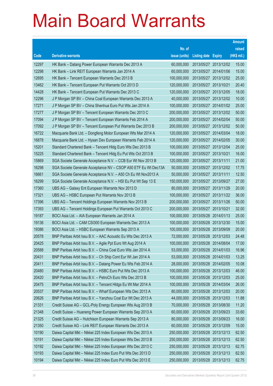|       |                                                                |               |                            |                       | <b>Amount</b> |
|-------|----------------------------------------------------------------|---------------|----------------------------|-----------------------|---------------|
|       |                                                                | No. of        |                            |                       | raised        |
| Code  | <b>Derivative warrants</b>                                     | issue (units) | <b>Listing date Expiry</b> |                       | (HK\$ mil.)   |
| 12297 | HK Bank – Datang Power European Warrants Dec 2013 A            | 60,000,000    |                            | 2013/05/27 2013/12/02 | 15.00         |
| 12298 | HK Bank - Link REIT European Warrants Jan 2014 A               | 60,000,000    |                            | 2013/05/27 2014/01/06 | 15.00         |
| 12695 | HK Bank – Tencent European Warrants Dec 2013 B                 | 100,000,000   | 2013/05/27                 | 2013/12/02            | 25.00         |
| 13462 | HK Bank – Tencent European Put Warrants Oct 2013 D             | 120,000,000   | 2013/05/27 2013/10/21      |                       | 20.40         |
| 14428 | HK Bank - Tencent European Put Warrants Dec 2013 C             | 120,000,000   |                            | 2013/05/27 2013/12/05 | 18.00         |
| 12296 | J P Morgan SP BV - China Coal European Warrants Dec 2013 A     | 40,000,000    | 2013/05/27 2013/12/02      |                       | 10.00         |
| 17271 | J P Morgan SP BV - China Shenhua Euro Put Wts Jan 2014 A       | 100,000,000   |                            | 2013/05/27 2014/01/02 | 25.00         |
| 17277 | J P Morgan SP BV - Tencent European Warrants Dec 2013 C        | 200,000,000   | 2013/05/27 2013/12/02      |                       | 50.00         |
| 17094 | J P Morgan SP BV - Tencent European Warrants Feb 2014 A        | 200,000,000   |                            | 2013/05/27 2014/02/04 | 50.00         |
| 17092 | J P Morgan SP BV - Tencent European Put Warrants Dec 2013 B    | 200,000,000   |                            | 2013/05/27 2013/12/02 | 50.00         |
| 16722 | Macquarie Bank Ltd. - Dongfeng Motor European Wts Mar 2014 A   | 120,000,000   |                            | 2013/05/27 2014/03/04 | 18.00         |
| 16878 | Macquarie Bank Ltd. - Hysan Dev European Warrants Feb 2014 A   | 120,000,000   | 2013/05/27 2014/02/05      |                       | 30.00         |
| 15201 | Standard Chartered Bank – Tencent Hidg Euro Wts Dec 2013 B     | 100,000,000   |                            | 2013/05/27 2013/12/04 | 25.00         |
| 15225 | Standard Chartered Bank – Tencent Hidg Eu Put Wts Oct 2013 B   | 100,000,000   | 2013/05/27 2013/10/21      |                       | 16.00         |
| 15869 | SGA Societe Generale Acceptance N.V. - CCB Eur Wt Nov 2013 B   | 120,000,000   | 2013/05/27 2013/11/11      |                       | 21.00         |
| 16298 | SGA Societe Generale Acceptance NV – CSOP A50 ETF Eu Wt Dec13A | 50,000,000    | 2013/05/27 2013/12/02      |                       | 17.75         |
| 16661 | SGA Societe Generale Acceptance N.V. - A50 Ch Eu Wt Nov2013 A  | 50,000,000    | 2013/05/27 2013/11/11      |                       | 12.50         |
| 16299 | SGA Societe Generale Acceptance N.V. - HSI Eu Put Wt Sep 13 E  | 150,000,000   |                            | 2013/05/27 2013/09/27 | 27.00         |
| 17360 | UBS AG - Galaxy Ent European Warrants Nov 2013 D               | 80,000,000    |                            | 2013/05/27 2013/11/29 | 20.00         |
| 17321 | UBS AG - HSBC European Put Warrants Nov 2013 B                 | 100,000,000   | 2013/05/27 2013/11/22      |                       | 36.00         |
| 17396 | UBS AG – Tencent Holdings European Warrants Nov 2013 B         | 200,000,000   |                            | 2013/05/27 2013/11/26 | 50.00         |
| 17393 | UBS AG - Tencent Holdings European Put Warrants Oct 2013 C     | 200,000,000   | 2013/05/27 2013/10/21      |                       | 32.00         |
| 19187 | BOCI Asia Ltd. - AIA European Warrants Jan 2014 A              | 100,000,000   |                            | 2013/05/28 2014/01/13 | 25.00         |
| 19136 | BOCI Asia Ltd. - CAM CSI300 European Warrants Dec 2013 A       | 100,000,000   | 2013/05/28 2013/12/30      |                       | 15.00         |
| 19386 | BOCI Asia Ltd. - HSBC European Warrants Sep 2013 A             | 100,000,000   |                            | 2013/05/28 2013/09/09 | 20.00         |
| 20578 | BNP Paribas Arbit Issu B.V. - AAC Acoustic Eu Wts Dec 2013 A   | 72,000,000    |                            | 2013/05/28 2013/12/03 | 24.48         |
| 20425 | BNP Paribas Arbit Issu B.V. - Agile Ppt Euro Wt Aug 2014 A     | 100,000,000   | 2013/05/28 2014/08/04      |                       | 17.00         |
| 20588 | BNP Paribas Arbit Issu B.V. - China Coal Euro Wts Jan 2014 A   | 53,000,000    | 2013/05/28 2014/01/03      |                       | 16.96         |
| 20431 | BNP Paribas Arbit Issu B.V. - Ch Ship Cont Eur Wt Jan 2014 A   | 53,000,000    |                            | 2013/05/28 2014/01/03 | 13.25         |
| 20411 | BNP Paribas Arbit Issu B.V. - Datang Power Eu Wts Feb 2014 A   | 28,000,000    | 2013/05/28 2014/02/05      |                       | 10.08         |
| 20480 | BNP Paribas Arbit Issu B.V. - HSBC Euro Put Wts Dec 2013 A     | 100,000,000   |                            | 2013/05/28 2013/12/03 | 46.00         |
| 20420 | BNP Paribas Arbit Issu B.V. - PetroCh Euro Wts Dec 2013 B      | 100,000,000   |                            | 2013/05/28 2013/12/03 | 25.00         |
| 20475 | BNP Paribas Arbit Issu B.V. - Tencent HIdgs Eu Wt Mar 2014 A   | 100,000,000   |                            | 2013/05/28 2014/03/04 | 26.00         |
| 20537 | BNP Paribas Arbit Issu B.V. - Wharf European Wts Dec 2013 A    | 80,000,000    |                            | 2013/05/28 2013/12/03 | 20.00         |
| 20626 | BNP Paribas Arbit Issu B.V. - Yanzhou Coal Eur Wt Dec 2013 A   | 44,000,000    |                            | 2013/05/28 2013/12/03 | 11.88         |
| 21331 | Credit Suisse AG - GCL-Poly Energy European Wts Aug 2013 B     | 70,000,000    |                            | 2013/05/28 2013/08/30 | 11.20         |
| 21348 | Credit Suisse - Huaneng Power European Warrants Sep 2013 A     | 60,000,000    |                            | 2013/05/28 2013/09/23 | 33.60         |
| 21325 | Credit Suisse AG - Hutchison European Warrants Sep 2013 A      | 80,000,000    | 2013/05/28 2013/09/23      |                       | 16.00         |
| 21350 | Credit Suisse AG - Link REIT European Warrants Dec 2013 A      | 60,000,000    |                            | 2013/05/28 2013/12/09 | 15.00         |
| 10190 | Daiwa Capital Mkt - Nikkei 225 Index European Wts Dec 2013 A   | 250,000,000   | 2013/05/28 2013/12/13      |                       | 62.50         |
| 10191 | Daiwa Capital Mkt - Nikkei 225 Index European Wts Dec 2013 B   | 250,000,000   |                            | 2013/05/28 2013/12/13 | 62.50         |
| 10192 | Daiwa Capital Mkt - Nikkei 225 Index European Wts Dec 2013 C   | 250,000,000   | 2013/05/28 2013/12/13      |                       | 62.75         |
| 10193 | Daiwa Capital Mkt - Nikkei 225 Index Euro Put Wts Dec 2013 D   | 250,000,000   |                            | 2013/05/28 2013/12/13 | 62.50         |
| 10194 | Daiwa Capital Mkt - Nikkei 225 Index Euro Put Wts Dec 2013 E   | 250,000,000   | 2013/05/28 2013/12/13      |                       | 62.75         |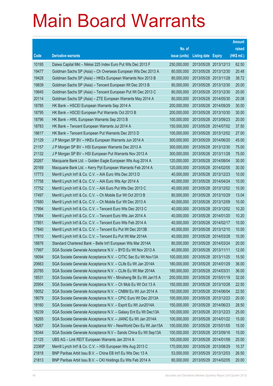|        |                                                                |               |                            |            | <b>Amount</b> |
|--------|----------------------------------------------------------------|---------------|----------------------------|------------|---------------|
|        |                                                                | No. of        |                            |            | raised        |
| Code   | <b>Derivative warrants</b>                                     | issue (units) | <b>Listing date Expiry</b> |            | (HK\$ mil.)   |
| 10195  | Daiwa Capital Mkt - Nikkei 225 Index Euro Put Wts Dec 2013 F   | 250,000,000   | 2013/05/28 2013/12/13      |            | 62.50         |
| 19477  | Goldman Sachs SP (Asia) - Ch Overseas European Wts Dec 2013 A  | 80,000,000    | 2013/05/28 2013/12/30      |            | 20.48         |
| 19428  | Goldman Sachs SP (Asia) – HKEx European Warrants Nov 2013 B    | 80,000,000    | 2013/05/28 2013/11/28      |            | 38.72         |
| 19839  | Goldman Sachs SP (Asia) - Tencent European Wt Dec 2013 B       | 80,000,000    | 2013/05/28 2013/12/30      |            | 20.00         |
| 19845  | Goldman Sachs SP (Asia) - Tencent European Put Wt Dec 2013 C   | 80,000,000    | 2013/05/28 2013/12/30      |            | 20.00         |
| 20114  | Goldman Sachs SP (Asia) - ZTE European Warrants May 2014 A     | 80,000,000    | 2013/05/28 2014/05/30      |            | 20.08         |
| 18785  | HK Bank - HSCEI European Warrants Sep 2014 A                   | 200,000,000   | 2013/05/28 2014/09/29      |            | 30.00         |
| 18795  | HK Bank - HSCEI European Put Warrants Oct 2013 B               | 200,000,000   | 2013/05/28 2013/10/30      |            | 30.00         |
| 18796  | HK Bank - HWL European Warrants Sep 2013 B                     | 100,000,000   | 2013/05/28 2013/09/23      |            | 20.00         |
| 18783  | HK Bank - Tencent European Warrants Jul 2014 A                 | 150,000,000   | 2013/05/28 2014/07/02      |            | 37.50         |
| 18617  | HK Bank - Tencent European Put Warrants Dec 2013 D             | 100,000,000   | 2013/05/28 2013/12/02      |            | 27.00         |
| 21129  | J P Morgan SP BV - HKEx European Warrants Jun 2014 A           | 300,000,000   | 2013/05/28 2014/06/20      |            | 45.00         |
| 21157  | J P Morgan SP BV - HSI European Warrants Dec 2013 A            | 300,000,000   | 2013/05/28 2013/12/30      |            | 75.00         |
| 21132  | J P Morgan SP BV - HSI European Put Warrants Nov 2013 A        | 300,000,000   | 2013/05/28 2013/11/28      |            | 75.00         |
| 20267  | Macquarie Bank Ltd. - Golden Eagle European Wts Aug 2014 A     | 120,000,000   | 2013/05/28 2014/08/04      |            | 30.00         |
| 20169  | Macquarie Bank Ltd. - Kerry Ppt European Warrants Feb 2014 A   | 120,000,000   | 2013/05/28 2014/02/05      |            | 30.00         |
| 17773  | Merrill Lynch Int'l & Co. C.V. - AIA Euro Wts Dec 2013 D       | 40,000,000    | 2013/05/28 2013/12/23      |            | 10.00         |
| 17758  | Merrill Lynch Int'l & Co. C.V. - AIA Euro Wts Apr 2014 A       | 40,000,000    | 2013/05/28 2014/04/24      |            | 10.00         |
| 17752  | Merrill Lynch Int'l & Co. C.V. - AIA Euro Put Wts Dec 2013 C   | 40,000,000    | 2013/05/28 2013/12/02      |            | 10.00         |
| 17497  | Merrill Lynch Int'l & Co. C.V. - Ch Mobile Eur Wt Oct 2013 B   | 80,000,000    | 2013/05/28 2013/10/29      |            | 13.04         |
| 17680  | Merrill Lynch Int'l & Co. C.V. - Ch Mobile Eur Wt Dec 2013 A   | 40,000,000    | 2013/05/28 2013/12/09      |            | 10.00         |
| 17994  | Merrill Lynch Int'l & Co. C.V. - Tencent Euro Wts Dec 2013 C   | 40,000,000    | 2013/05/28 2013/12/02      |            | 10.20         |
| 17984  | Merrill Lynch Int'l & Co. C.V. - Tencent Euro Wts Jan 2014 A   | 40,000,000    | 2013/05/28 2014/01/20      |            | 10.20         |
| 17851  | Merrill Lynch Int'l & Co. C.V. - Tencent Euro Wts Feb 2014 A   | 40,000,000    | 2013/05/28 2014/02/17      |            | 10.00         |
| 17840  | Merrill Lynch Int'l & Co. C.V. - Tencent Eu Put Wt Dec 2013B   | 40,000,000    | 2013/05/28 2013/12/10      |            | 10.00         |
| 17810  | Merrill Lynch Int'l & Co. C.V. - Tencent Eu Put Wt Mar 2014A   | 40,000,000    | 2013/05/28 2014/03/28      |            | 10.00         |
| 18876  | Standard Chartered Bank - Belle Int'l European Wts Mar 2014A   | 80,000,000    | 2013/05/28 2014/03/24      |            | 20.00         |
| 17997  | SGA Societe Generale Acceptance N.V. - BYD Eu Wt Nov 2013 A    | 40,000,000    | 2013/05/28 2013/11/11      |            | 12.00         |
| 18094  | SGA Societe Generale Acceptance N.V. - CITIC Sec Eu Wt Nov13A  | 100,000,000   | 2013/05/28 2013/11/25      |            | 15.50         |
| 20663  | SGA Societe Generale Acceptance N.V. - CLife Eu Wt Jan 2014A   | 180,000,000   | 2013/05/28 2014/01/29      |            | 36.00         |
| 20785  | SGA Societe Generale Acceptance N.V. - CLife Eu Wt Mar 2014A   | 180,000,000   | 2013/05/28 2014/03/31      |            | 36.00         |
| 18531  | SGA Societe Generale Acceptance NV - Minsheng Bk Eu Wt Jan15 A | 200,000,000   | 2013/05/28 2015/01/19      |            | 32.00         |
| 20954  | SGA Societe Generale Acceptance N.V. - Ch Mob Eu Wt Oct 13 A   | 150,000,000   | 2013/05/28 2013/10/28      |            | 22.50         |
| 18052  | SGA Societe Generale Acceptance N.V. - CNBM Eu Wt Jun 2014 A   | 150,000,000   | 2013/05/28 2014/06/04      |            | 22.50         |
| 18079  | SGA Societe Generale Acceptance N.V. - CPIC Euro Wt Dec 2013A  | 100,000,000   | 2013/05/28 2013/12/23      |            | 20.00         |
| 18160  | SGA Societe Generale Acceptance N.V. - Esprit Eu Wt Jun2014A   | 150,000,000   | 2013/05/28 2014/06/23      |            | 28.50         |
| 18239  | SGA Societe Generale Acceptance N.V. - Galaxy Ent Eu Wt Dec13A | 100,000,000   | 2013/05/28 2013/12/23      |            | 25.00         |
| 18265  | SGA Societe Generale Acceptance N.V. - JIANC Eu Wt Jan 2014A   | 100,000,000   | 2013/05/28 2014/01/22      |            | 15.00         |
| 18267  | SGA Societe Generale Acceptance NV - NewWorld Dev Eu Wt Jan15A | 100,000,000   | 2013/05/28 2015/01/05      |            | 15.00         |
| 18344  | SGA Societe Generale Acceptance N.V - Sands China Eu Wt Sep13A | 100,000,000   | 2013/05/28 2013/09/16      |            | 15.00         |
| 21125  | UBS AG - Link REIT European Warrants Jan 2014 A                | 100,000,000   | 2013/05/28 2014/01/09      |            | 25.00         |
| 23369# | Merrill Lynch Int'l & Co. C.V. - HSI European Wts Aug 2013 C   | 170,000,000   | 2013/05/28 2013/08/29      |            | 10.37         |
| 21818  | BNP Paribas Arbit Issu B.V. - China EB Int'l Eu Wts Dec 13 A   | 53,000,000    | 2013/05/29                 | 2013/12/03 | 26.50         |
| 21813  | BNP Paribas Arbit Issu B.V. - CKI Holdings Eu Wts Feb 2014 A   | 80,000,000    | 2013/05/29 2014/02/05      |            | 20.00         |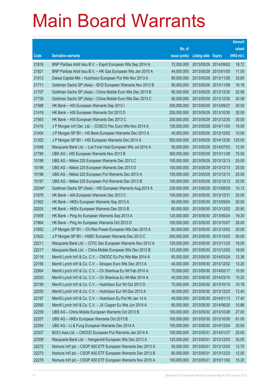|        |                                                               |               |                            |                       | <b>Amount</b> |
|--------|---------------------------------------------------------------|---------------|----------------------------|-----------------------|---------------|
|        |                                                               | No. of        |                            |                       | raised        |
| Code   | <b>Derivative warrants</b>                                    | issue (units) | <b>Listing date Expiry</b> |                       | (HK\$ mil.)   |
| 21816  | BNP Paribas Arbit Issu B.V. - Esprit European Wts Sep 2014 A  | 72,000,000    |                            | 2013/05/29 2014/09/02 | 18.72         |
| 21821  | BNP Paribas Arbit Issu B.V. - HK Gas European Wts Jan 2015 A  | 44,000,000    | 2013/05/29 2015/01/05      |                       | 11.00         |
| 21812  | Daiwa Capital Mkt - Hutchison European Put Wts Nov 2013 A     | 80,000,000    | 2013/05/29                 | 2013/11/28            | 33.60         |
| 21711  | Goldman Sachs SP (Asia) - BYD European Warrants Nov 2013 B    | 80,000,000    |                            | 2013/05/29 2013/11/08 | 16.16         |
| 21707  | Goldman Sachs SP (Asia) - China Mobile Euro Wts Dec 2013 B    | 80,000,000    | 2013/05/29                 | 2013/12/30            | 22.56         |
| 21729  | Goldman Sachs SP (Asia) - China Mobile Euro Wts Dec 2013 C    | 80,000,000    |                            | 2013/05/29 2013/12/30 | 20.08         |
| 21588  | HK Bank - HSI European Warrants Sep 2013 I                    | 200,000,000   | 2013/05/29                 | 2013/09/27            | 30.00         |
| 21419  | HK Bank - HSI European Warrants Oct 2013 D                    | 200,000,000   | 2013/05/29 2013/10/30      |                       | 30.00         |
| 21563  | HK Bank - HSI European Warrants Dec 2013 C                    | 200,000,000   |                            | 2013/05/29 2013/12/30 | 30.00         |
| 21416  | J P Morgan Int'l Der. Ltd. - COSCO Pac Euro Wts Nov 2014 A    | 100,000,000   |                            | 2013/05/29 2014/11/03 | 15.00         |
| 21404  | J P Morgan SP BV - HS Bank European Warrants Dec 2013 A       | 40,000,000    | 2013/05/29                 | 2013/12/02            | 10.00         |
| 21352  | J P Morgan SP BV - HSI European Warrants Dec 2014 A           | 500,000,000   | 2013/05/29 2014/12/30      |                       | 125.00        |
| 21648  | Macquarie Bank Ltd. - Luk Fook Hold European Wts Jul 2014 A   | 50,000,000    |                            | 2013/05/29 2014/07/03 | 12.50         |
| 21785  | UBS AG - HSI European Warrants Nov 2013 B                     | 300,000,000   | 2013/05/29 2013/11/28      |                       | 75.00         |
| 10198  | UBS AG - Nikkei 225 European Warrants Dec 2013 C              | 100,000,000   | 2013/05/29                 | 2013/12/13            | 25.00         |
| 10199  | UBS AG - Nikkei 225 European Warrants Dec 2013 D              | 100,000,000   | 2013/05/29 2013/12/13      |                       | 25.00         |
| 10196  | UBS AG - Nikkei 225 European Put Warrants Dec 2013 A          | 100,000,000   |                            | 2013/05/29 2013/12/13 | 25.00         |
| 10197  | UBS AG - Nikkei 225 European Put Warrants Dec 2013 B          | 100,000,000   | 2013/05/29 2013/12/13      |                       | 25.00         |
| 22244# | Goldman Sachs SP (Asia) - HSI European Warrants Aug 2013 A    | 230,000,000   | 2013/05/29                 | 2013/08/29            | 10.12         |
| 21876  | HK Bank – AIA European Warrants Dec 2013 C                    | 100,000,000   | 2013/05/30 2013/12/31      |                       | 25.00         |
| 21922  | HK Bank – HKEx European Warrants Sep 2013 A                   | 80,000,000    |                            | 2013/05/30 2013/09/24 | 20.00         |
| 22024  | HK Bank – HKEx European Warrants Dec 2013 B                   | 80,000,000    |                            | 2013/05/30 2013/12/02 | 20.80         |
| 21859  | HK Bank - Ping An European Warrants Sep 2013 A                | 120,000,000   | 2013/05/30 2013/09/24      |                       | 19.20         |
| 21864  | HK Bank - Ping An European Warrants Oct 2013 D                | 100,000,000   |                            | 2013/05/30 2013/10/07 | 28.00         |
| 21852  | J P Morgan SP BV - Chi Res Power European Wts Dec 2013 A      | 80,000,000    |                            | 2013/05/30 2013/12/02 | 20.00         |
| 21822  | J P Morgan SP BV - HSBC European Warrants Dec 2013 C          | 200,000,000   | 2013/05/30 2013/12/02      |                       | 50.00         |
| 22211  | Macquarie Bank Ltd. - CITIC Sec European Warrants Nov 2013 A  | 120,000,000   | 2013/05/30 2013/11/25      |                       | 18.00         |
| 22217  | Macquarie Bank Ltd. - China Mobile European Wts Dec 2013 B    | 120,000,000   | 2013/05/30 2013/12/02      |                       | 18.00         |
| 22116  | Merrill Lynch Int'l & Co. C.V. - CNOOC Eu Put Wts Mar 2014 A  | 60,000,000    | 2013/05/30 2014/03/24      |                       | 12.36         |
| 22156  | Merrill Lynch Int'l & Co. C.V. - Sinopec Euro Wts Dec 2013 A  | 40,000,000    |                            | 2013/05/30 2013/12/02 | 10.20         |
| 22064  | Merrill Lynch Int'l & Co. C.V. - Ch Shenhua Eu Wt Feb 2014 A  | 70,000,000    | 2013/05/30 2014/02/17      |                       | 10.50         |
| 22033  | Merrill Lynch Int'l & Co. C.V. - Ch Shenhua Eu Wt Mar 2014 A  | 40,000,000    | 2013/05/30 2014/03/10      |                       | 10.20         |
| 22199  | Merrill Lynch Int'l & Co. C.V. - Hutchison Eur Wt Oct 2013 D  | 70,000,000    | 2013/05/30 2013/10/15      |                       | 10.78         |
| 22030  | Merrill Lynch Int'l & Co. C.V. - Hutchison Eur Wt Dec 2013 A  | 40,000,000    | 2013/05/30 2013/12/23      |                       | 12.40         |
| 22197  | Merrill Lynch Int'l & Co. C.V. - Hutchison Eu Put Wt Jan 14 A | 40,000,000    | 2013/05/30 2014/01/13      |                       | 17.40         |
| 22090  | Merrill Lynch Int'l & Co. C.V. - JX Copper Eu Wts Jun 2014 A  | 60,000,000    | 2013/05/30 2014/06/20      |                       | 10.86         |
| 22259  | UBS AG - China Mobile European Warrants Oct 2013 B            | 100,000,000   | 2013/05/30 2013/10/28      |                       | 27.00         |
| 22257  | UBS AG - HKEx European Warrants Oct 2013 B                    | 100,000,000   | 2013/05/30 2013/10/30      |                       | 61.00         |
| 22254  | UBS AG - Li & Fung European Warrants Dec 2014 A               | 100,000,000   | 2013/05/30 2014/12/24      |                       | 20.00         |
| 22307  | BOCI Asia Ltd. - CNOOC European Put Warrants Jan 2014 A       | 100,000,000   | 2013/05/31 2014/01/27      |                       | 25.00         |
| 22309  | Macquarie Bank Ltd. - Henganintl European Wts Dec 2013 A      | 120,000,000   | 2013/05/31                 | 2013/12/03            | 30.00         |
| 22272  | Nomura Int'l plc - CSOP A50 ETF European Warrants Dec 2013 A  | 50,000,000    |                            | 2013/05/31 2013/12/02 | 12.70         |
| 22273  | Nomura Int'l plc - CSOP A50 ETF European Warrants Dec 2013 B  | 80,000,000    | 2013/05/31                 | 2013/12/23            | 12.00         |
| 22278  | Nomura Int'l plc - CSOP A50 ETF European Warrants Nov 2015 A  | 100,000,000   | 2013/05/31 2015/11/02      |                       | 15.20         |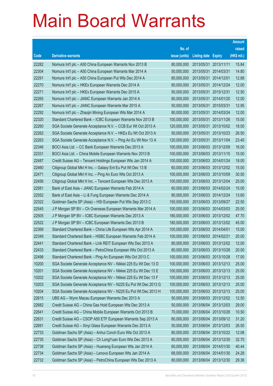|       |                                                                |               |                            |            | <b>Amount</b> |
|-------|----------------------------------------------------------------|---------------|----------------------------|------------|---------------|
|       |                                                                | No. of        |                            |            | raised        |
| Code  | <b>Derivative warrants</b>                                     | issue (units) | <b>Listing date Expiry</b> |            | (HK\$ mil.)   |
| 22282 | Nomura Int'l plc - A50 China European Warrants Nov 2013 B      | 80,000,000    | 2013/05/31 2013/11/11      |            | 15.84         |
| 22304 | Nomura Int'l plc - A50 China European Warrants Mar 2014 A      | 50,000,000    | 2013/05/31 2014/03/31      |            | 14.80         |
| 22291 | Nomura Int'l plc - A50 China European Put Wts Dec 2014 A       | 80,000,000    | 2013/05/31                 | 2014/12/01 | 12.88         |
| 22270 | Nomura Int'l plc - HKEx European Warrants Dec 2014 A           | 80,000,000    | 2013/05/31 2014/12/24      |            | 12.00         |
| 22271 | Nomura Int'l plc - HKEx European Warrants Dec 2015 A           | 50,000,000    | 2013/05/31                 | 2015/12/31 | 12.50         |
| 22265 | Nomura Int'l plc - JIANC European Warrants Jan 2014 A          | 80,000,000    | 2013/05/31 2014/01/20      |            | 12.00         |
| 22267 | Nomura Int'l plc - JIANC European Warrants Mar 2015 A          | 50,000,000    | 2013/05/31                 | 2015/03/31 | 12.95         |
| 22292 | Nomura Int'l plc - Zhaojin Mining European Wts Mar 2014 A      | 80,000,000    | 2013/05/31 2014/03/24      |            | 12.00         |
| 22320 | Standard Chartered Bank - ICBC European Warrants Nov 2013 B    | 100,000,000   | 2013/05/31                 | 2013/11/26 | 15.00         |
| 22260 | SGA Societe Generale Acceptance N.V. - CCB Eur Wt Oct 2013 A   | 120,000,000   | 2013/05/31 2013/10/02      |            | 18.00         |
| 22262 | SGA Societe Generale Acceptance N.V. - HKEx Eu Wt Oct 2013 A   | 50,000,000    | 2013/05/31                 | 2013/10/23 | 26.50         |
| 22263 | SGA Societe Generale Acceptance N.V. - Ping An Eu Wt Nov 13 A  | 120,000,000   | 2013/05/31 2013/11/04      |            | 23.40         |
| 22346 | BOCI Asia Ltd. - CC Bank European Warrants Dec 2013 A          | 100,000,000   | 2013/06/03 2013/12/09      |            | 16.00         |
| 22331 | BOCI Asia Ltd. - China Mobile European Warrants Nov 2013 B     | 100,000,000   | 2013/06/03 2013/11/15      |            | 15.00         |
| 22487 | Credit Suisse AG - Tencent Holdings European Wts Jan 2014 A    | 100,000,000   | 2013/06/03 2014/01/24      |            | 18.00         |
| 22460 | Citigroup Global Mkt H Inc. - Galaxy Ent Eu Put Wt Dec 13 B    | 60,000,000    | 2013/06/03 2013/12/02      |            | 15.00         |
| 22471 | Citigroup Global Mkt H Inc. - Ping An Euro Wts Oct 2013 A      | 100,000,000   | 2013/06/03 2013/10/09      |            | 30.50         |
| 22456 | Citigroup Global Mkt H Inc. - Tencent European Wts Dec 2013 A  | 100,000,000   | 2013/06/03 2013/12/04      |            | 25.00         |
| 22581 | Bank of East Asia - JIANC European Warrants Feb 2014 A         | 60,000,000    | 2013/06/03 2014/02/24      |            | 15.00         |
| 22552 | Bank of East Asia - Li & Fung European Warrants Dec 2014 A     | 80,000,000    | 2013/06/03 2014/12/24      |            | 13.60         |
| 22322 | Goldman Sachs SP (Asia) - HSI European Put Wts Sep 2013 C      | 150,000,000   | 2013/06/03 2013/09/27      |            | 22.50         |
| 22545 | J P Morgan SP BV - Ch Overseas European Warrants Mar 2014 A    | 100,000,000   | 2013/06/03 2014/03/03      |            | 25.00         |
| 22505 | J P Morgan SP BV - ICBC European Warrants Dec 2013 A           | 180,000,000   | 2013/06/03 2013/12/02      |            | 47.70         |
| 22522 | J P Morgan SP BV - ICBC European Warrants Dec 2013 B           | 180,000,000   | 2013/06/03 2013/12/02      |            | 45.00         |
| 22369 | Standard Chartered Bank - China Life European Wts Apr 2014 A   | 100,000,000   | 2013/06/03 2014/04/01      |            | 15.00         |
| 22349 | Standard Chartered Bank - HSBC European Warrants Feb 2014 A    | 100,000,000   | 2013/06/03 2014/02/21      |            | 20.00         |
| 22441 | Standard Chartered Bank - Link REIT European Wts Dec 2013 A    | 80,000,000    | 2013/06/03 2013/12/02      |            | 12.00         |
| 22433 | Standard Chartered Bank - PetroChina European Wts Oct 2013 A   | 80,000,000    | 2013/06/03 2013/10/28      |            | 20.00         |
| 22498 | Standard Chartered Bank - Ping An European Wts Oct 2013 C      | 100,000,000   | 2013/06/03 2013/10/28      |            | 17.00         |
| 10200 | SGA Societe Generale Acceptance NV - Nikkei 225 Eu Wt Dec 13 D | 100,000,000   | 2013/06/03 2013/12/13      |            | 25.00         |
| 10201 | SGA Societe Generale Acceptance NV - Nikkei 225 Eu Wt Dec 13 E | 100,000,000   | 2013/06/03 2013/12/13      |            | 25.00         |
| 10202 | SGA Societe Generale Acceptance NV - Nikkei 225 Eu Wt Dec 13 F | 100,000,000   | 2013/06/03 2013/12/13      |            | 25.00         |
| 10203 | SGA Societe Generale Acceptance NV - N225 Eu Put Wt Dec 2013 G | 100,000,000   | 2013/06/03 2013/12/13      |            | 25.00         |
| 10204 | SGA Societe Generale Acceptance NV - N225 Eu Put Wt Dec 2013 H | 100,000,000   | 2013/06/03 2013/12/13      |            | 25.00         |
| 22615 | UBS AG - Wynn Macau European Warrants Dec 2013 A               | 50,000,000    | 2013/06/03 2013/12/02      |            | 12.50         |
| 22682 | Credit Suisse AG - China Gas Hold European Wts Dec 2013 A      | 50,000,000    | 2013/06/04 2013/12/03      |            | 29.00         |
| 22641 | Credit Suisse AG - China Mobile European Warrants Oct 2013 B   | 70,000,000    | 2013/06/04                 | 2013/10/28 | 10.50         |
| 22631 | Credit Suisse AG - CSOP A50 ETF European Warrants Sep 2013 A   | 80,000,000    | 2013/06/04 2013/09/12      |            | 31.20         |
| 22691 | Credit Suisse AG - Xinyi Glass European Warrants Dec 2013 A    | 50,000,000    | 2013/06/04 2013/12/03      |            | 26.50         |
| 22733 | Goldman Sachs SP (Asia) - Anhui Conch Euro Wts Oct 2013 A      | 80,000,000    | 2013/06/04 2013/10/22      |            | 12.08         |
| 22735 | Goldman Sachs SP (Asia) - Ch Long Yuan Euro Wts Dec 2013 A     | 60,000,000    | 2013/06/04                 | 2013/12/30 | 32.70         |
| 22738 | Goldman Sachs SP (Asia) - Huaneng European Wts Jan 2014 A      | 60,000,000    | 2013/06/04 2014/01/30      |            | 40.44         |
| 22734 | Goldman Sachs SP (Asia) - Lenovo European Wts Jan 2014 A       | 68,000,000    | 2013/06/04 2014/01/30      |            | 24.28         |
| 22732 | Goldman Sachs SP (Asia) - PetroChina European Wts Dec 2013 A   | 80,000,000    | 2013/06/04 2013/12/30      |            | 29.36         |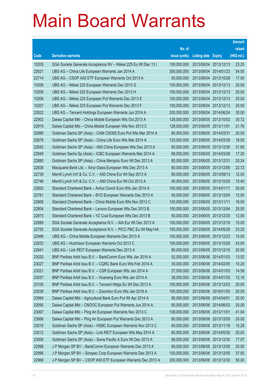|       |                                                                |               |                            |                       | <b>Amount</b> |
|-------|----------------------------------------------------------------|---------------|----------------------------|-----------------------|---------------|
|       |                                                                | No. of        |                            |                       | raised        |
| Code  | <b>Derivative warrants</b>                                     | issue (units) | <b>Listing date Expiry</b> |                       | (HK\$ mil.)   |
| 10205 | SGA Societe Generale Acceptance NV - Nikkei 225 Eu Wt Dec 13 I | 150,000,000   |                            | 2013/06/04 2013/12/13 | 23.25         |
| 22621 | UBS AG - China Life European Warrants Jan 2014 A               | 300,000,000   |                            | 2013/06/04 2014/01/23 | 54.00         |
| 22714 | UBS AG - CSOP A50 ETF European Warrants Oct 2013 A             | 50,000,000    |                            | 2013/06/04 2013/10/28 | 17.50         |
| 10208 | UBS AG - Nikkei 225 European Warrants Dec 2013 G               | 100,000,000   |                            | 2013/06/04 2013/12/13 | 25.00         |
| 10209 | UBS AG - Nikkei 225 European Warrants Dec 2013 H               | 100,000,000   |                            | 2013/06/04 2013/12/13 | 25.00         |
| 10206 | UBS AG - Nikkei 225 European Put Warrants Dec 2013 E           | 100,000,000   |                            | 2013/06/04 2013/12/13 | 25.00         |
| 10207 | UBS AG - Nikkei 225 European Put Warrants Dec 2013 F           | 100,000,000   |                            | 2013/06/04 2013/12/13 | 25.00         |
| 22622 | UBS AG - Tencent Holdings European Warrants Jun 2014 A         | 200,000,000   |                            | 2013/06/04 2014/06/24 | 30.00         |
| 22902 | Daiwa Capital Mkt - China Mobile European Wts Oct 2013 A       | 128,000,000   |                            | 2013/06/05 2013/10/02 | 30.72         |
| 22919 | Daiwa Capital Mkt - China Mobile European Wts Nov 2013 C       | 128,000,000   | 2013/06/05 2013/11/01      |                       | 21.76         |
| 22890 | Goldman Sachs SP (Asia) - CAM CSI300 Euro Put Wts Mar 2014 A   | 80,000,000    | 2013/06/05 2014/03/31      |                       | 20.00         |
| 22879 | Goldman Sachs SP (Asia) - China Life Euro Wts Mar 2014 A       | 120,000,000   |                            | 2013/06/05 2014/03/28 | 18.00         |
| 22842 | Goldman Sachs SP (Asia) - A50 China European Wts Dec 2013 A    | 80,000,000    |                            | 2013/06/05 2013/12/30 | 31.60         |
| 22849 | Goldman Sachs Sp (Asia) - ICBC European Warrants Mar 2014 A    | 68,000,000    |                            | 2013/06/05 2014/03/28 | 17.20         |
| 22880 | Goldman Sachs SP (Asia) - China Mengniu Euro Wt Dec 2013 A     | 80,000,000    | 2013/06/05 2013/12/31      |                       | 20.24         |
| 22838 | Macquarie Bank Ltd. - Xinyi Glass European Wts Dec 2013 A      | 80,000,000    |                            | 2013/06/05 2013/12/06 | 22.72         |
| 22739 | Merrill Lynch Int'l & Co. C.V. - A50 China Eur Wt Sep 2013 A   | 80,000,000    |                            | 2013/06/05 2013/09/13 | 12.00         |
| 22746 | Merrill Lynch Int'l & Co. C.V. - A50 China Eur Wt Oct 2013 A   | 40,000,000    |                            | 2013/06/05 2013/10/28 | 15.40         |
| 22820 | Standard Chartered Bank - Anhui Conch Euro Wts Jan 2014 A      | 100,000,000   |                            | 2013/06/05 2014/01/17 | 25.00         |
| 22781 | Standard Chartered Bank - BYD European Warrants Dec 2013 A     | 50,000,000    |                            | 2013/06/05 2013/12/04 | 12.50         |
| 22806 | Standard Chartered Bank - China Mobile Euro Wts Nov 2013 C     | 100,000,000   | 2013/06/05 2013/11/11      |                       | 16.00         |
| 22804 | Standard Chartered Bank - Lenovo European Wts Dec 2013 B       | 100,000,000   |                            | 2013/06/05 2013/12/04 | 25.00         |
| 22815 | Standard Chartered Bank - YZ Coal European Wts Dec 2013 B      | 50,000,000    |                            | 2013/06/05 2013/12/20 | 12.50         |
| 22889 | SGA Societe Generale Acceptance N.V. - AIA Eur Wt Dec 2013 A   | 100,000,000   |                            | 2013/06/05 2013/12/16 | 15.00         |
| 22755 | SGA Societe Generale Acceptance N.V. - PICC P&C Eu Wt May14A   | 150,000,000   |                            | 2013/06/05 2014/05/26 | 23.25         |
| 22946 | UBS AG - China Mobile European Warrants Dec 2013 A             | 100,000,000   |                            | 2013/06/05 2013/12/23 | 15.00         |
| 22833 | UBS AG - Hutchison European Warrants Oct 2013 C                | 100,000,000   |                            | 2013/06/05 2013/10/28 | 43.00         |
| 22941 | UBS AG - Link REIT European Warrants Dec 2013 A                | 80,000,000    |                            | 2013/06/05 2013/12/16 | 20.00         |
| 23020 | BNP Paribas Arbit Issu B.V. - BankComm Euro Wts Jan 2014 A     | 52,000,000    |                            | 2013/06/06 2014/01/03 | 13.52         |
| 23027 | BNP Paribas Arbit Issu B.V. - CQRC Bank Euro Wts Feb 2014 A    | 30,000,000    |                            | 2013/06/06 2014/02/05 | 10.20         |
| 23021 | BNP Paribas Arbit Issu B.V. - CSR European Wts Jan 2014 A      | 27,000,000    |                            | 2013/06/06 2014/01/03 | 14.58         |
| 23037 | BNP Paribas Arbit Issu B.V. - Huaneng Euro Wts Jan 2014 A      | 38,000,000    |                            | 2013/06/06 2014/01/03 | 12.16         |
| 23100 | BNP Paribas Arbit Issu B.V. - Tencent HIdgs Eu Wt Dec 2013 A   | 100,000,000   |                            | 2013/06/06 2013/12/03 | 20.00         |
| 23039 | BNP Paribas Arbit Issu B.V. - Zoomlion Euro Wts Jan 2016 A     | 100,000,000   |                            | 2013/06/06 2016/01/05 | 25.00         |
| 23064 | Daiwa Capital Mkt - Agricultural Bank Euro Put Wt Apr 2014 A   | 80,000,000    | 2013/06/06 2014/04/01      |                       | 20.00         |
| 23090 | Daiwa Capital Mkt - CNOOC European Put Warrants Jun 2014 A     | 80,000,000    |                            | 2013/06/06 2014/06/03 | 20.00         |
| 23067 | Daiwa Capital Mkt - Ping An European Warrants Nov 2013 C       | 108,000,000   | 2013/06/06 2013/11/01      |                       | 41.04         |
| 23066 | Daiwa Capital Mkt - Ping An European Put Warrants Dec 2013 A   | 80,000,000    |                            | 2013/06/06 2013/12/05 | 20.00         |
| 23016 | Goldman Sachs SP (Asia) - HSBC European Warrants Nov 2013 C    | 80,000,000    |                            | 2013/06/06 2013/11/18 | 15.28         |
| 23012 | Goldman Sachs SP (Asia) - Link REIT European Wts May 2014 A    | 80,000,000    |                            | 2013/06/06 2014/05/30 | 20.00         |
| 23006 | Goldman Sachs SP (Asia) - Swrie Pacific A Euro Wt Dec 2013 A   | 68,000,000    |                            | 2013/06/06 2013/12/30 | 17.07         |
| 22998 | J P Morgan SP BV - BankComm European Warrants Dec 2013 A       | 80,000,000    |                            | 2013/06/06 2013/12/05 | 20.00         |
| 22996 | J P Morgan SP BV - Sinopec Corp European Warrants Dec 2013 A   | 150,000,000   |                            | 2013/06/06 2013/12/05 | 37.50         |
| 22968 | J P Morgan SP BV - CSOP A50 ETF European Warrants Dec 2013 A   | 200,000,000   |                            | 2013/06/06 2013/12/30 | 50.00         |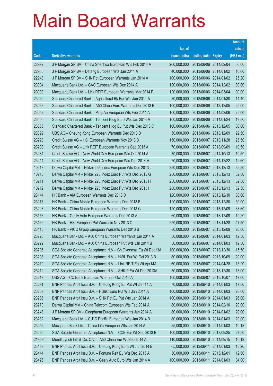|        |                                                                |               |                            |            | <b>Amount</b> |
|--------|----------------------------------------------------------------|---------------|----------------------------|------------|---------------|
|        |                                                                | No. of        |                            |            | raised        |
| Code   | <b>Derivative warrants</b>                                     | issue (units) | <b>Listing date Expiry</b> |            | (HK\$ mil.)   |
| 22992  | J P Morgan SP BV - China Shenhua European Wts Feb 2014 A       | 200,000,000   | 2013/06/06 2014/02/04      |            | 50.00         |
| 22955  | J P Morgan SP BV - Datang European Wts Jan 2014 A              | 40,000,000    | 2013/06/06 2014/01/02      |            | 10.60         |
| 22948  | J P Morgan SP BV - SHK Ppt European Warrants Jan 2014 A        | 100,000,000   | 2013/06/06 2014/01/02      |            | 25.20         |
| 23004  | Macquarie Bank Ltd. - GAC European Wts Dec 2014 A              | 120,000,000   | 2013/06/06 2014/12/02      |            | 30.00         |
| 23000  | Macquarie Bank Ltd. - Link REIT European Warrants Mar 2014 B   | 120,000,000   | 2013/06/06 2014/03/04      |            | 30.00         |
| 23060  | Standard Chartered Bank - Agricultural Bk Eur Wts Jan 2014 A   | 80,000,000    | 2013/06/06 2014/01/30      |            | 14.40         |
| 23063  | Standard Chartered Bank - A50 China Euro Warrants Dec 2013 B   | 100,000,000   | 2013/06/06 2013/12/05      |            | 25.00         |
| 23052  | Standard Chartered Bank - Ping An European Wts Feb 2014 A      | 100,000,000   | 2013/06/06 2014/02/06      |            | 25.00         |
| 23056  | Standard Chartered Bank - Tencent Hldg Euro Wts Jan 2014 A     | 100,000,000   | 2013/06/06 2014/01/24      |            | 19.50         |
| 23055  | Standard Chartered Bank - Tencent Hidg Eu Put Wts Dec 2013 C   | 100,000,000   | 2013/06/06 2013/12/05      |            | 30.00         |
| 23099  | UBS AG - Cheung Kong European Warrants Dec 2013 B              | 50,000,000    | 2013/06/06 2013/12/09      |            | 22.50         |
| 23223  | Credit Suisse AG - HSI European Warrants Nov 2013 B            | 150,000,000   | 2013/06/07 2013/11/28      |            | 25.50         |
| 23233  | Credit Suisse AG - Link REIT European Warrants Sep 2013 A      | 70,000,000    | 2013/06/07 2013/09/09      |            | 10.50         |
| 23234  | Credit Suisse AG - New World Dev European Wts Oct 2014 A       | 70,000,000    | 2013/06/07 2014/10/13      |            | 10.50         |
| 23244  | Credit Suisse AG - New World Dev European Wts Dec 2014 A       | 70,000,000    | 2013/06/07 2014/12/22      |            | 12.60         |
| 10213  | Daiwa Capital Mkt - Nikkei 225 Index European Wts Dec 2013 J   | 250,000,000   | 2013/06/07 2013/12/13      |            | 62.50         |
| 10210  | Daiwa Capital Mkt - Nikkei 225 Index Euro Put Wts Dec 2013 G   | 250,000,000   | 2013/06/07 2013/12/13      |            | 62.50         |
| 10211  | Daiwa Capital Mkt - Nikkei 225 Index Euro Put Wts Dec 2013 H   | 250,000,000   | 2013/06/07 2013/12/13      |            | 62.50         |
| 10212  | Daiwa Capital Mkt - Nikkei 225 Index Euro Put Wts Dec 2013 I   | 250,000,000   | 2013/06/07 2013/12/13      |            | 62.50         |
| 23144  | HK Bank - AIA European Warrants Dec 2013 D                     | 120,000,000   | 2013/06/07 2013/12/30      |            | 30.00         |
| 23178  | HK Bank - China Mobile European Warrants Dec 2013 B            | 120,000,000   | 2013/06/07 2013/12/30      |            | 30.00         |
| 23203  | HK Bank - China Mobile European Warrants Dec 2013 C            | 120,000,000   | 2013/06/07 2013/12/09      |            | 33.60         |
| 23156  | HK Bank - Geely Auto European Warrants Dec 2013 A              | 60,000,000    | 2013/06/07 2013/12/09      |            | 19.20         |
| 23169  | HK Bank - HSI European Put Warrants Nov 2013 C                 | 250,000,000   | 2013/06/07 2013/11/28      |            | 47.50         |
| 23113  | HK Bank - PICC Group European Warrants Dec 2013 B              | 80,000,000    | 2013/06/07 2013/12/09      |            | 20.00         |
| 23220  | Macquarie Bank Ltd. - A50 China European Warrants Jan 2014 A   | 50,000,000    | 2013/06/07 2014/01/03      |            | 12.50         |
| 23222  | Macquarie Bank Ltd. - A50 China European Put Wts Jan 2014 B    | 50,000,000    | 2013/06/07 2014/01/03      |            | 12.50         |
| 23206  | SGA Societe Generale Acceptance N.V - Ch Overseas Eu Wt Dec13A | 100,000,000   | 2013/06/07 2013/12/30      |            | 15.50         |
| 23208  | SGA Societe Generale Acceptance N.V. - HWL Eur Wt Oct 2013 B   | 80,000,000    | 2013/06/07 2013/10/09      |            | 20.00         |
| 23210  | SGA Societe Generale Acceptance N.V. - Link REIT Eu Wt Apr14A  | 60,000,000    | 2013/06/07 2014/04/28      |            | 13.20         |
| 23212  | SGA Societe Generale Acceptance N.V. - SHK P Eu Wt Dec 2013A   | 50,000,000    | 2013/06/07 2013/12/30      |            | 13.00         |
| 23217  | UBS AG - CC Bank European Warrants Oct 2013 A                  | 100,000,000   | 2013/06/07 2013/10/07      |            | 17.00         |
| 23291  | BNP Paribas Arbit Issu B.V. - Cheung Kong Eu Put Wt Jan 14 A   | 70,000,000    | 2013/06/10 2014/01/03      |            | 17.50         |
| 23287  | BNP Paribas Arbit Issu B.V. - HSBC Euro Put Wts Jan 2014 A     | 100,000,000   | 2013/06/10 2014/01/03      |            | 26.00         |
| 23286  | BNP Paribas Arbit Issu B.V. - SHK Ppt Eu Put Wts Jan 2014 A    | 100,000,000   | 2013/06/10 2014/01/03      |            | 26.00         |
| 23270  | Daiwa Capital Mkt - China Telecom European Wts Feb 2014 A      | 80,000,000    | 2013/06/10 2014/02/10      |            | 20.00         |
| 23248  | J P Morgan SP BV - Sinopharm European Warrants Jan 2014 A      | 80,000,000    | 2013/06/10 2014/01/02      |            | 20.00         |
| 23282  | Macquarie Bank Ltd. - CITIC Pacific European Wts Jan 2014 B    | 80,000,000    | 2013/06/10 2014/01/03      |            | 20.00         |
| 23256  | Macquarie Bank Ltd. - China Life European Wts Jan 2014 A       | 55,000,000    | 2013/06/10 2014/01/03      |            | 10.18         |
| 23260  | SGA Societe Generale Acceptance N.V. - CCB Eur Wt Sep 2013 B   | 100,000,000   | 2013/06/10 2013/09/25      |            | 27.50         |
| 21969# | Merrill Lynch Int'l & Co. C.V. - A50 China Eur Wt Sep 2014 A   | 110,000,000   | 2013/06/10 2014/09/15      |            | 10.12         |
| 23439  | BNP Paribas Arbit Issu B.V. - Cheung Kong Euro Wt Jan 2014 B   | 65,000,000    | 2013/06/11                 | 2014/01/03 | 18.20         |
| 23444  | BNP Paribas Arbit Issu B.V. - Fortune Reit Eu Wts Dec 2015 A   | 50,000,000    | 2013/06/11                 | 2015/12/01 | 12.50         |
| 23426  | BNP Paribas Arbit Issu B.V. - Geely Auto Euro Wts Jan 2014 A   | 100,000,000   | 2013/06/11                 | 2014/01/03 | 34.00         |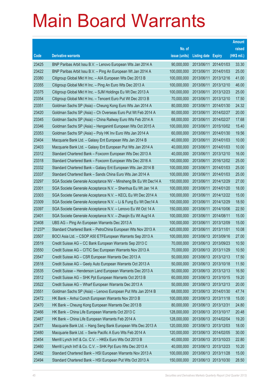|        |                                                                |               |                            |                       | <b>Amount</b> |
|--------|----------------------------------------------------------------|---------------|----------------------------|-----------------------|---------------|
|        |                                                                | No. of        |                            |                       | raised        |
| Code   | <b>Derivative warrants</b>                                     | issue (units) | <b>Listing date Expiry</b> |                       | (HK\$ mil.)   |
| 23425  | BNP Paribas Arbit Issu B.V. - Lenovo European Wts Jan 2014 A   | 90,000,000    |                            | 2013/06/11 2014/01/03 | 33.30         |
| 23422  | BNP Paribas Arbit Issu B.V. - Ping An European Wt Jan 2014 A   | 100,000,000   | 2013/06/11                 | 2014/01/03            | 25.00         |
| 23380  | Citigroup Global Mkt H Inc. - AIA European Wts Dec 2013 B      | 100,000,000   | 2013/06/11                 | 2013/12/16            | 41.00         |
| 23355  | Citigroup Global Mkt H Inc. - Ping An Euro Wts Dec 2013 A      | 100,000,000   | 2013/06/11                 | 2013/12/10            | 46.00         |
| 23375  | Citigroup Global Mkt H Inc. - SJM Holdings Eu Wt Dec 2013 A    | 100,000,000   | 2013/06/11                 | 2013/12/23            | 25.00         |
| 23354  | Citigroup Global Mkt H Inc. - Tencent Euro Put Wt Dec 2013 B   | 70,000,000    | 2013/06/11                 | 2013/12/10            | 17.50         |
| 23351  | Goldman Sachs SP (Asia) - Cheung Kong Euro Wts Jan 2014 A      | 80,000,000    | 2013/06/11                 | 2014/01/30            | 24.32         |
| 23420  | Goldman Sachs SP (Asia) - Ch Overseas Euro Put Wt Feb 2014 A   | 80,000,000    | 2013/06/11                 | 2014/02/27            | 20.00         |
| 23345  | Goldman Sachs SP (Asia) - China Railway Euro Wts Feb 2014 A    | 68,000,000    | 2013/06/11                 | 2014/02/27            | 17.68         |
| 23346  | Goldman Sachs SP (Asia) - Henganintl European Wts Oct 2015 A   | 100,000,000   | 2013/06/11                 | 2015/10/02            | 15.40         |
| 23353  | Goldman Sachs SP (Asia) - Poly HK Inv Euro Wts Jan 2014 A      | 60,000,000    | 2013/06/11                 | 2014/01/30            | 19.56         |
| 23404  | Macquarie Bank Ltd. - Galaxy Ent European Wts Jan 2014 B       | 40,000,000    | 2013/06/11                 | 2014/01/03            | 10.00         |
| 23403  | Macquarie Bank Ltd. - Galaxy Ent European Put Wts Jan 2014 A   | 40,000,000    | 2013/06/11                 | 2014/01/03            | 10.00         |
| 23312  | Standard Chartered Bank - Foxconn European Wts Dec 2013 A      | 40,000,000    | 2013/06/11                 | 2013/12/10            | 16.00         |
| 23318  | Standard Chartered Bank - Foxconn European Wts Dec 2016 A      | 100,000,000   | 2013/06/11                 | 2016/12/02            | 25.00         |
| 23332  | Standard Chartered Bank - Galaxy Ent European Wts Jan 2014 B   | 100,000,000   | 2013/06/11                 | 2014/01/03            | 25.00         |
| 23337  | Standard Chartered Bank - Sands China Euro Wts Jan 2014 A      | 100,000,000   | 2013/06/11                 | 2014/01/03            | 25.00         |
| 23297  | SGA Societe Generale Acceptance NV - Minsheng Bk Eu Wt Dec14 A | 150,000,000   | 2013/06/11                 | 2014/12/29            | 27.00         |
| 23301  | SGA Societe Generale Acceptance N.V. - Shenhua Eu Wt Jan 14 A  | 100,000,000   | 2013/06/11                 | 2014/01/20            | 18.00         |
| 23303  | SGA Societe Generale Acceptance N.V. - KECL Eu Wt Dec 2014 A   | 100,000,000   | 2013/06/11                 | 2014/12/22            | 15.00         |
| 23309  | SGA Societe Generale Acceptance N.V. - Li & Fung Eu Wt Dec14 A | 100,000,000   | 2013/06/11                 | 2014/12/29            | 18.50         |
| 23397  | SGA Societe Generale Acceptance N.V. - Lenovo Eu Wt Oct 14 A   | 150,000,000   | 2013/06/11                 | 2014/10/06            | 22.50         |
| 23401  | SGA Societe Generale Acceptance N.V. - Zhaojin Eu Wt Aug14 A   | 100,000,000   | 2013/06/11                 | 2014/08/11            | 15.00         |
| 23408  | UBS AG - Ping An European Warrants Dec 2013 A                  | 100,000,000   | 2013/06/11                 | 2013/12/09            | 15.00         |
| 21237# | Standard Chartered Bank - PetroChina European Wts Nov 2013 A   | 420,000,000   | 2013/06/11                 | 2013/11/01            | 10.08         |
| 23507  | BOCI Asia Ltd. - CSOP A50 ETFEuropean Warrants Sep 2013 A      | 100,000,000   | 2013/06/13 2013/09/16      |                       | 27.00         |
| 23519  | Credit Suisse AG - CC Bank European Warrants Sep 2013 C        | 70,000,000    | 2013/06/13 2013/09/23      |                       | 10.50         |
| 23550  | Credit Suisse AG - CITIC Sec European Warrants Nov 2013 A      | 70,000,000    | 2013/06/13 2013/11/29      |                       | 10.50         |
| 23547  | Credit Suisse AG - CSR European Warrants Dec 2013 A            | 50,000,000    | 2013/06/13 2013/12/13      |                       | 17.50         |
| 23518  | Credit Suisse AG - Geely Auto European Warrants Oct 2013 A     | 50,000,000    | 2013/06/13 2013/10/18      |                       | 11.50         |
| 23535  | Credit Suisse - Henderson Land European Warrants Dec 2013 A    | 50,000,000    | 2013/06/13 2013/12/13      |                       | 16.50         |
| 23512  | Credit Suisse AG - SHK Ppt European Warrants Oct 2013 B        | 60,000,000    |                            | 2013/06/13 2013/10/15 | 19.20         |
| 23522  | Credit Suisse AG - Wharf European Warrants Dec 2013 A          | 50,000,000    | 2013/06/13 2013/12/13      |                       | 20.00         |
| 23551  | Goldman Sachs SP (Asia) - Lenovo European Put Wts Jan 2014 B   | 68,000,000    |                            | 2013/06/13 2014/01/30 | 47.74         |
| 23472  | HK Bank - Anhui Conch European Warrants Nov 2013 B             | 100,000,000   | 2013/06/13 2013/11/18      |                       | 15.00         |
| 23470  | HK Bank - Cheung Kong European Warrants Dec 2013 B             | 80,000,000    | 2013/06/13 2013/12/31      |                       | 24.80         |
| 23466  | HK Bank - China Life European Warrants Oct 2013 C              | 128,000,000   | 2013/06/13 2013/10/17      |                       | 20.48         |
| 23467  | HK Bank - China Life European Warrants Feb 2014 A              | 128,000,000   | 2013/06/13 2014/02/04      |                       | 19.20         |
| 23477  | Macquarie Bank Ltd. - Hang Seng Bank European Wts Dec 2013 A   | 120,000,000   | 2013/06/13 2013/12/03      |                       | 18.00         |
| 23480  | Macquarie Bank Ltd. - Swrie Pacific A Euro Wts Feb 2014 A      | 120,000,000   |                            | 2013/06/13 2014/02/05 | 30.00         |
| 23454  | Merrill Lynch Int'l & Co. C.V. - HKEx Euro Wts Oct 2013 B      | 40,000,000    | 2013/06/13 2013/10/23      |                       | 22.80         |
| 23460  | Merrill Lynch Int'l & Co. C.V. - SHK Ppt Euro Wts Dec 2013 A   | 40,000,000    | 2013/06/13 2013/12/23      |                       | 10.20         |
| 23482  | Standard Chartered Bank - HSI European Warrants Nov 2013 A     | 100,000,000   | 2013/06/13 2013/11/28      |                       | 15.00         |
| 23494  | Standard Chartered Bank - HSI European Put Wts Oct 2013 A      | 150,000,000   | 2013/06/13 2013/10/30      |                       | 28.50         |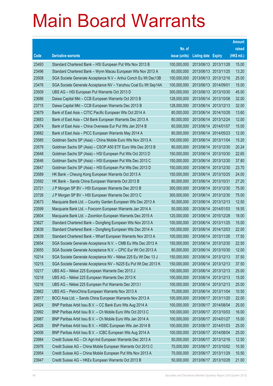|       |                                                                |               |                            |            | <b>Amount</b> |
|-------|----------------------------------------------------------------|---------------|----------------------------|------------|---------------|
|       |                                                                | No. of        |                            |            | raised        |
| Code  | <b>Derivative warrants</b>                                     | issue (units) | <b>Listing date Expiry</b> |            | (HK\$ mil.)   |
| 23493 | Standard Chartered Bank - HSI European Put Wts Nov 2013 B      | 100,000,000   | 2013/06/13 2013/11/28      |            | 15.00         |
| 23496 | Standard Chartered Bank - Wynn Macau European Wts Nov 2013 A   | 60,000,000    | 2013/06/13 2013/11/25      |            | 13.20         |
| 23508 | SGA Societe Generale Acceptance N.V - Anhui Conch Eu Wt Dec13B | 100,000,000   | 2013/06/13 2013/12/16      |            | 25.00         |
| 23476 | SGA Societe Generale Acceptance NV - Yanzhou Coal Eu Wt Sep14A | 100,000,000   | 2013/06/13 2014/09/01      |            | 15.00         |
| 23509 | UBS AG - HSI European Put Warrants Oct 2013 D                  | 300,000,000   | 2013/06/13 2013/10/30      |            | 45.00         |
| 23686 | Daiwa Capital Mkt - CCB European Warrants Oct 2013 B           | 128,000,000   | 2013/06/14 2013/10/08      |            | 32.00         |
| 23715 | Daiwa Capital Mkt - CCB European Warrants Dec 2013 B           | 128,000,000   | 2013/06/14                 | 2013/12/13 | 32.00         |
| 23679 | Bank of East Asia - CITIC Pacific European Wts Oct 2014 A      | 80,000,000    | 2013/06/14 2014/10/28      |            | 13.60         |
| 23683 | Bank of East Asia - CM Bank European Warrants Dec 2013 A       | 80,000,000    | 2013/06/14 2013/12/24      |            | 12.00         |
| 23674 | Bank of East Asia - China Overseas Eur Put Wts Jan 2014 B      | 60,000,000    | 2013/06/14 2014/01/07      |            | 15.00         |
| 23682 | Bank of East Asia - PICC European Warrants May 2014 A          | 80,000,000    | 2013/06/14                 | 2014/05/23 | 12.00         |
| 23585 | Goldman Sachs SP (Asia) - China Mobile Euro Wts Nov 2013 A     | 100,000,000   | 2013/06/14 2013/11/04      |            | 15.20         |
| 23579 | Goldman Sachs SP (Asia) - CSOP A50 ETF Euro Wts Dec 2013 B     | 80,000,000    | 2013/06/14                 | 2013/12/30 | 20.24         |
| 23648 | Goldman Sachs SP (Asia) - HSI European Put Wts Oct 2013 D      | 150,000,000   | 2013/06/14 2013/10/30      |            | 22.65         |
| 23646 | Goldman Sachs SP (Asia) - HSI European Put Wts Dec 2013 C      | 150,000,000   | 2013/06/14                 | 2013/12/30 | 37.80         |
| 23647 | Goldman Sachs SP (Asia) - HSI European Put Wts Dec 2013 D      | 150,000,000   | 2013/06/14 2013/12/30      |            | 23.70         |
| 23589 | HK Bank - Cheung Kong European Warrants Oct 2013 A             | 150,000,000   | 2013/06/14 2013/10/25      |            | 24.00         |
| 23592 | HK Bank - Sands China European Warrants Oct 2013 B             | 80,000,000    | 2013/06/14 2013/10/31      |            | 27.20         |
| 23721 | J P Morgan SP BV - HSI European Warrants Dec 2013 B            | 300,000,000   | 2013/06/14                 | 2013/12/30 | 75.00         |
| 23726 | J P Morgan SP BV - HSI European Warrants Dec 2013 C            | 300,000,000   | 2013/06/14 2013/12/30      |            | 75.00         |
| 23673 | Macquarie Bank Ltd. - Country Garden European Wts Dec 2013 A   | 50,000,000    | 2013/06/14                 | 2013/12/13 | 12.50         |
| 23599 | Macquarie Bank Ltd. - Foxconn European Warrants Jan 2014 A     | 50,000,000    | 2013/06/14 2014/01/03      |            | 18.55         |
| 23604 | Macquarie Bank Ltd. - Zoomlion European Warrants Dec 2015 A    | 120,000,000   | 2013/06/14                 | 2015/12/28 | 18.00         |
| 23627 | Standard Chartered Bank - Dongfeng European Wts Nov 2013 A     | 100,000,000   | 2013/06/14 2013/11/25      |            | 15.00         |
| 23638 | Standard Chartered Bank - Dongfeng European Wts Dec 2014 A     | 100,000,000   | 2013/06/14 2014/12/03      |            | 22.00         |
| 23639 | Standard Chartered Bank - Wharf European Warrants Nov 2013 A   | 100,000,000   | 2013/06/14 2013/11/26      |            | 17.50         |
| 23654 | SGA Societe Generale Acceptance N.V. - CMB Eu Wts Dec 2013 A   | 150,000,000   | 2013/06/14 2013/12/30      |            | 22.50         |
| 23655 | SGA Societe Generale Acceptance N.V. - CPIC Eur Wt Oct 2013 A  | 80,000,000    | 2013/06/14 2013/10/30      |            | 12.00         |
| 10214 | SGA Societe Generale Acceptance NV - Nikkei 225 Eu Wt Dec 13 J | 150,000,000   | 2013/06/14                 | 2013/12/13 | 37.50         |
| 10215 | SGA Societe Generale Acceptance NV - N225 Eu Put Wt Dec 2013 K | 150,000,000   | 2013/06/14 2013/12/13      |            | 37.50         |
| 10217 | UBS AG - Nikkei 225 European Warrants Dec 2013 J               | 100,000,000   | 2013/06/14 2013/12/13      |            | 25.00         |
| 10218 | UBS AG - Nikkei 225 European Warrants Dec 2013 K               | 100,000,000   | 2013/06/14 2013/12/13      |            | 15.00         |
| 10216 | UBS AG - Nikkei 225 European Put Warrants Dec 2013 I           | 100,000,000   | 2013/06/14                 | 2013/12/13 | 25.00         |
| 23662 | UBS AG - PetroChina European Warrants Nov 2013 A               | 70,000,000    | 2013/06/14 2013/11/04      |            | 10.50         |
| 23917 | BOCI Asia Ltd. - Sands China European Warrants Nov 2013 A      | 100,000,000   | 2013/06/17 2013/11/20      |            | 22.00         |
| 24024 | BNP Paribas Arbit Issu B.V. - CC Bank Euro Wts Aug 2014 A      | 100,000,000   | 2013/06/17 2014/08/04      |            | 25.00         |
| 23992 | BNP Paribas Arbit Issu B.V. - Ch Mobile Euro Wts Oct 2013 C    | 100,000,000   | 2013/06/17                 | 2013/10/03 | 16.00         |
| 23987 | BNP Paribas Arbit Issu B.V. - Ch Mobile Euro Wts Jan 2014 A    | 100,000,000   | 2013/06/17 2014/01/27      |            | 15.00         |
| 24026 | BNP Paribas Arbit Issu B.V. - HSBC European Wts Jan 2014 B     | 100,000,000   | 2013/06/17 2014/01/03      |            | 25.00         |
| 24006 | BNP Paribas Arbit Issu B.V. - ICBC European Wts Aug 2014 A     | 100,000,000   | 2013/06/17 2014/08/04      |            | 25.00         |
| 23984 | Credit Suisse AG - Ch Agri-Ind European Warrants Dec 2013 A    | 50,000,000    | 2013/06/17                 | 2013/12/16 | 12.50         |
| 23976 | Credit Suisse AG - China Mobile European Warrants Oct 2013 C   | 70,000,000    | 2013/06/17 2013/10/02      |            | 10.50         |
| 23954 | Credit Suisse AG - China Mobile European Put Wts Nov 2013 A    | 70,000,000    | 2013/06/17 2013/11/29      |            | 10.50         |
| 23947 | Credit Suisse AG - HKEx European Warrants Oct 2013 B           | 50,000,000    | 2013/06/17 2013/10/28      |            | 21.00         |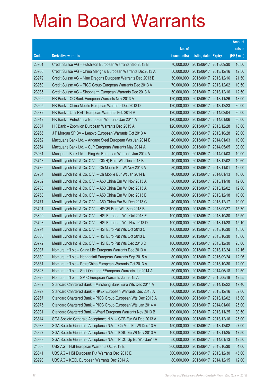|       |                                                              |               |                            |                       | <b>Amount</b> |
|-------|--------------------------------------------------------------|---------------|----------------------------|-----------------------|---------------|
|       |                                                              | No. of        |                            |                       | raised        |
| Code  | <b>Derivative warrants</b>                                   | issue (units) | <b>Listing date Expiry</b> |                       | (HK\$ mil.)   |
| 23951 | Credit Suisse AG - Hutchison European Warrants Sep 2013 B    | 70,000,000    |                            | 2013/06/17 2013/09/30 | 10.50         |
| 23986 | Credit Suisse AG - China Mengniu European Warrants Dec2013 A | 50,000,000    |                            | 2013/06/17 2013/12/16 | 12.50         |
| 23979 | Credit Suisse AG - Nine Dragons European Warrants Dec 2013 B | 50,000,000    |                            | 2013/06/17 2013/12/16 | 21.50         |
| 23960 | Credit Suisse AG - PICC Group European Warrants Dec 2013 A   | 70,000,000    |                            | 2013/06/17 2013/12/02 | 10.50         |
| 23985 | Credit Suisse AG - Sinopharm European Warrants Dec 2013 A    | 50,000,000    |                            | 2013/06/17 2013/12/16 | 12.50         |
| 23909 | HK Bank - CC Bank European Warrants Nov 2013 A               | 120,000,000   |                            | 2013/06/17 2013/11/26 | 18.00         |
| 23905 | HK Bank - China Mobile European Warrants Dec 2013 D          | 120,000,000   |                            | 2013/06/17 2013/12/23 | 30.00         |
| 23872 | HK Bank - Link REIT European Warrants Feb 2014 A             | 120,000,000   |                            | 2013/06/17 2014/02/04 | 30.00         |
| 23912 | HK Bank - PetroChina European Warrants Jan 2014 A            | 120,000,000   |                            | 2013/06/17 2014/01/06 | 30.00         |
| 23857 | HK Bank - Zoomlion European Warrants Dec 2015 A              | 120,000,000   |                            | 2013/06/17 2015/12/28 | 18.00         |
| 23966 | J P Morgan SP BV - Lenovo European Warrants Oct 2013 A       | 80,000,000    |                            | 2013/06/17 2013/10/28 | 20.00         |
| 23962 | Macquarie Bank Ltd. - Angang Steel European Wts Jan 2014 B   | 40,000,000    |                            | 2013/06/17 2014/01/03 | 10.00         |
| 23964 | Macquarie Bank Ltd. - CLP European Warrants May 2014 A       | 120,000,000   |                            | 2013/06/17 2014/05/05 | 30.00         |
| 23961 | Macquarie Bank Ltd. - Ping An European Warrants Jan 2014 A   | 40,000,000    |                            | 2013/06/17 2014/01/03 | 10.00         |
| 23748 | Merrill Lynch Int'l & Co. C.V. - CK(H) Euro Wts Dec 2013 B   | 40,000,000    |                            | 2013/06/17 2013/12/02 | 10.60         |
| 23736 | Merrill Lynch Int'l & Co. C.V. - Ch Mobile Eur Wt Nov 2013 A | 80,000,000    | 2013/06/17 2013/11/01      |                       | 12.00         |
| 23734 | Merrill Lynch Int'l & Co. C.V. - Ch Mobile Eur Wt Jan 2014 B | 40,000,000    |                            | 2013/06/17 2014/01/13 | 10.00         |
| 23752 | Merrill Lynch Int'l & Co. C.V. - A50 China Eur Wt Nov 2013 A | 80,000,000    |                            | 2013/06/17 2013/11/18 | 12.00         |
| 23753 | Merrill Lynch Int'l & Co. C.V. - A50 China Eur Wt Dec 2013 A | 80,000,000    |                            | 2013/06/17 2013/12/02 | 12.00         |
| 23758 | Merrill Lynch Int'l & Co. C.V. - A50 China Eur Wt Dec 2013 B | 40,000,000    |                            | 2013/06/17 2013/12/18 | 10.00         |
| 23771 | Merrill Lynch Int'l & Co. C.V. - A50 China Eur Wt Dec 2013 C | 40,000,000    |                            | 2013/06/17 2013/12/17 | 10.00         |
| 23791 | Merrill Lynch Int'l & Co. C.V. - HSCEI Euro Wts Sep 2013 B   | 100,000,000   |                            | 2013/06/17 2013/09/27 | 15.70         |
| 23809 | Merrill Lynch Int'l & Co. C.V. - HSI European Wts Oct 2013 E | 100,000,000   |                            | 2013/06/17 2013/10/30 | 15.50         |
| 23793 | Merrill Lynch Int'l & Co. C.V. - HSI European Wts Nov 2013 D | 100,000,000   |                            | 2013/06/17 2013/11/28 | 15.10         |
| 23794 | Merrill Lynch Int'l & Co. C.V. - HSI Euro Put Wts Oct 2013 C | 100,000,000   |                            | 2013/06/17 2013/10/30 | 15.50         |
| 23805 | Merrill Lynch Int'l & Co. C.V. - HSI Euro Put Wts Oct 2013 D | 100,000,000   |                            | 2013/06/17 2013/10/30 | 15.60         |
| 23772 | Merrill Lynch Int'l & Co. C.V. - HSI Euro Put Wts Dec 2013 D | 100,000,000   |                            | 2013/06/17 2013/12/30 | 25.00         |
| 23937 | Nomura Int'l plc - China Life European Warrants Dec 2013 A   | 80,000,000    | 2013/06/17 2013/12/24      |                       | 12.16         |
| 23839 | Nomura Int'l plc - Henganintl European Warrants Sep 2015 A   | 80,000,000    |                            | 2013/06/17 2015/09/24 | 12.96         |
| 23831 | Nomura Int'l plc - PetroChina European Warrants Oct 2013 A   | 80,000,000    |                            | 2013/06/17 2013/10/30 | 12.00         |
| 23828 | Nomura Int'l plc - Shui On Land EEuropean Warrants Jun2014 A | 50,000,000    |                            | 2013/06/17 2014/06/18 | 12.50         |
| 23923 | Nomura Int'l plc - SMIC European Warrants Jun 2015 A         | 50,000,000    | 2013/06/17 2015/06/18      |                       | 12.55         |
| 23932 | Standard Chartered Bank - Minsheng Bank Euro Wts Dec 2014 A  | 100,000,000   |                            | 2013/06/17 2014/12/22 | 17.40         |
| 23927 | Standard Chartered Bank - HKEx European Warrants Dec 2013 A  | 80,000,000    |                            | 2013/06/17 2013/12/16 | 32.00         |
| 23967 | Standard Chartered Bank - PICC Group European Wts Dec 2013 A | 100,000,000   |                            | 2013/06/17 2013/12/02 | 15.00         |
| 23975 | Standard Chartered Bank - PICC Group European Wts Jan 2014 A | 100,000,000   | 2013/06/17 2014/01/06      |                       | 25.00         |
| 23931 | Standard Chartered Bank - Wharf European Warrants Nov 2013 B | 100,000,000   |                            | 2013/06/17 2013/11/25 | 30.50         |
| 23814 | SGA Societe Generale Acceptance N.V. - CCB Eur Wt Dec 2013 A | 100,000,000   |                            | 2013/06/17 2013/12/16 | 25.00         |
| 23938 | SGA Societe Generale Acceptance N.V. - Ch Mob Eu Wt Dec 13 A | 150,000,000   |                            | 2013/06/17 2013/12/02 | 27.00         |
| 23827 | SGA Societe Generale Acceptance N.V. - ICBC Eu Wt Nov 2013 A | 100,000,000   |                            | 2013/06/17 2013/11/25 | 17.50         |
| 23939 | SGA Societe Generale Acceptance N.V. - PICC Gp Eu Wts Jan14A | 50,000,000    |                            | 2013/06/17 2014/01/13 | 12.50         |
| 24003 | UBS AG - HSI European Warrants Oct 2013 E                    | 300,000,000   |                            | 2013/06/17 2013/10/30 | 54.00         |
| 23841 | UBS AG - HSI European Put Warrants Dec 2013 E                | 300,000,000   |                            | 2013/06/17 2013/12/30 | 45.00         |
| 23993 | UBS AG - KECL European Warrants Dec 2014 A                   | 80,000,000    | 2013/06/17 2014/12/15      |                       | 12.00         |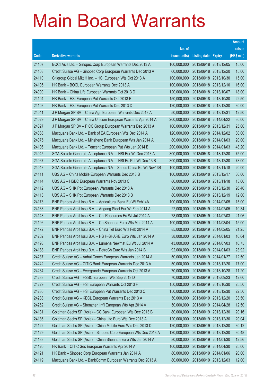|       |                                                                |               |                            |                       | <b>Amount</b> |
|-------|----------------------------------------------------------------|---------------|----------------------------|-----------------------|---------------|
|       |                                                                | No. of        |                            |                       | raised        |
| Code  | <b>Derivative warrants</b>                                     | issue (units) | <b>Listing date Expiry</b> |                       | (HK\$ mil.)   |
| 24107 | BOCI Asia Ltd. - Sinopec Corp European Warrants Dec 2013 A     | 100,000,000   |                            | 2013/06/18 2013/12/05 | 15.00         |
| 24108 | Credit Suisse AG - Sinopec Corp European Warrants Dec 2013 A   | 60,000,000    |                            | 2013/06/18 2013/12/20 | 15.00         |
| 24110 | Citigroup Global Mkt H Inc. - HSI European Wts Oct 2013 A      | 100,000,000   |                            | 2013/06/18 2013/10/30 | 15.00         |
| 24105 | HK Bank - BOCL European Warrants Dec 2013 A                    | 100,000,000   |                            | 2013/06/18 2013/12/10 | 16.00         |
| 24090 | HK Bank - China Life European Warrants Oct 2013 D              | 120,000,000   |                            | 2013/06/18 2013/10/07 | 18.00         |
| 24104 | HK Bank - HSI European Put Warrants Oct 2013 E                 | 150,000,000   |                            | 2013/06/18 2013/10/30 | 22.50         |
| 24103 | HK Bank - HSI European Put Warrants Dec 2013 D                 | 120,000,000   |                            | 2013/06/18 2013/12/30 | 30.00         |
| 24041 | J P Morgan SP BV - China Agri European Warrants Dec 2013 A     | 50,000,000    | 2013/06/18 2013/12/31      |                       | 12.50         |
| 24029 | J P Morgan SP BV - China Unicom European Warrants Apr 2014 A   | 200,000,000   |                            | 2013/06/18 2014/04/22 | 30.00         |
| 24027 | J P Morgan SP BV - PICC Group European Warrants Dec 2013 A     | 100,000,000   | 2013/06/18 2013/12/31      |                       | 25.00         |
| 24088 | Macquarie Bank Ltd. - Bank of EA European Wts Dec 2014 A       | 120,000,000   |                            | 2013/06/18 2014/12/02 | 30.00         |
| 24075 | Macquarie Bank Ltd. - Minsheng Bank European Wts Jan 2014 A    | 80,000,000    |                            | 2013/06/18 2014/01/03 | 20.00         |
| 24106 | Macquarie Bank Ltd. - Tencent European Put Wts Jan 2014 B      | 200,000,000   |                            | 2013/06/18 2014/01/03 | 48.20         |
| 24045 | SGA Societe Generale Acceptance N.V. - HSI Eur Wt Dec 2013 A   | 300,000,000   |                            | 2013/06/18 2013/12/30 | 75.00         |
| 24067 | SGA Societe Generale Acceptance N.V. - HSI Eu Put Wt Dec 13 B  | 300,000,000   | 2013/06/18 2013/12/30      |                       | 78.00         |
| 24043 | SGA Societe Generale Acceptance N.V - Sands China Eu Wt Nov13B | 100,000,000   |                            | 2013/06/18 2013/11/18 | 20.00         |
| 24111 | UBS AG - China Mobile European Warrants Dec 2013 B             | 100,000,000   | 2013/06/18 2013/12/17      |                       | 30.00         |
| 24114 | UBS AG - HSBC European Warrants Nov 2013 C                     | 80,000,000    |                            | 2013/06/18 2013/11/18 | 13.60         |
| 24112 | UBS AG - SHK Ppt European Warrants Dec 2013 A                  | 80,000,000    |                            | 2013/06/18 2013/12/30 | 26.40         |
| 24113 | UBS AG - SHK Ppt European Warrants Dec 2013 B                  | 80,000,000    |                            | 2013/06/18 2013/12/19 | 12.00         |
| 24173 | BNP Paribas Arbit Issu B.V. - Agricultural Bank Eu Wt Feb14A   | 100,000,000   |                            | 2013/06/19 2014/02/05 | 15.00         |
| 24138 | BNP Paribas Arbit Issu B.V. - Angang Steel Eur Wt Feb 2014 A   | 22,000,000    |                            | 2013/06/19 2014/02/05 | 10.34         |
| 24148 | BNP Paribas Arbit Issu B.V. - Chi Resources Eu Wt Jul 2014 A   | 78,000,000    | 2013/06/19 2014/07/03      |                       | 21.06         |
| 24196 | BNP Paribas Arbit Issu B.V. - Ch Shenhua Euro Wts Mar 2014 A   | 100,000,000   | 2013/06/19 2014/03/04      |                       | 15.00         |
| 24172 | BNP Paribas Arbit Issu B.V. - China Tel Euro Wts Feb 2014 A    | 85,000,000    |                            | 2013/06/19 2014/02/05 | 21.25         |
| 24202 | BNP Paribas Arbit Issu B.V. - HS H-SHARE Euro Wts Jan 2014 A   | 38,000,000    | 2013/06/19 2014/01/03      |                       | 10.64         |
| 24198 | BNP Paribas Arbit Issu B.V. – Lumena Newmat Eu Wt Jul 2014 A   | 43,000,000    |                            | 2013/06/19 2014/07/03 | 10.75         |
| 24188 | BNP Paribas Arbit Issu B.V. - PetroCh Euro Wts Jan 2014 B      | 92,000,000    | 2013/06/19 2014/01/03      |                       | 23.92         |
| 24237 | Credit Suisse AG - Anhui Conch European Warrants Jan 2014 A    | 50,000,000    | 2013/06/19 2014/01/27      |                       | 12.50         |
| 24242 | Credit Suisse AG - CITIC Bank European Warrants Dec 2013 A     | 50,000,000    |                            | 2013/06/19 2013/12/20 | 17.00         |
| 24234 | Credit Suisse AG - Evergrande European Warrants Oct 2013 A     | 70,000,000    | 2013/06/19 2013/10/28      |                       | 11.20         |
| 24233 | Credit Suisse AG - HSBC European Wts Sep 2013 D                | 70,000,000    |                            | 2013/06/19 2013/09/23 | 12.60         |
| 24229 | Credit Suisse AG - HSI European Warrants Oct 2013 F            | 150,000,000   | 2013/06/19                 | 2013/10/30            | 25.50         |
| 24230 | Credit Suisse AG - HSI European Put Warrants Dec 2013 C        | 150,000,000   |                            | 2013/06/19 2013/12/30 | 22.50         |
| 24238 | Credit Suisse AG - KECL European Warrants Dec 2013 A           | 50,000,000    | 2013/06/19 2013/12/20      |                       | 33.50         |
| 24262 | Credit Suisse AG - Shenzhen Int'l European Wts Apr 2014 A      | 50,000,000    |                            | 2013/06/19 2014/04/28 | 12.50         |
| 24131 | Goldman Sachs SP (Asia) - CC Bank European Wts Dec 2013 B      | 80,000,000    | 2013/06/19                 | 2013/12/30            | 20.16         |
| 24136 | Goldman Sachs SP (Asia) - China Life Euro Wts Dec 2013 A       | 120,000,000   |                            | 2013/06/19 2013/12/30 | 20.04         |
| 24122 | Goldman Sachs SP (Asia) - China Mobile Euro Wts Dec 2013 D     | 120,000,000   |                            | 2013/06/19 2013/12/30 | 30.12         |
| 24129 | Goldman Sachs SP (Asia) - Sinopec Corp European Wts Dec 2013 A | 120,000,000   |                            | 2013/06/19 2013/12/30 | 30.48         |
| 24133 | Goldman Sachs SP (Asia) - China Shenhua Euro Wts Jan 2014 A    | 80,000,000    | 2013/06/19 2014/01/30      |                       | 12.56         |
| 24120 | HK Bank - CITIC Sec European Warrants Apr 2014 A               | 100,000,000   | 2013/06/19 2014/04/30      |                       | 25.00         |
| 24121 | HK Bank - Sinopec Corp European Warrants Jan 2014 A            | 80,000,000    | 2013/06/19 2014/01/06      |                       | 20.00         |
| 24119 | Macquarie Bank Ltd. - BankComm European Warrants Dec 2013 A    | 80,000,000    | 2013/06/19 2013/12/03      |                       | 12.00         |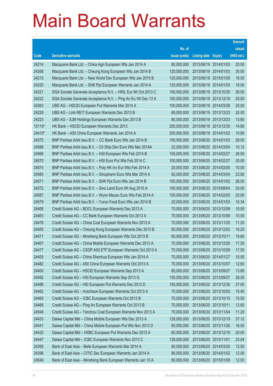|        |                                                               |               |                            |            | <b>Amount</b> |
|--------|---------------------------------------------------------------|---------------|----------------------------|------------|---------------|
|        |                                                               | No. of        |                            |            | raised        |
| Code   | <b>Derivative warrants</b>                                    | issue (units) | <b>Listing date Expiry</b> |            | (HK\$ mil.)   |
| 24214  | Macquarie Bank Ltd. - China Agri European Wts Jan 2014 A      | 80,000,000    | 2013/06/19 2014/01/03      |            | 20.00         |
| 24206  | Macquarie Bank Ltd. - Cheung Kong European Wts Jan 2014 B     | 120,000,000   | 2013/06/19 2014/01/03      |            | 30.00         |
| 24215  | Macquarie Bank Ltd. - New World Dev European Wts Jan 2015 B   | 120,000,000   | 2013/06/19                 | 2015/01/05 | 18.00         |
| 24220  | Macquarie Bank Ltd. - SHK Ppt European Warrants Jan 2014 A    | 120,000,000   | 2013/06/19 2014/01/03      |            | 18.00         |
| 24221  | SGA Societe Generale Acceptance N.V. - HWL Eur Wt Oct 2013 C  | 100,000,000   | 2013/06/19 2013/10/30      |            | 26.00         |
| 24222  | SGA Societe Generale Acceptance N.V. - Ping An Eu Wt Dec 13 A | 100,000,000   | 2013/06/19 2013/12/18      |            | 25.00         |
| 24263  | UBS AG - HSCEI European Put Warrants Mar 2014 A               | 100,000,000   | 2013/06/19 2014/03/28      |            | 25.00         |
| 24228  | UBS AG - Link REIT European Warrants Dec 2013 B               | 80,000,000    | 2013/06/19 2013/12/23      |            | 20.00         |
| 24223  | UBS AG - SJM Holdings European Warrants Dec 2013 B            | 80,000,000    | 2013/06/19 2013/12/23      |            | 13.60         |
| 15115# | HK Bank - HSCEI European Warrants Dec 2013                    | 200,000,000   | 2013/06/19 2013/12/30      |            | 14.80         |
| 24415# | HK Bank - A50 China European Warrants Jan 2014 A              | 200,000,000   | 2013/06/19 2014/01/02      |            | 10.80         |
| 24575  | BNP Paribas Arbit Issu B.V. - CC Bank Euro Wts Jan 2014 B     | 100,000,000   | 2013/06/20 2014/01/03      |            | 28.00         |
| 24589  | BNP Paribas Arbit Issu B.V. - Ch Ship Dev Euro Wts Mar 2014A  | 22,000,000    | 2013/06/20 2014/03/04      |            | 10.12         |
| 24568  | BNP Paribas Arbit Issu B.V. - HSI European Wts Feb 2014 B     | 100,000,000   | 2013/06/20 2014/02/27      |            | 26.00         |
| 24570  | BNP Paribas Arbit Issu B.V. - HSI Euro Put Wts Feb 2014 C     | 100,000,000   | 2013/06/20 2014/02/27      |            | 30.00         |
| 24574  | BNP Paribas Arbit Issu B.V. - Poly HK Inv Eur Wts Feb 2014 A  | 20,000,000    | 2013/06/20 2014/02/05      |            | 10.00         |
| 24580  | BNP Paribas Arbit Issu B.V. - Sinopharm Euro Wts Mar 2014 A   | 92,000,000    | 2013/06/20 2014/03/04      |            | 23.92         |
| 24571  | BNP Paribas Arbit Issu B.V. - SHK Ppt Euro Wts Jan 2014 B     | 100,000,000   | 2013/06/20 2014/01/02      |            | 26.00         |
| 24572  | BNP Paribas Arbit Issu B.V. - Sino Land Euro Wt Aug 2015 A    | 100,000,000   | 2013/06/20 2015/08/04      |            | 25.00         |
| 24587  | BNP Paribas Arbit Issu B.V. - Wynn Macau Euro Wts Feb 2014 A  | 100,000,000   | 2013/06/20 2014/02/05      |            | 25.00         |
| 24579  | BNP Paribas Arbit Issu B.V. - Yurun Food Euro Wts Jan 2014 B  | 22,000,000    | 2013/06/20 2014/01/03      |            | 10.34         |
| 24406  | Credit Suisse AG - BOCL European Warrants Dec 2013 A          | 70,000,000    | 2013/06/20 2013/12/09      |            | 10.50         |
| 24463  | Credit Suisse AG - CC Bank European Warrants Oct 2013 A       | 70,000,000    | 2013/06/20 2013/10/09      |            | 10.50         |
| 24476  | Credit Suisse AG - China Coal European Warrants Nov 2013 A    | 70,000,000    | 2013/06/20 2013/11/25      |            | 11.20         |
| 24455  | Credit Suisse AG - Cheung Kong European Warrants Dec 2013 B   | 60,000,000    | 2013/06/20 2013/12/02      |            | 16.20         |
| 24471  | Credit Suisse AG - Minsheng Bank European Wts Oct 2013 B      | 60,000,000    | 2013/06/20 2013/10/11      |            | 18.60         |
| 24467  | Credit Suisse AG - China Mobile European Warrants Dec 2013 A  | 70,000,000    | 2013/06/20 2013/12/20      |            | 17.50         |
| 24477  | Credit Suisse AG - CSOP A50 ETF European Warrants Oct 2013 A  | 70,000,000    | 2013/06/20 2013/10/28      |            | 17.50         |
| 24405  | Credit Suisse AG - China Shenhua European Wts Jan 2014 A      | 70,000,000    | 2013/06/20 2014/01/27      |            | 10.50         |
| 24482  | Credit Suisse AG - A50 China European Warrants Oct 2013 A     | 70,000,000    | 2013/06/20 2013/10/07      |            | 12.60         |
| 24400  | Credit Suisse AG - HSCEI European Warrants Sep 2013 A         | 80,000,000    | 2013/06/20 2013/09/27      |            | 13.60         |
| 24492  | Credit Suisse AG - HSI European Warrants Sep 2013 G           | 150,000,000   | 2013/06/20 2013/09/27      |            | 28.50         |
| 24486  | Credit Suisse AG - HSI European Put Warrants Dec 2013 D       | 150,000,000   | 2013/06/20 2013/12/30      |            | 27.00         |
| 24462  | Credit Suisse AG - Hutchison European Warrants Oct 2013 A     | 70,000,000    | 2013/06/20 2013/10/03      |            | 15.40         |
| 24465  | Credit Suisse AG - ICBC European Warrants Oct 2013 B          | 70,000,000    | 2013/06/20 2013/10/15      |            | 10.50         |
| 24468  | Credit Suisse AG - Ping An European Warrants Oct 2013 B       | 70,000,000    | 2013/06/20 2013/10/11      |            | 12.60         |
| 24548  | Credit Suisse AG - Yanzhou Coal European Warrants Nov 2013 A  | 70,000,000    | 2013/06/20 2013/11/04      |            | 11.20         |
| 24433  | Daiwa Capital Mkt - China Mobile European Wts Dec 2013 A      | 128,000,000   | 2013/06/20 2013/12/19      |            | 37.12         |
| 24441  | Daiwa Capital Mkt - China Mobile European Put Wts Nov 2013 D  | 80,000,000    | 2013/06/20 2013/11/26      |            | 16.00         |
| 24432  | Daiwa Capital Mkt - HSBC European Put Warrants Dec 2013 A     | 80,000,000    | 2013/06/20 2013/12/19      |            | 20.00         |
| 24447  | Daiwa Capital Mkt - ICBC European Warrants Nov 2013 C         | 128,000,000   | 2013/06/20 2013/11/01      |            | 23.04         |
| 24385  | Bank of East Asia - Belle European Warrants Mar 2014 A        | 80,000,000    | 2013/06/20 2014/03/20      |            | 12.00         |
| 24396  | Bank of East Asia - CITIC Sec European Warrants Jan 2014 A    | 80,000,000    | 2013/06/20 2014/01/02      |            | 12.00         |
| 24549  | Bank of East Asia - Minsheng Bank European Warrants Jan 15 A  | 80,000,000    | 2013/06/20 2015/01/08      |            | 12.00         |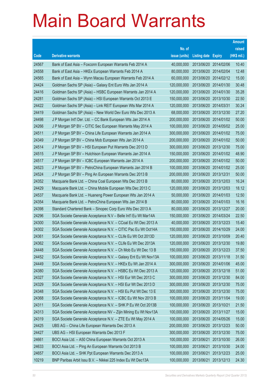|       |                                                                |               |                            |                       | <b>Amount</b> |
|-------|----------------------------------------------------------------|---------------|----------------------------|-----------------------|---------------|
|       |                                                                | No. of        |                            |                       | raised        |
| Code  | <b>Derivative warrants</b>                                     | issue (units) | <b>Listing date Expiry</b> |                       | (HK\$ mil.)   |
| 24567 | Bank of East Asia - Foxconn European Warrants Feb 2014 A       | 40,000,000    |                            | 2013/06/20 2014/02/06 | 10.40         |
| 24558 | Bank of East Asia - HKEx European Warrants Feb 2014 A          | 80,000,000    | 2013/06/20 2014/02/04      |                       | 12.48         |
| 24565 | Bank of East Asia – Wynn Macau European Warrants Feb 2014 A    | 60,000,000    |                            | 2013/06/20 2014/02/12 | 15.00         |
| 24424 | Goldman Sachs SP (Asia) - Galaxy Ent Euro Wts Jan 2014 A       | 120,000,000   |                            | 2013/06/20 2014/01/30 | 30.48         |
| 24416 | Goldman Sachs SP (Asia) - HSBC European Warrants Jan 2014 A    | 120,000,000   |                            | 2013/06/20 2014/01/30 | 35.28         |
| 24281 | Goldman Sachs SP (Asia) - HSI European Warrants Oct 2013 E     | 150,000,000   |                            | 2013/06/20 2013/10/30 | 22.50         |
| 24422 | Goldman Sachs SP (Asia) - Link REIT European Wts Mar 2014 A    | 120,000,000   | 2013/06/20 2014/03/31      |                       | 30.24         |
| 24419 | Goldman Sachs SP (Asia) - New World Dev Euro Wts Dec 2013 A    | 68,000,000    |                            | 2013/06/20 2013/12/30 | 27.20         |
| 24498 | J P Morgan Int'l Der. Ltd. - CC Bank European Wts Jan 2014 A   | 200,000,000   |                            | 2013/06/20 2014/01/02 | 50.00         |
| 24266 | J P Morgan SP BV - CITIC Sec European Warrants May 2014 A      | 100,000,000   |                            | 2013/06/20 2014/05/02 | 25.00         |
| 24511 | J P Morgan SP BV - China Life European Warrants Jan 2014 A     | 300,000,000   |                            | 2013/06/20 2014/01/02 | 75.00         |
| 24349 | J P Morgan SP BV - China Mob European Wts Jan 2014 A           | 200,000,000   |                            | 2013/06/20 2014/01/02 | 50.00         |
| 24514 | J P Morgan SP BV - HSI European Put Warrants Dec 2013 D        | 300,000,000   |                            | 2013/06/20 2013/12/30 | 75.00         |
| 24515 | J P Morgan SP BV - Hutchison European Warrants Jan 2014 A      | 150,000,000   |                            | 2013/06/20 2014/01/02 | 48.90         |
| 24517 | J P Morgan SP BV - ICBC European Warrants Jan 2014 A           | 200,000,000   |                            | 2013/06/20 2014/01/02 | 50.00         |
| 24523 | J P Morgan SP BV - PetroChina European Warrants Jan 2014 B     | 100,000,000   |                            | 2013/06/20 2014/01/02 | 25.00         |
| 24524 | J P Morgan SP BV - Ping An European Warrants Dec 2013 B        | 200,000,000   | 2013/06/20 2013/12/31      |                       | 50.00         |
| 24352 | Macquarie Bank Ltd. - China Coal European Wts Dec 2013 B       | 80,000,000    |                            | 2013/06/20 2013/12/03 | 16.24         |
| 24429 | Macquarie Bank Ltd. - China Mobile European Wts Dec 2013 C     | 120,000,000   | 2013/06/20 2013/12/03      |                       | 18.12         |
| 24537 | Macquarie Bank Ltd. - Huaneng Power European Wts Jan 2014 A    | 50,000,000    | 2013/06/20 2014/01/03      |                       | 12.50         |
| 24354 | Macquarie Bank Ltd. - PetroChina European Wts Jan 2014 B       | 80,000,000    |                            | 2013/06/20 2014/01/03 | 16.16         |
| 24398 | Standard Chartered Bank - Sinopec Corp Euro Wts Dec 2013 A     | 80,000,000    | 2013/06/20 2013/12/27      |                       | 20.00         |
| 24296 | SGA Societe Generale Acceptance N.V - Belle Int'l Eu Wt Mar14A | 150,000,000   | 2013/06/20 2014/03/24      |                       | 22.50         |
| 24300 | SGA Societe Generale Acceptance N.V. - CCoal Eu Wt Dec 2013 A  | 40,000,000    |                            | 2013/06/20 2013/12/23 | 15.40         |
| 24302 | SGA Societe Generale Acceptance N.V. - CITIC Pac Eu Wt Oct14A  | 150,000,000   |                            | 2013/06/20 2014/10/29 | 24.00         |
| 24361 | SGA Societe Generale Acceptance N.V. - CLife Eu Wt Oct 2013D   | 120,000,000   | 2013/06/20 2013/10/09      |                       | 20.40         |
| 24362 | SGA Societe Generale Acceptance N.V. - CLife Eu Wt Dec 2013A   | 120,000,000   |                            | 2013/06/20 2013/12/30 | 19.80         |
| 24448 | SGA Societe Generale Acceptance N.V. - Ch Mob Eu Wt Dec 13 B   | 150,000,000   | 2013/06/20 2013/12/23      |                       | 37.50         |
| 24452 | SGA Societe Generale Acceptance N.V. - Galaxy Ent Eu Wt Nov13A | 100,000,000   | 2013/06/20 2013/11/18      |                       | 31.50         |
| 24449 | SGA Societe Generale Acceptance N.V. - HKEx Eu Wt Jan 2014 A   | 300,000,000   | 2013/06/20 2014/01/06      |                       | 45.00         |
| 24380 | SGA Societe Generale Acceptance N.V. - HSBC Eu Wt Dec 2013 A   | 120,000,000   | 2013/06/20 2013/12/18      |                       | 51.00         |
| 24327 | SGA Societe Generale Acceptance N.V. - HSI Eur Wt Dec 2013 C   | 300,000,000   | 2013/06/20 2013/12/30      |                       | 84.00         |
| 24329 | SGA Societe Generale Acceptance N.V. - HSI Eur Wt Dec 2013 D   | 300,000,000   | 2013/06/20 2013/12/30      |                       | 75.00         |
| 24348 | SGA Societe Generale Acceptance N.V. - HSI Eu Put Wt Dec 13 E  | 300,000,000   | 2013/06/20 2013/12/30      |                       | 75.00         |
| 24368 | SGA Societe Generale Acceptance N.V. - ICBC Eu Wt Nov 2013 B   | 100,000,000   | 2013/06/20 2013/11/04      |                       | 19.00         |
| 24311 | SGA Societe Generale Acceptance N.V. - SHK P Eu Wt Oct 2013B   | 100,000,000   | 2013/06/20 2013/10/21      |                       | 21.50         |
| 24313 | SGA Societe Generale Acceptance NV - Zijin Mining Eu Wt Nov13A | 100,000,000   | 2013/06/20 2013/11/27      |                       | 15.00         |
| 24319 | SGA Societe Generale Acceptance N.V. - ZTE Eu Wt May 2014 A    | 100,000,000   | 2013/06/20 2014/05/26      |                       | 15.00         |
| 24425 | UBS AG - China Life European Warrants Dec 2013 A               | 200,000,000   | 2013/06/20 2013/12/23      |                       | 50.00         |
| 24427 | UBS AG - HSI European Warrants Dec 2013 F                      | 300,000,000   | 2013/06/20 2013/12/30      |                       | 75.00         |
| 24661 | BOCI Asia Ltd. - A50 China European Warrants Oct 2013 A        | 100,000,000   | 2013/06/21                 | 2013/10/30            | 26.00         |
| 24633 | BOCI Asia Ltd. - Ping An European Warrants Oct 2013 B          | 100,000,000   | 2013/06/21                 | 2013/10/30            | 24.00         |
| 24657 | BOCI Asia Ltd. - SHK Ppt European Warrants Dec 2013 A          | 100,000,000   | 2013/06/21                 | 2013/12/23            | 25.00         |
| 10219 | BNP Paribas Arbit Issu B.V. - Nikkei 225 Index Eu Wt Dec13A    | 100,000,000   | 2013/06/21 2013/12/13      |                       | 24.30         |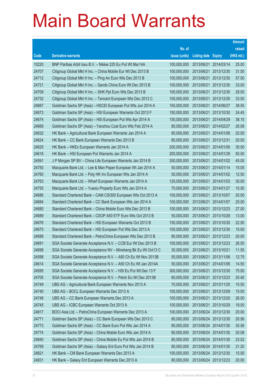|       |                                                                |               |                            |                       | <b>Amount</b> |
|-------|----------------------------------------------------------------|---------------|----------------------------|-----------------------|---------------|
|       |                                                                | No. of        |                            |                       | raised        |
| Code  | <b>Derivative warrants</b>                                     | issue (units) | <b>Listing date Expiry</b> |                       | (HK\$ mil.)   |
| 10220 | BNP Paribas Arbit Issu B.V. - Nikkei 225 Eu Put Wt Mar14A      | 100,000,000   | 2013/06/21                 | 2014/03/14            | 25.00         |
| 24707 | Citigroup Global Mkt H Inc. - China Mobile Eur Wt Dec 2013 B   | 100,000,000   | 2013/06/21                 | 2013/12/30            | 31.00         |
| 24712 | Citigroup Global Mkt H Inc. - Ping An Euro Wts Dec 2013 B      | 100,000,000   | 2013/06/21                 | 2013/12/30            | 57.00         |
| 24721 | Citigroup Global Mkt H Inc. - Sands China Euro Wt Dec 2013 B   | 100,000,000   | 2013/06/21                 | 2013/12/30            | 33.00         |
| 24709 | Citigroup Global Mkt H Inc. - SHK Ppt Euro Wts Dec 2013 B      | 100,000,000   | 2013/06/21                 | 2013/12/30            | 28.00         |
| 24732 | Citigroup Global Mkt H Inc. - Tencent European Wts Dec 2013 C  | 100,000,000   | 2013/06/21                 | 2013/12/30            | 33.00         |
| 24667 | Goldman Sachs SP (Asia) - HSCEI European Put Wts Jun 2014 A    | 150,000,000   | 2013/06/21                 | 2014/06/27            | 38.55         |
| 24673 | Goldman Sachs SP (Asia) - HSI European Warrants Oct 2013 F     | 150,000,000   | 2013/06/21                 | 2013/10/30            | 24.45         |
| 24674 | Goldman Sachs SP (Asia) - HSI European Put Wts Apr 2014 A      | 150,000,000   | 2013/06/21                 | 2014/04/29            | 38.10         |
| 24669 | Goldman Sachs SP (Asia) - Yanzhou Coal Euro Wts Feb 2014 A     | 80,000,000    | 2013/06/21                 | 2014/02/27            | 26.08         |
| 24632 | HK Bank - Agricultural Bank European Warrants Jan 2014 A       | 80,000,000    | 2013/06/21                 | 2014/01/06            | 20.00         |
| 24624 | HK Bank - CC Bank European Warrants Dec 2013 B                 | 80,000,000    | 2013/06/21                 | 2013/12/31            | 20.00         |
| 24625 | HK Bank - HKEx European Warrants Jan 2014 A                    | 200,000,000   | 2013/06/21                 | 2014/01/06            | 30.00         |
| 24618 | HK Bank - HSI European Put Warrants Jan 2014 A                 | 200,000,000   | 2013/06/21                 | 2014/01/29            | 50.00         |
| 24591 | J P Morgan SP BV - China Life European Warrants Jan 2014 B     | 300,000,000   | 2013/06/21                 | 2014/01/02            | 45.00         |
| 24750 | Macquarie Bank Ltd. - Lee & Man Paper European Wt Jan 2014 A   | 50,000,000    | 2013/06/21                 | 2014/01/14            | 15.05         |
| 24760 | Macquarie Bank Ltd. - Poly HK Inv European Wts Jan 2014 A      | 50,000,000    | 2013/06/21                 | 2014/01/02            | 12.50         |
| 24763 | Macquarie Bank Ltd. - Wharf European Warrants Jan 2014 A       | 120,000,000   | 2013/06/21                 | 2014/01/03            | 30.00         |
| 24755 | Macquarie Bank Ltd. - Yuexiu Property Euro Wts Jan 2014 A      | 70,000,000    | 2013/06/21                 | 2014/01/27            | 10.50         |
| 24686 | Standard Chartered Bank - CAM CSI300 European Wts Oct 2013 A   | 100,000,000   | 2013/06/21                 | 2013/10/07            | 20.00         |
| 24684 | Standard Chartered Bank - CC Bank European Wts Jan 2014 A      | 100,000,000   | 2013/06/21                 | 2014/01/07            | 25.00         |
| 24680 | Standard Chartered Bank - China Mobile Euro Wts Dec 2013 B     | 100,000,000   | 2013/06/21                 | 2013/12/23            | 27.00         |
| 24689 | Standard Chartered Bank - CSOP A50 ETF Euro Wts Oct 2013 B     | 50,000,000    | 2013/06/21                 | 2013/10/28            | 13.00         |
| 24676 | Standard Chartered Bank - HSI European Warrants Oct 2013 B     | 150,000,000   | 2013/06/21                 | 2013/10/30            | 22.50         |
| 24675 | Standard Chartered Bank - HSI European Put Wts Dec 2013 A      | 100,000,000   | 2013/06/21                 | 2013/12/30            | 15.00         |
| 24688 | Standard Chartered Bank - PetroChina European Wts Dec 2013 B   | 80,000,000    | 2013/06/21                 | 2013/12/23            | 20.00         |
| 24691 | SGA Societe Generale Acceptance N.V. - CCB Eur Wt Dec 2013 B   | 100,000,000   | 2013/06/21                 | 2013/12/23            | 26.50         |
| 24698 | SGA Societe Generale Acceptance NV - Minsheng Bk Eu Wt Oct13 C | 30,000,000    | 2013/06/21 2013/10/21      |                       | 11.55         |
| 24598 | SGA Societe Generale Acceptance N.V. - A50 Ch Eu Wt Nov 2013B  | 50,000,000    | 2013/06/21                 | 2013/11/06            | 12.75         |
| 24614 | SGA Societe Generale Acceptance N.V. - A50 Ch Eu Wt Jan 2014A  | 50,000,000    | 2013/06/21                 | 2014/01/06            | 14.50         |
| 24595 | SGA Societe Generale Acceptance N.V. - HSI Eu Put Wt Dec 13 F  | 300,000,000   | 2013/06/21                 | 2013/12/30            | 75.00         |
| 24705 | SGA Societe Generale Acceptance N.V. - Petch Eu Wt Dec 2013B   | 60,000,000    | 2013/06/21                 | 2013/12/23            | 20.40         |
| 24749 | UBS AG - Agricultural Bank European Warrants Nov 2013 A        | 70,000,000    | 2013/06/21                 | 2013/11/25            | 10.50         |
| 24740 | UBS AG - BOCL European Warrants Dec 2013 A                     | 100,000,000   | 2013/06/21                 | 2013/12/09            | 15.00         |
| 24748 | UBS AG - CC Bank European Warrants Dec 2013 A                  | 100,000,000   | 2013/06/21                 | 2013/12/20            | 26.00         |
| 24745 | UBS AG - ICBC European Warrants Oct 2013 A                     | 100,000,000   | 2013/06/21                 | 2013/10/29            | 19.00         |
| 24817 | BOCI Asia Ltd. - PetroChina European Warrants Dec 2013 A       | 100,000,000   | 2013/06/24                 | 2013/12/30            | 20.00         |
| 24771 | Goldman Sachs SP (Asia) - CC Bank European Wts Dec 2013 C      | 80,000,000    |                            | 2013/06/24 2013/12/30 | 20.56         |
| 24773 | Goldman Sachs SP (Asia) - CC Bank Euro Put Wts Jan 2014 A      | 80,000,000    |                            | 2013/06/24 2014/01/30 | 30.56         |
| 24774 | Goldman Sachs SP (Asia) - China Mobile Euro Wts Jan 2014 A     | 80,000,000    |                            | 2013/06/24 2014/01/30 | 20.08         |
| 24840 | Goldman Sachs SP (Asia) - China Mobile Eu Put Wts Jan 2014 B   | 80,000,000    | 2013/06/24                 | 2014/01/30            | 23.52         |
| 24769 | Goldman Sachs SP (Asia) - Galaxy Ent Euro Put Wts Jan 2014 B   | 80,000,000    |                            | 2013/06/24 2014/01/30 | 21.20         |
| 24821 | HK Bank - CM Bank European Warrants Dec 2013 A                 | 100,000,000   |                            | 2013/06/24 2013/12/30 | 15.00         |
| 24831 | HK Bank - Galaxy Ent European Warrants Dec 2013 A              | 80,000,000    |                            | 2013/06/24 2013/12/23 | 20.00         |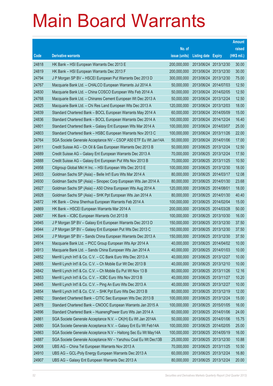|       |                                                                |               |                            |                       | <b>Amount</b> |
|-------|----------------------------------------------------------------|---------------|----------------------------|-----------------------|---------------|
|       |                                                                | No. of        |                            |                       | raised        |
| Code  | <b>Derivative warrants</b>                                     | issue (units) | <b>Listing date Expiry</b> |                       | (HK\$ mil.)   |
| 24818 | HK Bank - HSI European Warrants Dec 2013 E                     | 200,000,000   |                            | 2013/06/24 2013/12/30 | 30.00         |
| 24819 | HK Bank - HSI European Warrants Dec 2013 F                     | 200,000,000   |                            | 2013/06/24 2013/12/30 | 30.00         |
| 24794 | J P Morgan SP BV - HSCEI European Put Warrants Dec 2013 D      | 300,000,000   |                            | 2013/06/24 2013/12/30 | 75.00         |
| 24767 | Macquarie Bank Ltd. - CHALCO European Warrants Jul 2014 A      | 50,000,000    | 2013/06/24 2014/07/03      |                       | 12.50         |
| 24830 | Macquarie Bank Ltd. - China COSCO European Wts Feb 2014 A      | 50,000,000    |                            | 2013/06/24 2014/02/05 | 12.50         |
| 24768 | Macquarie Bank Ltd. - Chinares Cement European Wt Dec 2013 A   | 50,000,000    |                            | 2013/06/24 2013/12/24 | 12.50         |
| 24825 | Macquarie Bank Ltd. - Chi Res Land European Wts Dec 2013 A     | 120,000,000   |                            | 2013/06/24 2013/12/03 | 18.00         |
| 24839 | Standard Chartered Bank - BOCL European Warrants May 2014 A    | 60,000,000    | 2013/06/24 2014/05/09      |                       | 15.00         |
| 24836 | Standard Chartered Bank - BOCL European Warrants Dec 2014 A    | 100,000,000   |                            | 2013/06/24 2014/12/24 | 16.40         |
| 24801 | Standard Chartered Bank - Galaxy Ent European Wts Mar 2014 A   | 100,000,000   | 2013/06/24 2014/03/07      |                       | 25.00         |
| 24803 | Standard Chartered Bank – HSBC European Warrants Nov 2013 C    | 100,000,000   | 2013/06/24 2013/11/26      |                       | 22.00         |
| 24764 | SGA Societe Generale Acceptance NV – CSOP A50 ETF Eu Wt Jan14A | 50,000,000    | 2013/06/24 2014/01/06      |                       | 17.00         |
| 24911 | Credit Suisse AG - Ch Oil & Gas European Warrants Dec 2013 B   | 50,000,000    |                            | 2013/06/25 2013/12/24 | 12.50         |
| 24889 | Credit Suisse AG - Galaxy Ent European Warrants Dec 2013 A     | 70,000,000    |                            | 2013/06/25 2013/12/24 | 17.50         |
| 24888 | Credit Suisse AG - Galaxy Ent European Put Wts Nov 2013 B      | 70,000,000    | 2013/06/25 2013/11/25      |                       | 10.50         |
| 24958 | Citigroup Global Mkt H Inc. - HSI European Wts Dec 2013 E      | 100,000,000   |                            | 2013/06/25 2013/12/30 | 18.00         |
| 24933 | Goldman Sachs SP (Asia) – Belle Int'l Euro Wts Mar 2014 A      | 80,000,000    |                            | 2013/06/25 2014/03/17 | 12.08         |
| 24930 | Goldman Sachs SP (Asia) - Sinopec Corp European Wts Jan 2014 A | 80,000,000    |                            | 2013/06/25 2014/01/30 | 23.68         |
| 24927 | Goldman Sachs SP (Asia) - A50 China European Wts Aug 2014 A    | 120,000,000   | 2013/06/25 2014/08/01      |                       | 18.00         |
| 24928 | Goldman Sachs SP (Asia) – SHK Ppt European Wts Jan 2014 A      | 80,000,000    |                            | 2013/06/25 2014/01/30 | 40.40         |
| 24872 | HK Bank – China Shenhua European Warrants Feb 2014 A           | 100,000,000   |                            | 2013/06/25 2014/02/04 | 15.00         |
| 24869 | HK Bank – HSCEI European Warrants Mar 2014 A                   | 200,000,000   | 2013/06/25 2014/03/28      |                       | 50.00         |
| 24867 | HK Bank - ICBC European Warrants Oct 2013 B                    | 100,000,000   |                            | 2013/06/25 2013/10/30 | 16.00         |
| 24945 | J P Morgan SP BV - Galaxy Ent European Warrants Dec 2013 D     | 150,000,000   |                            | 2013/06/25 2013/12/30 | 37.50         |
| 24944 | J P Morgan SP BV - Galaxy Ent European Put Wts Dec 2013 C      | 150,000,000   |                            | 2013/06/25 2013/12/30 | 37.50         |
| 24934 | J P Morgan SP BV - Sands China European Warrants Dec 2013 A    | 150,000,000   | 2013/06/25 2013/12/30      |                       | 37.50         |
| 24914 | Macquarie Bank Ltd. - PICC Group European Wts Apr 2014 A       | 40,000,000    | 2013/06/25 2014/04/02      |                       | 10.00         |
| 24913 | Macquarie Bank Ltd. - Sands China European Wts Jan 2014 A      | 40,000,000    | 2013/06/25 2014/01/03      |                       | 10.00         |
| 24852 | Merrill Lynch Int'l & Co. C.V. - CC Bank Euro Wts Dec 2013 A   | 40,000,000    | 2013/06/25 2013/12/27      |                       | 10.00         |
| 24855 | Merrill Lynch Int'l & Co. C.V. - Ch Mobile Eur Wt Dec 2013 B   | 40,000,000    | 2013/06/25 2013/12/10      |                       | 10.00         |
| 24842 | Merrill Lynch Int'l & Co. C.V. - Ch Mobile Eu Put Wt Nov 13 B  | 80,000,000    | 2013/06/25 2013/11/26      |                       | 12.16         |
| 24853 | Merrill Lynch Int'l & Co. C.V. - ICBC Euro Wts Nov 2013 B      | 40,000,000    | 2013/06/25 2013/11/27      |                       | 10.20         |
| 24845 | Merrill Lynch Int'l & Co. C.V. - Ping An Euro Wts Dec 2013 A   | 40,000,000    | 2013/06/25 2013/12/27      |                       | 10.00         |
| 24854 | Merrill Lynch Int'l & Co. C.V. - SHK Ppt Euro Wts Dec 2013 B   | 80,000,000    | 2013/06/25 2013/12/19      |                       | 12.00         |
| 24892 | Standard Chartered Bank - CITIC Sec European Wts Dec 2013 B    | 100,000,000   | 2013/06/25 2013/12/24      |                       | 15.00         |
| 24878 | Standard Chartered Bank - CNOOC European Warrants Jan 2015 A   | 100,000,000   | 2013/06/25 2015/01/05      |                       | 16.00         |
| 24896 | Standard Chartered Bank - HuanengPower Euro Wts Jan 2014 A     | 60,000,000    | 2013/06/25 2014/01/06      |                       | 24.00         |
| 24861 | SGA Societe Generale Acceptance N.V. - CK(H) Eu Wt Jan 2014A   | 50,000,000    |                            | 2013/06/25 2014/01/06 | 15.75         |
| 24880 | SGA Societe Generale Acceptance N.V. - Galaxy Ent Eu Wt Feb14A | 100,000,000   | 2013/06/25 2014/02/05      |                       | 25.00         |
| 24863 | SGA Societe Generale Acceptance N.V - Haitong Sec Eu Wt May14A | 100,000,000   | 2013/06/25 2014/05/19      |                       | 16.00         |
| 24887 | SGA Societe Generale Acceptance NV - Yanzhou Coal Eu Wt Dec13B | 25,000,000    | 2013/06/25 2013/12/30      |                       | 10.88         |
| 24908 | UBS AG - China Tel European Warrants Nov 2013 A                | 70,000,000    | 2013/06/25 2013/11/25      |                       | 10.50         |
| 24910 | UBS AG - GCL-Poly Energy European Warrants Dec 2013 A          | 60,000,000    | 2013/06/25 2013/12/24      |                       | 16.80         |
| 24907 | UBS AG - Galaxy Ent European Warrants Dec 2013 A               | 80,000,000    | 2013/06/25 2013/12/24      |                       | 20.00         |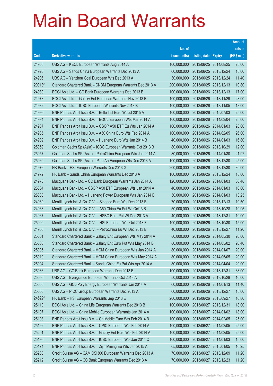|        |                                                              |               |                            |            | <b>Amount</b> |
|--------|--------------------------------------------------------------|---------------|----------------------------|------------|---------------|
|        |                                                              | No. of        |                            |            | raised        |
| Code   | <b>Derivative warrants</b>                                   | issue (units) | <b>Listing date Expiry</b> |            | (HK\$ mil.)   |
| 24905  | UBS AG - KECL European Warrants Aug 2014 A                   | 100,000,000   | 2013/06/25 2014/08/25      |            | 25.00         |
| 24920  | UBS AG - Sands China European Warrants Dec 2013 A            | 60,000,000    | 2013/06/25 2013/12/24      |            | 15.00         |
| 24906  | UBS AG - Yanzhou Coal European Wts Dec 2013 A                | 30,000,000    | 2013/06/25 2013/12/24      |            | 11.40         |
| 20013# | Standard Chartered Bank – CNBM European Warrants Dec 2013 A  | 200,000,000   | 2013/06/25 2013/12/13      |            | 10.80         |
| 24980  | BOCI Asia Ltd. - CC Bank European Warrants Dec 2013 B        | 100,000,000   | 2013/06/26 2013/12/13      |            | 17.00         |
| 24978  | BOCI Asia Ltd. - Galaxy Ent European Warrants Nov 2013 B     | 100,000,000   | 2013/06/26 2013/11/29      |            | 28.00         |
| 24982  | BOCI Asia Ltd. - ICBC European Warrants Nov 2013 B           | 100,000,000   | 2013/06/26 2013/11/05      |            | 18.00         |
| 24996  | BNP Paribas Arbit Issu B.V. - Belle Int'l Euro Wt Jul 2015 A | 100,000,000   | 2013/06/26 2015/07/03      |            | 25.00         |
| 24994  | BNP Paribas Arbit Issu B.V. - BOCL European Wts Mar 2014 A   | 100,000,000   | 2013/06/26 2014/03/04      |            | 25.00         |
| 24987  | BNP Paribas Arbit Issu B.V. - CSOP A50 ETF Eu Wts Jan 2014 A | 100,000,000   | 2013/06/26 2014/01/03      |            | 28.00         |
| 24985  | BNP Paribas Arbit Issu B.V. - A50 China Euro Wts Feb 2014 A  | 100,000,000   | 2013/06/26 2014/02/05      |            | 26.00         |
| 24989  | BNP Paribas Arbit Issu B.V. - Huaneng Euro Wts Jan 2014 B    | 40,000,000    | 2013/06/26 2014/01/03      |            | 16.80         |
| 25059  | Goldman Sachs Sp (Asia) – ICBC European Warrants Oct 2013 B  | 80,000,000    | 2013/06/26 2013/10/29      |            | 12.00         |
| 25057  | Goldman Sachs SP (Asia) - PetroChina European Wts Jan 2014 A | 80,000,000    | 2013/06/26 2014/01/30      |            | 21.92         |
| 25060  | Goldman Sachs SP (Asia) - Ping An European Wts Dec 2013 A    | 100,000,000   | 2013/06/26 2013/12/30      |            | 25.00         |
| 24976  | HK Bank - HSI European Warrants Dec 2013 G                   | 200,000,000   | 2013/06/26 2013/12/30      |            | 30.00         |
| 24972  | HK Bank – Sands China European Warrants Dec 2013 A           | 100,000,000   | 2013/06/26 2013/12/24      |            | 18.00         |
| 24970  | Macquarie Bank Ltd. - CC Bank European Warrants Jan 2014 A   | 120,000,000   | 2013/06/26 2014/01/03      |            | 30.48         |
| 25034  | Macquarie Bank Ltd. - CSOP A50 ETF European Wts Jan 2014 A   | 40,000,000    | 2013/06/26 2014/01/03      |            | 10.00         |
| 25033  | Macquarie Bank Ltd. - Huaneng Power European Wts Jan 2014 B  | 50,000,000    | 2013/06/26 2014/01/03      |            | 13.25         |
| 24969  | Merrill Lynch Int'l & Co. C.V. - Sinopec Euro Wts Dec 2013 B | 70,000,000    | 2013/06/26 2013/12/13      |            | 10.50         |
| 24968  | Merrill Lynch Int'l & Co. C.V. - A50 China Eu Put Wt Oct13 B | 50,000,000    | 2013/06/26 2013/10/28      |            | 10.95         |
| 24967  | Merrill Lynch Int'l & Co. C.V. - HSBC Euro Put Wt Dec 2013 A | 40,000,000    | 2013/06/26 2013/12/31      |            | 10.00         |
| 25000  | Merrill Lynch Int'l & Co. C.V. - HSI European Wts Oct 2013 F | 100,000,000   | 2013/06/26 2013/10/30      |            | 15.00         |
| 24966  | Merrill Lynch Int'l & Co. C.V. - PetroChina Eu Wt Dec 2013 B | 40,000,000    | 2013/06/26 2013/12/27      |            | 11.20         |
| 25001  | Standard Chartered Bank - Galaxy Ent European Wts May 2014 A | 80,000,000    | 2013/06/26 2014/05/30      |            | 20.00         |
| 25003  | Standard Chartered Bank – Galaxy Ent Euro Put Wts May 2014 B | 80,000,000    | 2013/06/26 2014/05/02      |            | 26.40         |
| 25005  | Standard Chartered Bank - MGM China European Wts Jan 2014 A  | 80,000,000    | 2013/06/26 2014/01/07      |            | 20.00         |
| 25010  | Standard Chartered Bank - MGM China European Wts May 2014 A  | 80,000,000    | 2013/06/26 2014/05/05      |            | 20.00         |
| 25004  | Standard Chartered Bank - Sands China Eu Put Wts Apr 2014 A  | 80,000,000    | 2013/06/26 2014/04/04      |            | 20.00         |
| 25036  | UBS AG - CC Bank European Warrants Dec 2013 B                | 100,000,000   | 2013/06/26 2013/12/31      |            | 38.00         |
| 25056  | UBS AG - Evergrande European Warrants Oct 2013 A             | 50,000,000    | 2013/06/26 2013/10/28      |            | 10.00         |
| 25055  | UBS AG - GCL-Poly Energy European Warrants Jan 2014 A        | 60,000,000    | 2013/06/26 2014/01/13      |            | 11.40         |
| 25050  | UBS AG - PICC Group European Warrants Dec 2013 A             | 60,000,000    | 2013/06/26 2013/12/27      |            | 15.00         |
| 24522# | HK Bank - HSI European Warrants Sep 2013 E                   | 200,000,000   | 2013/06/26 2013/09/27      |            | 10.80         |
| 25110  | BOCI Asia Ltd. - China Life European Warrants Dec 2013 B     | 100,000,000   | 2013/06/27 2013/12/31      |            | 18.00         |
| 25107  | BOCI Asia Ltd. - China Mobile European Warrants Jan 2014 A   | 100,000,000   | 2013/06/27 2014/01/02      |            | 18.00         |
| 25193  | BNP Paribas Arbit Issu B.V. - Ch Mobile Euro Wts Feb 2014 B  | 100,000,000   | 2013/06/27 2014/02/05      |            | 25.00         |
| 25192  | BNP Paribas Arbit Issu B.V. - CPIC European Wts Feb 2014 A   | 100,000,000   | 2013/06/27 2014/02/05      |            | 25.00         |
| 25201  | BNP Paribas Arbit Issu B.V. - Galaxy Ent Euro Wts Feb 2014 A | 100,000,000   | 2013/06/27 2014/02/05      |            | 25.00         |
| 25196  | BNP Paribas Arbit Issu B.V. - ICBC European Wts Jan 2014 C   | 100,000,000   | 2013/06/27                 | 2014/01/03 | 15.00         |
| 25174  | BNP Paribas Arbit Issu B.V. - Zijin Mining Eu Wts Jan 2015 A | 65,000,000    | 2013/06/27 2015/01/05      |            | 16.25         |
| 25283  | Credit Suisse AG - CAM CSI300 European Warrants Dec 2013 A   | 70,000,000    | 2013/06/27 2013/12/09      |            | 11.20         |
| 25212  | Credit Suisse AG - CC Bank European Warrants Dec 2013 A      | 70,000,000    | 2013/06/27 2013/12/23      |            | 11.20         |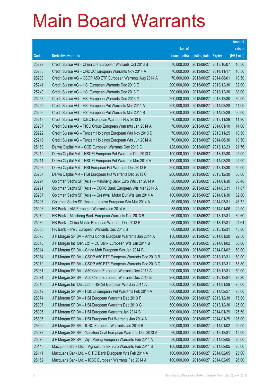|       |                                                                |               |                            |                       | <b>Amount</b> |
|-------|----------------------------------------------------------------|---------------|----------------------------|-----------------------|---------------|
|       |                                                                | No. of        |                            |                       | raised        |
| Code  | <b>Derivative warrants</b>                                     | issue (units) | <b>Listing date Expiry</b> |                       | (HK\$ mil.)   |
| 25229 | Credit Suisse AG – China Life European Warrants Oct 2013 B     | 70,000,000    |                            | 2013/06/27 2013/10/07 | 10.50         |
| 25235 | Credit Suisse AG – CNOOC European Warrants Nov 2014 A          | 70,000,000    | 2013/06/27 2014/11/17      |                       | 10.50         |
| 25238 | Credit Suisse AG - CSOP A50 ETF European Warrants Aug 2014 A   | 70,000,000    | 2013/06/27 2014/08/01      |                       | 10.50         |
| 25241 | Credit Suisse AG - HSI European Warrants Dec 2013 E            | 200,000,000   |                            | 2013/06/27 2013/12/30 | 32.00         |
| 25249 | Credit Suisse AG - HSI European Warrants Dec 2013 F            | 200,000,000   |                            | 2013/06/27 2013/12/30 | 38.00         |
| 25253 | Credit Suisse AG - HSI European Warrants Dec 2013 G            | 200,000,000   |                            | 2013/06/27 2013/12/30 | 30.00         |
| 25255 | Credit Suisse AG - HSI European Put Warrants Mar 2014 A        | 200,000,000   | 2013/06/27 2014/03/28      |                       | 44.00         |
| 25256 | Credit Suisse AG - HSI European Put Warrants Mar 2014 B        | 200,000,000   | 2013/06/27 2014/03/28      |                       | 50.00         |
| 25213 | Credit Suisse AG - ICBC European Warrants Nov 2013 B           | 70,000,000    |                            | 2013/06/27 2013/11/29 | 11.90         |
| 25237 | Credit Suisse AG - PICC Group European Warrants Jan 2014 A     | 70,000,000    | 2013/06/27 2014/01/10      |                       | 14.00         |
| 25222 | Credit Suisse AG - Tencent Holdings European Wts Nov 2013 D    | 70,000,000    | 2013/06/27 2013/11/25      |                       | 10.50         |
| 25219 | Credit Suisse AG – Tencent Holdings European Wts Jun 2014 A    | 70,000,000    | 2013/06/27 2014/06/30      |                       | 10.50         |
| 25169 | Daiwa Capital Mkt - CCB European Warrants Dec 2013 C           | 128,000,000   |                            | 2013/06/27 2013/12/23 | 21.76         |
| 25210 | Daiwa Capital Mkt - HSCEI European Put Warrants Dec 2013 C     | 100,000,000   | 2013/06/27 2013/12/30      |                       | 25.00         |
| 25211 | Daiwa Capital Mkt - HSCEI European Put Warrants Mar 2014 A     | 100,000,000   | 2013/06/27 2014/03/28      |                       | 25.00         |
| 25206 | Daiwa Capital Mkt - HSI European Put Warrants Dec 2013 B       | 200,000,000   | 2013/06/27 2013/12/30      |                       | 50.00         |
| 25207 | Daiwa Capital Mkt - HSI European Put Warrants Dec 2013 C       | 200,000,000   |                            | 2013/06/27 2013/12/30 | 50.00         |
| 25297 | Goldman Sachs SP (Asia) - Minsheng Bank Euro Wts Jan 2014 A    | 80,000,000    |                            | 2013/06/27 2014/01/30 | 56.48         |
| 25291 | Goldman Sachs SP (Asia) - CQRC Bank European Wts Mar 2014 A    | 68,000,000    | 2013/06/27 2014/03/31      |                       | 17.07         |
| 25287 | Goldman Sachs SP (Asia) – Greatwall Motor Eur Wts Jan 2014 A   | 100,000,000   | 2013/06/27 2014/01/30      |                       | 32.80         |
| 25296 | Goldman Sachs SP (Asia) – Lenovo European Wts Mar 2014 A       | 80,000,000    | 2013/06/27 2014/03/31      |                       | 46.72         |
| 25093 | HK Bank - AIA European Warrants Jan 2014 A                     | 88,000,000    |                            | 2013/06/27 2014/01/06 | 22.00         |
| 25079 | HK Bank - Minsheng Bank European Warrants Dec 2013 B           | 60,000,000    | 2013/06/27 2013/12/31      |                       | 30.60         |
| 25082 | HK Bank – China Mobile European Warrants Dec 2013 E            | 88,000,000    | 2013/06/27 2013/12/31      |                       | 24.64         |
| 25080 | HK Bank – HWL European Warrants Dec 2013 B                     | 60,000,000    | 2013/06/27 2013/12/31      |                       | 43.80         |
| 25078 | J P Morgan SP BV - Anhui Conch European Warrants Jan 2014 A    | 150,000,000   | 2013/06/27 2014/01/20      |                       | 22.50         |
| 25315 | J P Morgan Int'l Der. Ltd. - CC Bank European Wts Jan 2014 B   | 200,000,000   | 2013/06/27 2014/01/02      |                       | 50.00         |
| 25314 | J P Morgan SP BV - China Mob European Wts Jan 2014 B           | 200,000,000   | 2013/06/27 2014/01/02      |                       | 50.00         |
| 25064 | J P Morgan SP BV - CSOP A50 ETF European Warrants Dec 2013 B   | 200,000,000   | 2013/06/27 2013/12/31      |                       | 50.00         |
| 25070 | J P Morgan SP BV - CSOP A50 ETF European Warrants Dec 2013 C   | 200,000,000   | 2013/06/27 2013/12/31      |                       | 58.80         |
| 25061 | J P Morgan SP BV - A50 China European Warrants Dec 2013 A      | 200,000,000   | 2013/06/27 2013/12/31      |                       | 50.00         |
| 25071 | J P Morgan SP BV - A50 China European Warrants Dec 2013 B      | 200,000,000   | 2013/06/27 2013/12/31      |                       | 73.20         |
| 25310 | J P Morgan Int'l Der. Ltd. - HSCEI European Wts Jan 2014 A     | 300,000,000   | 2013/06/27 2014/01/29      |                       | 75.00         |
| 25312 | J P Morgan SP BV - HSCEI European Put Warrants Feb 2014 A      | 300,000,000   | 2013/06/27 2014/02/27      |                       | 75.00         |
| 25074 | J P Morgan SP BV - HSI European Warrants Dec 2013 F            | 300,000,000   | 2013/06/27 2013/12/30      |                       | 75.00         |
| 25307 | J P Morgan SP BV - HSI European Warrants Dec 2013 G            | 500,000,000   |                            | 2013/06/27 2013/12/30 | 125.00        |
| 25306 | J P Morgan SP BV - HSI European Warrants Jan 2014 B            | 500,000,000   | 2013/06/27 2014/01/29      |                       | 126.50        |
| 25305 | J P Morgan SP BV - HSI European Put Warrants Jan 2014 A        | 500,000,000   | 2013/06/27 2014/01/29      |                       | 125.00        |
| 25300 | J P Morgan SP BV - ICBC European Warrants Jan 2014 B           | 200,000,000   | 2013/06/27 2014/01/02      |                       | 50.00         |
| 25077 | J P Morgan SP BV - Yanzhou Coal European Warrants Dec 2013 A   | 60,000,000    | 2013/06/27 2013/12/31      |                       | 15.00         |
| 25076 | J P Morgan SP BV - Zijin Mining European Warrants Feb 2014 A   | 80,000,000    | 2013/06/27 2014/02/05      |                       | 20.00         |
| 25140 | Macquarie Bank Ltd. - Agricultural Bk Euro Warrants Feb 2014 B | 100,000,000   | 2013/06/27 2014/02/05      |                       | 25.00         |
| 25141 | Macquarie Bank Ltd. - CITIC Bank European Wts Feb 2014 A       | 100,000,000   | 2013/06/27 2014/02/05      |                       | 25.00         |
| 25159 | Macquarie Bank Ltd. - ICBC European Warrants Feb 2014 A        | 100,000,000   | 2013/06/27 2014/02/05      |                       | 26.00         |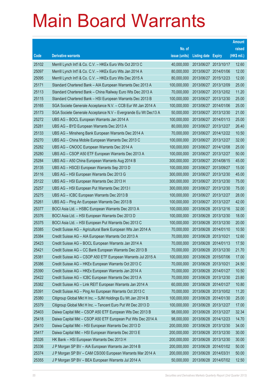|       |                                                                |               |                            | <b>Amount</b> |
|-------|----------------------------------------------------------------|---------------|----------------------------|---------------|
|       |                                                                | No. of        |                            | raised        |
| Code  | <b>Derivative warrants</b>                                     | issue (units) | <b>Listing date Expiry</b> | (HK\$ mil.)   |
| 25102 | Merrill Lynch Int'l & Co. C.V. - HKEx Euro Wts Oct 2013 C      | 40,000,000    | 2013/06/27 2013/10/17      | 12.60         |
| 25097 | Merrill Lynch Int'l & Co. C.V. - HKEx Euro Wts Jan 2014 A      | 80,000,000    | 2013/06/27 2014/01/06      | 12.00         |
| 25095 | Merrill Lynch Int'l & Co. C.V. - HKEx Euro Wts Dec 2015 A      | 80,000,000    | 2013/06/27 2015/12/23      | 12.00         |
| 25171 | Standard Chartered Bank - AIA European Warrants Dec 2013 A     | 100,000,000   | 2013/06/27 2013/12/09      | 25.00         |
| 25113 | Standard Chartered Bank - China Railway Euro Wts Dec 2013 A    | 70,000,000    | 2013/06/27 2013/12/02      | 11.20         |
| 25115 | Standard Chartered Bank - HSI European Warrants Dec 2013 B     | 100,000,000   | 2013/06/27 2013/12/30      | 25.00         |
| 25165 | SGA Societe Generale Acceptance N.V. - CCB Eur Wt Jan 2014 A   | 100,000,000   | 2013/06/27 2014/01/06      | 25.00         |
| 25173 | SGA Societe Generale Acceptance N.V - Evergrande Eu Wt Dec13 A | 50,000,000    | 2013/06/27 2013/12/30      | 21.00         |
| 25272 | UBS AG - BOCL European Warrants Jan 2014 A                     | 100,000,000   | 2013/06/27 2014/01/13      | 25.00         |
| 25281 | UBS AG - BYD European Warrants Dec 2013 A                      | 80,000,000    | 2013/06/27 2013/12/27      | 26.40         |
| 25133 | UBS AG - Minsheng Bank European Warrants Dec 2014 A            | 70,000,000    | 2013/06/27 2014/12/22      | 10.50         |
| 25270 | UBS AG - China Mobile European Warrants Dec 2013 C             | 100,000,000   | 2013/06/27 2013/12/27      | 32.00         |
| 25282 | UBS AG - CNOOC European Warrants Dec 2014 A                    | 100,000,000   | 2013/06/27 2014/12/08      | 25.00         |
| 25280 | UBS AG - CSOP A50 ETF European Warrants Dec 2013 A             | 100,000,000   | 2013/06/27 2013/12/27      | 50.00         |
| 25284 | UBS AG - A50 China European Warrants Aug 2014 B                | 300,000,000   | 2013/06/27 2014/08/15      | 45.00         |
| 25135 | UBS AG - HSCEI European Warrants Sep 2013 D                    | 100,000,000   | 2013/06/27 2013/09/27      | 15.00         |
| 25116 | UBS AG - HSI European Warrants Dec 2013 G                      | 300,000,000   | 2013/06/27 2013/12/30      | 45.00         |
| 25122 | UBS AG - HSI European Warrants Dec 2013 H                      | 300,000,000   | 2013/06/27 2013/12/30      | 75.00         |
| 25257 | UBS AG - HSI European Put Warrants Dec 2013 I                  | 300,000,000   | 2013/06/27 2013/12/30      | 75.00         |
| 25275 | UBS AG - ICBC European Warrants Dec 2013 B                     | 100,000,000   | 2013/06/27 2013/12/27      | 28.00         |
| 25261 | UBS AG – Ping An European Warrants Dec 2013 B                  | 100,000,000   | 2013/06/27 2013/12/27      | 42.00         |
| 25377 | BOCI Asia Ltd. - HSBC European Warrants Dec 2013 A             | 100,000,000   | 2013/06/28 2013/12/16      | 32.00         |
| 25376 | BOCI Asia Ltd. - HSI European Warrants Dec 2013 D              | 100,000,000   | 2013/06/28 2013/12/30      | 18.00         |
| 25375 | BOCI Asia Ltd. - HSI European Put Warrants Dec 2013 C          | 100,000,000   | 2013/06/28 2013/12/30      | 20.00         |
| 25385 | Credit Suisse AG - Agricultural Bank European Wts Jan 2014 A   | 70,000,000    | 2013/06/28 2014/01/10      | 10.50         |
| 25384 | Credit Suisse AG - AIA European Warrants Oct 2013 A            | 70,000,000    | 2013/06/28 2013/10/21      | 12.60         |
| 25423 | Credit Suisse AG - BOCL European Warrants Jan 2014 A           | 70,000,000    | 2013/06/28 2014/01/13      | 17.50         |
| 25421 | Credit Suisse AG - CC Bank European Warrants Dec 2013 B        | 70,000,000    | 2013/06/28 2013/12/30      | 21.70         |
| 25381 | Credit Suisse AG - CSOP A50 ETF European Warrants Jul 2015 A   | 100,000,000   | 2013/06/28 2015/07/06      | 17.00         |
| 25386 | Credit Suisse AG - HKEx European Warrants Oct 2013 C           | 70,000,000    | 2013/06/28 2013/10/21      | 24.50         |
| 25390 | Credit Suisse AG - HKEx European Warrants Jan 2014 A           | 70,000,000    | 2013/06/28 2014/01/27      | 10.50         |
| 25422 | Credit Suisse AG - ICBC European Warrants Dec 2013 A           | 70,000,000    | 2013/06/28 2013/12/30      | 23.80         |
| 25382 | Credit Suisse AG - Link REIT European Warrants Jan 2014 A      | 60,000,000    | 2013/06/28 2014/01/27      | 10.80         |
| 25391 | Credit Suisse AG - Ping An European Warrants Oct 2013 C        | 70,000,000    | 2013/06/28 2013/10/02      | 11.20         |
| 25380 | Citigroup Global Mkt H Inc. - SJM Holdings Eu Wt Jan 2014 B    | 100,000,000   | 2013/06/28 2014/01/30      | 25.00         |
| 25379 | Citigroup Global Mkt H Inc. - Tencent Euro Put Wt Dec 2013 D   | 100,000,000   | 2013/06/28 2013/12/27      | 17.00         |
| 25403 | Daiwa Capital Mkt - CSOP A50 ETF European Wts Dec 2013 B       | 98,000,000    | 2013/06/28 2013/12/27      | 32.34         |
| 25418 | Daiwa Capital Mkt - CSOP A50 ETF European Put Wts Dec 2014 A   | 98,000,000    | 2013/06/28 2014/12/23      | 14.70         |
| 25410 | Daiwa Capital Mkt - HSI European Warrants Dec 2013 D           | 200,000,000   | 2013/06/28 2013/12/30      | 34.00         |
| 25417 | Daiwa Capital Mkt - HSI European Warrants Dec 2013 E           | 200,000,000   | 2013/06/28 2013/12/30      | 30.00         |
| 25326 | HK Bank - HSI European Warrants Dec 2013 H                     | 200,000,000   | 2013/06/28 2013/12/30      | 30.00         |
| 25336 | J P Morgan SP BV - AIA European Warrants Jan 2014 B            | 200,000,000   | 2013/06/28 2014/01/02      | 50.00         |
| 25374 | J P Morgan SP BV - CAM CSI300 European Warrants Mar 2014 A     | 200,000,000   | 2013/06/28 2014/03/31      | 50.00         |
| 25355 | J P Morgan SP BV - BEA European Warrants Jul 2014 A            | 50,000,000    | 2013/06/28 2014/07/02      | 12.50         |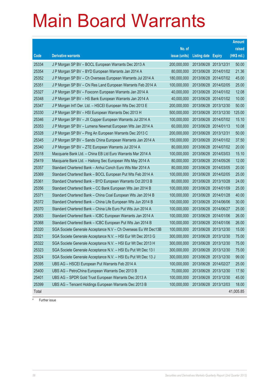|       |                                                                |               |                            |            | <b>Amount</b> |
|-------|----------------------------------------------------------------|---------------|----------------------------|------------|---------------|
|       |                                                                | No. of        |                            |            | raised        |
| Code  | <b>Derivative warrants</b>                                     | issue (units) | <b>Listing date Expiry</b> |            | (HK\$ mil.)   |
| 25334 | J P Morgan SP BV - BOCL European Warrants Dec 2013 A           | 200,000,000   | 2013/06/28 2013/12/31      |            | 50.00         |
| 25354 | J P Morgan SP BV - BYD European Warrants Jan 2014 A            | 80,000,000    | 2013/06/28 2014/01/02      |            | 21.36         |
| 25352 | J P Morgan SP BV - Ch Overseas European Warrants Jul 2014 A    | 180,000,000   | 2013/06/28 2014/07/02      |            | 45.00         |
| 25351 | J P Morgan SP BV - Chi Res Land European Warrants Feb 2014 A   | 100,000,000   | 2013/06/28 2014/02/05      |            | 25.00         |
| 25327 | J P Morgan SP BV - Foxconn European Warrants Jan 2014 A        | 40,000,000    | 2013/06/28 2014/01/02      |            | 12.08         |
| 25348 | J P Morgan SP BV - HS Bank European Warrants Jan 2014 A        | 40,000,000    | 2013/06/28 2014/01/02      |            | 10.00         |
| 25347 | J P Morgan Int'l Der. Ltd. - HSCEI European Wts Dec 2013 E     | 200,000,000   | 2013/06/28 2013/12/30      |            | 50.00         |
| 25330 | J P Morgan SP BV - HSI European Warrants Dec 2013 H            | 500,000,000   | 2013/06/28 2013/12/30      |            | 125.00        |
| 25346 | J P Morgan SP BV - JX Copper European Warrants Jul 2014 A      | 100,000,000   | 2013/06/28 2014/07/02      |            | 15.10         |
| 25353 | J P Morgan SP BV - Lumena Newmat European Wts Jan 2014 A       | 60,000,000    | 2013/06/28 2014/01/13      |            | 10.08         |
| 25328 | J P Morgan SP BV - Ping An European Warrants Dec 2013 C        | 200,000,000   | 2013/06/28 2013/12/31      |            | 50.00         |
| 25345 | J P Morgan SP BV - Sands China European Warrants Jan 2014 A    | 150,000,000   | 2013/06/28 2014/01/02      |            | 37.50         |
| 25340 | J P Morgan SP BV - ZTE European Warrants Jul 2014 A            | 80,000,000    | 2013/06/28 2014/07/02      |            | 20.00         |
| 25318 | Macquarie Bank Ltd. - China EB Ltd Euro Warrants Mar 2014 A    | 100,000,000   | 2013/06/28 2014/03/03      |            | 15.10         |
| 25419 | Macquarie Bank Ltd. - Haitong Sec European Wts May 2014 A      | 80,000,000    | 2013/06/28 2014/05/26      |            | 12.00         |
| 25357 | Standard Chartered Bank - Anhui Conch Euro Wts Mar 2014 A      | 80,000,000    | 2013/06/28 2014/03/05      |            | 20.00         |
| 25369 | Standard Chartered Bank - BOCL European Put Wts Feb 2014 A     | 100,000,000   | 2013/06/28 2014/02/05      |            | 25.00         |
| 25361 | Standard Chartered Bank - BYD European Warrants Oct 2013 B     | 80,000,000    | 2013/06/28 2013/10/28      |            | 24.00         |
| 25356 | Standard Chartered Bank - CC Bank European Wts Jan 2014 B      | 100,000,000   | 2013/06/28 2014/01/09      |            | 25.00         |
| 25371 | Standard Chartered Bank - China Coal European Wts Jan 2014 B   | 100,000,000   | 2013/06/28 2014/01/28      |            | 40.00         |
| 25372 | Standard Chartered Bank - China Life European Wts Jun 2014 B   | 100,000,000   | 2013/06/28 2014/06/06      |            | 30.00         |
| 25370 | Standard Chartered Bank - China Life Euro Put Wts Jun 2014 A   | 100,000,000   | 2013/06/28 2014/06/27      |            | 25.00         |
| 25363 | Standard Chartered Bank - ICBC European Warrants Jan 2014 A    | 100,000,000   | 2013/06/28 2014/01/06      |            | 26.00         |
| 25368 | Standard Chartered Bank - ICBC European Put Wts Jan 2014 B     | 100,000,000   | 2013/06/28 2014/01/06      |            | 26.00         |
| 25320 | SGA Societe Generale Acceptance N.V - Ch Overseas Eu Wt Dec13B | 100,000,000   | 2013/06/28 2013/12/30      |            | 15.00         |
| 25321 | SGA Societe Generale Acceptance N.V. - HSI Eur Wt Dec 2013 G   | 300,000,000   | 2013/06/28 2013/12/30      |            | 75.00         |
| 25322 | SGA Societe Generale Acceptance N.V. - HSI Eur Wt Dec 2013 H   | 300,000,000   | 2013/06/28 2013/12/30      |            | 75.00         |
| 25323 | SGA Societe Generale Acceptance N.V. - HSI Eu Put Wt Dec 13 I  | 300,000,000   | 2013/06/28 2013/12/30      |            | 75.00         |
| 25324 | SGA Societe Generale Acceptance N.V. - HSI Eu Put Wt Dec 13 J  | 300,000,000   | 2013/06/28                 | 2013/12/30 | 99.00         |
| 25395 | UBS AG - HSCEI European Put Warrants Feb 2014 A                | 100,000,000   | 2013/06/28 2014/02/27      |            | 25.00         |
| 25400 | UBS AG - PetroChina European Warrants Dec 2013 B               | 70,000,000    | 2013/06/28 2013/12/30      |            | 17.50         |
| 25401 | UBS AG - SPDR Gold Trust European Warrants Dec 2013 A          | 100,000,000   | 2013/06/28 2013/12/30      |            | 45.00         |
| 25399 | UBS AG - Tencent Holdings European Warrants Dec 2013 B         | 100,000,000   | 2013/06/28 2013/12/03      |            | 18.00         |
| Total |                                                                |               |                            |            | 41,005.85     |

# Further issue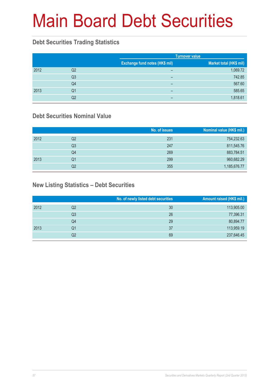# Main Board Debt Securities

### **Debt Securities Trading Statistics**

|      |                |                                       | <b>Turnover value</b>   |
|------|----------------|---------------------------------------|-------------------------|
|      |                | <b>Exchange fund notes (HK\$ mil)</b> | Market total (HK\$ mil) |
| 2012 | Q2             | $\overline{\phantom{0}}$              | 1,069.72                |
|      | Q <sub>3</sub> | $\overline{\phantom{0}}$              | 742.85                  |
|      | Q4             | $\overline{\phantom{0}}$              | 567.60                  |
| 2013 | Q1             | $\overline{\phantom{0}}$              | 585.65                  |
|      | Q2             | -                                     | 1,818.61                |

### **Debt Securities Nominal Value**

|      |                | No. of issues | Nominal value (HK\$ mil.) |
|------|----------------|---------------|---------------------------|
| 2012 | Q2             | 231           | 754,232.63                |
|      | Q <sub>3</sub> | 247           | 811,545.76                |
|      | Q4             | 269           | 883,784.51                |
| 2013 | Q1             | 299           | 960,682.29                |
|      | Q2             | 355           | 1,185,676.77              |

### **New Listing Statistics – Debt Securities**

|      |    | No. of newly listed debt securities | Amount raised (HK\$ mil.) |
|------|----|-------------------------------------|---------------------------|
| 2012 | Q2 | 30                                  | 113,905.00                |
|      | Q3 | 26                                  | 77,396.31                 |
|      | Q4 | 29                                  | 80,894.77                 |
| 2013 | Q1 | 37                                  | 113,959.19                |
|      | Q2 | 69                                  | 237,646.45                |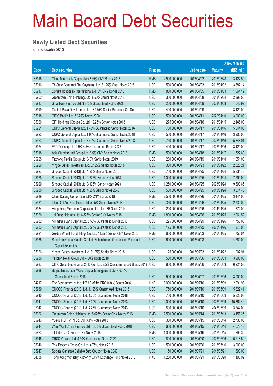# Main Board Debt Securities

#### **Newly Listed Debt Securities**

for 2nd quarter 2013

|        |                                                                                                 |                  |               |                     |                 | <b>Amount raised</b> |
|--------|-------------------------------------------------------------------------------------------------|------------------|---------------|---------------------|-----------------|----------------------|
| Code   | <b>Debt securities</b>                                                                          | <b>Principal</b> |               | <b>Listing date</b> | <b>Maturity</b> | $(HK$$ mil.)         |
| 85916  | China Minmetals Corporation 3.65% CNY Bonds 2016                                                | <b>RMB</b>       | 2,500,000,000 | 2013/04/02          | 2016/03/28      | 3,122.50             |
| 05916  | Ch State Construct Fin (Cayman) I Ltd. 3.125% Guar. Notes 2018                                  | <b>USD</b>       | 500,000,000   | 2013/04/03          | 2018/04/02      | 3,882.14             |
| 85917  | Dorsett Hospitality International Ltd. 6% CNY Bonds 2018                                        | <b>RMB</b>       | 850,000,000   | 2013/04/05          | 2018/04/03      | 1,064.12             |
| 05902# | Greentown China Holdings Ltd. 8.50% Senior Notes 2018                                           | <b>USD</b>       | 300,000,000   | 2013/04/08          | 2018/02/04      | 2,398.50             |
| 05917  | SmarTone Finance Ltd. 3.875% Guaranteed Notes 2023                                              | <b>USD</b>       | 200,000,000   | 2013/04/09          | 2023/04/08      | 1,542.92             |
| 05919  | Central Plaza Development Ltd. 8.375% Senior Perpetual CapSec                                   | <b>USD</b>       | 400,000,000   | 2013/04/09          |                 | 3,120.00             |
| 05918  | CITIC Pacific Ltd. 6.375% Notes 2020                                                            | <b>USD</b>       | 500,000,000   | 2013/04/11          | 2020/04/10      | 3,900.00             |
| 05920  | CIFI Holdings (Group) Co. Ltd. 12.25% Senior Notes 2018                                         | <b>USD</b>       | 275,000,000   | 2013/04/16          | 2018/04/15      | 2,145.00             |
| 05921  | CNPC General Capital Ltd. 1.45% Guaranteed Senior Notes 2016                                    | <b>USD</b>       | 750,000,000   | 2013/04/17          | 2016/04/16      | 5,844.03             |
| 05922  | CNPC General Capital Ltd. 1.95% Guaranteed Senior Notes 2018                                    | <b>USD</b>       | 500,000,000   | 2013/04/17          | 2018/04/16      | 3,900.00             |
| 05923  | CNPC General Capital Ltd. 3.40% Guaranteed Senior Notes 2023                                    | <b>USD</b>       | 750,000,000   | 2013/04/17          | 2023/04/16      | 5,848.01             |
| 05924  | FPC Treasury Ltd. 4.5% 4.5% Guaranteed Bonds 2023                                               | <b>USD</b>       | 400,000,000   | 2013/04/17          | 2023/04/16      | 3,120.00             |
| 85918  | Asia Standard Int'l Group Ltd. 6.5% CNY Senior Notes 2018                                       | <b>RMB</b>       | 500,000,000   | 2013/04/18          | 2018/04/17      | 627.60               |
| 05925  | Texhong Textile Group Ltd. 6.5% Senior Notes 2019                                               | <b>USD</b>       | 200,000,000   | 2013/04/19          | 2019/01/18      | 1,551.00             |
| 05926  | Yingde Gases Investment Ltd. 8.125% Senior Notes 2018                                           | <b>USD</b>       | 300,000,000   | 2013/04/23          | 2018/04/22      | 2,328.21             |
| 05927  | Sinopec Capital (2013) Ltd. 1.25% Senior Notes 2016                                             | <b>USD</b>       | 750,000,000   | 2013/04/25          | 2016/04/24      | 5,834.73             |
| 05928  | Sinopec Capital (2013) Ltd. 1.875% Senior Notes 2018                                            | <b>USD</b>       | 1,000,000,000 | 2013/04/25          | 2018/04/24      | 7,790.02             |
| 05929  | Sinopec Capital (2013) Ltd. 3.125% Senior Notes 2023                                            | <b>USD</b>       | 1,250,000,000 | 2013/04/25          | 2023/04/24      | 9,693.65             |
| 05930  | Sinopec Capital (2013) Ltd. 4.25% Senior Notes 2043                                             | <b>USD</b>       | 500,000,000   | 2013/04/25          | 2043/04/24      | 3,874.46             |
| 85919  | China Datang Corporation 3.6% CNY Bonds 2016                                                    | <b>RMB</b>       | 2,500,000,000 | 2013/04/26          | 2016/04/25      | 3,141.00             |
| 05931  | China Oil And Gas Group Ltd. 5.25% Senior Notes 2018                                            | <b>USD</b>       | 350,000,000   | 2013/04/26          | 2018/04/25      | 2,730.00             |
| 05934  | Hong Kong Mortgage Corporation Ltd. The FR Notes 2014                                           | <b>USD</b>       | 240,000,000   | 2013/04/26          | 2014/04/25      | 1,872.00             |
| 85920  | Lai Fung Holdings Ltd. 6.875% Senior CNY Notes 2018                                             | <b>RMB</b>       | 1,800,000,000 | 2013/04/26          | 2018/04/25      | 2,261.52             |
| 05932  | Minmetals Land Capital Ltd. 5.50% Guaranteed Bonds 2018                                         | <b>USD</b>       | 225,000,000   | 2013/04/29          | 2018/04/26      | 1,755.00             |
| 05933  | Minmetals Land Capital Ltd. 6.50% Guaranteed Bonds 2023                                         | <b>USD</b>       | 125,000,000   | 2013/04/29          | 2023/04/26      | 975.00               |
| 85921  | Golden Wheel Tiandi Hldgs Co. Ltd. 11.25% Senior CNY Notes 2016                                 | <b>RMB</b>       | 600,000,000   | 2013/05/03          | 2016/04/25      | 755.04               |
| 05935  | Sinochem Global Capital Co. Ltd. Subordinated Guaranteed Perpetual<br><b>Capital Securities</b> | <b>USD</b>       | 600,000,000   | 2013/05/03          |                 | 4,680.00             |
| 05926# | Yingde Gases Investment Ltd. 8.125% Senior Notes 2018                                           | <b>USD</b>       | 125,000,000   | 2013/05/03          | 2018/04/22      | 1,007.91             |
| 05936  | Parkson Retail Group Ltd. 4.50% Notes 2018                                                      | <b>USD</b>       | 500,000,000   | 2013/05/06          | 2018/05/03      | 3,900.00             |
| 05937  | CITIC Securities Finance 2013 Co., Ltd. 2.5% Credit Enhanced Bonds 2018                         | <b>USD</b>       | 800,000,000   | 2013/05/06          | 2018/05/03      | 6,224.58             |
| 05938  | Beijing Enterprises Water Capital Management Ltd. 4.625%                                        |                  |               |                     |                 |                      |
|        | Guaranteed Bonds 2018                                                                           | <b>USD</b>       | 500,000,000   | 2013/05/07          | 2018/05/06      | 3,900.00             |
| 04217  | The Government of the HKSAR of the PRC 0.34% Bonds 2016                                         | <b>HKD</b>       | 3,000,000,000 | 2013/05/10          | 2016/05/09      | 2,991.90             |
| 05939  | CNOOC Finance (2013) Ltd. 1.125% Guaranteed Notes 2016                                          | <b>USD</b>       | 750,000,000   | 2013/05/10          | 2016/05/09      | 5,829.41             |
| 05940  | CNOOC Finance (2013) Ltd. 1.75% Guaranteed Notes 2018                                           | <b>USD</b>       | 750,000,000   | 2013/05/10          | 2018/05/09      | 5,823.03             |
| 05941  | CNOOC Finance (2013) Ltd. 3.00% Guaranteed Notes 2023                                           | <b>USD</b>       | 2,000,000,000 | 2013/05/10          | 2023/05/09      | 15,362.42            |
| 05942  | CNOOC Finance (2013) Ltd. 4.25% Guaranteed Notes 2043                                           | <b>USD</b>       | 500,000,000   | 2013/05/10          | 2043/05/09      | 3,842.09             |
| 85922  | Greentown China Holdings Ltd. 5.625% Senior CNY Notes 2016                                      | <b>RMB</b>       | 2,500,000,000 | 2013/05/14          | 2016/05/13      | 3,158.25             |
| 05943  | Yuexiu REIT MTN Co. Ltd. 3.1% Notes 2018                                                        | <b>USD</b>       | 350,000,000   | 2013/05/15          | 2018/05/14      | 2,730.00             |
| 05944  | Want Want China Finance Ltd. 1.875% Guaranteed Notes 2018                                       | <b>USD</b>       | 600,000,000   | 2013/05/15          | 2018/05/14      | 4,675.13             |
| 85923  | I.T Ltd. 6.25% Senior CNY Notes 2018                                                            | <b>RMB</b>       | 1,000,000,000 | 2013/05/16          | 2018/05/15      | 1,263.30             |
| 05945  | CRCC Yuxiang Ltd. 3.50% Guaranteed Notes 2023                                                   | <b>USD</b>       | 800,000,000   | 2013/05/20          | 2023/05/16      | 6,218.60             |
| 05946  | Poly Property Group Co., Ltd. 4.75% Notes 2018                                                  | <b>USD</b>       | 500,000,000   | 2013/05/20          | 2018/05/16      | 3,900.00             |
| 05947  | Societe Generale Callable Zero Coupon Notes 2043                                                | <b>USD</b>       | 50,000,000    | 2013/05/21          | 2043/05/21      | 390.00               |
| 04038  | Hong Kong Monetary Authority 0.15% Exchange Fund Notes 2015                                     | <b>HKD</b>       | 1,200,000,000 | 2013/05/21          | 2015/05/20      | 1,198.92             |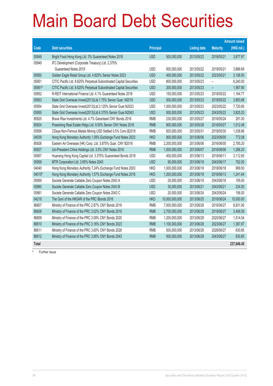# Main Board Debt Securities

|        |                                                                     |                  |                |                     | <b>Amount raised</b> |             |
|--------|---------------------------------------------------------------------|------------------|----------------|---------------------|----------------------|-------------|
| Code   | <b>Debt securities</b>                                              | <b>Principal</b> |                | <b>Listing date</b> | <b>Maturity</b>      | (HK\$ mil.) |
| 05948  | Bright Food Hong Kong Ltd. 3% Guaranteed Notes 2018                 | <b>USD</b>       | 500,000,000    | 2013/05/22          | 2018/05/21           | 3,877.97    |
| 05949  | IFC Development (Corporate Treasury) Ltd. 2.375%                    |                  |                |                     |                      |             |
|        | Guaranteed Notes 2019                                               | <b>USD</b>       | 500,000,000    | 2013/05/22          | 2019/05/21           | 3,868.69    |
| 05950  | Golden Eagle Retail Group Ltd. 4.625% Senior Notes 2023             | <b>USD</b>       | 400,000,000    | 2013/05/22          | 2023/05/21           | 3,106.93    |
| 05951  | CITIC Pacific Ltd. 8.625% Perpetual Subordinated Capital Securities | <b>USD</b>       | 800,000,000    | 2013/05/23          |                      | 6,240.00    |
| 05951# | CITIC Pacific Ltd. 8.625% Perpetual Subordinated Capital Securities | <b>USD</b>       | 200,000,000    | 2013/05/23          | ÷,                   | 1,567.80    |
| 05952  | R-REIT International Finance Ltd. 4.1% Guaranteed Notes 2018        | <b>USD</b>       | 150,000,000    | 2013/05/23          | 2018/05/22           | 1,164.77    |
| 05953  | State Grid Overseas Invest(2013)Ltd.1.75% Senior Guar. N2018        | <b>USD</b>       | 500,000,000    | 2013/05/23          | 2018/05/22           | 3,893.88    |
| 05954  | State Grid Overseas Invest(2013)Ltd.3.125% Senior Guar.N2023        | <b>USD</b>       | 1,000,000,000  | 2013/05/23          | 2023/05/22           | 7,720.60    |
| 05955  | State Grid Overseas Invest(2013)Ltd.4.375% Senior Guar.N2043        | <b>USD</b>       | 500,000,000    | 2013/05/23          | 2043/05/22           | 3,825.20    |
| 85925  | Brave Rise Investments Ltd. 4.7% Garanteed CNY Bonds 2016           | <b>RMB</b>       | 230,000,000    | 2013/05/27          | 2016/05/24           | 291.00      |
| 85924  | Powerlong Real Estate Hidgs Ltd. 9.50% Senior CNY Notes 2016        | <b>RMB</b>       | 800,000,000    | 2013/05/28          | 2016/05/27           | 1,012.48    |
| 05956  | CDaye Non-Ferrous Metals Mining USD Settled 0.5% Conv.B2018         | <b>RMB</b>       | 820,000,000    | 2013/05/31          | 2018/05/30           | 1,038.86    |
| 04039  | Hong Kong Monetary Authority 1.09% Exchange Fund Notes 2023         | <b>HKD</b>       | 800,000,000    | 2013/06/06          | 2023/06/05           | 772.08      |
| 85926  | Eastern Air Overseas (HK) Corp. Ltd. 3.875% Guar. CNY B2016         | <b>RMB</b>       | 2,200,000,000  | 2013/06/06          | 2016/06/05           | 2,785.20    |
| 85927  | Uni-President China Holdings Ltd. 3.5% CNY Notes 2016               | <b>RMB</b>       | 1,000,000,000  | 2013/06/07          | 2016/06/06           | 1,266.20    |
| 05957  | Huaneng Hong Kong Capital Ltd. 3.375% Guaranteed Bonds 2018         | <b>USD</b>       | 400,000,000    | 2013/06/13          | 2018/06/11           | 3,112.60    |
| 05958  | MTR Corporation Ltd. 3.65% Notes 2043                               | <b>USD</b>       | 90,000,000     | 2013/06/18          | 2043/06/17           | 702.00      |
| 04040  | Hong Kong Monetary Authority 7.24% Exchange Fund Notes 2003         | <b>HKD</b>       | 1,000,000,000  | 2013/06/18          | 2018/06/18           | 999.50      |
| 04015# | Hong Kong Monetary Authority 1.57% Exchange Fund Notes 2016         | <b>HKD</b>       | 1,200,000,000  | 2013/06/18          | 2016/06/13           | 1,241.64    |
| 05959  | Societe Generale Callable Zero Coupon Notes 2043 A                  | <b>USD</b>       | 25,000,000     | 2013/06/18          | 2043/06/18           | 195.00      |
| 05960  | Societe Generale Callable Zero Coupon Notes 2043 B                  | <b>USD</b>       | 30,000,000     | 2013/06/21          | 2043/06/21           | 234.00      |
| 05961  | Societe Generale Callable Zero Coupon Notes 2043 C                  | <b>USD</b>       | 20,000,000     | 2013/06/24          | 2043/06/24           | 156.00      |
| 04218  | The Govt of the HKSAR of the PRC iBonds 2016                        | <b>HKD</b>       | 10,000,000,000 | 2013/06/25          | 2016/06/24           | 10,000.00   |
| 86607  | Ministry of Finance of the PRC 2.87% CNY Bonds 2016                 | <b>RMB</b>       | 7,000,000,000  | 2013/06/28          | 2016/06/27           | 8,831.90    |
| 86608  | Ministry of Finance of the PRC 3.02% CNY Bonds 2018                 | <b>RMB</b>       | 2,700,000,000  | 2013/06/28          | 2018/06/27           | 3,406.59    |
| 86609  | Ministry of Finance of the PRC 3.09% CNY Bonds 2020                 | <b>RMB</b>       | 1,200,000,000  | 2013/06/28          | 2020/06/27           | 1,514.04    |
| 86610  | Ministry of Finance of the PRC 3.16% CNY Bonds 2023                 | <b>RMB</b>       | 1,100,000,000  | 2013/06/28          | 2023/06/27           | 1,387.87    |
| 86611  | Ministry of Finance of the PRC 3.60% CNY Bonds 2028                 | <b>RMB</b>       | 500,000,000    | 2013/06/28          | 2028/06/27           | 630.85      |
| 86612  | Ministry of Finance of the PRC 3.95% CNY Bonds 2043                 | <b>RMB</b>       | 500,000,000    | 2013/06/28          | 2043/06/27           | 630.85      |
| Total  |                                                                     |                  |                |                     |                      | 237,646.45  |

 $\overline{\phantom{a}^*}$  Further issue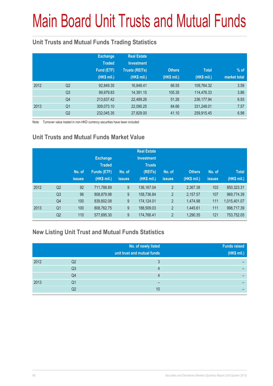# Main Board Unit Trusts and Mutual Funds

### **Unit Trusts and Mutual Funds Trading Statistics**

|      |                | <b>Exchange</b><br><b>Traded</b><br>Fund (ETF)<br>(HK\$ mil.) | <b>Real Estate</b><br><b>Investment</b><br><b>Trusts (REITs)</b><br>(HK\$ mil.) | <b>Others</b><br>(HK\$ mil.) | <b>Total</b><br>(HK\$ mil.) | $%$ of<br>market total |
|------|----------------|---------------------------------------------------------------|---------------------------------------------------------------------------------|------------------------------|-----------------------------|------------------------|
| 2012 | Q <sub>2</sub> | 92,849.35                                                     | 16,848.41                                                                       | 66.55                        | 109,764.32                  | 3.59                   |
|      | Q <sub>3</sub> | 99,979.83                                                     | 14,391.15                                                                       | 105.35                       | 114,476.33                  | 3.86                   |
|      | Q4             | 213,637.42                                                    | 22,489.26                                                                       | 51.26                        | 236,177.94                  | 6.93                   |
| 2013 | Q <sub>1</sub> | 309,073.10                                                    | 22,090.25                                                                       | 84.66                        | 331,248.01                  | 7.57                   |
|      | Q <sub>2</sub> | 232,045.35                                                    | 27,829.00                                                                       | 41.10                        | 259,915.45                  | 6.98                   |

Note: Turnover value traded in non-HKD currency securities have been included

### **Unit Trusts and Mutual Funds Market Value**

|      |                | No. of<br><b>issues</b> | <b>Exchange</b><br><b>Traded</b><br>Funds (ETF)<br>(HK\$ mil.) | No. of<br><b>issues</b> | <b>Real Estate</b><br><b>Investment</b><br><b>Trusts</b><br>(REITs)<br>(HK\$ mil.) | No. of<br><b>issues</b> | <b>Others</b><br>(HK\$ mil.) | No. of<br><b>issues</b> | <b>Total</b><br>(HK\$ mil.) |
|------|----------------|-------------------------|----------------------------------------------------------------|-------------------------|------------------------------------------------------------------------------------|-------------------------|------------------------------|-------------------------|-----------------------------|
| 2012 | Q <sub>2</sub> | 92                      | 711,788.89                                                     | 9                       | 136, 167.04                                                                        | $\overline{2}$          | 2,367.38                     | 103                     | 850,323.31                  |
|      | Q <sub>3</sub> | 96                      | 808,879.98                                                     | 9                       | 158,736.84                                                                         | $\overline{2}$          | 2,157.57                     | 107                     | 969,774.39                  |
|      | Q4             | 100                     | 839,802.08                                                     | 9                       | 174,124.01                                                                         | $\overline{2}$          | 1,474.98                     | 111                     | 1,015,401.07                |
| 2013 | Q <sub>1</sub> | 100                     | 808,762.75                                                     | 9                       | 188,509.03                                                                         | $\overline{2}$          | 1,445.61                     | 111                     | 998,717.39                  |
|      | Q <sub>2</sub> | 110                     | 577,695.30                                                     | 9                       | 174,766.41                                                                         | $\overline{2}$          | 1,290.35                     | 121                     | 753,752.05                  |

### **New Listing Unit Trust and Mutual Funds Statistics**

|      |    | No. of newly listed<br>unit trust and mutual funds | <b>Funds raised</b><br>(HK\$ mil.) |
|------|----|----------------------------------------------------|------------------------------------|
| 2012 | Q2 |                                                    |                                    |
|      | Q3 |                                                    |                                    |
|      | Q4 |                                                    |                                    |
| 2013 | Q1 | -                                                  |                                    |
|      | Q2 | 10                                                 |                                    |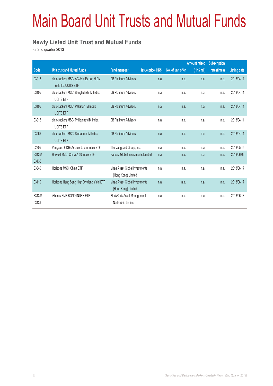# Main Board Unit Trusts and Mutual Funds

#### **Newly Listed Unit Trust and Mutual Funds**

for 2nd quarter 2013

|                 |                                                                |                                                         |                           |                   | <b>Amount raised</b> | <b>Subscription</b> |                     |
|-----------------|----------------------------------------------------------------|---------------------------------------------------------|---------------------------|-------------------|----------------------|---------------------|---------------------|
| Code            | <b>Unit trust and Mutual funds</b>                             | <b>Fund manager</b>                                     | <b>Issue price (HK\$)</b> | No. of unit offer | (HK\$ mil)           | rate (times)        | <b>Listing date</b> |
| 03013           | db x-trackers MSCI AC Asia Ex Jap H Div<br>Yield Idx UCITS ETF | <b>DB Platinum Advisors</b>                             | n.a.                      | n.a.              | n.a.                 | n.a.                | 2013/04/11          |
| 03105           | db x-trackers MSCI Bangladesh IM Index<br><b>UCITS ETF</b>     | <b>DB Platinum Advisors</b>                             | n.a.                      | n.a.              | n.a.                 | n.a.                | 2013/04/11          |
| 03106           | db x-trackers MSCI Pakistan IM Index<br><b>UCITS ETF</b>       | <b>DB Platinum Advisors</b>                             | n.a.                      | n.a.              | n.a.                 | n.a.                | 2013/04/11          |
| 03016           | db x-trackers MSCI Philippines IM Index<br><b>UCITS ETF</b>    | <b>DB Platinum Advisors</b>                             | n.a.                      | n.a.              | n.a.                 | n.a.                | 2013/04/11          |
| 03065           | db x-trackers MSCI Singapore IM Index<br><b>UCITS ETF</b>      | <b>DB Platinum Advisors</b>                             | n.a.                      | n.a.              | n.a.                 | n.a.                | 2013/04/11          |
| 02805           | Vanguard FTSE Asia ex Japan Index ETF                          | The Vanguard Group, Inc.                                | n.a.                      | n.a.              | n.a.                 | n.a.                | 2013/05/15          |
| 83136/<br>03136 | Harvest MSCI China A 50 Index ETF                              | Harvest Global Investments Limited                      | n.a.                      | n.a.              | n.a.                 | n.a.                | 2013/06/06          |
| 03040           | Horizons MSCI China ETF                                        | Mirae Asset Global Investments<br>(Hong Kong) Limited   | n.a.                      | n.a.              | n.a.                 | n.a.                | 2013/06/17          |
| 03110           | Horizons Hang Seng High Dividend Yield ETF                     | Mirae Asset Global Investments<br>(Hong Kong) Limited   | n.a.                      | n.a.              | n.a.                 | n.a.                | 2013/06/17          |
| 83139/<br>03139 | iShares RMB BOND INDEX ETF                                     | <b>BlackRock Asset Management</b><br>North Asia Limited | n.a.                      | n.a.              | n.a.                 | n.a.                | 2013/06/18          |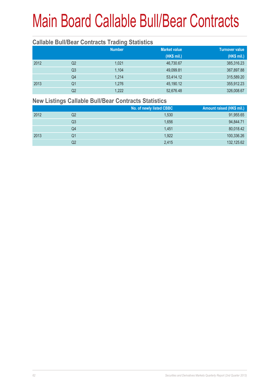#### **Callable Bull/Bear Contracts Trading Statistics**

|      |    | <b>Number</b> | <b>Market value</b> | <b>Turnover value</b> |
|------|----|---------------|---------------------|-----------------------|
|      |    |               | (HK\$ mil.)         | (HK\$ mil.)           |
| 2012 | Q2 | 1.021         | 46,730.67           | 385,316.23            |
|      | Q3 | 1.104         | 49,099.81           | 367,897.88            |
|      | Q4 | 1.214         | 53,414.12           | 315,589.20            |
| 2013 | Q1 | 1,276         | 45,190.12           | 355,912.23            |
|      | Q2 | 1,222         | 52,676.48           | 326,008.67            |

#### **New Listings Callable Bull/Bear Contracts Statistics**

|      |    | No. of newly listed CBBC | Amount raised (HK\$ mil.) |
|------|----|--------------------------|---------------------------|
| 2012 | Q2 | 1,530                    | 91,955.65                 |
|      | Q3 | 1,656                    | 94,844.71                 |
|      | Q4 | 1.451                    | 80,018.42                 |
| 2013 | Q1 | 1,922                    | 100,336.26                |
|      | Q2 | 2,415                    | 132,125.62                |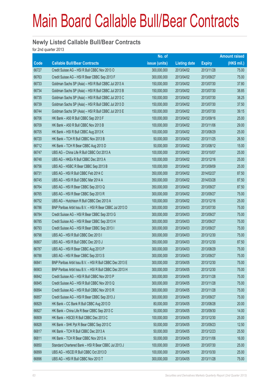#### **Newly Listed Callable Bull/Bear Contracts**

for 2nd quarter 2013

|             |                                                          | No. of        |                     |               | <b>Amount raised</b> |
|-------------|----------------------------------------------------------|---------------|---------------------|---------------|----------------------|
| <b>Code</b> | <b>Callable Bull/Bear Contracts</b>                      | issue (units) | <b>Listing date</b> | <b>Expiry</b> | (HK\$ mil.)          |
| 66727       | Credit Suisse AG - HSI R Bull CBBC Nov 2013 O            | 300,000,000   | 2013/04/02          | 2013/11/28    | 75.00                |
| 66763       | Credit Suisse AG - HSI R Bear CBBC Sep 2013 F            | 300,000,000   | 2013/04/02          | 2013/09/27    | 75.00                |
| 66733       | Goldman Sachs SP (Asia) - HSI R Bull CBBC Jul 2013 A     | 150,000,000   | 2013/04/02          | 2013/07/30    | 37.80                |
| 66734       | Goldman Sachs SP (Asia) - HSI R Bull CBBC Jul 2013 B     | 150,000,000   | 2013/04/02          | 2013/07/30    | 38.85                |
| 66735       | Goldman Sachs SP (Asia) - HSI R Bull CBBC Jul 2013 C     | 150,000,000   | 2013/04/02          | 2013/07/30    | 38.25                |
| 66739       | Goldman Sachs SP (Asia) - HSI R Bull CBBC Jul 2013 D     | 150,000,000   | 2013/04/02          | 2013/07/30    | 37.50                |
| 66744       | Goldman Sachs SP (Asia) - HSI R Bull CBBC Jul 2013 E     | 150,000,000   | 2013/04/02          | 2013/07/30    | 39.15                |
| 66706       | HK Bank - A50 R Bull CBBC Sep 2013 F                     | 100,000,000   | 2013/04/02          | 2013/09/16    | 25.00                |
| 66709       | HK Bank - A50 R Bull CBBC Nov 2013 B                     | 100,000,000   | 2013/04/02          | 2013/11/06    | 29.00                |
| 66705       | HK Bank - HSI R Bull CBBC Aug 2013 K                     | 100,000,000   | 2013/04/02          | 2013/08/29    | 25.00                |
| 66720       | HK Bank - TCH R Bull CBBC Nov 2013 B                     | 50,000,000    | 2013/04/02          | 2013/11/25    | 26.50                |
| 66712       | HK Bank - TCH R Bear CBBC Aug 2013 D                     | 50,000,000    | 2013/04/02          | 2013/08/12    | 15.00                |
| 66747       | UBS AG - China Life R Bull CBBC Oct 2013 A               | 100,000,000   | 2013/04/02          | 2013/10/07    | 25.00                |
| 66748       | UBS AG - HKEx R Bull CBBC Dec 2013 A                     | 100,000,000   | 2013/04/02          | 2013/12/16    | 25.00                |
| 66756       | UBS AG - HSBC R Bear CBBC Sep 2013 B                     | 100,000,000   | 2013/04/02          | 2013/09/09    | 25.00                |
| 66731       | UBS AG - HSI R Bull CBBC Feb 2014 C                      | 350,000,000   | 2013/04/02          | 2014/02/27    | 87.50                |
| 66745       | UBS AG - HSI R Bull CBBC Mar 2014 A                      | 350,000,000   | 2013/04/02          | 2014/03/28    | 87.50                |
| 66764       | UBS AG - HSI R Bear CBBC Sep 2013 Q                      | 350,000,000   | 2013/04/02          | 2013/09/27    | 87.50                |
| 66765       | UBS AG - HSI R Bear CBBC Sep 2013 R                      | 300,000,000   | 2013/04/02          | 2013/09/27    | 75.00                |
| 66752       | UBS AG - Hutchison R Bull CBBC Dec 2013 A                | 100,000,000   | 2013/04/02          | 2013/12/16    | 25.00                |
| 66786       | BNP Paribas Arbit Issu B.V. - HSI R Bear CBBC Jul 2013 D | 300,000,000   | 2013/04/03          | 2013/07/30    | 75.00                |
| 66784       | Credit Suisse AG - HSI R Bear CBBC Sep 2013 G            | 300,000,000   | 2013/04/03          | 2013/09/27    | 75.00                |
| 66785       | Credit Suisse AG - HSI R Bear CBBC Sep 2013 H            | 300,000,000   | 2013/04/03          | 2013/09/27    | 75.00                |
| 66793       | Credit Suisse AG - HSI R Bear CBBC Sep 2013 I            | 300,000,000   | 2013/04/03          | 2013/09/27    | 75.00                |
| 66798       | UBS AG - HSI R Bull CBBC Dec 2013 I                      | 300,000,000   | 2013/04/03          | 2013/12/30    | 75.00                |
| 66807       | UBS AG - HSI R Bull CBBC Dec 2013 J                      | 350,000,000   | 2013/04/03          | 2013/12/30    | 87.50                |
| 66787       | UBS AG - HSI R Bear CBBC Aug 2013 P                      | 300,000,000   | 2013/04/03          | 2013/08/29    | 75.00                |
| 66788       | UBS AG - HSI R Bear CBBC Sep 2013 S                      | 300,000,000   | 2013/04/03          | 2013/09/27    | 75.00                |
| 66841       | BNP Paribas Arbit Issu B.V. - HSI R Bull CBBC Dec 2013 E | 300,000,000   | 2013/04/05          | 2013/12/30    | 75.00                |
| 66903       | BNP Paribas Arbit Issu B.V. - HSI R Bull CBBC Dec 2013 H | 300,000,000   | 2013/04/05          | 2013/12/30    | 75.00                |
| 66842       | Credit Suisse AG - HSI R Bull CBBC Nov 2013 P            | 300,000,000   | 2013/04/05          | 2013/11/28    | 75.00                |
| 66845       | Credit Suisse AG - HSI R Bull CBBC Nov 2013 Q            | 300,000,000   | 2013/04/05          | 2013/11/28    | 75.00                |
| 66894       | Credit Suisse AG - HSI R Bull CBBC Nov 2013 R            | 300,000,000   | 2013/04/05          | 2013/11/28    | 75.00                |
| 66857       | Credit Suisse AG - HSI R Bear CBBC Sep 2013 J            | 300,000,000   | 2013/04/05          | 2013/09/27    | 75.00                |
| 66829       | HK Bank - CC Bank R Bull CBBC Aug 2013 D                 | 80,000,000    | 2013/04/05          | 2013/08/28    | 20.00                |
| 66827       | HK Bank - China Life R Bear CBBC Sep 2013 C              | 50,000,000    | 2013/04/05          | 2013/09/30    | 14.00                |
| 66809       | HK Bank - HSCEI R Bull CBBC Dec 2013 C                   | 100,000,000   | 2013/04/05          | 2013/12/30    | 25.00                |
| 66828       | HK Bank - SHK Ppt R Bear CBBC Sep 2013 C                 | 50,000,000    | 2013/04/05          | 2013/09/23    | 12.50                |
| 66817       | HK Bank - TCH R Bull CBBC Dec 2013 A                     | 50,000,000    | 2013/04/05          | 2013/12/23    | 25.50                |
| 66811       | HK Bank - TCH R Bear CBBC Nov 2013 A                     | 50,000,000    | 2013/04/05          | 2013/11/06    | 16.00                |
| 66850       | Standard Chartered Bank - HSI R Bear CBBC Jul 2013 J     | 100,000,000   | 2013/04/05          | 2013/07/30    | 25.00                |
| 66899       | UBS AG - HSCEI R Bull CBBC Oct 2013 D                    | 100,000,000   | 2013/04/05          | 2013/10/30    | 25.00                |
| 66896       | UBS AG - HSI R Bull CBBC Nov 2013 T                      | 300,000,000   | 2013/04/05          | 2013/11/28    | 75.00                |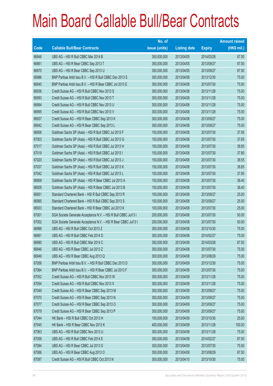|       |                                                                | No. of        |                     |               | <b>Amount raised</b> |
|-------|----------------------------------------------------------------|---------------|---------------------|---------------|----------------------|
| Code  | <b>Callable Bull/Bear Contracts</b>                            | issue (units) | <b>Listing date</b> | <b>Expiry</b> | $(HK$$ mil.)         |
| 66846 | UBS AG - HSI R Bull CBBC Mar 2014 B                            | 350,000,000   | 2013/04/05          | 2014/03/28    | 87.50                |
| 66861 | UBS AG - HSI R Bear CBBC Sep 2013 T                            | 350,000,000   | 2013/04/05          | 2013/09/27    | 87.50                |
| 66870 | UBS AG - HSI R Bear CBBC Sep 2013 U                            | 350,000,000   | 2013/04/05          | 2013/09/27    | 87.50                |
| 66986 | BNP Paribas Arbit Issu B.V. - HSI R Bull CBBC Dec 2013 S       | 300,000,000   | 2013/04/08          | 2013/12/30    | 75.00                |
| 66945 | BNP Paribas Arbit Issu B.V. - HSI R Bear CBBC Jul 2013 E       | 300,000,000   | 2013/04/08          | 2013/07/30    | 75.00                |
| 66936 | Credit Suisse AG - HSI R Bull CBBC Nov 2013 S                  | 300,000,000   | 2013/04/08          | 2013/11/28    | 75.00                |
| 66993 | Credit Suisse AG - HSI R Bull CBBC Nov 2013 T                  | 300,000,000   | 2013/04/08          | 2013/11/28    | 75.00                |
| 66994 | Credit Suisse AG - HSI R Bull CBBC Nov 2013 U                  | 300,000,000   | 2013/04/08          | 2013/11/28    | 75.00                |
| 66995 | Credit Suisse AG - HSI R Bull CBBC Nov 2013 V                  | 300,000,000   | 2013/04/08          | 2013/11/28    | 75.00                |
| 66937 | Credit Suisse AG - HSI R Bear CBBC Sep 2013 K                  | 300,000,000   | 2013/04/08          | 2013/09/27    | 75.00                |
| 66942 | Credit Suisse AG - HSI R Bear CBBC Sep 2013 L                  | 300,000,000   | 2013/04/08          | 2013/09/27    | 75.00                |
| 66906 | Goldman Sachs SP (Asia) - HSI R Bull CBBC Jul 2013 F           | 150,000,000   | 2013/04/08          | 2013/07/30    | 37.95                |
| 67003 | Goldman Sachs SP (Asia) - HSI R Bull CBBC Jul 2013 G           | 150,000,000   | 2013/04/08          | 2013/07/30    | 37.65                |
| 67017 | Goldman Sachs SP (Asia) - HSI R Bull CBBC Jul 2013 H           | 150,000,000   | 2013/04/08          | 2013/07/30    | 38.85                |
| 67019 | Goldman Sachs SP (Asia) - HSI R Bull CBBC Jul 2013 I           | 150,000,000   | 2013/04/08          | 2013/07/30    | 37.80                |
| 67020 | Goldman Sachs SP (Asia) - HSI R Bull CBBC Jul 2013 J           | 150,000,000   | 2013/04/08          | 2013/07/30    | 38.55                |
| 67037 | Goldman Sachs SP (Asia) - HSI R Bull CBBC Jul 2013 K           | 150,000,000   | 2013/04/08          | 2013/07/30    | 38.85                |
| 67042 | Goldman Sachs SP (Asia) - HSI R Bull CBBC Jul 2013 L           | 150,000,000   | 2013/04/08          | 2013/07/30    | 37.95                |
| 66909 | Goldman Sachs SP (Asia) - HSI R Bear CBBC Jul 2013 A           | 150,000,000   | 2013/04/08          | 2013/07/30    | 38.40                |
| 66928 | Goldman Sachs SP (Asia) - HSI R Bear CBBC Jul 2013 B           | 150,000,000   | 2013/04/08          | 2013/07/30    | 38.40                |
| 66951 | Standard Chartered Bank - HSI R Bull CBBC Sep 2013 R           | 100,000,000   | 2013/04/08          | 2013/09/27    | 25.00                |
| 66985 | Standard Chartered Bank - HSI R Bull CBBC Sep 2013 S           | 100,000,000   | 2013/04/08          | 2013/09/27    | 25.00                |
| 66933 | Standard Chartered Bank - HSI R Bear CBBC Jul 2013 K           | 100,000,000   | 2013/04/08          | 2013/07/30    | 25.00                |
| 67001 | SGA Societe Generale Acceptance N.V. - HSI R Bull CBBC Jul13 I | 200,000,000   | 2013/04/08          | 2013/07/30    | 50.00                |
| 67002 | SGA Societe Generale Acceptance N.V. - HSI R Bear CBBC Jul13 I | 200,000,000   | 2013/04/08          | 2013/07/30    | 50.00                |
| 66988 | UBS AG - HSI R Bull CBBC Oct 2013 Z                            | 300,000,000   | 2013/04/08          | 2013/10/30    | 75.00                |
| 66991 | UBS AG - HSI R Bull CBBC Feb 2014 D                            | 300,000,000   | 2013/04/08          | 2014/02/27    | 75.00                |
| 66990 | UBS AG - HSI R Bull CBBC Mar 2014 C                            | 350,000,000   | 2013/04/08          | 2014/03/28    | 87.50                |
| 66946 | UBS AG - HSI R Bear CBBC Jul 2013 Z                            | 300,000,000   | 2013/04/08          | 2013/07/30    | 75.00                |
| 66949 | UBS AG - HSI R Bear CBBC Aug 2013 Q                            | 300,000,000   | 2013/04/08          | 2013/08/29    | 75.00                |
| 67056 | BNP Paribas Arbit Issu B.V. - HSI R Bull CBBC Dec 2013 D       | 300,000,000   | 2013/04/09          | 2013/12/30    | 75.00                |
| 67064 | BNP Paribas Arbit Issu B.V. - HSI R Bear CBBC Jul 2013 F       | 300,000,000   | 2013/04/09          | 2013/07/30    | 75.00                |
| 67052 | Credit Suisse AG - HSI R Bull CBBC Nov 2013 W                  | 300,000,000   | 2013/04/09          | 2013/11/28    | 75.00                |
| 67054 | Credit Suisse AG - HSI R Bull CBBC Nov 2013 X                  | 300,000,000   | 2013/04/09          | 2013/11/28    | 75.00                |
| 67049 | Credit Suisse AG - HSI R Bear CBBC Sep 2013 M                  | 300,000,000   | 2013/04/09          | 2013/09/27    | 75.00                |
| 67070 | Credit Suisse AG - HSI R Bear CBBC Sep 2013 N                  | 300,000,000   | 2013/04/09          | 2013/09/27    | 75.00                |
| 67077 | Credit Suisse AG - HSI R Bear CBBC Sep 2013 O                  | 300,000,000   | 2013/04/09          | 2013/09/27    | 75.00                |
| 67079 | Credit Suisse AG - HSI R Bear CBBC Sep 2013 P                  | 300,000,000   | 2013/04/09          | 2013/09/27    | 75.00                |
| 67044 | HK Bank - HSI R Bull CBBC Oct 2013 H                           | 100,000,000   | 2013/04/09          | 2013/10/30    | 25.00                |
| 67045 | HK Bank - HSI R Bear CBBC Nov 2013 K                           | 400,000,000   | 2013/04/09          | 2013/11/28    | 100.00               |
| 67063 | UBS AG - HSI R Bull CBBC Nov 2013 U                            | 300,000,000   | 2013/04/09          | 2013/11/28    | 75.00                |
| 67058 | UBS AG - HSI R Bull CBBC Feb 2014 E                            | 350,000,000   | 2013/04/09          | 2014/02/27    | 87.50                |
| 67084 | UBS AG - HSI R Bear CBBC Jul 2013 S                            | 300,000,000   | 2013/04/09          | 2013/07/30    | 75.00                |
| 67086 | UBS AG - HSI R Bear CBBC Aug 2013 O                            | 350,000,000   | 2013/04/09          | 2013/08/29    | 87.50                |
| 67097 | Credit Suisse AG - HSI R Bull CBBC Oct 2013 N                  | 300,000,000   | 2013/04/10          | 2013/10/30    | 75.00                |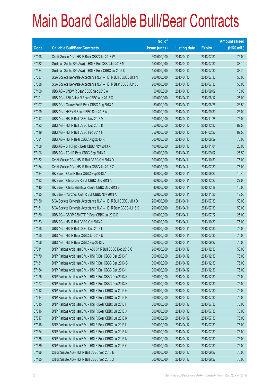|       |                                                                | No. of        |                     |               | <b>Amount raised</b> |
|-------|----------------------------------------------------------------|---------------|---------------------|---------------|----------------------|
| Code  | <b>Callable Bull/Bear Contracts</b>                            | issue (units) | <b>Listing date</b> | <b>Expiry</b> | (HK\$ mil.)          |
| 67098 | Credit Suisse AG - HSI R Bear CBBC Jul 2013 W                  | 300,000,000   | 2013/04/10          | 2013/07/30    | 75.00                |
| 67132 | Goldman Sachs SP (Asia) - HSI R Bull CBBC Jul 2013 M           | 150,000,000   | 2013/04/10          | 2013/07/30    | 38.10                |
| 67124 | Goldman Sachs SP (Asia) - HSI R Bear CBBC Jul 2013 C           | 150,000,000   | 2013/04/10          | 2013/07/30    | 38.70                |
| 67087 | SGA Societe Generale Acceptance N.V. - HSI R Bull CBBC Jul13 N | 200,000,000   | 2013/04/10          | 2013/07/30    | 50.00                |
| 67088 | SGA Societe Generale Acceptance N.V. - HSI R Bear CBBC Jul13 J | 200,000,000   | 2013/04/10          | 2013/07/30    | 50.00                |
| 67100 | UBS AG - CNBM R Bear CBBC Sep 2013 A                           | 50,000,000    | 2013/04/10          | 2013/09/09    | 13.00                |
| 67101 | UBS AG - A50 China R Bear CBBC Aug 2013 C                      | 100,000,000   | 2013/04/10          | 2013/08/12    | 25.00                |
| 67107 | UBS AG - Galaxy Ent R Bear CBBC Aug 2013 A                     | 50,000,000    | 2013/04/10          | 2013/08/26    | 23.50                |
| 67099 | UBS AG - HKEx R Bear CBBC Sep 2013 A                           | 100,000,000   | 2013/04/10          | 2013/09/30    | 25.00                |
| 67117 | UBS AG - HSI R Bull CBBC Nov 2013 V                            | 300,000,000   | 2013/04/10          | 2013/11/28    | 75.00                |
| 67123 | UBS AG - HSI R Bull CBBC Dec 2013 K                            | 350,000,000   | 2013/04/10          | 2013/12/30    | 87.50                |
| 67119 | UBS AG - HSI R Bull CBBC Feb 2014 F                            | 350,000,000   | 2013/04/10          | 2014/02/27    | 87.50                |
| 67091 | UBS AG - HSI R Bear CBBC Aug 2013 R                            | 300,000,000   | 2013/04/10          | 2013/08/29    | 75.00                |
| 67108 | UBS AG - SHK Ppt R Bear CBBC Nov 2013 A                        | 100,000,000   | 2013/04/10          | 2013/11/04    | 25.00                |
| 67106 | UBS AG - TCH R Bear CBBC Sep 2013 A                            | 100,000,000   | 2013/04/10          | 2013/09/02    | 25.50                |
| 67152 | Credit Suisse AG - HSI R Bull CBBC Oct 2013 O                  | 300,000,000   | 2013/04/11          | 2013/10/30    | 75.00                |
| 67154 | Credit Suisse AG - HSI R Bear CBBC Jul 2013 Z                  | 300,000,000   | 2013/04/11          | 2013/07/30    | 75.00                |
| 67134 | HK Bank - CUni R Bear CBBC Sep 2013 A                          | 40,000,000    | 2013/04/11          | 2013/09/23    | 10.40                |
| 67133 | HK Bank - China Life R Bull CBBC Dec 2013 A                    | 60,000,000    | 2013/04/11          | 2013/12/23    | 27.00                |
| 67140 | HK Bank - China Shenhua R Bear CBBC Dec 2013 B                 | 40,000,000    | 2013/04/11          | 2013/12/18    | 10.00                |
| 67135 | HK Bank - Yanzhou Coal R Bull CBBC Nov 2013 A                  | 50,000,000    | 2013/04/11          | 2013/11/25    | 12.50                |
| 67150 | SGA Societe Generale Acceptance N.V. - HSI R Bull CBBC Jul13 O | 200,000,000   | 2013/04/11          | 2013/07/30    | 50.00                |
| 67151 | SGA Societe Generale Acceptance N.V. - HSI R Bear CBBC Jul13 K | 200,000,000   | 2013/04/11          | 2013/07/30    | 50.00                |
| 67160 | UBS AG - CSOP A50 ETF R Bear CBBC Jul 2013 D                   | 100,000,000   | 2013/04/11          | 2013/07/22    | 25.00                |
| 67153 | UBS AG - HSI R Bull CBBC Oct 2013 A                            | 300,000,000   | 2013/04/11          | 2013/10/30    | 75.00                |
| 67158 | UBS AG - HSI R Bull CBBC Dec 2013 L                            | 300,000,000   | 2013/04/11          | 2013/12/30    | 75.00                |
| 67155 | UBS AG - HSI R Bear CBBC Jul 2013 U                            | 300,000,000   | 2013/04/11          | 2013/07/30    | 75.00                |
| 67156 | UBS AG - HSI R Bear CBBC Sep 2013 V                            | 300,000,000   | 2013/04/11          | 2013/09/27    | 75.00                |
| 67311 | BNP Paribas Arbit Issu B.V. - A50 Ch R Bull CBBC Dec 2013 G    | 200,000,000   | 2013/04/12          | 2013/12/30    | 50.00                |
| 67179 | BNP Paribas Arbit Issu B.V. - HSI R Bull CBBC Dec 2013 F       | 300,000,000   | 2013/04/12          | 2013/12/30    | 75.00                |
| 67181 | BNP Paribas Arbit Issu B.V. - HSI R Bull CBBC Dec 2013 G       | 300,000,000   | 2013/04/12          | 2013/12/30    | 75.00                |
| 67184 | BNP Paribas Arbit Issu B.V. - HSI R Bull CBBC Dec 2013 I       | 300,000,000   | 2013/04/12          | 2013/12/30    | 75.00                |
| 67175 | BNP Paribas Arbit Issu B.V. - HSI R Bull CBBC Dec 2013 K       | 300,000,000   | 2013/04/12          | 2013/12/30    | 75.00                |
| 67177 | BNP Paribas Arbit Issu B.V. - HSI R Bull CBBC Dec 2013 N       | 300,000,000   | 2013/04/12          | 2013/12/30    | 75.00                |
| 67312 | BNP Paribas Arbit Issu B.V. - HSI R Bear CBBC Jul 2013 G       | 300,000,000   | 2013/04/12          | 2013/07/30    | 75.00                |
| 67314 | BNP Paribas Arbit Issu B.V. - HSI R Bear CBBC Jul 2013 H       | 300,000,000   | 2013/04/12          | 2013/07/30    | 75.00                |
| 67315 | BNP Paribas Arbit Issu B.V. - HSI R Bear CBBC Jul 2013 I       | 300,000,000   | 2013/04/12          | 2013/07/30    | 75.00                |
| 67316 | BNP Paribas Arbit Issu B.V. - HSI R Bear CBBC Jul 2013 J       | 300,000,000   | 2013/04/12          | 2013/07/30    | 75.00                |
| 67317 | BNP Paribas Arbit Issu B.V. - HSI R Bear CBBC Jul 2013 K       | 300,000,000   | 2013/04/12          | 2013/07/30    | 75.00                |
| 67318 | BNP Paribas Arbit Issu B.V. - HSI R Bear CBBC Jul 2013 L       | 300,000,000   | 2013/04/12          | 2013/07/30    | 75.00                |
| 67324 | BNP Paribas Arbit Issu B.V. - HSI R Bear CBBC Jul 2013 M       | 300,000,000   | 2013/04/12          | 2013/07/30    | 75.00                |
| 67335 | BNP Paribas Arbit Issu B.V. - HSI R Bear CBBC Jul 2013 N       | 300,000,000   | 2013/04/12          | 2013/07/30    | 75.00                |
| 67389 | BNP Paribas Arbit Issu B.V. - HSI R Bear CBBC Jul 2013 O       | 300,000,000   | 2013/04/12          | 2013/07/30    | 75.00                |
| 67186 | Credit Suisse AG - HSI R Bull CBBC Sep 2013 E                  | 300,000,000   | 2013/04/12          | 2013/09/27    | 75.00                |
| 67185 | Credit Suisse AG - HSI R Bull CBBC Sep 2013 X                  | 300,000,000   | 2013/04/12          | 2013/09/27    | 75.00                |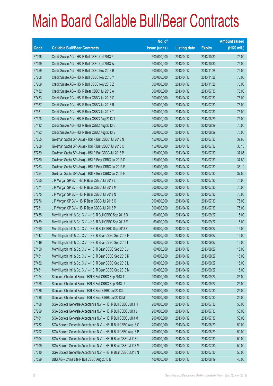|       |                                                                | No. of        |                     |               | <b>Amount raised</b> |
|-------|----------------------------------------------------------------|---------------|---------------------|---------------|----------------------|
| Code  | <b>Callable Bull/Bear Contracts</b>                            | issue (units) | <b>Listing date</b> | <b>Expiry</b> | (HK\$ mil.)          |
| 67196 | Credit Suisse AG - HSI R Bull CBBC Oct 2013 P                  | 300,000,000   | 2013/04/12          | 2013/10/30    | 75.00                |
| 67199 | Credit Suisse AG - HSI R Bull CBBC Oct 2013 W                  | 300,000,000   | 2013/04/12          | 2013/10/30    | 75.00                |
| 67359 | Credit Suisse AG - HSI R Bull CBBC Nov 2013 B                  | 300,000,000   | 2013/04/12          | 2013/11/28    | 75.00                |
| 67208 | Credit Suisse AG - HSI R Bull CBBC Nov 2013 Y                  | 300,000,000   | 2013/04/12          | 2013/11/28    | 75.00                |
| 67209 | Credit Suisse AG - HSI R Bull CBBC Nov 2013 Z                  | 300,000,000   | 2013/04/12          | 2013/11/28    | 75.00                |
| 67432 | Credit Suisse AG - HSI R Bear CBBC Jul 2013 A                  | 300,000,000   | 2013/04/12          | 2013/07/30    | 75.00                |
| 67433 | Credit Suisse AG - HSI R Bear CBBC Jul 2013 C                  | 300,000,000   | 2013/04/12          | 2013/07/30    | 75.00                |
| 67367 | Credit Suisse AG - HSI R Bear CBBC Jul 2013 R                  | 300,000,000   | 2013/04/12          | 2013/07/30    | 75.00                |
| 67381 | Credit Suisse AG - HSI R Bear CBBC Jul 2013 T                  | 300,000,000   | 2013/04/12          | 2013/07/30    | 75.00                |
| 67378 | Credit Suisse AG - HSI R Bear CBBC Aug 2013 T                  | 300,000,000   | 2013/04/12          | 2013/08/29    | 75.00                |
| 67412 | Credit Suisse AG - HSI R Bear CBBC Aug 2013 U                  | 300,000,000   | 2013/04/12          | 2013/08/29    | 75.00                |
| 67422 | Credit Suisse AG - HSI R Bear CBBC Aug 2013 V                  | 300,000,000   | 2013/04/12          | 2013/08/29    | 75.00                |
| 67255 | Goldman Sachs SP (Asia) - HSI R Bull CBBC Jul 2013 N           | 150,000,000   | 2013/04/12          | 2013/07/30    | 37.65                |
| 67258 | Goldman Sachs SP (Asia) - HSI R Bull CBBC Jul 2013 O           | 150,000,000   | 2013/04/12          | 2013/07/30    | 38.10                |
| 67259 | Goldman Sachs SP (Asia) - HSI R Bull CBBC Jul 2013 P           | 150,000,000   | 2013/04/12          | 2013/07/30    | 37.65                |
| 67260 | Goldman Sachs SP (Asia) - HSI R Bear CBBC Jul 2013 D           | 150,000,000   | 2013/04/12          | 2013/07/30    | 37.80                |
| 67263 | Goldman Sachs SP (Asia) - HSI R Bear CBBC Jul 2013 E           | 150,000,000   | 2013/04/12          | 2013/07/30    | 38.10                |
| 67264 | Goldman Sachs SP (Asia) - HSI R Bear CBBC Jul 2013 F           | 150,000,000   | 2013/04/12          | 2013/07/30    | 37.50                |
| 67265 | J P Morgan SP BV - HSI R Bear CBBC Jul 2013 L                  | 300,000,000   | 2013/04/12          | 2013/07/30    | 75.00                |
| 67271 | J P Morgan SP BV - HSI R Bear CBBC Jul 2013 M                  | 300,000,000   | 2013/04/12          | 2013/07/30    | 75.00                |
| 67275 | J P Morgan SP BV - HSI R Bear CBBC Jul 2013 N                  | 300,000,000   | 2013/04/12          | 2013/07/30    | 75.00                |
| 67276 | J P Morgan SP BV - HSI R Bear CBBC Jul 2013 O                  | 300,000,000   | 2013/04/12          | 2013/07/30    | 75.00                |
| 67281 | J P Morgan SP BV - HSI R Bear CBBC Jul 2013 P                  | 300,000,000   | 2013/04/12          | 2013/07/30    | 75.00                |
| 67435 | Merrill Lynch Int'l & Co. C.V. - HSI R Bull CBBC Sep 2013 D    | 60,000,000    | 2013/04/12          | 2013/09/27    | 15.00                |
| 67459 | Merrill Lynch Int'l & Co. C.V. - HSI R Bull CBBC Sep 2013 E    | 60,000,000    | 2013/04/12          | 2013/09/27    | 15.00                |
| 67460 | Merrill Lynch Int'l & Co. C.V. - HSI R Bull CBBC Sep 2013 F    | 60,000,000    | 2013/04/12          | 2013/09/27    | 15.00                |
| 67447 | Merrill Lynch Int'l & Co. C.V. - HSI R Bear CBBC Sep 2013 H    | 60,000,000    | 2013/04/12          | 2013/09/27    | 15.00                |
| 67449 | Merrill Lynch Int'l & Co. C.V. - HSI R Bear CBBC Sep 2013 I    | 60,000,000    | 2013/04/12          | 2013/09/27    | 15.00                |
| 67450 | Merrill Lynch Int'l & Co. C.V. - HSI R Bear CBBC Sep 2013 J    | 60,000,000    | 2013/04/12          | 2013/09/27    | 15.00                |
| 67451 | Merrill Lynch Int'l & Co. C.V. - HSI R Bear CBBC Sep 2013 K    | 60,000,000    | 2013/04/12          | 2013/09/27    | 15.00                |
| 67452 | Merrill Lynch Int'l & Co. C.V. - HSI R Bear CBBC Sep 2013 L    | 60,000,000    | 2013/04/12          | 2013/09/27    | 15.00                |
| 67461 | Merrill Lynch Int'l & Co. C.V. - HSI R Bear CBBC Sep 2013 M    | 60,000,000    | 2013/04/12          | 2013/09/27    | 15.00                |
| 67174 | Standard Chartered Bank - HSI R Bull CBBC Sep 2013 T           | 100,000,000   | 2013/04/12          | 2013/09/27    | 25.00                |
| 67358 | Standard Chartered Bank - HSI R Bull CBBC Sep 2013 U           | 100,000,000   | 2013/04/12          | 2013/09/27    | 25.00                |
| 67336 | Standard Chartered Bank - HSI R Bear CBBC Jul 2013 L           | 100,000,000   | 2013/04/12          | 2013/07/30    | 25.00                |
| 67338 | Standard Chartered Bank - HSI R Bear CBBC Jul 2013 M           | 100,000,000   | 2013/04/12          | 2013/07/30    | 25.00                |
| 67168 | SGA Societe Generale Acceptance N.V. - HSI R Bull CBBC Jul13 H | 200,000,000   | 2013/04/12          | 2013/07/30    | 50.00                |
| 67299 | SGA Societe Generale Acceptance N.V. - HSI R Bull CBBC Jul13 J | 200,000,000   | 2013/04/12          | 2013/07/30    | 50.00                |
| 67161 | SGA Societe Generale Acceptance N.V. - HSI R Bull CBBC Jul13 M | 200,000,000   | 2013/04/12          | 2013/07/30    | 50.00                |
| 67282 | SGA Societe Generale Acceptance N.V. - HSI R Bull CBBC Aug13 O | 200,000,000   | 2013/04/12          | 2013/08/29    | 50.00                |
| 67292 | SGA Societe Generale Acceptance N.V. - HSI R Bull CBBC Aug13 P | 200,000,000   | 2013/04/12          | 2013/08/29    | 50.00                |
| 67304 | SGA Societe Generale Acceptance N.V. - HSI R Bear CBBC Jul13 L | 200,000,000   | 2013/04/12          | 2013/07/30    | 50.00                |
| 67309 | SGA Societe Generale Acceptance N.V. - HSI R Bear CBBC Jul13 M | 200,000,000   | 2013/04/12          | 2013/07/30    | 50.00                |
| 67310 | SGA Societe Generale Acceptance N.V. - HSI R Bear CBBC Jul13 N | 200,000,000   | 2013/04/12          | 2013/07/30    | 50.00                |
| 67529 | UBS AG - China Life R Bull CBBC Aug 2013 B                     | 100,000,000   | 2013/04/12          | 2013/08/19    | 45.00                |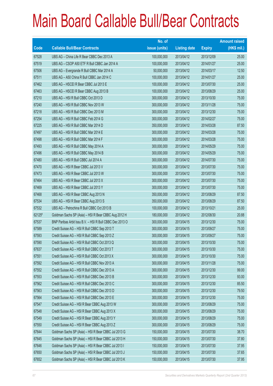|        |                                                          | No. of        |                     |               | <b>Amount raised</b> |
|--------|----------------------------------------------------------|---------------|---------------------|---------------|----------------------|
| Code   | <b>Callable Bull/Bear Contracts</b>                      | issue (units) | <b>Listing date</b> | <b>Expiry</b> | (HK\$ mil.)          |
| 67528  | UBS AG - China Life R Bear CBBC Dec 2013 A               | 100,000,000   | 2013/04/12          | 2013/12/09    | 25.00                |
| 67519  | UBS AG - CSOP A50 ETF R Bull CBBC Jan 2014 A             | 100,000,000   | 2013/04/12          | 2014/01/27    | 25.00                |
| 67506  | UBS AG - Evergrande R Bull CBBC Mar 2014 A               | 50,000,000    | 2013/04/12          | 2014/03/17    | 12.50                |
| 67511  | UBS AG - A50 China R Bull CBBC Jan 2014 C                | 100,000,000   | 2013/04/12          | 2014/01/27    | 25.00                |
| 67462  | UBS AG - HSCEI R Bear CBBC Jul 2013 E                    | 100,000,000   | 2013/04/12          | 2013/07/30    | 25.00                |
| 67463  | UBS AG - HSCEIR Bear CBBC Aug 2013 B                     | 100,000,000   | 2013/04/12          | 2013/08/29    | 25.00                |
| 67210  | UBS AG - HSI R Bull CBBC Oct 2013 D                      | 300,000,000   | 2013/04/12          | 2013/10/30    | 75.00                |
| 67240  | UBS AG - HSI R Bull CBBC Nov 2013 W                      | 300,000,000   | 2013/04/12          | 2013/11/28    | 75.00                |
| 67218  | UBS AG - HSI R Bull CBBC Dec 2013 M                      | 300,000,000   | 2013/04/12          | 2013/12/30    | 75.00                |
| 67254  | UBS AG - HSI R Bull CBBC Feb 2014 G                      | 300,000,000   | 2013/04/12          | 2014/02/27    | 75.00                |
| 67225  | UBS AG - HSI R Bull CBBC Mar 2014 D                      | 350,000,000   | 2013/04/12          | 2014/03/28    | 87.50                |
| 67497  | UBS AG - HSI R Bull CBBC Mar 2014 E                      | 300,000,000   | 2013/04/12          | 2014/03/28    | 75.00                |
| 67498  | UBS AG - HSI R Bull CBBC Mar 2014 F                      | 300,000,000   | 2013/04/12          | 2014/03/28    | 75.00                |
| 67493  | UBS AG - HSI R Bull CBBC May 2014 A                      | 300,000,000   | 2013/04/12          | 2014/05/29    | 75.00                |
| 67496  | UBS AG - HSI R Bull CBBC May 2014 B                      | 300,000,000   | 2013/04/12          | 2014/05/29    | 75.00                |
| 67480  | UBS AG - HSI R Bull CBBC Jul 2014 A                      | 300,000,000   | 2013/04/12          | 2014/07/30    | 75.00                |
| 67470  | UBS AG - HSI R Bear CBBC Jul 2013 V                      | 300,000,000   | 2013/04/12          | 2013/07/30    | 75.00                |
| 67473  | UBS AG - HSI R Bear CBBC Jul 2013 W                      | 300,000,000   | 2013/04/12          | 2013/07/30    | 75.00                |
| 67464  | UBS AG - HSI R Bear CBBC Jul 2013 X                      | 300,000,000   | 2013/04/12          | 2013/07/30    | 75.00                |
| 67469  | UBS AG - HSI R Bear CBBC Jul 2013 Y                      | 300,000,000   | 2013/04/12          | 2013/07/30    | 75.00                |
| 67468  | UBS AG - HSI R Bear CBBC Aug 2013 N                      | 350,000,000   | 2013/04/12          | 2013/08/29    | 87.50                |
| 67534  | UBS AG - HSI R Bear CBBC Aug 2013 S                      | 350,000,000   | 2013/04/12          | 2013/08/29    | 87.50                |
| 67532  | UBS AG - Petrochina R Bull CBBC Oct 2013 B               | 100,000,000   | 2013/04/12          | 2013/10/21    | 25.00                |
| 62125# | Goldman Sachs SP (Asia) - HSI R Bear CBBC Aug 2012 H     | 180,000,000   | 2013/04/12          | 2012/08/30    | 20.88                |
| 67537  | BNP Paribas Arbit Issu B.V. - HSI R Bull CBBC Dec 2013 O | 300,000,000   | 2013/04/15          | 2013/12/30    | 75.00                |
| 67589  | Credit Suisse AG - HSI R Bull CBBC Sep 2013 T            | 300,000,000   | 2013/04/15          | 2013/09/27    | 75.00                |
| 67593  | Credit Suisse AG - HSI R Bull CBBC Sep 2013 Z            | 300,000,000   | 2013/04/15          | 2013/09/27    | 75.00                |
| 67590  | Credit Suisse AG - HSI R Bull CBBC Oct 2013 Q            | 300,000,000   | 2013/04/15          | 2013/10/30    | 75.00                |
| 67637  | Credit Suisse AG - HSI R Bull CBBC Oct 2013 T            | 300,000,000   | 2013/04/15          | 2013/10/30    | 75.00                |
| 67551  | Credit Suisse AG - HSI R Bull CBBC Oct 2013 X            | 300,000,000   | 2013/04/15          | 2013/10/30    | 75.00                |
| 67592  | Credit Suisse AG - HSI R Bull CBBC Nov 2013 A            | 300,000,000   | 2013/04/15          | 2013/11/28    | 75.00                |
| 67552  | Credit Suisse AG - HSI R Bull CBBC Dec 2013 A            | 300,000,000   | 2013/04/15          | 2013/12/30    | 99.00                |
| 67553  | Credit Suisse AG - HSI R Bull CBBC Dec 2013 B            | 300,000,000   | 2013/04/15          | 2013/12/30    | 93.00                |
| 67562  | Credit Suisse AG - HSI R Bull CBBC Dec 2013 C            | 300,000,000   | 2013/04/15          | 2013/12/30    | 85.50                |
| 67563  | Credit Suisse AG - HSI R Bull CBBC Dec 2013 D            | 300,000,000   | 2013/04/15          | 2013/12/30    | 79.50                |
| 67564  | Credit Suisse AG - HSI R Bull CBBC Dec 2013 E            | 300,000,000   | 2013/04/15          | 2013/12/30    | 75.00                |
| 67547  | Credit Suisse AG - HSI R Bear CBBC Aug 2013 W            | 300,000,000   | 2013/04/15          | 2013/08/29    | 75.00                |
| 67548  | Credit Suisse AG - HSI R Bear CBBC Aug 2013 X            | 300,000,000   | 2013/04/15          | 2013/08/29    | 75.00                |
| 67549  | Credit Suisse AG - HSI R Bear CBBC Aug 2013 Y            | 300,000,000   | 2013/04/15          | 2013/08/29    | 75.00                |
| 67550  | Credit Suisse AG - HSI R Bear CBBC Aug 2013 Z            | 300,000,000   | 2013/04/15          | 2013/08/29    | 75.00                |
| 67644  | Goldman Sachs SP (Asia) - HSI R Bear CBBC Jul 2013 G     | 150,000,000   | 2013/04/15          | 2013/07/30    | 38.70                |
| 67645  | Goldman Sachs SP (Asia) - HSI R Bear CBBC Jul 2013 H     | 150,000,000   | 2013/04/15          | 2013/07/30    | 37.80                |
| 67646  | Goldman Sachs SP (Asia) - HSI R Bear CBBC Jul 2013 I     | 150,000,000   | 2013/04/15          | 2013/07/30    | 37.95                |
| 67650  | Goldman Sachs SP (Asia) - HSI R Bear CBBC Jul 2013 J     | 150,000,000   | 2013/04/15          | 2013/07/30    | 37.65                |
| 67652  | Goldman Sachs SP (Asia) - HSI R Bear CBBC Jul 2013 K     | 150,000,000   | 2013/04/15          | 2013/07/30    | 37.95                |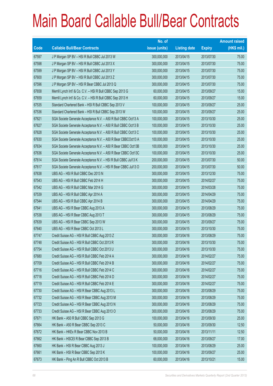|       |                                                                | No. of        |                     |               | <b>Amount raised</b> |
|-------|----------------------------------------------------------------|---------------|---------------------|---------------|----------------------|
| Code  | <b>Callable Bull/Bear Contracts</b>                            | issue (units) | <b>Listing date</b> | <b>Expiry</b> | $(HK$$ mil.)         |
| 67597 | J P Morgan SP BV - HSI R Bull CBBC Jul 2013 W                  | 300,000,000   | 2013/04/15          | 2013/07/30    | 75.00                |
| 67598 | J P Morgan SP BV - HSI R Bull CBBC Jul 2013 X                  | 300,000,000   | 2013/04/15          | 2013/07/30    | 75.00                |
| 67599 | J P Morgan SP BV - HSI R Bull CBBC Jul 2013 Y                  | 300,000,000   | 2013/04/15          | 2013/07/30    | 75.00                |
| 67600 | J P Morgan SP BV - HSI R Bull CBBC Jul 2013 Z                  | 300,000,000   | 2013/04/15          | 2013/07/30    | 75.00                |
| 67596 | J P Morgan SP BV - HSI R Bear CBBC Jul 2013 Q                  | 300,000,000   | 2013/04/15          | 2013/07/30    | 75.00                |
| 67658 | Merrill Lynch Int'l & Co. C.V. - HSI R Bull CBBC Sep 2013 G    | 60,000,000    | 2013/04/15          | 2013/09/27    | 15.00                |
| 67659 | Merrill Lynch Int'l & Co. C.V. - HSI R Bull CBBC Sep 2013 H    | 60,000,000    | 2013/04/15          | 2013/09/27    | 15.00                |
| 67535 | Standard Chartered Bank - HSI R Bull CBBC Sep 2013 V           | 100,000,000   | 2013/04/15          | 2013/09/27    | 25.00                |
| 67536 | Standard Chartered Bank - HSI R Bull CBBC Sep 2013 W           | 100,000,000   | 2013/04/15          | 2013/09/27    | 25.00                |
| 67621 | SGA Societe Generale Acceptance N.V. - A50 R Bull CBBC Oct13 A | 100,000,000   | 2013/04/15          | 2013/10/30    | 25.00                |
| 67627 | SGA Societe Generale Acceptance N.V. - A50 R Bull CBBC Oct13 B | 100,000,000   | 2013/04/15          | 2013/10/30    | 25.00                |
| 67628 | SGA Societe Generale Acceptance N.V. - A50 R Bull CBBC Oct13 C | 100,000,000   | 2013/04/15          | 2013/10/30    | 25.00                |
| 67630 | SGA Societe Generale Acceptance N.V. - A50 R Bear CBBCOct13 A  | 100,000,000   | 2013/04/15          | 2013/10/30    | 25.00                |
| 67634 | SGA Societe Generale Acceptance N.V. - A50 R Bear CBBC Oct13B  | 100,000,000   | 2013/04/15          | 2013/10/30    | 25.00                |
| 67636 | SGA Societe Generale Acceptance N.V. - A50 R Bear CBBC Oct13C  | 100,000,000   | 2013/04/15          | 2013/10/30    | 25.00                |
| 67614 | SGA Societe Generale Acceptance N.V. - HSI R Bull CBBC Jul13 K | 200,000,000   | 2013/04/15          | 2013/07/30    | 50.00                |
| 67617 | SGA Societe Generale Acceptance N.V. - HSI R Bear CBBC Jul13 O | 200,000,000   | 2013/04/15          | 2013/07/30    | 50.00                |
| 67638 | UBS AG - HSI R Bull CBBC Dec 2013 N                            | 300,000,000   | 2013/04/15          | 2013/12/30    | 75.00                |
| 67543 | UBS AG - HSI R Bull CBBC Feb 2014 H                            | 300,000,000   | 2013/04/15          | 2014/02/27    | 75.00                |
| 67542 | UBS AG - HSI R Bull CBBC Mar 2014 G                            | 300,000,000   | 2013/04/15          | 2014/03/28    | 75.00                |
| 67539 | UBS AG - HSI R Bull CBBC Apr 2014 A                            | 300,000,000   | 2013/04/15          | 2014/04/29    | 75.00                |
| 67544 | UBS AG - HSI R Bull CBBC Apr 2014 B                            | 300,000,000   | 2013/04/15          | 2014/04/29    | 75.00                |
| 67641 | UBS AG - HSI R Bear CBBC Aug 2013 A                            | 300,000,000   | 2013/04/15          | 2013/08/29    | 75.00                |
| 67538 | UBS AG - HSI R Bear CBBC Aug 2013 T                            | 300,000,000   | 2013/04/15          | 2013/08/29    | 75.00                |
| 67639 | UBS AG - HSI R Bear CBBC Sep 2013 W                            | 300,000,000   | 2013/04/15          | 2013/09/27    | 75.00                |
| 67640 | UBS AG - HSI R Bear CBBC Oct 2013 L                            | 300,000,000   | 2013/04/15          | 2013/10/30    | 75.00                |
| 67747 | Credit Suisse AG - HSI R Bull CBBC Aug 2013 Z                  | 300,000,000   | 2013/04/16          | 2013/08/29    | 75.00                |
| 67748 | Credit Suisse AG - HSI R Bull CBBC Oct 2013 R                  | 300,000,000   | 2013/04/16          | 2013/10/30    | 75.00                |
| 67754 | Credit Suisse AG - HSI R Bull CBBC Oct 2013 U                  | 300,000,000   | 2013/04/16          | 2013/10/30    | 75.00                |
| 67680 | Credit Suisse AG - HSI R Bull CBBC Feb 2014 A                  | 300,000,000   | 2013/04/16          | 2014/02/27    | 75.00                |
| 67709 | Credit Suisse AG - HSI R Bull CBBC Feb 2014 B                  | 300,000,000   | 2013/04/16          | 2014/02/27    | 75.00                |
| 67716 | Credit Suisse AG - HSI R Bull CBBC Feb 2014 C                  | 300,000,000   | 2013/04/16          | 2014/02/27    | 75.00                |
| 67718 | Credit Suisse AG - HSI R Bull CBBC Feb 2014 D                  | 300,000,000   | 2013/04/16          | 2014/02/27    | 75.00                |
| 67719 | Credit Suisse AG - HSI R Bull CBBC Feb 2014 E                  | 300,000,000   | 2013/04/16          | 2014/02/27    | 75.00                |
| 67730 | Credit Suisse AG - HSI R Bear CBBC Aug 2013 L                  | 300,000,000   | 2013/04/16          | 2013/08/29    | 75.00                |
| 67732 | Credit Suisse AG - HSI R Bear CBBC Aug 2013 M                  | 300,000,000   | 2013/04/16          | 2013/08/29    | 75.00                |
| 67723 | Credit Suisse AG - HSI R Bear CBBC Aug 2013 N                  | 300,000,000   | 2013/04/16          | 2013/08/29    | 75.00                |
| 67733 | Credit Suisse AG - HSI R Bear CBBC Aug 2013 O                  | 300,000,000   | 2013/04/16          | 2013/08/29    | 75.00                |
| 67671 | HK Bank - A50 R Bull CBBC Sep 2013 G                           | 100,000,000   | 2013/04/16          | 2013/09/30    | 25.00                |
| 67664 | HK Bank - A50 R Bear CBBC Sep 2013 C                           | 50,000,000    | 2013/04/16          | 2013/09/30    | 12.50                |
| 67672 | HK Bank - HKEx R Bear CBBC Nov 2013 B                          | 50,000,000    | 2013/04/16          | 2013/11/11    | 12.50                |
| 67662 | HK Bank - HSCEI R Bear CBBC Sep 2013 B                         | 68,000,000    | 2013/04/16          | 2013/09/27    | 17.00                |
| 67660 | HK Bank - HSI R Bear CBBC Aug 2013 J                           | 100,000,000   | 2013/04/16          | 2013/08/29    | 25.00                |
| 67661 | HK Bank - HSI R Bear CBBC Sep 2013 K                           | 100,000,000   | 2013/04/16          | 2013/09/27    | 25.00                |
| 67673 | HK Bank - Ping An R Bull CBBC Oct 2013 B                       | 60,000,000    | 2013/04/16          | 2013/10/21    | 15.00                |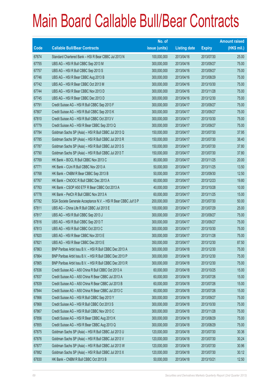|       |                                                                | No. of        |                     |               | <b>Amount raised</b> |
|-------|----------------------------------------------------------------|---------------|---------------------|---------------|----------------------|
| Code  | <b>Callable Bull/Bear Contracts</b>                            | issue (units) | <b>Listing date</b> | <b>Expiry</b> | $(HK$$ mil.)         |
| 67674 | Standard Chartered Bank - HSI R Bear CBBC Jul 2013 N           | 100,000,000   | 2013/04/16          | 2013/07/30    | 25.00                |
| 67755 | UBS AG - HSI R Bull CBBC Sep 2013 M                            | 300,000,000   | 2013/04/16          | 2013/09/27    | 75.00                |
| 67757 | UBS AG - HSI R Bull CBBC Sep 2013 S                            | 300,000,000   | 2013/04/16          | 2013/09/27    | 75.00                |
| 67746 | UBS AG - HSI R Bear CBBC Aug 2013 B                            | 300,000,000   | 2013/04/16          | 2013/08/29    | 75.00                |
| 67742 | UBS AG - HSI R Bear CBBC Oct 2013 M                            | 300,000,000   | 2013/04/16          | 2013/10/30    | 75.00                |
| 67744 | UBS AG - HSI R Bear CBBC Nov 2013 D                            | 300,000,000   | 2013/04/16          | 2013/11/28    | 75.00                |
| 67745 | UBS AG - HSI R Bear CBBC Dec 2013 D                            | 300,000,000   | 2013/04/16          | 2013/12/30    | 75.00                |
| 67791 | Credit Suisse AG - HSI R Bull CBBC Sep 2013 F                  | 300,000,000   | 2013/04/17          | 2013/09/27    | 75.00                |
| 67807 | Credit Suisse AG - HSI R Bull CBBC Sep 2013 K                  | 300,000,000   | 2013/04/17          | 2013/09/27    | 75.00                |
| 67810 | Credit Suisse AG - HSI R Bull CBBC Oct 2013 V                  | 300,000,000   | 2013/04/17          | 2013/10/30    | 75.00                |
| 67779 | Credit Suisse AG - HSI R Bear CBBC Sep 2013 Q                  | 300,000,000   | 2013/04/17          | 2013/09/27    | 75.00                |
| 67784 | Goldman Sachs SP (Asia) - HSI R Bull CBBC Jul 2013 Q           | 150,000,000   | 2013/04/17          | 2013/07/30    | 37.95                |
| 67785 | Goldman Sachs SP (Asia) - HSI R Bull CBBC Jul 2013 R           | 150,000,000   | 2013/04/17          | 2013/07/30    | 38.40                |
| 67787 | Goldman Sachs SP (Asia) - HSI R Bull CBBC Jul 2013 S           | 150,000,000   | 2013/04/17          | 2013/07/30    | 37.80                |
| 67790 | Goldman Sachs SP (Asia) - HSI R Bull CBBC Jul 2013 T           | 150,000,000   | 2013/04/17          | 2013/07/30    | 37.80                |
| 67769 | HK Bank - BOCL R Bull CBBC Nov 2013 C                          | 80,000,000    | 2013/04/17          | 2013/11/25    | 20.00                |
| 67771 | HK Bank - CUni R Bull CBBC Nov 2013 A                          | 50,000,000    | 2013/04/17          | 2013/11/25    | 13.50                |
| 67768 | HK Bank - CNBM R Bear CBBC Sep 2013 B                          | 50,000,000    | 2013/04/17          | 2013/09/30    | 12.50                |
| 67767 | HK Bank - CNOOC R Bull CBBC Dec 2013 A                         | 60,000,000    | 2013/04/17          | 2013/12/23    | 19.80                |
| 67763 | HK Bank - CSOP A50 ETF R Bear CBBC Oct 2013 A                  | 40,000,000    | 2013/04/17          | 2013/10/28    | 10.00                |
| 67778 | HK Bank - PetCh R Bull CBBC Nov 2013 A                         | 60,000,000    | 2013/04/17          | 2013/11/25    | 15.00                |
| 67782 | SGA Societe Generale Acceptance N.V. - HSI R Bear CBBC Jul13 P | 200,000,000   | 2013/04/17          | 2013/07/30    | 50.00                |
| 67811 | UBS AG - China Life R Bull CBBC Jul 2013 E                     | 100,000,000   | 2013/04/17          | 2013/07/29    | 25.00                |
| 67817 | UBS AG - HSI R Bull CBBC Sep 2013 J                            | 300,000,000   | 2013/04/17          | 2013/09/27    | 75.00                |
| 67816 | UBS AG - HSI R Bull CBBC Sep 2013 T                            | 300,000,000   | 2013/04/17          | 2013/09/27    | 75.00                |
| 67813 | UBS AG - HSI R Bull CBBC Oct 2013 C                            | 300,000,000   | 2013/04/17          | 2013/10/30    | 75.00                |
| 67820 | UBS AG - HSI R Bear CBBC Nov 2013 E                            | 300,000,000   | 2013/04/17          | 2013/11/28    | 75.00                |
| 67821 | UBS AG - HSI R Bear CBBC Dec 2013 E                            | 350,000,000   | 2013/04/17          | 2013/12/30    | 87.50                |
| 67863 | BNP Paribas Arbit Issu B.V. - HSI R Bull CBBC Dec 2013 A       | 300,000,000   | 2013/04/18          | 2013/12/30    | 75.00                |
| 67864 | BNP Paribas Arbit Issu B.V. - HSI R Bull CBBC Dec 2013 P       | 300,000,000   | 2013/04/18          | 2013/12/30    | 75.00                |
| 67865 | BNP Paribas Arbit Issu B.V. - HSI R Bull CBBC Dec 2013 R       | 300,000,000   | 2013/04/18          | 2013/12/30    | 75.00                |
| 67836 | Credit Suisse AG - A50 China R Bull CBBC Oct 2013 A            | 60,000,000    | 2013/04/18          | 2013/10/25    | 15.00                |
| 67837 | Credit Suisse AG - A50 China R Bear CBBC Jul 2013 A            | 60,000,000    | 2013/04/18          | 2013/07/26    | 15.00                |
| 67839 | Credit Suisse AG - A50 China R Bear CBBC Jul 2013 B            | 60,000,000    | 2013/04/18          | 2013/07/26    | 15.00                |
| 67844 | Credit Suisse AG - A50 China R Bear CBBC Jul 2013 C            | 60,000,000    | 2013/04/18          | 2013/07/26    | 15.00                |
| 67866 | Credit Suisse AG - HSI R Bull CBBC Sep 2013 Y                  | 300,000,000   | 2013/04/18          | 2013/09/27    | 75.00                |
| 67868 | Credit Suisse AG - HSI R Bull CBBC Oct 2013 S                  | 300,000,000   | 2013/04/18          | 2013/10/30    | 75.00                |
| 67867 | Credit Suisse AG - HSI R Bull CBBC Nov 2013 C                  | 300,000,000   | 2013/04/18          | 2013/11/28    | 75.00                |
| 67856 | Credit Suisse AG - HSI R Bear CBBC Aug 2013 K                  | 300,000,000   | 2013/04/18          | 2013/08/29    | 75.00                |
| 67855 | Credit Suisse AG - HSI R Bear CBBC Aug 2013 Q                  | 300,000,000   | 2013/04/18          | 2013/08/29    | 75.00                |
| 67875 | Goldman Sachs SP (Asia) - HSI R Bull CBBC Jul 2013 U           | 120,000,000   | 2013/04/18          | 2013/07/30    | 30.36                |
| 67876 | Goldman Sachs SP (Asia) - HSI R Bull CBBC Jul 2013 V           | 120,000,000   | 2013/04/18          | 2013/07/30    | 30.24                |
| 67877 | Goldman Sachs SP (Asia) - HSI R Bull CBBC Jul 2013 W           | 120,000,000   | 2013/04/18          | 2013/07/30    | 30.96                |
| 67882 | Goldman Sachs SP (Asia) - HSI R Bull CBBC Jul 2013 X           | 120,000,000   | 2013/04/18          | 2013/07/30    | 30.12                |
| 67830 | HK Bank - CNBM R Bull CBBC Oct 2013 B                          | 50,000,000    | 2013/04/18          | 2013/10/21    | 12.50                |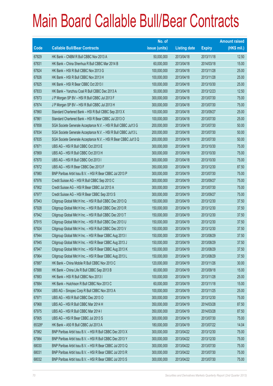|        |                                                                | No. of        |                     |               | <b>Amount raised</b> |
|--------|----------------------------------------------------------------|---------------|---------------------|---------------|----------------------|
| Code   | <b>Callable Bull/Bear Contracts</b>                            | issue (units) | <b>Listing date</b> | <b>Expiry</b> | $(HK$$ mil.)         |
| 67829  | HK Bank - CNBM R Bull CBBC Nov 2013 A                          | 50,000,000    | 2013/04/18          | 2013/11/18    | 12.50                |
| 67831  | HK Bank - China Shenhua R Bull CBBC Mar 2014 B                 | 60,000,000    | 2013/04/18          | 2014/03/18    | 15.00                |
| 67824  | HK Bank - HSI R Bull CBBC Nov 2013 G                           | 100,000,000   | 2013/04/18          | 2013/11/28    | 25.00                |
| 67826  | HK Bank - HSI R Bull CBBC Nov 2013 H                           | 100,000,000   | 2013/04/18          | 2013/11/28    | 25.00                |
| 67825  | HK Bank - HSI R Bear CBBC Oct 2013 I                           | 100,000,000   | 2013/04/18          | 2013/10/30    | 25.00                |
| 67833  | HK Bank - Yanzhou Coal R Bull CBBC Dec 2013 A                  | 50,000,000    | 2013/04/18          | 2013/12/23    | 12.50                |
| 67873  | J P Morgan SP BV - HSI R Bull CBBC Jul 2013 F                  | 300,000,000   | 2013/04/18          | 2013/07/30    | 75.00                |
| 67874  | J P Morgan SP BV - HSI R Bull CBBC Jul 2013 H                  | 300,000,000   | 2013/04/18          | 2013/07/30    | 75.00                |
| 67860  | Standard Chartered Bank - HSI R Bull CBBC Sep 2013 X           | 100,000,000   | 2013/04/18          | 2013/09/27    | 25.00                |
| 67861  | Standard Chartered Bank - HSI R Bear CBBC Jul 2013 O           | 100,000,000   | 2013/04/18          | 2013/07/30    | 25.00                |
| 67858  | SGA Societe Generale Acceptance N.V. - HSI R Bull CBBC Jul13 G | 200,000,000   | 2013/04/18          | 2013/07/30    | 50.00                |
| 67834  | SGA Societe Generale Acceptance N.V. - HSI R Bull CBBC Jul13 L | 200,000,000   | 2013/04/18          | 2013/07/30    | 50.00                |
| 67835  | SGA Societe Generale Acceptance N.V. - HSI R Bear CBBC Jul13 Q | 200,000,000   | 2013/04/18          | 2013/07/30    | 50.00                |
| 67871  | UBS AG - HSI R Bull CBBC Oct 2013 E                            | 300,000,000   | 2013/04/18          | 2013/10/30    | 75.00                |
| 67869  | UBS AG - HSI R Bull CBBC Oct 2013 H                            | 300,000,000   | 2013/04/18          | 2013/10/30    | 75.00                |
| 67870  | UBS AG - HSI R Bull CBBC Oct 2013 I                            | 300,000,000   | 2013/04/18          | 2013/10/30    | 75.00                |
| 67872  | UBS AG - HSI R Bear CBBC Dec 2013 F                            | 350,000,000   | 2013/04/18          | 2013/12/30    | 87.50                |
| 67980  | BNP Paribas Arbit Issu B.V. - HSI R Bear CBBC Jul 2013 P       | 300,000,000   | 2013/04/19          | 2013/07/30    | 75.00                |
| 67976  | Credit Suisse AG - HSI R Bull CBBC Sep 2013 C                  | 300,000,000   | 2013/04/19          | 2013/09/27    | 75.00                |
| 67902  | Credit Suisse AG - HSI R Bear CBBC Jul 2013 A                  | 300,000,000   | 2013/04/19          | 2013/07/30    | 75.00                |
| 67977  | Credit Suisse AG - HSI R Bear CBBC Sep 2013 S                  | 300,000,000   | 2013/04/19          | 2013/09/27    | 75.00                |
| 67943  | Citigroup Global Mkt H Inc. - HSI R Bull CBBC Dec 2013 Q       | 150,000,000   | 2013/04/19          | 2013/12/30    | 37.50                |
| 67928  | Citigroup Global Mkt H Inc. - HSI R Bull CBBC Dec 2013 R       | 150,000,000   | 2013/04/19          | 2013/12/30    | 37.50                |
| 67942  | Citigroup Global Mkt H Inc. - HSI R Bull CBBC Dec 2013 T       | 150,000,000   | 2013/04/19          | 2013/12/30    | 37.50                |
| 67915  | Citigroup Global Mkt H Inc. - HSI R Bull CBBC Dec 2013 U       | 150,000,000   | 2013/04/19          | 2013/12/30    | 37.50                |
| 67924  | Citigroup Global Mkt H Inc. - HSI R Bull CBBC Dec 2013 V       | 150,000,000   | 2013/04/19          | 2013/12/30    | 37.50                |
| 67944  | Citigroup Global Mkt H Inc. - HSI R Bear CBBC Aug 2013 I       | 150,000,000   | 2013/04/19          | 2013/08/29    | 37.50                |
| 67945  | Citigroup Global Mkt H Inc. - HSI R Bear CBBC Aug 2013 J       | 150,000,000   | 2013/04/19          | 2013/08/29    | 37.50                |
| 67947  | Citigroup Global Mkt H Inc. - HSI R Bear CBBC Aug 2013 K       | 150,000,000   | 2013/04/19          | 2013/08/29    | 37.50                |
| 67964  | Citigroup Global Mkt H Inc. - HSI R Bear CBBC Aug 2013 L       | 150,000,000   | 2013/04/19          | 2013/08/29    | 37.50                |
| 67887  | HK Bank - China Mobile R Bull CBBC Nov 2013 C                  | 120,000,000   | 2013/04/19          | 2013/11/26    | 30.00                |
| 67888  | HK Bank - China Life R Bull CBBC Sep 2013 B                    | 60,000,000    | 2013/04/19          | 2013/09/18    | 15.00                |
| 67883  | HK Bank - HSI R Bull CBBC Nov 2013 I                           | 100,000,000   | 2013/04/19          | 2013/11/28    | 25.00                |
| 67884  | HK Bank - Hutchison R Bull CBBC Nov 2013 C                     | 60,000,000    | 2013/04/19          | 2013/11/18    | 15.00                |
| 67904  | UBS AG - Sinopec Corp R Bull CBBC Nov 2013 A                   | 100,000,000   | 2013/04/19          | 2013/11/25    | 25.00                |
| 67971  | UBS AG - HSI R Bull CBBC Dec 2013 O                            | 300,000,000   | 2013/04/19          | 2013/12/30    | 75.00                |
| 67968  | UBS AG - HSI R Bull CBBC Mar 2014 H                            | 350,000,000   | 2013/04/19          | 2014/03/28    | 87.50                |
| 67975  | UBS AG - HSI R Bull CBBC Mar 2014 I                            | 350,000,000   | 2013/04/19          | 2014/03/28    | 87.50                |
| 67905  | UBS AG - HSI R Bear CBBC Jul 2013 S                            | 300,000,000   | 2013/04/19          | 2013/07/30    | 75.00                |
| 65326# | HK Bank - A50 R Bull CBBC Jul 2013 A                           | 180,000,000   | 2013/04/19          | 2013/07/22    | 14.04                |
| 67982  | BNP Paribas Arbit Issu B.V. - HSI R Bull CBBC Dec 2013 X       | 300,000,000   | 2013/04/22          | 2013/12/30    | 75.00                |
| 67984  | BNP Paribas Arbit Issu B.V. - HSI R Bull CBBC Dec 2013 Y       | 300,000,000   | 2013/04/22          | 2013/12/30    | 75.00                |
| 68030  | BNP Paribas Arbit Issu B.V. - HSI R Bear CBBC Jul 2013 Q       | 300,000,000   | 2013/04/22          | 2013/07/30    | 75.00                |
| 68031  | BNP Paribas Arbit Issu B.V. - HSI R Bear CBBC Jul 2013 R       | 300,000,000   | 2013/04/22          | 2013/07/30    | 75.00                |
| 68032  | BNP Paribas Arbit Issu B.V. - HSI R Bear CBBC Jul 2013 S       | 300,000,000   | 2013/04/22          | 2013/07/30    | 75.00                |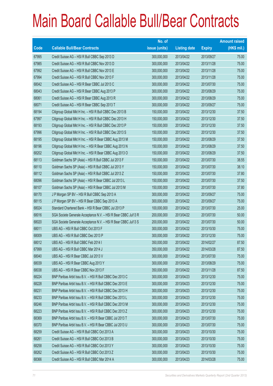|       |                                                                | No. of        |                     |               | <b>Amount raised</b> |
|-------|----------------------------------------------------------------|---------------|---------------------|---------------|----------------------|
| Code  | <b>Callable Bull/Bear Contracts</b>                            | issue (units) | <b>Listing date</b> | <b>Expiry</b> | $(HK$$ mil.)         |
| 67995 | Credit Suisse AG - HSI R Bull CBBC Sep 2013 D                  | 300,000,000   | 2013/04/22          | 2013/09/27    | 75.00                |
| 67985 | Credit Suisse AG - HSI R Bull CBBC Nov 2013 D                  | 300,000,000   | 2013/04/22          | 2013/11/28    | 75.00                |
| 67992 | Credit Suisse AG - HSI R Bull CBBC Nov 2013 E                  | 300,000,000   | 2013/04/22          | 2013/11/28    | 75.00                |
| 67994 | Credit Suisse AG - HSI R Bull CBBC Nov 2013 F                  | 300,000,000   | 2013/04/22          | 2013/11/28    | 75.00                |
| 68042 | Credit Suisse AG - HSI R Bear CBBC Jul 2013 C                  | 300,000,000   | 2013/04/22          | 2013/07/30    | 75.00                |
| 68043 | Credit Suisse AG - HSI R Bear CBBC Aug 2013 P                  | 300,000,000   | 2013/04/22          | 2013/08/29    | 75.00                |
| 68061 | Credit Suisse AG - HSI R Bear CBBC Aug 2013 R                  | 300,000,000   | 2013/04/22          | 2013/08/29    | 75.00                |
| 68071 | Credit Suisse AG - HSI R Bear CBBC Sep 2013 T                  | 300,000,000   | 2013/04/22          | 2013/09/27    | 75.00                |
| 68194 | Citigroup Global Mkt H Inc. - HSI R Bull CBBC Dec 2013 B       | 150,000,000   | 2013/04/22          | 2013/12/30    | 37.50                |
| 67997 | Citigroup Global Mkt H Inc. - HSI R Bull CBBC Dec 2013 H       | 150,000,000   | 2013/04/22          | 2013/12/30    | 37.50                |
| 68193 | Citigroup Global Mkt H Inc. - HSI R Bull CBBC Dec 2013 P       | 150,000,000   | 2013/04/22          | 2013/12/30    | 37.50                |
| 67996 | Citigroup Global Mkt H Inc. - HSI R Bull CBBC Dec 2013 S       | 150,000,000   | 2013/04/22          | 2013/12/30    | 37.50                |
| 68195 | Citigroup Global Mkt H Inc. - HSI R Bear CBBC Aug 2013 M       | 150,000,000   | 2013/04/22          | 2013/08/29    | 37.50                |
| 68196 | Citigroup Global Mkt H Inc. - HSI R Bear CBBC Aug 2013 N       | 150,000,000   | 2013/04/22          | 2013/08/29    | 37.50                |
| 68202 | Citigroup Global Mkt H Inc. - HSI R Bear CBBC Aug 2013 O       | 150,000,000   | 2013/04/22          | 2013/08/29    | 37.50                |
| 68113 | Goldman Sachs SP (Asia) - HSI R Bull CBBC Jul 2013 F           | 150,000,000   | 2013/04/22          | 2013/07/30    | 38.55                |
| 68110 | Goldman Sachs SP (Asia) - HSI R Bull CBBC Jul 2013 Y           | 150,000,000   | 2013/04/22          | 2013/07/30    | 38.10                |
| 68112 | Goldman Sachs SP (Asia) - HSI R Bull CBBC Jul 2013 Z           | 150,000,000   | 2013/04/22          | 2013/07/30    | 37.80                |
| 68096 | Goldman Sachs SP (Asia) - HSI R Bear CBBC Jul 2013 L           | 150,000,000   | 2013/04/22          | 2013/07/30    | 37.50                |
| 68107 | Goldman Sachs SP (Asia) - HSI R Bear CBBC Jul 2013 M           | 150,000,000   | 2013/04/22          | 2013/07/30    | 37.80                |
| 68170 | J P Morgan SP BV - HSI R Bull CBBC Sep 2013 A                  | 300,000,000   | 2013/04/22          | 2013/09/27    | 75.00                |
| 68115 | J P Morgan SP BV - HSI R Bear CBBC Sep 2013 A                  | 300,000,000   | 2013/04/22          | 2013/09/27    | 75.00                |
| 68024 | Standard Chartered Bank - HSI R Bear CBBC Jul 2013 P           | 100,000,000   | 2013/04/22          | 2013/07/30    | 25.00                |
| 68016 | SGA Societe Generale Acceptance N.V. - HSI R Bear CBBC Jul13 R | 200,000,000   | 2013/04/22          | 2013/07/30    | 50.00                |
| 68020 | SGA Societe Generale Acceptance N.V. - HSI R Bear CBBC Jul13 S | 200,000,000   | 2013/04/22          | 2013/07/30    | 50.00                |
| 68011 | UBS AG - HSI R Bull CBBC Oct 2013 F                            | 300,000,000   | 2013/04/22          | 2013/10/30    | 75.00                |
| 68009 | UBS AG - HSI R Bull CBBC Dec 2013 P                            | 300,000,000   | 2013/04/22          | 2013/12/30    | 75.00                |
| 68012 | UBS AG - HSI R Bull CBBC Feb 2014 I                            | 350,000,000   | 2013/04/22          | 2014/02/27    | 87.50                |
| 67999 | UBS AG - HSI R Bull CBBC Mar 2014 J                            | 350,000,000   | 2013/04/22          | 2014/03/28    | 87.50                |
| 68040 | UBS AG - HSI R Bear CBBC Jul 2013 V                            | 300,000,000   | 2013/04/22          | 2013/07/30    | 75.00                |
| 68039 | UBS AG - HSI R Bear CBBC Aug 2013 Y                            | 300,000,000   | 2013/04/22          | 2013/08/29    | 75.00                |
| 68038 | UBS AG - HSI R Bear CBBC Nov 2013 F                            | 350,000,000   | 2013/04/22          | 2013/11/28    | 87.50                |
| 68224 | BNP Paribas Arbit Issu B.V. - HSI R Bull CBBC Dec 2013 C       | 300,000,000   | 2013/04/23          | 2013/12/30    | 75.00                |
| 68228 | BNP Paribas Arbit Issu B.V. - HSI R Bull CBBC Dec 2013 E       | 300,000,000   | 2013/04/23          | 2013/12/30    | 75.00                |
| 68231 | BNP Paribas Arbit Issu B.V. - HSI R Bull CBBC Dec 2013 H       | 300,000,000   | 2013/04/23          | 2013/12/30    | 75.00                |
| 68233 | BNP Paribas Arbit Issu B.V. - HSI R Bull CBBC Dec 2013 L       | 300,000,000   | 2013/04/23          | 2013/12/30    | 75.00                |
| 68246 | BNP Paribas Arbit Issu B.V. - HSI R Bull CBBC Dec 2013 M       | 300,000,000   | 2013/04/23          | 2013/12/30    | 75.00                |
| 68223 | BNP Paribas Arbit Issu B.V. - HSI R Bull CBBC Dec 2013 Z       | 300,000,000   | 2013/04/23          | 2013/12/30    | 75.00                |
| 68369 | BNP Paribas Arbit Issu B.V. - HSI R Bear CBBC Jul 2013 T       | 300,000,000   | 2013/04/23          | 2013/07/30    | 75.00                |
| 68370 | BNP Paribas Arbit Issu B.V. - HSI R Bear CBBC Jul 2013 U       | 300,000,000   | 2013/04/23          | 2013/07/30    | 75.00                |
| 68259 | Credit Suisse AG - HSI R Bull CBBC Oct 2013 A                  | 300,000,000   | 2013/04/23          | 2013/10/30    | 75.00                |
| 68261 | Credit Suisse AG - HSI R Bull CBBC Oct 2013 B                  | 300,000,000   | 2013/04/23          | 2013/10/30    | 75.00                |
| 68258 | Credit Suisse AG - HSI R Bull CBBC Oct 2013 Y                  | 300,000,000   | 2013/04/23          | 2013/10/30    | 75.00                |
| 68262 | Credit Suisse AG - HSI R Bull CBBC Oct 2013 Z                  | 300,000,000   | 2013/04/23          | 2013/10/30    | 75.00                |
| 68366 | Credit Suisse AG - HSI R Bull CBBC Mar 2014 A                  | 300,000,000   | 2013/04/23          | 2014/03/28    | 75.00                |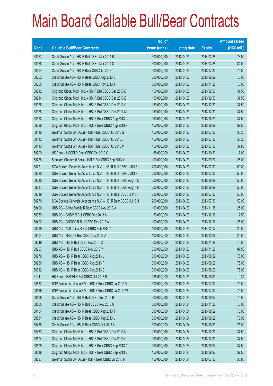|        |                                                                | No. of        |                     |               | <b>Amount raised</b> |
|--------|----------------------------------------------------------------|---------------|---------------------|---------------|----------------------|
| Code   | <b>Callable Bull/Bear Contracts</b>                            | issue (units) | <b>Listing date</b> | <b>Expiry</b> | $(HK$$ mil.)         |
| 68367  | Credit Suisse AG - HSI R Bull CBBC Mar 2014 B                  | 300,000,000   | 2013/04/23          | 2014/03/28    | 78.00                |
| 68368  | Credit Suisse AG - HSI R Bull CBBC Mar 2014 C                  | 300,000,000   | 2013/04/23          | 2014/03/28    | 84.00                |
| 68354  | Credit Suisse AG - HSI R Bear CBBC Jul 2013 T                  | 300,000,000   | 2013/04/23          | 2013/07/30    | 75.00                |
| 68362  | Credit Suisse AG - HSI R Bear CBBC Aug 2013 S                  | 300,000,000   | 2013/04/23          | 2013/08/29    | 75.00                |
| 68365  | Credit Suisse AG - HSI R Bear CBBC Nov 2013 A                  | 300,000,000   | 2013/04/23          | 2013/11/28    | 75.00                |
| 68212  | Citigroup Global Mkt H Inc. - HSI R Bull CBBC Dec 2013 D       | 150,000,000   | 2013/04/23          | 2013/12/30    | 37.50                |
| 68214  | Citigroup Global Mkt H Inc. - HSI R Bull CBBC Dec 2013 E       | 150,000,000   | 2013/04/23          | 2013/12/30    | 37.50                |
| 68326  | Citigroup Global Mkt H Inc. - HSI R Bull CBBC Dec 2013 G       | 150,000,000   | 2013/04/23          | 2013/12/30    | 37.50                |
| 68328  | Citigroup Global Mkt H Inc. - HSI R Bull CBBC Dec 2013 M       | 150,000,000   | 2013/04/23          | 2013/12/30    | 37.50                |
| 68352  | Citigroup Global Mkt H Inc. - HSI R Bear CBBC Aug 2013 C       | 150,000,000   | 2013/04/23          | 2013/08/29    | 37.50                |
| 68336  | Citigroup Global Mkt H Inc. - HSI R Bear CBBC Aug 2013 P       | 150,000,000   | 2013/04/23          | 2013/08/29    | 37.50                |
| 68416  | Goldman Sachs SP (Asia) - HSI R Bull CBBC Jul 2013 G           | 150,000,000   | 2013/04/23          | 2013/07/30    | 38.25                |
| 68412  | Goldman Sachs SP (Asia) - HSI R Bull CBBC Jul 2013 J           | 150,000,000   | 2013/04/23          | 2013/07/30    | 38.25                |
| 68413  | Goldman Sachs SP (Asia) - HSI R Bull CBBC Jul 2013 M           | 150,000,000   | 2013/04/23          | 2013/07/30    | 37.80                |
| 68209  | HK Bank - HSCEI R Bear CBBC Oct 2013 C                         | 68,000,000    | 2013/04/23          | 2013/10/30    | 17.00                |
| 68278  | Standard Chartered Bank - HSI R Bull CBBC Sep 2013 Y           | 100,000,000   | 2013/04/23          | 2013/09/27    | 25.00                |
| 68221  | SGA Societe Generale Acceptance N.V. - HSI R Bull CBBC Jul13 B | 200,000,000   | 2013/04/23          | 2013/07/30    | 50.00                |
| 68220  | SGA Societe Generale Acceptance N.V. - HSI R Bull CBBC Jul13 F | 200,000,000   | 2013/04/23          | 2013/07/30    | 50.00                |
| 68215  | SGA Societe Generale Acceptance N.V. - HSI R Bull CBBC Aug13 Q | 200,000,000   | 2013/04/23          | 2013/08/29    | 50.00                |
| 68217  | SGA Societe Generale Acceptance N.V. - HSI R Bull CBBC Aug13 R | 200,000,000   | 2013/04/23          | 2013/08/29    | 50.00                |
| 68219  | SGA Societe Generale Acceptance N.V. - HSI R Bear CBBC Jul13 T | 200,000,000   | 2013/04/23          | 2013/07/30    | 50.00                |
| 68270  | SGA Societe Generale Acceptance N.V. - HSI R Bear CBBC Jul13 U | 200,000,000   | 2013/04/23          | 2013/07/30    | 50.00                |
| 68400  | UBS AG - China Mobile R Bear CBBC Nov 2013 A                   | 100,000,000   | 2013/04/23          | 2013/11/18    | 25.00                |
| 68389  | UBS AG - CNBM R Bull CBBC Dec 2013 A                           | 50,000,000    | 2013/04/23          | 2013/12/16    | 12.50                |
| 68402  | UBS AG - CNOOC R Bull CBBC Dec 2013 A                          | 100,000,000   | 2013/04/23          | 2013/12/16    | 25.00                |
| 68399  | UBS AG - A50 China R Bull CBBC Feb 2014 A                      | 100,000,000   | 2013/04/23          | 2014/02/17    | 25.00                |
| 68404  | UBS AG - HSBC R Bull CBBC Dec 2013 A                           | 100,000,000   | 2013/04/23          | 2013/12/09    | 25.00                |
| 68249  | UBS AG - HSI R Bull CBBC Nov 2013 X                            | 300,000,000   | 2013/04/23          | 2013/11/28    | 75.00                |
| 68257  | UBS AG - HSI R Bull CBBC Nov 2013 Y                            | 350,000,000   | 2013/04/23          | 2013/11/28    | 87.50                |
| 68279  | UBS AG - HSI R Bear CBBC Aug 2013 L                            | 300,000,000   | 2013/04/23          | 2013/08/29    | 75.00                |
| 68280  | UBS AG - HSI R Bear CBBC Aug 2013 P                            | 300,000,000   | 2013/04/23          | 2013/08/29    | 75.00                |
| 68312  | UBS AG - HSI R Bear CBBC Aug 2013 S                            | 300,000,000   | 2013/04/23          | 2013/08/29    | 75.00                |
| 61141# | HK Bank - HSCEI R Bull CBBC Oct 2013 B                         | 188,000,000   | 2013/04/23          | 2013/10/30    | 10.34                |
| 68533  | BNP Paribas Arbit Issu B.V. - HSI R Bear CBBC Jul 2013 V       | 300,000,000   | 2013/04/24          | 2013/07/30    | 75.00                |
| 68536  | BNP Paribas Arbit Issu B.V. - HSI R Bear CBBC Jul 2013 W       | 300,000,000   | 2013/04/24          | 2013/07/30    | 75.00                |
| 68506  | Credit Suisse AG - HSI R Bull CBBC Sep 2013 B                  | 300,000,000   | 2013/04/24          | 2013/09/27    | 75.00                |
| 68505  | Credit Suisse AG - HSI R Bull CBBC Nov 2013 G                  | 300,000,000   | 2013/04/24          | 2013/11/28    | 75.00                |
| 68454  | Credit Suisse AG - HSI R Bear CBBC Aug 2013 T                  | 300,000,000   | 2013/04/24          | 2013/08/29    | 75.00                |
| 68531  | Credit Suisse AG - HSI R Bear CBBC Aug 2013 U                  | 300,000,000   | 2013/04/24          | 2013/08/29    | 75.00                |
| 68456  | Credit Suisse AG - HSI R Bear CBBC Oct 2013 A                  | 300,000,000   | 2013/04/24          | 2013/10/30    | 75.00                |
| 68463  | Citigroup Global Mkt H Inc. - HSI R Bull CBBC Dec 2013 N       | 150,000,000   | 2013/04/24          | 2013/12/30    | 37.50                |
| 68504  | Citigroup Global Mkt H Inc. - HSI R Bull CBBC Dec 2013 O       | 150,000,000   | 2013/04/24          | 2013/12/30    | 37.50                |
| 68509  | Citigroup Global Mkt H Inc. - HSI R Bear CBBC Sep 2013 A       | 150,000,000   | 2013/04/24          | 2013/09/27    | 37.50                |
| 68518  | Citigroup Global Mkt H Inc. - HSI R Bear CBBC Sep 2013 B       | 150,000,000   | 2013/04/24          | 2013/09/27    | 37.50                |
| 68537  | Goldman Sachs SP (Asia) - HSI R Bear CBBC Jul 2013 N           | 150,000,000   | 2013/04/24          | 2013/07/30    | 38.85                |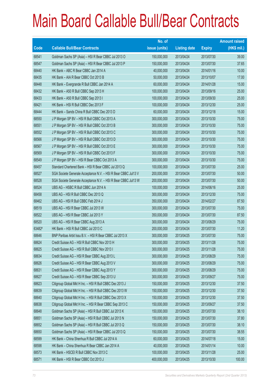|        |                                                                | No. of        |                     |               | <b>Amount raised</b> |
|--------|----------------------------------------------------------------|---------------|---------------------|---------------|----------------------|
| Code   | <b>Callable Bull/Bear Contracts</b>                            | issue (units) | <b>Listing date</b> | <b>Expiry</b> | $(HK$$ mil.)         |
| 68541  | Goldman Sachs SP (Asia) - HSI R Bear CBBC Jul 2013 O           | 150,000,000   | 2013/04/24          | 2013/07/30    | 39.00                |
| 68547  | Goldman Sachs SP (Asia) - HSI R Bear CBBC Jul 2013 P           | 150,000,000   | 2013/04/24          | 2013/07/30    | 37.65                |
| 68440  | HK Bank - ABC R Bear CBBC Jan 2014 A                           | 40,000,000    | 2013/04/24          | 2014/01/16    | 10.00                |
| 68435  | HK Bank - AIA R Bear CBBC Oct 2013 B                           | 50,000,000    | 2013/04/24          | 2013/10/07    | 17.00                |
| 68448  | HK Bank - Evergrande R Bull CBBC Jan 2014 A                    | 60,000,000    | 2013/04/24          | 2014/01/28    | 15.00                |
| 68432  | HK Bank - A50 R Bull CBBC Sep 2013 H                           | 100,000,000   | 2013/04/24          | 2013/09/16    | 25.00                |
| 68433  | HK Bank - A50 R Bull CBBC Sep 2013 I                           | 100,000,000   | 2013/04/24          | 2013/09/30    | 25.00                |
| 68421  | HK Bank - HSI R Bull CBBC Dec 2013 F                           | 100,000,000   | 2013/04/24          | 2013/12/30    | 25.00                |
| 68444  | HK Bank - Sands China R Bull CBBC Dec 2013 D                   | 60,000,000    | 2013/04/24          | 2013/12/18    | 15.00                |
| 68550  | J P Morgan SP BV - HSI R Bull CBBC Oct 2013 A                  | 300,000,000   | 2013/04/24          | 2013/10/30    | 75.00                |
| 68551  | J P Morgan SP BV - HSI R Bull CBBC Oct 2013 B                  | 300,000,000   | 2013/04/24          | 2013/10/30    | 75.00                |
| 68552  | J P Morgan SP BV - HSI R Bull CBBC Oct 2013 C                  | 300,000,000   | 2013/04/24          | 2013/10/30    | 75.00                |
| 68566  | J P Morgan SP BV - HSI R Bull CBBC Oct 2013 D                  | 300,000,000   | 2013/04/24          | 2013/10/30    | 75.00                |
| 68567  | J P Morgan SP BV - HSI R Bull CBBC Oct 2013 E                  | 300,000,000   | 2013/04/24          | 2013/10/30    | 75.00                |
| 68569  | J P Morgan SP BV - HSI R Bull CBBC Oct 2013 F                  | 300,000,000   | 2013/04/24          | 2013/10/30    | 75.00                |
| 68549  | J P Morgan SP BV - HSI R Bear CBBC Oct 2013 A                  | 300,000,000   | 2013/04/24          | 2013/10/30    | 75.00                |
| 68457  | Standard Chartered Bank - HSI R Bear CBBC Jul 2013 Q           | 100,000,000   | 2013/04/24          | 2013/07/30    | 25.00                |
| 68527  | SGA Societe Generale Acceptance N.V. - HSI R Bear CBBC Jul13 V | 200,000,000   | 2013/04/24          | 2013/07/30    | 50.00                |
| 68528  | SGA Societe Generale Acceptance N.V. - HSI R Bear CBBC Jul13 W | 200,000,000   | 2013/04/24          | 2013/07/30    | 50.00                |
| 68524  | UBS AG - HSBC R Bull CBBC Jun 2014 A                           | 100,000,000   | 2013/04/24          | 2014/06/16    | 25.00                |
| 68458  | UBS AG - HSI R Bull CBBC Dec 2013 Q                            | 300,000,000   | 2013/04/24          | 2013/12/30    | 75.00                |
| 68462  | UBS AG - HSI R Bull CBBC Feb 2014 J                            | 350,000,000   | 2013/04/24          | 2014/02/27    | 87.50                |
| 68519  | UBS AG - HSI R Bear CBBC Jul 2013 W                            | 300,000,000   | 2013/04/24          | 2013/07/30    | 75.00                |
| 68522  | UBS AG - HSI R Bear CBBC Jul 2013 Y                            | 350,000,000   | 2013/04/24          | 2013/07/30    | 87.50                |
| 68520  | UBS AG - HSI R Bear CBBC Aug 2013 A                            | 300,000,000   | 2013/04/24          | 2013/08/29    | 75.00                |
| 63482# | HK Bank - HSI R Bull CBBC Jul 2013 C                           | 200,000,000   | 2013/04/24          | 2013/07/30    | 11.20                |
| 68646  | BNP Paribas Arbit Issu B.V. - HSI R Bear CBBC Jul 2013 X       | 300,000,000   | 2013/04/25          | 2013/07/30    | 75.00                |
| 68624  | Credit Suisse AG - HSI R Bull CBBC Nov 2013 H                  | 300,000,000   | 2013/04/25          | 2013/11/28    | 75.00                |
| 68625  | Credit Suisse AG - HSI R Bull CBBC Nov 2013 I                  | 300,000,000   | 2013/04/25          | 2013/11/28    | 75.00                |
| 68634  | Credit Suisse AG - HSI R Bear CBBC Aug 2013 L                  | 300,000,000   | 2013/04/25          | 2013/08/29    | 75.00                |
| 68626  | Credit Suisse AG - HSI R Bear CBBC Aug 2013 V                  | 300,000,000   | 2013/04/25          | 2013/08/29    | 75.00                |
| 68631  | Credit Suisse AG - HSI R Bear CBBC Aug 2013 Y                  | 300,000,000   | 2013/04/25          | 2013/08/29    | 75.00                |
| 68627  | Credit Suisse AG - HSI R Bear CBBC Sep 2013 U                  | 300,000,000   | 2013/04/25          | 2013/09/27    | 75.00                |
| 68623  | Citigroup Global Mkt H Inc. - HSI R Bull CBBC Dec 2013 J       | 150,000,000   | 2013/04/25          | 2013/12/30    | 37.50                |
| 68639  | Citigroup Global Mkt H Inc. - HSI R Bull CBBC Dec 2013 W       | 150,000,000   | 2013/04/25          | 2013/12/30    | 37.50                |
| 68640  | Citigroup Global Mkt H Inc. - HSI R Bull CBBC Dec 2013 X       | 150,000,000   | 2013/04/25          | 2013/12/30    | 37.50                |
| 68638  | Citigroup Global Mkt H Inc. - HSI R Bear CBBC Sep 2013 C       | 150,000,000   | 2013/04/25          | 2013/09/27    | 37.50                |
| 68648  | Goldman Sachs SP (Asia) - HSI R Bull CBBC Jul 2013 K           | 150,000,000   | 2013/04/25          | 2013/07/30    | 38.10                |
| 68651  | Goldman Sachs SP (Asia) - HSI R Bull CBBC Jul 2013 N           | 150,000,000   | 2013/04/25          | 2013/07/30    | 37.80                |
| 68652  | Goldman Sachs SP (Asia) - HSI R Bull CBBC Jul 2013 Q           | 150,000,000   | 2013/04/25          | 2013/07/30    | 38.10                |
| 68650  | Goldman Sachs SP (Asia) - HSI R Bear CBBC Jul 2013 Q           | 150,000,000   | 2013/04/25          | 2013/07/30    | 38.55                |
| 68599  | HK Bank - China Shenhua R Bull CBBC Jul 2014 A                 | 60,000,000    | 2013/04/25          | 2014/07/18    | 15.00                |
| 68598  | HK Bank - China Shenhua R Bear CBBC Jan 2014 A                 | 40,000,000    | 2013/04/25          | 2014/01/14    | 10.00                |
| 68573  | HK Bank - HSCEI R Bull CBBC Nov 2013 C                         | 100,000,000   | 2013/04/25          | 2013/11/28    | 25.00                |
| 68571  | HK Bank - HSI R Bear CBBC Oct 2013 J                           | 400,000,000   | 2013/04/25          | 2013/10/30    | 100.00               |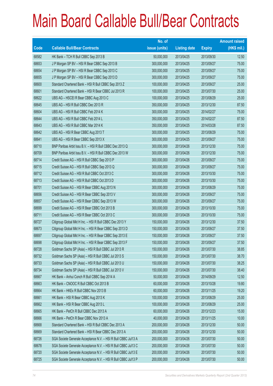|       |                                                                | No. of        |                     |               | <b>Amount raised</b> |
|-------|----------------------------------------------------------------|---------------|---------------------|---------------|----------------------|
| Code  | <b>Callable Bull/Bear Contracts</b>                            | issue (units) | <b>Listing date</b> | <b>Expiry</b> | $(HK$$ mil.)         |
| 68582 | HK Bank - TCH R Bull CBBC Sep 2013 B                           | 50,000,000    | 2013/04/25          | 2013/09/30    | 12.50                |
| 68653 | J P Morgan SP BV - HSI R Bear CBBC Sep 2013 B                  | 300,000,000   | 2013/04/25          | 2013/09/27    | 75.00                |
| 68654 | J P Morgan SP BV - HSI R Bear CBBC Sep 2013 C                  | 300,000,000   | 2013/04/25          | 2013/09/27    | 75.00                |
| 68655 | J P Morgan SP BV - HSI R Bear CBBC Sep 2013 D                  | 300,000,000   | 2013/04/25          | 2013/09/27    | 75.00                |
| 68600 | Standard Chartered Bank - HSI R Bull CBBC Sep 2013 Z           | 100,000,000   | 2013/04/25          | 2013/09/27    | 25.00                |
| 68601 | Standard Chartered Bank - HSI R Bear CBBC Jul 2013 R           | 100,000,000   | 2013/04/25          | 2013/07/30    | 25.00                |
| 68622 | UBS AG - HSCEI R Bear CBBC Aug 2013 C                          | 100,000,000   | 2013/04/25          | 2013/08/29    | 25.00                |
| 68645 | UBS AG - HSI R Bull CBBC Dec 2013 R                            | 350,000,000   | 2013/04/25          | 2013/12/30    | 87.50                |
| 68604 | UBS AG - HSI R Bull CBBC Feb 2014 K                            | 300,000,000   | 2013/04/25          | 2014/02/27    | 75.00                |
| 68644 | UBS AG - HSI R Bull CBBC Feb 2014 L                            | 350,000,000   | 2013/04/25          | 2014/02/27    | 87.50                |
| 68643 | UBS AG - HSI R Bull CBBC Mar 2014 K                            | 350,000,000   | 2013/04/25          | 2014/03/28    | 87.50                |
| 68642 | UBS AG - HSI R Bear CBBC Aug 2013 T                            | 300,000,000   | 2013/04/25          | 2013/08/29    | 75.00                |
| 68641 | UBS AG - HSI R Bear CBBC Sep 2013 X                            | 300,000,000   | 2013/04/25          | 2013/09/27    | 75.00                |
| 68710 | BNP Paribas Arbit Issu B.V. - HSI R Bull CBBC Dec 2013 Q       | 300,000,000   | 2013/04/26          | 2013/12/30    | 75.00                |
| 68709 | BNP Paribas Arbit Issu B.V. - HSI R Bull CBBC Dec 2013 W       | 300,000,000   | 2013/04/26          | 2013/12/30    | 75.00                |
| 68714 | Credit Suisse AG - HSI R Bull CBBC Sep 2013 P                  | 300,000,000   | 2013/04/26          | 2013/09/27    | 75.00                |
| 68715 | Credit Suisse AG - HSI R Bull CBBC Sep 2013 Q                  | 300,000,000   | 2013/04/26          | 2013/09/27    | 75.00                |
| 68712 | Credit Suisse AG - HSI R Bull CBBC Oct 2013 C                  | 300,000,000   | 2013/04/26          | 2013/10/30    | 75.00                |
| 68713 | Credit Suisse AG - HSI R Bull CBBC Oct 2013 D                  | 300,000,000   | 2013/04/26          | 2013/10/30    | 75.00                |
| 68701 | Credit Suisse AG - HSI R Bear CBBC Aug 2013 N                  | 300,000,000   | 2013/04/26          | 2013/08/29    | 75.00                |
| 68656 | Credit Suisse AG - HSI R Bear CBBC Sep 2013 V                  | 300,000,000   | 2013/04/26          | 2013/09/27    | 75.00                |
| 68657 | Credit Suisse AG - HSI R Bear CBBC Sep 2013 W                  | 300,000,000   | 2013/04/26          | 2013/09/27    | 75.00                |
| 68699 | Credit Suisse AG - HSI R Bear CBBC Oct 2013 B                  | 300,000,000   | 2013/04/26          | 2013/10/30    | 75.00                |
| 68711 | Credit Suisse AG - HSI R Bear CBBC Oct 2013 C                  | 300,000,000   | 2013/04/26          | 2013/10/30    | 75.00                |
| 68727 | Citigroup Global Mkt H Inc. - HSI R Bull CBBC Dec 2013 Y       | 150,000,000   | 2013/04/26          | 2013/12/30    | 37.50                |
| 68673 | Citigroup Global Mkt H Inc. - HSI R Bear CBBC Sep 2013 D       | 150,000,000   | 2013/04/26          | 2013/09/27    | 37.50                |
| 68697 | Citigroup Global Mkt H Inc. - HSI R Bear CBBC Sep 2013 E       | 150,000,000   | 2013/04/26          | 2013/09/27    | 37.50                |
| 68698 | Citigroup Global Mkt H Inc. - HSI R Bear CBBC Sep 2013 F       | 150,000,000   | 2013/04/26          | 2013/09/27    | 37.50                |
| 68728 | Goldman Sachs SP (Asia) - HSI R Bull CBBC Jul 2013 R           | 150,000,000   | 2013/04/26          | 2013/07/30    | 38.85                |
| 68732 | Goldman Sachs SP (Asia) - HSI R Bull CBBC Jul 2013 S           | 150,000,000   | 2013/04/26          | 2013/07/30    | 38.70                |
| 68733 | Goldman Sachs SP (Asia) - HSI R Bull CBBC Jul 2013 U           | 150,000,000   | 2013/04/26          | 2013/07/30    | 38.25                |
| 68734 | Goldman Sachs SP (Asia) - HSI R Bull CBBC Jul 2013 V           | 150,000,000   | 2013/04/26          | 2013/07/30    | 38.40                |
| 68667 | HK Bank - Anhui Conch R Bull CBBC Sep 2014 A                   | 50,000,000    | 2013/04/26          | 2014/09/29    | 12.50                |
| 68663 | HK Bank - CNOOC R Bull CBBC Oct 2013 B                         | 60,000,000    | 2013/04/26          | 2013/10/28    | 19.80                |
| 68664 | HK Bank - HKEx R Bull CBBC Nov 2013 B                          | 60,000,000    | 2013/04/26          | 2013/11/25    | 19.20                |
| 68661 | HK Bank - HSI R Bear CBBC Aug 2013 K                           | 100,000,000   | 2013/04/26          | 2013/08/29    | 25.00                |
| 68662 | HK Bank - HSI R Bear CBBC Aug 2013 L                           | 100,000,000   | 2013/04/26          | 2013/08/29    | 25.00                |
| 68665 | HK Bank - PetCh R Bull CBBC Dec 2013 A                         | 60,000,000    | 2013/04/26          | 2013/12/23    | 15.00                |
| 68666 | HK Bank - PetCh R Bear CBBC Nov 2013 A                         | 40,000,000    | 2013/04/26          | 2013/11/25    | 10.00                |
| 68668 | Standard Chartered Bank - HSI R Bull CBBC Dec 2013 A           | 200,000,000   | 2013/04/26          | 2013/12/30    | 50.00                |
| 68669 | Standard Chartered Bank - HSI R Bear CBBC Dec 2013 A           | 200,000,000   | 2013/04/26          | 2013/12/30    | 50.00                |
| 68726 | SGA Societe Generale Acceptance N.V. - HSI R Bull CBBC Jul13 A | 200,000,000   | 2013/04/26          | 2013/07/30    | 50.00                |
| 68678 | SGA Societe Generale Acceptance N.V. - HSI R Bull CBBC Jul13 C | 200,000,000   | 2013/04/26          | 2013/07/30    | 50.00                |
| 68720 | SGA Societe Generale Acceptance N.V. - HSI R Bull CBBC Jul13 E | 200,000,000   | 2013/04/26          | 2013/07/30    | 50.00                |
| 68725 | SGA Societe Generale Acceptance N.V. - HSI R Bull CBBC Jul13 P | 200,000,000   | 2013/04/26          | 2013/07/30    | 50.00                |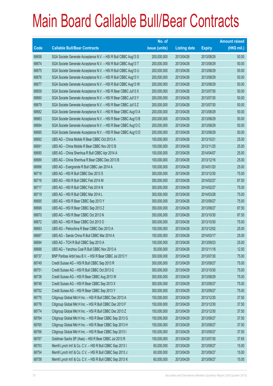|             |                                                                | No. of        |                     |               | <b>Amount raised</b> |
|-------------|----------------------------------------------------------------|---------------|---------------------|---------------|----------------------|
| <b>Code</b> | <b>Callable Bull/Bear Contracts</b>                            | issue (units) | <b>Listing date</b> | <b>Expiry</b> | $(HK$$ mil.)         |
| 68658       | SGA Societe Generale Acceptance N.V. - HSI R Bull CBBC Aug13 S | 200,000,000   | 2013/04/26          | 2013/08/29    | 50.00                |
| 68674       | SGA Societe Generale Acceptance N.V. - HSI R Bull CBBC Aug13 T | 200,000,000   | 2013/04/26          | 2013/08/29    | 50.00                |
| 68675       | SGA Societe Generale Acceptance N.V. - HSI R Bull CBBC Aug13 U | 200,000,000   | 2013/04/26          | 2013/08/29    | 50.00                |
| 68676       | SGA Societe Generale Acceptance N.V. - HSI R Bull CBBC Aug13 V | 200,000,000   | 2013/04/26          | 2013/08/29    | 50.00                |
| 68677       | SGA Societe Generale Acceptance N.V. - HSI R Bull CBBC Aug13 W | 200,000,000   | 2013/04/26          | 2013/08/29    | 50.00                |
| 68659       | SGA Societe Generale Acceptance N.V. - HSI R Bear CBBC Jul13 X | 200,000,000   | 2013/04/26          | 2013/07/30    | 50.00                |
| 68660       | SGA Societe Generale Acceptance N.V. - HSI R Bear CBBC Jul13 Y | 200,000,000   | 2013/04/26          | 2013/07/30    | 50.00                |
| 68679       | SGA Societe Generale Acceptance N.V. - HSI R Bear CBBC Jul13 Z | 200,000,000   | 2013/04/26          | 2013/07/30    | 50.00                |
| 68682       | SGA Societe Generale Acceptance N.V. - HSI R Bear CBBC Aug13 A | 200,000,000   | 2013/04/26          | 2013/08/29    | 50.00                |
| 68683       | SGA Societe Generale Acceptance N.V. - HSI R Bear CBBC Aug13 B | 200,000,000   | 2013/04/26          | 2013/08/29    | 50.00                |
| 68684       | SGA Societe Generale Acceptance N.V. - HSI R Bear CBBC Aug13 C | 200,000,000   | 2013/04/26          | 2013/08/29    | 50.00                |
| 68685       | SGA Societe Generale Acceptance N.V. - HSI R Bear CBBC Aug13 D | 200,000,000   | 2013/04/26          | 2013/08/29    | 50.00                |
| 68692       | UBS AG - China Mobile R Bear CBBC Oct 2013 A                   | 100,000,000   | 2013/04/26          | 2013/10/21    | 25.00                |
| 68691       | UBS AG - China Mobile R Bear CBBC Nov 2013 B                   | 100,000,000   | 2013/04/26          | 2013/11/25    | 25.00                |
| 68690       | UBS AG - China Shenhua R Bull CBBC Apr 2014 A                  | 100,000,000   | 2013/04/26          | 2014/04/07    | 25.00                |
| 68689       | UBS AG - China Shenhua R Bear CBBC Dec 2013 B                  | 100,000,000   | 2013/04/26          | 2013/12/16    | 25.00                |
| 68686       | UBS AG - Evergrande R Bull CBBC Jan 2014 A                     | 100,000,000   | 2013/04/26          | 2014/01/20    | 25.00                |
| 68718       | UBS AG - HSI R Bull CBBC Dec 2013 S                            | 300,000,000   | 2013/04/26          | 2013/12/30    | 75.00                |
| 68716       | UBS AG - HSI R Bull CBBC Feb 2014 M                            | 350,000,000   | 2013/04/26          | 2014/02/27    | 87.50                |
| 68717       | UBS AG - HSI R Bull CBBC Feb 2014 N                            | 300,000,000   | 2013/04/26          | 2014/02/27    | 75.00                |
| 68719       | UBS AG - HSI R Bull CBBC Mar 2014 L                            | 300,000,000   | 2013/04/26          | 2014/03/28    | 75.00                |
| 68695       | UBS AG - HSI R Bear CBBC Sep 2013 Y                            | 300,000,000   | 2013/04/26          | 2013/09/27    | 75.00                |
| 68696       | UBS AG - HSI R Bear CBBC Sep 2013 Z                            | 350,000,000   | 2013/04/26          | 2013/09/27    | 87.50                |
| 68670       | UBS AG - HSI R Bear CBBC Oct 2013 N                            | 350,000,000   | 2013/04/26          | 2013/10/30    | 87.50                |
| 68672       | UBS AG - HSI R Bear CBBC Oct 2013 O                            | 300,000,000   | 2013/04/26          | 2013/10/30    | 75.00                |
| 68693       | UBS AG - Petrochina R Bear CBBC Dec 2013 A                     | 100,000,000   | 2013/04/26          | 2013/12/02    | 25.00                |
| 68687       | UBS AG - Sands China R Bull CBBC Mar 2014 A                    | 100,000,000   | 2013/04/26          | 2014/03/17    | 25.00                |
| 68694       | UBS AG - TCH R Bull CBBC Sep 2013 A                            | 100,000,000   | 2013/04/26          | 2013/09/23    | 25.00                |
| 68688       | UBS AG - Yanzhou Coal R Bull CBBC Nov 2013 A                   | 50,000,000    | 2013/04/26          | 2013/11/18    | 12.50                |
| 68737       | BNP Paribas Arbit Issu B.V. - HSI R Bear CBBC Jul 2013 Y       | 300,000,000   | 2013/04/29          | 2013/07/30    | 75.00                |
| 68749       | Credit Suisse AG - HSI R Bull CBBC Sep 2013 R                  | 300,000,000   | 2013/04/29          | 2013/09/27    | 75.00                |
| 68751       | Credit Suisse AG - HSI R Bull CBBC Oct 2013 G                  | 300,000,000   | 2013/04/29          | 2013/10/30    | 75.00                |
| 68738       | Credit Suisse AG - HSI R Bear CBBC Aug 2013 W                  | 300,000,000   | 2013/04/29          | 2013/08/29    | 75.00                |
| 68748       | Credit Suisse AG - HSI R Bear CBBC Sep 2013 X                  | 300,000,000   | 2013/04/29          | 2013/09/27    | 75.00                |
| 68752       | Credit Suisse AG - HSI R Bear CBBC Sep 2013 Y                  | 300,000,000   | 2013/04/29          | 2013/09/27    | 75.00                |
| 68775       | Citigroup Global Mkt H Inc. - HSI R Bull CBBC Dec 2013 A       | 150,000,000   | 2013/04/29          | 2013/12/30    | 37.50                |
| 68776       | Citigroup Global Mkt H Inc. - HSI R Bull CBBC Dec 2013 F       | 150,000,000   | 2013/04/29          | 2013/12/30    | 37.50                |
| 68774       | Citigroup Global Mkt H Inc. - HSI R Bull CBBC Dec 2013 Z       | 150,000,000   | 2013/04/29          | 2013/12/30    | 37.50                |
| 68764       | Citigroup Global Mkt H Inc. - HSI R Bear CBBC Sep 2013 G       | 150,000,000   | 2013/04/29          | 2013/09/27    | 37.50                |
| 68765       | Citigroup Global Mkt H Inc. - HSI R Bear CBBC Sep 2013 H       | 150,000,000   | 2013/04/29          | 2013/09/27    | 37.50                |
| 68766       | Citigroup Global Mkt H Inc. - HSI R Bear CBBC Sep 2013 I       | 150,000,000   | 2013/04/29          | 2013/09/27    | 37.50                |
| 68767       | Goldman Sachs SP (Asia) - HSI R Bear CBBC Jul 2013 R           | 150,000,000   | 2013/04/29          | 2013/07/30    | 37.65                |
| 68753       | Merrill Lynch Int'l & Co. C.V. - HSI R Bull CBBC Sep 2013 I    | 60,000,000    | 2013/04/29          | 2013/09/27    | 15.00                |
| 68754       | Merrill Lynch Int'l & Co. C.V. - HSI R Bull CBBC Sep 2013 J    | 60,000,000    | 2013/04/29          | 2013/09/27    | 15.00                |
| 68758       | Merrill Lynch Int'l & Co. C.V. - HSI R Bull CBBC Sep 2013 K    | 60,000,000    | 2013/04/29          | 2013/09/27    | 15.00                |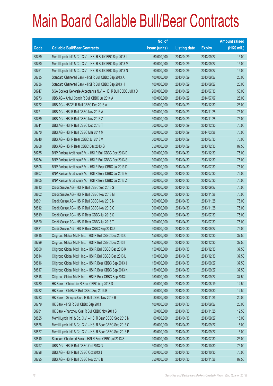|       |                                                                | No. of        |                     |               | <b>Amount raised</b> |
|-------|----------------------------------------------------------------|---------------|---------------------|---------------|----------------------|
| Code  | <b>Callable Bull/Bear Contracts</b>                            | issue (units) | <b>Listing date</b> | <b>Expiry</b> | $(HK$$ mil.)         |
| 68759 | Merrill Lynch Int'l & Co. C.V. - HSI R Bull CBBC Sep 2013 L    | 60,000,000    | 2013/04/29          | 2013/09/27    | 15.00                |
| 68760 | Merrill Lynch Int'l & Co. C.V. - HSI R Bull CBBC Sep 2013 M    | 60,000,000    | 2013/04/29          | 2013/09/27    | 15.00                |
| 68761 | Merrill Lynch Int'l & Co. C.V. - HSI R Bull CBBC Sep 2013 N    | 60,000,000    | 2013/04/29          | 2013/09/27    | 15.00                |
| 68735 | Standard Chartered Bank - HSI R Bull CBBC Sep 2013 A           | 100,000,000   | 2013/04/29          | 2013/09/27    | 25.00                |
| 68736 | Standard Chartered Bank - HSI R Bull CBBC Sep 2013 H           | 100,000,000   | 2013/04/29          | 2013/09/27    | 25.00                |
| 68747 | SGA Societe Generale Acceptance N.V. - HSI R Bull CBBC Jul13 D | 200,000,000   | 2013/04/29          | 2013/07/30    | 50.00                |
| 68773 | UBS AG - Anhui Conch R Bull CBBC Jul 2014 A                    | 100,000,000   | 2013/04/29          | 2014/07/07    | 25.00                |
| 68772 | UBS AG - HSCEI R Bull CBBC Dec 2013 A                          | 100,000,000   | 2013/04/29          | 2013/12/30    | 25.00                |
| 68771 | UBS AG - HSI R Bull CBBC Nov 2013 A                            | 300,000,000   | 2013/04/29          | 2013/11/28    | 75.00                |
| 68769 | UBS AG - HSI R Bull CBBC Nov 2013 Z                            | 300,000,000   | 2013/04/29          | 2013/11/28    | 75.00                |
| 68741 | UBS AG - HSI R Bull CBBC Dec 2013 T                            | 300,000,000   | 2013/04/29          | 2013/12/30    | 75.00                |
| 68770 | UBS AG - HSI R Bull CBBC Mar 2014 M                            | 300,000,000   | 2013/04/29          | 2014/03/28    | 75.00                |
| 68740 | UBS AG - HSI R Bear CBBC Jul 2013 V                            | 300,000,000   | 2013/04/29          | 2013/07/30    | 75.00                |
| 68768 | UBS AG - HSI R Bear CBBC Dec 2013 G                            | 350,000,000   | 2013/04/29          | 2013/12/30    | 87.50                |
| 68785 | BNP Paribas Arbit Issu B.V. - HSI R Bull CBBC Dec 2013 D       | 300,000,000   | 2013/04/30          | 2013/12/30    | 75.00                |
| 68784 | BNP Paribas Arbit Issu B.V. - HSI R Bull CBBC Dec 2013 S       | 300,000,000   | 2013/04/30          | 2013/12/30    | 75.00                |
| 68806 | BNP Paribas Arbit Issu B.V. - HSI R Bear CBBC Jul 2013 D       | 300,000,000   | 2013/04/30          | 2013/07/30    | 75.00                |
| 68807 | BNP Paribas Arbit Issu B.V. - HSI R Bear CBBC Jul 2013 G       | 300,000,000   | 2013/04/30          | 2013/07/30    | 75.00                |
| 68805 | BNP Paribas Arbit Issu B.V. - HSI R Bear CBBC Jul 2013 Z       | 300,000,000   | 2013/04/30          | 2013/07/30    | 75.00                |
| 68813 | Credit Suisse AG - HSI R Bull CBBC Sep 2013 S                  | 300,000,000   | 2013/04/30          | 2013/09/27    | 75.00                |
| 68802 | Credit Suisse AG - HSI R Bull CBBC Nov 2013 M                  | 300,000,000   | 2013/04/30          | 2013/11/28    | 75.00                |
| 68801 | Credit Suisse AG - HSI R Bull CBBC Nov 2013 N                  | 300,000,000   | 2013/04/30          | 2013/11/28    | 75.00                |
| 68812 | Credit Suisse AG - HSI R Bull CBBC Nov 2013 O                  | 300,000,000   | 2013/04/30          | 2013/11/28    | 75.00                |
| 68819 | Credit Suisse AG - HSI R Bear CBBC Jul 2013 C                  | 300,000,000   | 2013/04/30          | 2013/07/30    | 75.00                |
| 68820 | Credit Suisse AG - HSI R Bear CBBC Jul 2013 T                  | 300,000,000   | 2013/04/30          | 2013/07/30    | 75.00                |
| 68821 | Credit Suisse AG - HSI R Bear CBBC Sep 2013 Z                  | 300,000,000   | 2013/04/30          | 2013/09/27    | 75.00                |
| 68815 | Citigroup Global Mkt H Inc. - HSI R Bull CBBC Dec 2013 C       | 150,000,000   | 2013/04/30          | 2013/12/30    | 37.50                |
| 68799 | Citigroup Global Mkt H Inc. - HSI R Bull CBBC Dec 2013 I       | 150,000,000   | 2013/04/30          | 2013/12/30    | 37.50                |
| 68800 | Citigroup Global Mkt H Inc. - HSI R Bull CBBC Dec 2013 K       | 150,000,000   | 2013/04/30          | 2013/12/30    | 37.50                |
| 68814 | Citigroup Global Mkt H Inc. - HSI R Bull CBBC Dec 2013 L       | 150,000,000   | 2013/04/30          | 2013/12/30    | 37.50                |
| 68816 | Citigroup Global Mkt H Inc. - HSI R Bear CBBC Sep 2013 J       | 150,000,000   | 2013/04/30          | 2013/09/27    | 37.50                |
| 68817 | Citigroup Global Mkt H Inc. - HSI R Bear CBBC Sep 2013 K       | 150,000,000   | 2013/04/30          | 2013/09/27    | 37.50                |
| 68818 | Citigroup Global Mkt H Inc. - HSI R Bear CBBC Sep 2013 L       | 150,000,000   | 2013/04/30          | 2013/09/27    | 37.50                |
| 68780 | HK Bank - China Life R Bear CBBC Aug 2013 D                    | 50,000,000    | 2013/04/30          | 2013/08/19    | 12.50                |
| 68782 | HK Bank - CNBM R Bull CBBC Sep 2013 B                          | 50,000,000    | 2013/04/30          | 2013/09/30    | 12.50                |
| 68783 | HK Bank - Sinopec Corp R Bull CBBC Nov 2013 B                  | 80,000,000    | 2013/04/30          | 2013/11/25    | 20.00                |
| 68779 | HK Bank - HSI R Bull CBBC Sep 2013 I                           | 100,000,000   | 2013/04/30          | 2013/09/27    | 25.00                |
| 68781 | HK Bank - Yanzhou Coal R Bull CBBC Nov 2013 B                  | 50,000,000    | 2013/04/30          | 2013/11/25    | 12.50                |
| 68825 | Merrill Lynch Int'l & Co. C.V. - HSI R Bear CBBC Sep 2013 N    | 60,000,000    | 2013/04/30          | 2013/09/27    | 15.00                |
| 68826 | Merrill Lynch Int'l & Co. C.V. - HSI R Bear CBBC Sep 2013 O    | 60,000,000    | 2013/04/30          | 2013/09/27    | 15.00                |
| 68827 | Merrill Lynch Int'l & Co. C.V. - HSI R Bear CBBC Sep 2013 P    | 60,000,000    | 2013/04/30          | 2013/09/27    | 15.00                |
| 68810 | Standard Chartered Bank - HSI R Bear CBBC Jul 2013 S           | 100,000,000   | 2013/04/30          | 2013/07/30    | 25.00                |
| 68797 | UBS AG - HSI R Bull CBBC Oct 2013 G                            | 300,000,000   | 2013/04/30          | 2013/10/30    | 75.00                |
| 68798 | UBS AG - HSI R Bull CBBC Oct 2013 J                            | 300,000,000   | 2013/04/30          | 2013/10/30    | 75.00                |
| 68795 | UBS AG - HSI R Bull CBBC Nov 2013 B                            | 350,000,000   | 2013/04/30          | 2013/11/28    | 87.50                |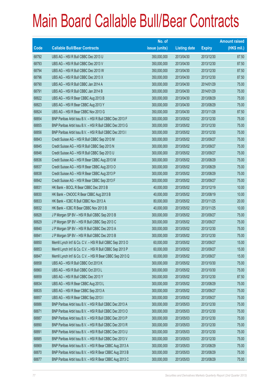|       |                                                             | No. of        |                     |               | <b>Amount raised</b> |
|-------|-------------------------------------------------------------|---------------|---------------------|---------------|----------------------|
| Code  | <b>Callable Bull/Bear Contracts</b>                         | issue (units) | <b>Listing date</b> | <b>Expiry</b> | (HK\$ mil.)          |
| 68792 | UBS AG - HSI R Bull CBBC Dec 2013 U                         | 350,000,000   | 2013/04/30          | 2013/12/30    | 87.50                |
| 68793 | UBS AG - HSI R Bull CBBC Dec 2013 V                         | 350,000,000   | 2013/04/30          | 2013/12/30    | 87.50                |
| 68794 | UBS AG - HSI R Bull CBBC Dec 2013 W                         | 350,000,000   | 2013/04/30          | 2013/12/30    | 87.50                |
| 68796 | UBS AG - HSI R Bull CBBC Dec 2013 X                         | 350,000,000   | 2013/04/30          | 2013/12/30    | 87.50                |
| 68790 | UBS AG - HSI R Bull CBBC Jan 2014 A                         | 300,000,000   | 2013/04/30          | 2014/01/29    | 75.00                |
| 68791 | UBS AG - HSI R Bull CBBC Jan 2014 B                         | 300,000,000   | 2013/04/30          | 2014/01/29    | 75.00                |
| 68822 | UBS AG - HSI R Bear CBBC Aug 2013 B                         | 300,000,000   | 2013/04/30          | 2013/08/29    | 75.00                |
| 68823 | UBS AG - HSI R Bear CBBC Aug 2013 Y                         | 300,000,000   | 2013/04/30          | 2013/08/29    | 75.00                |
| 68824 | UBS AG - HSI R Bear CBBC Nov 2013 G                         | 350,000,000   | 2013/04/30          | 2013/11/28    | 87.50                |
| 68854 | BNP Paribas Arbit Issu B.V. - HSI R Bull CBBC Dec 2013 F    | 300,000,000   | 2013/05/02          | 2013/12/30    | 75.00                |
| 68855 | BNP Paribas Arbit Issu B.V. - HSI R Bull CBBC Dec 2013 G    | 300,000,000   | 2013/05/02          | 2013/12/30    | 75.00                |
| 68856 | BNP Paribas Arbit Issu B.V. - HSI R Bull CBBC Dec 2013 I    | 300,000,000   | 2013/05/02          | 2013/12/30    | 75.00                |
| 68843 | Credit Suisse AG - HSI R Bull CBBC Sep 2013 M               | 300,000,000   | 2013/05/02          | 2013/09/27    | 75.00                |
| 68845 | Credit Suisse AG - HSI R Bull CBBC Sep 2013 N               | 300,000,000   | 2013/05/02          | 2013/09/27    | 75.00                |
| 68846 | Credit Suisse AG - HSI R Bull CBBC Sep 2013 U               | 300,000,000   | 2013/05/02          | 2013/09/27    | 75.00                |
| 68836 | Credit Suisse AG - HSI R Bear CBBC Aug 2013 M               | 300,000,000   | 2013/05/02          | 2013/08/29    | 75.00                |
| 68837 | Credit Suisse AG - HSI R Bear CBBC Aug 2013 O               | 300,000,000   | 2013/05/02          | 2013/08/29    | 75.00                |
| 68838 | Credit Suisse AG - HSI R Bear CBBC Aug 2013 P               | 300,000,000   | 2013/05/02          | 2013/08/29    | 75.00                |
| 68842 | Credit Suisse AG - HSI R Bear CBBC Sep 2013 F               | 300,000,000   | 2013/05/02          | 2013/09/27    | 75.00                |
| 68831 | HK Bank - BOCL R Bear CBBC Dec 2013 B                       | 40,000,000    | 2013/05/02          | 2013/12/19    | 10.00                |
| 68830 | HK Bank - CNOOC R Bear CBBC Aug 2013 B                      | 40,000,000    | 2013/05/02          | 2013/08/19    | 10.00                |
| 68833 | HK Bank - ICBC R Bull CBBC Nov 2013 A                       | 80,000,000    | 2013/05/02          | 2013/11/25    | 20.00                |
| 68832 | HK Bank - ICBC R Bear CBBC Nov 2013 B                       | 40,000,000    | 2013/05/02          | 2013/11/25    | 10.00                |
| 68828 | J P Morgan SP BV - HSI R Bull CBBC Sep 2013 B               | 300,000,000   | 2013/05/02          | 2013/09/27    | 75.00                |
| 68829 | J P Morgan SP BV - HSI R Bull CBBC Sep 2013 C               | 300,000,000   | 2013/05/02          | 2013/09/27    | 75.00                |
| 68840 | J P Morgan SP BV - HSI R Bull CBBC Dec 2013 A               | 300,000,000   | 2013/05/02          | 2013/12/30    | 75.00                |
| 68841 | J P Morgan SP BV - HSI R Bull CBBC Dec 2013 B               | 300,000,000   | 2013/05/02          | 2013/12/30    | 75.00                |
| 68850 | Merrill Lynch Int'l & Co. C.V. - HSI R Bull CBBC Sep 2013 O | 60,000,000    | 2013/05/02          | 2013/09/27    | 15.00                |
| 68853 | Merrill Lynch Int'l & Co. C.V. - HSI R Bull CBBC Sep 2013 P | 60,000,000    | 2013/05/02          | 2013/09/27    | 15.00                |
| 68847 | Merrill Lynch Int'l & Co. C.V. - HSI R Bear CBBC Sep 2013 Q | 60,000,000    | 2013/05/02          | 2013/09/27    | 15.00                |
| 68858 | UBS AG - HSI R Bull CBBC Oct 2013 K                         | 300,000,000   | 2013/05/02          | 2013/10/30    | 75.00                |
| 68860 | UBS AG - HSI R Bull CBBC Oct 2013 L                         | 300,000,000   | 2013/05/02          | 2013/10/30    | 75.00                |
| 68859 | UBS AG - HSI R Bull CBBC Dec 2013 Y                         | 350,000,000   | 2013/05/02          | 2013/12/30    | 87.50                |
| 68834 | UBS AG - HSI R Bear CBBC Aug 2013 L                         | 300,000,000   | 2013/05/02          | 2013/08/29    | 75.00                |
| 68835 | UBS AG - HSI R Bear CBBC Sep 2013 A                         | 300,000,000   | 2013/05/02          | 2013/09/27    | 75.00                |
| 68857 | UBS AG - HSI R Bear CBBC Sep 2013 I                         | 300,000,000   | 2013/05/02          | 2013/09/27    | 75.00                |
| 68886 | BNP Paribas Arbit Issu B.V. - HSI R Bull CBBC Dec 2013 A    | 300,000,000   | 2013/05/03          | 2013/12/30    | 75.00                |
| 68871 | BNP Paribas Arbit Issu B.V. - HSI R Bull CBBC Dec 2013 O    | 300,000,000   | 2013/05/03          | 2013/12/30    | 75.00                |
| 68887 | BNP Paribas Arbit Issu B.V. - HSI R Bull CBBC Dec 2013 P    | 300,000,000   | 2013/05/03          | 2013/12/30    | 75.00                |
| 68890 | BNP Paribas Arbit Issu B.V. - HSI R Bull CBBC Dec 2013 R    | 300,000,000   | 2013/05/03          | 2013/12/30    | 75.00                |
| 68891 | BNP Paribas Arbit Issu B.V. - HSI R Bull CBBC Dec 2013 U    | 300,000,000   | 2013/05/03          | 2013/12/30    | 75.00                |
| 68885 | BNP Paribas Arbit Issu B.V. - HSI R Bull CBBC Dec 2013 V    | 300,000,000   | 2013/05/03          | 2013/12/30    | 75.00                |
| 68869 | BNP Paribas Arbit Issu B.V. - HSI R Bear CBBC Aug 2013 A    | 300,000,000   | 2013/05/03          | 2013/08/29    | 75.00                |
| 68870 | BNP Paribas Arbit Issu B.V. - HSI R Bear CBBC Aug 2013 B    | 300,000,000   | 2013/05/03          | 2013/08/29    | 75.00                |
| 68877 | BNP Paribas Arbit Issu B.V. - HSI R Bear CBBC Aug 2013 C    | 300,000,000   | 2013/05/03          | 2013/08/29    | 75.00                |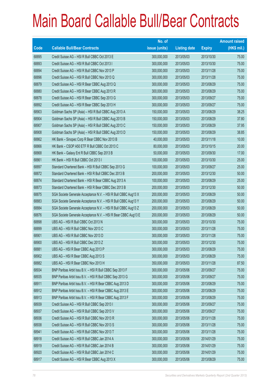|             |                                                                | No. of        |                     |               | <b>Amount raised</b> |
|-------------|----------------------------------------------------------------|---------------|---------------------|---------------|----------------------|
| <b>Code</b> | <b>Callable Bull/Bear Contracts</b>                            | issue (units) | <b>Listing date</b> | <b>Expiry</b> | $(HK$$ mil.)         |
| 68895       | Credit Suisse AG - HSI R Bull CBBC Oct 2013 E                  | 300,000,000   | 2013/05/03          | 2013/10/30    | 75.00                |
| 68893       | Credit Suisse AG - HSI R Bull CBBC Oct 2013 I                  | 300,000,000   | 2013/05/03          | 2013/10/30    | 75.00                |
| 68894       | Credit Suisse AG - HSI R Bull CBBC Nov 2013 P                  | 300,000,000   | 2013/05/03          | 2013/11/28    | 75.00                |
| 68896       | Credit Suisse AG - HSI R Bull CBBC Nov 2013 Q                  | 300,000,000   | 2013/05/03          | 2013/11/28    | 75.00                |
| 68879       | Credit Suisse AG - HSI R Bear CBBC Aug 2013 Q                  | 300,000,000   | 2013/05/03          | 2013/08/29    | 75.00                |
| 68880       | Credit Suisse AG - HSI R Bear CBBC Aug 2013 R                  | 300,000,000   | 2013/05/03          | 2013/08/29    | 75.00                |
| 68878       | Credit Suisse AG - HSI R Bear CBBC Sep 2013 G                  | 300,000,000   | 2013/05/03          | 2013/09/27    | 75.00                |
| 68892       | Credit Suisse AG - HSI R Bear CBBC Sep 2013 H                  | 300,000,000   | 2013/05/03          | 2013/09/27    | 75.00                |
| 68903       | Goldman Sachs SP (Asia) - HSI R Bull CBBC Aug 2013 A           | 150,000,000   | 2013/05/03          | 2013/08/29    | 38.25                |
| 68904       | Goldman Sachs SP (Asia) - HSI R Bull CBBC Aug 2013 B           | 150,000,000   | 2013/05/03          | 2013/08/29    | 37.80                |
| 68907       | Goldman Sachs SP (Asia) - HSI R Bull CBBC Aug 2013 C           | 150,000,000   | 2013/05/03          | 2013/08/29    | 37.95                |
| 68908       | Goldman Sachs SP (Asia) - HSI R Bull CBBC Aug 2013 D           | 150,000,000   | 2013/05/03          | 2013/08/29    | 38.85                |
| 68862       | HK Bank - Sinopec Corp R Bear CBBC Nov 2013 B                  | 40,000,000    | 2013/05/03          | 2013/11/18    | 10.00                |
| 68866       | HK Bank - CSOP A50 ETF R Bull CBBC Oct 2013 C                  | 80,000,000    | 2013/05/03          | 2013/10/15    | 20.00                |
| 68868       | HK Bank - Galaxy Ent R Bull CBBC Sep 2013 B                    | 50,000,000    | 2013/05/03          | 2013/09/30    | 17.00                |
| 68861       | HK Bank - HSI R Bull CBBC Oct 2013 I                           | 100,000,000   | 2013/05/03          | 2013/10/30    | 25.00                |
| 68897       | Standard Chartered Bank - HSI R Bull CBBC Sep 2013 G           | 100,000,000   | 2013/05/03          | 2013/09/27    | 25.00                |
| 68872       | Standard Chartered Bank - HSI R Bull CBBC Dec 2013 B           | 200,000,000   | 2013/05/03          | 2013/12/30    | 50.00                |
| 68874       | Standard Chartered Bank - HSI R Bear CBBC Aug 2013 A           | 100,000,000   | 2013/05/03          | 2013/08/29    | 25.00                |
| 68873       | Standard Chartered Bank - HSI R Bear CBBC Dec 2013 B           | 200,000,000   | 2013/05/03          | 2013/12/30    | 50.00                |
| 68875       | SGA Societe Generale Acceptance N.V. - HSI R Bull CBBC Aug13 X | 200,000,000   | 2013/05/03          | 2013/08/29    | 50.00                |
| 68883       | SGA Societe Generale Acceptance N.V. - HSI R Bull CBBC Aug13 Y | 200,000,000   | 2013/05/03          | 2013/08/29    | 50.00                |
| 68884       | SGA Societe Generale Acceptance N.V. - HSI R Bull CBBC Aug13 Z | 200,000,000   | 2013/05/03          | 2013/08/29    | 50.00                |
| 68876       | SGA Societe Generale Acceptance N.V. - HSI R Bear CBBC Aug13 E | 200,000,000   | 2013/05/03          | 2013/08/29    | 50.00                |
| 68898       | UBS AG - HSI R Bull CBBC Oct 2013 N                            | 300,000,000   | 2013/05/03          | 2013/10/30    | 75.00                |
| 68899       | UBS AG - HSI R Bull CBBC Nov 2013 C                            | 300,000,000   | 2013/05/03          | 2013/11/28    | 75.00                |
| 68901       | UBS AG - HSI R Bull CBBC Nov 2013 D                            | 300,000,000   | 2013/05/03          | 2013/11/28    | 75.00                |
| 68900       | UBS AG - HSI R Bull CBBC Dec 2013 Z                            | 300,000,000   | 2013/05/03          | 2013/12/30    | 75.00                |
| 68881       | UBS AG - HSI R Bear CBBC Aug 2013 P                            | 300,000,000   | 2013/05/03          | 2013/08/29    | 75.00                |
| 68902       | UBS AG - HSI R Bear CBBC Aug 2013 S                            | 300,000,000   | 2013/05/03          | 2013/08/29    | 75.00                |
| 68882       | UBS AG - HSI R Bear CBBC Nov 2013 H                            | 350,000,000   | 2013/05/03          | 2013/11/28    | 87.50                |
| 68934       | BNP Paribas Arbit Issu B.V. - HSI R Bull CBBC Sep 2013 F       | 300,000,000   | 2013/05/06          | 2013/09/27    | 75.00                |
| 68935       | BNP Paribas Arbit Issu B.V. - HSI R Bull CBBC Sep 2013 G       | 300,000,000   | 2013/05/06          | 2013/09/27    | 75.00                |
| 68911       | BNP Paribas Arbit Issu B.V. - HSI R Bear CBBC Aug 2013 D       | 300,000,000   | 2013/05/06          | 2013/08/29    | 75.00                |
| 68912       | BNP Paribas Arbit Issu B.V. - HSI R Bear CBBC Aug 2013 E       | 300,000,000   | 2013/05/06          | 2013/08/29    | 75.00                |
| 68913       | BNP Paribas Arbit Issu B.V. - HSI R Bear CBBC Aug 2013 F       | 300,000,000   | 2013/05/06          | 2013/08/29    | 75.00                |
| 68939       | Credit Suisse AG - HSI R Bull CBBC Sep 2013 I                  | 300,000,000   | 2013/05/06          | 2013/09/27    | 75.00                |
| 68937       | Credit Suisse AG - HSI R Bull CBBC Sep 2013 V                  | 300,000,000   | 2013/05/06          | 2013/09/27    | 75.00                |
| 68936       | Credit Suisse AG - HSI R Bull CBBC Nov 2013 R                  | 300,000,000   | 2013/05/06          | 2013/11/28    | 75.00                |
| 68938       | Credit Suisse AG - HSI R Bull CBBC Nov 2013 S                  | 300,000,000   | 2013/05/06          | 2013/11/28    | 75.00                |
| 68941       | Credit Suisse AG - HSI R Bull CBBC Nov 2013 T                  | 300,000,000   | 2013/05/06          | 2013/11/28    | 75.00                |
| 68918       | Credit Suisse AG - HSI R Bull CBBC Jan 2014 A                  | 300,000,000   | 2013/05/06          | 2014/01/29    | 75.00                |
| 68919       | Credit Suisse AG - HSI R Bull CBBC Jan 2014 B                  | 300,000,000   | 2013/05/06          | 2014/01/29    | 75.00                |
| 68920       | Credit Suisse AG - HSI R Bull CBBC Jan 2014 C                  | 300,000,000   | 2013/05/06          | 2014/01/29    | 75.00                |
| 68917       | Credit Suisse AG - HSI R Bear CBBC Aug 2013 X                  | 300,000,000   | 2013/05/06          | 2013/08/29    | 75.00                |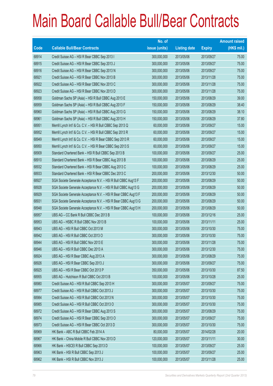|             |                                                                | No. of        |                     |               | <b>Amount raised</b> |
|-------------|----------------------------------------------------------------|---------------|---------------------|---------------|----------------------|
| <b>Code</b> | <b>Callable Bull/Bear Contracts</b>                            | issue (units) | <b>Listing date</b> | <b>Expiry</b> | (HK\$ mil.)          |
| 68914       | Credit Suisse AG - HSI R Bear CBBC Sep 2013 I                  | 300,000,000   | 2013/05/06          | 2013/09/27    | 75.00                |
| 68915       | Credit Suisse AG - HSI R Bear CBBC Sep 2013 J                  | 300,000,000   | 2013/05/06          | 2013/09/27    | 75.00                |
| 68916       | Credit Suisse AG - HSI R Bear CBBC Sep 2013 N                  | 300,000,000   | 2013/05/06          | 2013/09/27    | 75.00                |
| 68921       | Credit Suisse AG - HSI R Bear CBBC Nov 2013 B                  | 300,000,000   | 2013/05/06          | 2013/11/28    | 75.00                |
| 68922       | Credit Suisse AG - HSI R Bear CBBC Nov 2013 C                  | 300,000,000   | 2013/05/06          | 2013/11/28    | 75.00                |
| 68923       | Credit Suisse AG - HSI R Bear CBBC Nov 2013 D                  | 300,000,000   | 2013/05/06          | 2013/11/28    | 75.00                |
| 68958       | Goldman Sachs SP (Asia) - HSI R Bull CBBC Aug 2013 E           | 150,000,000   | 2013/05/06          | 2013/08/29    | 39.00                |
| 68959       | Goldman Sachs SP (Asia) - HSI R Bull CBBC Aug 2013 F           | 150,000,000   | 2013/05/06          | 2013/08/29    | 38.40                |
| 68960       | Goldman Sachs SP (Asia) - HSI R Bull CBBC Aug 2013 G           | 150,000,000   | 2013/05/06          | 2013/08/29    | 38.10                |
| 68961       | Goldman Sachs SP (Asia) - HSI R Bull CBBC Aug 2013 H           | 150,000,000   | 2013/05/06          | 2013/08/29    | 37.80                |
| 68951       | Merrill Lynch Int'l & Co. C.V. - HSI R Bull CBBC Sep 2013 Q    | 60,000,000    | 2013/05/06          | 2013/09/27    | 15.00                |
| 68952       | Merrill Lynch Int'l & Co. C.V. - HSI R Bull CBBC Sep 2013 R    | 60,000,000    | 2013/05/06          | 2013/09/27    | 15.00                |
| 68949       | Merrill Lynch Int'l & Co. C.V. - HSI R Bear CBBC Sep 2013 R    | 60,000,000    | 2013/05/06          | 2013/09/27    | 15.00                |
| 68950       | Merrill Lynch Int'l & Co. C.V. - HSI R Bear CBBC Sep 2013 S    | 60,000,000    | 2013/05/06          | 2013/09/27    | 15.00                |
| 68909       | Standard Chartered Bank - HSI R Bull CBBC Sep 2013 B           | 100,000,000   | 2013/05/06          | 2013/09/27    | 25.00                |
| 68910       | Standard Chartered Bank - HSI R Bear CBBC Aug 2013 B           | 100,000,000   | 2013/05/06          | 2013/08/29    | 25.00                |
| 68932       | Standard Chartered Bank - HSI R Bear CBBC Aug 2013 C           | 100,000,000   | 2013/05/06          | 2013/08/29    | 25.00                |
| 68933       | Standard Chartered Bank - HSI R Bear CBBC Dec 2013 C           | 200,000,000   | 2013/05/06          | 2013/12/30    | 50.00                |
| 68927       | SGA Societe Generale Acceptance N.V. - HSI R Bull CBBC Aug13 F | 200,000,000   | 2013/05/06          | 2013/08/29    | 50.00                |
| 68928       | SGA Societe Generale Acceptance N.V. - HSI R Bull CBBC Aug13 G | 200,000,000   | 2013/05/06          | 2013/08/29    | 50.00                |
| 68929       | SGA Societe Generale Acceptance N.V. - HSI R Bear CBBC Aug13 F | 200,000,000   | 2013/05/06          | 2013/08/29    | 50.00                |
| 68931       | SGA Societe Generale Acceptance N.V. - HSI R Bear CBBC Aug13 G | 200,000,000   | 2013/05/06          | 2013/08/29    | 50.00                |
| 68948       | SGA Societe Generale Acceptance N.V. - HSI R Bear CBBC Aug13 H | 200,000,000   | 2013/05/06          | 2013/08/29    | 50.00                |
| 68957       | UBS AG - CC Bank R Bull CBBC Dec 2013 B                        | 100,000,000   | 2013/05/06          | 2013/12/16    | 25.00                |
| 68953       | UBS AG - HSBC R Bull CBBC Nov 2013 B                           | 100,000,000   | 2013/05/06          | 2013/11/11    | 25.00                |
| 68943       | UBS AG - HSI R Bull CBBC Oct 2013 M                            | 300,000,000   | 2013/05/06          | 2013/10/30    | 75.00                |
| 68942       | UBS AG - HSI R Bull CBBC Oct 2013 O                            | 300,000,000   | 2013/05/06          | 2013/10/30    | 75.00                |
| 68944       | UBS AG - HSI R Bull CBBC Nov 2013 E                            | 300,000,000   | 2013/05/06          | 2013/11/28    | 75.00                |
| 68946       | UBS AG - HSI R Bull CBBC Dec 2013 A                            | 300,000,000   | 2013/05/06          | 2013/12/30    | 75.00                |
| 68924       | UBS AG - HSI R Bear CBBC Aug 2013 A                            | 300,000,000   | 2013/05/06          | 2013/08/29    | 75.00                |
| 68926       | UBS AG - HSI R Bear CBBC Sep 2013 J                            | 300,000,000   | 2013/05/06          | 2013/09/27    | 75.00                |
| 68925       | UBS AG - HSI R Bear CBBC Oct 2013 P                            | 350,000,000   | 2013/05/06          | 2013/10/30    | 87.50                |
| 68955       | UBS AG - Hutchison R Bull CBBC Oct 2013 B                      | 100,000,000   | 2013/05/06          | 2013/10/28    | 25.00                |
| 68980       | Credit Suisse AG - HSI R Bull CBBC Sep 2013 H                  | 300,000,000   | 2013/05/07          | 2013/09/27    | 75.00                |
| 68977       | Credit Suisse AG - HSI R Bull CBBC Oct 2013 J                  | 300,000,000   | 2013/05/07          | 2013/10/30    | 75.00                |
| 68984       | Credit Suisse AG - HSI R Bull CBBC Oct 2013 N                  | 300,000,000   | 2013/05/07          | 2013/10/30    | 75.00                |
| 68985       | Credit Suisse AG - HSI R Bull CBBC Oct 2013 O                  | 300,000,000   | 2013/05/07          | 2013/10/30    | 75.00                |
| 68972       | Credit Suisse AG - HSI R Bear CBBC Aug 2013 S                  | 300,000,000   | 2013/05/07          | 2013/08/29    | 75.00                |
| 68974       | Credit Suisse AG - HSI R Bear CBBC Sep 2013 O                  | 300,000,000   | 2013/05/07          | 2013/09/27    | 75.00                |
| 68973       | Credit Suisse AG - HSI R Bear CBBC Oct 2013 D                  | 300,000,000   | 2013/05/07          | 2013/10/30    | 75.00                |
| 68969       | HK Bank - ABC R Bull CBBC Feb 2014 A                           | 80,000,000    | 2013/05/07          | 2014/02/28    | 20.00                |
| 68967       | HK Bank - China Mobile R Bull CBBC Nov 2013 D                  | 120,000,000   | 2013/05/07          | 2013/11/11    | 30.00                |
| 68966       | HK Bank - HSCEI R Bull CBBC Sep 2013 D                         | 100,000,000   | 2013/05/07          | 2013/09/27    | 25.00                |
| 68963       | HK Bank - HSI R Bull CBBC Sep 2013 J                           | 100,000,000   | 2013/05/07          | 2013/09/27    | 25.00                |
| 68962       | HK Bank - HSI R Bull CBBC Nov 2013 J                           | 100,000,000   | 2013/05/07          | 2013/11/28    | 25.00                |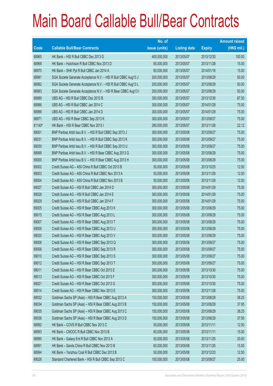|        |                                                                | No. of        |                     |               | <b>Amount raised</b> |
|--------|----------------------------------------------------------------|---------------|---------------------|---------------|----------------------|
| Code   | <b>Callable Bull/Bear Contracts</b>                            | issue (units) | <b>Listing date</b> | <b>Expiry</b> | $(HK$$ mil.)         |
| 68965  | HK Bank - HSI R Bull CBBC Dec 2013 G                           | 400,000,000   | 2013/05/07          | 2013/12/30    | 100.00               |
| 68968  | HK Bank - Hutchison R Bull CBBC Nov 2013 D                     | 60,000,000    | 2013/05/07          | 2013/11/28    | 15.00                |
| 68970  | HK Bank - SHK Ppt R Bull CBBC Jan 2014 A                       | 60,000,000    | 2013/05/07          | 2014/01/16    | 15.00                |
| 68981  | SGA Societe Generale Acceptance N.V. - HSI R Bull CBBC Aug13 J | 200,000,000   | 2013/05/07          | 2013/08/29    | 50.00                |
| 68982  | SGA Societe Generale Acceptance N.V. - HSI R Bull CBBC Aug13 L | 200,000,000   | 2013/05/07          | 2013/08/29    | 50.00                |
| 68983  | SGA Societe Generale Acceptance N.V. - HSI R Bear CBBC Aug13 I | 200,000,000   | 2013/05/07          | 2013/08/29    | 50.00                |
| 68989  | UBS AG - HSI R Bull CBBC Dec 2013 B                            | 350,000,000   | 2013/05/07          | 2013/12/30    | 87.50                |
| 68986  | UBS AG - HSI R Bull CBBC Jan 2014 C                            | 300,000,000   | 2013/05/07          | 2014/01/29    | 75.00                |
| 68988  | UBS AG - HSI R Bull CBBC Jan 2014 D                            | 300,000,000   | 2013/05/07          | 2014/01/29    | 75.00                |
| 68971  | UBS AG - HSI R Bear CBBC Sep 2013 K                            | 300,000,000   | 2013/05/07          | 2013/09/27    | 75.00                |
| 61140# | HK Bank - HSI R Bear CBBC Nov 2013 I                           | 280,000,000   | 2013/05/07          | 2013/11/28    | 22.12                |
| 69001  | BNP Paribas Arbit Issu B.V. - HSI R Bull CBBC Sep 2013 J       | 300,000,000   | 2013/05/08          | 2013/09/27    | 75.00                |
| 69031  | BNP Paribas Arbit Issu B.V. - HSI R Bull CBBC Sep 2013 K       | 300,000,000   | 2013/05/08          | 2013/09/27    | 75.00                |
| 69030  | BNP Paribas Arbit Issu B.V. - HSI R Bull CBBC Sep 2013 U       | 300,000,000   | 2013/05/08          | 2013/09/27    | 75.00                |
| 68999  | BNP Paribas Arbit Issu B.V. - HSI R Bear CBBC Aug 2013 G       | 300,000,000   | 2013/05/08          | 2013/08/29    | 75.00                |
| 69000  | BNP Paribas Arbit Issu B.V. - HSI R Bear CBBC Aug 2013 H       | 300,000,000   | 2013/05/08          | 2013/08/29    | 75.00                |
| 69002  | Credit Suisse AG - A50 China R Bull CBBC Oct 2013 B            | 50,000,000    | 2013/05/08          | 2013/10/25    | 12.50                |
| 69003  | Credit Suisse AG - A50 China R Bull CBBC Nov 2013 A            | 50,000,000    | 2013/05/08          | 2013/11/29    | 12.50                |
| 69004  | Credit Suisse AG - A50 China R Bull CBBC Nov 2013 B            | 50,000,000    | 2013/05/08          | 2013/11/29    | 12.50                |
| 69027  | Credit Suisse AG - HSI R Bull CBBC Jan 2014 D                  | 300,000,000   | 2013/05/08          | 2014/01/29    | 75.00                |
| 69028  | Credit Suisse AG - HSI R Bull CBBC Jan 2014 E                  | 300,000,000   | 2013/05/08          | 2014/01/29    | 75.00                |
| 69029  | Credit Suisse AG - HSI R Bull CBBC Jan 2014 F                  | 300,000,000   | 2013/05/08          | 2014/01/29    | 75.00                |
| 69005  | Credit Suisse AG - HSI R Bear CBBC Aug 2013 K                  | 300,000,000   | 2013/05/08          | 2013/08/29    | 75.00                |
| 69015  | Credit Suisse AG - HSI R Bear CBBC Aug 2013 L                  | 300,000,000   | 2013/05/08          | 2013/08/29    | 75.00                |
| 69007  | Credit Suisse AG - HSI R Bear CBBC Aug 2013 T                  | 300,000,000   | 2013/05/08          | 2013/08/29    | 75.00                |
| 69009  | Credit Suisse AG - HSI R Bear CBBC Aug 2013 U                  | 300,000,000   | 2013/05/08          | 2013/08/29    | 75.00                |
| 69020  | Credit Suisse AG - HSI R Bear CBBC Aug 2013 V                  | 300,000,000   | 2013/05/08          | 2013/08/29    | 75.00                |
| 69008  | Credit Suisse AG - HSI R Bear CBBC Sep 2013 Q                  | 300,000,000   | 2013/05/08          | 2013/09/27    | 75.00                |
| 69006  | Credit Suisse AG - HSI R Bear CBBC Sep 2013 R                  | 300,000,000   | 2013/05/08          | 2013/09/27    | 75.00                |
| 69010  | Credit Suisse AG - HSI R Bear CBBC Sep 2013 S                  | 300,000,000   | 2013/05/08          | 2013/09/27    | 75.00                |
| 69012  | Credit Suisse AG - HSI R Bear CBBC Sep 2013 T                  | 300,000,000   | 2013/05/08          | 2013/09/27    | 75.00                |
| 69011  | Credit Suisse AG - HSI R Bear CBBC Oct 2013 E                  | 300,000,000   | 2013/05/08          | 2013/10/30    | 75.00                |
| 69013  | Credit Suisse AG - HSI R Bear CBBC Oct 2013 F                  | 300,000,000   | 2013/05/08          | 2013/10/30    | 75.00                |
| 69021  | Credit Suisse AG - HSI R Bear CBBC Oct 2013 G                  | 300,000,000   | 2013/05/08          | 2013/10/30    | 75.00                |
| 69014  | Credit Suisse AG - HSI R Bear CBBC Nov 2013 E                  | 300,000,000   | 2013/05/08          | 2013/11/28    | 75.00                |
| 69032  | Goldman Sachs SP (Asia) - HSI R Bear CBBC Aug 2013 A           | 150,000,000   | 2013/05/08          | 2013/08/29    | 38.25                |
| 69034  | Goldman Sachs SP (Asia) - HSI R Bear CBBC Aug 2013 B           | 150,000,000   | 2013/05/08          | 2013/08/29    | 37.95                |
| 69035  | Goldman Sachs SP (Asia) - HSI R Bear CBBC Aug 2013 C           | 150,000,000   | 2013/05/08          | 2013/08/29    | 38.25                |
| 69036  | Goldman Sachs SP (Asia) - HSI R Bear CBBC Aug 2013 D           | 150,000,000   | 2013/05/08          | 2013/08/29    | 37.95                |
| 68992  | HK Bank - COVS R Bull CBBC Nov 2013 C                          | 50,000,000    | 2013/05/08          | 2013/11/11    | 12.50                |
| 68993  | HK Bank - CNOOC R Bull CBBC Nov 2013 B                         | 60,000,000    | 2013/05/08          | 2013/11/11    | 15.00                |
| 68990  | HK Bank - Galaxy Ent R Bull CBBC Nov 2013 A                    | 50,000,000    | 2013/05/08          | 2013/11/25    | 20.00                |
| 68991  | HK Bank - Sands China R Bull CBBC Nov 2013 B                   | 60,000,000    | 2013/05/08          | 2013/11/25    | 15.00                |
| 68994  | HK Bank - Yanzhou Coal R Bull CBBC Dec 2013 B                  | 50,000,000    | 2013/05/08          | 2013/12/23    | 12.50                |
| 69026  | Standard Chartered Bank - HSI R Bull CBBC Sep 2013 C           | 100,000,000   | 2013/05/08          | 2013/09/27    | 25.00                |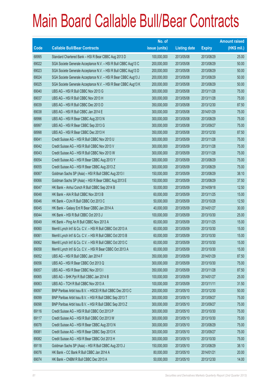|       |                                                                | No. of        |                     |               | <b>Amount raised</b> |
|-------|----------------------------------------------------------------|---------------|---------------------|---------------|----------------------|
| Code  | <b>Callable Bull/Bear Contracts</b>                            | issue (units) | <b>Listing date</b> | <b>Expiry</b> | (HK\$ mil.)          |
| 68995 | Standard Chartered Bank - HSI R Bear CBBC Aug 2013 D           | 100,000,000   | 2013/05/08          | 2013/08/29    | 25.00                |
| 69022 | SGA Societe Generale Acceptance N.V. - HSI R Bull CBBC Aug13 C | 200,000,000   | 2013/05/08          | 2013/08/29    | 50.00                |
| 69023 | SGA Societe Generale Acceptance N.V. - HSI R Bull CBBC Aug13 D | 200,000,000   | 2013/05/08          | 2013/08/29    | 50.00                |
| 69024 | SGA Societe Generale Acceptance N.V. - HSI R Bear CBBC Aug13 J | 200,000,000   | 2013/05/08          | 2013/08/29    | 50.00                |
| 69025 | SGA Societe Generale Acceptance N.V. - HSI R Bear CBBC Aug13 K | 200,000,000   | 2013/05/08          | 2013/08/29    | 50.00                |
| 69040 | UBS AG - HSI R Bull CBBC Nov 2013 G                            | 300,000,000   | 2013/05/08          | 2013/11/28    | 75.00                |
| 69037 | UBS AG - HSI R Bull CBBC Nov 2013 H                            | 300,000,000   | 2013/05/08          | 2013/11/28    | 75.00                |
| 69039 | UBS AG - HSI R Bull CBBC Dec 2013 D                            | 350,000,000   | 2013/05/08          | 2013/12/30    | 87.50                |
| 69038 | UBS AG - HSI R Bull CBBC Jan 2014 E                            | 300,000,000   | 2013/05/08          | 2014/01/29    | 75.00                |
| 68996 | UBS AG - HSI R Bear CBBC Aug 2013 N                            | 300,000,000   | 2013/05/08          | 2013/08/29    | 75.00                |
| 68997 | UBS AG - HSI R Bear CBBC Sep 2013 G                            | 300,000,000   | 2013/05/08          | 2013/09/27    | 75.00                |
| 68998 | UBS AG - HSI R Bear CBBC Dec 2013 H                            | 350,000,000   | 2013/05/08          | 2013/12/30    | 87.50                |
| 69041 | Credit Suisse AG - HSI R Bull CBBC Nov 2013 U                  | 300,000,000   | 2013/05/09          | 2013/11/28    | 75.00                |
| 69042 | Credit Suisse AG - HSI R Bull CBBC Nov 2013 V                  | 300,000,000   | 2013/05/09          | 2013/11/28    | 75.00                |
| 69043 | Credit Suisse AG - HSI R Bull CBBC Nov 2013 W                  | 300,000,000   | 2013/05/09          | 2013/11/28    | 75.00                |
| 69054 | Credit Suisse AG - HSI R Bear CBBC Aug 2013 Y                  | 300,000,000   | 2013/05/09          | 2013/08/29    | 75.00                |
| 69055 | Credit Suisse AG - HSI R Bear CBBC Aug 2013 Z                  | 300,000,000   | 2013/05/09          | 2013/08/29    | 75.00                |
| 69067 | Goldman Sachs SP (Asia) - HSI R Bull CBBC Aug 2013 I           | 150,000,000   | 2013/05/09          | 2013/08/29    | 38.10                |
| 69066 | Goldman Sachs SP (Asia) - HSI R Bear CBBC Aug 2013 E           | 150,000,000   | 2013/05/09          | 2013/08/29    | 37.50                |
| 69047 | HK Bank - Anhui Conch R Bull CBBC Sep 2014 B                   | 50,000,000    | 2013/05/09          | 2014/09/18    | 12.50                |
| 69048 | HK Bank - AIA R Bull CBBC Nov 2013 B                           | 60,000,000    | 2013/05/09          | 2013/11/25    | 15.00                |
| 69046 | HK Bank - CUni R Bull CBBC Oct 2013 C                          | 50,000,000    | 2013/05/09          | 2013/10/28    | 12.50                |
| 69045 | HK Bank - Galaxy Ent R Bear CBBC Jan 2014 A                    | 40,000,000    | 2013/05/09          | 2014/01/27    | 30.00                |
| 69044 | HK Bank - HSI R Bull CBBC Oct 2013 J                           | 100,000,000   | 2013/05/09          | 2013/10/30    | 25.00                |
| 69049 | HK Bank - Ping An R Bull CBBC Nov 2013 A                       | 60,000,000    | 2013/05/09          | 2013/11/25    | 15.00                |
| 69060 | Merrill Lynch Int'l & Co. C.V. - HSI R Bull CBBC Oct 2013 A    | 60,000,000    | 2013/05/09          | 2013/10/30    | 15.00                |
| 69061 | Merrill Lynch Int'l & Co. C.V. - HSI R Bull CBBC Oct 2013 B    | 60,000,000    | 2013/05/09          | 2013/10/30    | 15.00                |
| 69062 | Merrill Lynch Int'l & Co. C.V. - HSI R Bull CBBC Oct 2013 C    | 60,000,000    | 2013/05/09          | 2013/10/30    | 15.00                |
| 69058 | Merrill Lynch Int'l & Co. C.V. - HSI R Bear CBBC Oct 2013 A    | 60,000,000    | 2013/05/09          | 2013/10/30    | 15.00                |
| 69052 | UBS AG - HSI R Bull CBBC Jan 2014 F                            | 350,000,000   | 2013/05/09          | 2014/01/29    | 87.50                |
| 69056 | UBS AG - HSI R Bear CBBC Oct 2013 Q                            | 300,000,000   | 2013/05/09          | 2013/10/30    | 75.00                |
| 69057 | UBS AG - HSI R Bear CBBC Nov 2013 I                            | 350,000,000   | 2013/05/09          | 2013/11/28    | 87.50                |
| 69065 | UBS AG - SHK Ppt R Bull CBBC Jan 2014 B                        | 100,000,000   | 2013/05/09          | 2014/01/27    | 25.00                |
| 69063 | UBS AG - TCH R Bull CBBC Nov 2013 A                            | 100,000,000   | 2013/05/09          | 2013/11/11    | 31.50                |
| 69097 | BNP Paribas Arbit Issu B.V. - HSCEI R Bull CBBC Dec 2013 C     | 200,000,000   | 2013/05/10          | 2013/12/30    | 50.00                |
| 69099 | BNP Paribas Arbit Issu B.V. - HSI R Bull CBBC Sep 2013 T       | 300,000,000   | 2013/05/10          | 2013/09/27    | 75.00                |
| 69098 | BNP Paribas Arbit Issu B.V. - HSI R Bull CBBC Sep 2013 Z       | 300,000,000   | 2013/05/10          | 2013/09/27    | 75.00                |
| 69116 | Credit Suisse AG - HSI R Bull CBBC Oct 2013 P                  | 300,000,000   | 2013/05/10          | 2013/10/30    | 75.00                |
| 69117 | Credit Suisse AG - HSI R Bull CBBC Oct 2013 W                  | 300,000,000   | 2013/05/10          | 2013/10/30    | 75.00                |
| 69078 | Credit Suisse AG - HSI R Bear CBBC Aug 2013 N                  | 300,000,000   | 2013/05/10          | 2013/08/29    | 75.00                |
| 69081 | Credit Suisse AG - HSI R Bear CBBC Sep 2013 K                  | 300,000,000   | 2013/05/10          | 2013/09/27    | 75.00                |
| 69082 | Credit Suisse AG - HSI R Bear CBBC Oct 2013 H                  | 300,000,000   | 2013/05/10          | 2013/10/30    | 75.00                |
| 69118 | Goldman Sachs SP (Asia) - HSI R Bull CBBC Aug 2013 J           | 150,000,000   | 2013/05/10          | 2013/08/29    | 38.10                |
| 69076 | HK Bank - CC Bank R Bull CBBC Jan 2014 A                       | 80,000,000    | 2013/05/10          | 2014/01/21    | 20.00                |
| 69074 | HK Bank - CNBM R Bull CBBC Dec 2013 A                          | 50,000,000    | 2013/05/10          | 2013/12/30    | 14.00                |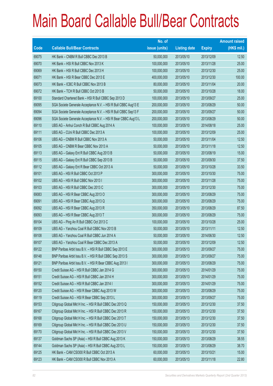|       |                                                                | No. of        |                     |               | <b>Amount raised</b> |
|-------|----------------------------------------------------------------|---------------|---------------------|---------------|----------------------|
| Code  | <b>Callable Bull/Bear Contracts</b>                            | issue (units) | <b>Listing date</b> | <b>Expiry</b> | $(HK$$ mil.)         |
| 69075 | HK Bank - CNBM R Bull CBBC Dec 2013 B                          | 50,000,000    | 2013/05/10          | 2013/12/09    | 12.50                |
| 69070 | HK Bank - HSI R Bull CBBC Nov 2013 K                           | 100,000,000   | 2013/05/10          | 2013/11/28    | 25.00                |
| 69069 | HK Bank - HSI R Bull CBBC Dec 2013 H                           | 100,000,000   | 2013/05/10          | 2013/12/30    | 25.00                |
| 69071 | HK Bank - HSI R Bear CBBC Dec 2013 E                           | 400,000,000   | 2013/05/10          | 2013/12/30    | 100.00               |
| 69073 | HK Bank - ICBC R Bull CBBC Nov 2013 B                          | 80,000,000    | 2013/05/10          | 2013/11/04    | 20.00                |
| 69072 | HK Bank - TCH R Bull CBBC Oct 2013 B                           | 50,000,000    | 2013/05/10          | 2013/10/28    | 18.00                |
| 69100 | Standard Chartered Bank - HSI R Bull CBBC Sep 2013 D           | 100,000,000   | 2013/05/10          | 2013/09/27    | 25.00                |
| 69095 | SGA Societe Generale Acceptance N.V. - HSI R Bull CBBC Aug13 E | 200,000,000   | 2013/05/10          | 2013/08/29    | 50.00                |
| 69094 | SGA Societe Generale Acceptance N.V. - HSI R Bull CBBC Sep13 F | 200,000,000   | 2013/05/10          | 2013/09/27    | 50.00                |
| 69096 | SGA Societe Generale Acceptance N.V. - HSI R Bear CBBC Aug13 L | 200,000,000   | 2013/05/10          | 2013/08/29    | 50.00                |
| 69110 | UBS AG - Anhui Conch R Bull CBBC Aug 2014 A                    | 100,000,000   | 2013/05/10          | 2014/08/18    | 25.00                |
| 69111 | UBS AG - CUni R Bull CBBC Dec 2013 A                           | 100,000,000   | 2013/05/10          | 2013/12/09    | 25.00                |
| 69106 | UBS AG - CNBM R Bull CBBC Nov 2013 A                           | 50,000,000    | 2013/05/10          | 2013/11/04    | 12.50                |
| 69105 | UBS AG - CNBM R Bear CBBC Nov 2013 A                           | 50,000,000    | 2013/05/10          | 2013/11/18    | 12.50                |
| 69113 | UBS AG - Galaxy Ent R Bull CBBC Aug 2013 B                     | 50,000,000    | 2013/05/10          | 2013/08/19    | 15.00                |
| 69115 | UBS AG - Galaxy Ent R Bull CBBC Sep 2013 B                     | 50,000,000    | 2013/05/10          | 2013/09/30    | 37.50                |
| 69112 | UBS AG - Galaxy Ent R Bear CBBC Oct 2013 A                     | 50,000,000    | 2013/05/10          | 2013/10/28    | 33.50                |
| 69101 | UBS AG - HSI R Bull CBBC Oct 2013 P                            | 300,000,000   | 2013/05/10          | 2013/10/30    | 75.00                |
| 69102 | UBS AG - HSI R Bull CBBC Nov 2013 I                            | 300,000,000   | 2013/05/10          | 2013/11/28    | 75.00                |
| 69103 | UBS AG - HSI R Bull CBBC Dec 2013 C                            | 300,000,000   | 2013/05/10          | 2013/12/30    | 75.00                |
| 69083 | UBS AG - HSI R Bear CBBC Aug 2013 O                            | 300,000,000   | 2013/05/10          | 2013/08/29    | 75.00                |
| 69091 | UBS AG - HSI R Bear CBBC Aug 2013 Q                            | 300,000,000   | 2013/05/10          | 2013/08/29    | 75.00                |
| 69092 | UBS AG - HSI R Bear CBBC Aug 2013 R                            | 350,000,000   | 2013/05/10          | 2013/08/29    | 87.50                |
| 69093 | UBS AG - HSI R Bear CBBC Aug 2013 T                            | 300,000,000   | 2013/05/10          | 2013/08/29    | 75.00                |
| 69104 | UBS AG - Ping An R Bull CBBC Oct 2013 C                        | 100,000,000   | 2013/05/10          | 2013/10/28    | 25.00                |
| 69109 | UBS AG - Yanzhou Coal R Bull CBBC Nov 2013 B                   | 50,000,000    | 2013/05/10          | 2013/11/11    | 12.50                |
| 69108 | UBS AG - Yanzhou Coal R Bull CBBC Jun 2014 A                   | 50,000,000    | 2013/05/10          | 2014/06/30    | 12.50                |
| 69107 | UBS AG - Yanzhou Coal R Bear CBBC Dec 2013 A                   | 50,000,000    | 2013/05/10          | 2013/12/09    | 12.50                |
| 69122 | BNP Paribas Arbit Issu B.V. - HSI R Bull CBBC Sep 2013 E       | 300,000,000   | 2013/05/13          | 2013/09/27    | 75.00                |
| 69148 | BNP Paribas Arbit Issu B.V. - HSI R Bull CBBC Sep 2013 S       | 300,000,000   | 2013/05/13          | 2013/09/27    | 75.00                |
| 69121 | BNP Paribas Arbit Issu B.V. - HSI R Bear CBBC Aug 2013 I       | 300,000,000   | 2013/05/13          | 2013/08/29    | 75.00                |
| 69150 | Credit Suisse AG - HSI R Bull CBBC Jan 2014 G                  | 300,000,000   | 2013/05/13          | 2014/01/29    | 75.00                |
| 69151 | Credit Suisse AG - HSI R Bull CBBC Jan 2014 H                  | 300,000,000   | 2013/05/13          | 2014/01/29    | 75.00                |
| 69152 | Credit Suisse AG - HSI R Bull CBBC Jan 2014 I                  | 300,000,000   | 2013/05/13          | 2014/01/29    | 75.00                |
| 69120 | Credit Suisse AG - HSI R Bear CBBC Aug 2013 W                  | 300,000,000   | 2013/05/13          | 2013/08/29    | 75.00                |
| 69119 | Credit Suisse AG - HSI R Bear CBBC Sep 2013 L                  | 300,000,000   | 2013/05/13          | 2013/09/27    | 75.00                |
| 69153 | Citigroup Global Mkt H Inc. - HSI R Bull CBBC Dec 2013 Q       | 150,000,000   | 2013/05/13          | 2013/12/30    | 37.50                |
| 69167 | Citigroup Global Mkt H Inc. - HSI R Bull CBBC Dec 2013 R       | 150,000,000   | 2013/05/13          | 2013/12/30    | 37.50                |
| 69168 | Citigroup Global Mkt H Inc. - HSI R Bull CBBC Dec 2013 T       | 150,000,000   | 2013/05/13          | 2013/12/30    | 37.50                |
| 69169 | Citigroup Global Mkt H Inc. - HSI R Bull CBBC Dec 2013 U       | 150,000,000   | 2013/05/13          | 2013/12/30    | 37.50                |
| 69170 | Citigroup Global Mkt H Inc. - HSI R Bull CBBC Dec 2013 V       | 150,000,000   | 2013/05/13          | 2013/12/30    | 37.50                |
| 69137 | Goldman Sachs SP (Asia) - HSI R Bull CBBC Aug 2013 K           | 150,000,000   | 2013/05/13          | 2013/08/29    | 38.55                |
| 69144 | Goldman Sachs SP (Asia) - HSI R Bull CBBC Aug 2013 L           | 150,000,000   | 2013/05/13          | 2013/08/29    | 38.70                |
| 69125 | HK Bank - CAM CSI300 R Bull CBBC Oct 2013 A                    | 60,000,000    | 2013/05/13          | 2013/10/21    | 15.00                |
| 69123 | HK Bank - CAM CSI300 R Bull CBBC Nov 2013 A                    | 60,000,000    | 2013/05/13          | 2013/11/18    | 22.80                |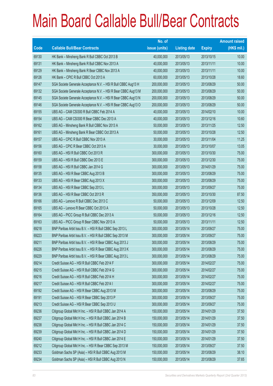|       |                                                                | No. of        |                     |               | <b>Amount raised</b> |
|-------|----------------------------------------------------------------|---------------|---------------------|---------------|----------------------|
| Code  | <b>Callable Bull/Bear Contracts</b>                            | issue (units) | <b>Listing date</b> | <b>Expiry</b> | (HK\$ mil.)          |
| 69130 | HK Bank - Minsheng Bank R Bull CBBC Oct 2013 B                 | 40,000,000    | 2013/05/13          | 2013/10/15    | 10.00                |
| 69131 | HK Bank - Minsheng Bank R Bull CBBC Nov 2013 A                 | 40,000,000    | 2013/05/13          | 2013/11/11    | 10.00                |
| 69129 | HK Bank - Minsheng Bank R Bear CBBC Nov 2013 A                 | 40,000,000    | 2013/05/13          | 2013/11/11    | 10.00                |
| 69126 | HK Bank - CPIC R Bull CBBC Oct 2013 A                          | 60,000,000    | 2013/05/13          | 2013/10/28    | 18.60                |
| 69147 | SGA Societe Generale Acceptance N.V. - HSI R Bull CBBC Aug13 H | 200,000,000   | 2013/05/13          | 2013/08/29    | 50.00                |
| 69132 | SGA Societe Generale Acceptance N.V. - HSI R Bear CBBC Aug13 M | 200,000,000   | 2013/05/13          | 2013/08/29    | 50.00                |
| 69145 | SGA Societe Generale Acceptance N.V. - HSI R Bear CBBC Aug13 N | 200,000,000   | 2013/05/13          | 2013/08/29    | 50.00                |
| 69146 | SGA Societe Generale Acceptance N.V. - HSI R Bear CBBC Aug13 O | 200,000,000   | 2013/05/13          | 2013/08/29    | 50.00                |
| 69155 | UBS AG - CAM CSI300 R Bull CBBC Feb 2014 A                     | 40,000,000    | 2013/05/13          | 2014/02/10    | 10.00                |
| 69154 | UBS AG - CAM CSI300 R Bear CBBC Dec 2013 A                     | 40,000,000    | 2013/05/13          | 2013/12/16    | 10.60                |
| 69162 | UBS AG - Minsheng Bank R Bull CBBC Nov 2013 A                  | 50,000,000    | 2013/05/13          | 2013/11/25    | 12.50                |
| 69161 | UBS AG - Minsheng Bank R Bear CBBC Oct 2013 A                  | 50,000,000    | 2013/05/13          | 2013/10/28    | 12.50                |
| 69157 | UBS AG - CPIC R Bull CBBC Nov 2013 A                           | 30,000,000    | 2013/05/13          | 2013/11/04    | 11.25                |
| 69156 | UBS AG - CPIC R Bear CBBC Oct 2013 A                           | 30,000,000    | 2013/05/13          | 2013/10/07    | 13.05                |
| 69160 | UBS AG - HSI R Bull CBBC Oct 2013 R                            | 300,000,000   | 2013/05/13          | 2013/10/30    | 75.00                |
| 69159 | UBS AG - HSI R Bull CBBC Dec 2013 E                            | 300,000,000   | 2013/05/13          | 2013/12/30    | 75.00                |
| 69158 | UBS AG - HSI R Bull CBBC Jan 2014 G                            | 300,000,000   | 2013/05/13          | 2014/01/29    | 75.00                |
| 69135 | UBS AG - HSI R Bear CBBC Aug 2013 B                            | 300,000,000   | 2013/05/13          | 2013/08/29    | 75.00                |
| 69133 | UBS AG - HSI R Bear CBBC Aug 2013 X                            | 300,000,000   | 2013/05/13          | 2013/08/29    | 75.00                |
| 69134 | UBS AG - HSI R Bear CBBC Sep 2013 L                            | 300,000,000   | 2013/05/13          | 2013/09/27    | 75.00                |
| 69136 | UBS AG - HSI R Bear CBBC Oct 2013 R                            | 350,000,000   | 2013/05/13          | 2013/10/30    | 87.50                |
| 69166 | UBS AG - Lenovo R Bull CBBC Dec 2013 C                         | 50,000,000    | 2013/05/13          | 2013/12/09    | 12.50                |
| 69165 | UBS AG - Lenovo R Bear CBBC Oct 2013 A                         | 50,000,000    | 2013/05/13          | 2013/10/28    | 12.50                |
| 69164 | UBS AG - PICC Group R Bull CBBC Dec 2013 A                     | 50,000,000    | 2013/05/13          | 2013/12/16    | 12.50                |
| 69163 | UBS AG - PICC Group R Bear CBBC Nov 2013 A                     | 50,000,000    | 2013/05/13          | 2013/11/11    | 12.50                |
| 69218 | BNP Paribas Arbit Issu B.V. - HSI R Bull CBBC Sep 2013 L       | 300,000,000   | 2013/05/14          | 2013/09/27    | 75.00                |
| 69223 | BNP Paribas Arbit Issu B.V. - HSI R Bull CBBC Sep 2013 M       | 300,000,000   | 2013/05/14          | 2013/09/27    | 75.00                |
| 69211 | BNP Paribas Arbit Issu B.V. - HSI R Bear CBBC Aug 2013 J       | 300,000,000   | 2013/05/14          | 2013/08/29    | 75.00                |
| 69226 | BNP Paribas Arbit Issu B.V. - HSI R Bear CBBC Aug 2013 K       | 300,000,000   | 2013/05/14          | 2013/08/29    | 75.00                |
| 69229 | BNP Paribas Arbit Issu B.V. - HSI R Bear CBBC Aug 2013 L       | 300,000,000   | 2013/05/14          | 2013/08/29    | 75.00                |
| 69214 | Credit Suisse AG - HSI R Bull CBBC Feb 2014 F                  | 300,000,000   | 2013/05/14          | 2014/02/27    | 75.00                |
| 69215 | Credit Suisse AG - HSI R Bull CBBC Feb 2014 G                  | 300,000,000   | 2013/05/14          | 2014/02/27    | 75.00                |
| 69216 | Credit Suisse AG - HSI R Bull CBBC Feb 2014 H                  | 300,000,000   | 2013/05/14          | 2014/02/27    | 75.00                |
| 69217 | Credit Suisse AG - HSI R Bull CBBC Feb 2014 I                  | 300,000,000   | 2013/05/14          | 2014/02/27    | 75.00                |
| 69192 | Credit Suisse AG - HSI R Bear CBBC Aug 2013 M                  | 300,000,000   | 2013/05/14          | 2013/08/29    | 75.00                |
| 69191 | Credit Suisse AG - HSI R Bear CBBC Sep 2013 P                  | 300,000,000   | 2013/05/14          | 2013/09/27    | 75.00                |
| 69213 | Credit Suisse AG - HSI R Bear CBBC Sep 2013 U                  | 300,000,000   | 2013/05/14          | 2013/09/27    | 75.00                |
| 69236 | Citigroup Global Mkt H Inc. - HSI R Bull CBBC Jan 2014 A       | 150,000,000   | 2013/05/14          | 2014/01/29    | 37.50                |
| 69237 | Citigroup Global Mkt H Inc. - HSI R Bull CBBC Jan 2014 B       | 150,000,000   | 2013/05/14          | 2014/01/29    | 37.50                |
| 69238 | Citigroup Global Mkt H Inc. - HSI R Bull CBBC Jan 2014 C       | 150,000,000   | 2013/05/14          | 2014/01/29    | 37.50                |
| 69239 | Citigroup Global Mkt H Inc. - HSI R Bull CBBC Jan 2014 D       | 150,000,000   | 2013/05/14          | 2014/01/29    | 37.50                |
| 69240 | Citigroup Global Mkt H Inc. - HSI R Bull CBBC Jan 2014 E       | 150,000,000   | 2013/05/14          | 2014/01/29    | 37.50                |
| 69212 | Citigroup Global Mkt H Inc. - HSI R Bear CBBC Sep 2013 M       | 150,000,000   | 2013/05/14          | 2013/09/27    | 37.50                |
| 69233 | Goldman Sachs SP (Asia) - HSI R Bull CBBC Aug 2013 M           | 150,000,000   | 2013/05/14          | 2013/08/29    | 38.10                |
| 69234 | Goldman Sachs SP (Asia) - HSI R Bull CBBC Aug 2013 N           | 150,000,000   | 2013/05/14          | 2013/08/29    | 37.65                |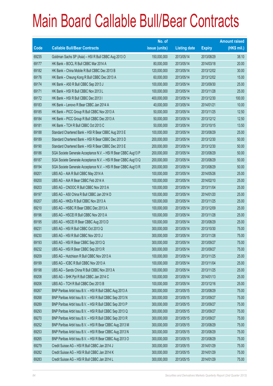|       |                                                                | No. of        |                     |               | <b>Amount raised</b> |
|-------|----------------------------------------------------------------|---------------|---------------------|---------------|----------------------|
| Code  | <b>Callable Bull/Bear Contracts</b>                            | issue (units) | <b>Listing date</b> | <b>Expiry</b> | $(HK$$ mil.)         |
| 69235 | Goldman Sachs SP (Asia) - HSI R Bull CBBC Aug 2013 O           | 150,000,000   | 2013/05/14          | 2013/08/29    | 38.10                |
| 69177 | HK Bank - BOCL R Bull CBBC Mar 2014 A                          | 80,000,000    | 2013/05/14          | 2014/03/18    | 20.00                |
| 69182 | HK Bank - China Mobile R Bull CBBC Dec 2013 B                  | 120,000,000   | 2013/05/14          | 2013/12/02    | 30.00                |
| 69176 | HK Bank - Cheung Kong R Bull CBBC Dec 2013 A                   | 60,000,000    | 2013/05/14          | 2013/12/02    | 15.00                |
| 69174 | HK Bank - A50 R Bull CBBC Sep 2013 J                           | 100,000,000   | 2013/05/14          | 2013/09/30    | 25.00                |
| 69171 | HK Bank - HSI R Bull CBBC Nov 2013 L                           | 100,000,000   | 2013/05/14          | 2013/11/28    | 25.00                |
| 69172 | HK Bank - HSI R Bull CBBC Dec 2013 I                           | 400,000,000   | 2013/05/14          | 2013/12/30    | 100.00               |
| 69183 | HK Bank - Lenovo R Bear CBBC Jan 2014 A                        | 40,000,000    | 2013/05/14          | 2014/01/21    | 10.00                |
| 69185 | HK Bank - PICC Group R Bull CBBC Nov 2013 A                    | 50,000,000    | 2013/05/14          | 2013/11/25    | 12.50                |
| 69184 | HK Bank - PICC Group R Bull CBBC Dec 2013 A                    | 50,000,000    | 2013/05/14          | 2013/12/12    | 12.50                |
| 69181 | HK Bank - TCH R Bull CBBC Oct 2013 C                           | 50,000,000    | 2013/05/14          | 2013/10/15    | 13.50                |
| 69188 | Standard Chartered Bank - HSI R Bear CBBC Aug 2013 E           | 100,000,000   | 2013/05/14          | 2013/08/29    | 25.00                |
| 69189 | Standard Chartered Bank - HSI R Bear CBBC Dec 2013 D           | 200,000,000   | 2013/05/14          | 2013/12/30    | 50.00                |
| 69190 | Standard Chartered Bank - HSI R Bear CBBC Dec 2013 E           | 200,000,000   | 2013/05/14          | 2013/12/30    | 50.00                |
| 69186 | SGA Societe Generale Acceptance N.V. - HSI R Bear CBBC Aug13 P | 200,000,000   | 2013/05/14          | 2013/08/29    | 50.00                |
| 69187 | SGA Societe Generale Acceptance N.V. - HSI R Bear CBBC Aug13 Q | 200,000,000   | 2013/05/14          | 2013/08/29    | 50.00                |
| 69194 | SGA Societe Generale Acceptance N.V. - HSI R Bear CBBC Aug13 R | 200,000,000   | 2013/05/14          | 2013/08/29    | 50.00                |
| 69201 | UBS AG - AIA R Bull CBBC May 2014 A                            | 100,000,000   | 2013/05/14          | 2014/05/26    | 25.00                |
| 69200 | UBS AG - AIA R Bear CBBC Feb 2014 A                            | 100,000,000   | 2013/05/14          | 2014/02/10    | 25.00                |
| 69203 | UBS AG - CNOOC R Bull CBBC Nov 2013 A                          | 100,000,000   | 2013/05/14          | 2013/11/04    | 25.00                |
| 69197 | UBS AG - A50 China R Bull CBBC Jan 2014 D                      | 100,000,000   | 2013/05/14          | 2014/01/20    | 25.00                |
| 69207 | UBS AG - HKEx R Bull CBBC Nov 2013 A                           | 100,000,000   | 2013/05/14          | 2013/11/25    | 25.00                |
| 69210 | UBS AG - HSBC R Bear CBBC Dec 2013 A                           | 100,000,000   | 2013/05/14          | 2013/12/09    | 25.00                |
| 69196 | UBS AG - HSCEI R Bull CBBC Nov 2013 A                          | 100,000,000   | 2013/05/14          | 2013/11/28    | 25.00                |
| 69195 | UBS AG - HSCEI R Bear CBBC Aug 2013 D                          | 100,000,000   | 2013/05/14          | 2013/08/29    | 25.00                |
| 69231 | UBS AG - HSI R Bull CBBC Oct 2013 Q                            | 300,000,000   | 2013/05/14          | 2013/10/30    | 75.00                |
| 69230 | UBS AG - HSI R Bull CBBC Nov 2013 J                            | 300,000,000   | 2013/05/14          | 2013/11/28    | 75.00                |
| 69193 | UBS AG - HSI R Bear CBBC Sep 2013 Q                            | 300,000,000   | 2013/05/14          | 2013/09/27    | 75.00                |
| 69232 | UBS AG - HSI R Bear CBBC Sep 2013 R                            | 300,000,000   | 2013/05/14          | 2013/09/27    | 75.00                |
| 69209 | UBS AG - Hutchison R Bull CBBC Nov 2013 A                      | 100,000,000   | 2013/05/14          | 2013/11/25    | 25.00                |
| 69199 | UBS AG - ICBC R Bull CBBC Nov 2013 A                           | 100,000,000   | 2013/05/14          | 2013/11/04    | 25.00                |
| 69198 | UBS AG - Sands China R Bull CBBC Nov 2013 A                    | 100,000,000   | 2013/05/14          | 2013/11/25    | 25.00                |
| 69208 | UBS AG - SHK Ppt R Bull CBBC Jan 2014 C                        | 100,000,000   | 2013/05/14          | 2014/01/13    | 25.00                |
| 69206 | UBS AG - TCH R Bull CBBC Dec 2013 B                            | 100,000,000   | 2013/05/14          | 2013/12/16    | 25.00                |
| 69267 | BNP Paribas Arbit Issu B.V. - HSI R Bull CBBC Aug 2013 A       | 300,000,000   | 2013/05/15          | 2013/08/29    | 75.00                |
| 69268 | BNP Paribas Arbit Issu B.V. - HSI R Bull CBBC Sep 2013 N       | 300,000,000   | 2013/05/15          | 2013/09/27    | 75.00                |
| 69289 | BNP Paribas Arbit Issu B.V. - HSI R Bull CBBC Sep 2013 P       | 300,000,000   | 2013/05/15          | 2013/09/27    | 75.00                |
| 69293 | BNP Paribas Arbit Issu B.V. - HSI R Bull CBBC Sep 2013 Q       | 300,000,000   | 2013/05/15          | 2013/09/27    | 75.00                |
| 69270 | BNP Paribas Arbit Issu B.V. - HSI R Bull CBBC Sep 2013 R       | 300,000,000   | 2013/05/15          | 2013/09/27    | 75.00                |
| 69252 | BNP Paribas Arbit Issu B.V. - HSI R Bear CBBC Aug 2013 M       | 300,000,000   | 2013/05/15          | 2013/08/29    | 75.00                |
| 69253 | BNP Paribas Arbit Issu B.V. - HSI R Bear CBBC Aug 2013 N       | 300,000,000   | 2013/05/15          | 2013/08/29    | 75.00                |
| 69265 | BNP Paribas Arbit Issu B.V. - HSI R Bear CBBC Aug 2013 O       | 300,000,000   | 2013/05/15          | 2013/08/29    | 75.00                |
| 69279 | Credit Suisse AG - HSI R Bull CBBC Jan 2014 J                  | 300,000,000   | 2013/05/15          | 2014/01/29    | 75.00                |
| 69282 | Credit Suisse AG - HSI R Bull CBBC Jan 2014 K                  | 300,000,000   | 2013/05/15          | 2014/01/29    | 75.00                |
| 69283 | Credit Suisse AG - HSI R Bull CBBC Jan 2014 L                  | 300,000,000   | 2013/05/15          | 2014/01/29    | 75.00                |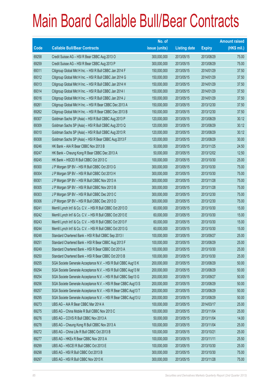|       |                                                                | No. of        |                     |               | <b>Amount raised</b> |
|-------|----------------------------------------------------------------|---------------|---------------------|---------------|----------------------|
| Code  | <b>Callable Bull/Bear Contracts</b>                            | issue (units) | <b>Listing date</b> | <b>Expiry</b> | $(HK$$ mil.)         |
| 69258 | Credit Suisse AG - HSI R Bear CBBC Aug 2013 O                  | 300,000,000   | 2013/05/15          | 2013/08/29    | 75.00                |
| 69259 | Credit Suisse AG - HSI R Bear CBBC Aug 2013 P                  | 300,000,000   | 2013/05/15          | 2013/08/29    | 75.00                |
| 69311 | Citigroup Global Mkt H Inc. - HSI R Bull CBBC Jan 2014 F       | 150,000,000   | 2013/05/15          | 2014/01/29    | 37.50                |
| 69312 | Citigroup Global Mkt H Inc. - HSI R Bull CBBC Jan 2014 G       | 150,000,000   | 2013/05/15          | 2014/01/29    | 37.50                |
| 69313 | Citigroup Global Mkt H Inc. - HSI R Bull CBBC Jan 2014 H       | 150,000,000   | 2013/05/15          | 2014/01/29    | 37.50                |
| 69314 | Citigroup Global Mkt H Inc. - HSI R Bull CBBC Jan 2014 I       | 150,000,000   | 2013/05/15          | 2014/01/29    | 37.50                |
| 69316 | Citigroup Global Mkt H Inc. - HSI R Bull CBBC Jan 2014 J       | 150,000,000   | 2013/05/15          | 2014/01/29    | 37.50                |
| 69261 | Citigroup Global Mkt H Inc. - HSI R Bear CBBC Dec 2013 A       | 150,000,000   | 2013/05/15          | 2013/12/30    | 37.50                |
| 69262 | Citigroup Global Mkt H Inc. - HSI R Bear CBBC Dec 2013 B       | 150,000,000   | 2013/05/15          | 2013/12/30    | 37.50                |
| 69307 | Goldman Sachs SP (Asia) - HSI R Bull CBBC Aug 2013 P           | 120,000,000   | 2013/05/15          | 2013/08/29    | 30.12                |
| 69309 | Goldman Sachs SP (Asia) - HSI R Bull CBBC Aug 2013 Q           | 120,000,000   | 2013/05/15          | 2013/08/29    | 30.12                |
| 69310 | Goldman Sachs SP (Asia) - HSI R Bull CBBC Aug 2013 R           | 120,000,000   | 2013/05/15          | 2013/08/29    | 30.12                |
| 69308 | Goldman Sachs SP (Asia) - HSI R Bear CBBC Aug 2013 F           | 120,000,000   | 2013/05/15          | 2013/08/29    | 30.00                |
| 69246 | HK Bank - AIA R Bear CBBC Nov 2013 B                           | 50,000,000    | 2013/05/15          | 2013/11/25    | 24.50                |
| 69247 | HK Bank - Cheung Kong R Bear CBBC Dec 2013 A                   | 50,000,000    | 2013/05/15          | 2013/12/02    | 12.50                |
| 69245 | HK Bank - HSCEI R Bull CBBC Oct 2013 C                         | 100,000,000   | 2013/05/15          | 2013/10/30    | 25.00                |
| 69300 | J P Morgan SP BV - HSI R Bull CBBC Oct 2013 G                  | 300,000,000   | 2013/05/15          | 2013/10/30    | 75.00                |
| 69304 | J P Morgan SP BV - HSI R Bull CBBC Oct 2013 H                  | 300,000,000   | 2013/05/15          | 2013/10/30    | 75.00                |
| 69301 | J P Morgan SP BV - HSI R Bull CBBC Nov 2013 A                  | 300,000,000   | 2013/05/15          | 2013/11/28    | 75.00                |
| 69305 | J P Morgan SP BV - HSI R Bull CBBC Nov 2013 B                  | 300,000,000   | 2013/05/15          | 2013/11/28    | 75.00                |
| 69303 | J P Morgan SP BV - HSI R Bull CBBC Dec 2013 C                  | 300,000,000   | 2013/05/15          | 2013/12/30    | 75.00                |
| 69306 | J P Morgan SP BV - HSI R Bull CBBC Dec 2013 D                  | 300,000,000   | 2013/05/15          | 2013/12/30    | 75.00                |
| 69241 | Merrill Lynch Int'l & Co. C.V. - HSI R Bull CBBC Oct 2013 D    | 60,000,000    | 2013/05/15          | 2013/10/30    | 15.00                |
| 69242 | Merrill Lynch Int'l & Co. C.V. - HSI R Bull CBBC Oct 2013 E    | 60,000,000    | 2013/05/15          | 2013/10/30    | 15.00                |
| 69243 | Merrill Lynch Int'l & Co. C.V. - HSI R Bull CBBC Oct 2013 F    | 60,000,000    | 2013/05/15          | 2013/10/30    | 15.00                |
| 69244 | Merrill Lynch Int'l & Co. C.V. - HSI R Bull CBBC Oct 2013 G    | 60,000,000    | 2013/05/15          | 2013/10/30    | 15.00                |
| 69248 | Standard Chartered Bank - HSI R Bull CBBC Sep 2013 I           | 100,000,000   | 2013/05/15          | 2013/09/27    | 25.00                |
| 69251 | Standard Chartered Bank - HSI R Bear CBBC Aug 2013 F           | 100,000,000   | 2013/05/15          | 2013/08/29    | 25.00                |
| 69249 | Standard Chartered Bank - HSI R Bear CBBC Oct 2013 A           | 100,000,000   | 2013/05/15          | 2013/10/30    | 25.00                |
| 69250 | Standard Chartered Bank - HSI R Bear CBBC Oct 2013 B           | 100,000,000   | 2013/05/15          | 2013/10/30    | 25.00                |
| 69255 | SGA Societe Generale Acceptance N.V. - HSI R Bull CBBC Aug13 K | 200,000,000   | 2013/05/15          | 2013/08/29    | 50.00                |
| 69294 | SGA Societe Generale Acceptance N.V. - HSI R Bull CBBC Aug13 M | 200,000,000   | 2013/05/15          | 2013/08/29    | 50.00                |
| 69254 | SGA Societe Generale Acceptance N.V. - HSI R Bull CBBC Sep13 G | 200,000,000   | 2013/05/15          | 2013/09/27    | 50.00                |
| 69256 | SGA Societe Generale Acceptance N.V. - HSI R Bear CBBC Aug13 S | 200,000,000   | 2013/05/15          | 2013/08/29    | 50.00                |
| 69257 | SGA Societe Generale Acceptance N.V. - HSI R Bear CBBC Aug13 T | 200,000,000   | 2013/05/15          | 2013/08/29    | 50.00                |
| 69295 | SGA Societe Generale Acceptance N.V. - HSI R Bear CBBC Aug13 U | 200,000,000   | 2013/05/15          | 2013/08/29    | 50.00                |
| 69273 | UBS AG - AIA R Bear CBBC Mar 2014 A                            | 100,000,000   | 2013/05/15          | 2014/03/17    | 25.00                |
| 69275 | UBS AG - China Mobile R Bull CBBC Nov 2013 C                   | 100,000,000   | 2013/05/15          | 2013/11/04    | 25.00                |
| 69276 | UBS AG - COVS R Bull CBBC Nov 2013 A                           | 50,000,000    | 2013/05/15          | 2013/11/04    | 14.00                |
| 69278 | UBS AG - Cheung Kong R Bull CBBC Nov 2013 A                    | 100,000,000   | 2013/05/15          | 2013/11/04    | 25.00                |
| 69272 | UBS AG - China Life R Bull CBBC Oct 2013 B                     | 100,000,000   | 2013/05/15          | 2013/10/21    | 25.00                |
| 69277 | UBS AG - HKEx R Bear CBBC Nov 2013 A                           | 100,000,000   | 2013/05/15          | 2013/11/11    | 25.50                |
| 69299 | UBS AG - HSCEI R Bull CBBC Oct 2013 E                          | 100,000,000   | 2013/05/15          | 2013/10/30    | 25.00                |
| 69298 | UBS AG - HSI R Bull CBBC Oct 2013 B                            | 300,000,000   | 2013/05/15          | 2013/10/30    | 75.00                |
| 69297 | UBS AG - HSI R Bull CBBC Nov 2013 K                            | 300,000,000   | 2013/05/15          | 2013/11/28    | 75.00                |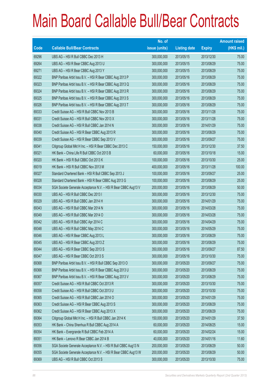|       |                                                                | No. of        |                     |               | <b>Amount raised</b> |
|-------|----------------------------------------------------------------|---------------|---------------------|---------------|----------------------|
| Code  | <b>Callable Bull/Bear Contracts</b>                            | issue (units) | <b>Listing date</b> | <b>Expiry</b> | $(HK$$ mil.)         |
| 69296 | UBS AG - HSI R Bull CBBC Dec 2013 H                            | 300,000,000   | 2013/05/15          | 2013/12/30    | 75.00                |
| 69264 | UBS AG - HSI R Bear CBBC Aug 2013 U                            | 300,000,000   | 2013/05/15          | 2013/08/29    | 75.00                |
| 69271 | UBS AG - HSI R Bear CBBC Aug 2013 Y                            | 300,000,000   | 2013/05/15          | 2013/08/29    | 75.00                |
| 69322 | BNP Paribas Arbit Issu B.V. - HSI R Bear CBBC Aug 2013 P       | 300,000,000   | 2013/05/16          | 2013/08/29    | 75.00                |
| 69323 | BNP Paribas Arbit Issu B.V. - HSI R Bear CBBC Aug 2013 Q       | 300,000,000   | 2013/05/16          | 2013/08/29    | 75.00                |
| 69324 | BNP Paribas Arbit Issu B.V. - HSI R Bear CBBC Aug 2013 R       | 300,000,000   | 2013/05/16          | 2013/08/29    | 75.00                |
| 69325 | BNP Paribas Arbit Issu B.V. - HSI R Bear CBBC Aug 2013 S       | 300,000,000   | 2013/05/16          | 2013/08/29    | 75.00                |
| 69326 | BNP Paribas Arbit Issu B.V. - HSI R Bear CBBC Aug 2013 T       | 300,000,000   | 2013/05/16          | 2013/08/29    | 75.00                |
| 69333 | Credit Suisse AG - HSI R Bull CBBC Nov 2013 B                  | 300,000,000   | 2013/05/16          | 2013/11/28    | 75.00                |
| 69331 | Credit Suisse AG - HSI R Bull CBBC Nov 2013 X                  | 300,000,000   | 2013/05/16          | 2013/11/28    | 75.00                |
| 69338 | Credit Suisse AG - HSI R Bull CBBC Jan 2014 N                  | 300,000,000   | 2013/05/16          | 2014/01/29    | 75.00                |
| 69340 | Credit Suisse AG - HSI R Bear CBBC Aug 2013 R                  | 300,000,000   | 2013/05/16          | 2013/08/29    | 75.00                |
| 69339 | Credit Suisse AG - HSI R Bear CBBC Sep 2013 V                  | 300,000,000   | 2013/05/16          | 2013/09/27    | 75.00                |
| 69341 | Citigroup Global Mkt H Inc. - HSI R Bear CBBC Dec 2013 C       | 150,000,000   | 2013/05/16          | 2013/12/30    | 37.50                |
| 69321 | HK Bank - China Life R Bull CBBC Oct 2013 B                    | 60,000,000    | 2013/05/16          | 2013/10/18    | 15.00                |
| 69320 | HK Bank - HSI R Bull CBBC Oct 2013 K                           | 100,000,000   | 2013/05/16          | 2013/10/30    | 25.00                |
| 69319 | HK Bank - HSI R Bull CBBC Nov 2013 M                           | 400,000,000   | 2013/05/16          | 2013/11/28    | 100.00               |
| 69327 | Standard Chartered Bank - HSI R Bull CBBC Sep 2013 J           | 100,000,000   | 2013/05/16          | 2013/09/27    | 25.00                |
| 69328 | Standard Chartered Bank - HSI R Bear CBBC Aug 2013 G           | 100,000,000   | 2013/05/16          | 2013/08/29    | 25.00                |
| 69334 | SGA Societe Generale Acceptance N.V. - HSI R Bear CBBC Aug13 V | 200,000,000   | 2013/05/16          | 2013/08/29    | 50.00                |
| 69330 | UBS AG - HSI R Bull CBBC Dec 2013 I                            | 300,000,000   | 2013/05/16          | 2013/12/30    | 75.00                |
| 69329 | UBS AG - HSI R Bull CBBC Jan 2014 H                            | 300,000,000   | 2013/05/16          | 2014/01/29    | 75.00                |
| 69343 | UBS AG - HSI R Bull CBBC Mar 2014 N                            | 300,000,000   | 2013/05/16          | 2014/03/28    | 75.00                |
| 69349 | UBS AG - HSI R Bull CBBC Mar 2014 O                            | 300,000,000   | 2013/05/16          | 2014/03/28    | 75.00                |
| 69342 | UBS AG - HSI R Bull CBBC Apr 2014 C                            | 300,000,000   | 2013/05/16          | 2014/04/29    | 75.00                |
| 69348 | UBS AG - HSI R Bull CBBC May 2014 C                            | 300,000,000   | 2013/05/16          | 2014/05/29    | 75.00                |
| 69346 | UBS AG - HSI R Bear CBBC Aug 2013 L                            | 300,000,000   | 2013/05/16          | 2013/08/29    | 75.00                |
| 69345 | UBS AG - HSI R Bear CBBC Aug 2013 Z                            | 300,000,000   | 2013/05/16          | 2013/08/29    | 75.00                |
| 69344 | UBS AG - HSI R Bear CBBC Sep 2013 S                            | 350,000,000   | 2013/05/16          | 2013/09/27    | 87.50                |
| 69347 | UBS AG - HSI R Bear CBBC Oct 2013 S                            | 300,000,000   | 2013/05/16          | 2013/10/30    | 75.00                |
| 69368 | BNP Paribas Arbit Issu B.V. - HSI R Bull CBBC Sep 2013 O       | 300,000,000   | 2013/05/20          | 2013/09/27    | 75.00                |
| 69366 | BNP Paribas Arbit Issu B.V. - HSI R Bear CBBC Aug 2013 U       | 300,000,000   | 2013/05/20          | 2013/08/29    | 75.00                |
| 69367 | BNP Paribas Arbit Issu B.V. - HSI R Bear CBBC Aug 2013 V       | 300,000,000   | 2013/05/20          | 2013/08/29    | 75.00                |
| 69357 | Credit Suisse AG - HSI R Bull CBBC Oct 2013 R                  | 300,000,000   | 2013/05/20          | 2013/10/30    | 75.00                |
| 69358 | Credit Suisse AG - HSI R Bull CBBC Oct 2013 U                  | 300,000,000   | 2013/05/20          | 2013/10/30    | 75.00                |
| 69365 | Credit Suisse AG - HSI R Bull CBBC Jan 2014 O                  | 300,000,000   | 2013/05/20          | 2014/01/29    | 75.00                |
| 69363 | Credit Suisse AG - HSI R Bear CBBC Aug 2013 S                  | 300,000,000   | 2013/05/20          | 2013/08/29    | 75.00                |
| 69362 | Credit Suisse AG - HSI R Bear CBBC Aug 2013 X                  | 300,000,000   | 2013/05/20          | 2013/08/29    | 75.00                |
| 69364 | Citigroup Global Mkt H Inc. - HSI R Bull CBBC Jan 2014 K       | 150,000,000   | 2013/05/20          | 2014/01/29    | 37.50                |
| 69353 | HK Bank - China Shenhua R Bull CBBC Aug 2014 A                 | 60,000,000    | 2013/05/20          | 2014/08/25    | 15.00                |
| 69354 | HK Bank - Evergrande R Bull CBBC Feb 2014 A                    | 60,000,000    | 2013/05/20          | 2014/02/24    | 15.00                |
| 69351 | HK Bank - Lenovo R Bear CBBC Jan 2014 B                        | 40,000,000    | 2013/05/20          | 2014/01/16    | 11.60                |
| 69356 | SGA Societe Generale Acceptance N.V. - HSI R Bull CBBC Aug13 N | 200,000,000   | 2013/05/20          | 2013/08/29    | 50.00                |
| 69355 | SGA Societe Generale Acceptance N.V. - HSI R Bear CBBC Aug13 W | 200,000,000   | 2013/05/20          | 2013/08/29    | 50.00                |
| 69369 | UBS AG - HSI R Bull CBBC Oct 2013 S                            | 300,000,000   | 2013/05/20          | 2013/10/30    | 75.00                |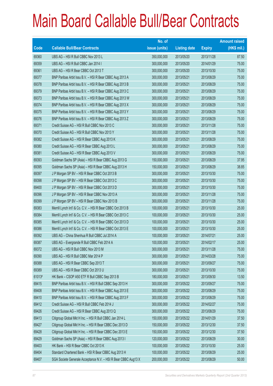|        |                                                                | No. of        |                     |               | <b>Amount raised</b> |
|--------|----------------------------------------------------------------|---------------|---------------------|---------------|----------------------|
| Code   | <b>Callable Bull/Bear Contracts</b>                            | issue (units) | <b>Listing date</b> | <b>Expiry</b> | $(HK$$ mil.)         |
| 69360  | UBS AG - HSI R Bull CBBC Nov 2013 L                            | 350,000,000   | 2013/05/20          | 2013/11/28    | 87.50                |
| 69359  | UBS AG - HSI R Bull CBBC Jan 2014 I                            | 300,000,000   | 2013/05/20          | 2014/01/29    | 75.00                |
| 69361  | UBS AG - HSI R Bear CBBC Oct 2013 T                            | 300,000,000   | 2013/05/20          | 2013/10/30    | 75.00                |
| 69377  | BNP Paribas Arbit Issu B.V. - HSI R Bear CBBC Aug 2013 A       | 300,000,000   | 2013/05/21          | 2013/08/29    | 75.00                |
| 69378  | BNP Paribas Arbit Issu B.V. - HSI R Bear CBBC Aug 2013 B       | 300,000,000   | 2013/05/21          | 2013/08/29    | 75.00                |
| 69379  | BNP Paribas Arbit Issu B.V. - HSI R Bear CBBC Aug 2013 C       | 300,000,000   | 2013/05/21          | 2013/08/29    | 75.00                |
| 69373  | BNP Paribas Arbit Issu B.V. - HSI R Bear CBBC Aug 2013 W       | 300,000,000   | 2013/05/21          | 2013/08/29    | 75.00                |
| 69374  | BNP Paribas Arbit Issu B.V. - HSI R Bear CBBC Aug 2013 X       | 300,000,000   | 2013/05/21          | 2013/08/29    | 75.00                |
| 69375  | BNP Paribas Arbit Issu B.V. - HSI R Bear CBBC Aug 2013 Y       | 300,000,000   | 2013/05/21          | 2013/08/29    | 75.00                |
| 69376  | BNP Paribas Arbit Issu B.V. - HSI R Bear CBBC Aug 2013 Z       | 300,000,000   | 2013/05/21          | 2013/08/29    | 75.00                |
| 69371  | Credit Suisse AG - HSI R Bull CBBC Nov 2013 C                  | 300,000,000   | 2013/05/21          | 2013/11/28    | 75.00                |
| 69370  | Credit Suisse AG - HSI R Bull CBBC Nov 2013 Y                  | 300,000,000   | 2013/05/21          | 2013/11/28    | 75.00                |
| 69382  | Credit Suisse AG - HSI R Bear CBBC Aug 2013 K                  | 300,000,000   | 2013/05/21          | 2013/08/29    | 75.00                |
| 69380  | Credit Suisse AG - HSI R Bear CBBC Aug 2013 L                  | 300,000,000   | 2013/05/21          | 2013/08/29    | 75.00                |
| 69381  | Credit Suisse AG - HSI R Bear CBBC Aug 2013 V                  | 300,000,000   | 2013/05/21          | 2013/08/29    | 75.00                |
| 69393  | Goldman Sachs SP (Asia) - HSI R Bear CBBC Aug 2013 G           | 150,000,000   | 2013/05/21          | 2013/08/29    | 37.95                |
| 69395  | Goldman Sachs SP (Asia) - HSI R Bear CBBC Aug 2013 H           | 150,000,000   | 2013/05/21          | 2013/08/29    | 38.85                |
| 69397  | J P Morgan SP BV - HSI R Bear CBBC Oct 2013 B                  | 300,000,000   | 2013/05/21          | 2013/10/30    | 75.00                |
| 69398  | J P Morgan SP BV - HSI R Bear CBBC Oct 2013 C                  | 300,000,000   | 2013/05/21          | 2013/10/30    | 75.00                |
| 69400  | J P Morgan SP BV - HSI R Bear CBBC Oct 2013 D                  | 300,000,000   | 2013/05/21          | 2013/10/30    | 75.00                |
| 69396  | J P Morgan SP BV - HSI R Bear CBBC Nov 2013 A                  | 300,000,000   | 2013/05/21          | 2013/11/28    | 75.00                |
| 69399  | J P Morgan SP BV - HSI R Bear CBBC Nov 2013 B                  | 300,000,000   | 2013/05/21          | 2013/11/28    | 75.00                |
| 69383  | Merrill Lynch Int'l & Co. C.V. - HSI R Bear CBBC Oct 2013 B    | 100,000,000   | 2013/05/21          | 2013/10/30    | 25.00                |
| 69384  | Merrill Lynch Int'l & Co. C.V. - HSI R Bear CBBC Oct 2013 C    | 100,000,000   | 2013/05/21          | 2013/10/30    | 25.00                |
| 69385  | Merrill Lynch Int'l & Co. C.V. - HSI R Bear CBBC Oct 2013 D    | 100,000,000   | 2013/05/21          | 2013/10/30    | 25.00                |
| 69386  | Merrill Lynch Int'l & Co. C.V. - HSI R Bear CBBC Oct 2013 E    | 100,000,000   | 2013/05/21          | 2013/10/30    | 25.00                |
| 69392  | UBS AG - China Shenhua R Bull CBBC Jul 2014 A                  | 100,000,000   | 2013/05/21          | 2014/07/21    | 25.00                |
| 69387  | UBS AG - Evergrande R Bull CBBC Feb 2014 A                     | 100,000,000   | 2013/05/21          | 2014/02/17    | 25.00                |
| 69372  | UBS AG - HSI R Bull CBBC Nov 2013 M                            | 300,000,000   | 2013/05/21          | 2013/11/28    | 75.00                |
| 69390  | UBS AG - HSI R Bull CBBC Mar 2014 P                            | 300,000,000   | 2013/05/21          | 2014/03/28    | 75.00                |
| 69388  | UBS AG - HSI R Bear CBBC Sep 2013 T                            | 300,000,000   | 2013/05/21          | 2013/09/27    | 75.00                |
| 69389  | UBS AG - HSI R Bear CBBC Oct 2013 U                            | 300,000,000   | 2013/05/21          | 2013/10/30    | 75.00                |
| 61013# | HK Bank - CSOP A50 ETF R Bull CBBC Sep 2013 B                  | 180,000,000   | 2013/05/21          | 2013/09/30    | 13.50                |
| 69415  | BNP Paribas Arbit Issu B.V. - HSI R Bull CBBC Sep 2013 H       | 300,000,000   | 2013/05/22          | 2013/09/27    | 75.00                |
| 69408  | BNP Paribas Arbit Issu B.V. - HSI R Bear CBBC Aug 2013 E       | 300,000,000   | 2013/05/22          | 2013/08/29    | 75.00                |
| 69410  | BNP Paribas Arbit Issu B.V. - HSI R Bear CBBC Aug 2013 F       | 300,000,000   | 2013/05/22          | 2013/08/29    | 75.00                |
| 69412  | Credit Suisse AG - HSI R Bull CBBC Feb 2014 J                  | 300,000,000   | 2013/05/22          | 2014/02/27    | 75.00                |
| 69426  | Credit Suisse AG - HSI R Bear CBBC Aug 2013 Q                  | 300,000,000   | 2013/05/22          | 2013/08/29    | 75.00                |
| 69413  | Citigroup Global Mkt H Inc. - HSI R Bull CBBC Jan 2014 L       | 150,000,000   | 2013/05/22          | 2014/01/29    | 37.50                |
| 69427  | Citigroup Global Mkt H Inc. - HSI R Bear CBBC Dec 2013 D       | 150,000,000   | 2013/05/22          | 2013/12/30    | 37.50                |
| 69428  | Citigroup Global Mkt H Inc. - HSI R Bear CBBC Dec 2013 E       | 150,000,000   | 2013/05/22          | 2013/12/30    | 37.50                |
| 69429  | Goldman Sachs SP (Asia) - HSI R Bear CBBC Aug 2013 I           | 120,000,000   | 2013/05/22          | 2013/08/29    | 30.00                |
| 69403  | HK Bank - HSI R Bear CBBC Oct 2013 K                           | 100,000,000   | 2013/05/22          | 2013/10/30    | 25.00                |
| 69404  | Standard Chartered Bank - HSI R Bear CBBC Aug 2013 H           | 100,000,000   | 2013/05/22          | 2013/08/29    | 25.00                |
| 69407  | SGA Societe Generale Acceptance N.V. - HSI R Bear CBBC Aug13 X | 200,000,000   | 2013/05/22          | 2013/08/29    | 50.00                |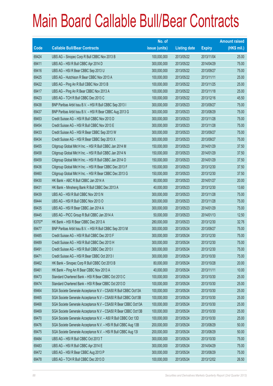|        |                                                                | No. of        |                     |               | <b>Amount raised</b> |
|--------|----------------------------------------------------------------|---------------|---------------------|---------------|----------------------|
| Code   | <b>Callable Bull/Bear Contracts</b>                            | issue (units) | <b>Listing date</b> | <b>Expiry</b> | (HK\$ mil.)          |
| 69424  | UBS AG - Sinopec Corp R Bull CBBC Nov 2013 B                   | 100,000,000   | 2013/05/22          | 2013/11/04    | 25.00                |
| 69411  | UBS AG - HSI R Bull CBBC Apr 2014 D                            | 300,000,000   | 2013/05/22          | 2014/04/29    | 75.00                |
| 69416  | UBS AG - HSI R Bear CBBC Sep 2013 U                            | 300,000,000   | 2013/05/22          | 2013/09/27    | 75.00                |
| 69425  | UBS AG - Hutchison R Bear CBBC Nov 2013 A                      | 100,000,000   | 2013/05/22          | 2013/11/11    | 25.00                |
| 69422  | UBS AG - Ping An R Bull CBBC Nov 2013 B                        | 100,000,000   | 2013/05/22          | 2013/11/25    | 25.00                |
| 69417  | UBS AG - Ping An R Bear CBBC Nov 2013 A                        | 100,000,000   | 2013/05/22          | 2013/11/18    | 25.00                |
| 69423  | UBS AG - TCH R Bull CBBC Dec 2013 C                            | 100,000,000   | 2013/05/22          | 2013/12/16    | 45.50                |
| 69438  | BNP Paribas Arbit Issu B.V. - HSI R Bull CBBC Sep 2013 I       | 300,000,000   | 2013/05/23          | 2013/09/27    | 75.00                |
| 69437  | BNP Paribas Arbit Issu B.V. - HSI R Bear CBBC Aug 2013 G       | 300,000,000   | 2013/05/23          | 2013/08/29    | 75.00                |
| 69453  | Credit Suisse AG - HSI R Bull CBBC Nov 2013 D                  | 300,000,000   | 2013/05/23          | 2013/11/28    | 75.00                |
| 69454  | Credit Suisse AG - HSI R Bull CBBC Nov 2013 E                  | 300,000,000   | 2013/05/23          | 2013/11/28    | 75.00                |
| 69433  | Credit Suisse AG - HSI R Bear CBBC Sep 2013 W                  | 300,000,000   | 2013/05/23          | 2013/09/27    | 75.00                |
| 69434  | Credit Suisse AG - HSI R Bear CBBC Sep 2013 X                  | 300,000,000   | 2013/05/23          | 2013/09/27    | 75.00                |
| 69455  | Citigroup Global Mkt H Inc. - HSI R Bull CBBC Jan 2014 M       | 150,000,000   | 2013/05/23          | 2014/01/29    | 37.50                |
| 69458  | Citigroup Global Mkt H Inc. - HSI R Bull CBBC Jan 2014 N       | 150,000,000   | 2013/05/23          | 2014/01/29    | 37.50                |
| 69459  | Citigroup Global Mkt H Inc. - HSI R Bull CBBC Jan 2014 O       | 150,000,000   | 2013/05/23          | 2014/01/29    | 37.50                |
| 69436  | Citigroup Global Mkt H Inc. - HSI R Bear CBBC Dec 2013 F       | 150,000,000   | 2013/05/23          | 2013/12/30    | 37.50                |
| 69460  | Citigroup Global Mkt H Inc. - HSI R Bear CBBC Dec 2013 G       | 150,000,000   | 2013/05/23          | 2013/12/30    | 37.50                |
| 69430  | HK Bank - ABC R Bull CBBC Jan 2014 A                           | 80,000,000    | 2013/05/23          | 2014/01/27    | 20.00                |
| 69431  | HK Bank - Minsheng Bank R Bull CBBC Dec 2013 A                 | 40,000,000    | 2013/05/23          | 2013/12/30    | 13.60                |
| 69439  | UBS AG - HSI R Bull CBBC Nov 2013 N                            | 300,000,000   | 2013/05/23          | 2013/11/28    | 75.00                |
| 69444  | UBS AG - HSI R Bull CBBC Nov 2013 O                            | 300,000,000   | 2013/05/23          | 2013/11/28    | 75.00                |
| 69435  | UBS AG - HSI R Bear CBBC Jan 2014 A                            | 300,000,000   | 2013/05/23          | 2014/01/29    | 75.00                |
| 69445  | UBS AG - PICC Group R Bull CBBC Jan 2014 A                     | 50,000,000    | 2013/05/23          | 2014/01/13    | 12.50                |
| 63707# | HK Bank - HSI R Bear CBBC Dec 2013 A                           | 280,000,000   | 2013/05/23          | 2013/12/30    | 32.76                |
| 69477  | BNP Paribas Arbit Issu B.V. - HSI R Bull CBBC Sep 2013 M       | 300,000,000   | 2013/05/24          | 2013/09/27    | 75.00                |
| 69485  | Credit Suisse AG - HSI R Bull CBBC Dec 2013 F                  | 300,000,000   | 2013/05/24          | 2013/12/30    | 75.00                |
| 69489  | Credit Suisse AG - HSI R Bull CBBC Dec 2013 H                  | 300,000,000   | 2013/05/24          | 2013/12/30    | 75.00                |
| 69491  | Credit Suisse AG - HSI R Bull CBBC Dec 2013 I                  | 300,000,000   | 2013/05/24          | 2013/12/30    | 75.00                |
| 69471  | Credit Suisse AG - HSI R Bear CBBC Oct 2013 I                  | 300,000,000   | 2013/05/24          | 2013/10/30    | 75.00                |
| 69462  | HK Bank - Sinopec Corp R Bull CBBC Oct 2013 B                  | 80,000,000    | 2013/05/24          | 2013/10/28    | 20.00                |
| 69461  | HK Bank - Ping An R Bear CBBC Nov 2013 A                       | 40,000,000    | 2013/05/24          | 2013/11/11    | 10.00                |
| 69473  | Standard Chartered Bank - HSI R Bear CBBC Oct 2013 C           | 100,000,000   | 2013/05/24          | 2013/10/30    | 25.00                |
| 69474  | Standard Chartered Bank - HSI R Bear CBBC Oct 2013 D           | 100,000,000   | 2013/05/24          | 2013/10/30    | 25.00                |
| 69464  | SGA Societe Generale Acceptance N.V - CSA50 R Bull CBBC Oct13A | 100,000,000   | 2013/05/24          | 2013/10/30    | 25.00                |
| 69465  | SGA Societe Generale Acceptance N.V - CSA50 R Bull CBBC Oct13B | 100,000,000   | 2013/05/24          | 2013/10/30    | 25.00                |
| 69468  | SGA Societe Generale Acceptance N.V - CSA50 R Bear CBBC Oct13A | 100,000,000   | 2013/05/24          | 2013/10/30    | 25.00                |
| 69469  | SGA Societe Generale Acceptance N.V - CSA50 R Bear CBBC Oct13B | 100,000,000   | 2013/05/24          | 2013/10/30    | 25.00                |
| 69470  | SGA Societe Generale Acceptance N.V. - A50 R Bull CBBC Oct 13D | 100,000,000   | 2013/05/24          | 2013/10/30    | 25.00                |
| 69476  | SGA Societe Generale Acceptance N.V. - HSI R Bull CBBC Aug 13B | 200,000,000   | 2013/05/24          | 2013/08/29    | 50.00                |
| 69475  | SGA Societe Generale Acceptance N.V. - HSI R Bull CBBC Aug 13I | 200,000,000   | 2013/05/24          | 2013/08/29    | 50.00                |
| 69484  | UBS AG - HSI R Bull CBBC Oct 2013 T                            | 300,000,000   | 2013/05/24          | 2013/10/30    | 75.00                |
| 69483  | UBS AG - HSI R Bull CBBC Apr 2014 E                            | 300,000,000   | 2013/05/24          | 2014/04/29    | 75.00                |
| 69472  | UBS AG - HSI R Bear CBBC Aug 2013 P                            | 300,000,000   | 2013/05/24          | 2013/08/29    | 75.00                |
| 69478  | UBS AG - TCH R Bull CBBC Dec 2013 D                            | 100,000,000   | 2013/05/24          | 2013/12/02    | 26.50                |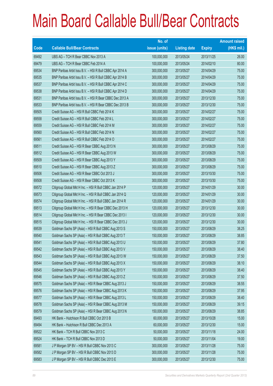|       |                                                          | No. of        |                     |               | <b>Amount raised</b> |
|-------|----------------------------------------------------------|---------------|---------------------|---------------|----------------------|
| Code  | <b>Callable Bull/Bear Contracts</b>                      | issue (units) | <b>Listing date</b> | <b>Expiry</b> | $(HK$$ mil.)         |
| 69492 | UBS AG - TCH R Bear CBBC Nov 2013 A                      | 100,000,000   | 2013/05/24          | 2013/11/25    | 26.00                |
| 69479 | UBS AG - TCH R Bear CBBC Feb 2014 A                      | 100,000,000   | 2013/05/24          | 2014/02/10    | 80.00                |
| 69534 | BNP Paribas Arbit Issu B.V. - HSI R Bull CBBC Apr 2014 A | 300,000,000   | 2013/05/27          | 2014/04/29    | 75.00                |
| 69535 | BNP Paribas Arbit Issu B.V. - HSI R Bull CBBC Apr 2014 B | 300,000,000   | 2013/05/27          | 2014/04/29    | 75.00                |
| 69537 | BNP Paribas Arbit Issu B.V. - HSI R Bull CBBC Apr 2014 C | 300,000,000   | 2013/05/27          | 2014/04/29    | 75.00                |
| 69538 | BNP Paribas Arbit Issu B.V. - HSI R Bull CBBC Apr 2014 D | 300,000,000   | 2013/05/27          | 2014/04/29    | 75.00                |
| 69531 | BNP Paribas Arbit Issu B.V. - HSI R Bear CBBC Dec 2013 A | 300,000,000   | 2013/05/27          | 2013/12/30    | 75.00                |
| 69533 | BNP Paribas Arbit Issu B.V. - HSI R Bear CBBC Dec 2013 B | 300,000,000   | 2013/05/27          | 2013/12/30    | 75.00                |
| 69505 | Credit Suisse AG - HSI R Bull CBBC Feb 2014 K            | 300,000,000   | 2013/05/27          | 2014/02/27    | 75.00                |
| 69558 | Credit Suisse AG - HSI R Bull CBBC Feb 2014 L            | 300,000,000   | 2013/05/27          | 2014/02/27    | 75.00                |
| 69559 | Credit Suisse AG - HSI R Bull CBBC Feb 2014 M            | 300,000,000   | 2013/05/27          | 2014/02/27    | 75.00                |
| 69560 | Credit Suisse AG - HSI R Bull CBBC Feb 2014 N            | 300,000,000   | 2013/05/27          | 2014/02/27    | 75.00                |
| 69561 | Credit Suisse AG - HSI R Bull CBBC Feb 2014 O            | 300,000,000   | 2013/05/27          | 2014/02/27    | 75.00                |
| 69511 | Credit Suisse AG - HSI R Bear CBBC Aug 2013 N            | 300,000,000   | 2013/05/27          | 2013/08/29    | 75.00                |
| 69512 | Credit Suisse AG - HSI R Bear CBBC Aug 2013 W            | 300,000,000   | 2013/05/27          | 2013/08/29    | 75.00                |
| 69509 | Credit Suisse AG - HSI R Bear CBBC Aug 2013 Y            | 300,000,000   | 2013/05/27          | 2013/08/29    | 75.00                |
| 69510 | Credit Suisse AG - HSI R Bear CBBC Aug 2013 Z            | 300,000,000   | 2013/05/27          | 2013/08/29    | 75.00                |
| 69506 | Credit Suisse AG - HSI R Bear CBBC Oct 2013 J            | 300,000,000   | 2013/05/27          | 2013/10/30    | 75.00                |
| 69508 | Credit Suisse AG - HSI R Bear CBBC Oct 2013 K            | 300,000,000   | 2013/05/27          | 2013/10/30    | 75.00                |
| 69572 | Citigroup Global Mkt H Inc. - HSI R Bull CBBC Jan 2014 P | 120,000,000   | 2013/05/27          | 2014/01/29    | 30.00                |
| 69573 | Citigroup Global Mkt H Inc. - HSI R Bull CBBC Jan 2014 Q | 120,000,000   | 2013/05/27          | 2014/01/29    | 30.00                |
| 69574 | Citigroup Global Mkt H Inc. - HSI R Bull CBBC Jan 2014 R | 120,000,000   | 2013/05/27          | 2014/01/29    | 30.00                |
| 69513 | Citigroup Global Mkt H Inc. - HSI R Bear CBBC Dec 2013 H | 120,000,000   | 2013/05/27          | 2013/12/30    | 30.00                |
| 69514 | Citigroup Global Mkt H Inc. - HSI R Bear CBBC Dec 2013 I | 120,000,000   | 2013/05/27          | 2013/12/30    | 30.00                |
| 69515 | Citigroup Global Mkt H Inc. - HSI R Bear CBBC Dec 2013 J | 120,000,000   | 2013/05/27          | 2013/12/30    | 30.00                |
| 69539 | Goldman Sachs SP (Asia) - HSI R Bull CBBC Aug 2013 S     | 150,000,000   | 2013/05/27          | 2013/08/29    | 38.25                |
| 69540 | Goldman Sachs SP (Asia) - HSI R Bull CBBC Aug 2013 T     | 150,000,000   | 2013/05/27          | 2013/08/29    | 38.85                |
| 69541 | Goldman Sachs SP (Asia) - HSI R Bull CBBC Aug 2013 U     | 150,000,000   | 2013/05/27          | 2013/08/29    | 37.80                |
| 69542 | Goldman Sachs SP (Asia) - HSI R Bull CBBC Aug 2013 V     | 150,000,000   | 2013/05/27          | 2013/08/29    | 38.40                |
| 69543 | Goldman Sachs SP (Asia) - HSI R Bull CBBC Aug 2013 W     | 150,000,000   | 2013/05/27          | 2013/08/29    | 37.50                |
| 69544 | Goldman Sachs SP (Asia) - HSI R Bull CBBC Aug 2013 X     | 150,000,000   | 2013/05/27          | 2013/08/29    | 38.10                |
| 69545 | Goldman Sachs SP (Asia) - HSI R Bull CBBC Aug 2013 Y     | 150,000,000   | 2013/05/27          | 2013/08/29    | 38.40                |
| 69546 | Goldman Sachs SP (Asia) - HSI R Bull CBBC Aug 2013 Z     | 150,000,000   | 2013/05/27          | 2013/08/29    | 37.50                |
| 69575 | Goldman Sachs SP (Asia) - HSI R Bear CBBC Aug 2013 J     | 150,000,000   | 2013/05/27          | 2013/08/29    | 38.55                |
| 69576 | Goldman Sachs SP (Asia) - HSI R Bear CBBC Aug 2013 K     | 150,000,000   | 2013/05/27          | 2013/08/29    | 37.95                |
| 69577 | Goldman Sachs SP (Asia) - HSI R Bear CBBC Aug 2013 L     | 150,000,000   | 2013/05/27          | 2013/08/29    | 38.40                |
| 69578 | Goldman Sachs SP (Asia) - HSI R Bear CBBC Aug 2013 M     | 150,000,000   | 2013/05/27          | 2013/08/29    | 39.15                |
| 69579 | Goldman Sachs SP (Asia) - HSI R Bear CBBC Aug 2013 N     | 150,000,000   | 2013/05/27          | 2013/08/29    | 38.85                |
| 69493 | HK Bank - Hutchison R Bull CBBC Oct 2013 B               | 60,000,000    | 2013/05/27          | 2013/10/28    | 15.00                |
| 69494 | HK Bank - Hutchison R Bull CBBC Dec 2013 A               | 60,000,000    | 2013/05/27          | 2013/12/30    | 15.00                |
| 69522 | HK Bank - TCH R Bull CBBC Nov 2013 C                     | 50,000,000    | 2013/05/27          | 2013/11/18    | 24.00                |
| 69524 | HK Bank - TCH R Bull CBBC Nov 2013 D                     | 50,000,000    | 2013/05/27          | 2013/11/04    | 19.00                |
| 69581 | J P Morgan SP BV - HSI R Bull CBBC Nov 2013 C            | 300,000,000   | 2013/05/27          | 2013/11/28    | 75.00                |
| 69582 | J P Morgan SP BV - HSI R Bull CBBC Nov 2013 D            | 300,000,000   | 2013/05/27          | 2013/11/28    | 75.00                |
| 69583 | J P Morgan SP BV - HSI R Bull CBBC Dec 2013 E            | 300,000,000   | 2013/05/27          | 2013/12/30    | 75.00                |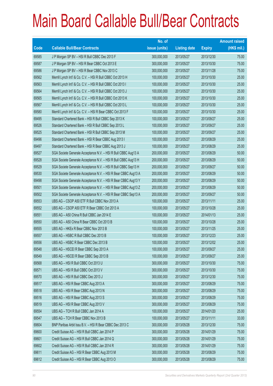|       |                                                                | No. of        |                     |               | <b>Amount raised</b> |
|-------|----------------------------------------------------------------|---------------|---------------------|---------------|----------------------|
| Code  | <b>Callable Bull/Bear Contracts</b>                            | issue (units) | <b>Listing date</b> | <b>Expiry</b> | $(HK$$ mil.)         |
| 69585 | J P Morgan SP BV - HSI R Bull CBBC Dec 2013 F                  | 300,000,000   | 2013/05/27          | 2013/12/30    | 75.00                |
| 69587 | J P Morgan SP BV - HSI R Bear CBBC Oct 2013 E                  | 300,000,000   | 2013/05/27          | 2013/10/30    | 75.00                |
| 69586 | J P Morgan SP BV - HSI R Bear CBBC Nov 2013 C                  | 300,000,000   | 2013/05/27          | 2013/11/28    | 75.00                |
| 69562 | Merrill Lynch Int'l & Co. C.V. - HSI R Bull CBBC Oct 2013 H    | 100,000,000   | 2013/05/27          | 2013/10/30    | 25.00                |
| 69563 | Merrill Lynch Int'l & Co. C.V. - HSI R Bull CBBC Oct 2013 I    | 100,000,000   | 2013/05/27          | 2013/10/30    | 25.00                |
| 69564 | Merrill Lynch Int'l & Co. C.V. - HSI R Bull CBBC Oct 2013 J    | 100,000,000   | 2013/05/27          | 2013/10/30    | 25.00                |
| 69565 | Merrill Lynch Int'l & Co. C.V. - HSI R Bull CBBC Oct 2013 K    | 100,000,000   | 2013/05/27          | 2013/10/30    | 25.00                |
| 69567 | Merrill Lynch Int'l & Co. C.V. - HSI R Bull CBBC Oct 2013 L    | 100,000,000   | 2013/05/27          | 2013/10/30    | 25.00                |
| 69580 | Merrill Lynch Int'l & Co. C.V. - HSI R Bear CBBC Oct 2013 F    | 100,000,000   | 2013/05/27          | 2013/10/30    | 25.00                |
| 69495 | Standard Chartered Bank - HSI R Bull CBBC Sep 2013 K           | 100,000,000   | 2013/05/27          | 2013/09/27    | 25.00                |
| 69526 | Standard Chartered Bank - HSI R Bull CBBC Sep 2013 L           | 100,000,000   | 2013/05/27          | 2013/09/27    | 25.00                |
| 69525 | Standard Chartered Bank - HSI R Bull CBBC Sep 2013 M           | 100,000,000   | 2013/05/27          | 2013/09/27    | 25.00                |
| 69496 | Standard Chartered Bank - HSI R Bear CBBC Aug 2013 I           | 100,000,000   | 2013/05/27          | 2013/08/29    | 25.00                |
| 69497 | Standard Chartered Bank - HSI R Bear CBBC Aug 2013 J           | 100,000,000   | 2013/05/27          | 2013/08/29    | 25.00                |
| 69527 | SGA Societe Generale Acceptance N.V. - HSI R Bull CBBC Aug13 A | 200,000,000   | 2013/05/27          | 2013/08/29    | 50.00                |
| 69528 | SGA Societe Generale Acceptance N.V. - HSI R Bull CBBC Aug13 H | 200,000,000   | 2013/05/27          | 2013/08/29    | 50.00                |
| 69529 | SGA Societe Generale Acceptance N.V. - HSI R Bull CBBC Sep13 H | 200,000,000   | 2013/05/27          | 2013/09/27    | 50.00                |
| 69530 | SGA Societe Generale Acceptance N.V. - HSI R Bear CBBC Aug13 A | 200,000,000   | 2013/05/27          | 2013/08/29    | 50.00                |
| 69498 | SGA Societe Generale Acceptance N.V. - HSI R Bear CBBC Aug13 Y | 200,000,000   | 2013/05/27          | 2013/08/29    | 50.00                |
| 69501 | SGA Societe Generale Acceptance N.V. - HSI R Bear CBBC Aug13 Z | 200,000,000   | 2013/05/27          | 2013/08/29    | 50.00                |
| 69502 | SGA Societe Generale Acceptance N.V. - HSI R Bear CBBC Sep13 A | 200,000,000   | 2013/05/27          | 2013/09/27    | 50.00                |
| 69553 | UBS AG - CSOP A50 ETF R Bull CBBC Nov 2013 A                   | 100,000,000   | 2013/05/27          | 2013/11/11    | 25.00                |
| 69552 | UBS AG - CSOP A50 ETF R Bear CBBC Oct 2013 A                   | 100,000,000   | 2013/05/27          | 2013/10/28    | 25.00                |
| 69551 | UBS AG - A50 China R Bull CBBC Jan 2014 E                      | 100,000,000   | 2013/05/27          | 2014/01/13    | 25.00                |
| 69550 | UBS AG - A50 China R Bear CBBC Oct 2013 B                      | 100,000,000   | 2013/05/27          | 2013/10/28    | 25.00                |
| 69555 | UBS AG - HKEx R Bear CBBC Nov 2013 B                           | 100,000,000   | 2013/05/27          | 2013/11/25    | 25.00                |
| 69557 | UBS AG - HSBC R Bull CBBC Dec 2013 B                           | 100,000,000   | 2013/05/27          | 2013/12/23    | 25.00                |
| 69556 | UBS AG - HSBC R Bear CBBC Dec 2013 B                           | 100,000,000   | 2013/05/27          | 2013/12/02    | 25.00                |
| 69548 | UBS AG - HSCEI R Bear CBBC Sep 2013 A                          | 100,000,000   | 2013/05/27          | 2013/09/27    | 25.00                |
| 69549 | UBS AG - HSCEI R Bear CBBC Sep 2013 B                          | 100,000,000   | 2013/05/27          | 2013/09/27    | 25.00                |
| 69568 | UBS AG - HSI R Bull CBBC Oct 2013 U                            | 300,000,000   | 2013/05/27          | 2013/10/30    | 75.00                |
| 69571 | UBS AG - HSI R Bull CBBC Oct 2013 V                            | 300,000,000   | 2013/05/27          | 2013/10/30    | 75.00                |
| 69570 | UBS AG - HSI R Bull CBBC Dec 2013 J                            | 300,000,000   | 2013/05/27          | 2013/12/30    | 75.00                |
| 69517 | UBS AG - HSI R Bear CBBC Aug 2013 A                            | 300,000,000   | 2013/05/27          | 2013/08/29    | 75.00                |
| 69518 | UBS AG - HSI R Bear CBBC Aug 2013 N                            | 300,000,000   | 2013/05/27          | 2013/08/29    | 75.00                |
| 69516 | UBS AG - HSI R Bear CBBC Aug 2013 S                            | 300,000,000   | 2013/05/27          | 2013/08/29    | 75.00                |
| 69519 | UBS AG - HSI R Bear CBBC Aug 2013 V                            | 300,000,000   | 2013/05/27          | 2013/08/29    | 75.00                |
| 69554 | UBS AG - TCH R Bull CBBC Jan 2014 A                            | 100,000,000   | 2013/05/27          | 2014/01/20    | 25.00                |
| 69547 | UBS AG - TCH R Bear CBBC Nov 2013 B                            | 100,000,000   | 2013/05/27          | 2013/11/11    | 33.00                |
| 69604 | BNP Paribas Arbit Issu B.V. - HSI R Bear CBBC Dec 2013 C       | 300,000,000   | 2013/05/28          | 2013/12/30    | 75.00                |
| 69600 | Credit Suisse AG - HSI R Bull CBBC Jan 2014 P                  | 300,000,000   | 2013/05/28          | 2014/01/29    | 75.00                |
| 69601 | Credit Suisse AG - HSI R Bull CBBC Jan 2014 Q                  | 300,000,000   | 2013/05/28          | 2014/01/29    | 75.00                |
| 69602 | Credit Suisse AG - HSI R Bull CBBC Jan 2014 R                  | 300,000,000   | 2013/05/28          | 2014/01/29    | 75.00                |
| 69611 | Credit Suisse AG - HSI R Bear CBBC Aug 2013 M                  | 300,000,000   | 2013/05/28          | 2013/08/29    | 75.00                |
| 69612 | Credit Suisse AG - HSI R Bear CBBC Aug 2013 O                  | 300,000,000   | 2013/05/28          | 2013/08/29    | 75.00                |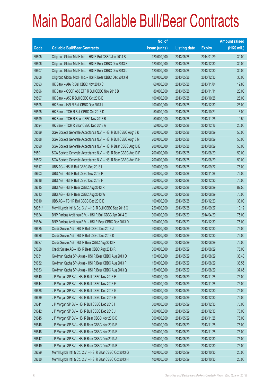|        |                                                                | No. of        |                     |               | <b>Amount raised</b> |
|--------|----------------------------------------------------------------|---------------|---------------------|---------------|----------------------|
| Code   | <b>Callable Bull/Bear Contracts</b>                            | issue (units) | <b>Listing date</b> | <b>Expiry</b> | $(HK$$ mil.)         |
| 69605  | Citigroup Global Mkt H Inc. - HSI R Bull CBBC Jan 2014 S       | 120,000,000   | 2013/05/28          | 2014/01/29    | 30.00                |
| 69606  | Citigroup Global Mkt H Inc. - HSI R Bear CBBC Dec 2013 K       | 120,000,000   | 2013/05/28          | 2013/12/30    | 30.00                |
| 69607  | Citigroup Global Mkt H Inc. - HSI R Bear CBBC Dec 2013 L       | 120,000,000   | 2013/05/28          | 2013/12/30    | 30.00                |
| 69608  | Citigroup Global Mkt H Inc. - HSI R Bear CBBC Dec 2013 M       | 120,000,000   | 2013/05/28          | 2013/12/30    | 30.00                |
| 69593  | HK Bank - AIA R Bull CBBC Nov 2013 C                           | 60,000,000    | 2013/05/28          | 2013/11/04    | 19.80                |
| 69596  | HK Bank - CSOP A50 ETF R Bull CBBC Nov 2013 B                  | 80,000,000    | 2013/05/28          | 2013/11/11    | 20.00                |
| 69597  | HK Bank - A50 R Bull CBBC Oct 2013 E                           | 100,000,000   | 2013/05/28          | 2013/10/28    | 25.00                |
| 69598  | HK Bank - HSI R Bull CBBC Dec 2013 J                           | 100,000,000   | 2013/05/28          | 2013/12/30    | 25.00                |
| 69595  | HK Bank - TCH R Bull CBBC Oct 2013 D                           | 50,000,000    | 2013/05/28          | 2013/10/21    | 16.00                |
| 69599  | HK Bank - TCH R Bear CBBC Nov 2013 B                           | 50,000,000    | 2013/05/28          | 2013/11/25    | 19.50                |
| 69594  | HK Bank - TCH R Bear CBBC Dec 2013 A                           | 50,000,000    | 2013/05/28          | 2013/12/16    | 25.00                |
| 69589  | SGA Societe Generale Acceptance N.V. - HSI R Bull CBBC Aug13 K | 200,000,000   | 2013/05/28          | 2013/08/29    | 50.00                |
| 69588  | SGA Societe Generale Acceptance N.V. - HSI R Bull CBBC Aug13 M | 200,000,000   | 2013/05/28          | 2013/08/29    | 50.00                |
| 69590  | SGA Societe Generale Acceptance N.V. - HSI R Bear CBBC Aug13 E | 200,000,000   | 2013/05/28          | 2013/08/29    | 50.00                |
| 69591  | SGA Societe Generale Acceptance N.V. - HSI R Bear CBBC Aug13 F | 200,000,000   | 2013/05/28          | 2013/08/29    | 50.00                |
| 69592  | SGA Societe Generale Acceptance N.V. - HSI R Bear CBBC Aug13 H | 200,000,000   | 2013/05/28          | 2013/08/29    | 50.00                |
| 69617  | UBS AG - HSI R Bull CBBC Sep 2013 I                            | 300,000,000   | 2013/05/28          | 2013/09/27    | 75.00                |
| 69603  | UBS AG - HSI R Bull CBBC Nov 2013 P                            | 300,000,000   | 2013/05/28          | 2013/11/28    | 75.00                |
| 69616  | UBS AG - HSI R Bull CBBC Dec 2013 F                            | 300,000,000   | 2013/05/28          | 2013/12/30    | 75.00                |
| 69615  | UBS AG - HSI R Bear CBBC Aug 2013 R                            | 350,000,000   | 2013/05/28          | 2013/08/29    | 87.50                |
| 69613  | UBS AG - HSI R Bear CBBC Aug 2013 W                            | 300,000,000   | 2013/05/28          | 2013/08/29    | 75.00                |
| 69610  | UBS AG - TCH R Bull CBBC Dec 2013 E                            | 100,000,000   | 2013/05/28          | 2013/12/23    | 33.00                |
| 68951# | Merrill Lynch Int'l & Co. C.V. - HSI R Bull CBBC Sep 2013 Q    | 220,000,000   | 2013/05/28          | 2013/09/27    | 10.12                |
| 69624  | BNP Paribas Arbit Issu B.V. - HSI R Bull CBBC Apr 2014 E       | 300,000,000   | 2013/05/29          | 2014/04/29    | 75.00                |
| 69634  | BNP Paribas Arbit Issu B.V. - HSI R Bear CBBC Dec 2013 D       | 300,000,000   | 2013/05/29          | 2013/12/30    | 75.00                |
| 69625  | Credit Suisse AG - HSI R Bull CBBC Dec 2013 J                  | 300,000,000   | 2013/05/29          | 2013/12/30    | 75.00                |
| 69626  | Credit Suisse AG - HSI R Bull CBBC Dec 2013 K                  | 300,000,000   | 2013/05/29          | 2013/12/30    | 75.00                |
| 69627  | Credit Suisse AG - HSI R Bear CBBC Aug 2013 P                  | 300,000,000   | 2013/05/29          | 2013/08/29    | 75.00                |
| 69628  | Credit Suisse AG - HSI R Bear CBBC Aug 2013 R                  | 300,000,000   | 2013/05/29          | 2013/08/29    | 75.00                |
| 69631  | Goldman Sachs SP (Asia) - HSI R Bear CBBC Aug 2013 O           | 150,000,000   | 2013/05/29          | 2013/08/29    | 38.40                |
| 69632  | Goldman Sachs SP (Asia) - HSI R Bear CBBC Aug 2013 P           | 150,000,000   | 2013/05/29          | 2013/08/29    | 38.55                |
| 69633  | Goldman Sachs SP (Asia) - HSI R Bear CBBC Aug 2013 Q           | 150,000,000   | 2013/05/29          | 2013/08/29    | 37.65                |
| 69640  | J P Morgan SP BV - HSI R Bull CBBC Nov 2013 E                  | 300,000,000   | 2013/05/29          | 2013/11/28    | 75.00                |
| 69644  | J P Morgan SP BV - HSI R Bull CBBC Nov 2013 F                  | 300,000,000   | 2013/05/29          | 2013/11/28    | 75.00                |
| 69638  | J P Morgan SP BV - HSI R Bull CBBC Dec 2013 G                  | 300,000,000   | 2013/05/29          | 2013/12/30    | 75.00                |
| 69639  | J P Morgan SP BV - HSI R Bull CBBC Dec 2013 H                  | 300,000,000   | 2013/05/29          | 2013/12/30    | 75.00                |
| 69641  | J P Morgan SP BV - HSI R Bull CBBC Dec 2013 I                  | 300,000,000   | 2013/05/29          | 2013/12/30    | 75.00                |
| 69642  | J P Morgan SP BV - HSI R Bull CBBC Dec 2013 J                  | 300,000,000   | 2013/05/29          | 2013/12/30    | 75.00                |
| 69645  | J P Morgan SP BV - HSI R Bear CBBC Nov 2013 D                  | 300,000,000   | 2013/05/29          | 2013/11/28    | 75.00                |
| 69646  | J P Morgan SP BV - HSI R Bear CBBC Nov 2013 E                  | 300,000,000   | 2013/05/29          | 2013/11/28    | 75.00                |
| 69648  | J P Morgan SP BV - HSI R Bear CBBC Nov 2013 F                  | 300,000,000   | 2013/05/29          | 2013/11/28    | 75.00                |
| 69647  | J P Morgan SP BV - HSI R Bear CBBC Dec 2013 A                  | 300,000,000   | 2013/05/29          | 2013/12/30    | 75.00                |
| 69649  | J P Morgan SP BV - HSI R Bear CBBC Dec 2013 B                  | 300,000,000   | 2013/05/29          | 2013/12/30    | 75.00                |
| 69629  | Merrill Lynch Int'l & Co. C.V. - HSI R Bear CBBC Oct 2013 G    | 100,000,000   | 2013/05/29          | 2013/10/30    | 25.00                |
| 69630  | Merrill Lynch Int'l & Co. C.V. - HSI R Bear CBBC Oct 2013 H    | 100,000,000   | 2013/05/29          | 2013/10/30    | 25.00                |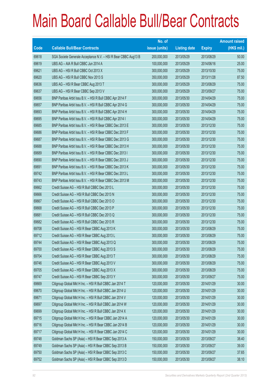|       |                                                                | No. of        |                     |               | <b>Amount raised</b> |
|-------|----------------------------------------------------------------|---------------|---------------------|---------------|----------------------|
| Code  | <b>Callable Bull/Bear Contracts</b>                            | issue (units) | <b>Listing date</b> | <b>Expiry</b> | $(HK$$ mil.)         |
| 69618 | SGA Societe Generale Acceptance N.V. - HSI R Bear CBBC Aug13 B | 200,000,000   | 2013/05/29          | 2013/08/29    | 50.00                |
| 69619 | UBS AG - AIA R Bull CBBC Jun 2014 A                            | 100,000,000   | 2013/05/29          | 2014/06/16    | 25.00                |
| 69621 | UBS AG - HSI R Bull CBBC Oct 2013 X                            | 300,000,000   | 2013/05/29          | 2013/10/30    | 75.00                |
| 69620 | UBS AG - HSI R Bull CBBC Nov 2013 S                            | 350,000,000   | 2013/05/29          | 2013/11/28    | 87.50                |
| 69636 | UBS AG - HSI R Bear CBBC Aug 2013 T                            | 300,000,000   | 2013/05/29          | 2013/08/29    | 75.00                |
| 69637 | UBS AG - HSI R Bear CBBC Sep 2013 V                            | 300,000,000   | 2013/05/29          | 2013/09/27    | 75.00                |
| 69656 | BNP Paribas Arbit Issu B.V. - HSI R Bull CBBC Apr 2014 F       | 300,000,000   | 2013/05/30          | 2014/04/29    | 75.00                |
| 69657 | BNP Paribas Arbit Issu B.V. - HSI R Bull CBBC Apr 2014 G       | 300,000,000   | 2013/05/30          | 2014/04/29    | 75.00                |
| 69693 | BNP Paribas Arbit Issu B.V. - HSI R Bull CBBC Apr 2014 H       | 300,000,000   | 2013/05/30          | 2014/04/29    | 75.00                |
| 69695 | BNP Paribas Arbit Issu B.V. - HSI R Bull CBBC Apr 2014 I       | 300,000,000   | 2013/05/30          | 2014/04/29    | 75.00                |
| 69685 | BNP Paribas Arbit Issu B.V. - HSI R Bear CBBC Dec 2013 E       | 300,000,000   | 2013/05/30          | 2013/12/30    | 75.00                |
| 69686 | BNP Paribas Arbit Issu B.V. - HSI R Bear CBBC Dec 2013 F       | 300,000,000   | 2013/05/30          | 2013/12/30    | 75.00                |
| 69687 | BNP Paribas Arbit Issu B.V. - HSI R Bear CBBC Dec 2013 G       | 300,000,000   | 2013/05/30          | 2013/12/30    | 75.00                |
| 69688 | BNP Paribas Arbit Issu B.V. - HSI R Bear CBBC Dec 2013 H       | 300,000,000   | 2013/05/30          | 2013/12/30    | 75.00                |
| 69689 | BNP Paribas Arbit Issu B.V. - HSI R Bear CBBC Dec 2013 I       | 300,000,000   | 2013/05/30          | 2013/12/30    | 75.00                |
| 69690 | BNP Paribas Arbit Issu B.V. - HSI R Bear CBBC Dec 2013 J       | 300,000,000   | 2013/05/30          | 2013/12/30    | 75.00                |
| 69691 | BNP Paribas Arbit Issu B.V. - HSI R Bear CBBC Dec 2013 K       | 300,000,000   | 2013/05/30          | 2013/12/30    | 75.00                |
| 69742 | BNP Paribas Arbit Issu B.V. - HSI R Bear CBBC Dec 2013 L       | 300,000,000   | 2013/05/30          | 2013/12/30    | 75.00                |
| 69743 | BNP Paribas Arbit Issu B.V. - HSI R Bear CBBC Dec 2013 M       | 300,000,000   | 2013/05/30          | 2013/12/30    | 75.00                |
| 69662 | Credit Suisse AG - HSI R Bull CBBC Dec 2013 L                  | 300,000,000   | 2013/05/30          | 2013/12/30    | 75.00                |
| 69666 | Credit Suisse AG - HSI R Bull CBBC Dec 2013 N                  | 300,000,000   | 2013/05/30          | 2013/12/30    | 75.00                |
| 69667 | Credit Suisse AG - HSI R Bull CBBC Dec 2013 O                  | 300,000,000   | 2013/05/30          | 2013/12/30    | 75.00                |
| 69668 | Credit Suisse AG - HSI R Bull CBBC Dec 2013 P                  | 300,000,000   | 2013/05/30          | 2013/12/30    | 75.00                |
| 69681 | Credit Suisse AG - HSI R Bull CBBC Dec 2013 Q                  | 300,000,000   | 2013/05/30          | 2013/12/30    | 75.00                |
| 69682 | Credit Suisse AG - HSI R Bull CBBC Dec 2013 R                  | 300,000,000   | 2013/05/30          | 2013/12/30    | 75.00                |
| 69708 | Credit Suisse AG - HSI R Bear CBBC Aug 2013 K                  | 300,000,000   | 2013/05/30          | 2013/08/29    | 75.00                |
| 69712 | Credit Suisse AG - HSI R Bear CBBC Aug 2013 L                  | 300,000,000   | 2013/05/30          | 2013/08/29    | 75.00                |
| 69744 | Credit Suisse AG - HSI R Bear CBBC Aug 2013 Q                  | 300,000,000   | 2013/05/30          | 2013/08/29    | 75.00                |
| 69700 | Credit Suisse AG - HSI R Bear CBBC Aug 2013 S                  | 300,000,000   | 2013/05/30          | 2013/08/29    | 75.00                |
| 69704 | Credit Suisse AG - HSI R Bear CBBC Aug 2013 T                  | 300,000,000   | 2013/05/30          | 2013/08/29    | 75.00                |
| 69746 | Credit Suisse AG - HSI R Bear CBBC Aug 2013 V                  | 300,000,000   | 2013/05/30          | 2013/08/29    | 75.00                |
| 69705 | Credit Suisse AG - HSI R Bear CBBC Aug 2013 X                  | 300,000,000   | 2013/05/30          | 2013/08/29    | 75.00                |
| 69747 | Credit Suisse AG - HSI R Bear CBBC Sep 2013 Y                  | 300,000,000   | 2013/05/30          | 2013/09/27    | 75.00                |
| 69669 | Citigroup Global Mkt H Inc. - HSI R Bull CBBC Jan 2014 T       | 120,000,000   | 2013/05/30          | 2014/01/29    | 30.00                |
| 69670 | Citigroup Global Mkt H Inc. - HSI R Bull CBBC Jan 2014 U       | 120,000,000   | 2013/05/30          | 2014/01/29    | 30.00                |
| 69671 | Citigroup Global Mkt H Inc. - HSI R Bull CBBC Jan 2014 V       | 120,000,000   | 2013/05/30          | 2014/01/29    | 30.00                |
| 69697 | Citigroup Global Mkt H Inc. - HSI R Bull CBBC Jan 2014 W       | 120,000,000   | 2013/05/30          | 2014/01/29    | 30.00                |
| 69699 | Citigroup Global Mkt H Inc. - HSI R Bull CBBC Jan 2014 X       | 120,000,000   | 2013/05/30          | 2014/01/29    | 30.00                |
| 69715 | Citigroup Global Mkt H Inc. - HSI R Bear CBBC Jan 2014 A       | 120,000,000   | 2013/05/30          | 2014/01/29    | 30.00                |
| 69716 | Citigroup Global Mkt H Inc. - HSI R Bear CBBC Jan 2014 B       | 120,000,000   | 2013/05/30          | 2014/01/29    | 30.00                |
| 69717 | Citigroup Global Mkt H Inc. - HSI R Bear CBBC Jan 2014 C       | 120,000,000   | 2013/05/30          | 2014/01/29    | 30.00                |
| 69748 | Goldman Sachs SP (Asia) - HSI R Bear CBBC Sep 2013 A           | 150,000,000   | 2013/05/30          | 2013/09/27    | 38.40                |
| 69749 | Goldman Sachs SP (Asia) - HSI R Bear CBBC Sep 2013 B           | 150,000,000   | 2013/05/30          | 2013/09/27    | 39.00                |
| 69750 | Goldman Sachs SP (Asia) - HSI R Bear CBBC Sep 2013 C           | 150,000,000   | 2013/05/30          | 2013/09/27    | 37.65                |
| 69752 | Goldman Sachs SP (Asia) - HSI R Bear CBBC Sep 2013 D           | 150,000,000   | 2013/05/30          | 2013/09/27    | 38.10                |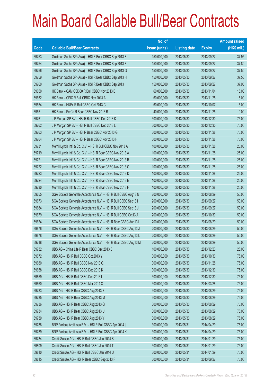|             |                                                                | No. of        |                     |               | <b>Amount raised</b> |
|-------------|----------------------------------------------------------------|---------------|---------------------|---------------|----------------------|
| <b>Code</b> | <b>Callable Bull/Bear Contracts</b>                            | issue (units) | <b>Listing date</b> | <b>Expiry</b> | (HK\$ mil.)          |
| 69753       | Goldman Sachs SP (Asia) - HSI R Bear CBBC Sep 2013 E           | 150,000,000   | 2013/05/30          | 2013/09/27    | 37.95                |
| 69754       | Goldman Sachs SP (Asia) - HSI R Bear CBBC Sep 2013 F           | 150,000,000   | 2013/05/30          | 2013/09/27    | 37.80                |
| 69756       | Goldman Sachs SP (Asia) - HSI R Bear CBBC Sep 2013 G           | 150,000,000   | 2013/05/30          | 2013/09/27    | 37.50                |
| 69759       | Goldman Sachs SP (Asia) - HSI R Bear CBBC Sep 2013 H           | 150,000,000   | 2013/05/30          | 2013/09/27    | 37.50                |
| 69760       | Goldman Sachs SP (Asia) - HSI R Bear CBBC Sep 2013 I           | 150,000,000   | 2013/05/30          | 2013/09/27    | 37.95                |
| 69650       | HK Bank - CAM CSI300 R Bull CBBC Nov 2013 B                    | 60,000,000    | 2013/05/30          | 2013/11/04    | 15.00                |
| 69652       | HK Bank - CPIC R Bull CBBC Nov 2013 A                          | 60,000,000    | 2013/05/30          | 2013/11/25    | 15.00                |
| 69654       | HK Bank - HKEx R Bull CBBC Oct 2013 C                          | 60,000,000    | 2013/05/30          | 2013/10/07    | 15.00                |
| 69651       | HK Bank - PetCh R Bear CBBC Nov 2013 B                         | 40,000,000    | 2013/05/30          | 2013/11/25    | 10.00                |
| 69761       | J P Morgan SP BV - HSI R Bull CBBC Dec 2013 K                  | 300,000,000   | 2013/05/30          | 2013/12/30    | 75.00                |
| 69762       | J P Morgan SP BV - HSI R Bull CBBC Dec 2013 L                  | 300,000,000   | 2013/05/30          | 2013/12/30    | 75.00                |
| 69763       | J P Morgan SP BV - HSI R Bear CBBC Nov 2013 G                  | 300,000,000   | 2013/05/30          | 2013/11/28    | 75.00                |
| 69764       | J P Morgan SP BV - HSI R Bear CBBC Nov 2013 H                  | 300,000,000   | 2013/05/30          | 2013/11/28    | 75.00                |
| 69731       | Merrill Lynch Int'l & Co. C.V. - HSI R Bull CBBC Nov 2013 A    | 100,000,000   | 2013/05/30          | 2013/11/28    | 25.00                |
| 69719       | Merrill Lynch Int'l & Co. C.V. - HSI R Bear CBBC Nov 2013 A    | 100,000,000   | 2013/05/30          | 2013/11/28    | 25.00                |
| 69721       | Merrill Lynch Int'l & Co. C.V. - HSI R Bear CBBC Nov 2013 B    | 100,000,000   | 2013/05/30          | 2013/11/28    | 25.00                |
| 69722       | Merrill Lynch Int'l & Co. C.V. - HSI R Bear CBBC Nov 2013 C    | 100,000,000   | 2013/05/30          | 2013/11/28    | 25.00                |
| 69723       | Merrill Lynch Int'l & Co. C.V. - HSI R Bear CBBC Nov 2013 D    | 100,000,000   | 2013/05/30          | 2013/11/28    | 25.00                |
| 69724       | Merrill Lynch Int'l & Co. C.V. - HSI R Bear CBBC Nov 2013 E    | 100,000,000   | 2013/05/30          | 2013/11/28    | 25.00                |
| 69730       | Merrill Lynch Int'l & Co. C.V. - HSI R Bear CBBC Nov 2013 F    | 100,000,000   | 2013/05/30          | 2013/11/28    | 25.00                |
| 69655       | SGA Societe Generale Acceptance N.V. - HSI R Bull CBBC Aug13 N | 200,000,000   | 2013/05/30          | 2013/08/29    | 50.00                |
| 69673       | SGA Societe Generale Acceptance N.V. - HSI R Bull CBBC Sep13 I | 200,000,000   | 2013/05/30          | 2013/09/27    | 50.00                |
| 69684       | SGA Societe Generale Acceptance N.V. - HSI R Bull CBBC Sep13 J | 200,000,000   | 2013/05/30          | 2013/09/27    | 50.00                |
| 69679       | SGA Societe Generale Acceptance N.V. - HSI R Bull CBBC Oct13 A | 200,000,000   | 2013/05/30          | 2013/10/30    | 50.00                |
| 69674       | SGA Societe Generale Acceptance N.V. - HSI R Bear CBBC Aug13 I | 200,000,000   | 2013/05/30          | 2013/08/29    | 50.00                |
| 69676       | SGA Societe Generale Acceptance N.V. - HSI R Bear CBBC Aug13 J | 200,000,000   | 2013/05/30          | 2013/08/29    | 50.00                |
| 69678       | SGA Societe Generale Acceptance N.V. - HSI R Bear CBBC Aug13 L | 200,000,000   | 2013/05/30          | 2013/08/29    | 50.00                |
| 69718       | SGA Societe Generale Acceptance N.V. - HSI R Bear CBBC Aug13 M | 200,000,000   | 2013/05/30          | 2013/08/29    | 50.00                |
| 69732       | UBS AG - China Life R Bear CBBC Dec 2013 B                     | 100,000,000   | 2013/05/30          | 2013/12/23    | 25.00                |
| 69672       | UBS AG - HSI R Bull CBBC Oct 2013 Y                            | 300,000,000   | 2013/05/30          | 2013/10/30    | 75.00                |
| 69680       | UBS AG - HSI R Bull CBBC Nov 2013 Q                            | 300,000,000   | 2013/05/30          | 2013/11/28    | 75.00                |
| 69658       | UBS AG - HSI R Bull CBBC Dec 2013 K                            | 300,000,000   | 2013/05/30          | 2013/12/30    | 75.00                |
| 69659       | UBS AG - HSI R Bull CBBC Dec 2013 L                            | 300,000,000   | 2013/05/30          | 2013/12/30    | 75.00                |
| 69660       | UBS AG - HSI R Bull CBBC Mar 2014 Q                            | 300,000,000   | 2013/05/30          | 2014/03/28    | 75.00                |
| 69733       | UBS AG - HSI R Bear CBBC Aug 2013 B                            | 300,000,000   | 2013/05/30          | 2013/08/29    | 75.00                |
| 69735       | UBS AG - HSI R Bear CBBC Aug 2013 M                            | 300,000,000   | 2013/05/30          | 2013/08/29    | 75.00                |
| 69736       | UBS AG - HSI R Bear CBBC Aug 2013 Q                            | 300,000,000   | 2013/05/30          | 2013/08/29    | 75.00                |
| 69734       | UBS AG - HSI R Bear CBBC Aug 2013 U                            | 300,000,000   | 2013/05/30          | 2013/08/29    | 75.00                |
| 69739       | UBS AG - HSI R Bear CBBC Aug 2013 Y                            | 300,000,000   | 2013/05/30          | 2013/08/29    | 75.00                |
| 69788       | BNP Paribas Arbit Issu B.V. - HSI R Bull CBBC Apr 2014 J       | 300,000,000   | 2013/05/31          | 2014/04/29    | 75.00                |
| 69789       | BNP Paribas Arbit Issu B.V. - HSI R Bull CBBC Apr 2014 K       | 300,000,000   | 2013/05/31          | 2014/04/29    | 75.00                |
| 69784       | Credit Suisse AG - HSI R Bull CBBC Jan 2014 S                  | 300,000,000   | 2013/05/31          | 2014/01/29    | 75.00                |
| 69809       | Credit Suisse AG - HSI R Bull CBBC Jan 2014 T                  | 300,000,000   | 2013/05/31          | 2014/01/29    | 75.00                |
| 69810       | Credit Suisse AG - HSI R Bull CBBC Jan 2014 U                  | 300,000,000   | 2013/05/31          | 2014/01/29    | 75.00                |
| 69815       | Credit Suisse AG - HSI R Bear CBBC Sep 2013 F                  | 300,000,000   | 2013/05/31          | 2013/09/27    | 75.00                |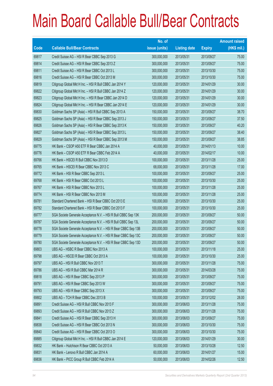|       |                                                                | No. of        |                     |               | <b>Amount raised</b> |
|-------|----------------------------------------------------------------|---------------|---------------------|---------------|----------------------|
| Code  | <b>Callable Bull/Bear Contracts</b>                            | issue (units) | <b>Listing date</b> | <b>Expiry</b> | $(HK$$ mil.)         |
| 69817 | Credit Suisse AG - HSI R Bear CBBC Sep 2013 G                  | 300,000,000   | 2013/05/31          | 2013/09/27    | 75.00                |
| 69814 | Credit Suisse AG - HSI R Bear CBBC Sep 2013 Z                  | 300,000,000   | 2013/05/31          | 2013/09/27    | 75.00                |
| 69811 | Credit Suisse AG - HSI R Bear CBBC Oct 2013 L                  | 300,000,000   | 2013/05/31          | 2013/10/30    | 75.00                |
| 69816 | Credit Suisse AG - HSI R Bear CBBC Oct 2013 M                  | 300,000,000   | 2013/05/31          | 2013/10/30    | 75.00                |
| 69819 | Citigroup Global Mkt H Inc. - HSI R Bull CBBC Jan 2014 Y       | 120,000,000   | 2013/05/31          | 2014/01/29    | 30.00                |
| 69822 | Citigroup Global Mkt H Inc. - HSI R Bull CBBC Jan 2014 Z       | 120,000,000   | 2013/05/31          | 2014/01/29    | 30.00                |
| 69823 | Citigroup Global Mkt H Inc. - HSI R Bear CBBC Jan 2014 D       | 120,000,000   | 2013/05/31          | 2014/01/29    | 30.00                |
| 69824 | Citigroup Global Mkt H Inc. - HSI R Bear CBBC Jan 2014 E       | 120,000,000   | 2013/05/31          | 2014/01/29    | 30.00                |
| 69830 | Goldman Sachs SP (Asia) - HSI R Bull CBBC Sep 2013 A           | 150,000,000   | 2013/05/31          | 2013/09/27    | 38.70                |
| 69825 | Goldman Sachs SP (Asia) - HSI R Bear CBBC Sep 2013 J           | 150,000,000   | 2013/05/31          | 2013/09/27    | 37.50                |
| 69826 | Goldman Sachs SP (Asia) - HSI R Bear CBBC Sep 2013 K           | 150,000,000   | 2013/05/31          | 2013/09/27    | 40.20                |
| 69827 | Goldman Sachs SP (Asia) - HSI R Bear CBBC Sep 2013 L           | 150,000,000   | 2013/05/31          | 2013/09/27    | 38.40                |
| 69829 | Goldman Sachs SP (Asia) - HSI R Bear CBBC Sep 2013 M           | 150,000,000   | 2013/05/31          | 2013/09/27    | 38.85                |
| 69775 | HK Bank - CSOP A50 ETF R Bear CBBC Jan 2014 A                  | 40,000,000    | 2013/05/31          | 2014/01/13    | 10.00                |
| 69776 | HK Bank - CSOP A50 ETF R Bear CBBC Feb 2014 A                  | 40,000,000    | 2013/05/31          | 2014/02/17    | 10.00                |
| 69766 | HK Bank - HSCEI R Bull CBBC Nov 2013 D                         | 100,000,000   | 2013/05/31          | 2013/11/28    | 25.00                |
| 69765 | HK Bank - HSCEI R Bear CBBC Nov 2013 C                         | 68,000,000    | 2013/05/31          | 2013/11/28    | 17.00                |
| 69772 | HK Bank - HSI R Bear CBBC Sep 2013 L                           | 100,000,000   | 2013/05/31          | 2013/09/27    | 25.00                |
| 69768 | HK Bank - HSI R Bear CBBC Oct 2013 L                           | 100,000,000   | 2013/05/31          | 2013/10/30    | 25.00                |
| 69767 | HK Bank - HSI R Bear CBBC Nov 2013 L                           | 100,000,000   | 2013/05/31          | 2013/11/28    | 25.00                |
| 69774 | HK Bank - HSI R Bear CBBC Nov 2013 M                           | 100,000,000   | 2013/05/31          | 2013/11/28    | 25.00                |
| 69781 | Standard Chartered Bank - HSI R Bear CBBC Oct 2013 E           | 100,000,000   | 2013/05/31          | 2013/10/30    | 25.00                |
| 69782 | Standard Chartered Bank - HSI R Bear CBBC Oct 2013 F           | 100,000,000   | 2013/05/31          | 2013/10/30    | 25.00                |
| 69777 | SGA Societe Generale Acceptance N.V. - HSI R Bull CBBC Sep 13K | 200,000,000   | 2013/05/31          | 2013/09/27    | 50.00                |
| 69787 | SGA Societe Generale Acceptance N.V. - HSI R Bull CBBC Sep 13L | 200,000,000   | 2013/05/31          | 2013/09/27    | 50.00                |
| 69778 | SGA Societe Generale Acceptance N.V. - HSI R Bear CBBC Sep 13B | 200,000,000   | 2013/05/31          | 2013/09/27    | 50.00                |
| 69779 | SGA Societe Generale Acceptance N.V. - HSI R Bear CBBC Sep 13C | 200,000,000   | 2013/05/31          | 2013/09/27    | 50.00                |
| 69780 | SGA Societe Generale Acceptance N.V. - HSI R Bear CBBC Sep 13D | 200,000,000   | 2013/05/31          | 2013/09/27    | 50.00                |
| 69803 | UBS AG - HSBC R Bear CBBC Nov 2013 A                           | 100,000,000   | 2013/05/31          | 2013/11/18    | 25.00                |
| 69798 | UBS AG - HSCEI R Bear CBBC Oct 2013 A                          | 100,000,000   | 2013/05/31          | 2013/10/30    | 25.00                |
| 69797 | UBS AG - HSI R Bull CBBC Nov 2013 T                            | 300,000,000   | 2013/05/31          | 2013/11/28    | 75.00                |
| 69786 | UBS AG - HSI R Bull CBBC Mar 2014 R                            | 300,000,000   | 2013/05/31          | 2014/03/28    | 75.00                |
| 69818 | UBS AG - HSI R Bear CBBC Sep 2013 P                            | 300,000,000   | 2013/05/31          | 2013/09/27    | 75.00                |
| 69791 | UBS AG - HSI R Bear CBBC Sep 2013 W                            | 300,000,000   | 2013/05/31          | 2013/09/27    | 75.00                |
| 69793 | UBS AG - HSI R Bear CBBC Sep 2013 X                            | 300,000,000   | 2013/05/31          | 2013/09/27    | 75.00                |
| 69802 | UBS AG - TCH R Bear CBBC Dec 2013 B                            | 100,000,000   | 2013/05/31          | 2013/12/02    | 28.00                |
| 69891 | Credit Suisse AG - HSI R Bull CBBC Nov 2013 F                  | 300,000,000   | 2013/06/03          | 2013/11/28    | 75.00                |
| 69893 | Credit Suisse AG - HSI R Bull CBBC Nov 2013 Z                  | 300,000,000   | 2013/06/03          | 2013/11/28    | 75.00                |
| 69841 | Credit Suisse AG - HSI R Bear CBBC Sep 2013 H                  | 300,000,000   | 2013/06/03          | 2013/09/27    | 75.00                |
| 69838 | Credit Suisse AG - HSI R Bear CBBC Oct 2013 N                  | 300,000,000   | 2013/06/03          | 2013/10/30    | 75.00                |
| 69840 | Credit Suisse AG - HSI R Bear CBBC Oct 2013 O                  | 300,000,000   | 2013/06/03          | 2013/10/30    | 75.00                |
| 69885 | Citigroup Global Mkt H Inc. - HSI R Bull CBBC Jan 2014 E       | 120,000,000   | 2013/06/03          | 2014/01/29    | 30.00                |
| 69832 | HK Bank - Hutchison R Bear CBBC Oct 2013 A                     | 50,000,000    | 2013/06/03          | 2013/10/28    | 12.50                |
| 69831 | HK Bank - Lenovo R Bull CBBC Jan 2014 A                        | 60,000,000    | 2013/06/03          | 2014/01/27    | 15.00                |
| 69836 | HK Bank - PICC Group R Bull CBBC Feb 2014 A                    | 50,000,000    | 2013/06/03          | 2014/02/26    | 12.50                |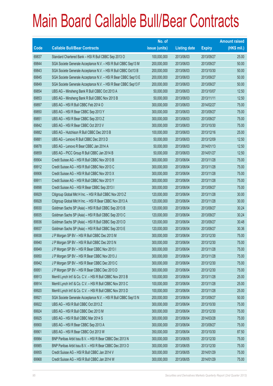|       |                                                                | No. of        |                     |               | <b>Amount raised</b> |
|-------|----------------------------------------------------------------|---------------|---------------------|---------------|----------------------|
| Code  | <b>Callable Bull/Bear Contracts</b>                            | issue (units) | <b>Listing date</b> | <b>Expiry</b> | $(HK$$ mil.)         |
| 69837 | Standard Chartered Bank - HSI R Bull CBBC Sep 2013 O           | 100,000,000   | 2013/06/03          | 2013/09/27    | 25.00                |
| 69844 | SGA Societe Generale Acceptance N.V. - HSI R Bull CBBC Sep13 M | 200,000,000   | 2013/06/03          | 2013/09/27    | 50.00                |
| 69843 | SGA Societe Generale Acceptance N.V. - HSI R Bull CBBC Oct13 B | 200,000,000   | 2013/06/03          | 2013/10/30    | 50.00                |
| 69845 | SGA Societe Generale Acceptance N.V. - HSI R Bear CBBC Sep13 E | 200,000,000   | 2013/06/03          | 2013/09/27    | 50.00                |
| 69849 | SGA Societe Generale Acceptance N.V. - HSI R Bear CBBC Sep13 F | 200,000,000   | 2013/06/03          | 2013/09/27    | 50.00                |
| 69854 | UBS AG - Minsheng Bank R Bull CBBC Oct 2013 A                  | 50,000,000    | 2013/06/03          | 2013/10/07    | 12.50                |
| 69853 | UBS AG - Minsheng Bank R Bull CBBC Nov 2013 B                  | 50,000,000    | 2013/06/03          | 2013/11/11    | 12.50                |
| 69897 | UBS AG - HSI R Bull CBBC Feb 2014 O                            | 300,000,000   | 2013/06/03          | 2014/02/27    | 75.00                |
| 69850 | UBS AG - HSI R Bear CBBC Sep 2013 Y                            | 300,000,000   | 2013/06/03          | 2013/09/27    | 75.00                |
| 69851 | UBS AG - HSI R Bear CBBC Sep 2013 Z                            | 300,000,000   | 2013/06/03          | 2013/09/27    | 75.00                |
| 69842 | UBS AG - HSI R Bear CBBC Oct 2013 V                            | 300,000,000   | 2013/06/03          | 2013/10/30    | 75.00                |
| 69882 | UBS AG - Hutchison R Bull CBBC Dec 2013 B                      | 100,000,000   | 2013/06/03          | 2013/12/16    | 25.00                |
| 69881 | UBS AG - Lenovo R Bull CBBC Dec 2013 D                         | 50,000,000    | 2013/06/03          | 2013/12/09    | 12.50                |
| 69878 | UBS AG - Lenovo R Bear CBBC Jan 2014 A                         | 50,000,000    | 2013/06/03          | 2014/01/13    | 12.50                |
| 69859 | UBS AG - PICC Group R Bull CBBC Jan 2014 B                     | 50,000,000    | 2013/06/03          | 2014/01/27    | 12.50                |
| 69904 | Credit Suisse AG - HSI R Bull CBBC Nov 2013 B                  | 300,000,000   | 2013/06/04          | 2013/11/28    | 75.00                |
| 69912 | Credit Suisse AG - HSI R Bull CBBC Nov 2013 C                  | 300,000,000   | 2013/06/04          | 2013/11/28    | 75.00                |
| 69906 | Credit Suisse AG - HSI R Bull CBBC Nov 2013 X                  | 300,000,000   | 2013/06/04          | 2013/11/28    | 75.00                |
| 69911 | Credit Suisse AG - HSI R Bull CBBC Nov 2013 Y                  | 300,000,000   | 2013/06/04          | 2013/11/28    | 75.00                |
| 69898 | Credit Suisse AG - HSI R Bear CBBC Sep 2013 I                  | 300,000,000   | 2013/06/04          | 2013/09/27    | 75.00                |
| 69929 | Citigroup Global Mkt H Inc. - HSI R Bull CBBC Nov 2013 Z       | 120,000,000   | 2013/06/04          | 2013/11/28    | 30.00                |
| 69928 | Citigroup Global Mkt H Inc. - HSI R Bear CBBC Nov 2013 A       | 120,000,000   | 2013/06/04          | 2013/11/28    | 30.00                |
| 69930 | Goldman Sachs SP (Asia) - HSI R Bull CBBC Sep 2013 B           | 120,000,000   | 2013/06/04          | 2013/09/27    | 30.24                |
| 69935 | Goldman Sachs SP (Asia) - HSI R Bull CBBC Sep 2013 C           | 120,000,000   | 2013/06/04          | 2013/09/27    | 30.24                |
| 69936 | Goldman Sachs SP (Asia) - HSI R Bull CBBC Sep 2013 D           | 120,000,000   | 2013/06/04          | 2013/09/27    | 30.48                |
| 69937 | Goldman Sachs SP (Asia) - HSI R Bull CBBC Sep 2013 E           | 120,000,000   | 2013/06/04          | 2013/09/27    | 30.36                |
| 69938 | J P Morgan SP BV - HSI R Bull CBBC Dec 2013 M                  | 300,000,000   | 2013/06/04          | 2013/12/30    | 75.00                |
| 69940 | J P Morgan SP BV - HSI R Bull CBBC Dec 2013 N                  | 300,000,000   | 2013/06/04          | 2013/12/30    | 75.00                |
| 69949 | J P Morgan SP BV - HSI R Bear CBBC Nov 2013 I                  | 300,000,000   | 2013/06/04          | 2013/11/28    | 75.00                |
| 69950 | J P Morgan SP BV - HSI R Bear CBBC Nov 2013 J                  | 300,000,000   | 2013/06/04          | 2013/11/28    | 75.00                |
| 69942 | JP Morgan SP BV - HSIR Bear CBBC Dec 2013 C                    | 300,000,000   | 2013/06/04          | 2013/12/30    | 75.00                |
| 69951 | J P Morgan SP BV - HSI R Bear CBBC Dec 2013 D                  | 300,000,000   | 2013/06/04          | 2013/12/30    | 75.00                |
| 69913 | Merrill Lynch Int'l & Co. C.V. - HSI R Bull CBBC Nov 2013 B    | 100,000,000   | 2013/06/04          | 2013/11/28    | 25.00                |
| 69914 | Merrill Lynch Int'l & Co. C.V. - HSI R Bull CBBC Nov 2013 C    | 100,000,000   | 2013/06/04          | 2013/11/28    | 25.00                |
| 69920 | Merrill Lynch Int'l & Co. C.V. - HSI R Bull CBBC Nov 2013 D    | 100,000,000   | 2013/06/04          | 2013/11/28    | 25.00                |
| 69921 | SGA Societe Generale Acceptance N.V. - HSI R Bull CBBC Sep13 N | 200,000,000   | 2013/06/04          | 2013/09/27    | 50.00                |
| 69922 | UBS AG - HSI R Bull CBBC Oct 2013 Z                            | 300,000,000   | 2013/06/04          | 2013/10/30    | 75.00                |
| 69924 | UBS AG - HSI R Bull CBBC Dec 2013 M                            | 300,000,000   | 2013/06/04          | 2013/12/30    | 75.00                |
| 69925 | UBS AG - HSI R Bull CBBC Mar 2014 S                            | 300,000,000   | 2013/06/04          | 2014/03/28    | 75.00                |
| 69900 | UBS AG - HSI R Bear CBBC Sep 2013 A                            | 300,000,000   | 2013/06/04          | 2013/09/27    | 75.00                |
| 69901 | UBS AG - HSI R Bear CBBC Oct 2013 W                            | 350,000,000   | 2013/06/04          | 2013/10/30    | 87.50                |
| 69984 | BNP Paribas Arbit Issu B.V. - HSI R Bear CBBC Dec 2013 N       | 300,000,000   | 2013/06/05          | 2013/12/30    | 75.00                |
| 69985 | BNP Paribas Arbit Issu B.V. - HSI R Bear CBBC Dec 2013 O       | 300,000,000   | 2013/06/05          | 2013/12/30    | 75.00                |
| 69955 | Credit Suisse AG - HSI R Bull CBBC Jan 2014 V                  | 300,000,000   | 2013/06/05          | 2014/01/29    | 75.00                |
| 69968 | Credit Suisse AG - HSI R Bull CBBC Jan 2014 W                  | 300,000,000   | 2013/06/05          | 2014/01/29    | 75.00                |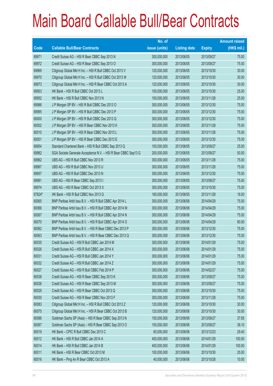|        |                                                                | No. of        |                     |               | <b>Amount raised</b> |
|--------|----------------------------------------------------------------|---------------|---------------------|---------------|----------------------|
| Code   | <b>Callable Bull/Bear Contracts</b>                            | issue (units) | <b>Listing date</b> | <b>Expiry</b> | $(HK$$ mil.)         |
| 69971  | Credit Suisse AG - HSI R Bear CBBC Sep 2013 N                  | 300,000,000   | 2013/06/05          | 2013/09/27    | 75.00                |
| 69972  | Credit Suisse AG - HSI R Bear CBBC Sep 2013 O                  | 300,000,000   | 2013/06/05          | 2013/09/27    | 75.00                |
| 69969  | Citigroup Global Mkt H Inc. - HSI R Bull CBBC Oct 2013 V       | 120,000,000   | 2013/06/05          | 2013/10/30    | 30.00                |
| 69970  | Citigroup Global Mkt H Inc. - HSI R Bull CBBC Oct 2013 W       | 120,000,000   | 2013/06/05          | 2013/10/30    | 30.00                |
| 69973  | Citigroup Global Mkt H Inc. - HSI R Bear CBBC Oct 2013 A       | 120,000,000   | 2013/06/05          | 2013/10/30    | 30.00                |
| 69953  | HK Bank - HSI R Bull CBBC Oct 2013 L                           | 100,000,000   | 2013/06/05          | 2013/10/30    | 25.00                |
| 69952  | HK Bank - HSI R Bull CBBC Nov 2013 N                           | 100,000,000   | 2013/06/05          | 2013/11/28    | 25.00                |
| 69986  | J P Morgan SP BV - HSI R Bull CBBC Dec 2013 O                  | 300,000,000   | 2013/06/05          | 2013/12/30    | 75.00                |
| 69995  | J P Morgan SP BV - HSI R Bull CBBC Dec 2013 P                  | 300,000,000   | 2013/06/05          | 2013/12/30    | 75.00                |
| 60000  | J P Morgan SP BV - HSI R Bull CBBC Dec 2013 Q                  | 300,000,000   | 2013/06/05          | 2013/12/30    | 75.00                |
| 60002  | J P Morgan SP BV - HSI R Bear CBBC Nov 2013 K                  | 300,000,000   | 2013/06/05          | 2013/11/28    | 75.00                |
| 60010  | J P Morgan SP BV - HSI R Bear CBBC Nov 2013 L                  | 300,000,000   | 2013/06/05          | 2013/11/28    | 75.00                |
| 60001  | J P Morgan SP BV - HSI R Bear CBBC Dec 2013 E                  | 300,000,000   | 2013/06/05          | 2013/12/30    | 75.00                |
| 69954  | Standard Chartered Bank - HSI R Bull CBBC Sep 2013 Q           | 100,000,000   | 2013/06/05          | 2013/09/27    | 25.00                |
| 69982  | SGA Societe Generale Acceptance N.V. - HSI R Bear CBBC Sep13 G | 200,000,000   | 2013/06/05          | 2013/09/27    | 50.00                |
| 69962  | UBS AG - HSI R Bull CBBC Nov 2013 R                            | 300,000,000   | 2013/06/05          | 2013/11/28    | 75.00                |
| 69967  | UBS AG - HSI R Bull CBBC Nov 2013 U                            | 300,000,000   | 2013/06/05          | 2013/11/28    | 75.00                |
| 69957  | UBS AG - HSI R Bull CBBC Dec 2013 N                            | 300,000,000   | 2013/06/05          | 2013/12/30    | 75.00                |
| 69981  | UBS AG - HSI R Bear CBBC Sep 2013 I                            | 300,000,000   | 2013/06/05          | 2013/09/27    | 75.00                |
| 69974  | UBS AG - HSI R Bear CBBC Oct 2013 X                            | 300,000,000   | 2013/06/05          | 2013/10/30    | 75.00                |
| 67824# | HK Bank - HSI R Bull CBBC Nov 2013 G                           | 180,000,000   | 2013/06/05          | 2013/11/28    | 18.00                |
| 60065  | BNP Paribas Arbit Issu B.V. - HSI R Bull CBBC Apr 2014 L       | 300,000,000   | 2013/06/06          | 2014/04/29    | 75.00                |
| 60066  | BNP Paribas Arbit Issu B.V. - HSI R Bull CBBC Apr 2014 M       | 300,000,000   | 2013/06/06          | 2014/04/29    | 75.00                |
| 60067  | BNP Paribas Arbit Issu B.V. - HSI R Bull CBBC Apr 2014 N       | 300,000,000   | 2013/06/06          | 2014/04/29    | 75.00                |
| 60070  | BNP Paribas Arbit Issu B.V. - HSI R Bull CBBC Apr 2014 O       | 300,000,000   | 2013/06/06          | 2014/04/29    | 90.00                |
| 60062  | BNP Paribas Arbit Issu B.V. - HSI R Bear CBBC Dec 2013 P       | 300,000,000   | 2013/06/06          | 2013/12/30    | 75.00                |
| 60063  | BNP Paribas Arbit Issu B.V. - HSI R Bear CBBC Dec 2013 Q       | 300,000,000   | 2013/06/06          | 2013/12/30    | 75.00                |
| 60035  | Credit Suisse AG - HSI R Bull CBBC Jan 2014 M                  | 300,000,000   | 2013/06/06          | 2014/01/29    | 75.00                |
| 60026  | Credit Suisse AG - HSI R Bull CBBC Jan 2014 X                  | 300,000,000   | 2013/06/06          | 2014/01/29    | 75.00                |
| 60031  | Credit Suisse AG - HSI R Bull CBBC Jan 2014 Y                  | 300,000,000   | 2013/06/06          | 2014/01/29    | 75.00                |
| 60032  | Credit Suisse AG - HSI R Bull CBBC Jan 2014 Z                  | 300,000,000   | 2013/06/06          | 2014/01/29    | 75.00                |
| 60027  | Credit Suisse AG - HSI R Bull CBBC Feb 2014 P                  | 300,000,000   | 2013/06/06          | 2014/02/27    | 75.00                |
| 60038  | Credit Suisse AG - HSI R Bear CBBC Sep 2013 K                  | 300,000,000   | 2013/06/06          | 2013/09/27    | 75.00                |
| 60036  | Credit Suisse AG - HSI R Bear CBBC Sep 2013 M                  | 300,000,000   | 2013/06/06          | 2013/09/27    | 75.00                |
| 60029  | Credit Suisse AG - HSI R Bear CBBC Oct 2013 Q                  | 300,000,000   | 2013/06/06          | 2013/10/30    | 75.00                |
| 60030  | Credit Suisse AG - HSI R Bear CBBC Nov 2013 F                  | 300,000,000   | 2013/06/06          | 2013/11/28    | 75.00                |
| 60083  | Citigroup Global Mkt H Inc. - HSI R Bull CBBC Oct 2013 Z       | 120,000,000   | 2013/06/06          | 2013/10/30    | 30.00                |
| 60075  | Citigroup Global Mkt H Inc. - HSI R Bear CBBC Oct 2013 B       | 120,000,000   | 2013/06/06          | 2013/10/30    | 30.00                |
| 60086  | Goldman Sachs SP (Asia) - HSI R Bear CBBC Sep 2013 N           | 150,000,000   | 2013/06/06          | 2013/09/27    | 37.65                |
| 60087  | Goldman Sachs SP (Asia) - HSI R Bear CBBC Sep 2013 O           | 150,000,000   | 2013/06/06          | 2013/09/27    | 38.10                |
| 60019  | HK Bank - CPIC R Bull CBBC Dec 2013 C                          | 60,000,000    | 2013/06/06          | 2013/12/23    | 29.40                |
| 60012  | HK Bank - HSI R Bull CBBC Jan 2014 A                           | 400,000,000   | 2013/06/06          | 2014/01/29    | 100.00               |
| 60014  | HK Bank - HSI R Bull CBBC Jan 2014 B                           | 400,000,000   | 2013/06/06          | 2014/01/29    | 100.00               |
| 60011  | HK Bank - HSI R Bear CBBC Oct 2013 M                           | 100,000,000   | 2013/06/06          | 2013/10/30    | 25.00                |
| 60016  | HK Bank - Ping An R Bear CBBC Oct 2013 A                       | 40,000,000    | 2013/06/06          | 2013/10/28    | 10.00                |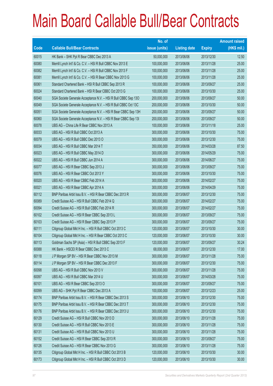|       |                                                                | No. of        |                     |               | <b>Amount raised</b> |
|-------|----------------------------------------------------------------|---------------|---------------------|---------------|----------------------|
| Code  | <b>Callable Bull/Bear Contracts</b>                            | issue (units) | <b>Listing date</b> | <b>Expiry</b> | $(HK$$ mil.)         |
| 60015 | HK Bank - SHK Ppt R Bear CBBC Dec 2013 A                       | 50,000,000    | 2013/06/06          | 2013/12/30    | 12.50                |
| 60080 | Merrill Lynch Int'l & Co. C.V. - HSI R Bull CBBC Nov 2013 E    | 100,000,000   | 2013/06/06          | 2013/11/28    | 25.00                |
| 60082 | Merrill Lynch Int'l & Co. C.V. - HSI R Bull CBBC Nov 2013 F    | 100,000,000   | 2013/06/06          | 2013/11/28    | 25.00                |
| 60081 | Merrill Lynch Int'l & Co. C.V. - HSI R Bear CBBC Nov 2013 G    | 100,000,000   | 2013/06/06          | 2013/11/28    | 25.00                |
| 60061 | Standard Chartered Bank - HSI R Bull CBBC Sep 2013 R           | 100,000,000   | 2013/06/06          | 2013/09/27    | 25.00                |
| 60024 | Standard Chartered Bank - HSI R Bear CBBC Oct 2013 G           | 100,000,000   | 2013/06/06          | 2013/10/30    | 25.00                |
| 60040 | SGA Societe Generale Acceptance N.V. - HSI R Bull CBBC Sep 13O | 200,000,000   | 2013/06/06          | 2013/09/27    | 50.00                |
| 60049 | SGA Societe Generale Acceptance N.V. - HSI R Bull CBBC Oct 13C | 200,000,000   | 2013/06/06          | 2013/10/30    | 50.00                |
| 60051 | SGA Societe Generale Acceptance N.V. - HSI R Bear CBBC Sep 13H | 200,000,000   | 2013/06/06          | 2013/09/27    | 50.00                |
| 60060 | SGA Societe Generale Acceptance N.V. - HSI R Bear CBBC Sep 13I | 200,000,000   | 2013/06/06          | 2013/09/27    | 50.00                |
| 60078 | UBS AG - China Life R Bear CBBC Nov 2013 A                     | 100,000,000   | 2013/06/06          | 2013/11/18    | 25.00                |
| 60033 | UBS AG - HSI R Bull CBBC Oct 2013 A                            | 300,000,000   | 2013/06/06          | 2013/10/30    | 75.00                |
| 60079 | UBS AG - HSI R Bull CBBC Dec 2013 O                            | 300,000,000   | 2013/06/06          | 2013/12/30    | 75.00                |
| 60034 | UBS AG - HSI R Bull CBBC Mar 2014 T                            | 350,000,000   | 2013/06/06          | 2014/03/28    | 87.50                |
| 60023 | UBS AG - HSI R Bull CBBC May 2014 D                            | 300,000,000   | 2013/06/06          | 2014/05/29    | 75.00                |
| 60022 | UBS AG - HSI R Bull CBBC Jun 2014 A                            | 300,000,000   | 2013/06/06          | 2014/06/27    | 75.00                |
| 60077 | UBS AG - HSI R Bear CBBC Sep 2013 J                            | 300,000,000   | 2013/06/06          | 2013/09/27    | 75.00                |
| 60076 | UBS AG - HSI R Bear CBBC Oct 2013 Y                            | 300,000,000   | 2013/06/06          | 2013/10/30    | 75.00                |
| 60020 | UBS AG - HSI R Bear CBBC Feb 2014 A                            | 300,000,000   | 2013/06/06          | 2014/02/27    | 75.00                |
| 60021 | UBS AG - HSI R Bear CBBC Apr 2014 A                            | 300,000,000   | 2013/06/06          | 2014/04/29    | 75.00                |
| 60112 | BNP Paribas Arbit Issu B.V. - HSI R Bear CBBC Dec 2013 R       | 300,000,000   | 2013/06/07          | 2013/12/30    | 75.00                |
| 60089 | Credit Suisse AG - HSI R Bull CBBC Feb 2014 Q                  | 300,000,000   | 2013/06/07          | 2014/02/27    | 75.00                |
| 60094 | Credit Suisse AG - HSI R Bull CBBC Feb 2014 R                  | 300,000,000   | 2013/06/07          | 2014/02/27    | 75.00                |
| 60102 | Credit Suisse AG - HSI R Bear CBBC Sep 2013 L                  | 300,000,000   | 2013/06/07          | 2013/09/27    | 75.00                |
| 60103 | Credit Suisse AG - HSI R Bear CBBC Sep 2013 P                  | 300,000,000   | 2013/06/07          | 2013/09/27    | 75.00                |
| 60111 | Citigroup Global Mkt H Inc. - HSI R Bull CBBC Oct 2013 C       | 120,000,000   | 2013/06/07          | 2013/10/30    | 30.00                |
| 60104 | Citigroup Global Mkt H Inc. - HSI R Bear CBBC Oct 2013 C       | 120,000,000   | 2013/06/07          | 2013/10/30    | 30.00                |
| 60113 | Goldman Sachs SP (Asia) - HSI R Bull CBBC Sep 2013 F           | 120,000,000   | 2013/06/07          | 2013/09/27    | 30.24                |
| 60088 | HK Bank - HSCEI R Bear CBBC Dec 2013 C                         | 68,000,000    | 2013/06/07          | 2013/12/30    | 17.00                |
| 60118 | J P Morgan SP BV - HSI R Bear CBBC Nov 2013 M                  | 300,000,000   | 2013/06/07          | 2013/11/28    | 75.00                |
| 60114 | JP Morgan SP BV - HSIR Bear CBBC Dec 2013 F                    | 300,000,000   | 2013/06/07          | 2013/12/30    | 75.00                |
| 60098 | UBS AG - HSI R Bull CBBC Nov 2013 V                            | 300,000,000   | 2013/06/07          | 2013/11/28    | 75.00                |
| 60097 | UBS AG - HSI R Bull CBBC Mar 2014 U                            | 300,000,000   | 2013/06/07          | 2014/03/28    | 75.00                |
| 60101 | UBS AG - HSI R Bear CBBC Sep 2013 O                            | 300,000,000   | 2013/06/07          | 2013/09/27    | 75.00                |
| 60099 | UBS AG - SHK Ppt R Bear CBBC Dec 2013 A                        | 100,000,000   | 2013/06/07          | 2013/12/23    | 25.00                |
| 60174 | BNP Paribas Arbit Issu B.V. - HSI R Bear CBBC Dec 2013 S       | 300,000,000   | 2013/06/10          | 2013/12/30    | 75.00                |
| 60175 | BNP Paribas Arbit Issu B.V. - HSI R Bear CBBC Dec 2013 T       | 300,000,000   | 2013/06/10          | 2013/12/30    | 75.00                |
| 60176 | BNP Paribas Arbit Issu B.V. - HSI R Bear CBBC Dec 2013 U       | 300,000,000   | 2013/06/10          | 2013/12/30    | 75.00                |
| 60129 | Credit Suisse AG - HSI R Bull CBBC Nov 2013 D                  | 300,000,000   | 2013/06/10          | 2013/11/28    | 75.00                |
| 60130 | Credit Suisse AG - HSI R Bull CBBC Nov 2013 E                  | 300,000,000   | 2013/06/10          | 2013/11/28    | 75.00                |
| 60131 | Credit Suisse AG - HSI R Bull CBBC Nov 2013 U                  | 300,000,000   | 2013/06/10          | 2013/11/28    | 75.00                |
| 60152 | Credit Suisse AG - HSI R Bear CBBC Sep 2013 R                  | 300,000,000   | 2013/06/10          | 2013/09/27    | 75.00                |
| 60126 | Credit Suisse AG - HSI R Bear CBBC Nov 2013 G                  | 300,000,000   | 2013/06/10          | 2013/11/28    | 75.00                |
| 60135 | Citigroup Global Mkt H Inc. - HSI R Bull CBBC Oct 2013 B       | 120,000,000   | 2013/06/10          | 2013/10/30    | 30.00                |
| 60173 | Citigroup Global Mkt H Inc. - HSI R Bull CBBC Oct 2013 D       | 120,000,000   | 2013/06/10          | 2013/10/30    | 30.00                |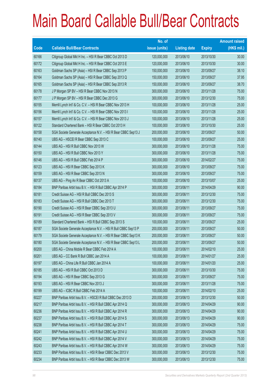|       |                                                                | No. of        |                     |               | <b>Amount raised</b> |
|-------|----------------------------------------------------------------|---------------|---------------------|---------------|----------------------|
| Code  | <b>Callable Bull/Bear Contracts</b>                            | issue (units) | <b>Listing date</b> | <b>Expiry</b> | $(HK$$ mil.)         |
| 60166 | Citigroup Global Mkt H Inc. - HSI R Bear CBBC Oct 2013 D       | 120,000,000   | 2013/06/10          | 2013/10/30    | 30.00                |
| 60172 | Citigroup Global Mkt H Inc. - HSI R Bear CBBC Oct 2013 E       | 120,000,000   | 2013/06/10          | 2013/10/30    | 30.00                |
| 60163 | Goldman Sachs SP (Asia) - HSI R Bear CBBC Sep 2013 P           | 150,000,000   | 2013/06/10          | 2013/09/27    | 38.10                |
| 60164 | Goldman Sachs SP (Asia) - HSI R Bear CBBC Sep 2013 Q           | 150,000,000   | 2013/06/10          | 2013/09/27    | 37.95                |
| 60165 | Goldman Sachs SP (Asia) - HSI R Bear CBBC Sep 2013 R           | 150,000,000   | 2013/06/10          | 2013/09/27    | 38.70                |
| 60178 | J P Morgan SP BV - HSI R Bear CBBC Nov 2013 N                  | 300,000,000   | 2013/06/10          | 2013/11/28    | 75.00                |
| 60177 | JP Morgan SP BV - HSIR Bear CBBC Dec 2013 G                    | 300,000,000   | 2013/06/10          | 2013/12/30    | 75.00                |
| 60155 | Merrill Lynch Int'l & Co. C.V. - HSI R Bear CBBC Nov 2013 H    | 100,000,000   | 2013/06/10          | 2013/11/28    | 25.00                |
| 60156 | Merrill Lynch Int'l & Co. C.V. - HSI R Bear CBBC Nov 2013 I    | 100,000,000   | 2013/06/10          | 2013/11/28    | 25.00                |
| 60157 | Merrill Lynch Int'l & Co. C.V. - HSI R Bear CBBC Nov 2013 J    | 100,000,000   | 2013/06/10          | 2013/11/28    | 25.00                |
| 60122 | Standard Chartered Bank - HSI R Bear CBBC Oct 2013 H           | 100,000,000   | 2013/06/10          | 2013/10/30    | 25.00                |
| 60158 | SGA Societe Generale Acceptance N.V. - HSI R Bear CBBC Sep13 J | 200,000,000   | 2013/06/10          | 2013/09/27    | 50.00                |
| 60140 | UBS AG - HSCEI R Bear CBBC Sep 2013 C                          | 100,000,000   | 2013/06/10          | 2013/09/27    | 25.00                |
| 60144 | UBS AG - HSI R Bull CBBC Nov 2013 W                            | 300,000,000   | 2013/06/10          | 2013/11/28    | 75.00                |
| 60150 | UBS AG - HSI R Bull CBBC Nov 2013 Y                            | 300,000,000   | 2013/06/10          | 2013/11/28    | 75.00                |
| 60146 | UBS AG - HSI R Bull CBBC Feb 2014 P                            | 300,000,000   | 2013/06/10          | 2014/02/27    | 75.00                |
| 60123 | UBS AG - HSI R Bear CBBC Sep 2013 K                            | 300,000,000   | 2013/06/10          | 2013/09/27    | 75.00                |
| 60159 | UBS AG - HSI R Bear CBBC Sep 2013 N                            | 300,000,000   | 2013/06/10          | 2013/09/27    | 75.00                |
| 60137 | UBS AG - Ping An R Bear CBBC Oct 2013 A                        | 100,000,000   | 2013/06/10          | 2013/10/07    | 25.00                |
| 60184 | BNP Paribas Arbit Issu B.V. - HSI R Bull CBBC Apr 2014 P       | 300,000,000   | 2013/06/11          | 2014/04/29    | 90.00                |
| 60181 | Credit Suisse AG - HSI R Bull CBBC Dec 2013 S                  | 300,000,000   | 2013/06/11          | 2013/12/30    | 75.00                |
| 60183 | Credit Suisse AG - HSI R Bull CBBC Dec 2013 T                  | 300,000,000   | 2013/06/11          | 2013/12/30    | 75.00                |
| 60190 | Credit Suisse AG - HSI R Bear CBBC Sep 2013 U                  | 300,000,000   | 2013/06/11          | 2013/09/27    | 75.00                |
| 60191 | Credit Suisse AG - HSI R Bear CBBC Sep 2013 V                  | 300,000,000   | 2013/06/11          | 2013/09/27    | 75.00                |
| 60189 | Standard Chartered Bank - HSI R Bull CBBC Sep 2013 S           | 100,000,000   | 2013/06/11          | 2013/09/27    | 25.00                |
| 60187 | SGA Societe Generale Acceptance N.V. - HSI R Bull CBBC Sep13 P | 200,000,000   | 2013/06/11          | 2013/09/27    | 50.00                |
| 60179 | SGA Societe Generale Acceptance N.V. - HSI R Bear CBBC Sep13 K | 200,000,000   | 2013/06/11          | 2013/09/27    | 50.00                |
| 60180 | SGA Societe Generale Acceptance N.V. - HSI R Bear CBBC Sep13 L | 200,000,000   | 2013/06/11          | 2013/09/27    | 50.00                |
| 60200 | UBS AG - China Mobile R Bear CBBC Feb 2014 A                   | 100,000,000   | 2013/06/11          | 2014/02/10    | 25.00                |
| 60201 | UBS AG - CC Bank R Bull CBBC Jan 2014 A                        | 100,000,000   | 2013/06/11          | 2014/01/27    | 25.00                |
| 60197 | UBS AG - China Life R Bull CBBC Jan 2014 A                     | 100,000,000   | 2013/06/11          | 2014/01/20    | 25.00                |
| 60185 | UBS AG - HSI R Bull CBBC Oct 2013 D                            | 300,000,000   | 2013/06/11          | 2013/10/30    | 75.00                |
| 60194 | UBS AG - HSI R Bear CBBC Sep 2013 G                            | 300,000,000   | 2013/06/11          | 2013/09/27    | 75.00                |
| 60193 | UBS AG - HSI R Bear CBBC Nov 2013 J                            | 300,000,000   | 2013/06/11          | 2013/11/28    | 75.00                |
| 60199 | UBS AG - ICBC R Bull CBBC Feb 2014 A                           | 100,000,000   | 2013/06/11          | 2014/02/10    | 25.00                |
| 60227 | BNP Paribas Arbit Issu B.V. - HSCEI R Bull CBBC Dec 2013 D     | 200,000,000   | 2013/06/13          | 2013/12/30    | 50.00                |
| 60217 | BNP Paribas Arbit Issu B.V. - HSI R Bull CBBC Apr 2014 Q       | 300,000,000   | 2013/06/13          | 2014/04/29    | 90.00                |
| 60236 | BNP Paribas Arbit Issu B.V. - HSI R Bull CBBC Apr 2014 R       | 300,000,000   | 2013/06/13          | 2014/04/29    | 90.00                |
| 60237 | BNP Paribas Arbit Issu B.V. - HSI R Bull CBBC Apr 2014 S       | 300,000,000   | 2013/06/13          | 2014/04/29    | 90.00                |
| 60238 | BNP Paribas Arbit Issu B.V. - HSI R Bull CBBC Apr 2014 T       | 300,000,000   | 2013/06/13          | 2014/04/29    | 75.00                |
| 60241 | BNP Paribas Arbit Issu B.V. - HSI R Bull CBBC Apr 2014 U       | 300,000,000   | 2013/06/13          | 2014/04/29    | 75.00                |
| 60242 | BNP Paribas Arbit Issu B.V. - HSI R Bull CBBC Apr 2014 V       | 300,000,000   | 2013/06/13          | 2014/04/29    | 75.00                |
| 60243 | BNP Paribas Arbit Issu B.V. - HSI R Bull CBBC Apr 2014 W       | 300,000,000   | 2013/06/13          | 2014/04/29    | 75.00                |
| 60233 | BNP Paribas Arbit Issu B.V. - HSI R Bear CBBC Dec 2013 V       | 300,000,000   | 2013/06/13          | 2013/12/30    | 75.00                |
| 60234 | BNP Paribas Arbit Issu B.V. - HSI R Bear CBBC Dec 2013 W       | 300,000,000   | 2013/06/13          | 2013/12/30    | 75.00                |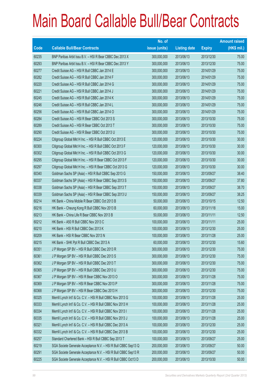|       |                                                                | No. of        |                     |               | <b>Amount raised</b> |
|-------|----------------------------------------------------------------|---------------|---------------------|---------------|----------------------|
| Code  | <b>Callable Bull/Bear Contracts</b>                            | issue (units) | <b>Listing date</b> | <b>Expiry</b> | $(HK$$ mil.)         |
| 60235 | BNP Paribas Arbit Issu B.V. - HSI R Bear CBBC Dec 2013 X       | 300,000,000   | 2013/06/13          | 2013/12/30    | 75.00                |
| 60293 | BNP Paribas Arbit Issu B.V. - HSI R Bear CBBC Dec 2013 Y       | 300,000,000   | 2013/06/13          | 2013/12/30    | 75.00                |
| 60277 | Credit Suisse AG - HSI R Bull CBBC Jan 2014 E                  | 300,000,000   | 2013/06/13          | 2014/01/29    | 75.00                |
| 60282 | Credit Suisse AG - HSI R Bull CBBC Jan 2014 F                  | 300,000,000   | 2013/06/13          | 2014/01/29    | 75.00                |
| 60220 | Credit Suisse AG - HSI R Bull CBBC Jan 2014 G                  | 300,000,000   | 2013/06/13          | 2014/01/29    | 75.00                |
| 60221 | Credit Suisse AG - HSI R Bull CBBC Jan 2014 J                  | 300,000,000   | 2013/06/13          | 2014/01/29    | 75.00                |
| 60245 | Credit Suisse AG - HSI R Bull CBBC Jan 2014 K                  | 300,000,000   | 2013/06/13          | 2014/01/29    | 75.00                |
| 60246 | Credit Suisse AG - HSI R Bull CBBC Jan 2014 L                  | 300,000,000   | 2013/06/13          | 2014/01/29    | 75.00                |
| 60256 | Credit Suisse AG - HSI R Bull CBBC Jan 2014 O                  | 300,000,000   | 2013/06/13          | 2014/01/29    | 75.00                |
| 60284 | Credit Suisse AG - HSI R Bear CBBC Oct 2013 S                  | 300,000,000   | 2013/06/13          | 2013/10/30    | 75.00                |
| 60289 | Credit Suisse AG - HSI R Bear CBBC Oct 2013 T                  | 300,000,000   | 2013/06/13          | 2013/10/30    | 75.00                |
| 60290 | Credit Suisse AG - HSI R Bear CBBC Oct 2013 U                  | 300,000,000   | 2013/06/13          | 2013/10/30    | 75.00                |
| 60224 | Citigroup Global Mkt H Inc. - HSI R Bull CBBC Oct 2013 E       | 120,000,000   | 2013/06/13          | 2013/10/30    | 30.00                |
| 60300 | Citigroup Global Mkt H Inc. - HSI R Bull CBBC Oct 2013 F       | 120,000,000   | 2013/06/13          | 2013/10/30    | 30.00                |
| 60302 | Citigroup Global Mkt H Inc. - HSI R Bull CBBC Oct 2013 G       | 120,000,000   | 2013/06/13          | 2013/10/30    | 30.00                |
| 60295 | Citigroup Global Mkt H Inc. - HSI R Bear CBBC Oct 2013 F       | 120,000,000   | 2013/06/13          | 2013/10/30    | 30.00                |
| 60297 | Citigroup Global Mkt H Inc. - HSI R Bear CBBC Oct 2013 G       | 120,000,000   | 2013/06/13          | 2013/10/30    | 30.00                |
| 60340 | Goldman Sachs SP (Asia) - HSI R Bull CBBC Sep 2013 G           | 150,000,000   | 2013/06/13          | 2013/09/27    | 38.40                |
| 60337 | Goldman Sachs SP (Asia) - HSI R Bear CBBC Sep 2013 S           | 150,000,000   | 2013/06/13          | 2013/09/27    | 37.80                |
| 60338 | Goldman Sachs SP (Asia) - HSI R Bear CBBC Sep 2013 T           | 150,000,000   | 2013/06/13          | 2013/09/27    | 38.70                |
| 60339 | Goldman Sachs SP (Asia) - HSI R Bear CBBC Sep 2013 U           | 150,000,000   | 2013/06/13          | 2013/09/27    | 38.25                |
| 60214 | HK Bank - China Mobile R Bear CBBC Oct 2013 B                  | 50,000,000    | 2013/06/13          | 2013/10/15    | 12.50                |
| 60216 | HK Bank - Cheung Kong R Bull CBBC Nov 2013 B                   | 60,000,000    | 2013/06/13          | 2013/11/18    | 15.00                |
| 60213 | HK Bank - China Life R Bear CBBC Nov 2013 B                    | 50,000,000    | 2013/06/13          | 2013/11/11    | 12.50                |
| 60212 | HK Bank - A50 R Bull CBBC Nov 2013 C                           | 100,000,000   | 2013/06/13          | 2013/11/11    | 25.00                |
| 60210 | HK Bank - HSI R Bull CBBC Dec 2013 K                           | 100,000,000   | 2013/06/13          | 2013/12/30    | 25.00                |
| 60209 | HK Bank - HSI R Bear CBBC Nov 2013 N                           | 100,000,000   | 2013/06/13          | 2013/11/28    | 25.00                |
| 60215 | HK Bank - SHK Ppt R Bull CBBC Dec 2013 A                       | 60,000,000    | 2013/06/13          | 2013/12/30    | 15.60                |
| 60351 | J P Morgan SP BV - HSI R Bull CBBC Dec 2013 R                  | 300,000,000   | 2013/06/13          | 2013/12/30    | 75.00                |
| 60361 | J P Morgan SP BV - HSI R Bull CBBC Dec 2013 S                  | 300,000,000   | 2013/06/13          | 2013/12/30    | 75.00                |
| 60362 | J P Morgan SP BV - HSI R Bull CBBC Dec 2013 T                  | 300,000,000   | 2013/06/13          | 2013/12/30    | 75.00                |
| 60365 | J P Morgan SP BV - HSI R Bull CBBC Dec 2013 U                  | 300,000,000   | 2013/06/13          | 2013/12/30    | 75.00                |
| 60367 | J P Morgan SP BV - HSI R Bear CBBC Nov 2013 O                  | 300,000,000   | 2013/06/13          | 2013/11/28    | 75.00                |
| 60369 | J P Morgan SP BV - HSI R Bear CBBC Nov 2013 P                  | 300,000,000   | 2013/06/13          | 2013/11/28    | 75.00                |
| 60368 | J P Morgan SP BV - HSI R Bear CBBC Dec 2013 H                  | 300,000,000   | 2013/06/13          | 2013/12/30    | 75.00                |
| 60325 | Merrill Lynch Int'l & Co. C.V. - HSI R Bull CBBC Nov 2013 G    | 100,000,000   | 2013/06/13          | 2013/11/28    | 25.00                |
| 60333 | Merrill Lynch Int'l & Co. C.V. - HSI R Bull CBBC Nov 2013 H    | 100,000,000   | 2013/06/13          | 2013/11/28    | 25.00                |
| 60334 | Merrill Lynch Int'l & Co. C.V. - HSI R Bull CBBC Nov 2013 I    | 100,000,000   | 2013/06/13          | 2013/11/28    | 25.00                |
| 60335 | Merrill Lynch Int'l & Co. C.V. - HSI R Bull CBBC Nov 2013 J    | 100,000,000   | 2013/06/13          | 2013/11/28    | 25.00                |
| 60321 | Merrill Lynch Int'l & Co. C.V. - HSI R Bull CBBC Dec 2013 A    | 100,000,000   | 2013/06/13          | 2013/12/30    | 25.00                |
| 60332 | Merrill Lynch Int'l & Co. C.V. - HSI R Bull CBBC Dec 2013 B    | 100,000,000   | 2013/06/13          | 2013/12/30    | 25.00                |
| 60257 | Standard Chartered Bank - HSI R Bull CBBC Sep 2013 T           | 100,000,000   | 2013/06/13          | 2013/09/27    | 25.00                |
| 60219 | SGA Societe Generale Acceptance N.V. - HSI R Bull CBBC Sep13 Q | 200,000,000   | 2013/06/13          | 2013/09/27    | 50.00                |
| 60291 | SGA Societe Generale Acceptance N.V. - HSI R Bull CBBC Sep13 R | 200,000,000   | 2013/06/13          | 2013/09/27    | 50.00                |
| 60225 | SGA Societe Generale Acceptance N.V. - HSI R Bull CBBC Oct13 D | 200,000,000   | 2013/06/13          | 2013/10/30    | 50.00                |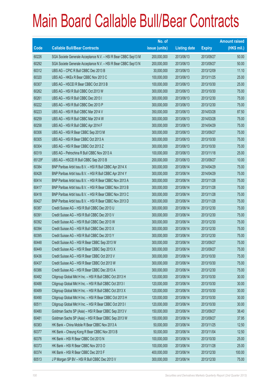|        |                                                                | No. of        |                     |               | <b>Amount raised</b> |
|--------|----------------------------------------------------------------|---------------|---------------------|---------------|----------------------|
| Code   | <b>Callable Bull/Bear Contracts</b>                            | issue (units) | <b>Listing date</b> | <b>Expiry</b> | $(HK$$ mil.)         |
| 60226  | SGA Societe Generale Acceptance N.V. - HSI R Bear CBBC Sep13 M | 200,000,000   | 2013/06/13          | 2013/09/27    | 50.00                |
| 60292  | SGA Societe Generale Acceptance N.V. - HSI R Bear CBBC Sep13 N | 200,000,000   | 2013/06/13          | 2013/09/27    | 50.00                |
| 60312  | UBS AG - CPIC R Bull CBBC Dec 2013 B                           | 30,000,000    | 2013/06/13          | 2013/12/09    | 11.10                |
| 60320  | UBS AG - HKEx R Bear CBBC Nov 2013 C                           | 100,000,000   | 2013/06/13          | 2013/11/25    | 25.00                |
| 60307  | UBS AG - HSCEI R Bear CBBC Oct 2013 B                          | 100,000,000   | 2013/06/13          | 2013/10/30    | 25.00                |
| 60262  | UBS AG - HSI R Bull CBBC Oct 2013 W                            | 300,000,000   | 2013/06/13          | 2013/10/30    | 75.00                |
| 60261  | UBS AG - HSI R Bull CBBC Dec 2013 I                            | 300,000,000   | 2013/06/13          | 2013/12/30    | 75.00                |
| 60222  | UBS AG - HSI R Bull CBBC Dec 2013 P                            | 300,000,000   | 2013/06/13          | 2013/12/30    | 75.00                |
| 60223  | UBS AG - HSI R Bull CBBC Mar 2014 V                            | 350,000,000   | 2013/06/13          | 2014/03/28    | 87.50                |
| 60259  | UBS AG - HSI R Bull CBBC Mar 2014 W                            | 300,000,000   | 2013/06/13          | 2014/03/28    | 75.00                |
| 60258  | UBS AG - HSI R Bull CBBC Apr 2014 F                            | 300,000,000   | 2013/06/13          | 2014/04/29    | 75.00                |
| 60306  | UBS AG - HSI R Bear CBBC Sep 2013 M                            | 300,000,000   | 2013/06/13          | 2013/09/27    | 75.00                |
| 60305  | UBS AG - HSI R Bear CBBC Oct 2013 A                            | 300,000,000   | 2013/06/13          | 2013/10/30    | 75.00                |
| 60304  | UBS AG - HSI R Bear CBBC Oct 2013 Z                            | 300,000,000   | 2013/06/13          | 2013/10/30    | 75.00                |
| 60319  | UBS AG - Petrochina R Bull CBBC Nov 2013 A                     | 100,000,000   | 2013/06/13          | 2013/11/18    | 25.00                |
| 65129# | UBS AG - HSCEI R Bull CBBC Sep 2013 B                          | 200,000,000   | 2013/06/13          | 2013/09/27    | 10.00                |
| 60384  | BNP Paribas Arbit Issu B.V. - HSI R Bull CBBC Apr 2014 X       | 300,000,000   | 2013/06/14          | 2014/04/29    | 75.00                |
| 60428  | BNP Paribas Arbit Issu B.V. - HSI R Bull CBBC Apr 2014 Y       | 300,000,000   | 2013/06/14          | 2014/04/29    | 75.00                |
| 60414  | BNP Paribas Arbit Issu B.V. - HSI R Bear CBBC Nov 2013 A       | 300,000,000   | 2013/06/14          | 2013/11/28    | 75.00                |
| 60417  | BNP Paribas Arbit Issu B.V. - HSI R Bear CBBC Nov 2013 B       | 300,000,000   | 2013/06/14          | 2013/11/28    | 75.00                |
| 60418  | BNP Paribas Arbit Issu B.V. - HSI R Bear CBBC Nov 2013 C       | 300,000,000   | 2013/06/14          | 2013/11/28    | 75.00                |
| 60427  | BNP Paribas Arbit Issu B.V. - HSI R Bear CBBC Nov 2013 D       | 300,000,000   | 2013/06/14          | 2013/11/28    | 75.00                |
| 60387  | Credit Suisse AG - HSI R Bull CBBC Dec 2013 U                  | 300,000,000   | 2013/06/14          | 2013/12/30    | 75.00                |
| 60391  | Credit Suisse AG - HSI R Bull CBBC Dec 2013 V                  | 300,000,000   | 2013/06/14          | 2013/12/30    | 75.00                |
| 60392  | Credit Suisse AG - HSI R Bull CBBC Dec 2013 W                  | 300,000,000   | 2013/06/14          | 2013/12/30    | 75.00                |
| 60394  | Credit Suisse AG - HSI R Bull CBBC Dec 2013 X                  | 300,000,000   | 2013/06/14          | 2013/12/30    | 75.00                |
| 60395  | Credit Suisse AG - HSI R Bull CBBC Dec 2013 Y                  | 300,000,000   | 2013/06/14          | 2013/12/30    | 75.00                |
| 60448  | Credit Suisse AG - HSI R Bear CBBC Sep 2013 W                  | 300,000,000   | 2013/06/14          | 2013/09/27    | 75.00                |
| 60449  | Credit Suisse AG - HSI R Bear CBBC Sep 2013 X                  | 300,000,000   | 2013/06/14          | 2013/09/27    | 75.00                |
| 60436  | Credit Suisse AG - HSI R Bear CBBC Oct 2013 V                  | 300,000,000   | 2013/06/14          | 2013/10/30    | 75.00                |
| 60437  | Credit Suisse AG - HSI R Bear CBBC Oct 2013 W                  | 300,000,000   | 2013/06/14          | 2013/10/30    | 75.00                |
| 60386  | Credit Suisse AG - HSI R Bear CBBC Dec 2013 A                  | 300,000,000   | 2013/06/14          | 2013/12/30    | 75.00                |
| 60482  | Citigroup Global Mkt H Inc. - HSI R Bull CBBC Oct 2013 H       | 120,000,000   | 2013/06/14          | 2013/10/30    | 30.00                |
| 60488  | Citigroup Global Mkt H Inc. - HSI R Bull CBBC Oct 2013 I       | 120,000,000   | 2013/06/14          | 2013/10/30    | 30.00                |
| 60489  | Citigroup Global Mkt H Inc. - HSI R Bull CBBC Oct 2013 X       | 120,000,000   | 2013/06/14          | 2013/10/30    | 30.00                |
| 60490  | Citigroup Global Mkt H Inc. - HSI R Bear CBBC Oct 2013 H       | 120,000,000   | 2013/06/14          | 2013/10/30    | 30.00                |
| 60511  | Citigroup Global Mkt H Inc. - HSI R Bear CBBC Oct 2013 I       | 120,000,000   | 2013/06/14          | 2013/10/30    | 30.00                |
| 60480  | Goldman Sachs SP (Asia) - HSI R Bear CBBC Sep 2013 V           | 150,000,000   | 2013/06/14          | 2013/09/27    | 38.40                |
| 60481  | Goldman Sachs SP (Asia) - HSI R Bear CBBC Sep 2013 W           | 150,000,000   | 2013/06/14          | 2013/09/27    | 37.95                |
| 60383  | HK Bank - China Mobile R Bear CBBC Nov 2013 A                  | 50,000,000    | 2013/06/14          | 2013/11/25    | 12.50                |
| 60377  | HK Bank - Cheung Kong R Bear CBBC Nov 2013 B                   | 50,000,000    | 2013/06/14          | 2013/11/04    | 12.50                |
| 60376  | HK Bank - HSI R Bear CBBC Oct 2013 N                           | 100,000,000   | 2013/06/14          | 2013/10/30    | 25.00                |
| 60373  | HK Bank - HSI R Bear CBBC Nov 2013 O                           | 100,000,000   | 2013/06/14          | 2013/11/28    | 25.00                |
| 60374  | HK Bank - HSI R Bear CBBC Dec 2013 F                           | 400,000,000   | 2013/06/14          | 2013/12/30    | 100.00               |
| 60513  | J P Morgan SP BV - HSI R Bull CBBC Dec 2013 V                  | 300,000,000   | 2013/06/14          | 2013/12/30    | 75.00                |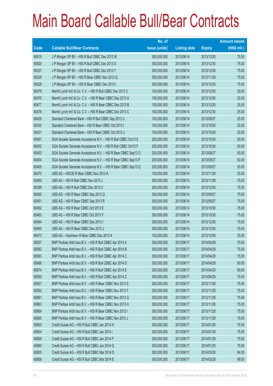|       |                                                                | No. of        |                     |               | <b>Amount raised</b> |
|-------|----------------------------------------------------------------|---------------|---------------------|---------------|----------------------|
| Code  | <b>Callable Bull/Bear Contracts</b>                            | issue (units) | <b>Listing date</b> | <b>Expiry</b> | $(HK$$ mil.)         |
| 60515 | J P Morgan SP BV - HSI R Bull CBBC Dec 2013 W                  | 300,000,000   | 2013/06/14          | 2013/12/30    | 75.00                |
| 60520 | J P Morgan SP BV - HSI R Bull CBBC Dec 2013 X                  | 300,000,000   | 2013/06/14          | 2013/12/30    | 75.00                |
| 60527 | J P Morgan SP BV - HSI R Bull CBBC Dec 2013 Y                  | 300,000,000   | 2013/06/14          | 2013/12/30    | 75.00                |
| 60529 | J P Morgan SP BV - HSI R Bear CBBC Nov 2013 Q                  | 300,000,000   | 2013/06/14          | 2013/11/28    | 75.00                |
| 60528 | J P Morgan SP BV - HSI R Bear CBBC Dec 2013 I                  | 300,000,000   | 2013/06/14          | 2013/12/30    | 75.00                |
| 60479 | Merrill Lynch Int'l & Co. C.V. - HSI R Bull CBBC Dec 2013 C    | 100,000,000   | 2013/06/14          | 2013/12/30    | 25.00                |
| 60475 | Merrill Lynch Int'l & Co. C.V. - HSI R Bear CBBC Dec 2013 A    | 100,000,000   | 2013/06/14          | 2013/12/30    | 25.00                |
| 60477 | Merrill Lynch Int'l & Co. C.V. - HSI R Bear CBBC Dec 2013 B    | 100,000,000   | 2013/06/14          | 2013/12/30    | 25.00                |
| 60478 | Merrill Lynch Int'l & Co. C.V. - HSI R Bear CBBC Dec 2013 C    | 100,000,000   | 2013/06/14          | 2013/12/30    | 25.00                |
| 60429 | Standard Chartered Bank - HSI R Bull CBBC Sep 2013 U           | 100,000,000   | 2013/06/14          | 2013/09/27    | 25.00                |
| 60430 | Standard Chartered Bank - HSI R Bear CBBC Oct 2013 I           | 100,000,000   | 2013/06/14          | 2013/10/30    | 25.00                |
| 60431 | Standard Chartered Bank - HSI R Bear CBBC Oct 2013 J           | 100,000,000   | 2013/06/14          | 2013/10/30    | 25.00                |
| 60401 | SGA Societe Generale Acceptance N.V. - HSI R Bull CBBC Oct13 E | 200,000,000   | 2013/06/14          | 2013/10/30    | 50.00                |
| 60402 | SGA Societe Generale Acceptance N.V. - HSI R Bull CBBC Oct13 F | 200,000,000   | 2013/06/14          | 2013/10/30    | 50.00                |
| 60403 | SGA Societe Generale Acceptance N.V. - HSI R Bear CBBC Sep13 O | 200,000,000   | 2013/06/14          | 2013/09/27    | 50.00                |
| 60404 | SGA Societe Generale Acceptance N.V. - HSI R Bear CBBC Sep13 P | 200,000,000   | 2013/06/14          | 2013/09/27    | 50.00                |
| 60405 | SGA Societe Generale Acceptance N.V. - HSI R Bear CBBC Sep13 Q | 200,000,000   | 2013/06/14          | 2013/09/27    | 50.00                |
| 60470 | UBS AG - HSCEI R Bear CBBC Nov 2013 A                          | 100,000,000   | 2013/06/14          | 2013/11/28    | 25.00                |
| 60400 | UBS AG - HSI R Bull CBBC Nov 2013 J                            | 300,000,000   | 2013/06/14          | 2013/11/28    | 75.00                |
| 60399 | UBS AG - HSI R Bull CBBC Dec 2013 C                            | 300,000,000   | 2013/06/14          | 2013/12/30    | 75.00                |
| 60450 | UBS AG - HSI R Bear CBBC Sep 2013 Q                            | 300,000,000   | 2013/06/14          | 2013/09/27    | 75.00                |
| 60451 | UBS AG - HSI R Bear CBBC Sep 2013 R                            | 300,000,000   | 2013/06/14          | 2013/09/27    | 75.00                |
| 60452 | UBS AG - HSI R Bear CBBC Oct 2013 E                            | 300,000,000   | 2013/06/14          | 2013/10/30    | 75.00                |
| 60463 | UBS AG - HSI R Bear CBBC Oct 2013 F                            | 300,000,000   | 2013/06/14          | 2013/10/30    | 75.00                |
| 60464 | UBS AG - HSI R Bear CBBC Dec 2013 I                            | 300,000,000   | 2013/06/14          | 2013/12/30    | 75.00                |
| 60465 | UBS AG - HSI R Bear CBBC Dec 2013 J                            | 300,000,000   | 2013/06/14          | 2013/12/30    | 75.00                |
| 60473 | UBS AG - Hutchison R Bear CBBC Dec 2013 A                      | 100,000,000   | 2013/06/14          | 2013/12/09    | 25.00                |
| 60557 | BNP Paribas Arbit Issu B.V. - HSI R Bull CBBC Apr 2014 A       | 300,000,000   | 2013/06/17          | 2014/04/29    | 75.00                |
| 60582 | BNP Paribas Arbit Issu B.V. - HSI R Bull CBBC Apr 2014 B       | 300,000,000   | 2013/06/17          | 2014/04/29    | 75.00                |
| 60583 | BNP Paribas Arbit Issu B.V. - HSI R Bull CBBC Apr 2014 C       | 300,000,000   | 2013/06/17          | 2014/04/29    | 75.00                |
| 60666 | BNP Paribas Arbit Issu B.V. - HSI R Bull CBBC Apr 2014 D       | 300,000,000   | 2013/06/17          | 2014/04/29    | 90.00                |
| 60674 | BNP Paribas Arbit Issu B.V. - HSI R Bull CBBC Apr 2014 E       | 300,000,000   | 2013/06/17          | 2014/04/29    | 90.00                |
| 60550 | BNP Paribas Arbit Issu B.V. - HSI R Bull CBBC Apr 2014 Z       | 300,000,000   | 2013/06/17          | 2014/04/29    | 75.00                |
| 60551 | BNP Paribas Arbit Issu B.V. - HSI R Bear CBBC Nov 2013 E       | 300,000,000   | 2013/06/17          | 2013/11/28    | 75.00                |
| 60552 | BNP Paribas Arbit Issu B.V. - HSI R Bear CBBC Nov 2013 F       | 300,000,000   | 2013/06/17          | 2013/11/28    | 75.00                |
| 60661 | BNP Paribas Arbit Issu B.V. - HSI R Bear CBBC Nov 2013 G       | 300,000,000   | 2013/06/17          | 2013/11/28    | 75.00                |
| 60663 | BNP Paribas Arbit Issu B.V. - HSI R Bear CBBC Nov 2013 H       | 300,000,000   | 2013/06/17          | 2013/11/28    | 75.00                |
| 60664 | BNP Paribas Arbit Issu B.V. - HSI R Bear CBBC Nov 2013 I       | 300,000,000   | 2013/06/17          | 2013/11/28    | 75.00                |
| 60665 | BNP Paribas Arbit Issu B.V. - HSI R Bear CBBC Nov 2013 J       | 300,000,000   | 2013/06/17          | 2013/11/28    | 75.00                |
| 60600 | Credit Suisse AG - HSI R Bull CBBC Jan 2014 H                  | 300,000,000   | 2013/06/17          | 2014/01/29    | 75.00                |
| 60604 | Credit Suisse AG - HSI R Bull CBBC Jan 2014 I                  | 300,000,000   | 2013/06/17          | 2014/01/29    | 75.00                |
| 60609 | Credit Suisse AG - HSI R Bull CBBC Jan 2014 P                  | 300,000,000   | 2013/06/17          | 2014/01/29    | 75.00                |
| 60660 | Credit Suisse AG - HSI R Bull CBBC Jan 2014 Q                  | 300,000,000   | 2013/06/17          | 2014/01/29    | 75.00                |
| 60655 | Credit Suisse AG - HSI R Bull CBBC Mar 2014 D                  | 300,000,000   | 2013/06/17          | 2014/03/28    | 84.00                |
| 60656 | Credit Suisse AG - HSI R Bull CBBC Mar 2014 E                  | 300,000,000   | 2013/06/17          | 2014/03/28    | 99.00                |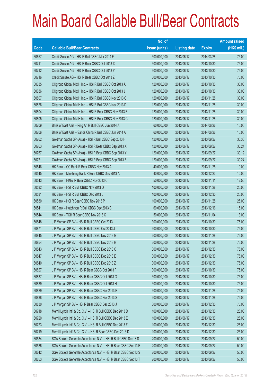|       |                                                                | No. of        |                     |               | <b>Amount raised</b> |
|-------|----------------------------------------------------------------|---------------|---------------------|---------------|----------------------|
| Code  | <b>Callable Bull/Bear Contracts</b>                            | issue (units) | <b>Listing date</b> | <b>Expiry</b> | $(HK$$ mil.)         |
| 60657 | Credit Suisse AG - HSI R Bull CBBC Mar 2014 F                  | 300,000,000   | 2013/06/17          | 2014/03/28    | 75.00                |
| 60711 | Credit Suisse AG - HSI R Bear CBBC Oct 2013 X                  | 300,000,000   | 2013/06/17          | 2013/10/30    | 75.00                |
| 60712 | Credit Suisse AG - HSI R Bear CBBC Oct 2013 Y                  | 300,000,000   | 2013/06/17          | 2013/10/30    | 75.00                |
| 60716 | Credit Suisse AG - HSI R Bear CBBC Oct 2013 Z                  | 300,000,000   | 2013/06/17          | 2013/10/30    | 75.00                |
| 60635 | Citigroup Global Mkt H Inc. - HSI R Bull CBBC Oct 2013 A       | 120,000,000   | 2013/06/17          | 2013/10/30    | 30.00                |
| 60636 | Citigroup Global Mkt H Inc. - HSI R Bull CBBC Oct 2013 J       | 120,000,000   | 2013/06/17          | 2013/10/30    | 30.00                |
| 60807 | Citigroup Global Mkt H Inc. - HSI R Bull CBBC Nov 2013 C       | 120,000,000   | 2013/06/17          | 2013/11/28    | 30.00                |
| 60826 | Citigroup Global Mkt H Inc. - HSI R Bull CBBC Nov 2013 D       | 120,000,000   | 2013/06/17          | 2013/11/28    | 30.00                |
| 60804 | Citigroup Global Mkt H Inc. - HSI R Bear CBBC Nov 2013 B       | 120,000,000   | 2013/06/17          | 2013/11/28    | 30.00                |
| 60805 | Citigroup Global Mkt H Inc. - HSI R Bear CBBC Nov 2013 C       | 120,000,000   | 2013/06/17          | 2013/11/28    | 30.00                |
| 60709 | Bank of East Asia - Ping An R Bull CBBC Jun 2014 A             | 60,000,000    | 2013/06/17          | 2014/06/26    | 15.00                |
| 60706 | Bank of East Asia - Sands China R Bull CBBC Jun 2014 A         | 60,000,000    | 2013/06/17          | 2014/06/26    | 15.00                |
| 60762 | Goldman Sachs SP (Asia) - HSI R Bull CBBC Sep 2013 H           | 120,000,000   | 2013/06/17          | 2013/09/27    | 30.36                |
| 60763 | Goldman Sachs SP (Asia) - HSI R Bear CBBC Sep 2013 X           | 120,000,000   | 2013/06/17          | 2013/09/27    | 30.24                |
| 60767 | Goldman Sachs SP (Asia) - HSI R Bear CBBC Sep 2013 Y           | 120,000,000   | 2013/06/17          | 2013/09/27    | 30.12                |
| 60771 | Goldman Sachs SP (Asia) - HSI R Bear CBBC Sep 2013 Z           | 120,000,000   | 2013/06/17          | 2013/09/27    | 30.24                |
| 60546 | HK Bank - CC Bank R Bear CBBC Nov 2013 A                       | 40,000,000    | 2013/06/17          | 2013/11/25    | 10.00                |
| 60545 | HK Bank - Minsheng Bank R Bear CBBC Dec 2013 A                 | 40,000,000    | 2013/06/17          | 2013/12/23    | 10.00                |
| 60543 | HK Bank – HKEx R Bear CBBC Nov 2013 C                          | 50,000,000    | 2013/06/17          | 2013/11/11    | 12.50                |
| 60532 | HK Bank - HSI R Bull CBBC Nov 2013 O                           | 100,000,000   | 2013/06/17          | 2013/11/28    | 25.00                |
| 60531 | HK Bank - HSI R Bull CBBC Dec 2013 L                           | 100,000,000   | 2013/06/17          | 2013/12/30    | 25.00                |
| 60530 | HK Bank - HSI R Bear CBBC Nov 2013 P                           | 100,000,000   | 2013/06/17          | 2013/11/28    | 25.00                |
| 60541 | HK Bank - Hutchison R Bull CBBC Dec 2013 B                     | 60,000,000    | 2013/06/17          | 2013/12/16    | 15.00                |
| 60544 | HK Bank - TCH R Bear CBBC Nov 2013 C                           | 50,000,000    | 2013/06/17          | 2013/11/04    | 13.00                |
| 60848 | J P Morgan SP BV - HSI R Bull CBBC Oct 2013 I                  | 300,000,000   | 2013/06/17          | 2013/10/30    | 75.00                |
| 60871 | J P Morgan SP BV - HSI R Bull CBBC Oct 2013 J                  | 300,000,000   | 2013/06/17          | 2013/10/30    | 75.00                |
| 60845 | J P Morgan SP BV - HSI R Bull CBBC Nov 2013 G                  | 300,000,000   | 2013/06/17          | 2013/11/28    | 75.00                |
| 60854 | J P Morgan SP BV - HSI R Bull CBBC Nov 2013 H                  | 300,000,000   | 2013/06/17          | 2013/11/28    | 75.00                |
| 60843 | J P Morgan SP BV - HSI R Bull CBBC Dec 2013 C                  | 300,000,000   | 2013/06/17          | 2013/12/30    | 75.00                |
| 60847 | J P Morgan SP BV - HSI R Bull CBBC Dec 2013 E                  | 300,000,000   | 2013/06/17          | 2013/12/30    | 75.00                |
| 60840 | J P Morgan SP BV - HSI R Bull CBBC Dec 2013 Z                  | 300,000,000   | 2013/06/17          | 2013/12/30    | 75.00                |
| 60827 | J P Morgan SP BV - HSI R Bear CBBC Oct 2013 F                  | 300,000,000   | 2013/06/17          | 2013/10/30    | 75.00                |
| 60837 | J P Morgan SP BV - HSI R Bear CBBC Oct 2013 G                  | 300,000,000   | 2013/06/17          | 2013/10/30    | 75.00                |
| 60839 | J P Morgan SP BV - HSI R Bear CBBC Oct 2013 H                  | 300,000,000   | 2013/06/17          | 2013/10/30    | 75.00                |
| 60829 | J P Morgan SP BV - HSI R Bear CBBC Nov 2013 R                  | 300,000,000   | 2013/06/17          | 2013/11/28    | 75.00                |
| 60838 | J P Morgan SP BV - HSI R Bear CBBC Nov 2013 S                  | 300,000,000   | 2013/06/17          | 2013/11/28    | 75.00                |
| 60830 | J P Morgan SP BV - HSI R Bear CBBC Dec 2013 J                  | 300,000,000   | 2013/06/17          | 2013/12/30    | 75.00                |
| 60718 | Merrill Lynch Int'l & Co. C.V. - HSI R Bull CBBC Dec 2013 D    | 100,000,000   | 2013/06/17          | 2013/12/30    | 25.00                |
| 60720 | Merrill Lynch Int'l & Co. C.V. - HSI R Bull CBBC Dec 2013 E    | 100,000,000   | 2013/06/17          | 2013/12/30    | 25.00                |
| 60723 | Merrill Lynch Int'l & Co. C.V. - HSI R Bull CBBC Dec 2013 F    | 100,000,000   | 2013/06/17          | 2013/12/30    | 25.00                |
| 60719 | Merrill Lynch Int'l & Co. C.V. - HSI R Bear CBBC Dec 2013 D    | 100,000,000   | 2013/06/17          | 2013/12/30    | 25.00                |
| 60584 | SGA Societe Generale Acceptance N.V. - HSI R Bull CBBC Sep13 S | 200,000,000   | 2013/06/17          | 2013/09/27    | 50.00                |
| 60586 | SGA Societe Generale Acceptance N.V. - HSI R Bear CBBC Sep13 R | 200,000,000   | 2013/06/17          | 2013/09/27    | 50.00                |
| 60642 | SGA Societe Generale Acceptance N.V. - HSI R Bear CBBC Sep13 S | 200,000,000   | 2013/06/17          | 2013/09/27    | 50.00                |
| 60653 | SGA Societe Generale Acceptance N.V. - HSI R Bear CBBC Sep13 T | 200,000,000   | 2013/06/17          | 2013/09/27    | 50.00                |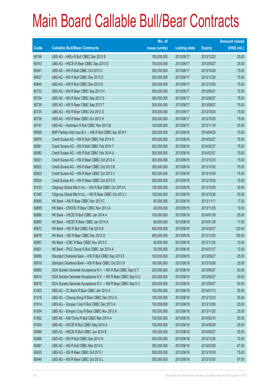|       |                                                                | No. of        |                     |               | <b>Amount raised</b> |
|-------|----------------------------------------------------------------|---------------|---------------------|---------------|----------------------|
| Code  | <b>Callable Bull/Bear Contracts</b>                            | issue (units) | <b>Listing date</b> | <b>Expiry</b> | (HK\$ mil.)          |
| 60746 | UBS AG - HKEx R Bull CBBC Dec 2013 B                           | 100,000,000   | 2013/06/17          | 2013/12/23    | 25.00                |
| 60743 | UBS AG - HSCEI R Bear CBBC Sep 2013 D                          | 100,000,000   | 2013/06/17          | 2013/09/27    | 25.00                |
| 60641 | UBS AG - HSI R Bull CBBC Oct 2013 C                            | 300,000,000   | 2013/06/17          | 2013/10/30    | 75.00                |
| 60637 | UBS AG - HSI R Bull CBBC Dec 2013 D                            | 300,000,000   | 2013/06/17          | 2013/12/30    | 75.00                |
| 60640 | UBS AG - HSI R Bull CBBC Dec 2013 E                            | 300,000,000   | 2013/06/17          | 2013/12/30    | 75.00                |
| 60733 | UBS AG - HSI R Bear CBBC Sep 2013 H                            | 300,000,000   | 2013/06/17          | 2013/09/27    | 75.00                |
| 60734 | UBS AG - HSI R Bear CBBC Sep 2013 S                            | 300,000,000   | 2013/06/17          | 2013/09/27    | 75.00                |
| 60739 | UBS AG - HSI R Bear CBBC Sep 2013 T                            | 300,000,000   | 2013/06/17          | 2013/09/27    | 75.00                |
| 60735 | UBS AG - HSI R Bear CBBC Oct 2013 G                            | 300,000,000   | 2013/06/17          | 2013/10/30    | 75.00                |
| 60736 | UBS AG - HSI R Bear CBBC Oct 2013 H                            | 300,000,000   | 2013/06/17          | 2013/10/30    | 75.00                |
| 60747 | UBS AG - Hutchison R Bull CBBC Nov 2013 B                      | 100,000,000   | 2013/06/17          | 2013/11/18    | 25.00                |
| 60956 | BNP Paribas Arbit Issu B.V. - HSI R Bull CBBC Apr 2014 F       | 300,000,000   | 2013/06/18          | 2014/04/29    | 75.00                |
| 60976 | Credit Suisse AG - HSI R Bull CBBC Feb 2014 S                  | 300,000,000   | 2013/06/18          | 2014/02/27    | 75.00                |
| 60981 | Credit Suisse AG - HSI R Bull CBBC Feb 2014 T                  | 300,000,000   | 2013/06/18          | 2014/02/27    | 75.00                |
| 60982 | Credit Suisse AG - HSI R Bull CBBC Feb 2014 U                  | 300,000,000   | 2013/06/18          | 2014/02/27    | 75.00                |
| 60921 | Credit Suisse AG - HSI R Bear CBBC Oct 2013 A                  | 300,000,000   | 2013/06/18          | 2013/10/30    | 75.00                |
| 60922 | Credit Suisse AG - HSI R Bear CBBC Oct 2013 B                  | 300,000,000   | 2013/06/18          | 2013/10/30    | 75.00                |
| 60923 | Credit Suisse AG - HSI R Bear CBBC Oct 2013 C                  | 300,000,000   | 2013/06/18          | 2013/10/30    | 75.00                |
| 60924 | Credit Suisse AG - HSI R Bear CBBC Oct 2013 D                  | 300,000,000   | 2013/06/18          | 2013/10/30    | 75.00                |
| 61033 | Citigroup Global Mkt H Inc. - HSI R Bull CBBC Oct 2013 K       | 120,000,000   | 2013/06/18          | 2013/10/30    | 30.00                |
| 61045 | Citigroup Global Mkt H Inc. - HSI R Bear CBBC Oct 2013 J       | 120,000,000   | 2013/06/18          | 2013/10/30    | 30.00                |
| 60895 | HK Bank - AIA R Bear CBBC Nov 2013 C                           | 50,000,000    | 2013/06/18          | 2013/11/11    | 17.50                |
| 60898 | HK Bank - CNOOC R Bear CBBC Nov 2013 A                         | 40,000,000    | 2013/06/18          | 2013/11/25    | 10.00                |
| 60886 | HK Bank - HSCEI R Bull CBBC Jan 2014 A                         | 100,000,000   | 2013/06/18          | 2014/01/29    | 25.00                |
| 60885 | HK Bank - HSCEI R Bear CBBC Jan 2014 A                         | 68,000,000    | 2013/06/18          | 2014/01/29    | 17.00                |
| 60872 | HK Bank - HSI R Bull CBBC Feb 2014 B                           | 400,000,000   | 2013/06/18          | 2014/02/27    | 120.00               |
| 60878 | HK Bank - HSI R Bear CBBC Dec 2013 G                           | 400,000,000   | 2013/06/18          | 2013/12/30    | 100.00               |
| 60887 | HK Bank - ICBC R Bear CBBC Nov 2013 C                          | 40,000,000    | 2013/06/18          | 2013/11/25    | 10.00                |
| 60901 | HK Bank - PICC Group R Bull CBBC Jan 2014 A                    | 50,000,000    | 2013/06/18          | 2014/01/27    | 12.50                |
| 60969 | Standard Chartered Bank - HSI R Bull CBBC Sep 2013 E           | 100,000,000   | 2013/06/18          | 2013/09/27    | 25.00                |
| 60919 | Standard Chartered Bank - HSI R Bear CBBC Oct 2013 K           | 100,000,000   | 2013/06/18          | 2013/10/30    | 25.00                |
| 60950 | SGA Societe Generale Acceptance N.V. - HSI R Bull CBBC Sep13 T | 200,000,000   | 2013/06/18          | 2013/09/27    | 50.00                |
| 60914 | SGA Societe Generale Acceptance N.V. - HSI R Bear CBBC Sep13 U | 200,000,000   | 2013/06/18          | 2013/09/27    | 50.00                |
| 60918 | SGA Societe Generale Acceptance N.V. - HSI R Bear CBBC Sep13 V | 200,000,000   | 2013/06/18          | 2013/09/27    | 50.00                |
| 61003 | UBS AG - CC Bank R Bear CBBC Jan 2014 A                        | 100,000,000   | 2013/06/18          | 2014/01/13    | 25.00                |
| 61018 | UBS AG - Cheung Kong R Bear CBBC Dec 2013 A                    | 100,000,000   | 2013/06/18          | 2013/12/23    | 25.00                |
| 61014 | UBS AG - Sinopec Corp R Bull CBBC Dec 2013 A                   | 100,000,000   | 2013/06/18          | 2013/12/09    | 25.00                |
| 61004 | UBS AG - Sinopec Corp R Bear CBBC Nov 2013 A                   | 100,000,000   | 2013/06/18          | 2013/11/25    | 25.00                |
| 61002 | UBS AG - A50 China R Bull CBBC Mar 2014 A                      | 100,000,000   | 2013/06/18          | 2014/03/10    | 25.00                |
| 61000 | UBS AG - HSCEI R Bull CBBC May 2014 A                          | 100,000,000   | 2013/06/18          | 2014/05/29    | 25.00                |
| 60996 | UBS AG - HSCEI R Bull CBBC Jun 2014 B                          | 100,000,000   | 2013/06/18          | 2014/06/27    | 25.00                |
| 60986 | UBS AG - HSI R Bull CBBC Dec 2013 H                            | 300,000,000   | 2013/06/18          | 2013/12/30    | 75.00                |
| 60987 | UBS AG - HSI R Bull CBBC Mar 2014 X                            | 350,000,000   | 2013/06/18          | 2014/03/28    | 87.50                |
| 60925 | UBS AG - HSI R Bear CBBC Oct 2013 I                            | 300,000,000   | 2013/06/18          | 2013/10/30    | 75.00                |
| 60949 | UBS AG - HSI R Bear CBBC Oct 2013 L                            | 350,000,000   | 2013/06/18          | 2013/10/30    | 87.50                |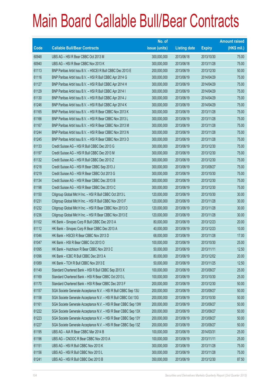|       |                                                                | No. of        |                     |               | <b>Amount raised</b> |
|-------|----------------------------------------------------------------|---------------|---------------------|---------------|----------------------|
| Code  | <b>Callable Bull/Bear Contracts</b>                            | issue (units) | <b>Listing date</b> | <b>Expiry</b> | $(HK$$ mil.)         |
| 60948 | UBS AG - HSI R Bear CBBC Oct 2013 M                            | 300,000,000   | 2013/06/18          | 2013/10/30    | 75.00                |
| 60940 | UBS AG - HSI R Bear CBBC Nov 2013 K                            | 300,000,000   | 2013/06/18          | 2013/11/28    | 75.00                |
| 61113 | BNP Paribas Arbit Issu B.V. - HSCEI R Bull CBBC Dec 2013 E     | 200,000,000   | 2013/06/19          | 2013/12/30    | 50.00                |
| 61116 | BNP Paribas Arbit Issu B.V. - HSI R Bull CBBC Apr 2014 G       | 300,000,000   | 2013/06/19          | 2014/04/29    | 75.00                |
| 61127 | BNP Paribas Arbit Issu B.V. - HSI R Bull CBBC Apr 2014 H       | 300,000,000   | 2013/06/19          | 2014/04/29    | 75.00                |
| 61129 | BNP Paribas Arbit Issu B.V. - HSI R Bull CBBC Apr 2014 I       | 300,000,000   | 2013/06/19          | 2014/04/29    | 75.00                |
| 61130 | BNP Paribas Arbit Issu B.V. - HSI R Bull CBBC Apr 2014 J       | 300,000,000   | 2013/06/19          | 2014/04/29    | 75.00                |
| 61246 | BNP Paribas Arbit Issu B.V. - HSI R Bull CBBC Apr 2014 K       | 300,000,000   | 2013/06/19          | 2014/04/29    | 75.00                |
| 61165 | BNP Paribas Arbit Issu B.V. - HSI R Bear CBBC Nov 2013 K       | 300,000,000   | 2013/06/19          | 2013/11/28    | 75.00                |
| 61166 | BNP Paribas Arbit Issu B.V. - HSI R Bear CBBC Nov 2013 L       | 300,000,000   | 2013/06/19          | 2013/11/28    | 75.00                |
| 61167 | BNP Paribas Arbit Issu B.V. - HSI R Bear CBBC Nov 2013 M       | 300,000,000   | 2013/06/19          | 2013/11/28    | 75.00                |
| 61244 | BNP Paribas Arbit Issu B.V. - HSI R Bear CBBC Nov 2013 N       | 300,000,000   | 2013/06/19          | 2013/11/28    | 75.00                |
| 61245 | BNP Paribas Arbit Issu B.V. - HSI R Bear CBBC Nov 2013 O       | 300,000,000   | 2013/06/19          | 2013/11/28    | 75.00                |
| 61133 | Credit Suisse AG - HSI R Bull CBBC Dec 2013 G                  | 300,000,000   | 2013/06/19          | 2013/12/30    | 75.00                |
| 61197 | Credit Suisse AG - HSI R Bull CBBC Dec 2013 M                  | 300,000,000   | 2013/06/19          | 2013/12/30    | 75.00                |
| 61132 | Credit Suisse AG - HSI R Bull CBBC Dec 2013 Z                  | 300,000,000   | 2013/06/19          | 2013/12/30    | 75.00                |
| 61218 | Credit Suisse AG - HSI R Bear CBBC Sep 2013 J                  | 300,000,000   | 2013/06/19          | 2013/09/27    | 75.00                |
| 61219 | Credit Suisse AG - HSI R Bear CBBC Oct 2013 G                  | 300,000,000   | 2013/06/19          | 2013/10/30    | 75.00                |
| 61134 | Credit Suisse AG - HSI R Bear CBBC Dec 2013 B                  | 300,000,000   | 2013/06/19          | 2013/12/30    | 75.00                |
| 61198 | Credit Suisse AG - HSI R Bear CBBC Dec 2013 C                  | 300,000,000   | 2013/06/19          | 2013/12/30    | 75.00                |
| 61150 | Citigroup Global Mkt H Inc. - HSI R Bull CBBC Oct 2013 L       | 120,000,000   | 2013/06/19          | 2013/10/30    | 30.00                |
| 61231 | Citigroup Global Mkt H Inc. - HSI R Bull CBBC Nov 2013 F       | 120,000,000   | 2013/06/19          | 2013/11/28    | 30.00                |
| 61232 | Citigroup Global Mkt H Inc. - HSI R Bear CBBC Nov 2013 D       | 120,000,000   | 2013/06/19          | 2013/11/28    | 30.00                |
| 61236 | Citigroup Global Mkt H Inc. - HSI R Bear CBBC Nov 2013 E       | 120,000,000   | 2013/06/19          | 2013/11/28    | 30.00                |
| 61102 | HK Bank - Sinopec Corp R Bull CBBC Dec 2013 A                  | 80,000,000    | 2013/06/19          | 2013/12/23    | 20.00                |
| 61112 | HK Bank - Sinopec Corp R Bear CBBC Dec 2013 A                  | 40,000,000    | 2013/06/19          | 2013/12/23    | 10.00                |
| 61046 | HK Bank - HSCEI R Bear CBBC Nov 2013 D                         | 68,000,000    | 2013/06/19          | 2013/11/28    | 17.00                |
| 61047 | HK Bank - HSI R Bear CBBC Oct 2013 O                           | 100,000,000   | 2013/06/19          | 2013/10/30    | 25.00                |
| 61095 | HK Bank - Hutchison R Bear CBBC Nov 2013 C                     | 50,000,000    | 2013/06/19          | 2013/11/11    | 12.50                |
| 61096 | HK Bank - ICBC R Bull CBBC Dec 2013 A                          | 80,000,000    | 2013/06/19          | 2013/12/02    | 20.00                |
| 61089 | HK Bank - TCH R Bull CBBC Nov 2013 E                           | 50,000,000    | 2013/06/19          | 2013/11/25    | 12.50                |
| 61149 | Standard Chartered Bank - HSI R Bull CBBC Sep 2013 X           | 100,000,000   | 2013/06/19          | 2013/09/27    | 25.00                |
| 61169 | Standard Chartered Bank - HSI R Bear CBBC Oct 2013 L           | 100,000,000   | 2013/06/19          | 2013/10/30    | 25.00                |
| 61170 | Standard Chartered Bank - HSI R Bear CBBC Dec 2013 F           | 200,000,000   | 2013/06/19          | 2013/12/30    | 50.00                |
| 61157 | SGA Societe Generale Acceptance N.V. - HSI R Bull CBBC Sep 13U | 200,000,000   | 2013/06/19          | 2013/09/27    | 50.00                |
| 61158 | SGA Societe Generale Acceptance N.V. - HSI R Bull CBBC Oct 13G | 200,000,000   | 2013/06/19          | 2013/10/30    | 50.00                |
| 61161 | SGA Societe Generale Acceptance N.V. - HSI R Bear CBBC Sep 13W | 200,000,000   | 2013/06/19          | 2013/09/27    | 50.00                |
| 61222 | SGA Societe Generale Acceptance N.V. - HSI R Bear CBBC Sep 13X | 200,000,000   | 2013/06/19          | 2013/09/27    | 50.00                |
| 61223 | SGA Societe Generale Acceptance N.V. - HSI R Bear CBBC Sep 13Y | 200,000,000   | 2013/06/19          | 2013/09/27    | 50.00                |
| 61227 | SGA Societe Generale Acceptance N.V. - HSI R Bear CBBC Sep 13Z | 200,000,000   | 2013/06/19          | 2013/09/27    | 50.00                |
| 61195 | UBS AG - AIA R Bear CBBC Mar 2014 B                            | 100,000,000   | 2013/06/19          | 2014/03/31    | 25.00                |
| 61196 | UBS AG - CNOOC R Bear CBBC Nov 2013 A                          | 100,000,000   | 2013/06/19          | 2013/11/11    | 25.00                |
| 61151 | UBS AG - HSI R Bull CBBC Nov 2013 K                            | 300,000,000   | 2013/06/19          | 2013/11/28    | 75.00                |
| 61156 | UBS AG - HSI R Bull CBBC Nov 2013 L                            | 300,000,000   | 2013/06/19          | 2013/11/28    | 75.00                |
| 61241 | UBS AG - HSI R Bull CBBC Dec 2013 B                            | 350,000,000   | 2013/06/19          | 2013/12/30    | 87.50                |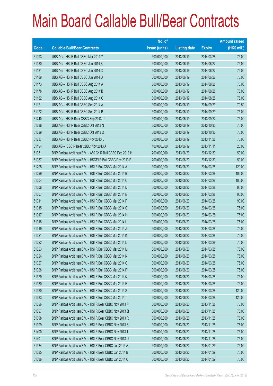|       |                                                             | No. of        |                     |               | <b>Amount raised</b> |
|-------|-------------------------------------------------------------|---------------|---------------------|---------------|----------------------|
| Code  | <b>Callable Bull/Bear Contracts</b>                         | issue (units) | <b>Listing date</b> | <b>Expiry</b> | $(HK$$ mil.)         |
| 61193 | UBS AG - HSI R Bull CBBC Mar 2014 Y                         | 300,000,000   | 2013/06/19          | 2014/03/28    | 75.00                |
| 61180 | UBS AG - HSI R Bull CBBC Jun 2014 B                         | 300,000,000   | 2013/06/19          | 2014/06/27    | 75.00                |
| 61181 | UBS AG - HSI R Bull CBBC Jun 2014 C                         | 300,000,000   | 2013/06/19          | 2014/06/27    | 75.00                |
| 61189 | UBS AG - HSI R Bull CBBC Jun 2014 D                         | 300,000,000   | 2013/06/19          | 2014/06/27    | 75.00                |
| 61173 | UBS AG - HSI R Bull CBBC Aug 2014 A                         | 300,000,000   | 2013/06/19          | 2014/08/28    | 75.00                |
| 61178 | UBS AG - HSI R Bull CBBC Aug 2014 B                         | 300,000,000   | 2013/06/19          | 2014/08/28    | 75.00                |
| 61182 | UBS AG - HSI R Bull CBBC Aug 2014 C                         | 300,000,000   | 2013/06/19          | 2014/08/28    | 75.00                |
| 61171 | UBS AG - HSI R Bull CBBC Sep 2014 A                         | 300,000,000   | 2013/06/19          | 2014/09/29    | 79.50                |
| 61172 | UBS AG - HSI R Bull CBBC Sep 2014 B                         | 300,000,000   | 2013/06/19          | 2014/09/29    | 75.00                |
| 61240 | UBS AG - HSI R Bear CBBC Sep 2013 U                         | 300,000,000   | 2013/06/19          | 2013/09/27    | 75.00                |
| 61238 | UBS AG - HSI R Bear CBBC Oct 2013 N                         | 300,000,000   | 2013/06/19          | 2013/10/30    | 75.00                |
| 61239 | UBS AG - HSI R Bear CBBC Oct 2013 O                         | 300,000,000   | 2013/06/19          | 2013/10/30    | 75.00                |
| 61237 | UBS AG - HSI R Bear CBBC Nov 2013 L                         | 300,000,000   | 2013/06/19          | 2013/11/28    | 75.00                |
| 61194 | UBS AG - ICBC R Bear CBBC Nov 2013 A                        | 100,000,000   | 2013/06/19          | 2013/11/11    | 25.00                |
| 61331 | BNP Paribas Arbit Issu B.V. - A50 Ch R Bull CBBC Dec 2013 H | 200,000,000   | 2013/06/20          | 2013/12/30    | 50.00                |
| 61337 | BNP Paribas Arbit Issu B.V. - HSCEI R Bull CBBC Dec 2013 F  | 200,000,000   | 2013/06/20          | 2013/12/30    | 50.00                |
| 61295 | BNP Paribas Arbit Issu B.V. - HSI R Bull CBBC Mar 2014 A    | 300,000,000   | 2013/06/20          | 2014/03/28    | 120.00               |
| 61299 | BNP Paribas Arbit Issu B.V. - HSI R Bull CBBC Mar 2014 B    | 300,000,000   | 2013/06/20          | 2014/03/28    | 105.00               |
| 61304 | BNP Paribas Arbit Issu B.V. - HSI R Bull CBBC Mar 2014 C    | 300,000,000   | 2013/06/20          | 2014/03/28    | 105.00               |
| 61306 | BNP Paribas Arbit Issu B.V. - HSI R Bull CBBC Mar 2014 D    | 300,000,000   | 2013/06/20          | 2014/03/28    | 90.00                |
| 61307 | BNP Paribas Arbit Issu B.V. - HSI R Bull CBBC Mar 2014 E    | 300,000,000   | 2013/06/20          | 2014/03/28    | 90.00                |
| 61311 | BNP Paribas Arbit Issu B.V. - HSI R Bull CBBC Mar 2014 F    | 300,000,000   | 2013/06/20          | 2014/03/28    | 90.00                |
| 61315 | BNP Paribas Arbit Issu B.V. - HSI R Bull CBBC Mar 2014 G    | 300,000,000   | 2013/06/20          | 2014/03/28    | 75.00                |
| 61317 | BNP Paribas Arbit Issu B.V. - HSI R Bull CBBC Mar 2014 H    | 300,000,000   | 2013/06/20          | 2014/03/28    | 75.00                |
| 61318 | BNP Paribas Arbit Issu B.V. - HSI R Bull CBBC Mar 2014 I    | 300,000,000   | 2013/06/20          | 2014/03/28    | 75.00                |
| 61319 | BNP Paribas Arbit Issu B.V. - HSI R Bull CBBC Mar 2014 J    | 300,000,000   | 2013/06/20          | 2014/03/28    | 75.00                |
| 61321 | BNP Paribas Arbit Issu B.V. - HSI R Bull CBBC Mar 2014 K    | 300,000,000   | 2013/06/20          | 2014/03/28    | 75.00                |
| 61322 | BNP Paribas Arbit Issu B.V. - HSI R Bull CBBC Mar 2014 L    | 300,000,000   | 2013/06/20          | 2014/03/28    | 75.00                |
| 61323 | BNP Paribas Arbit Issu B.V. - HSI R Bull CBBC Mar 2014 M    | 300,000,000   | 2013/06/20          | 2014/03/28    | 75.00                |
| 61324 | BNP Paribas Arbit Issu B.V. - HSI R Bull CBBC Mar 2014 N    | 300,000,000   | 2013/06/20          | 2014/03/28    | 75.00                |
| 61327 | BNP Paribas Arbit Issu B.V. - HSI R Bull CBBC Mar 2014 O    | 300,000,000   | 2013/06/20          | 2014/03/28    | 75.00                |
| 61328 | BNP Paribas Arbit Issu B.V. - HSI R Bull CBBC Mar 2014 P    | 300,000,000   | 2013/06/20          | 2014/03/28    | 75.00                |
| 61329 | BNP Paribas Arbit Issu B.V. - HSI R Bull CBBC Mar 2014 Q    | 300,000,000   | 2013/06/20          | 2014/03/28    | 75.00                |
| 61330 | BNP Paribas Arbit Issu B.V. - HSI R Bull CBBC Mar 2014 R    | 300,000,000   | 2013/06/20          | 2014/03/28    | 75.00                |
| 61380 | BNP Paribas Arbit Issu B.V. - HSI R Bull CBBC Mar 2014 S    | 300,000,000   | 2013/06/20          | 2014/03/28    | 120.00               |
| 61383 | BNP Paribas Arbit Issu B.V. - HSI R Bull CBBC Mar 2014 T    | 300,000,000   | 2013/06/20          | 2014/03/28    | 120.00               |
| 61396 | BNP Paribas Arbit Issu B.V. - HSI R Bear CBBC Nov 2013 P    | 300,000,000   | 2013/06/20          | 2013/11/28    | 75.00                |
| 61397 | BNP Paribas Arbit Issu B.V. - HSI R Bear CBBC Nov 2013 Q    | 300,000,000   | 2013/06/20          | 2013/11/28    | 75.00                |
| 61398 | BNP Paribas Arbit Issu B.V. - HSI R Bear CBBC Nov 2013 R    | 300,000,000   | 2013/06/20          | 2013/11/28    | 75.00                |
| 61399 | BNP Paribas Arbit Issu B.V. - HSI R Bear CBBC Nov 2013 S    | 300,000,000   | 2013/06/20          | 2013/11/28    | 75.00                |
| 61400 | BNP Paribas Arbit Issu B.V. - HSI R Bear CBBC Nov 2013 T    | 300,000,000   | 2013/06/20          | 2013/11/28    | 75.00                |
| 61401 | BNP Paribas Arbit Issu B.V. - HSI R Bear CBBC Nov 2013 U    | 300,000,000   | 2013/06/20          | 2013/11/28    | 75.00                |
| 61384 | BNP Paribas Arbit Issu B.V. - HSI R Bear CBBC Jan 2014 A    | 300,000,000   | 2013/06/20          | 2014/01/29    | 75.00                |
| 61385 | BNP Paribas Arbit Issu B.V. - HSI R Bear CBBC Jan 2014 B    | 300,000,000   | 2013/06/20          | 2014/01/29    | 75.00                |
| 61386 | BNP Paribas Arbit Issu B.V. - HSI R Bear CBBC Jan 2014 C    | 300,000,000   | 2013/06/20          | 2014/01/29    | 75.00                |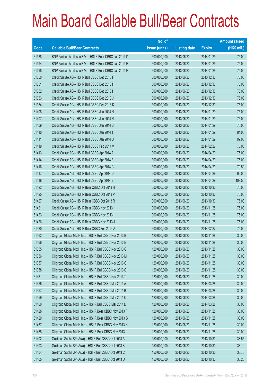|       |                                                          | No. of        |                     |               | <b>Amount raised</b> |
|-------|----------------------------------------------------------|---------------|---------------------|---------------|----------------------|
| Code  | <b>Callable Bull/Bear Contracts</b>                      | issue (units) | <b>Listing date</b> | <b>Expiry</b> | (HK\$ mil.)          |
| 61388 | BNP Paribas Arbit Issu B.V. - HSI R Bear CBBC Jan 2014 D | 300,000,000   | 2013/06/20          | 2014/01/29    | 75.00                |
| 61394 | BNP Paribas Arbit Issu B.V. - HSI R Bear CBBC Jan 2014 E | 300,000,000   | 2013/06/20          | 2014/01/29    | 75.00                |
| 61395 | BNP Paribas Arbit Issu B.V. - HSI R Bear CBBC Jan 2014 F | 300,000,000   | 2013/06/20          | 2014/01/29    | 75.00                |
| 61350 | Credit Suisse AG - HSI R Bull CBBC Dec 2013 F            | 300,000,000   | 2013/06/20          | 2013/12/30    | 75.00                |
| 61351 | Credit Suisse AG - HSI R Bull CBBC Dec 2013 H            | 300,000,000   | 2013/06/20          | 2013/12/30    | 75.00                |
| 61352 | Credit Suisse AG - HSI R Bull CBBC Dec 2013 I            | 300,000,000   | 2013/06/20          | 2013/12/30    | 75.00                |
| 61353 | Credit Suisse AG - HSI R Bull CBBC Dec 2013 J            | 300,000,000   | 2013/06/20          | 2013/12/30    | 75.00                |
| 61354 | Credit Suisse AG - HSI R Bull CBBC Dec 2013 K            | 300,000,000   | 2013/06/20          | 2013/12/30    | 75.00                |
| 61408 | Credit Suisse AG - HSI R Bull CBBC Jan 2014 N            | 300,000,000   | 2013/06/20          | 2014/01/29    | 75.00                |
| 61407 | Credit Suisse AG - HSI R Bull CBBC Jan 2014 R            | 300,000,000   | 2013/06/20          | 2014/01/29    | 75.00                |
| 61409 | Credit Suisse AG - HSI R Bull CBBC Jan 2014 S            | 300,000,000   | 2013/06/20          | 2014/01/29    | 75.00                |
| 61410 | Credit Suisse AG - HSI R Bull CBBC Jan 2014 T            | 300,000,000   | 2013/06/20          | 2014/01/29    | 84.00                |
| 61411 | Credit Suisse AG - HSI R Bull CBBC Jan 2014 U            | 300,000,000   | 2013/06/20          | 2014/01/29    | 99.00                |
| 61419 | Credit Suisse AG - HSI R Bull CBBC Feb 2014 V            | 300,000,000   | 2013/06/20          | 2014/02/27    | 75.00                |
| 61413 | Credit Suisse AG - HSI R Bull CBBC Apr 2014 A            | 300,000,000   | 2013/06/20          | 2014/04/29    | 75.00                |
| 61414 | Credit Suisse AG - HSI R Bull CBBC Apr 2014 B            | 300,000,000   | 2013/06/20          | 2014/04/29    | 75.00                |
| 61416 | Credit Suisse AG - HSI R Bull CBBC Apr 2014 C            | 300,000,000   | 2013/06/20          | 2014/04/29    | 79.50                |
| 61417 | Credit Suisse AG - HSI R Bull CBBC Apr 2014 D            | 300,000,000   | 2013/06/20          | 2014/04/29    | 96.00                |
| 61418 | Credit Suisse AG - HSI R Bull CBBC Apr 2014 E            | 300,000,000   | 2013/06/20          | 2014/04/29    | 109.50               |
| 61422 | Credit Suisse AG - HSI R Bear CBBC Oct 2013 H            | 300,000,000   | 2013/06/20          | 2013/10/30    | 75.00                |
| 61425 | Credit Suisse AG - HSI R Bear CBBC Oct 2013 P            | 300,000,000   | 2013/06/20          | 2013/10/30    | 75.00                |
| 61427 | Credit Suisse AG - HSI R Bear CBBC Oct 2013 R            | 300,000,000   | 2013/06/20          | 2013/10/30    | 75.00                |
| 61421 | Credit Suisse AG - HSI R Bear CBBC Nov 2013 H            | 300,000,000   | 2013/06/20          | 2013/11/28    | 75.00                |
| 61423 | Credit Suisse AG - HSI R Bear CBBC Nov 2013 I            | 300,000,000   | 2013/06/20          | 2013/11/28    | 75.00                |
| 61426 | Credit Suisse AG - HSI R Bear CBBC Nov 2013 J            | 300,000,000   | 2013/06/20          | 2013/11/28    | 75.00                |
| 61420 | Credit Suisse AG - HSI R Bear CBBC Feb 2014 A            | 300,000,000   | 2013/06/20          | 2014/02/27    | 75.00                |
| 61462 | Citigroup Global Mkt H Inc. - HSI R Bull CBBC Nov 2013 B | 120,000,000   | 2013/06/20          | 2013/11/28    | 30.00                |
| 61466 | Citigroup Global Mkt H Inc. - HSI R Bull CBBC Nov 2013 E | 120,000,000   | 2013/06/20          | 2013/11/28    | 30.00                |
| 61355 | Citigroup Global Mkt H Inc. - HSI R Bull CBBC Nov 2013 G | 120,000,000   | 2013/06/20          | 2013/11/28    | 30.00                |
| 61356 | Citigroup Global Mkt H Inc. - HSI R Bull CBBC Nov 2013 M | 120,000,000   | 2013/06/20          | 2013/11/28    | 30.00                |
| 61357 | Citigroup Global Mkt H Inc. - HSI R Bull CBBC Nov 2013 O | 120,000,000   | 2013/06/20          | 2013/11/28    | 30.00                |
| 61358 | Citigroup Global Mkt H Inc. - HSI R Bull CBBC Nov 2013 Q | 120,000,000   | 2013/06/20          | 2013/11/28    | 30.00                |
| 61461 | Citigroup Global Mkt H Inc. - HSI R Bull CBBC Nov 2013 T | 120,000,000   | 2013/06/20          | 2013/11/28    | 30.00                |
| 61456 | Citigroup Global Mkt H Inc. - HSI R Bull CBBC Mar 2014 A | 120,000,000   | 2013/06/20          | 2014/03/28    | 30.00                |
| 61457 | Citigroup Global Mkt H Inc. - HSI R Bull CBBC Mar 2014 B | 120,000,000   | 2013/06/20          | 2014/03/28    | 30.00                |
| 61459 | Citigroup Global Mkt H Inc. - HSI R Bull CBBC Mar 2014 C | 120,000,000   | 2013/06/20          | 2014/03/28    | 30.00                |
| 61460 | Citigroup Global Mkt H Inc. - HSI R Bull CBBC Mar 2014 D | 120,000,000   | 2013/06/20          | 2014/03/28    | 30.00                |
| 61428 | Citigroup Global Mkt H Inc. - HSI R Bear CBBC Nov 2013 F | 120,000,000   | 2013/06/20          | 2013/11/28    | 30.00                |
| 61429 | Citigroup Global Mkt H Inc. - HSI R Bear CBBC Nov 2013 G | 120,000,000   | 2013/06/20          | 2013/11/28    | 30.00                |
| 61467 | Citigroup Global Mkt H Inc. - HSI R Bear CBBC Nov 2013 H | 120,000,000   | 2013/06/20          | 2013/11/28    | 30.00                |
| 61468 | Citigroup Global Mkt H Inc. - HSI R Bear CBBC Nov 2013 I | 120,000,000   | 2013/06/20          | 2013/11/28    | 30.00                |
| 61402 | Goldman Sachs SP (Asia) - HSI R Bull CBBC Oct 2013 A     | 150,000,000   | 2013/06/20          | 2013/10/30    | 38.55                |
| 61403 | Goldman Sachs SP (Asia) - HSI R Bull CBBC Oct 2013 B     | 150,000,000   | 2013/06/20          | 2013/10/30    | 38.10                |
| 61404 | Goldman Sachs SP (Asia) - HSI R Bull CBBC Oct 2013 C     | 150,000,000   | 2013/06/20          | 2013/10/30    | 38.70                |
| 61405 | Goldman Sachs SP (Asia) - HSI R Bull CBBC Oct 2013 D     | 150,000,000   | 2013/06/20          | 2013/10/30    | 38.25                |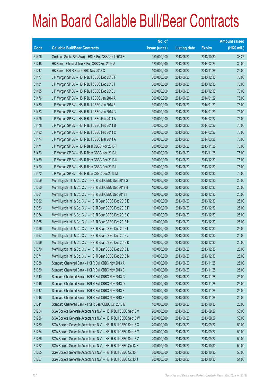|       |                                                                | No. of        |                     |               | <b>Amount raised</b> |
|-------|----------------------------------------------------------------|---------------|---------------------|---------------|----------------------|
| Code  | <b>Callable Bull/Bear Contracts</b>                            | issue (units) | <b>Listing date</b> | <b>Expiry</b> | (HK\$ mil.)          |
| 61406 | Goldman Sachs SP (Asia) - HSI R Bull CBBC Oct 2013 E           | 150,000,000   | 2013/06/20          | 2013/10/30    | 38.25                |
| 61248 | HK Bank - China Mobile R Bull CBBC Feb 2014 A                  | 120,000,000   | 2013/06/20          | 2014/02/24    | 30.00                |
| 61247 | HK Bank - HSI R Bear CBBC Nov 2013 Q                           | 100,000,000   | 2013/06/20          | 2013/11/28    | 25.00                |
| 61477 | J P Morgan SP BV - HSI R Bull CBBC Dec 2013 F                  | 300,000,000   | 2013/06/20          | 2013/12/30    | 75.00                |
| 61481 | J P Morgan SP BV - HSI R Bull CBBC Dec 2013 I                  | 300,000,000   | 2013/06/20          | 2013/12/30    | 75.00                |
| 61485 | J P Morgan SP BV - HSI R Bull CBBC Dec 2013 J                  | 300,000,000   | 2013/06/20          | 2013/12/30    | 75.00                |
| 61476 | J P Morgan SP BV - HSI R Bull CBBC Jan 2014 A                  | 300,000,000   | 2013/06/20          | 2014/01/29    | 75.00                |
| 61480 | J P Morgan SP BV - HSI R Bull CBBC Jan 2014 B                  | 300,000,000   | 2013/06/20          | 2014/01/29    | 75.00                |
| 61483 | J P Morgan SP BV - HSI R Bull CBBC Jan 2014 C                  | 300,000,000   | 2013/06/20          | 2014/01/29    | 75.00                |
| 61475 | J P Morgan SP BV - HSI R Bull CBBC Feb 2014 A                  | 300,000,000   | 2013/06/20          | 2014/02/27    | 75.00                |
| 61478 | J P Morgan SP BV - HSI R Bull CBBC Feb 2014 B                  | 300,000,000   | 2013/06/20          | 2014/02/27    | 75.00                |
| 61482 | J P Morgan SP BV - HSI R Bull CBBC Feb 2014 C                  | 300,000,000   | 2013/06/20          | 2014/02/27    | 75.00                |
| 61474 | J P Morgan SP BV - HSI R Bull CBBC Mar 2014 A                  | 300,000,000   | 2013/06/20          | 2014/03/28    | 75.00                |
| 61471 | J P Morgan SP BV - HSI R Bear CBBC Nov 2013 T                  | 300,000,000   | 2013/06/20          | 2013/11/28    | 75.00                |
| 61473 | J P Morgan SP BV - HSI R Bear CBBC Nov 2013 U                  | 300,000,000   | 2013/06/20          | 2013/11/28    | 75.00                |
| 61469 | J P Morgan SP BV - HSI R Bear CBBC Dec 2013 K                  | 300,000,000   | 2013/06/20          | 2013/12/30    | 75.00                |
| 61470 | J P Morgan SP BV - HSI R Bear CBBC Dec 2013 L                  | 300,000,000   | 2013/06/20          | 2013/12/30    | 75.00                |
| 61472 | J P Morgan SP BV - HSI R Bear CBBC Dec 2013 M                  | 300,000,000   | 2013/06/20          | 2013/12/30    | 75.00                |
| 61359 | Merrill Lynch Int'l & Co. C.V. - HSI R Bull CBBC Dec 2013 G    | 100,000,000   | 2013/06/20          | 2013/12/30    | 25.00                |
| 61360 | Merrill Lynch Int'l & Co. C.V. - HSI R Bull CBBC Dec 2013 H    | 100,000,000   | 2013/06/20          | 2013/12/30    | 25.00                |
| 61361 | Merrill Lynch Int'l & Co. C.V. - HSI R Bull CBBC Dec 2013 I    | 100,000,000   | 2013/06/20          | 2013/12/30    | 25.00                |
| 61362 | Merrill Lynch Int'l & Co. C.V. - HSI R Bear CBBC Dec 2013 E    | 100,000,000   | 2013/06/20          | 2013/12/30    | 25.00                |
| 61363 | Merrill Lynch Int'l & Co. C.V. - HSI R Bear CBBC Dec 2013 F    | 100,000,000   | 2013/06/20          | 2013/12/30    | 25.00                |
| 61364 | Merrill Lynch Int'l & Co. C.V. - HSI R Bear CBBC Dec 2013 G    | 100,000,000   | 2013/06/20          | 2013/12/30    | 25.00                |
| 61365 | Merrill Lynch Int'l & Co. C.V. - HSI R Bear CBBC Dec 2013 H    | 100,000,000   | 2013/06/20          | 2013/12/30    | 25.00                |
| 61366 | Merrill Lynch Int'l & Co. C.V. - HSI R Bear CBBC Dec 2013 I    | 100,000,000   | 2013/06/20          | 2013/12/30    | 25.00                |
| 61367 | Merrill Lynch Int'l & Co. C.V. - HSI R Bear CBBC Dec 2013 J    | 100,000,000   | 2013/06/20          | 2013/12/30    | 25.00                |
| 61369 | Merrill Lynch Int'l & Co. C.V. - HSI R Bear CBBC Dec 2013 K    | 100,000,000   | 2013/06/20          | 2013/12/30    | 25.00                |
| 61370 | Merrill Lynch Int'l & Co. C.V. - HSI R Bear CBBC Dec 2013 L    | 100,000,000   | 2013/06/20          | 2013/12/30    | 25.00                |
| 61371 | Merrill Lynch Int'l & Co. C.V. - HSI R Bear CBBC Dec 2013 M    | 100,000,000   | 2013/06/20          | 2013/12/30    | 25.00                |
| 61338 | Standard Chartered Bank - HSI R Bull CBBC Nov 2013 A           | 100,000,000   | 2013/06/20          | 2013/11/28    | 25.00                |
| 61339 | Standard Chartered Bank - HSI R Bull CBBC Nov 2013 B           | 100,000,000   | 2013/06/20          | 2013/11/28    | 25.00                |
| 61340 | Standard Chartered Bank - HSI R Bull CBBC Nov 2013 C           | 100,000,000   | 2013/06/20          | 2013/11/28    | 25.00                |
| 61346 | Standard Chartered Bank - HSI R Bull CBBC Nov 2013 D           | 100,000,000   | 2013/06/20          | 2013/11/28    | 25.00                |
| 61347 | Standard Chartered Bank - HSI R Bull CBBC Nov 2013 E           | 100,000,000   | 2013/06/20          | 2013/11/28    | 25.00                |
| 61348 | Standard Chartered Bank - HSI R Bull CBBC Nov 2013 F           | 100,000,000   | 2013/06/20          | 2013/11/28    | 25.00                |
| 61341 | Standard Chartered Bank - HSI R Bear CBBC Oct 2013 M           | 100,000,000   | 2013/06/20          | 2013/10/30    | 25.00                |
| 61254 | SGA Societe Generale Acceptance N.V. - HSI R Bull CBBC Sep13 V | 200,000,000   | 2013/06/20          | 2013/09/27    | 50.00                |
| 61256 | SGA Societe Generale Acceptance N.V. - HSI R Bull CBBC Sep13 W | 200,000,000   | 2013/06/20          | 2013/09/27    | 50.00                |
| 61260 | SGA Societe Generale Acceptance N.V. - HSI R Bull CBBC Sep13 X | 200,000,000   | 2013/06/20          | 2013/09/27    | 50.00                |
| 61264 | SGA Societe Generale Acceptance N.V. - HSI R Bull CBBC Sep13 Y | 200,000,000   | 2013/06/20          | 2013/09/27    | 50.00                |
| 61266 | SGA Societe Generale Acceptance N.V. - HSI R Bull CBBC Sep13 Z | 200,000,000   | 2013/06/20          | 2013/09/27    | 50.00                |
| 61262 | SGA Societe Generale Acceptance N.V. - HSI R Bull CBBC Oct13 H | 200,000,000   | 2013/06/20          | 2013/10/30    | 50.00                |
| 61265 | SGA Societe Generale Acceptance N.V. - HSI R Bull CBBC Oct13 I | 200,000,000   | 2013/06/20          | 2013/10/30    | 50.00                |
| 61267 | SGA Societe Generale Acceptance N.V. - HSI R Bull CBBC Oct13 J | 200,000,000   | 2013/06/20          | 2013/10/30    | 51.00                |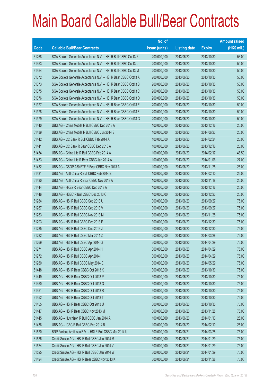|       |                                                                | No. of        |                     |               | <b>Amount raised</b> |
|-------|----------------------------------------------------------------|---------------|---------------------|---------------|----------------------|
| Code  | <b>Callable Bull/Bear Contracts</b>                            | issue (units) | <b>Listing date</b> | <b>Expiry</b> | (HK\$ mil.)          |
| 61268 | SGA Societe Generale Acceptance N.V. - HSI R Bull CBBC Oct13 K | 200,000,000   | 2013/06/20          | 2013/10/30    | 56.00                |
| 61453 | SGA Societe Generale Acceptance N.V. - HSI R Bull CBBC Oct13 L | 200,000,000   | 2013/06/20          | 2013/10/30    | 50.00                |
| 61454 | SGA Societe Generale Acceptance N.V. - HSI R Bull CBBC Oct13 M | 200,000,000   | 2013/06/20          | 2013/10/30    | 50.00                |
| 61372 | SGA Societe Generale Acceptance N.V. - HSI R Bear CBBC Oct13 A | 200,000,000   | 2013/06/20          | 2013/10/30    | 50.00                |
| 61373 | SGA Societe Generale Acceptance N.V. - HSI R Bear CBBC Oct13 B | 200,000,000   | 2013/06/20          | 2013/10/30    | 50.00                |
| 61375 | SGA Societe Generale Acceptance N.V. - HSI R Bear CBBC Oct13 C | 200,000,000   | 2013/06/20          | 2013/10/30    | 50.00                |
| 61376 | SGA Societe Generale Acceptance N.V. - HSI R Bear CBBC Oct13 D | 200,000,000   | 2013/06/20          | 2013/10/30    | 50.00                |
| 61377 | SGA Societe Generale Acceptance N.V. - HSI R Bear CBBC Oct13 E | 200,000,000   | 2013/06/20          | 2013/10/30    | 50.00                |
| 61378 | SGA Societe Generale Acceptance N.V. - HSI R Bear CBBC Oct13 F | 200,000,000   | 2013/06/20          | 2013/10/30    | 50.00                |
| 61379 | SGA Societe Generale Acceptance N.V. - HSI R Bear CBBC Oct13 G | 200,000,000   | 2013/06/20          | 2013/10/30    | 50.00                |
| 61440 | UBS AG - China Mobile R Bull CBBC Dec 2013 A                   | 100,000,000   | 2013/06/20          | 2013/12/16    | 25.00                |
| 61439 | UBS AG - China Mobile R Bull CBBC Jun 2014 B                   | 100,000,000   | 2013/06/20          | 2014/06/23    | 25.00                |
| 61442 | UBS AG - CC Bank R Bull CBBC Feb 2014 A                        | 100,000,000   | 2013/06/20          | 2014/02/24    | 25.00                |
| 61441 | UBS AG - CC Bank R Bear CBBC Dec 2013 A                        | 100,000,000   | 2013/06/20          | 2013/12/16    | 25.00                |
| 61434 | UBS AG - China Life R Bull CBBC Feb 2014 A                     | 100,000,000   | 2013/06/20          | 2014/02/17    | 48.50                |
| 61433 | UBS AG - China Life R Bear CBBC Jan 2014 A                     | 100,000,000   | 2013/06/20          | 2014/01/06    | 27.00                |
| 61432 | UBS AG - CSOP A50 ETF R Bear CBBC Nov 2013 A                   | 100,000,000   | 2013/06/20          | 2013/11/25    | 25.00                |
| 61431 | UBS AG - A50 China R Bull CBBC Feb 2014 B                      | 100,000,000   | 2013/06/20          | 2014/02/10    | 25.00                |
| 61430 | UBS AG - A50 China R Bear CBBC Nov 2013 A                      | 100,000,000   | 2013/06/20          | 2013/11/18    | 25.00                |
| 61444 | UBS AG - HKEx R Bear CBBC Dec 2013 A                           | 100,000,000   | 2013/06/20          | 2013/12/16    | 25.00                |
| 61446 | UBS AG - HSBC R Bull CBBC Dec 2013 C                           | 100,000,000   | 2013/06/20          | 2013/12/23    | 25.00                |
| 61284 | UBS AG - HSI R Bull CBBC Sep 2013 U                            | 300,000,000   | 2013/06/20          | 2013/09/27    | 75.00                |
| 61287 | UBS AG - HSI R Bull CBBC Sep 2013 V                            | 300,000,000   | 2013/06/20          | 2013/09/27    | 75.00                |
| 61283 | UBS AG - HSI R Bull CBBC Nov 2013 M                            | 300,000,000   | 2013/06/20          | 2013/11/28    | 75.00                |
| 61293 | UBS AG - HSI R Bull CBBC Dec 2013 F                            | 300,000,000   | 2013/06/20          | 2013/12/30    | 75.00                |
| 61285 | UBS AG - HSI R Bull CBBC Dec 2013 J                            | 300,000,000   | 2013/06/20          | 2013/12/30    | 75.00                |
| 61282 | UBS AG - HSI R Bull CBBC Mar 2014 Z                            | 300,000,000   | 2013/06/20          | 2014/03/28    | 75.00                |
| 61269 | UBS AG - HSI R Bull CBBC Apr 2014 G                            | 300,000,000   | 2013/06/20          | 2014/04/29    | 75.00                |
| 61271 | UBS AG - HSI R Bull CBBC Apr 2014 H                            | 300,000,000   | 2013/06/20          | 2014/04/29    | 75.00                |
| 61272 | UBS AG - HSI R Bull CBBC Apr 2014 I                            | 300,000,000   | 2013/06/20          | 2014/04/29    | 75.00                |
| 61280 | UBS AG - HSI R Bull CBBC May 2014 E                            | 300,000,000   | 2013/06/20          | 2014/05/29    | 75.00                |
| 61448 | UBS AG - HSI R Bear CBBC Oct 2013 K                            | 300,000,000   | 2013/06/20          | 2013/10/30    | 75.00                |
| 61449 | UBS AG - HSI R Bear CBBC Oct 2013 P                            | 300,000,000   | 2013/06/20          | 2013/10/30    | 75.00                |
| 61450 | UBS AG - HSI R Bear CBBC Oct 2013 Q                            | 300,000,000   | 2013/06/20          | 2013/10/30    | 75.00                |
| 61451 | UBS AG - HSI R Bear CBBC Oct 2013 R                            | 300,000,000   | 2013/06/20          | 2013/10/30    | 75.00                |
| 61452 | UBS AG - HSI R Bear CBBC Oct 2013 T                            | 300,000,000   | 2013/06/20          | 2013/10/30    | 75.00                |
| 61455 | UBS AG - HSI R Bear CBBC Oct 2013 U                            | 300,000,000   | 2013/06/20          | 2013/10/30    | 75.00                |
| 61447 | UBS AG - HSI R Bear CBBC Nov 2013 M                            | 300,000,000   | 2013/06/20          | 2013/11/28    | 75.00                |
| 61445 | UBS AG - Hutchison R Bull CBBC Jan 2014 A                      | 100,000,000   | 2013/06/20          | 2014/01/13    | 25.00                |
| 61436 | UBS AG - ICBC R Bull CBBC Feb 2014 B                           | 100,000,000   | 2013/06/20          | 2014/02/10    | 25.00                |
| 61520 | BNP Paribas Arbit Issu B.V. - HSI R Bull CBBC Mar 2014 U       | 300,000,000   | 2013/06/21          | 2014/03/28    | 75.00                |
| 61526 | Credit Suisse AG - HSI R Bull CBBC Jan 2014 M                  | 300,000,000   | 2013/06/21          | 2014/01/29    | 75.00                |
| 61524 | Credit Suisse AG - HSI R Bull CBBC Jan 2014 V                  | 300,000,000   | 2013/06/21          | 2014/01/29    | 75.00                |
| 61525 | Credit Suisse AG - HSI R Bull CBBC Jan 2014 W                  | 300,000,000   | 2013/06/21          | 2014/01/29    | 75.00                |
| 61494 | Credit Suisse AG - HSI R Bear CBBC Nov 2013 K                  | 300,000,000   | 2013/06/21          | 2013/11/28    | 75.00                |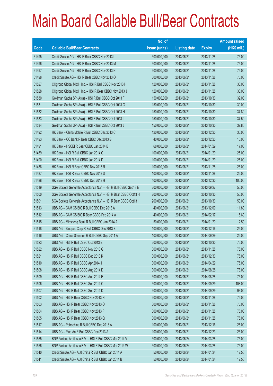|       |                                                                | No. of        |                     |               | <b>Amount raised</b> |
|-------|----------------------------------------------------------------|---------------|---------------------|---------------|----------------------|
| Code  | <b>Callable Bull/Bear Contracts</b>                            | issue (units) | <b>Listing date</b> | <b>Expiry</b> | (HK\$ mil.)          |
| 61495 | Credit Suisse AG - HSI R Bear CBBC Nov 2013 L                  | 300,000,000   | 2013/06/21          | 2013/11/28    | 75.00                |
| 61496 | Credit Suisse AG - HSI R Bear CBBC Nov 2013 M                  | 300,000,000   | 2013/06/21          | 2013/11/28    | 75.00                |
| 61497 | Credit Suisse AG - HSI R Bear CBBC Nov 2013 N                  | 300,000,000   | 2013/06/21          | 2013/11/28    | 75.00                |
| 61498 | Credit Suisse AG - HSI R Bear CBBC Nov 2013 O                  | 300,000,000   | 2013/06/21          | 2013/11/28    | 75.00                |
| 61527 | Citigroup Global Mkt H Inc. - HSI R Bull CBBC Nov 2013 H       | 120,000,000   | 2013/06/21          | 2013/11/28    | 30.00                |
| 61528 | Citigroup Global Mkt H Inc. - HSI R Bear CBBC Nov 2013 J       | 120,000,000   | 2013/06/21          | 2013/11/28    | 30.00                |
| 61530 | Goldman Sachs SP (Asia) - HSI R Bull CBBC Oct 2013 F           | 150,000,000   | 2013/06/21          | 2013/10/30    | 39.00                |
| 61531 | Goldman Sachs SP (Asia) - HSI R Bull CBBC Oct 2013 G           | 150,000,000   | 2013/06/21          | 2013/10/30    | 39.00                |
| 61532 | Goldman Sachs SP (Asia) - HSI R Bull CBBC Oct 2013 H           | 150,000,000   | 2013/06/21          | 2013/10/30    | 37.80                |
| 61533 | Goldman Sachs SP (Asia) - HSI R Bull CBBC Oct 2013 I           | 150,000,000   | 2013/06/21          | 2013/10/30    | 37.50                |
| 61534 | Goldman Sachs SP (Asia) - HSI R Bull CBBC Oct 2013 J           | 150,000,000   | 2013/06/21          | 2013/10/30    | 37.80                |
| 61492 | HK Bank - China Mobile R Bull CBBC Dec 2013 C                  | 120,000,000   | 2013/06/21          | 2013/12/20    | 30.00                |
| 61493 | HK Bank – CC Bank R Bear CBBC Dec 2013 B                       | 40,000,000    | 2013/06/21          | 2013/12/20    | 10.00                |
| 61491 | HK Bank - HSCEI R Bear CBBC Jan 2014 B                         | 68,000,000    | 2013/06/21          | 2014/01/29    | 17.00                |
| 61489 | HK Bank - HSI R Bull CBBC Jan 2014 C                           | 100,000,000   | 2013/06/21          | 2014/01/29    | 25.00                |
| 61490 | HK Bank - HSI R Bull CBBC Jan 2014 D                           | 100,000,000   | 2013/06/21          | 2014/01/29    | 25.00                |
| 61486 | HK Bank - HSI R Bear CBBC Nov 2013 R                           | 100,000,000   | 2013/06/21          | 2013/11/28    | 25.00                |
| 61487 | HK Bank - HSI R Bear CBBC Nov 2013 S                           | 100,000,000   | 2013/06/21          | 2013/11/28    | 25.00                |
| 61488 | HK Bank - HSI R Bear CBBC Dec 2013 H                           | 400,000,000   | 2013/06/21          | 2013/12/30    | 100.00               |
| 61519 | SGA Societe Generale Acceptance N.V. - HSI R Bull CBBC Sep13 E | 200,000,000   | 2013/06/21          | 2013/09/27    | 50.00                |
| 61500 | SGA Societe Generale Acceptance N.V. - HSI R Bear CBBC Oct13 H | 200,000,000   | 2013/06/21          | 2013/10/30    | 50.00                |
| 61501 | SGA Societe Generale Acceptance N.V. - HSI R Bear CBBC Oct13 I | 200,000,000   | 2013/06/21          | 2013/10/30    | 50.00                |
| 61513 | UBS AG - CAM CSI300 R Bull CBBC Dec 2013 A                     | 40,000,000    | 2013/06/21          | 2013/12/09    | 11.80                |
| 61512 | UBS AG - CAM CSI300 R Bear CBBC Feb 2014 A                     | 40,000,000    | 2013/06/21          | 2014/02/17    | 16.60                |
| 61515 | UBS AG - Minsheng Bank R Bull CBBC Jan 2014 A                  | 50,000,000    | 2013/06/21          | 2014/01/20    | 12.50                |
| 61518 | UBS AG - Sinopec Corp R Bull CBBC Dec 2013 B                   | 100,000,000   | 2013/06/21          | 2013/12/16    | 25.00                |
| 61516 | UBS AG - China Shenhua R Bull CBBC Sep 2014 A                  | 100,000,000   | 2013/06/21          | 2014/09/29    | 25.00                |
| 61523 | UBS AG - HSI R Bull CBBC Oct 2013 E                            | 300,000,000   | 2013/06/21          | 2013/10/30    | 75.00                |
| 61522 | UBS AG - HSI R Bull CBBC Nov 2013 G                            | 300,000,000   | 2013/06/21          | 2013/11/28    | 75.00                |
| 61521 | UBS AG - HSI R Bull CBBC Dec 2013 K                            | 300,000,000   | 2013/06/21          | 2013/12/30    | 75.00                |
| 61510 | UBS AG - HSI R Bull CBBC Apr 2014 J                            | 300,000,000   | 2013/06/21          | 2014/04/29    | 75.00                |
| 61508 | UBS AG - HSI R Bull CBBC Aug 2014 D                            | 300,000,000   | 2013/06/21          | 2014/08/28    | 78.00                |
| 61509 | UBS AG - HSI R Bull CBBC Aug 2014 E                            | 300,000,000   | 2013/06/21          | 2014/08/28    | 75.00                |
| 61506 | UBS AG - HSI R Bull CBBC Sep 2014 C                            | 300,000,000   | 2013/06/21          | 2014/09/29    | 108.00               |
| 61507 | UBS AG - HSI R Bull CBBC Sep 2014 D                            | 300,000,000   | 2013/06/21          | 2014/09/29    | 93.00                |
| 61502 | UBS AG - HSI R Bear CBBC Nov 2013 N                            | 300,000,000   | 2013/06/21          | 2013/11/28    | 75.00                |
| 61503 | UBS AG - HSI R Bear CBBC Nov 2013 O                            | 300,000,000   | 2013/06/21          | 2013/11/28    | 75.00                |
| 61504 | UBS AG - HSI R Bear CBBC Nov 2013 P                            | 300,000,000   | 2013/06/21          | 2013/11/28    | 75.00                |
| 61505 | UBS AG - HSI R Bear CBBC Nov 2013 Q                            | 300,000,000   | 2013/06/21          | 2013/11/28    | 75.00                |
| 61517 | UBS AG - Petrochina R Bull CBBC Dec 2013 A                     | 100,000,000   | 2013/06/21          | 2013/12/16    | 25.00                |
| 61514 | UBS AG - Ping An R Bull CBBC Dec 2013 A                        | 100,000,000   | 2013/06/21          | 2013/12/23    | 25.00                |
| 61555 | BNP Paribas Arbit Issu B.V. - HSI R Bull CBBC Mar 2014 V       | 300,000,000   | 2013/06/24          | 2014/03/28    | 75.00                |
| 61556 | BNP Paribas Arbit Issu B.V. - HSI R Bull CBBC Mar 2014 W       | 300,000,000   | 2013/06/24          | 2014/03/28    | 75.00                |
| 61540 | Credit Suisse AG - A50 China R Bull CBBC Jan 2014 A            | 50,000,000    | 2013/06/24          | 2014/01/24    | 12.50                |
| 61541 | Credit Suisse AG - A50 China R Bull CBBC Jan 2014 B            | 50,000,000    | 2013/06/24          | 2014/01/24    | 12.50                |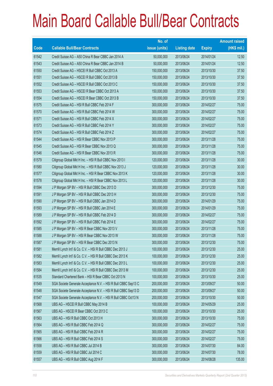|             |                                                                | No. of        |                     |               | <b>Amount raised</b> |
|-------------|----------------------------------------------------------------|---------------|---------------------|---------------|----------------------|
| <b>Code</b> | <b>Callable Bull/Bear Contracts</b>                            | issue (units) | <b>Listing date</b> | <b>Expiry</b> | $(HK$$ mil.)         |
| 61542       | Credit Suisse AG - A50 China R Bear CBBC Jan 2014 A            | 50,000,000    | 2013/06/24          | 2014/01/24    | 12.50                |
| 61543       | Credit Suisse AG - A50 China R Bear CBBC Jan 2014 B            | 50,000,000    | 2013/06/24          | 2014/01/24    | 12.50                |
| 61550       | Credit Suisse AG - HSCEI R Bull CBBC Oct 2013 A                | 150,000,000   | 2013/06/24          | 2013/10/30    | 37.50                |
| 61551       | Credit Suisse AG - HSCEI R Bull CBBC Oct 2013 B                | 150,000,000   | 2013/06/24          | 2013/10/30    | 37.50                |
| 61552       | Credit Suisse AG - HSCEI R Bull CBBC Oct 2013 C                | 150,000,000   | 2013/06/24          | 2013/10/30    | 37.50                |
| 61553       | Credit Suisse AG - HSCEI R Bear CBBC Oct 2013 A                | 150,000,000   | 2013/06/24          | 2013/10/30    | 37.50                |
| 61554       | Credit Suisse AG - HSCEI R Bear CBBC Oct 2013 B                | 150,000,000   | 2013/06/24          | 2013/10/30    | 37.50                |
| 61575       | Credit Suisse AG - HSI R Bull CBBC Feb 2014 F                  | 300,000,000   | 2013/06/24          | 2014/02/27    | 75.00                |
| 61570       | Credit Suisse AG - HSI R Bull CBBC Feb 2014 W                  | 300,000,000   | 2013/06/24          | 2014/02/27    | 75.00                |
| 61571       | Credit Suisse AG - HSI R Bull CBBC Feb 2014 X                  | 300,000,000   | 2013/06/24          | 2014/02/27    | 75.00                |
| 61573       | Credit Suisse AG - HSI R Bull CBBC Feb 2014 Y                  | 300,000,000   | 2013/06/24          | 2014/02/27    | 75.00                |
| 61574       | Credit Suisse AG - HSI R Bull CBBC Feb 2014 Z                  | 300,000,000   | 2013/06/24          | 2014/02/27    | 75.00                |
| 61544       | Credit Suisse AG - HSI R Bear CBBC Nov 2013 P                  | 300,000,000   | 2013/06/24          | 2013/11/28    | 75.00                |
| 61545       | Credit Suisse AG - HSI R Bear CBBC Nov 2013 Q                  | 300,000,000   | 2013/06/24          | 2013/11/28    | 75.00                |
| 61546       | Credit Suisse AG - HSI R Bear CBBC Nov 2013 R                  | 300,000,000   | 2013/06/24          | 2013/11/28    | 75.00                |
| 61579       | Citigroup Global Mkt H Inc. - HSI R Bull CBBC Nov 2013 I       | 120,000,000   | 2013/06/24          | 2013/11/28    | 30.00                |
| 61580       | Citigroup Global Mkt H Inc. - HSI R Bull CBBC Nov 2013 J       | 120,000,000   | 2013/06/24          | 2013/11/28    | 30.00                |
| 61577       | Citigroup Global Mkt H Inc. - HSI R Bear CBBC Nov 2013 K       | 120,000,000   | 2013/06/24          | 2013/11/28    | 30.00                |
| 61578       | Citigroup Global Mkt H Inc. - HSI R Bear CBBC Nov 2013 L       | 120,000,000   | 2013/06/24          | 2013/11/28    | 30.00                |
| 61594       | J P Morgan SP BV - HSI R Bull CBBC Dec 2013 D                  | 300,000,000   | 2013/06/24          | 2013/12/30    | 75.00                |
| 61591       | J P Morgan SP BV - HSI R Bull CBBC Dec 2013 H                  | 300,000,000   | 2013/06/24          | 2013/12/30    | 75.00                |
| 61590       | J P Morgan SP BV - HSI R Bull CBBC Jan 2014 D                  | 300,000,000   | 2013/06/24          | 2014/01/29    | 75.00                |
| 61593       | J P Morgan SP BV - HSI R Bull CBBC Jan 2014 E                  | 300,000,000   | 2013/06/24          | 2014/01/29    | 75.00                |
| 61589       | J P Morgan SP BV - HSI R Bull CBBC Feb 2014 D                  | 300,000,000   | 2013/06/24          | 2014/02/27    | 75.00                |
| 61592       | J P Morgan SP BV - HSI R Bull CBBC Feb 2014 E                  | 300,000,000   | 2013/06/24          | 2014/02/27    | 75.00                |
| 61585       | J P Morgan SP BV - HSI R Bear CBBC Nov 2013 V                  | 300,000,000   | 2013/06/24          | 2013/11/28    | 75.00                |
| 61588       | J P Morgan SP BV - HSI R Bear CBBC Nov 2013 W                  | 300,000,000   | 2013/06/24          | 2013/11/28    | 75.00                |
| 61587       | JP Morgan SP BV - HSIR Bear CBBC Dec 2013 N                    | 300,000,000   | 2013/06/24          | 2013/12/30    | 75.00                |
| 61581       | Merrill Lynch Int'l & Co. C.V. - HSI R Bull CBBC Dec 2013 J    | 100,000,000   | 2013/06/24          | 2013/12/30    | 25.00                |
| 61582       | Merrill Lynch Int'l & Co. C.V. - HSI R Bull CBBC Dec 2013 K    | 100,000,000   | 2013/06/24          | 2013/12/30    | 25.00                |
| 61583       | Merrill Lynch Int'l & Co. C.V. - HSI R Bull CBBC Dec 2013 L    | 100,000,000   | 2013/06/24          | 2013/12/30    | 25.00                |
| 61584       | Merrill Lynch Int'l & Co. C.V. - HSI R Bull CBBC Dec 2013 M    | 100,000,000   | 2013/06/24          | 2013/12/30    | 25.00                |
| 61535       | Standard Chartered Bank - HSI R Bear CBBC Oct 2013 N           | 100,000,000   | 2013/06/24          | 2013/10/30    | 25.00                |
| 61549       | SGA Societe Generale Acceptance N.V. - HSI R Bull CBBC Sep13 C | 200,000,000   | 2013/06/24          | 2013/09/27    | 50.00                |
| 61548       | SGA Societe Generale Acceptance N.V. - HSI R Bull CBBC Sep13 D | 200,000,000   | 2013/06/24          | 2013/09/27    | 50.00                |
| 61547       | SGA Societe Generale Acceptance N.V. - HSI R Bull CBBC Oct13 N | 200,000,000   | 2013/06/24          | 2013/10/30    | 50.00                |
| 61568       | UBS AG - HSCEI R Bull CBBC May 2014 B                          | 100,000,000   | 2013/06/24          | 2014/05/29    | 25.00                |
| 61567       | UBS AG - HSCEIR Bear CBBC Oct 2013 C                           | 100,000,000   | 2013/06/24          | 2013/10/30    | 25.00                |
| 61563       | UBS AG - HSI R Bull CBBC Oct 2013 H                            | 300,000,000   | 2013/06/24          | 2013/10/30    | 75.00                |
| 61564       | UBS AG - HSI R Bull CBBC Feb 2014 Q                            | 300,000,000   | 2013/06/24          | 2014/02/27    | 75.00                |
| 61565       | UBS AG - HSI R Bull CBBC Feb 2014 R                            | 300,000,000   | 2013/06/24          | 2014/02/27    | 75.00                |
| 61566       | UBS AG - HSI R Bull CBBC Feb 2014 S                            | 300,000,000   | 2013/06/24          | 2014/02/27    | 75.00                |
| 61558       | UBS AG - HSI R Bull CBBC Jul 2014 B                            | 300,000,000   | 2013/06/24          | 2014/07/30    | 84.00                |
| 61559       | UBS AG - HSI R Bull CBBC Jul 2014 C                            | 300,000,000   | 2013/06/24          | 2014/07/30    | 78.00                |
| 61557       | UBS AG - HSI R Bull CBBC Aug 2014 F                            | 300,000,000   | 2013/06/24          | 2014/08/28    | 135.00               |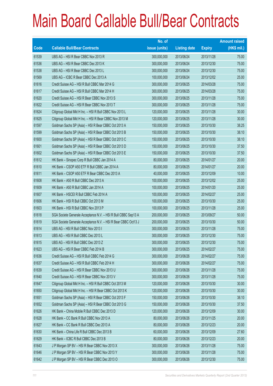|       |                                                                | No. of        |                     |               | <b>Amount raised</b> |
|-------|----------------------------------------------------------------|---------------|---------------------|---------------|----------------------|
| Code  | <b>Callable Bull/Bear Contracts</b>                            | issue (units) | <b>Listing date</b> | <b>Expiry</b> | (HK\$ mil.)          |
| 61539 | UBS AG - HSI R Bear CBBC Nov 2013 R                            | 300,000,000   | 2013/06/24          | 2013/11/28    | 75.00                |
| 61536 | UBS AG - HSI R Bear CBBC Dec 2013 K                            | 300,000,000   | 2013/06/24          | 2013/12/30    | 75.00                |
| 61538 | UBS AG - HSI R Bear CBBC Dec 2013 L                            | 300,000,000   | 2013/06/24          | 2013/12/30    | 75.00                |
| 61569 | UBS AG - ICBC R Bear CBBC Dec 2013 A                           | 100,000,000   | 2013/06/24          | 2013/12/02    | 25.00                |
| 61616 | Credit Suisse AG - HSI R Bull CBBC Mar 2014 G                  | 300,000,000   | 2013/06/25          | 2014/03/28    | 75.00                |
| 61617 | Credit Suisse AG - HSI R Bull CBBC Mar 2014 H                  | 300,000,000   | 2013/06/25          | 2014/03/28    | 75.00                |
| 61620 | Credit Suisse AG - HSI R Bear CBBC Nov 2013 S                  | 300,000,000   | 2013/06/25          | 2013/11/28    | 75.00                |
| 61622 | Credit Suisse AG - HSI R Bear CBBC Nov 2013 T                  | 300,000,000   | 2013/06/25          | 2013/11/28    | 75.00                |
| 61624 | Citigroup Global Mkt H Inc. - HSI R Bull CBBC Nov 2013 L       | 120,000,000   | 2013/06/25          | 2013/11/28    | 30.00                |
| 61625 | Citigroup Global Mkt H Inc. - HSI R Bear CBBC Nov 2013 M       | 120,000,000   | 2013/06/25          | 2013/11/28    | 30.00                |
| 61597 | Goldman Sachs SP (Asia) - HSI R Bear CBBC Oct 2013 A           | 150,000,000   | 2013/06/25          | 2013/10/30    | 38.25                |
| 61599 | Goldman Sachs SP (Asia) - HSI R Bear CBBC Oct 2013 B           | 150,000,000   | 2013/06/25          | 2013/10/30    | 38.10                |
| 61600 | Goldman Sachs SP (Asia) - HSI R Bear CBBC Oct 2013 C           | 150,000,000   | 2013/06/25          | 2013/10/30    | 38.10                |
| 61601 | Goldman Sachs SP (Asia) - HSI R Bear CBBC Oct 2013 D           | 150,000,000   | 2013/06/25          | 2013/10/30    | 37.50                |
| 61602 | Goldman Sachs SP (Asia) - HSI R Bear CBBC Oct 2013 E           | 150,000,000   | 2013/06/25          | 2013/10/30    | 37.50                |
| 61612 | HK Bank - Sinopec Corp R Bull CBBC Jan 2014 A                  | 80,000,000    | 2013/06/25          | 2014/01/27    | 20.00                |
| 61610 | HK Bank - CSOP A50 ETF R Bull CBBC Jan 2014 A                  | 80,000,000    | 2013/06/25          | 2014/01/27    | 20.00                |
| 61611 | HK Bank - CSOP A50 ETF R Bear CBBC Dec 2013 A                  | 40,000,000    | 2013/06/25          | 2013/12/09    | 10.00                |
| 61608 | HK Bank - A50 R Bull CBBC Dec 2013 A                           | 100,000,000   | 2013/06/25          | 2013/12/02    | 25.00                |
| 61609 | HK Bank - A50 R Bull CBBC Jan 2014 A                           | 100,000,000   | 2013/06/25          | 2014/01/20    | 25.00                |
| 61607 | HK Bank - HSCEI R Bull CBBC Feb 2014 A                         | 100,000,000   | 2013/06/25          | 2014/02/27    | 25.00                |
| 61606 | HK Bank - HSI R Bull CBBC Oct 2013 M                           | 100,000,000   | 2013/06/25          | 2013/10/30    | 25.00                |
| 61603 | HK Bank - HSI R Bull CBBC Nov 2013 P                           | 100,000,000   | 2013/06/25          | 2013/11/28    | 25.00                |
| 61618 | SGA Societe Generale Acceptance N.V. - HSI R Bull CBBC Sep13 A | 200,000,000   | 2013/06/25          | 2013/09/27    | 50.00                |
| 61619 | SGA Societe Generale Acceptance N.V. - HSI R Bear CBBC Oct13 J | 200,000,000   | 2013/06/25          | 2013/10/30    | 50.00                |
| 61614 | UBS AG - HSI R Bull CBBC Nov 2013 I                            | 300,000,000   | 2013/06/25          | 2013/11/28    | 75.00                |
| 61613 | UBS AG - HSI R Bull CBBC Dec 2013 L                            | 300,000,000   | 2013/06/25          | 2013/12/30    | 75.00                |
| 61615 | UBS AG - HSI R Bull CBBC Dec 2013 Z                            | 300,000,000   | 2013/06/25          | 2013/12/30    | 75.00                |
| 61623 | UBS AG - HSI R Bear CBBC Feb 2014 B                            | 300,000,000   | 2013/06/25          | 2014/02/27    | 75.00                |
| 61636 | Credit Suisse AG - HSI R Bull CBBC Feb 2014 G                  | 300,000,000   | 2013/06/26          | 2014/02/27    | 75.00                |
| 61637 | Credit Suisse AG - HSI R Bull CBBC Feb 2014 H                  | 300,000,000   | 2013/06/26          | 2014/02/27    | 75.00                |
| 61639 | Credit Suisse AG - HSI R Bear CBBC Nov 2013 U                  | 300,000,000   | 2013/06/26          | 2013/11/28    | 75.00                |
| 61640 | Credit Suisse AG - HSI R Bear CBBC Nov 2013 V                  | 300,000,000   | 2013/06/26          | 2013/11/28    | 75.00                |
| 61647 | Citigroup Global Mkt H Inc. - HSI R Bull CBBC Oct 2013 M       | 120,000,000   | 2013/06/26          | 2013/10/30    | 30.00                |
| 61650 | Citigroup Global Mkt H Inc. - HSI R Bear CBBC Oct 2013 K       | 120,000,000   | 2013/06/26          | 2013/10/30    | 30.00                |
| 61651 | Goldman Sachs SP (Asia) - HSI R Bear CBBC Oct 2013 F           | 150,000,000   | 2013/06/26          | 2013/10/30    | 38.10                |
| 61652 | Goldman Sachs SP (Asia) - HSI R Bear CBBC Oct 2013 G           | 150,000,000   | 2013/06/26          | 2013/10/30    | 37.50                |
| 61626 | HK Bank - China Mobile R Bull CBBC Dec 2013 D                  | 120,000,000   | 2013/06/26          | 2013/12/09    | 30.00                |
| 61628 | HK Bank - CC Bank R Bull CBBC Nov 2013 A                       | 80,000,000    | 2013/06/26          | 2013/11/25    | 20.00                |
| 61627 | HK Bank - CC Bank R Bull CBBC Dec 2013 A                       | 80,000,000    | 2013/06/26          | 2013/12/23    | 20.00                |
| 61630 | HK Bank - China Life R Bull CBBC Dec 2013 B                    | 60,000,000    | 2013/06/26          | 2013/12/09    | 27.60                |
| 61629 | HK Bank - ICBC R Bull CBBC Dec 2013 B                          | 80,000,000    | 2013/06/26          | 2013/12/23    | 20.00                |
| 61643 | J P Morgan SP BV - HSI R Bear CBBC Nov 2013 X                  | 300,000,000   | 2013/06/26          | 2013/11/28    | 75.00                |
| 61646 | J P Morgan SP BV - HSI R Bear CBBC Nov 2013 Y                  | 300,000,000   | 2013/06/26          | 2013/11/28    | 75.00                |
| 61642 | J P Morgan SP BV - HSI R Bear CBBC Dec 2013 O                  | 300,000,000   | 2013/06/26          | 2013/12/30    | 75.00                |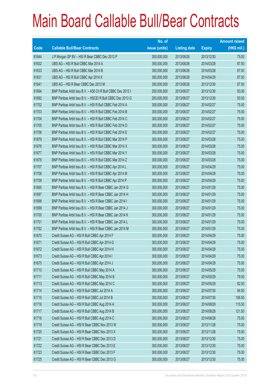|       |                                                             | No. of        |                     |               | <b>Amount raised</b> |
|-------|-------------------------------------------------------------|---------------|---------------------|---------------|----------------------|
| Code  | <b>Callable Bull/Bear Contracts</b>                         | issue (units) | <b>Listing date</b> | <b>Expiry</b> | $(HK$$ mil.)         |
| 61644 | J P Morgan SP BV - HSI R Bear CBBC Dec 2013 P               | 300,000,000   | 2013/06/26          | 2013/12/30    | 75.00                |
| 61632 | UBS AG - HSI R Bull CBBC Mar 2014 A                         | 350,000,000   | 2013/06/26          | 2014/03/28    | 87.50                |
| 61633 | UBS AG - HSI R Bull CBBC Mar 2014 B                         | 350,000,000   | 2013/06/26          | 2014/03/28    | 87.50                |
| 61631 | UBS AG - HSI R Bull CBBC Apr 2014 K                         | 350,000,000   | 2013/06/26          | 2014/04/29    | 87.50                |
| 61641 | UBS AG - HSI R Bear CBBC Dec 2013 M                         | 350,000,000   | 2013/06/26          | 2013/12/30    | 87.50                |
| 61694 | BNP Paribas Arbit Issu B.V. - A50 Ch R Bull CBBC Dec 2013 I | 200,000,000   | 2013/06/27          | 2013/12/30    | 50.00                |
| 61692 | BNP Paribas Arbit Issu B.V. - HSCEI R Bull CBBC Dec 2013 G  | 200,000,000   | 2013/06/27          | 2013/12/30    | 50.00                |
| 61702 | BNP Paribas Arbit Issu B.V. - HSI R Bull CBBC Feb 2014 A    | 300,000,000   | 2013/06/27          | 2014/02/27    | 75.00                |
| 61703 | BNP Paribas Arbit Issu B.V. - HSI R Bull CBBC Feb 2014 B    | 300,000,000   | 2013/06/27          | 2014/02/27    | 75.00                |
| 61704 | BNP Paribas Arbit Issu B.V. - HSI R Bull CBBC Feb 2014 C    | 300,000,000   | 2013/06/27          | 2014/02/27    | 75.00                |
| 61705 | BNP Paribas Arbit Issu B.V. - HSI R Bull CBBC Feb 2014 D    | 300,000,000   | 2013/06/27          | 2014/02/27    | 75.00                |
| 61706 | BNP Paribas Arbit Issu B.V. - HSI R Bull CBBC Feb 2014 E    | 300,000,000   | 2013/06/27          | 2014/02/27    | 75.00                |
| 61679 | BNP Paribas Arbit Issu B.V. - HSI R Bull CBBC Mar 2014 P    | 300,000,000   | 2013/06/27          | 2014/03/28    | 75.00                |
| 61676 | BNP Paribas Arbit Issu B.V. - HSI R Bull CBBC Mar 2014 X    | 300,000,000   | 2013/06/27          | 2014/03/28    | 75.00                |
| 61677 | BNP Paribas Arbit Issu B.V. - HSI R Bull CBBC Mar 2014 Y    | 300,000,000   | 2013/06/27          | 2014/03/28    | 75.00                |
| 61678 | BNP Paribas Arbit Issu B.V. - HSI R Bull CBBC Mar 2014 Z    | 300,000,000   | 2013/06/27          | 2014/03/28    | 75.00                |
| 61707 | BNP Paribas Arbit Issu B.V. - HSI R Bull CBBC Apr 2014 L    | 300,000,000   | 2013/06/27          | 2014/04/29    | 75.00                |
| 61708 | BNP Paribas Arbit Issu B.V. - HSI R Bull CBBC Apr 2014 M    | 300,000,000   | 2013/06/27          | 2014/04/29    | 75.00                |
| 61709 | BNP Paribas Arbit Issu B.V. - HSI R Bull CBBC Apr 2014 P    | 300,000,000   | 2013/06/27          | 2014/04/29    | 75.00                |
| 61695 | BNP Paribas Arbit Issu B.V. - HSI R Bear CBBC Jan 2014 G    | 300,000,000   | 2013/06/27          | 2014/01/29    | 75.00                |
| 61697 | BNP Paribas Arbit Issu B.V. - HSI R Bear CBBC Jan 2014 H    | 300,000,000   | 2013/06/27          | 2014/01/29    | 75.00                |
| 61698 | BNP Paribas Arbit Issu B.V. - HSI R Bear CBBC Jan 2014 I    | 300,000,000   | 2013/06/27          | 2014/01/29    | 75.00                |
| 61699 | BNP Paribas Arbit Issu B.V. - HSI R Bear CBBC Jan 2014 J    | 300,000,000   | 2013/06/27          | 2014/01/29    | 75.00                |
| 61700 | BNP Paribas Arbit Issu B.V. - HSI R Bear CBBC Jan 2014 K    | 300,000,000   | 2013/06/27          | 2014/01/29    | 75.00                |
| 61701 | BNP Paribas Arbit Issu B.V. - HSI R Bear CBBC Jan 2014 L    | 300,000,000   | 2013/06/27          | 2014/01/29    | 75.00                |
| 61762 | BNP Paribas Arbit Issu B.V. - HSI R Bear CBBC Jan 2014 M    | 300,000,000   | 2013/06/27          | 2014/01/29    | 75.00                |
| 61670 | Credit Suisse AG - HSI R Bull CBBC Apr 2014 F               | 300,000,000   | 2013/06/27          | 2014/04/29    | 75.00                |
| 61671 | Credit Suisse AG - HSI R Bull CBBC Apr 2014 G               | 300,000,000   | 2013/06/27          | 2014/04/29    | 75.00                |
| 61672 | Credit Suisse AG - HSI R Bull CBBC Apr 2014 H               | 300,000,000   | 2013/06/27          | 2014/04/29    | 75.00                |
| 61673 | Credit Suisse AG - HSI R Bull CBBC Apr 2014 I               | 300,000,000   | 2013/06/27          | 2014/04/29    | 75.00                |
| 61675 | Credit Suisse AG - HSI R Bull CBBC Apr 2014 J               | 300,000,000   | 2013/06/27          | 2014/04/29    | 75.00                |
| 61710 | Credit Suisse AG - HSI R Bull CBBC May 2014 A               | 300,000,000   | 2013/06/27          | 2014/05/29    | 75.00                |
| 61711 | Credit Suisse AG - HSI R Bull CBBC May 2014 B               | 300,000,000   | 2013/06/27          | 2014/05/29    | 79.50                |
| 61713 | Credit Suisse AG - HSI R Bull CBBC May 2014 C               | 300,000,000   | 2013/06/27          | 2014/05/29    | 82.50                |
| 61714 | Credit Suisse AG - HSI R Bull CBBC Jul 2014 A               | 300,000,000   | 2013/06/27          | 2014/07/30    | 94.50                |
| 61715 | Credit Suisse AG - HSI R Bull CBBC Jul 2014 B               | 300,000,000   | 2013/06/27          | 2014/07/30    | 106.50               |
| 61716 | Credit Suisse AG - HSI R Bull CBBC Aug 2014 A               | 300,000,000   | 2013/06/27          | 2014/08/28    | 115.50               |
| 61717 | Credit Suisse AG - HSI R Bull CBBC Aug 2014 B               | 300,000,000   | 2013/06/27          | 2014/08/28    | 121.50               |
| 61718 | Credit Suisse AG - HSI R Bull CBBC Aug 2014 C               | 300,000,000   | 2013/06/27          | 2014/08/28    | 75.00                |
| 61719 | Credit Suisse AG - HSI R Bear CBBC Nov 2013 W               | 300,000,000   | 2013/06/27          | 2013/11/28    | 75.00                |
| 61720 | Credit Suisse AG - HSI R Bear CBBC Nov 2013 X               | 300,000,000   | 2013/06/27          | 2013/11/28    | 75.00                |
| 61721 | Credit Suisse AG - HSI R Bear CBBC Dec 2013 D               | 300,000,000   | 2013/06/27          | 2013/12/30    | 75.00                |
| 61722 | Credit Suisse AG - HSI R Bear CBBC Dec 2013 E               | 300,000,000   | 2013/06/27          | 2013/12/30    | 75.00                |
| 61723 | Credit Suisse AG - HSI R Bear CBBC Dec 2013 F               | 300,000,000   | 2013/06/27          | 2013/12/30    | 75.00                |
| 61725 | Credit Suisse AG - HSI R Bear CBBC Dec 2013 G               | 300,000,000   | 2013/06/27          | 2013/12/30    | 75.00                |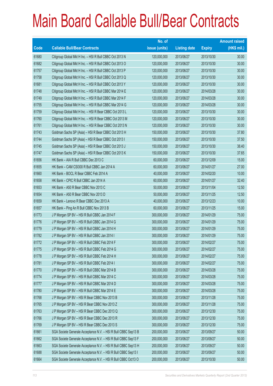|       |                                                                | No. of        |                     |               | <b>Amount raised</b> |
|-------|----------------------------------------------------------------|---------------|---------------------|---------------|----------------------|
| Code  | <b>Callable Bull/Bear Contracts</b>                            | issue (units) | <b>Listing date</b> | <b>Expiry</b> | $(HK$$ mil.)         |
| 61680 | Citigroup Global Mkt H Inc. - HSI R Bull CBBC Oct 2013 N       | 120,000,000   | 2013/06/27          | 2013/10/30    | 30.00                |
| 61682 | Citigroup Global Mkt H Inc. - HSI R Bull CBBC Oct 2013 O       | 120,000,000   | 2013/06/27          | 2013/10/30    | 30.00                |
| 61757 | Citigroup Global Mkt H Inc. - HSI R Bull CBBC Oct 2013 P       | 120,000,000   | 2013/06/27          | 2013/10/30    | 30.00                |
| 61758 | Citigroup Global Mkt H Inc. - HSI R Bull CBBC Oct 2013 Q       | 120,000,000   | 2013/06/27          | 2013/10/30    | 30.00                |
| 61681 | Citigroup Global Mkt H Inc. - HSI R Bull CBBC Oct 2013 Y       | 120,000,000   | 2013/06/27          | 2013/10/30    | 30.00                |
| 61748 | Citigroup Global Mkt H Inc. - HSI R Bull CBBC Mar 2014 E       | 120,000,000   | 2013/06/27          | 2014/03/28    | 30.00                |
| 61749 | Citigroup Global Mkt H Inc. - HSI R Bull CBBC Mar 2014 F       | 120,000,000   | 2013/06/27          | 2014/03/28    | 30.00                |
| 61755 | Citigroup Global Mkt H Inc. - HSI R Bull CBBC Mar 2014 G       | 120,000,000   | 2013/06/27          | 2014/03/28    | 30.00                |
| 61759 | Citigroup Global Mkt H Inc. - HSI R Bear CBBC Oct 2013 L       | 120,000,000   | 2013/06/27          | 2013/10/30    | 30.00                |
| 61760 | Citigroup Global Mkt H Inc. - HSI R Bear CBBC Oct 2013 M       | 120,000,000   | 2013/06/27          | 2013/10/30    | 30.00                |
| 61761 | Citigroup Global Mkt H Inc. - HSI R Bear CBBC Oct 2013 N       | 120,000,000   | 2013/06/27          | 2013/10/30    | 30.00                |
| 61743 | Goldman Sachs SP (Asia) - HSI R Bear CBBC Oct 2013 H           | 150,000,000   | 2013/06/27          | 2013/10/30    | 37.80                |
| 61744 | Goldman Sachs SP (Asia) - HSI R Bear CBBC Oct 2013 I           | 150,000,000   | 2013/06/27          | 2013/10/30    | 37.50                |
| 61745 | Goldman Sachs SP (Asia) - HSI R Bear CBBC Oct 2013 J           | 150,000,000   | 2013/06/27          | 2013/10/30    | 38.40                |
| 61747 | Goldman Sachs SP (Asia) - HSI R Bear CBBC Oct 2013 K           | 150,000,000   | 2013/06/27          | 2013/10/30    | 37.65                |
| 61656 | HK Bank - AIA R Bull CBBC Dec 2013 C                           | 60,000,000    | 2013/06/27          | 2013/12/09    | 15.00                |
| 61655 | HK Bank - CAM CSI300 R Bull CBBC Jan 2014 A                    | 60,000,000    | 2013/06/27          | 2014/01/27    | 27.00                |
| 61660 | HK Bank - BOCL R Bear CBBC Feb 2014 A                          | 40,000,000    | 2013/06/27          | 2014/02/20    | 10.00                |
| 61658 | HK Bank - CPIC R Bull CBBC Jan 2014 A                          | 60,000,000    | 2013/06/27          | 2014/01/27    | 32.40                |
| 61653 | HK Bank - A50 R Bear CBBC Nov 2013 C                           | 50,000,000    | 2013/06/27          | 2013/11/04    | 12.50                |
| 61654 | HK Bank - A50 R Bear CBBC Nov 2013 D                           | 50,000,000    | 2013/06/27          | 2013/11/25    | 12.50                |
| 61659 | HK Bank - Lenovo R Bear CBBC Dec 2013 A                        | 40,000,000    | 2013/06/27          | 2013/12/23    | 10.00                |
| 61657 | HK Bank - Ping An R Bull CBBC Nov 2013 B                       | 60,000,000    | 2013/06/27          | 2013/11/25    | 15.00                |
| 61773 | J P Morgan SP BV - HSI R Bull CBBC Jan 2014 F                  | 300,000,000   | 2013/06/27          | 2014/01/29    | 75.00                |
| 61776 | J P Morgan SP BV - HSI R Bull CBBC Jan 2014 G                  | 300,000,000   | 2013/06/27          | 2014/01/29    | 75.00                |
| 61779 | J P Morgan SP BV - HSI R Bull CBBC Jan 2014 H                  | 300,000,000   | 2013/06/27          | 2014/01/29    | 75.00                |
| 61782 | J P Morgan SP BV - HSI R Bull CBBC Jan 2014 I                  | 300,000,000   | 2013/06/27          | 2014/01/29    | 75.00                |
| 61772 | J P Morgan SP BV - HSI R Bull CBBC Feb 2014 F                  | 300,000,000   | 2013/06/27          | 2014/02/27    | 75.00                |
| 61775 | J P Morgan SP BV - HSI R Bull CBBC Feb 2014 G                  | 300,000,000   | 2013/06/27          | 2014/02/27    | 75.00                |
| 61778 | J P Morgan SP BV - HSI R Bull CBBC Feb 2014 H                  | 300,000,000   | 2013/06/27          | 2014/02/27    | 75.00                |
| 61781 | J P Morgan SP BV - HSI R Bull CBBC Feb 2014 I                  | 300,000,000   | 2013/06/27          | 2014/02/27    | 75.00                |
| 61770 | J P Morgan SP BV - HSI R Bull CBBC Mar 2014 B                  | 300,000,000   | 2013/06/27          | 2014/03/28    | 75.00                |
| 61774 | J P Morgan SP BV - HSI R Bull CBBC Mar 2014 C                  | 300,000,000   | 2013/06/27          | 2014/03/28    | 75.00                |
| 61777 | J P Morgan SP BV - HSI R Bull CBBC Mar 2014 D                  | 300,000,000   | 2013/06/27          | 2014/03/28    | 75.00                |
| 61780 | J P Morgan SP BV - HSI R Bull CBBC Mar 2014 E                  | 300,000,000   | 2013/06/27          | 2014/03/28    | 75.00                |
| 61768 | J P Morgan SP BV - HSI R Bear CBBC Nov 2013 B                  | 300,000,000   | 2013/06/27          | 2013/11/28    | 75.00                |
| 61765 | J P Morgan SP BV - HSI R Bear CBBC Nov 2013 Z                  | 300,000,000   | 2013/06/27          | 2013/11/28    | 75.00                |
| 61763 | J P Morgan SP BV - HSI R Bear CBBC Dec 2013 Q                  | 300,000,000   | 2013/06/27          | 2013/12/30    | 75.00                |
| 61766 | J P Morgan SP BV - HSI R Bear CBBC Dec 2013 R                  | 300,000,000   | 2013/06/27          | 2013/12/30    | 75.00                |
| 61769 | J P Morgan SP BV - HSI R Bear CBBC Dec 2013 S                  | 300,000,000   | 2013/06/27          | 2013/12/30    | 75.00                |
| 61661 | SGA Societe Generale Acceptance N.V. - HSI R Bull CBBC Sep13 B | 200,000,000   | 2013/06/27          | 2013/09/27    | 50.00                |
| 61662 | SGA Societe Generale Acceptance N.V. - HSI R Bull CBBC Sep13 F | 200,000,000   | 2013/06/27          | 2013/09/27    | 50.00                |
| 61663 | SGA Societe Generale Acceptance N.V. - HSI R Bull CBBC Sep13 H | 200,000,000   | 2013/06/27          | 2013/09/27    | 50.00                |
| 61688 | SGA Societe Generale Acceptance N.V. - HSI R Bull CBBC Sep13 I | 200,000,000   | 2013/06/27          | 2013/09/27    | 50.00                |
| 61664 | SGA Societe Generale Acceptance N.V. - HSI R Bull CBBC Oct13 O | 200,000,000   | 2013/06/27          | 2013/10/30    | 50.00                |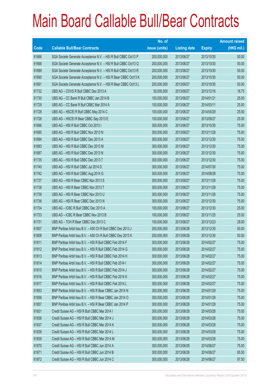|       |                                                                | No. of        |                     |               | <b>Amount raised</b> |
|-------|----------------------------------------------------------------|---------------|---------------------|---------------|----------------------|
| Code  | <b>Callable Bull/Bear Contracts</b>                            | issue (units) | <b>Listing date</b> | <b>Expiry</b> | $(HK$$ mil.)         |
| 61666 | SGA Societe Generale Acceptance N.V. - HSI R Bull CBBC Oct13 P | 200,000,000   | 2013/06/27          | 2013/10/30    | 50.00                |
| 61668 | SGA Societe Generale Acceptance N.V. - HSI R Bull CBBC Oct13 Q | 200,000,000   | 2013/06/27          | 2013/10/30    | 50.00                |
| 61689 | SGA Societe Generale Acceptance N.V. - HSI R Bull CBBC Oct13 R | 200,000,000   | 2013/06/27          | 2013/10/30    | 50.00                |
| 61690 | SGA Societe Generale Acceptance N.V. - HSI R Bear CBBC Oct13 K | 200,000,000   | 2013/06/27          | 2013/10/30    | 50.00                |
| 61691 | SGA Societe Generale Acceptance N.V. - HSI R Bear CBBC Oct13 L | 200,000,000   | 2013/06/27          | 2013/10/30    | 50.00                |
| 61732 | UBS AG - COVS R Bull CBBC Dec 2013 A                           | 50,000,000    | 2013/06/27          | 2013/12/16    | 18.75                |
| 61730 | UBS AG - CC Bank R Bull CBBC Jan 2014 B                        | 100,000,000   | 2013/06/27          | 2014/01/21    | 25.00                |
| 61729 | UBS AG - CC Bank R Bull CBBC Mar 2014 A                        | 100,000,000   | 2013/06/27          | 2014/03/11    | 25.00                |
| 61728 | UBS AG - HSCEI R Bull CBBC May 2014 C                          | 100,000,000   | 2013/06/27          | 2014/05/29    | 25.00                |
| 61726 | UBS AG - HSCEI R Bear CBBC Sep 2013 E                          | 100,000,000   | 2013/06/27          | 2013/09/27    | 25.00                |
| 61686 | UBS AG - HSI R Bull CBBC Oct 2013 I                            | 300,000,000   | 2013/06/27          | 2013/10/30    | 75.00                |
| 61685 | UBS AG - HSI R Bull CBBC Nov 2013 N                            | 300,000,000   | 2013/06/27          | 2013/11/28    | 75.00                |
| 61684 | UBS AG - HSI R Bull CBBC Dec 2013 A                            | 300,000,000   | 2013/06/27          | 2013/12/30    | 75.00                |
| 61683 | UBS AG - HSI R Bull CBBC Dec 2013 M                            | 300,000,000   | 2013/06/27          | 2013/12/30    | 75.00                |
| 61687 | UBS AG - HSI R Bull CBBC Dec 2013 N                            | 300,000,000   | 2013/06/27          | 2013/12/30    | 75.00                |
| 61735 | UBS AG - HSI R Bull CBBC Dec 2013 T                            | 300,000,000   | 2013/06/27          | 2013/12/30    | 75.00                |
| 61740 | UBS AG - HSI R Bull CBBC Jul 2014 D                            | 300,000,000   | 2013/06/27          | 2014/07/30    | 75.00                |
| 61742 | UBS AG - HSI R Bull CBBC Aug 2014 G                            | 300,000,000   | 2013/06/27          | 2014/08/28    | 75.00                |
| 61737 | UBS AG - HSI R Bear CBBC Nov 2013 S                            | 300,000,000   | 2013/06/27          | 2013/11/28    | 75.00                |
| 61738 | UBS AG - HSI R Bear CBBC Nov 2013 T                            | 300,000,000   | 2013/06/27          | 2013/11/28    | 75.00                |
| 61739 | UBS AG - HSI R Bear CBBC Nov 2013 U                            | 300,000,000   | 2013/06/27          | 2013/11/28    | 75.00                |
| 61736 | UBS AG - HSI R Bear CBBC Dec 2013 N                            | 300,000,000   | 2013/06/27          | 2013/12/30    | 75.00                |
| 61734 | UBS AG - ICBC R Bull CBBC Dec 2013 A                           | 100,000,000   | 2013/06/27          | 2013/12/30    | 25.00                |
| 61733 | UBS AG - ICBC R Bear CBBC Nov 2013 B                           | 100,000,000   | 2013/06/27          | 2013/11/25    | 25.00                |
| 61731 | UBS AG - TCH R Bear CBBC Dec 2013 C                            | 100,000,000   | 2013/06/27          | 2013/12/23    | 28.00                |
| 61807 | BNP Paribas Arbit Issu B.V. - A50 Ch R Bull CBBC Dec 2013 J    | 200,000,000   | 2013/06/28          | 2013/12/30    | 50.00                |
| 61808 | BNP Paribas Arbit Issu B.V. - A50 Ch R Bull CBBC Dec 2013 K    | 200,000,000   | 2013/06/28          | 2013/12/30    | 50.00                |
| 61811 | BNP Paribas Arbit Issu B.V. - HSI R Bull CBBC Feb 2014 F       | 300,000,000   | 2013/06/28          | 2014/02/27    | 75.00                |
| 61812 | BNP Paribas Arbit Issu B.V. - HSI R Bull CBBC Feb 2014 G       | 300,000,000   | 2013/06/28          | 2014/02/27    | 75.00                |
| 61813 | BNP Paribas Arbit Issu B.V. - HSI R Bull CBBC Feb 2014 H       | 300,000,000   | 2013/06/28          | 2014/02/27    | 75.00                |
| 61814 | BNP Paribas Arbit Issu B.V. - HSI R Bull CBBC Feb 2014 I       | 300,000,000   | 2013/06/28          | 2014/02/27    | 75.00                |
| 61815 | BNP Paribas Arbit Issu B.V. - HSI R Bull CBBC Feb 2014 J       | 300,000,000   | 2013/06/28          | 2014/02/27    | 75.00                |
| 61816 | BNP Paribas Arbit Issu B.V. - HSI R Bull CBBC Feb 2014 K       | 300,000,000   | 2013/06/28          | 2014/02/27    | 75.00                |
| 61817 | BNP Paribas Arbit Issu B.V. - HSI R Bull CBBC Feb 2014 L       | 300,000,000   | 2013/06/28          | 2014/02/27    | 75.00                |
| 61853 | BNP Paribas Arbit Issu B.V. - HSI R Bear CBBC Jan 2014 N       | 300,000,000   | 2013/06/28          | 2014/01/29    | 75.00                |
| 61856 | BNP Paribas Arbit Issu B.V. - HSI R Bear CBBC Jan 2014 O       | 300,000,000   | 2013/06/28          | 2014/01/29    | 75.00                |
| 61857 | BNP Paribas Arbit Issu B.V. - HSI R Bear CBBC Jan 2014 P       | 300,000,000   | 2013/06/28          | 2014/01/29    | 75.00                |
| 61831 | Credit Suisse AG - HSI R Bull CBBC Mar 2014 I                  | 300,000,000   | 2013/06/28          | 2014/03/28    | 75.00                |
| 61836 | Credit Suisse AG - HSI R Bull CBBC Mar 2014 J                  | 300,000,000   | 2013/06/28          | 2014/03/28    | 75.00                |
| 61837 | Credit Suisse AG - HSI R Bull CBBC Mar 2014 K                  | 300,000,000   | 2013/06/28          | 2014/03/28    | 75.00                |
| 61838 | Credit Suisse AG - HSI R Bull CBBC Mar 2014 L                  | 300,000,000   | 2013/06/28          | 2014/03/28    | 75.00                |
| 61839 | Credit Suisse AG - HSI R Bull CBBC Mar 2014 M                  | 300,000,000   | 2013/06/28          | 2014/03/28    | 75.00                |
| 61870 | Credit Suisse AG - HSI R Bull CBBC Jun 2014 A                  | 300,000,000   | 2013/06/28          | 2014/06/27    | 75.00                |
| 61871 | Credit Suisse AG - HSI R Bull CBBC Jun 2014 B                  | 300,000,000   | 2013/06/28          | 2014/06/27    | 85.50                |
| 61872 | Credit Suisse AG - HSI R Bull CBBC Jun 2014 C                  | 300,000,000   | 2013/06/28          | 2014/06/27    | 97.50                |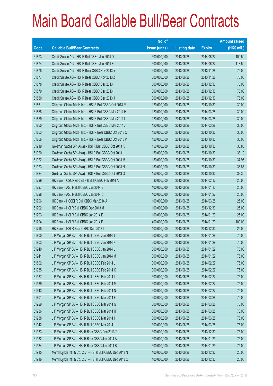|       |                                                             | No. of        |                     |               | <b>Amount raised</b> |
|-------|-------------------------------------------------------------|---------------|---------------------|---------------|----------------------|
| Code  | <b>Callable Bull/Bear Contracts</b>                         | issue (units) | <b>Listing date</b> | <b>Expiry</b> | $(HK$$ mil.)         |
| 61873 | Credit Suisse AG - HSI R Bull CBBC Jun 2014 D               | 300,000,000   | 2013/06/28          | 2014/06/27    | 100.50               |
| 61874 | Credit Suisse AG - HSI R Bull CBBC Jun 2014 E               | 300,000,000   | 2013/06/28          | 2014/06/27    | 118.50               |
| 61875 | Credit Suisse AG - HSI R Bear CBBC Nov 2013 Y               | 300,000,000   | 2013/06/28          | 2013/11/28    | 75.00                |
| 61877 | Credit Suisse AG - HSI R Bear CBBC Nov 2013 Z               | 300,000,000   | 2013/06/28          | 2013/11/28    | 75.00                |
| 61878 | Credit Suisse AG - HSI R Bear CBBC Dec 2013 H               | 300,000,000   | 2013/06/28          | 2013/12/30    | 75.00                |
| 61879 | Credit Suisse AG - HSI R Bear CBBC Dec 2013 I               | 300,000,000   | 2013/06/28          | 2013/12/30    | 75.00                |
| 61880 | Credit Suisse AG - HSI R Bear CBBC Dec 2013 J               | 300,000,000   | 2013/06/28          | 2013/12/30    | 75.00                |
| 61861 | Citigroup Global Mkt H Inc. - HSI R Bull CBBC Oct 2013 R    | 120,000,000   | 2013/06/28          | 2013/10/30    | 30.00                |
| 61858 | Citigroup Global Mkt H Inc. - HSI R Bull CBBC Mar 2014 H    | 120,000,000   | 2013/06/28          | 2014/03/28    | 30.00                |
| 61859 | Citigroup Global Mkt H Inc. - HSI R Bull CBBC Mar 2014 I    | 120,000,000   | 2013/06/28          | 2014/03/28    | 30.00                |
| 61860 | Citigroup Global Mkt H Inc. - HSI R Bull CBBC Mar 2014 J    | 120,000,000   | 2013/06/28          | 2014/03/28    | 30.00                |
| 61863 | Citigroup Global Mkt H Inc. - HSI R Bear CBBC Oct 2013 O    | 120,000,000   | 2013/06/28          | 2013/10/30    | 30.00                |
| 61866 | Citigroup Global Mkt H Inc. - HSI R Bear CBBC Oct 2013 P    | 120,000,000   | 2013/06/28          | 2013/10/30    | 30.00                |
| 61919 | Goldman Sachs SP (Asia) - HSI R Bull CBBC Oct 2013 K        | 150,000,000   | 2013/06/28          | 2013/10/30    | 38.85                |
| 61920 | Goldman Sachs SP (Asia) - HSI R Bull CBBC Oct 2013 L        | 150,000,000   | 2013/06/28          | 2013/10/30    | 38.10                |
| 61922 | Goldman Sachs SP (Asia) - HSI R Bull CBBC Oct 2013 M        | 150,000,000   | 2013/06/28          | 2013/10/30    | 37.95                |
| 61923 | Goldman Sachs SP (Asia) - HSI R Bull CBBC Oct 2013 N        | 150,000,000   | 2013/06/28          | 2013/10/30    | 38.85                |
| 61924 | Goldman Sachs SP (Asia) - HSI R Bull CBBC Oct 2013 O        | 150,000,000   | 2013/06/28          | 2013/10/30    | 39.30                |
| 61799 | HK Bank - CSOP A50 ETF R Bull CBBC Feb 2014 A               | 80,000,000    | 2013/06/28          | 2014/02/17    | 20.00                |
| 61797 | HK Bank - A50 R Bull CBBC Jan 2014 B                        | 100,000,000   | 2013/06/28          | 2014/01/13    | 25.00                |
| 61798 | HK Bank - A50 R Bull CBBC Jan 2014 C                        | 100,000,000   | 2013/06/28          | 2014/01/27    | 25.00                |
| 61796 | HK Bank - HSCEI R Bull CBBC Mar 2014 A                      | 100,000,000   | 2013/06/28          | 2014/03/28    | 25.00                |
| 61792 | HK Bank - HSI R Bull CBBC Dec 2013 M                        | 100,000,000   | 2013/06/28          | 2013/12/30    | 25.00                |
| 61793 | HK Bank - HSI R Bull CBBC Jan 2014 E                        | 100,000,000   | 2013/06/28          | 2014/01/29    | 25.00                |
| 61794 | HK Bank - HSI R Bull CBBC Jan 2014 F                        | 400,000,000   | 2013/06/28          | 2014/01/29    | 100.00               |
| 61795 | HK Bank - HSI R Bear CBBC Dec 2013 I                        | 100,000,000   | 2013/06/28          | 2013/12/30    | 25.00                |
| 61800 | J P Morgan SP BV - HSI R Bull CBBC Jan 2014 J               | 300,000,000   | 2013/06/28          | 2014/01/29    | 75.00                |
| 61803 | J P Morgan SP BV - HSI R Bull CBBC Jan 2014 K               | 300,000,000   | 2013/06/28          | 2014/01/29    | 75.00                |
| 61940 | J P Morgan SP BV - HSI R Bull CBBC Jan 2014 L               | 300,000,000   | 2013/06/28          | 2014/01/29    | 75.00                |
| 61941 | J P Morgan SP BV - HSI R Bull CBBC Jan 2014 M               | 300,000,000   | 2013/06/28          | 2014/01/29    | 75.00                |
| 61802 | J P Morgan SP BV - HSI R Bull CBBC Feb 2014 J               | 300,000,000   | 2013/06/28          | 2014/02/27    | 75.00                |
| 61935 | J P Morgan SP BV - HSI R Bull CBBC Feb 2014 K               | 300,000,000   | 2013/06/28          | 2014/02/27    | 75.00                |
| 61937 | J P Morgan SP BV - HSI R Bull CBBC Feb 2014 L               | 300,000,000   | 2013/06/28          | 2014/02/27    | 75.00                |
| 61939 | J P Morgan SP BV - HSI R Bull CBBC Feb 2014 M               | 300,000,000   | 2013/06/28          | 2014/02/27    | 75.00                |
| 61943 | J P Morgan SP BV - HSI R Bull CBBC Feb 2014 N               | 300,000,000   | 2013/06/28          | 2014/02/27    | 75.00                |
| 61801 | J P Morgan SP BV - HSI R Bull CBBC Mar 2014 F               | 300,000,000   | 2013/06/28          | 2014/03/28    | 75.00                |
| 61929 | J P Morgan SP BV - HSI R Bull CBBC Mar 2014 G               | 300,000,000   | 2013/06/28          | 2014/03/28    | 75.00                |
| 61936 | J P Morgan SP BV - HSI R Bull CBBC Mar 2014 H               | 300,000,000   | 2013/06/28          | 2014/03/28    | 75.00                |
| 61938 | J P Morgan SP BV - HSI R Bull CBBC Mar 2014 I               | 300,000,000   | 2013/06/28          | 2014/03/28    | 75.00                |
| 61942 | J P Morgan SP BV - HSI R Bull CBBC Mar 2014 J               | 300,000,000   | 2013/06/28          | 2014/03/28    | 75.00                |
| 61933 | J P Morgan SP BV - HSI R Bear CBBC Dec 2013 T               | 300,000,000   | 2013/06/28          | 2013/12/30    | 75.00                |
| 61932 | J P Morgan SP BV - HSI R Bear CBBC Jan 2014 A               | 300,000,000   | 2013/06/28          | 2014/01/29    | 75.00                |
| 61934 | J P Morgan SP BV - HSI R Bear CBBC Jan 2014 B               | 300,000,000   | 2013/06/28          | 2014/01/29    | 75.00                |
| 61915 | Merrill Lynch Int'l & Co. C.V. - HSI R Bull CBBC Dec 2013 N | 100,000,000   | 2013/06/28          | 2013/12/30    | 25.00                |
| 61916 | Merrill Lynch Int'l & Co. C.V. - HSI R Bull CBBC Dec 2013 O | 100,000,000   | 2013/06/28          | 2013/12/30    | 25.00                |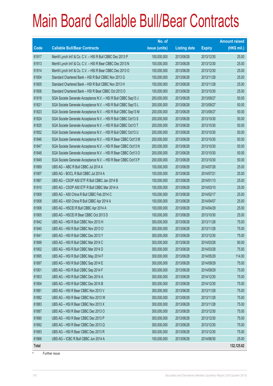|              |                                                                | No. of        |                     |               | <b>Amount raised</b> |
|--------------|----------------------------------------------------------------|---------------|---------------------|---------------|----------------------|
| Code         | <b>Callable Bull/Bear Contracts</b>                            | issue (units) | <b>Listing date</b> | <b>Expiry</b> | $(HK$$ mil.)         |
| 61917        | Merrill Lynch Int'l & Co. C.V. - HSI R Bull CBBC Dec 2013 P    | 100,000,000   | 2013/06/28          | 2013/12/30    | 25.00                |
| 61913        | Merrill Lynch Int'l & Co. C.V. - HSI R Bear CBBC Dec 2013 N    | 100,000,000   | 2013/06/28          | 2013/12/30    | 25.00                |
| 61914        | Merrill Lynch Int'l & Co. C.V. - HSI R Bear CBBC Dec 2013 O    | 100,000,000   | 2013/06/28          | 2013/12/30    | 25.00                |
| 61804        | Standard Chartered Bank - HSI R Bull CBBC Nov 2013 G           | 100,000,000   | 2013/06/28          | 2013/11/28    | 25.00                |
| 61805        | Standard Chartered Bank - HSI R Bull CBBC Nov 2013 H           | 100,000,000   | 2013/06/28          | 2013/11/28    | 25.00                |
| 61806        | Standard Chartered Bank - HSI R Bear CBBC Oct 2013 O           | 100,000,000   | 2013/06/28          | 2013/10/30    | 25.00                |
| 61818        | SGA Societe Generale Acceptance N.V. - HSI R Bull CBBC Sep13 J | 200,000,000   | 2013/06/28          | 2013/09/27    | 50.00                |
| 61821        | SGA Societe Generale Acceptance N.V. - HSI R Bull CBBC Sep13 L | 200,000,000   | 2013/06/28          | 2013/09/27    | 50.00                |
| 61823        | SGA Societe Generale Acceptance N.V. - HSI R Bull CBBC Sep13 M | 200,000,000   | 2013/06/28          | 2013/09/27    | 50.00                |
| 61824        | SGA Societe Generale Acceptance N.V. - HSI R Bull CBBC Oct13 S | 200,000,000   | 2013/06/28          | 2013/10/30    | 50.00                |
| 61825        | SGA Societe Generale Acceptance N.V. - HSI R Bull CBBC Oct13 T | 200,000,000   | 2013/06/28          | 2013/10/30    | 50.00                |
| 61852        | SGA Societe Generale Acceptance N.V. - HSI R Bull CBBC Oct13 U | 200,000,000   | 2013/06/28          | 2013/10/30    | 50.00                |
| 61846        | SGA Societe Generale Acceptance N.V. - HSI R Bear CBBC Oct13 M | 200,000,000   | 2013/06/28          | 2013/10/30    | 50.00                |
| 61847        | SGA Societe Generale Acceptance N.V. - HSI R Bear CBBC Oct13 N | 200,000,000   | 2013/06/28          | 2013/10/30    | 50.00                |
| 61848        | SGA Societe Generale Acceptance N.V. - HSI R Bear CBBC Oct13 O | 200,000,000   | 2013/06/28          | 2013/10/30    | 50.00                |
| 61849        | SGA Societe Generale Acceptance N.V. - HSI R Bear CBBC Oct13 P | 200,000,000   | 2013/06/28          | 2013/10/30    | 50.00                |
| 61869        | UBS AG - ABC R Bull CBBC Jul 2014 A                            | 100,000,000   | 2013/06/28          | 2014/07/28    | 25.00                |
| 61907        | UBS AG - BOCL R Bull CBBC Jul 2014 A                           | 100,000,000   | 2013/06/28          | 2014/07/21    | 25.00                |
| 61867        | UBS AG - CSOP A50 ETF R Bull CBBC Jan 2014 B                   | 100,000,000   | 2013/06/28          | 2014/01/13    | 25.00                |
| 61910        | UBS AG - CSOP A50 ETF R Bull CBBC Mar 2014 A                   | 100,000,000   | 2013/06/28          | 2014/03/10    | 25.00                |
| 61909        | UBS AG - A50 China R Bull CBBC Feb 2014 C                      | 100,000,000   | 2013/06/28          | 2014/02/17    | 25.00                |
| 61908        | UBS AG - A50 China R Bull CBBC Apr 2014 A                      | 100,000,000   | 2013/06/28          | 2014/04/07    | 25.00                |
| 61906        | UBS AG - HSCEI R Bull CBBC Apr 2014 A                          | 100,000,000   | 2013/06/28          | 2014/04/29    | 25.00                |
| 61905        | UBS AG - HSCEI R Bear CBBC Oct 2013 D                          | 100,000,000   | 2013/06/28          | 2013/10/30    | 25.00                |
| 61842        | UBS AG - HSI R Bull CBBC Nov 2013 H                            | 300,000,000   | 2013/06/28          | 2013/11/28    | 75.00                |
| 61840        | UBS AG - HSI R Bull CBBC Nov 2013 O                            | 300,000,000   | 2013/06/28          | 2013/11/28    | 75.00                |
| 61841        | UBS AG - HSI R Bull CBBC Dec 2013 Y                            | 300,000,000   | 2013/06/28          | 2013/12/30    | 75.00                |
| 61899        | UBS AG - HSI R Bull CBBC Mar 2014 C                            | 300,000,000   | 2013/06/28          | 2014/03/28    | 90.00                |
| 61902        | UBS AG - HSI R Bull CBBC Mar 2014 D                            | 300,000,000   | 2013/06/28          | 2014/03/28    | 75.00                |
| 61895        | UBS AG - HSI R Bull CBBC May 2014 F                            | 300,000,000   | 2013/06/28          | 2014/05/29    | 114.00               |
| 61897        | UBS AG - HSI R Bull CBBC Sep 2014 E                            | 300,000,000   | 2013/06/28          | 2014/09/29    | 75.00                |
| 61901        | UBS AG - HSI R Bull CBBC Sep 2014 F                            | 300,000,000   | 2013/06/28          | 2014/09/29    | 75.00                |
| 61903        | UBS AG - HSI R Bull CBBC Dec 2014 A                            | 300,000,000   | 2013/06/28          | 2014/12/30    | 75.00                |
| 61904        | UBS AG - HSI R Bull CBBC Dec 2014 B                            | 300,000,000   | 2013/06/28          | 2014/12/30    | 75.00                |
| 61881        | UBS AG - HSI R Bear CBBC Nov 2013 V                            | 300,000,000   | 2013/06/28          | 2013/11/28    | 75.00                |
| 61882        | UBS AG - HSI R Bear CBBC Nov 2013 W                            | 300,000,000   | 2013/06/28          | 2013/11/28    | 75.00                |
| 61883        | UBS AG - HSI R Bear CBBC Nov 2013 X                            | 300,000,000   | 2013/06/28          | 2013/11/28    | 75.00                |
| 61887        | UBS AG - HSI R Bear CBBC Dec 2013 O                            | 300,000,000   | 2013/06/28          | 2013/12/30    | 75.00                |
| 61890        | UBS AG - HSI R Bear CBBC Dec 2013 P                            | 300,000,000   | 2013/06/28          | 2013/12/30    | 75.00                |
| 61892        | UBS AG - HSI R Bear CBBC Dec 2013 Q                            | 300,000,000   | 2013/06/28          | 2013/12/30    | 75.00                |
| 61893        | UBS AG - HSI R Bear CBBC Dec 2013 R                            | 300,000,000   | 2013/06/28          | 2013/12/30    | 75.00                |
| 61868        | UBS AG - ICBC R Bull CBBC Jun 2014 A                           | 100,000,000   | 2013/06/28          | 2014/06/30    | 25.00                |
| <b>Total</b> |                                                                |               |                     |               | 132,125.62           |

Further issue

#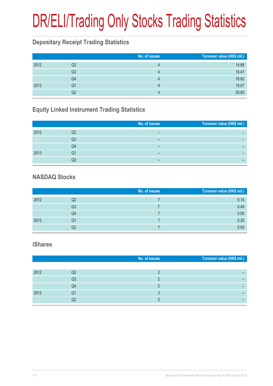# DR/ELI/Trading Only Stocks Trading Statistics

### **Depositary Receipt Trading Statistics**

|      |                | No. of issues | Turnover value (HK\$ mil.) |
|------|----------------|---------------|----------------------------|
| 2012 | Q2             |               | 14.88                      |
|      | Q <sub>3</sub> |               | 10.47                      |
|      | Q4             |               | 18.62                      |
| 2013 | Q1             |               | 15.07                      |
|      | Q2             |               | 20.85                      |

### **Equity Linked Instrument Trading Statistics**

|      |    | No. of issues | Turnover value (HK\$ mil.) |
|------|----|---------------|----------------------------|
| 2012 | Q2 |               |                            |
|      | Q3 | -             |                            |
|      | Q4 |               |                            |
|      |    |               |                            |
| 2013 | Q1 | -             |                            |
|      | Q2 |               |                            |

#### **NASDAQ Stocks**

|      |                | No. of issues | Turnover value (HK\$ mil.) |
|------|----------------|---------------|----------------------------|
| 2012 | Q2             |               | 0.14                       |
|      | Q <sub>3</sub> |               | 0.49                       |
|      | Q4             |               | 0.00                       |
| 2013 | Q1             |               | 0.25                       |
|      | Q2             |               | 0.03                       |

#### **iShares**

|      |    | No. of issues | Turnover value (HK\$ mil.) |
|------|----|---------------|----------------------------|
|      |    |               |                            |
| 2012 | Q2 |               |                            |
|      | Q3 |               |                            |
|      | Q4 |               |                            |
| 2013 | Q1 |               |                            |
|      | Q2 |               |                            |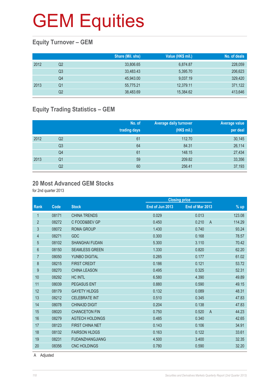### **Equity Turnover – GEM**

|      |    | Share (Mil. shs) | Value (HK\$ mil.) | No. of deals |
|------|----|------------------|-------------------|--------------|
| 2012 | Q2 | 33,806.65        | 6,874.87          | 228,059      |
|      | Q3 | 33.483.43        | 5.395.70          | 206,623      |
|      | Q4 | 45.943.00        | 9.037.19          | 329,420      |
| 2013 | Q1 | 55,775.21        | 12,379.11         | 371,122      |
|      | Q2 | 38,483.69        | 15,384.62         | 413,646      |

### **Equity Trading Statistics – GEM**

|      |                | No. of<br>trading days | <b>Average daily turnover</b><br>(HK\$ mil.) | <b>Average value</b><br>per deal |
|------|----------------|------------------------|----------------------------------------------|----------------------------------|
| 2012 | Q2             | 61                     | 112.70                                       | 30,145                           |
|      | Q <sub>3</sub> | 64                     | 84.31                                        | 26,114                           |
|      | Q4             | 61                     | 148.15                                       | 27,434                           |
| 2013 | Q <sub>1</sub> | 59                     | 209.82                                       | 33,356                           |
|      | Q2             | 60                     | 256.41                                       | 37,193                           |

#### **20 Most Advanced GEM Stocks**

for 2nd quarter 2013

|                |       |                        |                 | <b>Closing price</b>    |        |
|----------------|-------|------------------------|-----------------|-------------------------|--------|
| <b>Rank</b>    | Code  | <b>Stock</b>           | End of Jun 2013 | End of Mar 2013         | $%$ up |
| 1              | 08171 | <b>CHINA TRENDS</b>    | 0.029           | 0.013                   | 123.08 |
| $\overline{2}$ | 08272 | C FOOD&BEV GP          | 0.450           | 0.210<br>$\overline{A}$ | 114.29 |
| 3              | 08072 | <b>ROMA GROUP</b>      | 1.430           | 0.740                   | 93.24  |
| 4              | 08271 | GDC                    | 0.300           | 0.168                   | 78.57  |
| 5              | 08102 | <b>SHANGHAI FUDAN</b>  | 5.300           | 3.110                   | 70.42  |
| 6              | 08150 | <b>SEAMLESS GREEN</b>  | 1.330           | 0.820                   | 62.20  |
| $\overline{7}$ | 08050 | YUNBO DIGITAL          | 0.285           | 0.177                   | 61.02  |
| 8              | 08215 | <b>FIRST CREDIT</b>    | 0.186           | 0.121                   | 53.72  |
| 9              | 08270 | <b>CHINA LEASON</b>    | 0.495           | 0.325                   | 52.31  |
| 10             | 08292 | <b>HC INTL</b>         | 6.580           | 4.390                   | 49.89  |
| 11             | 08039 | <b>PEGASUS ENT</b>     | 0.880           | 0.590                   | 49.15  |
| 12             | 08179 | <b>GAYETY HLDGS</b>    | 0.132           | 0.089                   | 48.31  |
| 13             | 08212 | <b>CELEBRATE INT</b>   | 0.510           | 0.345                   | 47.83  |
| 14             | 08078 | <b>CHINA3D DIGIT</b>   | 0.204           | 0.138                   | 47.83  |
| 15             | 08020 | <b>CHANCETON FIN</b>   | 0.750           | 0.520<br>$\overline{A}$ | 44.23  |
| 16             | 08279 | <b>AGTECH HOLDINGS</b> | 0.485           | 0.340                   | 42.65  |
| 17             | 08123 | <b>FIRST CHINA NET</b> | 0.143           | 0.106                   | 34.91  |
| 18             | 08132 | <b>FAIRSON HLDGS</b>   | 0.163           | 0.122                   | 33.61  |
| 19             | 08231 | <b>FUDANZHANGJIANG</b> | 4.500           | 3.400                   | 32.35  |
| 20             | 08356 | <b>CNC HOLDINGS</b>    | 0.780           | 0.590                   | 32.20  |
|                |       |                        |                 |                         |        |

A Adjusted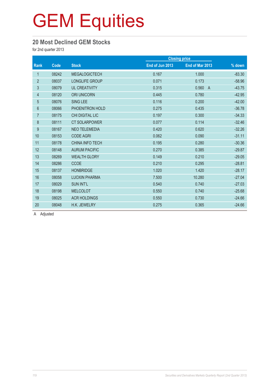#### **20 Most Declined GEM Stocks**

for 2nd quarter 2013

|                |       |                        |                 | <b>Closing price</b>    |          |
|----------------|-------|------------------------|-----------------|-------------------------|----------|
| Rank           | Code  | <b>Stock</b>           | End of Jun 2013 | End of Mar 2013         | % down   |
| $\mathbf{1}$   | 08242 | <b>MEGALOGICTECH</b>   | 0.167           | 1.000                   | $-83.30$ |
| $\overline{2}$ | 08037 | LONGLIFE GROUP         | 0.071           | 0.173                   | $-58.96$ |
| 3              | 08079 | <b>UL CREATIVITY</b>   | 0.315           | 0.560<br>$\overline{A}$ | $-43.75$ |
| 4              | 08120 | <b>ORI UNICORN</b>     | 0.445           | 0.780                   | $-42.95$ |
| $\overline{5}$ | 08076 | <b>SING LEE</b>        | 0.116           | 0.200                   | $-42.00$ |
| 6              | 08066 | PHOENITRON HOLD        | 0.275           | 0.435                   | $-36.78$ |
| $\overline{7}$ | 08175 | CHI DIGITAL LIC        | 0.197           | 0.300                   | $-34.33$ |
| $\bf 8$        | 08111 | <b>CT SOLARPOWER</b>   | 0.077           | 0.114                   | $-32.46$ |
| 9              | 08167 | <b>NEO TELEMEDIA</b>   | 0.420           | 0.620                   | $-32.26$ |
| 10             | 08153 | <b>CODE AGRI</b>       | 0.062           | 0.090                   | $-31.11$ |
| 11             | 08178 | <b>CHINA INFO TECH</b> | 0.195           | 0.280                   | $-30.36$ |
| 12             | 08148 | <b>AURUM PACIFIC</b>   | 0.270           | 0.385                   | $-29.87$ |
| 13             | 08269 | <b>WEALTH GLORY</b>    | 0.149           | 0.210                   | $-29.05$ |
| 14             | 08286 | <b>CCOE</b>            | 0.210           | 0.295                   | $-28.81$ |
| 15             | 08137 | <b>HONBRIDGE</b>       | 1.020           | 1.420                   | $-28.17$ |
| 16             | 08058 | <b>LUOXIN PHARMA</b>   | 7.500           | 10.280                  | $-27.04$ |
| 17             | 08029 | <b>SUN INT'L</b>       | 0.540           | 0.740                   | $-27.03$ |
| 18             | 08198 | <b>MELCOLOT</b>        | 0.550           | 0.740                   | $-25.68$ |
| 19             | 08025 | <b>ACR HOLDINGS</b>    | 0.550           | 0.730                   | $-24.66$ |
| 20             | 08048 | H.K. JEWELRY           | 0.275           | 0.365                   | $-24.66$ |

A Adjusted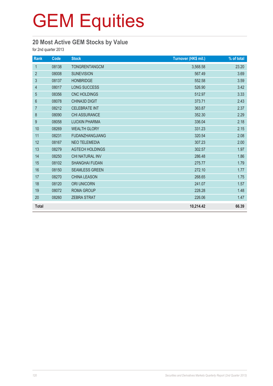### **20 Most Active GEM Stocks by Value**

for 2nd quarter 2013

| Rank             | Code  | <b>Stock</b>           | Turnover (HK\$ mil.) | % of total |
|------------------|-------|------------------------|----------------------|------------|
| $\mathbf{1}$     | 08138 | <b>TONGRENTANGCM</b>   | 3,568.58             | 23.20      |
| $\overline{2}$   | 08008 | <b>SUNEVISION</b>      | 567.49               | 3.69       |
| $\mathbf{3}$     | 08137 | <b>HONBRIDGE</b>       | 552.58               | 3.59       |
| 4                | 08017 | LONG SUCCESS           | 526.90               | 3.42       |
| 5                | 08356 | CNC HOLDINGS           | 512.97               | 3.33       |
| $\,6\,$          | 08078 | <b>CHINA3D DIGIT</b>   | 373.71               | 2.43       |
| $\overline{7}$   | 08212 | <b>CELEBRATE INT</b>   | 363.87               | 2.37       |
| $\boldsymbol{8}$ | 08090 | CHI ASSURANCE          | 352.30               | 2.29       |
| $\boldsymbol{9}$ | 08058 | <b>LUOXIN PHARMA</b>   | 336.04               | 2.18       |
| 10               | 08269 | <b>WEALTH GLORY</b>    | 331.23               | 2.15       |
| 11               | 08231 | <b>FUDANZHANGJIANG</b> | 320.54               | 2.08       |
| 12               | 08167 | <b>NEO TELEMEDIA</b>   | 307.23               | 2.00       |
| 13               | 08279 | <b>AGTECH HOLDINGS</b> | 302.57               | 1.97       |
| 14               | 08250 | CHI NATURAL INV        | 286.48               | 1.86       |
| 15               | 08102 | <b>SHANGHAI FUDAN</b>  | 275.77               | 1.79       |
| 16               | 08150 | <b>SEAMLESS GREEN</b>  | 272.10               | 1.77       |
| 17               | 08270 | <b>CHINA LEASON</b>    | 268.65               | 1.75       |
| 18               | 08120 | <b>ORI UNICORN</b>     | 241.07               | 1.57       |
| 19               | 08072 | <b>ROMA GROUP</b>      | 228.28               | 1.48       |
| 20               | 08260 | <b>ZEBRA STRAT</b>     | 226.06               | 1.47       |
| <b>Total</b>     |       |                        | 10,214.42            | 66.39      |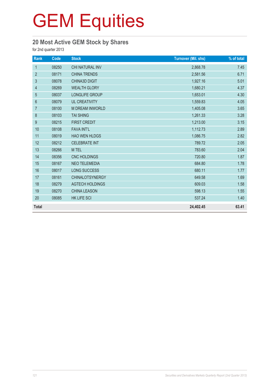### **20 Most Active GEM Stock by Shares**

for 2nd quarter 2013

| Rank           | Code  | <b>Stock</b>           | <b>Turnover (Mil. shs)</b> | % of total |
|----------------|-------|------------------------|----------------------------|------------|
| $\mathbf{1}$   | 08250 | CHI NATURAL INV        | 2,868.78                   | 7.45       |
| $\overline{2}$ | 08171 | <b>CHINA TRENDS</b>    | 2,581.56                   | 6.71       |
| $\mathfrak{S}$ | 08078 | CHINA3D DIGIT          | 1,927.16                   | 5.01       |
| $\overline{4}$ | 08269 | <b>WEALTH GLORY</b>    | 1,680.21                   | 4.37       |
| $\sqrt{5}$     | 08037 | LONGLIFE GROUP         | 1,653.01                   | 4.30       |
| $6\phantom{1}$ | 08079 | <b>UL CREATIVITY</b>   | 1,559.83                   | 4.05       |
| $\overline{7}$ | 08100 | M DREAM INWORLD        | 1,405.08                   | 3.65       |
| $\,8\,$        | 08103 | <b>TAI SHING</b>       | 1,261.33                   | 3.28       |
| 9              | 08215 | <b>FIRST CREDIT</b>    | 1,213.00                   | 3.15       |
| 10             | 08108 | <b>FAVA INT'L</b>      | 1,112.73                   | 2.89       |
| 11             | 08019 | <b>HAO WEN HLDGS</b>   | 1,086.75                   | 2.82       |
| 12             | 08212 | <b>CELEBRATE INT</b>   | 789.72                     | 2.05       |
| 13             | 08266 | M TEL                  | 783.60                     | 2.04       |
| 14             | 08356 | CNC HOLDINGS           | 720.80                     | 1.87       |
| 15             | 08167 | <b>NEO TELEMEDIA</b>   | 684.80                     | 1.78       |
| 16             | 08017 | LONG SUCCESS           | 680.11                     | 1.77       |
| 17             | 08161 | <b>CHINALOTSYNERGY</b> | 649.58                     | 1.69       |
| 18             | 08279 | <b>AGTECH HOLDINGS</b> | 609.03                     | 1.58       |
| 19             | 08270 | <b>CHINA LEASON</b>    | 598.13                     | 1.55       |
| 20             | 08085 | HK LIFE SCI            | 537.24                     | 1.40       |
| <b>Total</b>   |       |                        | 24,402.45                  | 63.41      |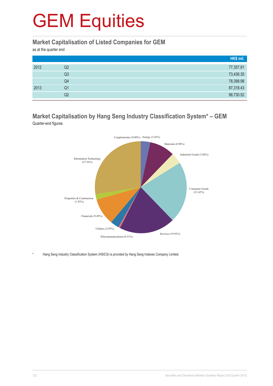#### **Market Capitalisation of Listed Companies for GEM**

as at the quarter end

|      |    | HK\$ mil. |
|------|----|-----------|
| 2012 | Q2 | 77,357.91 |
|      | Q3 | 73,436.35 |
|      | Q4 | 78,398.98 |
| 2013 | Q1 | 87,318.43 |
|      | Q2 | 98,730.52 |

#### **Market Capitalisation by Hang Seng Industry Classification System\* – GEM** Quarter-end figures



Hang Seng Industry Classification System (HSICS) is provided by Hang Seng Indexes Company Limited.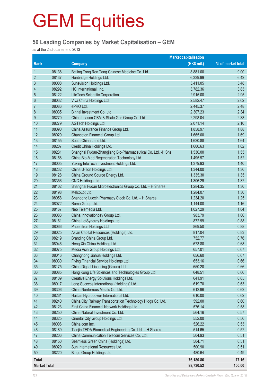#### **50 Leading Companies by Market Capitalisation – GEM**

as at the 2nd quarter end 2013

|                     | <b>Market capitalisation</b> |                                                              |             |                   |
|---------------------|------------------------------|--------------------------------------------------------------|-------------|-------------------|
| Rank                |                              | <b>Company</b>                                               | (HK\$ mil.) | % of market total |
| $\mathbf 1$         | 08138                        | Beijing Tong Ren Tang Chinese Medicine Co. Ltd.              | 8,881.00    | 9.00              |
| $\overline{2}$      | 08137                        | Honbridge Holdings Ltd.                                      | 6,339.99    | 6.42              |
| 3                   | 08008                        | Sunevision Holdings Ltd.                                     | 5,411.05    | 5.48              |
| 4                   | 08292                        | HC International, Inc.                                       | 3,782.36    | 3.83              |
| 5                   | 08122                        | LifeTech Scientific Corporation                              | 2,915.00    | 2.95              |
| $6\phantom{1}6$     | 08032                        | Viva China Holdings Ltd.                                     | 2,582.47    | 2.62              |
| $\overline{7}$      | 08086                        | ePRO Ltd.                                                    | 2,445.37    | 2.48              |
| $\,8\,$             | 08035                        | Binhai Investment Co. Ltd.                                   | 2,307.23    | 2.34              |
| 9                   | 08270                        | China Leason CBM & Shale Gas Group Co. Ltd.                  | 2,298.04    | 2.33              |
| 10                  | 08279                        | AGTech Holdings Ltd.                                         | 2,071.14    | 2.10              |
| 11                  | 08090                        | China Assurance Finance Group Ltd.                           | 1,858.97    | 1.88              |
| 12                  | 08020                        | Chanceton Financial Group Ltd.                               | 1,665.00    | 1.69              |
| 13                  | 08155                        | South China Land Ltd.                                        | 1,620.88    | 1.64              |
| 14                  | 08207                        | Credit China Holdings Ltd.                                   | 1,600.63    | 1.62              |
| 15                  | 08231                        | Shanghai Fudan-Zhangjiang Bio-Pharmaceutical Co. Ltd. -H Shs | 1,530.00    | 1.55              |
| 16                  | 08158                        | China Bio-Med Regeneration Technology Ltd.                   | 1,495.97    | 1.52              |
| 17                  | 08005                        | Yuxing InfoTech Investment Holdings Ltd.                     | 1,379.93    | 1.40              |
| 18                  | 08232                        | China U-Ton Holdings Ltd.                                    | 1,344.00    | 1.36              |
| 19                  | 08128                        | China Ground Source Energy Ltd.                              | 1,335.30    | 1.35              |
| 20                  | 08356                        | CNC Holdings Ltd.                                            | 1,306.29    | 1.32              |
| 21                  | 08102                        | Shanghai Fudan Microelectronics Group Co. Ltd. - H Shares    | 1,284.35    | 1.30              |
| 22                  | 08198                        | MelcoLot Ltd.                                                | 1,284.07    | 1.30              |
| 23                  | 08058                        | Shandong Luoxin Pharmacy Stock Co. Ltd. - H Shares           | 1,234.20    | 1.25              |
| 24                  | 08072                        | Roma Group Ltd.                                              | 1,144.00    | 1.16              |
| 25                  | 08167                        | Neo Telemedia Ltd.                                           | 1,027.29    | 1.04              |
| 26                  | 08083                        | China Innovationpay Group Ltd.                               | 983.79      | 1.00              |
| 27                  | 08161                        | China LotSynergy Holdings Ltd.                               | 872.99      | 0.88              |
| 28                  | 08066                        | Phoenitron Holdings Ltd.                                     | 869.50      | 0.88              |
| 29                  | 08025                        | Asian Capital Resources (Holdings) Ltd.                      | 817.04      | 0.83              |
| 30                  | 08219                        | Branding China Group Ltd.                                    | 752.77      | 0.76              |
| 31                  | 08046                        | Heng Xin China Holdings Ltd.                                 | 673.80      | 0.68              |
| 32                  | 08075                        | Media Asia Group Holdings Ltd.                               | 657.01      | 0.67              |
| 33                  | 08016                        | Changhong Jiahua Holdings Ltd.                               | 656.60      | 0.67              |
| 34                  | 08030                        | Flying Financial Service Holdings Ltd.                       | 653.16      | 0.66              |
| 35                  | 08175                        | China Digital Licensing (Group) Ltd.                         | 650.20      | 0.66              |
| 36                  | 08085                        | Hong Kong Life Sciences and Technologies Group Ltd.          | 648.51      | 0.66              |
| 37                  | 08109                        | Creative Energy Solutions Holdings Ltd.                      | 641.91      | 0.65              |
| 38                  | 08017                        | Long Success International (Holdings) Ltd.                   | 619.70      | 0.63              |
| 39                  | 08306                        | China Nonferrous Metals Co. Ltd.                             | 612.96      | 0.62              |
| 40                  | 08261                        | Haitian Hydropower International Ltd.                        | 610.00      | 0.62              |
| 41                  | 08240                        | China City Railway Transportation Technology HIdgs Co. Ltd.  | 592.00      | 0.60              |
| 42                  | 08123                        | First China Financial Network Holdings Ltd.                  | 576.14      | 0.58              |
| 43                  | 08250                        | China Natural Investment Co. Ltd.                            | 564.16      | 0.57              |
| 44                  | 08325                        | Oriental City Group Holdings Ltd.                            | 552.00      | 0.56              |
| 45                  | 08006                        | China.com Inc.                                               | 526.22      | 0.53              |
| 46                  | 08189                        | Tianjin TEDA Biomedical Engineering Co. Ltd. - H Shares      | 514.65      | 0.52              |
| 47                  | 08206                        | China Communication Telecom Services Co. Ltd.                | 504.93      | 0.51              |
| 48                  | 08150                        | Seamless Green China (Holdings) Ltd.                         | 504.71      | 0.51              |
| 49                  | 08029                        | Sun International Resources Ltd.                             | 500.90      | 0.51              |
| 50                  | 08220                        | Bingo Group Holdings Ltd.                                    | 480.64      | 0.49              |
|                     |                              |                                                              |             |                   |
| <b>Total</b>        |                              |                                                              | 76,180.86   | 77.16             |
| <b>Market Total</b> |                              |                                                              | 98,730.52   | 100.00            |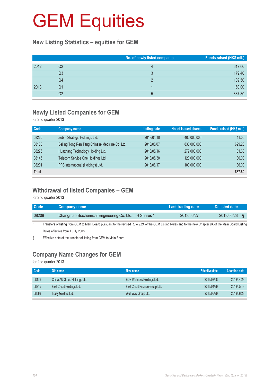#### **New Listing Statistics – equities for GEM**

|      |    | No. of newly listed companies | Funds raised (HK\$ mil.) |
|------|----|-------------------------------|--------------------------|
| 2012 | Q2 |                               | 617.66                   |
|      | Q3 | 3                             | 179.40                   |
|      | Q4 |                               | 139.50                   |
| 2013 | Q1 |                               | 60.00                    |
|      | Q2 | $5^{\circ}$                   | 887.80                   |

#### **Newly Listed Companies for GEM**

for 2nd quarter 2013

| Code         | Company name                                    | <b>Listing date</b> | No. of issued shares | Funds raised (HK\$ mil.) |
|--------------|-------------------------------------------------|---------------------|----------------------|--------------------------|
| 08260        | Zebra Strategic Holdings Ltd.                   | 2013/04/10          | 400,000,000          | 41.00                    |
| 08138        | Beijing Tong Ren Tang Chinese Medicine Co. Ltd. | 2013/05/07          | 830,000,000          | 699.20                   |
| 08276        | Huazhang Technology Holding Ltd.                | 2013/05/16          | 272,000,000          | 81.60                    |
| 08145        | Telecom Service One Holdings Ltd.               | 2013/05/30          | 120,000,000          | 30.00                    |
| 08201        | PPS International (Holdings) Ltd.               | 2013/06/17          | 100,000,000          | 36.00                    |
| <b>Total</b> |                                                 |                     |                      | 887.80                   |

### **Withdrawal of listed Companies – GEM**

for 2nd quarter 2013

| <b>Code</b> | <b>Company name</b>                                                                                                                                        | Last trading date | <b>Delisted date</b> |  |
|-------------|------------------------------------------------------------------------------------------------------------------------------------------------------------|-------------------|----------------------|--|
| 08208       | Changmao Biochemical Engineering Co. Ltd. - H Shares *                                                                                                     | 2013/06/27        | 2013/06/28           |  |
| $\star$     | Transfers of listing from GEM to Main Board pursuant to the revised Rule 9.24 of the GEM Listing Rules and to the new Chapter 9A of the Main Board Listing |                   |                      |  |

Rules effective from 1 July 2008. § Effective date of the transfer of listing from GEM to Main Board.

### **Company Name Changes for GEM**

for 2nd quarter 2013

| Code  | Old name                     | New name                        | <b>Effective date</b> | <b>Adoption date</b> |
|-------|------------------------------|---------------------------------|-----------------------|----------------------|
| 08176 | China AU Group Holdings Ltd. | EDS Wellness Holdings Ltd.      | 2013/03/08            | 2013/04/29           |
| 08215 | First Credit Holdings Ltd.   | First Credit Finance Group Ltd. | 2013/04/29            | 2013/05/13           |
| 08063 | Trasy Gold Ex Ltd.           | Well Way Group Ltd.             | 2013/05/29            | 2013/06/28           |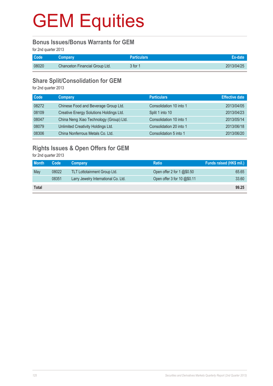#### **Bonus Issues/Bonus Warrants for GEM**

for 2nd quarter 2013

| Code <sup>1</sup> | Company                               | <b>Particulars</b> |            |
|-------------------|---------------------------------------|--------------------|------------|
| 08020             | <b>Chanceton Financial Group Ltd.</b> | 3 for 1            | 2013/04/25 |

#### **Share Split/Consolidation for GEM**

for 2nd quarter 2013

| <b>Code</b> | <b>Company</b>                          | <b>Particulars</b>      | <b>Effective date</b> |
|-------------|-----------------------------------------|-------------------------|-----------------------|
| 08272       | Chinese Food and Beverage Group Ltd.    | Consolidation 10 into 1 | 2013/04/05            |
| 08109       | Creative Energy Solutions Holdings Ltd. | Split 1 into 10         | 2013/04/23            |
| 08047       | China Neng Xiao Technology (Group) Ltd. | Consolidation 10 into 1 | 2013/05/14            |
| 08079       | Unlimited Creativity Holdings Ltd.      | Consolidation 20 into 1 | 2013/06/18            |
| 08306       | China Nonferrous Metals Co. Ltd.        | Consolidation 5 into 1  | 2013/06/20            |

### **Rights Issues & Open Offers for GEM**

for 2nd quarter 2013

| <b>Month</b> | Code  | Company                              | <b>Ratio</b>                | Funds raised (HK\$ mil.) |
|--------------|-------|--------------------------------------|-----------------------------|--------------------------|
| May          | 08022 | <b>TLT Lottotainment Group Ltd.</b>  | Open offer 2 for 1 $@$0.50$ | 65.65                    |
|              | 08351 | Larry Jewelry International Co. Ltd. | Open offer 3 for 10 @\$0.11 | 33.60                    |
| <b>Total</b> |       |                                      |                             | 99.25                    |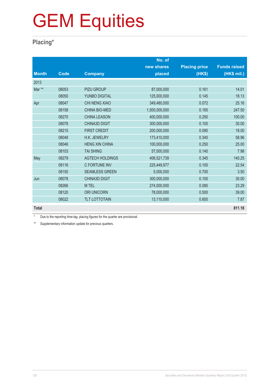### **Placing\***

|              |       |                        | No. of        |                      |                     |
|--------------|-------|------------------------|---------------|----------------------|---------------------|
|              |       |                        | new shares    | <b>Placing price</b> | <b>Funds raised</b> |
| <b>Month</b> | Code  | <b>Company</b>         | placed        | (HK\$)               | (HK\$ mil.)         |
| 2013         |       |                        |               |                      |                     |
| Mar **       | 08053 | <b>PIZU GROUP</b>      | 87,000,000    | 0.161                | 14.01               |
|              | 08050 | YUNBO DIGITAL          | 125,000,000   | 0.145                | 18.13               |
| Apr          | 08047 | CHI NENG XIAO          | 349,480,000   | 0.072                | 25.16               |
|              | 08158 | <b>CHINA BIO-MED</b>   | 1,500,000,000 | 0.165                | 247.50              |
|              | 08270 | <b>CHINA LEASON</b>    | 400,000,000   | 0.250                | 100.00              |
|              | 08078 | <b>CHINA3D DIGIT</b>   | 300,000,000   | 0.100                | 30.00               |
|              | 08215 | <b>FIRST CREDIT</b>    | 200,000,000   | 0.090                | 18.00               |
|              | 08048 | H.K. JEWELRY           | 173,410,000   | 0.340                | 58.96               |
|              | 08046 | <b>HENG XIN CHINA</b>  | 100,000,000   | 0.250                | 25.00               |
|              | 08103 | <b>TAI SHING</b>       | 57,000,000    | 0.140                | 7.98                |
| May          | 08279 | <b>AGTECH HOLDINGS</b> | 406,521,739   | 0.345                | 140.25              |
|              | 08116 | <b>C FORTUNE INV</b>   | 225,449,977   | 0.100                | 22.54               |
|              | 08150 | <b>SEAMLESS GREEN</b>  | 5,000,000     | 0.700                | 3.50                |
| Jun          | 08078 | <b>CHINA3D DIGIT</b>   | 300,000,000   | 0.100                | 30.00               |
|              | 08266 | M TEL                  | 274,000,000   | 0.085                | 23.29               |
|              | 08120 | <b>ORI UNICORN</b>     | 78,000,000    | 0.500                | 39.00               |
|              | 08022 | <b>TLT LOTTOTAIN</b>   | 13,110,000    | 0.600                | 7.87                |
| <b>Total</b> |       |                        |               |                      | 811.18              |

\* Due to the reporting time-lag, placing figures for the quarter are provisional.

\*\* Supplementary information update for previous quarters.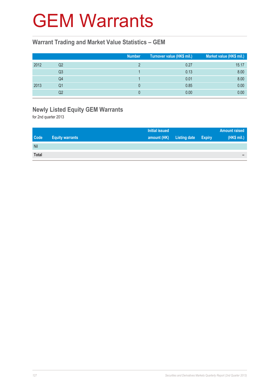### GEM Warrants

#### **Warrant Trading and Market Value Statistics – GEM**

|      |                | <b>Number</b> | Turnover value (HK\$ mil.) | Market value (HK\$ mil.) |
|------|----------------|---------------|----------------------------|--------------------------|
| 2012 | Q2             |               | 0.27                       | 15.17                    |
|      | Q <sub>3</sub> |               | 0.13                       | 8.00                     |
|      | Q4             |               | 0.01                       | 8.00                     |
| 2013 | Q1             |               | 0.85                       | 0.00                     |
|      | Q2             |               | 0.00                       | 0.00                     |

### **Newly Listed Equity GEM Warrants**

for 2nd quarter 2013

|              |                        | <b>Initial issued</b> |                     |               | <b>Amount raised</b> |
|--------------|------------------------|-----------------------|---------------------|---------------|----------------------|
| <b>Code</b>  | <b>Equity warrants</b> | amount (HK)           | <b>Listing date</b> | <b>Expiry</b> | (HK\$ mil.)          |
| Nil          |                        |                       |                     |               |                      |
| <b>Total</b> |                        |                       |                     |               | -                    |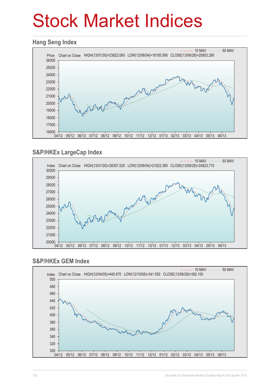# Stock Market Indices

#### **Hang Seng Index**



### **S&P/HKEx LargeCap Index**



#### **S&P/HKEx GEM Index**

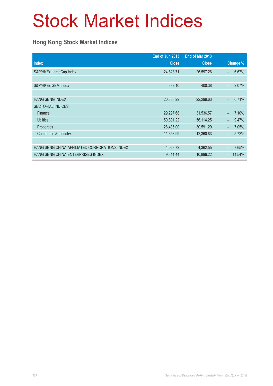# Stock Market Indices

### **Hong Kong Stock Market Indices**

|                                               | End of Jun 2013 | End of Mar 2013 |                                   |
|-----------------------------------------------|-----------------|-----------------|-----------------------------------|
| <b>Index</b>                                  | <b>Close</b>    | <b>Close</b>    | Change %                          |
| S&P/HKEx LargeCap Index                       | 24,823.71       | 26,597.26       | 6.67%<br>-                        |
|                                               |                 |                 |                                   |
| S&P/HKEx GEM Index                            | 392.10          | 400.38          | 2.07%<br>$\equiv$                 |
|                                               |                 |                 |                                   |
| <b>HANG SENG INDEX</b>                        | 20,803.29       | 22,299.63       | 6.71%<br>$\overline{\phantom{0}}$ |
| <b>SECTORIAL INDICES</b>                      |                 |                 |                                   |
| Finance                                       | 29,297.68       | 31,536.57       | 7.10%                             |
| <b>Utilities</b>                              | 50,801.22       | 56,114.25       | 9.47%                             |
| Properties                                    | 28,436.00       | 30,591.29       | 7.05%<br>$\overline{\phantom{0}}$ |
| Commerce & Industry                           | 11,653.99       | 12,360.83       | 5.72%<br>$\overline{\phantom{0}}$ |
|                                               |                 |                 |                                   |
| HANG SENG CHINA-AFFILIATED CORPORATIONS INDEX | 4,028.72        | 4,362.55        | 7.65%                             |
| HANG SENG CHINA ENTERPRISES INDEX             | 9,311.44        | 10,896.22       | 14.54%                            |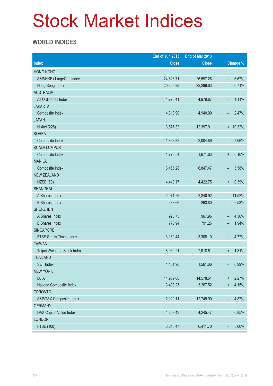# Stock Market Indices

### **WORLD INDICES**

|                                 | End of Jun 2013 | End of Mar 2013 |                                   |
|---------------------------------|-----------------|-----------------|-----------------------------------|
| <b>Index</b>                    | <b>Close</b>    | <b>Close</b>    | Change %                          |
| <b>HONG KONG</b>                |                 |                 |                                   |
| S&P/HKEx LargeCap Index         | 24,823.71       | 26,597.26       | 6.67%<br>$\overline{\phantom{0}}$ |
| Hang Seng Index                 | 20,803.29       | 22,299.63       | 6.71%<br>$\overline{\phantom{0}}$ |
| <b>AUSTRALIA</b>                |                 |                 |                                   |
| All Ordinaries Index            | 4,775.41        | 4,979.87        | 4.11%<br>$\overline{\phantom{0}}$ |
| <b>JAKARTA</b>                  |                 |                 |                                   |
| Composite Index                 | 4,818.90        | 4,940.99        | 2.47%<br>$\overline{\phantom{0}}$ |
| <b>JAPAN</b>                    |                 |                 |                                   |
| Nikkei (225)                    | 13,677.32       | 12,397.91       | $+ 10.32%$                        |
| <b>KOREA</b>                    |                 |                 |                                   |
| Composite Index                 | 1,863.32        | 2,004.89        | 7.06%<br>-                        |
| <b>KUALA LUMPUR</b>             |                 |                 |                                   |
| Composite Index                 | 1,773.54        | 1,671.63        | 6.10%<br>$\ddot{}$                |
| <b>MANILA</b>                   |                 |                 |                                   |
| Composite Index                 | 6,465.28        | 6,847.47        | 5.58%<br>-                        |
| <b>NEW ZEALAND</b>              |                 |                 |                                   |
| <b>NZSE (50)</b>                | 4,440.17        | 4,422.75        | 0.39%<br>$\ddot{}$                |
| <b>SHANGHAI</b>                 |                 |                 |                                   |
| A Shares Index                  | 2,071.26        | 2,340.92        | $-11.52%$                         |
| <b>B</b> Shares Index           | 238.66          | 263.80          | 9.53%<br>$\overline{\phantom{0}}$ |
| <b>SHENZHEN</b>                 |                 |                 |                                   |
| A Shares Index                  | 925.75          | 967.96          | 4.36%<br>$\overline{\phantom{0}}$ |
| <b>B</b> Shares Index           | 775.94          | 791.26          | 1.94%<br>-                        |
| <b>SINGAPORE</b>                |                 |                 |                                   |
| <b>FTSE Straits Times Index</b> | 3,150.44        | 3,308.10        | 4.77%<br>-                        |
| <b>TAIWAN</b>                   |                 |                 |                                   |
| Taipei Weighted Stock Index     | 8,062.21        | 7,918.61        | 1.81%<br>$\ddot{}$                |
| <b>THAILAND</b>                 |                 |                 |                                   |
| <b>SET Index</b>                | 1,451.90        | 1,561.06        | 6.99%<br>-                        |
| <b>NEW YORK</b>                 |                 |                 |                                   |
| <b>DJIA</b>                     | 14,909.60       | 14,578.54       | 2.27%<br>$\ddagger$               |
| Nasdaq Composite Index          | 3,403.25        | 3,267.52        | 4.15%<br>$\ddot{}$                |
| <b>TORONTO</b>                  |                 |                 |                                   |
| S&P/TSX Composite Index         | 12,129.11       | 12,749.90       | 4.87%<br>$\overline{\phantom{0}}$ |
| <b>GERMANY</b>                  |                 |                 |                                   |
| DAX Capital Value Index         | 4,209.43        | 4,245.47        | 0.85%<br>$\overline{\phantom{0}}$ |
| <b>LONDON</b>                   |                 |                 |                                   |
| FTSE (100)                      | 6,215.47        | 6,411.70        | 3.06%<br>$\qquad \qquad -$        |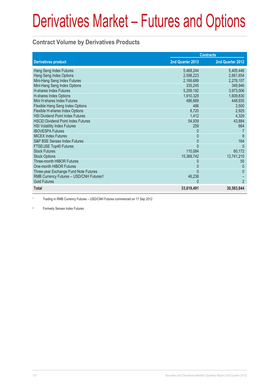#### **Contract Volume by Derivatives Products**

|                                           | <b>Contracts</b> |                  |  |
|-------------------------------------------|------------------|------------------|--|
| <b>Derivatives product</b>                | 2nd Quarter 2013 | 2nd Quarter 2012 |  |
| Hang Seng Index Futures                   | 5,468,244        | 5,405,446        |  |
| Hang Seng Index Options                   | 2,598,223        | 2,661,654        |  |
| Mini-Hang Seng Index Futures              | 2,169,689        | 2,278,107        |  |
| Mini-Hang Seng Index Options              | 335,245          | 349,946          |  |
| <b>H-shares Index Futures</b>             | 5,259,192        | 3,973,006        |  |
| H-shares Index Options                    | 1,910,329        | 1,609,830        |  |
| Mini H-shares Index Futures               | 486,689          | 448,935          |  |
| Flexible Hang Seng Index Options          | 486              | 3,500            |  |
| Flexible H-shares Index Options           | 8,720            | 2,925            |  |
| <b>HSI Dividend Point Index Futures</b>   | 1,412            | 4,329            |  |
| <b>HSCEI Dividend Point Index Futures</b> | 54,939           | 43,884           |  |
| <b>HSI Volatility Index Futures</b>       | 259              | 664              |  |
| <b>IBOVESPA Futures</b>                   | $\Omega$         |                  |  |
| <b>MICEX Index Futures</b>                | 0                | 8                |  |
| S&P BSE Sensex Index Futures              |                  | 164              |  |
| FTSE/JSE Top40 Futures                    | $\Omega$         | $\Omega$         |  |
| <b>Stock Futures</b>                      | 110,084          | 60,172           |  |
| <b>Stock Options</b>                      | 15,369,742       | 13,741,210       |  |
| Three-month HIBOR Futures                 |                  | 55               |  |
| One-month HIBOR Futures                   | 0                | $\Omega$         |  |
| Three-year Exchange Fund Note Futures     |                  | $\Omega$         |  |
| RMB Currency Futures - USD/CNH Futures1   | 46,238           |                  |  |
| <b>Gold Futures</b>                       | $\Omega$         | $\overline{2}$   |  |
| <b>Total</b>                              | 33,819,491       | 30,583,844       |  |

1 Trading in RMB Currency Futures – USD/CNH Futures commenced on 17 Sep 2012

2 Formerly Sensex Index Futures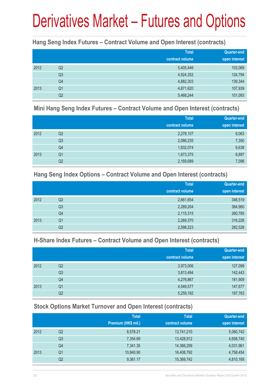#### **Hang Seng Index Futures – Contract Volume and Open Interest (contracts)**

|      |                | <b>Total</b><br>contract volume | <b>Quarter-end</b><br>open interest |
|------|----------------|---------------------------------|-------------------------------------|
| 2012 | Q2             | 5,405,446                       | 103,069                             |
|      | Q <sub>3</sub> | 4,924,352                       | 124,794                             |
|      | Q4             | 4,882,303                       | 139,344                             |
| 2013 | Q <sub>1</sub> | 4,871,620                       | 107,939                             |
|      | Q <sub>2</sub> | 5,468,244                       | 101,093                             |

#### **Mini Hang Seng Index Futures – Contract Volume and Open Interest (contracts)**

|      |                | <b>Total</b><br>contract volume | Quarter-end<br>open interest |
|------|----------------|---------------------------------|------------------------------|
| 2012 | Q2             | 2,278,107                       | 6,063                        |
|      | Q <sub>3</sub> | 2,086,235                       | 7,350                        |
|      | Q4             | 1,832,074                       | 6,638                        |
| 2013 | Q <sub>1</sub> | 1,873,375                       | 6,897                        |
|      | Q <sub>2</sub> | 2,169,689                       | 7,096                        |

#### **Hang Seng Index Options – Contract Volume and Open Interest (contracts)**

|      |                | <b>Total</b>    | Quarter-end   |
|------|----------------|-----------------|---------------|
|      |                | contract volume | open interest |
| 2012 | Q <sub>2</sub> | 2,661,654       | 346,519       |
|      | Q <sub>3</sub> | 2,289,204       | 364,960       |
|      | Q4             | 2,115,315       | 260,785       |
| 2013 | Q <sub>1</sub> | 2,269,370       | 316,226       |
|      | Q2             | 2,598,223       | 282,528       |

#### **H-Share Index Futures – Contract Volume and Open Interest (contracts)**

|      |                | <b>Total</b>    | <b>Quarter-end</b> |
|------|----------------|-----------------|--------------------|
|      |                | contract volume | open interest      |
| 2012 | Q <sub>2</sub> | 3,973,006       | 127,099            |
|      | Q <sub>3</sub> | 3,813,494       | 142,443            |
|      | Q4             | 4,276,867       | 181,909            |
| 2013 | Q <sub>1</sub> | 4,549,577       | 147,677            |
|      | Q2             | 5,259,192       | 197,763            |

### **Stock Options Market Turnover and Open Interest (contracts)**

|      |    | <b>Total</b>        | <b>Total</b>    | <b>Quarter-end</b> |
|------|----|---------------------|-----------------|--------------------|
|      |    | Premium (HK\$ mil.) | contract volume | open interest      |
| 2012 | Q2 | 8,578.21            | 13,741,210      | 5,060,742          |
|      | Q3 | 7,354.69            | 13,428,912      | 4,658,740          |
|      | Q4 | 7,341.35            | 14,366,259      | 4,031,961          |
| 2013 | Q1 | 10,840.90           | 16,408,792      | 4,758,454          |
|      | Q2 | 9,361.17            | 15,369,742      | 4,810,169          |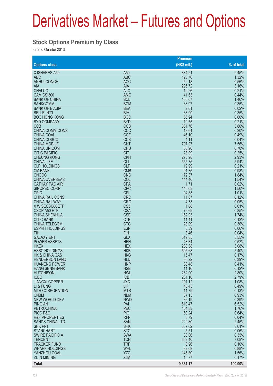#### **Stock Options Premium by Class**

for 2nd Quarter 2013

|                                            |                          | Premium         |                |
|--------------------------------------------|--------------------------|-----------------|----------------|
| <b>Options class</b>                       |                          | $(HK$$ mil.)    | % of total     |
| X ISHARES A50                              | A50                      | 884.21          | 9.45%          |
| <b>ABC</b>                                 | <b>ABC</b>               | 123.76          | 1.32%          |
| <b>ANHUI CONCH</b>                         | <b>ACC</b>               | 52.18           | 0.56%          |
| <b>AIA</b>                                 | <b>AIA</b>               | 295.72          | 3.16%          |
| <b>CHALCO</b>                              | <b>ALC</b>               | 19.26           | 0.21%          |
| CAM CSI300                                 | <b>AMC</b>               | 41.63           | 0.44%          |
| <b>BANK OF CHINA</b><br><b>BANKCOMM</b>    | <b>BCL</b><br><b>BCM</b> | 136.67<br>33.07 | 1.46%<br>0.35% |
| <b>BANK OF E ASIA</b>                      | <b>BEA</b>               | 2.01            | 0.02%          |
| <b>BELLE INT'L</b>                         | <b>BIH</b>               | 33.09           | 0.35%          |
| <b>BOC HONG KONG</b>                       | <b>BOC</b>               | 55.94           | 0.60%          |
| <b>BYD COMPANY</b>                         | <b>BYD</b>               | 19.55           | 0.21%          |
| <b>CCB</b>                                 | <b>CCB</b>               | 361.76          | 3.86%          |
| <b>CHINA COMM CONS</b>                     | CCC                      | 18.64           | 0.20%          |
| <b>CHINA COAL</b>                          | <b>CCE</b>               | 46.10           | 0.49%          |
| <b>CHINA COSCO</b>                         | CCS                      | 4.11            | 0.04%          |
| <b>CHINA MOBILE</b><br><b>CHINA UNICOM</b> | <b>CHT</b><br><b>CHU</b> | 707.27<br>65.90 | 7.56%<br>0.70% |
| <b>CITIC PACIFIC</b>                       | <b>CIT</b>               | 23.09           | 0.25%          |
| <b>CHEUNG KONG</b>                         | <b>CKH</b>               | 273.98          | 2.93%          |
| <b>CHINA LIFE</b>                          | <b>CLI</b>               | 555.75          | 5.94%          |
| <b>CLP HOLDINGS</b>                        | <b>CLP</b>               | 19.99           | 0.21%          |
| <b>CM BANK</b>                             | <b>CMB</b>               | 91.35           | 0.98%          |
| <b>CNOOC</b>                               | <b>CNC</b>               | 172.37          | 1.84%          |
| <b>CHINA OVERSEAS</b>                      | COL                      | 144.46          | 1.54%          |
| <b>CATHAY PAC AIR</b>                      | <b>CPA</b>               | 1.71            | 0.02%          |
| <b>SINOPEC CORP</b>                        | <b>CPC</b>               | 145.68          | 1.56%          |
| <b>CPIC</b><br><b>CHINA RAIL CONS</b>      | <b>CPI</b><br><b>CRC</b> | 94.83<br>11.07  | 1.01%<br>0.12% |
| <b>CHINA RAILWAY</b>                       | <b>CRG</b>               | 4.73            | 0.05%          |
| X WISECSI300ETF                            | CS <sub>3</sub>          | 1.08            | 0.01%          |
| <b>CSOP A50 ETF</b>                        | <b>CSA</b>               | 79.69           | 0.85%          |
| <b>CHINA SHENHUA</b>                       | <b>CSE</b>               | 162.93          | 1.74%          |
| <b>CITIC BANK</b>                          | <b>CTB</b>               | 11.41           | 0.12%          |
| <b>CHINA TELECOM</b>                       | <b>CTC</b>               | 28.09           | 0.30%          |
| <b>ESPRIT HOLDINGS</b>                     | <b>ESP</b>               | 5.39            | 0.06%          |
| <b>FIH</b>                                 | <b>FIH</b>               | 3.46            | 0.04%          |
| <b>GALAXY ENT</b><br><b>POWER ASSETS</b>   | <b>GLX</b><br><b>HEH</b> | 519.85<br>48.84 | 5.55%<br>0.52% |
| <b>HKEX</b>                                | <b>HEX</b>               | 288.38          | 3.08%          |
| <b>HSBC HOLDINGS</b>                       | <b>HKB</b>               | 505.68          | 5.40%          |
| <b>HK &amp; CHINA GAS</b>                  | <b>HKG</b>               | 15.47           | 0.17%          |
| <b>HENDERSON LAND</b>                      | <b>HLD</b>               | 36.22           | 0.39%          |
| <b>HUANENG POWER</b>                       | <b>HNP</b>               | 38.48           | 0.41%          |
| <b>HANG SENG BANK</b>                      | <b>HSB</b>               | 11.16           | 0.12%          |
| <b>HUTCHISON</b>                           | <b>HWL</b>               | 262.00          | 2.80%          |
| <b>ICBC</b>                                | <b>ICB</b>               | 261.16          | 2.79%          |
| <b>JIANGXI COPPER</b>                      | <b>JXC</b><br><b>LIF</b> | 101.12          | 1.08%<br>0.49% |
| LI & FUNG<br><b>MTR CORPORATION</b>        | <b>MTR</b>               | 45.45<br>11.79  | 0.13%          |
| <b>CNBM</b>                                | <b>NBM</b>               | 87.13           | 0.93%          |
| <b>NEW WORLD DEV</b>                       | <b>NWD</b>               | 36.19           | 0.39%          |
| <b>PING AN</b>                             | PAI                      | 610.47          | 6.52%          |
| <b>PETROCHINA</b>                          | PEC                      | 164.83          | 1.76%          |
| PICC P&C                                   | <b>PIC</b>               | 60.24           | 0.64%          |
| <b>R&amp;F PROPERTIES</b>                  | <b>RFP</b>               | 3.79            | 0.04%          |
| <b>SANDS CHINA LTD</b>                     | <b>SAN</b>               | 229.80          | 2.45%          |
| <b>SHK PPT</b>                             | <b>SHK</b>               | 337.62          | 3.61%          |
| <b>STANCHART</b><br><b>SWIRE PACIFIC A</b> | <b>STC</b><br><b>SWA</b> | 5.51<br>33.06   | 0.06%<br>0.35% |
| <b>TENCENT</b>                             | <b>TCH</b>               | 662.40          | 7.08%          |
| <b>TRACKER FUND</b>                        | <b>TRF</b>               | 8.96            | 0.10%          |
| <b>WHARF HOLDINGS</b>                      | <b>WHL</b>               | 82.08           | 0.88%          |
| YANZHOU COAL                               | <b>YZC</b>               | 145.80          | 1.56%          |
| <b>ZIJIN MINING</b>                        | <b>ZJM</b>               | 15.77           | 0.17%          |
| <b>Total</b>                               |                          | 9,361.17        | 100.00%        |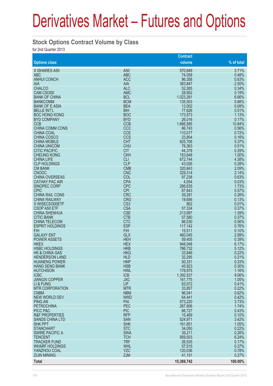#### **Stock Options Contract Volume by Class**

for 2nd Quarter 2013

|                                           |                          | <b>Contract</b>      |                |
|-------------------------------------------|--------------------------|----------------------|----------------|
| <b>Options class</b>                      |                          | volume               | % of total     |
| X ISHARES A50                             | A <sub>50</sub>          | 570,849              | 3.71%          |
| <b>ABC</b>                                | <b>ABC</b>               | 74,058               | 0.48%          |
| <b>ANHUI CONCH</b>                        | <b>ACC</b>               | 96,358               | 0.63%          |
| <b>AIA</b>                                | <b>AIA</b>               | 383,847              | 2.50%          |
| <b>CHALCO</b>                             | <b>ALC</b>               | 52,265               | 0.34%          |
| CAM CSI300                                | <b>AMC</b><br><b>BCL</b> | 28,952               | 0.19%<br>6.66% |
| <b>BANK OF CHINA</b><br><b>BANKCOMM</b>   | <b>BCM</b>               | 1,023,281<br>135,503 | 0.88%          |
| <b>BANK OF E ASIA</b>                     | <b>BEA</b>               | 13,002               | 0.08%          |
| <b>BELLE INT'L</b>                        | <b>BIH</b>               | 77,626               | 0.51%          |
| <b>BOC HONG KONG</b>                      | <b>BOC</b>               | 173,573              | 1.13%          |
| <b>BYD COMPANY</b>                        | <b>BYD</b>               | 26,016               | 0.17%          |
| <b>CCB</b>                                | <b>CCB</b>               | 1,666,585            | 10.84%         |
| <b>CHINA COMM CONS</b>                    | CCC                      | 86,743               | 0.56%          |
| <b>CHINA COAL</b>                         | <b>CCE</b>               | 110,077              | 0.72%          |
| <b>CHINA COSCO</b><br><b>CHINA MOBILE</b> | <b>CCS</b><br><b>CHT</b> | 23,854<br>825,706    | 0.16%<br>5.37% |
| <b>CHINA UNICOM</b>                       | <b>CHU</b>               | 78,363               | 0.51%          |
| <b>CITIC PACIFIC</b>                      | <b>CIT</b>               | 44,378               | 0.29%          |
| <b>CHEUNG KONG</b>                        | <b>CKH</b>               | 153,648              | 1.00%          |
| <b>CHINA LIFE</b>                         | <b>CLI</b>               | 672,744              | 4.38%          |
| <b>CLP HOLDINGS</b>                       | <b>CLP</b>               | 43,026               | 0.28%          |
| <b>CM BANK</b>                            | <b>CMB</b>               | 320,843              | 2.09%          |
| <b>CNOOC</b>                              | <b>CNC</b>               | 329,314              | 2.14%          |
| <b>CHINA OVERSEAS</b>                     | COL                      | 97,238               | 0.63%          |
| <b>CATHAY PAC AIR</b>                     | <b>CPA</b>               | 4,054                | 0.03%          |
| <b>SINOPEC CORP</b>                       | <b>CPC</b><br><b>CPI</b> | 266,635              | 1.73%          |
| <b>CPIC</b><br><b>CHINA RAIL CONS</b>     | <b>CRC</b>               | 87,843<br>39,281     | 0.57%<br>0.26% |
| <b>CHINA RAILWAY</b>                      | <b>CRG</b>               | 19,656               | 0.13%          |
| X WISECSI300ETF                           | CS <sub>3</sub>          | 862                  | 0.01%          |
| CSOP A50 ETF                              | <b>CSA</b>               | 57,334               | 0.37%          |
| <b>CHINA SHENHUA</b>                      | <b>CSE</b>               | 213,997              | 1.39%          |
| <b>CITIC BANK</b>                         | <b>CTB</b>               | 57,580               | 0.37%          |
| <b>CHINA TELECOM</b>                      | <b>CTC</b>               | 86,530               | 0.56%          |
| <b>ESPRIT HOLDINGS</b>                    | <b>ESP</b>               | 117,142              | 0.76%          |
| <b>FIH</b>                                | <b>FIH</b>               | 15,511               | 0.10%          |
| <b>GALAXY ENT</b>                         | <b>GLX</b>               | 460,045              | 2.99%          |
| <b>POWER ASSETS</b><br><b>HKEX</b>        | <b>HEH</b><br><b>HEX</b> | 59,405<br>948,048    | 0.39%<br>6.17% |
| <b>HSBC HOLDINGS</b>                      | <b>HKB</b>               | 786,732              | 5.12%          |
| <b>HK &amp; CHINA GAS</b>                 | <b>HKG</b>               | 33,846               | 0.22%          |
| <b>HENDERSON LAND</b>                     | <b>HLD</b>               | 32,295               | 0.21%          |
| <b>HUANENG POWER</b>                      | <b>HNP</b>               | 50,331               | 0.33%          |
| <b>HANG SENG BANK</b>                     | <b>HSB</b>               | 45,923               | 0.30%          |
| <b>HUTCHISON</b>                          | <b>HWL</b>               | 178,975              | 1.16%          |
| <b>ICBC</b>                               | <b>ICB</b>               | 1,392,537            | 9.06%          |
| <b>JIANGXI COPPER</b>                     | <b>JXC</b><br><b>LIF</b> | 161,775              | 1.05%<br>0.41% |
| LI & FUNG<br><b>MTR CORPORATION</b>       | <b>MTR</b>               | 63,072<br>33,857     | 0.22%          |
| <b>CNBM</b>                               | <b>NBM</b>               | 96,041               | 0.62%          |
| <b>NEW WORLD DEV</b>                      | <b>NWD</b>               | 64,441               | 0.42%          |
| <b>PING AN</b>                            | PAI                      | 573,220              | 3.73%          |
| <b>PETROCHINA</b>                         | PEC                      | 267,906              | 1.74%          |
| PICC P&C                                  | <b>PIC</b>               | 66,727               | 0.43%          |
| <b>R&amp;F PROPERTIES</b>                 | <b>RFP</b>               | 15,469               | 0.10%          |
| <b>SANDS CHINA LTD</b>                    | <b>SAN</b>               | 524,971              | 3.42%          |
| <b>SHK PPT</b>                            | <b>SHK</b>               | 161,851              | 1.05%          |
| <b>STANCHART</b>                          | <b>STC</b>               | 34,050               | 0.22%          |
| <b>SWIRE PACIFIC A</b><br><b>TENCENT</b>  | <b>SWA</b><br><b>TCH</b> | 39,211<br>959,503    | 0.26%<br>6.24% |
| <b>TRACKER FUND</b>                       | <b>TRF</b>               | 26,535               | 0.17%          |
| <b>WHARF HOLDINGS</b>                     | <b>WHL</b>               | 57,515               | 0.37%          |
| YANZHOU COAL                              | <b>YZC</b>               | 120,036              | 0.78%          |
| <b>ZIJIN MINING</b>                       | <b>ZJM</b>               | 41,151               | 0.27%          |
| <b>Total</b>                              |                          | 15,369,742           | 100.00%        |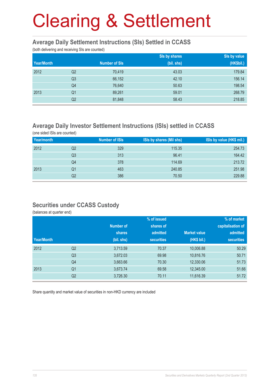#### **Average Daily Settlement Instructions (SIs) Settled in CCASS**

(both delivering and receiving SIs are counted)

|            |                |                      | Sis by shares | Sis by value |
|------------|----------------|----------------------|---------------|--------------|
| Year/Month |                | <b>Number of SIs</b> | (bil. shs)    | (HK\$bil.)   |
| 2012       | Q <sub>2</sub> | 70,419               | 43.03         | 179.84       |
|            | Q <sub>3</sub> | 66,152               | 42.10         | 156.14       |
|            | Q4             | 76,640               | 50.63         | 198.54       |
| 2013       | Q <sub>1</sub> | 89,261               | 59.01         | 268.79       |
|            | Q <sub>2</sub> | 81,848               | 58.43         | 218.85       |

### **Average Daily Investor Settlement Instructions (ISIs) settled in CCASS**

(one sided ISIs are counted)

| Year/month |    | <b>Number of ISIs</b> | ISIs by shares (Mil shs) | ISIs by value (HK\$ mil.) |
|------------|----|-----------------------|--------------------------|---------------------------|
| 2012       | Q2 | 329                   | 115.35                   | 254.73                    |
|            | Q3 | 313                   | 96.41                    | 164.42                    |
|            | Q4 | 378                   | 114.69                   | 213.72                    |
| 2013       | Q1 | 463                   | 240.85                   | 251.98                    |
|            | Q2 | 386                   | 70.50                    | 229.88                    |

#### **Securities under CCASS Custody**

(balances at quarter end)

|            |                |                  | % of issued       |                     | % of market       |
|------------|----------------|------------------|-------------------|---------------------|-------------------|
|            |                | <b>Number of</b> | shares of         |                     | capitalisation of |
|            |                | shares           | admitted          | <b>Market value</b> | admitted          |
| Year/Month |                | (bil. shs)       | <b>securities</b> | (HK\$ bil.)         | <b>securities</b> |
| 2012       | Q <sub>2</sub> | 3,713.59         | 70.37             | 10,006.88           | 50.29             |
|            | Q <sub>3</sub> | 3,672.03         | 69.98             | 10,816.76           | 50.71             |
|            | Q4             | 3,663.66         | 70.30             | 12,330.06           | 51.73             |
| 2013       | Q <sub>1</sub> | 3,673.74         | 69.58             | 12,345.00           | 51.66             |
|            | Q <sub>2</sub> | 3,726.30         | 70.11             | 11,616.39           | 51.72             |

Share quantity and market value of securities in non-HKD currency are included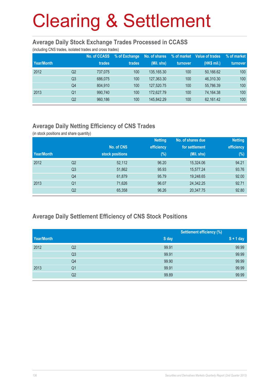#### **Average Daily Stock Exchange Trades Processed in CCASS**

(including CNS trades, isolated trades and cross trades)

| Year/Month |                | <b>No. of CCASS</b><br>trades | % of Exchange<br>trades | No. of shares<br>(Mil. shs) | % of market<br>turnover | Value of trades<br>(HK\$ mil.) | % of market<br>turnover |
|------------|----------------|-------------------------------|-------------------------|-----------------------------|-------------------------|--------------------------------|-------------------------|
| 2012       | Q2             | 737.075                       | 100                     | 135, 165, 30                | 100                     | 50.166.62                      | 100                     |
|            | Q <sub>3</sub> | 686.075                       | 100                     | 127,363.30                  | 100                     | 46,310.30                      | 100                     |
|            | Q4             | 804.910                       | 100                     | 127.520.75                  | 100                     | 55,786.39                      | 100                     |
| 2013       | Q <sub>1</sub> | 990.740                       | 100                     | 172,627.79                  | 100                     | 74,164.38                      | 100                     |
|            | Q2             | 960.186                       | 100                     | 145.842.29                  | 100                     | 62,161.42                      | 100                     |

### **Average Daily Netting Efficiency of CNS Trades**

(in stock positions and share quantity)

|            |                |                 | <b>Netting</b> | No. of shares due | <b>Netting</b> |
|------------|----------------|-----------------|----------------|-------------------|----------------|
|            |                | No. of CNS      | efficiency     | for settlement    | efficiency     |
| Year/Month |                | stock positions | $(\%)$         | (Mil. shs)        | $(\%)$         |
| 2012       | Q <sub>2</sub> | 52,112          | 96.20          | 15,324.06         | 94.21          |
|            | Q <sub>3</sub> | 51,862          | 95.93          | 15,577.24         | 93.76          |
|            | Q4             | 61,879          | 95.79          | 19,248.65         | 92.00          |
| 2013       | Q <sub>1</sub> | 71,626          | 96.07          | 24,342.25         | 92.71          |
|            | Q <sub>2</sub> | 65,358          | 96.26          | 20,347.75         | 92.80          |

### **Average Daily Settlement Efficiency of CNS Stock Positions**

|            |                | <b>Settlement efficiency (%)</b> |             |
|------------|----------------|----------------------------------|-------------|
| Year/Month |                | S day                            | $S + 1$ day |
| 2012       | Q2             | 99.91                            | 99.99       |
|            | Q <sub>3</sub> | 99.91                            | 99.99       |
|            | Q4             | 99.90                            | 99.99       |
| 2013       | Q <sub>1</sub> | 99.91                            | 99.99       |
|            | Q2             | 99.89                            | 99.99       |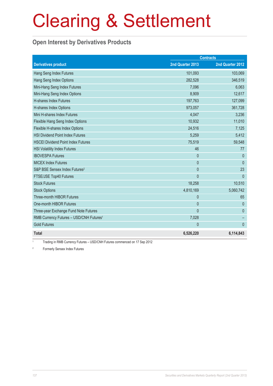### **Open Interest by Derivatives Products**

|                                                     | <b>Contracts</b> |                  |  |
|-----------------------------------------------------|------------------|------------------|--|
| <b>Derivatives product</b>                          | 2nd Quarter 2013 | 2nd Quarter 2012 |  |
| Hang Seng Index Futures                             | 101,093          | 103,069          |  |
| Hang Seng Index Options                             | 282,528          | 346,519          |  |
| Mini-Hang Seng Index Futures                        | 7,096            | 6,063            |  |
| Mini-Hang Seng Index Options                        | 8,909            | 12,617           |  |
| <b>H-shares Index Futures</b>                       | 197,763          | 127,099          |  |
| H-shares Index Options                              | 973,057          | 361,728          |  |
| Mini H-shares Index Futures                         | 4,047            | 3,236            |  |
| Flexible Hang Seng Index Options                    | 10,932           | 11,010           |  |
| Flexible H-shares Index Options                     | 24,516           | 7,125            |  |
| <b>HSI Dividend Point Index Futures</b>             | 5,259            | 5,412            |  |
| <b>HSCEI Dividend Point Index Futures</b>           | 75,519           | 59,548           |  |
| <b>HSI Volatility Index Futures</b>                 | 46               | 77               |  |
| <b>IBOVESPA Futures</b>                             | $\Omega$         | $\Omega$         |  |
| <b>MICEX Index Futures</b>                          | $\mathbf{0}$     | $\overline{0}$   |  |
| S&P BSE Sensex Index Futures <sup>2</sup>           | $\mathbf{0}$     | 23               |  |
| FTSE/JSE Top40 Futures                              | $\overline{0}$   | $\mathbf{0}$     |  |
| <b>Stock Futures</b>                                | 18,258           | 10,510           |  |
| <b>Stock Options</b>                                | 4,810,169        | 5,060,742        |  |
| Three-month HIBOR Futures                           | $\mathbf{0}$     | 65               |  |
| One-month HIBOR Futures                             | $\mathbf{0}$     | $\Omega$         |  |
| Three-year Exchange Fund Note Futures               | $\overline{0}$   | $\mathbf{0}$     |  |
| RMB Currency Futures - USD/CNH Futures <sup>1</sup> | 7,028            |                  |  |
| <b>Gold Futures</b>                                 | $\mathbf{0}$     | $\mathbf{0}$     |  |
| <b>Total</b>                                        | 6,526,220        | 6,114,843        |  |

1 Trading in RMB Currency Futures – USD/CNH Futures commenced on 17 Sep 2012

2 Formerly Sensex Index Futures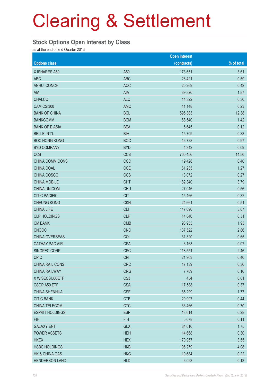#### **Stock Options Open Interest by Class**

as at the end of 2nd Quarter 2013

|                           |                 | <b>Open interest</b> |            |
|---------------------------|-----------------|----------------------|------------|
| <b>Options class</b>      |                 | (contracts)          | % of total |
| X ISHARES A50             | A50             | 173,651              | 3.61       |
| <b>ABC</b>                | <b>ABC</b>      | 28,421               | 0.59       |
| <b>ANHUI CONCH</b>        | <b>ACC</b>      | 20,269               | 0.42       |
| AIA                       | <b>AIA</b>      | 89,826               | 1.87       |
| <b>CHALCO</b>             | <b>ALC</b>      | 14,322               | 0.30       |
| CAM CSI300                | <b>AMC</b>      | 11,148               | 0.23       |
| <b>BANK OF CHINA</b>      | <b>BCL</b>      | 595,383              | 12.38      |
| <b>BANKCOMM</b>           | <b>BCM</b>      | 68,540               | 1.42       |
| <b>BANK OF E ASIA</b>     | <b>BEA</b>      | 5,645                | 0.12       |
| <b>BELLE INT'L</b>        | <b>BIH</b>      | 15,709               | 0.33       |
| <b>BOC HONG KONG</b>      | <b>BOC</b>      | 46,728               | 0.97       |
| <b>BYD COMPANY</b>        | <b>BYD</b>      | 4,342                | 0.09       |
| <b>CCB</b>                | <b>CCB</b>      | 700,456              | 14.56      |
| CHINA COMM CONS           | CCC             | 19,428               | 0.40       |
| CHINA COAL                | <b>CCE</b>      | 61,235               | 1.27       |
| CHINA COSCO               | <b>CCS</b>      | 13,072               | 0.27       |
| <b>CHINA MOBILE</b>       | <b>CHT</b>      | 182,340              | 3.79       |
| <b>CHINA UNICOM</b>       | <b>CHU</b>      | 27,046               | 0.56       |
| <b>CITIC PACIFIC</b>      | <b>CIT</b>      | 15,466               | 0.32       |
| <b>CHEUNG KONG</b>        | <b>CKH</b>      | 24,661               | 0.51       |
| <b>CHINA LIFE</b>         | <b>CLI</b>      | 147,690              | 3.07       |
| <b>CLP HOLDINGS</b>       | <b>CLP</b>      | 14,840               | 0.31       |
| <b>CM BANK</b>            | <b>CMB</b>      | 93,955               | 1.95       |
| <b>CNOOC</b>              | <b>CNC</b>      | 137,522              | 2.86       |
| <b>CHINA OVERSEAS</b>     | COL             | 31,320               | 0.65       |
| <b>CATHAY PAC AIR</b>     | <b>CPA</b>      | 3,163                | 0.07       |
| SINOPEC CORP              | <b>CPC</b>      | 118,551              | 2.46       |
| <b>CPIC</b>               | <b>CPI</b>      | 21,963               | 0.46       |
| CHINA RAIL CONS           | <b>CRC</b>      | 17,139               | 0.36       |
| <b>CHINA RAILWAY</b>      | <b>CRG</b>      | 7,789                | 0.16       |
| X WISECSI300ETF           | CS <sub>3</sub> | 454                  | 0.01       |
| CSOP A50 ETF              | <b>CSA</b>      | 17,588               | 0.37       |
| <b>CHINA SHENHUA</b>      | <b>CSE</b>      | 85,299               | 1.77       |
| <b>CITIC BANK</b>         | <b>CTB</b>      | 20,997               | 0.44       |
| CHINA TELECOM             | <b>CTC</b>      | 33,466               | 0.70       |
| <b>ESPRIT HOLDINGS</b>    | <b>ESP</b>      | 13,614               | 0.28       |
| <b>FIH</b>                | <b>FIH</b>      | 5,078                | 0.11       |
| <b>GALAXY ENT</b>         | <b>GLX</b>      | 84,016               | 1.75       |
| <b>POWER ASSETS</b>       | <b>HEH</b>      | 14,668               | 0.30       |
| <b>HKEX</b>               | <b>HEX</b>      | 170,957              | 3.55       |
| <b>HSBC HOLDINGS</b>      | <b>HKB</b>      | 196,279              | 4.08       |
| <b>HK &amp; CHINA GAS</b> | <b>HKG</b>      | 10,684               | 0.22       |
| <b>HENDERSON LAND</b>     | <b>HLD</b>      | 6,093                | 0.13       |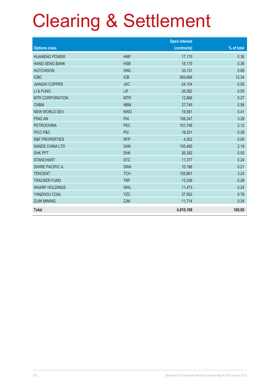|                           |            | <b>Open interest</b> |            |
|---------------------------|------------|----------------------|------------|
| <b>Options class</b>      |            | (contracts)          | % of total |
| <b>HUANENG POWER</b>      | <b>HNP</b> | 17,175               | 0.36       |
| <b>HANG SENG BANK</b>     | <b>HSB</b> | 18,175               | 0.38       |
| <b>HUTCHISON</b>          | <b>HWL</b> | 33,131               | 0.69       |
| <b>ICBC</b>               | <b>ICB</b> | 593,666              | 12.34      |
| <b>JIANGXI COPPER</b>     | <b>JXC</b> | 24,104               | 0.50       |
| LI & FUNG                 | LIF        | 26,582               | 0.55       |
| <b>MTR CORPORATION</b>    | <b>MTR</b> | 12,868               | 0.27       |
| <b>CNBM</b>               | <b>NBM</b> | 27,745               | 0.58       |
| <b>NEW WORLD DEV</b>      | <b>NWD</b> | 19,591               | 0.41       |
| <b>PING AN</b>            | PAI        | 158,247              | 3.29       |
| <b>PETROCHINA</b>         | <b>PEC</b> | 101,748              | 2.12       |
| PICC P&C                  | <b>PIC</b> | 18,251               | 0.38       |
| <b>R&amp;F PROPERTIES</b> | <b>RFP</b> | 4,502                | 0.09       |
| <b>SANDS CHINA LTD</b>    | <b>SAN</b> | 105,480              | 2.19       |
| <b>SHK PPT</b>            | <b>SHK</b> | 26,392               | 0.55       |
| <b>STANCHART</b>          | <b>STC</b> | 11,377               | 0.24       |
| <b>SWIRE PACIFIC A</b>    | <b>SWA</b> | 10,186               | 0.21       |
| <b>TENCENT</b>            | <b>TCH</b> | 155,661              | 3.24       |
| <b>TRACKER FUND</b>       | <b>TRF</b> | 13,336               | 0.28       |
| <b>WHARF HOLDINGS</b>     | <b>WHL</b> | 11,473               | 0.24       |
| YANZHOU COAL              | <b>YZC</b> | 37,952               | 0.79       |
| <b>ZIJIN MINING</b>       | <b>ZJM</b> | 11,714               | 0.24       |
| <b>Total</b>              |            | 4,810,169            | 100.00     |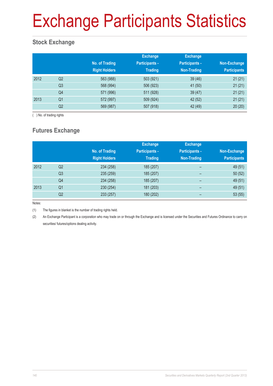# Exchange Participants Statistics

### **Stock Exchange**

|      |                | No. of Trading<br><b>Right Holders</b> | <b>Exchange</b><br><b>Participants -</b><br><b>Trading</b> | <b>Exchange</b><br><b>Participants -</b><br>Non-Trading | Non-Exchange<br><b>Participants</b> |
|------|----------------|----------------------------------------|------------------------------------------------------------|---------------------------------------------------------|-------------------------------------|
| 2012 | Q <sub>2</sub> | 563 (988)                              | 503 (921)                                                  | 39(46)                                                  | 21(21)                              |
|      | Q <sub>3</sub> | 568 (994)                              | 506 (923)                                                  | 41 (50)                                                 | 21(21)                              |
|      | Q4             | 571 (996)                              | 511 (928)                                                  | 39(47)                                                  | 21(21)                              |
| 2013 | Q1             | 572 (997)                              | 509 (924)                                                  | 42 (52)                                                 | 21(21)                              |
|      | Q <sub>2</sub> | 569 (987)                              | 507 (918)                                                  | 42 (49)                                                 | 20(20)                              |

( ) No. of trading rights

### **Futures Exchange**

|      |                | No. of Trading<br><b>Right Holders</b> | <b>Exchange</b><br><b>Participants -</b><br><b>Trading</b> | <b>Exchange</b><br><b>Participants -</b><br><b>Non-Trading</b> | Non-Exchange<br><b>Participants</b> |
|------|----------------|----------------------------------------|------------------------------------------------------------|----------------------------------------------------------------|-------------------------------------|
| 2012 | Q <sub>2</sub> | 234 (258)                              | 185 (207)                                                  | -                                                              | 49 (51)                             |
|      | Q <sub>3</sub> | 235 (259)                              | 185 (207)                                                  | -                                                              | 50(52)                              |
|      | Q4             | 234 (258)                              | 185 (207)                                                  | -                                                              | 49 (51)                             |
| 2013 | Q <sub>1</sub> | 230 (254)                              | 181 (203)                                                  | $\overline{\phantom{0}}$                                       | 49 (51)                             |
|      | Q2             | 233 (257)                              | 180 (202)                                                  | -                                                              | 53(55)                              |

Notes:

(1) The figures in blanket is the number of trading rights held.

(2) An Exchange Participant is a corporation who may trade on or through the Exchange and is licensed under the Securities and Futures Ordinance to carry on securities/ futures/options dealing activity.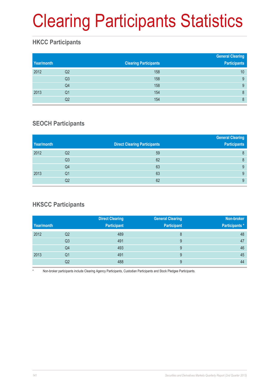# Clearing Participants Statistics

### **HKCC Participants**

| Year/month |                | <b>Clearing Participants</b> | <b>General Clearing</b><br><b>Participants</b> |
|------------|----------------|------------------------------|------------------------------------------------|
| 2012       | Q2             | 158                          | 10                                             |
|            | Q <sub>3</sub> | 158                          | 9                                              |
|            | Q4             | 158                          | 9                                              |
| 2013       | Q <sub>1</sub> | 154                          | 8                                              |
|            | Q <sub>2</sub> | 154                          | 8                                              |

### **SEOCH Participants**

|            |                |                                     | <b>General Clearing</b> |
|------------|----------------|-------------------------------------|-------------------------|
| Year/month |                | <b>Direct Clearing Participants</b> | <b>Participants</b>     |
| 2012       | Q <sub>2</sub> | 59                                  | 8                       |
|            | Q <sub>3</sub> | 62                                  | 8                       |
|            | Q4             | 63                                  | 9                       |
| 2013       | Q1             | 63                                  | 9                       |
|            | Q <sub>2</sub> | 62                                  | 9                       |

### **HKSCC Participants**

|            |                | <b>Direct Clearing</b> | <b>General Clearing</b> | Non-broker     |
|------------|----------------|------------------------|-------------------------|----------------|
| Year/month |                | <b>Participant</b>     | <b>Participant</b>      | Participants * |
| 2012       | Q <sub>2</sub> | 489                    | 8                       | 48             |
|            | Q <sub>3</sub> | 491                    | 9                       | 47             |
|            | Q4             | 493                    | 9                       | 46             |
| 2013       | Q1             | 491                    | 9                       | 45             |
|            | Q2             | 488                    | 9                       | 44             |

Non-broker participants include Clearing Agency Participants, Custodian Participants and Stock Pledgee Participants.